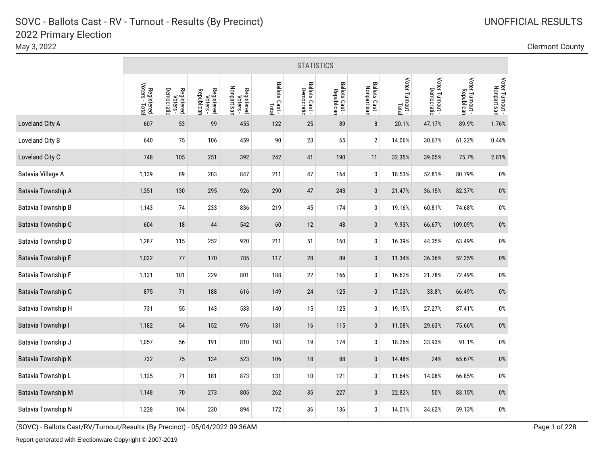May 3, 2022 Clermont County

|                           |                              |                                      |                                      |                                       |                         | <b>STATISTICS</b>           |                              |                               |                          |                               |                               |                                |
|---------------------------|------------------------------|--------------------------------------|--------------------------------------|---------------------------------------|-------------------------|-----------------------------|------------------------------|-------------------------------|--------------------------|-------------------------------|-------------------------------|--------------------------------|
|                           | Registered<br>Voters - Total | Democratic<br>Registered<br>Voters - | Registered<br>Voters -<br>Republican | Nonpartisan<br>Registered<br>Voters - | Ballots Cast -<br>Total | Ballots Cast-<br>Democratic | Ballots Cast -<br>Republican | Ballots Cast -<br>Nonpartisan | Voter Turnout -<br>Total | Voter Turnout -<br>Democratic | Voter Turnout -<br>Republican | Voter Turnout -<br>Nonpartisan |
| Loveland City A           | 607                          | 53                                   | 99                                   | 455                                   | 122                     | 25                          | 89                           | $\bf 8$                       | 20.1%                    | 47.17%                        | 89.9%                         | 1.76%                          |
| Loveland City B           | 640                          | 75                                   | 106                                  | 459                                   | $90\,$                  | 23                          | 65                           | $\sqrt{2}$                    | 14.06%                   | 30.67%                        | 61.32%                        | 0.44%                          |
| Loveland City C           | 748                          | 105                                  | 251                                  | 392                                   | 242                     | 41                          | 190                          | 11                            | 32.35%                   | 39.05%                        | 75.7%                         | 2.81%                          |
| Batavia Village A         | 1,139                        | 89                                   | 203                                  | 847                                   | 211                     | 47                          | 164                          | $\pmb{0}$                     | 18.53%                   | 52.81%                        | 80.79%                        | $0\%$                          |
| <b>Batavia Township A</b> | 1,351                        | 130                                  | 295                                  | 926                                   | 290                     | 47                          | 243                          | $\pmb{0}$                     | 21.47%                   | 36.15%                        | 82.37%                        | $0\%$                          |
| <b>Batavia Township B</b> | 1,143                        | 74                                   | 233                                  | 836                                   | 219                     | 45                          | 174                          | $\pmb{0}$                     | 19.16%                   | 60.81%                        | 74.68%                        | $0\%$                          |
| Batavia Township C        | 604                          | $18\,$                               | 44                                   | 542                                   | 60                      | 12                          | 48                           | $\pmb{0}$                     | 9.93%                    | 66.67%                        | 109.09%                       | $0\%$                          |
| Batavia Township D        | 1,287                        | 115                                  | 252                                  | 920                                   | 211                     | 51                          | 160                          | 0                             | 16.39%                   | 44.35%                        | 63.49%                        | $0\%$                          |
| <b>Batavia Township E</b> | 1,032                        | 77                                   | 170                                  | 785                                   | 117                     | 28                          | 89                           | $\pmb{0}$                     | 11.34%                   | 36.36%                        | 52.35%                        | $0\%$                          |
| <b>Batavia Township F</b> | 1,131                        | 101                                  | 229                                  | 801                                   | 188                     | 22                          | 166                          | $\pmb{0}$                     | 16.62%                   | 21.78%                        | 72.49%                        | $0\%$                          |
| <b>Batavia Township G</b> | 875                          | 71                                   | 188                                  | 616                                   | 149                     | 24                          | 125                          | $\pmb{0}$                     | 17.03%                   | 33.8%                         | 66.49%                        | $0\%$                          |
| Batavia Township H        | 731                          | 55                                   | 143                                  | 533                                   | 140                     | 15                          | 125                          | 0                             | 19.15%                   | 27.27%                        | 87.41%                        | $0\%$                          |
| Batavia Township I        | 1,182                        | 54                                   | 152                                  | 976                                   | 131                     | 16                          | 115                          | $\pmb{0}$                     | 11.08%                   | 29.63%                        | 75.66%                        | $0\%$                          |
| Batavia Township J        | 1,057                        | 56                                   | 191                                  | 810                                   | 193                     | 19                          | 174                          | $\pmb{0}$                     | 18.26%                   | 33.93%                        | 91.1%                         | $0\%$                          |
| Batavia Township K        | 732                          | 75                                   | 134                                  | 523                                   | 106                     | 18                          | 88                           | $\pmb{0}$                     | 14.48%                   | 24%                           | 65.67%                        | $0\%$                          |
| Batavia Township L        | 1,125                        | 71                                   | 181                                  | 873                                   | 131                     | 10                          | 121                          | $\pmb{0}$                     | 11.64%                   | 14.08%                        | 66.85%                        | $0\%$                          |
| <b>Batavia Township M</b> | 1,148                        | 70                                   | 273                                  | 805                                   | 262                     | 35                          | 227                          | $\pmb{0}$                     | 22.82%                   | 50%                           | 83.15%                        | $0\%$                          |
| <b>Batavia Township N</b> | 1,228                        | 104                                  | 230                                  | 894                                   | 172                     | 36                          | 136                          | $\pmb{0}$                     | 14.01%                   | 34.62%                        | 59.13%                        | $0\%$                          |

(SOVC) - Ballots Cast/RV/Turnout/Results (By Precinct) - 05/04/2022 09:36AM Page 1 of 228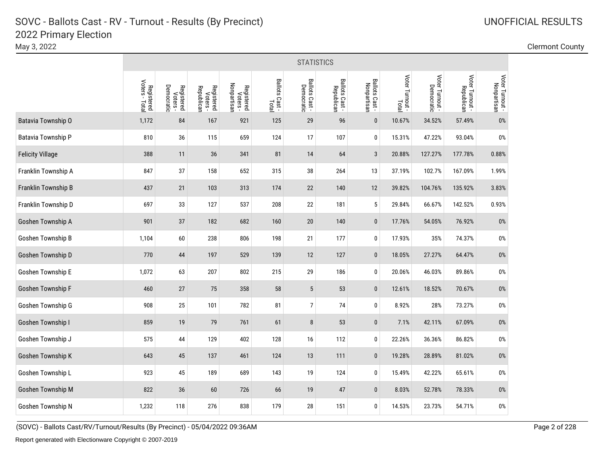|                         | <b>STATISTICS</b>            |                                      |                                      |                                       |                         |                              |                              |                               |                          |                               |                               |                                |  |
|-------------------------|------------------------------|--------------------------------------|--------------------------------------|---------------------------------------|-------------------------|------------------------------|------------------------------|-------------------------------|--------------------------|-------------------------------|-------------------------------|--------------------------------|--|
|                         | Registered<br>Voters - Total | Registered<br>Voters -<br>Democratic | Registered<br>Voters -<br>Republican | Nonpartisan<br>Registered<br>Voters - | Ballots Cast -<br>Total | Ballots Cast -<br>Democratic | Ballots Cast -<br>Republican | Ballots Cast -<br>Nonpartisan | Voter Turnout -<br>Total | Voter Turnout -<br>Democratic | Voter Turnout -<br>Republican | Voter Turnout -<br>Nonpartisan |  |
| Batavia Township O      | 1,172                        | 84                                   | 167                                  | 921                                   | 125                     | 29                           | 96                           | $\pmb{0}$                     | 10.67%                   | 34.52%                        | 57.49%                        | 0%                             |  |
| Batavia Township P      | 810                          | 36                                   | 115                                  | 659                                   | 124                     | 17                           | 107                          | 0                             | 15.31%                   | 47.22%                        | 93.04%                        | $0\%$                          |  |
| <b>Felicity Village</b> | 388                          | 11                                   | 36                                   | 341                                   | 81                      | 14                           | 64                           | $\overline{3}$                | 20.88%                   | 127.27%                       | 177.78%                       | 0.88%                          |  |
| Franklin Township A     | 847                          | 37                                   | 158                                  | 652                                   | 315                     | 38                           | 264                          | 13                            | 37.19%                   | 102.7%                        | 167.09%                       | 1.99%                          |  |
| Franklin Township B     | 437                          | 21                                   | 103                                  | 313                                   | 174                     | 22                           | 140                          | 12                            | 39.82%                   | 104.76%                       | 135.92%                       | 3.83%                          |  |
| Franklin Township D     | 697                          | 33                                   | 127                                  | 537                                   | 208                     | 22                           | 181                          | 5                             | 29.84%                   | 66.67%                        | 142.52%                       | 0.93%                          |  |
| Goshen Township A       | 901                          | 37                                   | 182                                  | 682                                   | 160                     | $20\,$                       | 140                          | $\bf{0}$                      | 17.76%                   | 54.05%                        | 76.92%                        | 0%                             |  |
| Goshen Township B       | 1,104                        | 60                                   | 238                                  | 806                                   | 198                     | 21                           | 177                          | 0                             | 17.93%                   | 35%                           | 74.37%                        | 0%                             |  |
| Goshen Township D       | 770                          | 44                                   | 197                                  | 529                                   | 139                     | 12                           | 127                          | $\bf{0}$                      | 18.05%                   | 27.27%                        | 64.47%                        | $0\%$                          |  |
| Goshen Township E       | 1,072                        | 63                                   | 207                                  | 802                                   | 215                     | 29                           | 186                          | 0                             | 20.06%                   | 46.03%                        | 89.86%                        | $0\%$                          |  |
| Goshen Township F       | 460                          | 27                                   | 75                                   | 358                                   | 58                      | $\sqrt{5}$                   | 53                           | $\pmb{0}$                     | 12.61%                   | 18.52%                        | 70.67%                        | $0\%$                          |  |
| Goshen Township G       | 908                          | 25                                   | 101                                  | 782                                   | 81                      | $\overline{7}$               | 74                           | $\pmb{0}$                     | 8.92%                    | 28%                           | 73.27%                        | $0\%$                          |  |
| Goshen Township I       | 859                          | 19                                   | 79                                   | 761                                   | 61                      | 8                            | 53                           | $\pmb{0}$                     | 7.1%                     | 42.11%                        | 67.09%                        | $0\%$                          |  |
| Goshen Township J       | 575                          | 44                                   | 129                                  | 402                                   | 128                     | $16$                         | 112                          | 0                             | 22.26%                   | 36.36%                        | 86.82%                        | $0\%$                          |  |
| Goshen Township K       | 643                          | 45                                   | 137                                  | 461                                   | 124                     | 13                           | 111                          | $\pmb{0}$                     | 19.28%                   | 28.89%                        | 81.02%                        | $0\%$                          |  |
| Goshen Township L       | 923                          | 45                                   | 189                                  | 689                                   | 143                     | 19                           | 124                          | 0                             | 15.49%                   | 42.22%                        | 65.61%                        | $0\%$                          |  |
| Goshen Township M       | 822                          | 36                                   | 60                                   | 726                                   | 66                      | 19                           | 47                           | $\pmb{0}$                     | 8.03%                    | 52.78%                        | 78.33%                        | $0\%$                          |  |
| Goshen Township N       | 1,232                        | 118                                  | 276                                  | 838                                   | 179                     | 28                           | 151                          | 0                             | 14.53%                   | 23.73%                        | 54.71%                        | 0%                             |  |

May 3, 2022 Clermont County

(SOVC) - Ballots Cast/RV/Turnout/Results (By Precinct) - 05/04/2022 09:36AM Page 2 of 228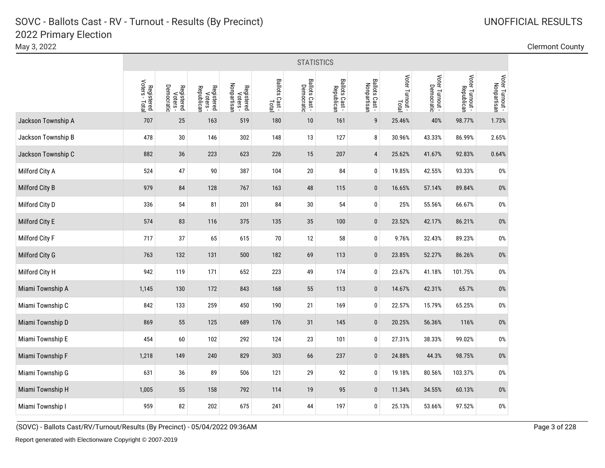|                       |                              | <b>STATISTICS</b>                    |                                      |                                       |                         |                              |                              |                               |                 |                               |                               |                                |  |  |
|-----------------------|------------------------------|--------------------------------------|--------------------------------------|---------------------------------------|-------------------------|------------------------------|------------------------------|-------------------------------|-----------------|-------------------------------|-------------------------------|--------------------------------|--|--|
|                       | Registered<br>Voters - Total | Registered<br>Voters -<br>Democratic | Registered<br>Voters -<br>Republican | Nonpartisan<br>Registered<br>Voters - | Ballots Cast -<br>Total | Ballots Cast -<br>Democratic | Ballots Cast -<br>Republican | Ballots Cast -<br>Nonpartisan | Voter Turnout - | Voter Turnout -<br>Democratic | Voter Turnout -<br>Republican | Voter Turnout -<br>Nonpartisan |  |  |
| Jackson Township A    | 707                          | 25                                   | 163                                  | 519                                   | 180                     | 10                           | 161                          | 9                             | 25.46%          | 40%                           | 98.77%                        | 1.73%                          |  |  |
| Jackson Township B    | 478                          | 30                                   | 146                                  | 302                                   | 148                     | 13                           | 127                          | 8                             | 30.96%          | 43.33%                        | 86.99%                        | 2.65%                          |  |  |
| Jackson Township C    | 882                          | 36                                   | 223                                  | 623                                   | 226                     | 15                           | 207                          | $\overline{4}$                | 25.62%          | 41.67%                        | 92.83%                        | 0.64%                          |  |  |
| Milford City A        | 524                          | 47                                   | 90                                   | 387                                   | 104                     | $20\,$                       | 84                           | 0                             | 19.85%          | 42.55%                        | 93.33%                        | $0\%$                          |  |  |
| Milford City B        | 979                          | 84                                   | 128                                  | 767                                   | 163                     | 48                           | 115                          | $\pmb{0}$                     | 16.65%          | 57.14%                        | 89.84%                        | $0\%$                          |  |  |
| Milford City D        | 336                          | 54                                   | 81                                   | 201                                   | 84                      | $30\,$                       | 54                           | 0                             | 25%             | 55.56%                        | 66.67%                        | $0\%$                          |  |  |
| Milford City E        | 574                          | 83                                   | 116                                  | 375                                   | 135                     | 35                           | 100                          | $\pmb{0}$                     | 23.52%          | 42.17%                        | 86.21%                        | $0\%$                          |  |  |
| <b>Milford City F</b> | 717                          | 37                                   | 65                                   | 615                                   | $70\,$                  | 12                           | 58                           | 0                             | 9.76%           | 32.43%                        | 89.23%                        | $0\%$                          |  |  |
| Milford City G        | 763                          | 132                                  | 131                                  | 500                                   | 182                     | 69                           | 113                          | $\bf{0}$                      | 23.85%          | 52.27%                        | 86.26%                        | $0\%$                          |  |  |
| Milford City H        | 942                          | 119                                  | 171                                  | 652                                   | 223                     | 49                           | 174                          | 0                             | 23.67%          | 41.18%                        | 101.75%                       | $0\%$                          |  |  |
| Miami Township A      | 1,145                        | 130                                  | 172                                  | 843                                   | 168                     | 55                           | 113                          | $\pmb{0}$                     | 14.67%          | 42.31%                        | 65.7%                         | $0\%$                          |  |  |
| Miami Township C      | 842                          | 133                                  | 259                                  | 450                                   | 190                     | 21                           | 169                          | 0                             | 22.57%          | 15.79%                        | 65.25%                        | $0\%$                          |  |  |
| Miami Township D      | 869                          | 55                                   | 125                                  | 689                                   | 176                     | 31                           | 145                          | $\pmb{0}$                     | 20.25%          | 56.36%                        | 116%                          | $0\%$                          |  |  |
| Miami Township E      | 454                          | 60                                   | 102                                  | 292                                   | 124                     | 23                           | 101                          | 0                             | 27.31%          | 38.33%                        | 99.02%                        | $0\%$                          |  |  |
| Miami Township F      | 1,218                        | 149                                  | 240                                  | 829                                   | 303                     | 66                           | 237                          | $\pmb{0}$                     | 24.88%          | 44.3%                         | 98.75%                        | $0\%$                          |  |  |
| Miami Township G      | 631                          | 36                                   | 89                                   | 506                                   | 121                     | 29                           | 92                           | $\pmb{0}$                     | 19.18%          | 80.56%                        | 103.37%                       | $0\%$                          |  |  |
| Miami Township H      | 1,005                        | 55                                   | 158                                  | 792                                   | 114                     | $19$                         | 95                           | $\pmb{0}$                     | 11.34%          | 34.55%                        | 60.13%                        | $0\%$                          |  |  |
| Miami Township I      | 959                          | 82                                   | 202                                  | 675                                   | 241                     | 44                           | 197                          | 0                             | 25.13%          | 53.66%                        | 97.52%                        | $0\%$                          |  |  |

May 3, 2022 Clermont County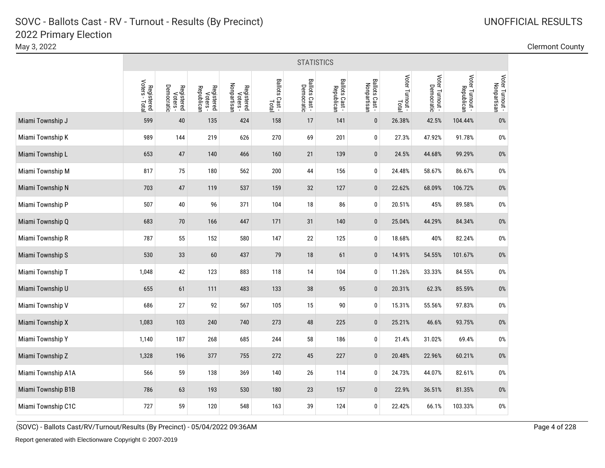|                    |                              | <b>STATISTICS</b>                           |                                      |                                       |                         |                              |                              |                               |                          |                               |                               |                                |  |  |
|--------------------|------------------------------|---------------------------------------------|--------------------------------------|---------------------------------------|-------------------------|------------------------------|------------------------------|-------------------------------|--------------------------|-------------------------------|-------------------------------|--------------------------------|--|--|
|                    | Registered<br>Voters - Total | <b>Democratic</b><br>Registered<br>Voters - | Registered<br>Voters -<br>Republican | Registered<br>Voters -<br>Nonpartisan | Ballots Cast -<br>Total | Ballots Cast -<br>Democratic | Ballots Cast -<br>Republican | Ballots Cast -<br>Nonpartisan | Voter Turnout -<br>Total | Voter Turnout -<br>Democratic | Voter Turnout -<br>Republican | Voter Turnout -<br>Nonpartisan |  |  |
| Miami Township J   | 599                          | 40                                          | 135                                  | 424                                   | 158                     | 17                           | 141                          | $\pmb{0}$                     | 26.38%                   | 42.5%                         | 104.44%                       | $0\%$                          |  |  |
| Miami Township K   | 989                          | 144                                         | 219                                  | 626                                   | 270                     | 69                           | 201                          | 0                             | 27.3%                    | 47.92%                        | 91.78%                        | $0\%$                          |  |  |
| Miami Township L   | 653                          | 47                                          | 140                                  | 466                                   | 160                     | 21                           | 139                          | $\mathbf 0$                   | 24.5%                    | 44.68%                        | 99.29%                        | $0\%$                          |  |  |
| Miami Township M   | 817                          | 75                                          | 180                                  | 562                                   | 200                     | 44                           | 156                          | 0                             | 24.48%                   | 58.67%                        | 86.67%                        | $0\%$                          |  |  |
| Miami Township N   | 703                          | $47\,$                                      | 119                                  | 537                                   | 159                     | 32                           | 127                          | $\mathbf{0}$                  | 22.62%                   | 68.09%                        | 106.72%                       | $0\%$                          |  |  |
| Miami Township P   | 507                          | $40\,$                                      | 96                                   | 371                                   | 104                     | 18                           | 86                           | 0                             | 20.51%                   | 45%                           | 89.58%                        | $0\%$                          |  |  |
| Miami Township Q   | 683                          | 70                                          | 166                                  | 447                                   | 171                     | 31                           | 140                          | $\mathbf 0$                   | 25.04%                   | 44.29%                        | 84.34%                        | 0%                             |  |  |
| Miami Township R   | 787                          | 55                                          | 152                                  | 580                                   | 147                     | 22                           | 125                          | $\pmb{0}$                     | 18.68%                   | 40%                           | 82.24%                        | $0\%$                          |  |  |
| Miami Township S   | 530                          | 33                                          | 60                                   | 437                                   | 79                      | 18                           | 61                           | $\pmb{0}$                     | 14.91%                   | 54.55%                        | 101.67%                       | 0%                             |  |  |
| Miami Township T   | 1,048                        | 42                                          | 123                                  | 883                                   | 118                     | 14                           | 104                          | 0                             | 11.26%                   | 33.33%                        | 84.55%                        | $0\%$                          |  |  |
| Miami Township U   | 655                          | 61                                          | 111                                  | 483                                   | 133                     | 38                           | 95                           | $\mathbf{0}$                  | 20.31%                   | 62.3%                         | 85.59%                        | 0%                             |  |  |
| Miami Township V   | 686                          | 27                                          | 92                                   | 567                                   | 105                     | 15                           | 90                           | 0                             | 15.31%                   | 55.56%                        | 97.83%                        | $0\%$                          |  |  |
| Miami Township X   | 1,083                        | 103                                         | 240                                  | 740                                   | 273                     | 48                           | 225                          | $\mathbf 0$                   | 25.21%                   | 46.6%                         | 93.75%                        | 0%                             |  |  |
| Miami Township Y   | 1,140                        | 187                                         | 268                                  | 685                                   | 244                     | 58                           | 186                          | $\pmb{0}$                     | 21.4%                    | 31.02%                        | 69.4%                         | $0\%$                          |  |  |
| Miami Township Z   | 1,328                        | 196                                         | 377                                  | 755                                   | 272                     | 45                           | 227                          | $\pmb{0}$                     | 20.48%                   | 22.96%                        | 60.21%                        | $0\%$                          |  |  |
| Miami Township A1A | 566                          | 59                                          | 138                                  | 369                                   | 140                     | 26                           | 114                          | 0                             | 24.73%                   | 44.07%                        | 82.61%                        | $0\%$                          |  |  |
| Miami Township B1B | 786                          | 63                                          | 193                                  | 530                                   | 180                     | 23                           | 157                          | $\mathbf 0$                   | 22.9%                    | 36.51%                        | 81.35%                        | $0\%$                          |  |  |
| Miami Township C1C | 727                          | 59                                          | 120                                  | 548                                   | 163                     | 39                           | 124                          | $\mathbf 0$                   | 22.42%                   | 66.1%                         | 103.33%                       | $0\%$                          |  |  |

(SOVC) - Ballots Cast/RV/Turnout/Results (By Precinct) - 05/04/2022 09:36AM Page 4 of 228

May 3, 2022 Clermont County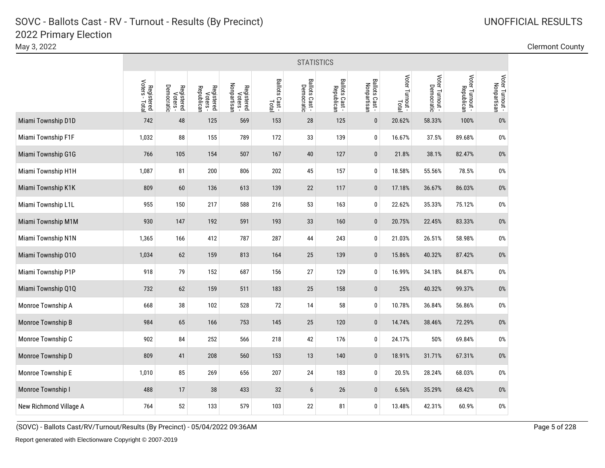|                        | <b>STATISTICS</b>            |                                      |                                      |                                       |                         |                              |                              |                               |                          |                 |                               |                                |  |
|------------------------|------------------------------|--------------------------------------|--------------------------------------|---------------------------------------|-------------------------|------------------------------|------------------------------|-------------------------------|--------------------------|-----------------|-------------------------------|--------------------------------|--|
|                        | Registered<br>Voters - Total | Registered<br>Voters -<br>Democratic | Registered<br>Voters -<br>Republican | Nonpartisan<br>Registered<br>Voters - | Ballots Cast -<br>Total | Ballots Cast -<br>Democratic | Ballots Cast -<br>Republican | Ballots Cast -<br>Nonpartisan | Voter Turnout -<br>Total | Voter Turnout - | Voter Turnout -<br>Republican | Voter Turnout -<br>Nonpartisan |  |
| Miami Township D1D     | 742                          | 48                                   | 125                                  | 569                                   | 153                     | 28                           | 125                          | $\pmb{0}$                     | 20.62%                   | 58.33%          | 100%                          | 0%                             |  |
| Miami Township F1F     | 1,032                        | 88                                   | 155                                  | 789                                   | 172                     | 33                           | 139                          | 0                             | 16.67%                   | 37.5%           | 89.68%                        | 0%                             |  |
| Miami Township G1G     | 766                          | 105                                  | 154                                  | 507                                   | 167                     | 40                           | 127                          | $\mathbf{0}$                  | 21.8%                    | 38.1%           | 82.47%                        | $0\%$                          |  |
| Miami Township H1H     | 1,087                        | 81                                   | 200                                  | 806                                   | 202                     | 45                           | 157                          | $\pmb{0}$                     | 18.58%                   | 55.56%          | 78.5%                         | $0\%$                          |  |
| Miami Township K1K     | 809                          | 60                                   | 136                                  | 613                                   | 139                     | 22                           | 117                          | $\mathbf 0$                   | 17.18%                   | 36.67%          | 86.03%                        | $0\%$                          |  |
| Miami Township L1L     | 955                          | 150                                  | 217                                  | 588                                   | 216                     | 53                           | 163                          | 0                             | 22.62%                   | 35.33%          | 75.12%                        | $0\%$                          |  |
| Miami Township M1M     | 930                          | 147                                  | 192                                  | 591                                   | 193                     | 33                           | 160                          | $\mathbf 0$                   | 20.75%                   | 22.45%          | 83.33%                        | 0%                             |  |
| Miami Township N1N     | 1,365                        | 166                                  | 412                                  | 787                                   | 287                     | 44                           | 243                          | 0                             | 21.03%                   | 26.51%          | 58.98%                        | $0\%$                          |  |
| Miami Township 010     | 1,034                        | 62                                   | 159                                  | 813                                   | 164                     | 25                           | 139                          | $\bf{0}$                      | 15.86%                   | 40.32%          | 87.42%                        | 0%                             |  |
| Miami Township P1P     | 918                          | 79                                   | 152                                  | 687                                   | 156                     | 27                           | 129                          | $\pmb{0}$                     | 16.99%                   | 34.18%          | 84.87%                        | $0\%$                          |  |
| Miami Township Q1Q     | 732                          | 62                                   | 159                                  | 511                                   | 183                     | $25\,$                       | 158                          | $\pmb{0}$                     | 25%                      | 40.32%          | 99.37%                        | $0\%$                          |  |
| Monroe Township A      | 668                          | 38                                   | 102                                  | 528                                   | 72                      | 14                           | 58                           | $\pmb{0}$                     | 10.78%                   | 36.84%          | 56.86%                        | $0\%$                          |  |
| Monroe Township B      | 984                          | 65                                   | 166                                  | 753                                   | 145                     | 25                           | 120                          | $\pmb{0}$                     | 14.74%                   | 38.46%          | 72.29%                        | $0\%$                          |  |
| Monroe Township C      | 902                          | 84                                   | 252                                  | 566                                   | 218                     | 42                           | 176                          | 0                             | 24.17%                   | 50%             | 69.84%                        | $0\%$                          |  |
| Monroe Township D      | 809                          | 41                                   | 208                                  | 560                                   | 153                     | 13                           | 140                          | $\pmb{0}$                     | 18.91%                   | 31.71%          | 67.31%                        | $0\%$                          |  |
| Monroe Township E      | 1,010                        | 85                                   | 269                                  | 656                                   | 207                     | 24                           | 183                          | 0                             | 20.5%                    | 28.24%          | 68.03%                        | $0\%$                          |  |
| Monroe Township I      | 488                          | 17                                   | 38                                   | 433                                   | 32                      | $6\phantom{.}6$              | 26                           | $\pmb{0}$                     | 6.56%                    | 35.29%          | 68.42%                        | $0\%$                          |  |
| New Richmond Village A | 764                          | 52                                   | 133                                  | 579                                   | 103                     | 22                           | 81                           | 0                             | 13.48%                   | 42.31%          | 60.9%                         | $0\%$                          |  |

### May 3, 2022 Clermont County

(SOVC) - Ballots Cast/RV/Turnout/Results (By Precinct) - 05/04/2022 09:36AM Page 5 of 228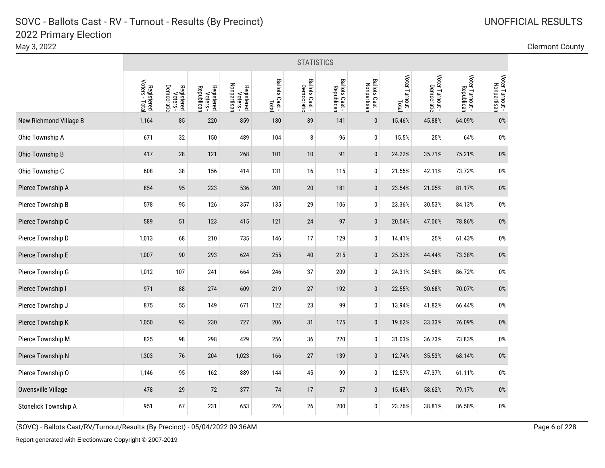May 3, 2022 Clermont County

|                        | <b>STATISTICS</b>            |                                      |                                      |                                       |                         |                              |                              |                               |                          |                               |                               |                                |
|------------------------|------------------------------|--------------------------------------|--------------------------------------|---------------------------------------|-------------------------|------------------------------|------------------------------|-------------------------------|--------------------------|-------------------------------|-------------------------------|--------------------------------|
|                        | Registered<br>Voters - Total | Registered<br>Voters -<br>Democratic | Registered<br>Voters -<br>Republican | Nonpartisan<br>Registered<br>Voters - | Ballots Cast -<br>Total | Ballots Cast -<br>Democratic | Ballots Cast -<br>Republican | Ballots Cast -<br>Nonpartisan | Voter Turnout -<br>Total | Voter Turnout -<br>Democratic | Voter Turnout -<br>Republican | Voter Turnout -<br>Nonpartisan |
| New Richmond Village B | 1,164                        | 85                                   | 220                                  | 859                                   | 180                     | 39                           | 141                          | $\pmb{0}$                     | 15.46%                   | 45.88%                        | 64.09%                        | $0\%$                          |
| Ohio Township A        | 671                          | 32                                   | 150                                  | 489                                   | 104                     | 8                            | 96                           | 0                             | 15.5%                    | 25%                           | 64%                           | $0\%$                          |
| Ohio Township B        | 417                          | 28                                   | 121                                  | 268                                   | 101                     | 10                           | 91                           | $\mathbf{0}$                  | 24.22%                   | 35.71%                        | 75.21%                        | $0\%$                          |
| Ohio Township C        | 608                          | 38                                   | 156                                  | 414                                   | 131                     | 16                           | 115                          | 0                             | 21.55%                   | 42.11%                        | 73.72%                        | $0\%$                          |
| Pierce Township A      | 854                          | 95                                   | 223                                  | 536                                   | 201                     | 20                           | 181                          | $\mathbf 0$                   | 23.54%                   | 21.05%                        | 81.17%                        | $0\%$                          |
| Pierce Township B      | 578                          | 95                                   | 126                                  | 357                                   | 135                     | 29                           | 106                          | 0                             | 23.36%                   | 30.53%                        | 84.13%                        | $0\%$                          |
| Pierce Township C      | 589                          | 51                                   | 123                                  | 415                                   | 121                     | 24                           | 97                           | $\mathbf 0$                   | 20.54%                   | 47.06%                        | 78.86%                        | $0\%$                          |
| Pierce Township D      | 1,013                        | 68                                   | 210                                  | 735                                   | 146                     | 17                           | 129                          | 0                             | 14.41%                   | 25%                           | 61.43%                        | $0\%$                          |
| Pierce Township E      | 1,007                        | 90                                   | 293                                  | 624                                   | 255                     | 40                           | 215                          | $\mathbf 0$                   | 25.32%                   | 44.44%                        | 73.38%                        | 0%                             |
| Pierce Township G      | 1,012                        | 107                                  | 241                                  | 664                                   | 246                     | 37                           | 209                          | $\pmb{0}$                     | 24.31%                   | 34.58%                        | 86.72%                        | $0\%$                          |
| Pierce Township I      | 971                          | 88                                   | 274                                  | 609                                   | 219                     | 27                           | 192                          | $\pmb{0}$                     | 22.55%                   | 30.68%                        | 70.07%                        | $0\%$                          |
| Pierce Township J      | 875                          | 55                                   | 149                                  | 671                                   | 122                     | 23                           | 99                           | $\pmb{0}$                     | 13.94%                   | 41.82%                        | 66.44%                        | $0\%$                          |
| Pierce Township K      | 1,050                        | 93                                   | 230                                  | 727                                   | 206                     | 31                           | 175                          | $\pmb{0}$                     | 19.62%                   | 33.33%                        | 76.09%                        | $0\%$                          |
| Pierce Township M      | 825                          | 98                                   | 298                                  | 429                                   | 256                     | 36                           | 220                          | $\pmb{0}$                     | 31.03%                   | 36.73%                        | 73.83%                        | $0\%$                          |
| Pierce Township N      | 1,303                        | 76                                   | 204                                  | 1,023                                 | 166                     | 27                           | 139                          | $\pmb{0}$                     | 12.74%                   | 35.53%                        | 68.14%                        | $0\%$                          |
| Pierce Township O      | 1,146                        | 95                                   | 162                                  | 889                                   | 144                     | 45                           | 99                           | $\pmb{0}$                     | 12.57%                   | 47.37%                        | 61.11%                        | $0\%$                          |
| Owensville Village     | 478                          | 29                                   | 72                                   | 377                                   | 74                      | 17                           | 57                           | $\pmb{0}$                     | 15.48%                   | 58.62%                        | 79.17%                        | $0\%$                          |
| Stonelick Township A   | 951                          | 67                                   | 231                                  | 653                                   | 226                     | 26                           | 200                          | 0                             | 23.76%                   | 38.81%                        | 86.58%                        | $0\%$                          |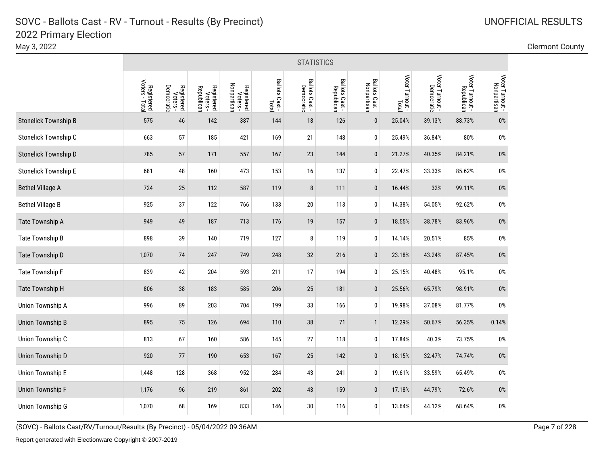|                             | <b>STATISTICS</b>            |                                      |                                      |                                       |                         |                              |                              |                               |                          |                               |                               |                                |  |
|-----------------------------|------------------------------|--------------------------------------|--------------------------------------|---------------------------------------|-------------------------|------------------------------|------------------------------|-------------------------------|--------------------------|-------------------------------|-------------------------------|--------------------------------|--|
|                             | Registered<br>Voters - Total | Registered<br>Voters -<br>Democratic | Registered<br>Voters -<br>Republican | Nonpartisan<br>Registered<br>Voters - | Ballots Cast -<br>Total | Ballots Cast -<br>Democratic | Ballots Cast -<br>Republican | Ballots Cast -<br>Nonpartisan | Voter Turnout -<br>Total | Voter Turnout -<br>Democratic | Voter Turnout -<br>Republican | Voter Turnout -<br>Nonpartisan |  |
| <b>Stonelick Township B</b> | 575                          | 46                                   | 142                                  | 387                                   | 144                     | 18                           | 126                          | $\pmb{0}$                     | 25.04%                   | 39.13%                        | 88.73%                        | 0%                             |  |
| Stonelick Township C        | 663                          | 57                                   | 185                                  | 421                                   | 169                     | 21                           | 148                          | 0                             | 25.49%                   | 36.84%                        | 80%                           | $0\%$                          |  |
| Stonelick Township D        | 785                          | 57                                   | 171                                  | 557                                   | 167                     | 23                           | 144                          | $\pmb{0}$                     | 21.27%                   | 40.35%                        | 84.21%                        | $0\%$                          |  |
| <b>Stonelick Township E</b> | 681                          | 48                                   | 160                                  | 473                                   | 153                     | 16                           | 137                          | 0                             | 22.47%                   | 33.33%                        | 85.62%                        | $0\%$                          |  |
| <b>Bethel Village A</b>     | 724                          | 25                                   | 112                                  | 587                                   | 119                     | $\bf 8$                      | 111                          | $\pmb{0}$                     | 16.44%                   | 32%                           | 99.11%                        | $0\%$                          |  |
| <b>Bethel Village B</b>     | 925                          | 37                                   | 122                                  | 766                                   | 133                     | $20\,$                       | 113                          | 0                             | 14.38%                   | 54.05%                        | 92.62%                        | $0\%$                          |  |
| Tate Township A             | 949                          | 49                                   | 187                                  | 713                                   | 176                     | 19                           | 157                          | $\pmb{0}$                     | 18.55%                   | 38.78%                        | 83.96%                        | 0%                             |  |
| Tate Township B             | 898                          | 39                                   | 140                                  | 719                                   | 127                     | 8                            | 119                          | 0                             | 14.14%                   | 20.51%                        | 85%                           | 0%                             |  |
| Tate Township D             | 1,070                        | 74                                   | 247                                  | 749                                   | 248                     | 32                           | 216                          | $\bf{0}$                      | 23.18%                   | 43.24%                        | 87.45%                        | $0\%$                          |  |
| <b>Tate Township F</b>      | 839                          | 42                                   | 204                                  | 593                                   | 211                     | 17                           | 194                          | 0                             | 25.15%                   | 40.48%                        | 95.1%                         | $0\%$                          |  |
| Tate Township H             | 806                          | 38                                   | 183                                  | 585                                   | 206                     | 25                           | 181                          | $\pmb{0}$                     | 25.56%                   | 65.79%                        | 98.91%                        | $0\%$                          |  |
| Union Township A            | 996                          | 89                                   | 203                                  | 704                                   | 199                     | 33                           | 166                          | 0                             | 19.98%                   | 37.08%                        | 81.77%                        | $0\%$                          |  |
| <b>Union Township B</b>     | 895                          | 75                                   | 126                                  | 694                                   | 110                     | 38                           | 71                           | $\mathbf{1}$                  | 12.29%                   | 50.67%                        | 56.35%                        | 0.14%                          |  |
| Union Township C            | 813                          | 67                                   | 160                                  | 586                                   | 145                     | 27                           | 118                          | 0                             | 17.84%                   | 40.3%                         | 73.75%                        | $0\%$                          |  |
| <b>Union Township D</b>     | 920                          | $77$                                 | 190                                  | 653                                   | 167                     | 25                           | 142                          | $\pmb{0}$                     | 18.15%                   | 32.47%                        | 74.74%                        | $0\%$                          |  |
| Union Township E            | 1,448                        | 128                                  | 368                                  | 952                                   | 284                     | 43                           | 241                          | $\pmb{0}$                     | 19.61%                   | 33.59%                        | 65.49%                        | $0\%$                          |  |
| <b>Union Township F</b>     | 1,176                        | 96                                   | 219                                  | 861                                   | 202                     | 43                           | 159                          | $\pmb{0}$                     | 17.18%                   | 44.79%                        | 72.6%                         | $0\%$                          |  |
| Union Township G            | 1,070                        | 68                                   | 169                                  | 833                                   | 146                     | 30                           | 116                          | 0                             | 13.64%                   | 44.12%                        | 68.64%                        | $0\%$                          |  |

May 3, 2022 Clermont County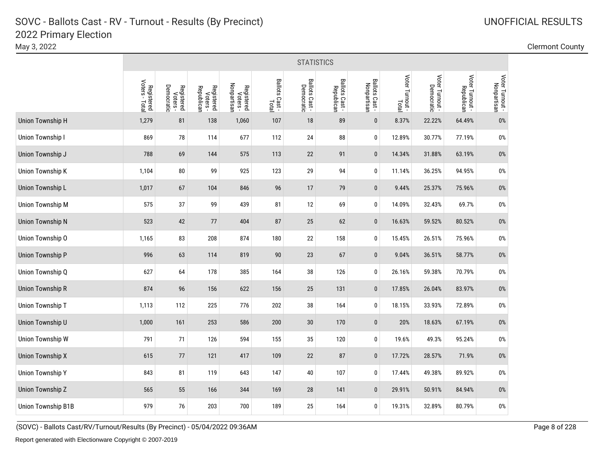|                         | <b>STATISTICS</b>            |                                      |                                      |                                       |                         |                              |                              |                               |                          |                 |                               |                                |  |
|-------------------------|------------------------------|--------------------------------------|--------------------------------------|---------------------------------------|-------------------------|------------------------------|------------------------------|-------------------------------|--------------------------|-----------------|-------------------------------|--------------------------------|--|
|                         | Registered<br>Voters - Total | Registered<br>Voters -<br>Democratic | Registered<br>Voters -<br>Republican | Registered<br>Voters -<br>Nonpartisan | Ballots Cast -<br>Total | Ballots Cast -<br>Democratic | Ballots Cast -<br>Republican | Ballots Cast -<br>Nonpartisan | Voter Turnout -<br>Total | Voter Turnout - | Voter Turnout -<br>Republican | Voter Turnout -<br>Nonpartisan |  |
| Union Township H        | 1,279                        | 81                                   | 138                                  | 1,060                                 | 107                     | 18                           | 89                           | $\mathbf{0}$                  | 8.37%                    | 22.22%          | 64.49%                        | 0%                             |  |
| Union Township I        | 869                          | 78                                   | 114                                  | 677                                   | 112                     | 24                           | 88                           | $\pmb{0}$                     | 12.89%                   | 30.77%          | 77.19%                        | $0\%$                          |  |
| Union Township J        | 788                          | 69                                   | 144                                  | 575                                   | 113                     | 22                           | 91                           | $\pmb{0}$                     | 14.34%                   | 31.88%          | 63.19%                        | 0%                             |  |
| Union Township K        | 1,104                        | 80                                   | 99                                   | 925                                   | 123                     | 29                           | 94                           | $\pmb{0}$                     | 11.14%                   | 36.25%          | 94.95%                        | $0\%$                          |  |
| Union Township L        | 1,017                        | 67                                   | 104                                  | 846                                   | 96                      | 17                           | 79                           | $\pmb{0}$                     | 9.44%                    | 25.37%          | 75.96%                        | 0%                             |  |
| <b>Union Township M</b> | 575                          | 37                                   | 99                                   | 439                                   | 81                      | 12                           | 69                           | $\pmb{0}$                     | 14.09%                   | 32.43%          | 69.7%                         | $0\%$                          |  |
| <b>Union Township N</b> | 523                          | 42                                   | $77$                                 | 404                                   | 87                      | 25                           | 62                           | $\mathbf 0$                   | 16.63%                   | 59.52%          | 80.52%                        | $0\%$                          |  |
| Union Township O        | 1,165                        | 83                                   | 208                                  | 874                                   | 180                     | 22                           | 158                          | $\pmb{0}$                     | 15.45%                   | 26.51%          | 75.96%                        | $0\%$                          |  |
| <b>Union Township P</b> | 996                          | 63                                   | 114                                  | 819                                   | 90                      | 23                           | 67                           | $\mathbf 0$                   | 9.04%                    | 36.51%          | 58.77%                        | 0%                             |  |
| Union Township Q        | 627                          | 64                                   | 178                                  | 385                                   | 164                     | 38                           | 126                          | $\mathbf 0$                   | 26.16%                   | 59.38%          | 70.79%                        | $0\%$                          |  |
| <b>Union Township R</b> | 874                          | 96                                   | 156                                  | 622                                   | 156                     | 25                           | 131                          | $\pmb{0}$                     | 17.85%                   | 26.04%          | 83.97%                        | 0%                             |  |
| Union Township T        | 1,113                        | 112                                  | 225                                  | 776                                   | 202                     | $38\,$                       | 164                          | $\pmb{0}$                     | 18.15%                   | 33.93%          | 72.89%                        | $0\%$                          |  |
| Union Township U        | 1,000                        | 161                                  | 253                                  | 586                                   | 200                     | $30\,$                       | 170                          | $\pmb{0}$                     | 20%                      | 18.63%          | 67.19%                        | $0\%$                          |  |
| Union Township W        | 791                          | 71                                   | 126                                  | 594                                   | 155                     | 35                           | 120                          | $\mathbf 0$                   | 19.6%                    | 49.3%           | 95.24%                        | $0\%$                          |  |
| <b>Union Township X</b> | 615                          | $77$                                 | 121                                  | 417                                   | 109                     | 22                           | 87                           | $\pmb{0}$                     | 17.72%                   | 28.57%          | 71.9%                         | $0\%$                          |  |
| <b>Union Township Y</b> | 843                          | 81                                   | 119                                  | 643                                   | 147                     | $40\,$                       | 107                          | $\mathbf 0$                   | 17.44%                   | 49.38%          | 89.92%                        | 0%                             |  |
| Union Township Z        | 565                          | 55                                   | 166                                  | 344                                   | 169                     | 28                           | 141                          | $\pmb{0}$                     | 29.91%                   | 50.91%          | 84.94%                        | $0\%$                          |  |
| Union Township B1B      | 979                          | 76                                   | 203                                  | 700                                   | 189                     | 25                           | 164                          | $\mathbf 0$                   | 19.31%                   | 32.89%          | 80.79%                        | $0\%$                          |  |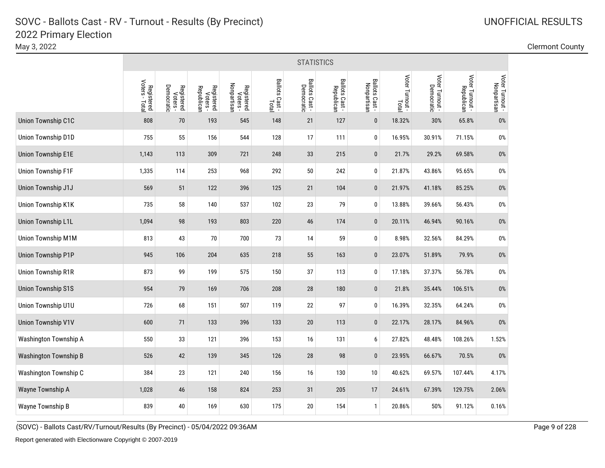|                           |                              | <b>STATISTICS</b>                    |                                      |                                       |                         |                              |                              |                               |                          |                               |                               |                                |  |  |
|---------------------------|------------------------------|--------------------------------------|--------------------------------------|---------------------------------------|-------------------------|------------------------------|------------------------------|-------------------------------|--------------------------|-------------------------------|-------------------------------|--------------------------------|--|--|
|                           | Registered<br>Voters - Total | Registered<br>Voters -<br>Democratic | Registered<br>Voters -<br>Republican | Nonpartisan<br>Registered<br>Voters - | Ballots Cast -<br>Total | Ballots Cast -<br>Democratic | Ballots Cast -<br>Republican | Ballots Cast -<br>Nonpartisan | Voter Turnout -<br>Total | Voter Turnout -<br>Democratic | Voter Turnout -<br>Republican | Voter Turnout -<br>Nonpartisan |  |  |
| Union Township C1C        | 808                          | 70                                   | 193                                  | 545                                   | 148                     | 21                           | 127                          | $\pmb{0}$                     | 18.32%                   | 30%                           | 65.8%                         | $0\%$                          |  |  |
| Union Township D1D        | 755                          | 55                                   | 156                                  | 544                                   | 128                     | 17                           | 111                          | 0                             | 16.95%                   | 30.91%                        | 71.15%                        | 0%                             |  |  |
| <b>Union Township E1E</b> | 1,143                        | 113                                  | 309                                  | 721                                   | 248                     | 33                           | 215                          | $\mathbf{0}$                  | 21.7%                    | 29.2%                         | 69.58%                        | $0\%$                          |  |  |
| <b>Union Township F1F</b> | 1,335                        | 114                                  | 253                                  | 968                                   | 292                     | $50\,$                       | 242                          | 0                             | 21.87%                   | 43.86%                        | 95.65%                        | $0\%$                          |  |  |
| Union Township J1J        | 569                          | 51                                   | 122                                  | 396                                   | 125                     | 21                           | 104                          | $\pmb{0}$                     | 21.97%                   | 41.18%                        | 85.25%                        | $0\%$                          |  |  |
| Union Township K1K        | 735                          | 58                                   | 140                                  | 537                                   | 102                     | 23                           | 79                           | 0                             | 13.88%                   | 39.66%                        | 56.43%                        | $0\%$                          |  |  |
| Union Township L1L        | 1,094                        | 98                                   | 193                                  | 803                                   | 220                     | 46                           | 174                          | $\pmb{0}$                     | 20.11%                   | 46.94%                        | 90.16%                        | $0\%$                          |  |  |
| Union Township M1M        | 813                          | 43                                   | 70                                   | 700                                   | 73                      | 14                           | 59                           | 0                             | 8.98%                    | 32.56%                        | 84.29%                        | $0\%$                          |  |  |
| <b>Union Township P1P</b> | 945                          | 106                                  | 204                                  | 635                                   | 218                     | 55                           | 163                          | $\pmb{0}$                     | 23.07%                   | 51.89%                        | 79.9%                         | $0\%$                          |  |  |
| <b>Union Township R1R</b> | 873                          | 99                                   | 199                                  | 575                                   | 150                     | 37                           | 113                          | 0                             | 17.18%                   | 37.37%                        | 56.78%                        | $0\%$                          |  |  |
| <b>Union Township S1S</b> | 954                          | 79                                   | 169                                  | 706                                   | 208                     | 28                           | 180                          | $\pmb{0}$                     | 21.8%                    | 35.44%                        | 106.51%                       | $0\%$                          |  |  |
| Union Township U1U        | 726                          | 68                                   | 151                                  | 507                                   | 119                     | 22                           | 97                           | 0                             | 16.39%                   | 32.35%                        | 64.24%                        | $0\%$                          |  |  |
| <b>Union Township V1V</b> | 600                          | 71                                   | 133                                  | 396                                   | 133                     | 20                           | 113                          | $\pmb{0}$                     | 22.17%                   | 28.17%                        | 84.96%                        | 0%                             |  |  |
| Washington Township A     | 550                          | 33                                   | 121                                  | 396                                   | 153                     | $16$                         | 131                          | 6                             | 27.82%                   | 48.48%                        | 108.26%                       | 1.52%                          |  |  |
| Washington Township B     | 526                          | 42                                   | 139                                  | 345                                   | 126                     | 28                           | 98                           | $\pmb{0}$                     | 23.95%                   | 66.67%                        | 70.5%                         | $0\%$                          |  |  |
| Washington Township C     | 384                          | 23                                   | 121                                  | 240                                   | 156                     | 16                           | 130                          | 10                            | 40.62%                   | 69.57%                        | 107.44%                       | 4.17%                          |  |  |
| Wayne Township A          | 1,028                        | 46                                   | 158                                  | 824                                   | 253                     | 31                           | 205                          | 17                            | 24.61%                   | 67.39%                        | 129.75%                       | 2.06%                          |  |  |
| Wayne Township B          | 839                          | 40                                   | 169                                  | 630                                   | 175                     | 20                           | 154                          | 1                             | 20.86%                   | 50%                           | 91.12%                        | 0.16%                          |  |  |

May 3, 2022 Clermont County

(SOVC) - Ballots Cast/RV/Turnout/Results (By Precinct) - 05/04/2022 09:36AM Page 9 of 228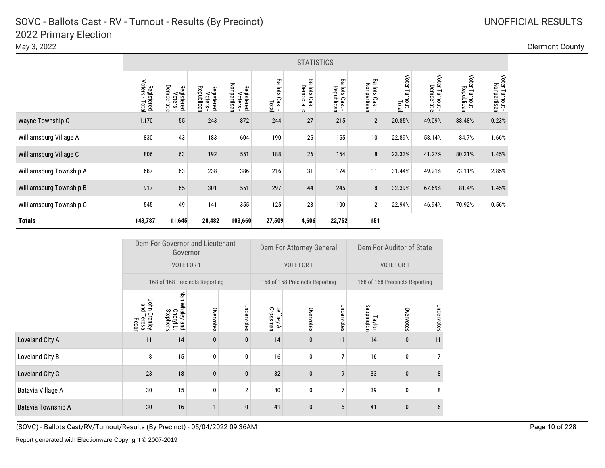May 3, 2022 Clermont County

**Totals**

|                         | <b>STATISTICS</b>            |                                                      |                                      |                                       |                                   |                                |                                               |                               |                          |                                |                                        |                                 |  |
|-------------------------|------------------------------|------------------------------------------------------|--------------------------------------|---------------------------------------|-----------------------------------|--------------------------------|-----------------------------------------------|-------------------------------|--------------------------|--------------------------------|----------------------------------------|---------------------------------|--|
|                         | Voters<br>Registered<br>Tota | <b>Democr</b><br>Registered<br>Voters -<br>air<br>Bi | Registered<br>Voters -<br>Republican | Nonpartisan<br>Registered<br>Voters - | <b>Ballots</b><br>Cast -<br>Total | Ballots<br>Democratic<br>Cast- | <b>Ballots</b><br>Illots Cast -<br>Republican | Ballots Cast -<br>Nonpartisan | Voter Turnout -<br>Total | Voter<br>Democratic<br>Turnout | <b>Voter</b><br>Republicar<br>Turnout- | Voter<br>Nonpartisan<br>Turnout |  |
| Wayne Township C        | 1,170                        | 55                                                   | 243                                  | 872                                   | 244                               | 27                             | 215                                           | $\overline{2}$                | 20.85%                   | 49.09%                         | 88.48%                                 | 0.23%                           |  |
| Williamsburg Village A  | 830                          | 43                                                   | 183                                  | 604                                   | 190                               | 25                             | 155                                           | 10                            | 22.89%                   | 58.14%                         | 84.7%                                  | 1.66%                           |  |
| Williamsburg Village C  | 806                          | 63                                                   | 192                                  | 551                                   | 188                               | 26                             | 154                                           | 8                             | 23.33%                   | 41.27%                         | 80.21%                                 | 1.45%                           |  |
| Williamsburg Township A | 687                          | 63                                                   | 238                                  | 386                                   | 216                               | 31                             | 174                                           | 11                            | 31.44%                   | 49.21%                         | 73.11%                                 | 2.85%                           |  |
| Williamsburg Township B | 917                          | 65                                                   | 301                                  | 551                                   | 297                               | 44                             | 245                                           | 8                             | 32.39%                   | 67.69%                         | 81.4%                                  | 1.45%                           |  |
| Williamsburg Township C | 545                          | 49                                                   | 141                                  | 355                                   | 125                               | 23                             | 100                                           | $\overline{2}$                | 22.94%                   | 46.94%                         | 70.92%                                 | 0.56%                           |  |

|                    |                                     | Dem For Governor and Lieutenant<br>Governor |              |              |                        | Dem For Attorney General       |                | Dem For Auditor of State |                                |            |  |
|--------------------|-------------------------------------|---------------------------------------------|--------------|--------------|------------------------|--------------------------------|----------------|--------------------------|--------------------------------|------------|--|
|                    |                                     | VOTE FOR 1                                  |              |              |                        | VOTE FOR 1                     |                |                          | VOTE FOR 1                     |            |  |
|                    |                                     | 168 of 168 Precincts Reporting              |              |              |                        | 168 of 168 Precincts Reporting |                |                          | 168 of 168 Precincts Reporting |            |  |
|                    | John Cranley<br>and Teresa<br>Fedor | Nan<br>Whaley and<br>Cheryl L.<br>Stephens  | Overvotes    | Undervotes   | Jeffrey A.<br>Crossman | Overvotes                      | Undervotes     | Sappington<br>Taylor     | Overvotes                      | Undervotes |  |
| Loveland City A    | 11                                  | 14                                          | $\mathbf{0}$ | $\bf{0}$     | 14                     | $\mathbf{0}$                   | 11             | 14                       | $\bf{0}$                       | 11         |  |
| Loveland City B    | 8                                   | 15                                          | 0            | 0            | 16                     | $\mathbf{0}$                   | 7              | 16                       | 0                              |            |  |
| Loveland City C    | 23                                  | 18                                          | $\mathbf{0}$ | $\bf{0}$     | 32                     | $\mathbf{0}$                   | 9              | 33                       | $\bf{0}$                       | 8          |  |
| Batavia Village A  | 30                                  | 15                                          | 0            | $\mathbf{2}$ | 40                     | $\mathbf{0}$                   | 7              | 39                       | 0                              | 8          |  |
| Batavia Township A | 30                                  | 16                                          |              | $\bf{0}$     | 41                     | $\mathbf{0}$                   | $6\phantom{1}$ | 41                       | $\pmb{0}$                      | 6          |  |

**143,787 11,645 28,482 103,660 27,509 4,606 22,752 151**

(SOVC) - Ballots Cast/RV/Turnout/Results (By Precinct) - 05/04/2022 09:36AM Page 10 of 228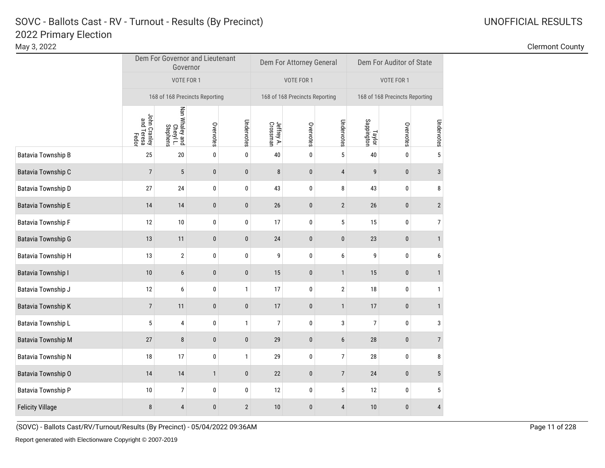### Clermont County

|                         |                                     | Governor                                | Dem For Governor and Lieutenant |              |                        | Dem For Attorney General       |                  | Dem For Auditor of State       |              |                |  |
|-------------------------|-------------------------------------|-----------------------------------------|---------------------------------|--------------|------------------------|--------------------------------|------------------|--------------------------------|--------------|----------------|--|
|                         |                                     | VOTE FOR 1                              |                                 |              |                        | VOTE FOR 1                     |                  | VOTE FOR 1                     |              |                |  |
|                         | 168 of 168 Precincts Reporting      |                                         |                                 |              |                        | 168 of 168 Precincts Reporting |                  | 168 of 168 Precincts Reporting |              |                |  |
|                         | John Cranley<br>and Teresa<br>Fedor | Nan Whaley and<br>Cheryl L.<br>Stephens | Overvotes                       | Undervotes   | Jeffrey A.<br>Crossman | Overvotes                      | Undervotes       | Taylor<br>Sappington           | Overvotes    | Undervotes     |  |
| Batavia Township B      | 25                                  | 20                                      | 0                               | 0            | 40                     | 0                              | 5                | 40                             | 0            | 5              |  |
| Batavia Township C      | $\overline{7}$                      | 5                                       | $\pmb{0}$                       | $\pmb{0}$    | 8                      | 0                              | $\overline{4}$   | 9                              | $\bf{0}$     | 3              |  |
| Batavia Township D      | 27                                  | 24                                      | 0                               | 0            | 43                     | 0                              | 8                | 43                             | $\pmb{0}$    | 8              |  |
| Batavia Township E      | 14                                  | 14                                      | $\pmb{0}$                       | $\mathbf{0}$ | 26                     | $\mathbf{0}$                   | $\overline{2}$   | 26                             | $\mathbf{0}$ | $\overline{2}$ |  |
| Batavia Township F      | 12                                  | $10\,$                                  | 0                               | $\pmb{0}$    | 17                     | 0                              | $\sqrt{5}$       | 15                             | $\pmb{0}$    | $\overline{7}$ |  |
| Batavia Township G      | 13                                  | 11                                      | $\pmb{0}$                       | $\pmb{0}$    | 24                     | 0                              | $\pmb{0}$        | 23                             | $\pmb{0}$    | $\mathbf{1}$   |  |
| Batavia Township H      | 13                                  | $\overline{2}$                          | 0                               | $\pmb{0}$    | 9                      | 0                              | 6                | 9                              | $\pmb{0}$    | 6              |  |
| Batavia Township I      | 10                                  | $6\phantom{1}$                          | $\pmb{0}$                       | $\pmb{0}$    | 15                     | $\pmb{0}$                      | $\mathbf{1}$     | 15                             | $\mathbf{0}$ | $\mathbf{1}$   |  |
| Batavia Township J      | 12                                  | 6                                       | 0                               | $\mathbf{1}$ | 17                     | 0                              | $\overline{2}$   | 18                             | 0            | $\mathbf{1}$   |  |
| Batavia Township K      | $\overline{7}$                      | 11                                      | $\pmb{0}$                       | $\pmb{0}$    | 17                     | 0                              | $\mathbf{1}$     | 17                             | $\pmb{0}$    | $\mathbf{1}$   |  |
| Batavia Township L      | $\overline{5}$                      | 4                                       | $\pmb{0}$                       | $\mathbf{1}$ | $\overline{7}$         | 0                              | 3                | 7                              | $\pmb{0}$    | 3              |  |
| Batavia Township M      | 27                                  | 8                                       | $\pmb{0}$                       | $\pmb{0}$    | 29                     | 0                              | 6                | 28                             | $\bf{0}$     | $\overline{7}$ |  |
| Batavia Township N      | 18                                  | 17                                      | $\pmb{0}$                       | $\mathbf{1}$ | 29                     | $\pmb{0}$                      | $\boldsymbol{7}$ | $28\,$                         | 0            | 8              |  |
| Batavia Township O      | 14                                  | 14                                      | $\mathbf{1}$                    | $\pmb{0}$    | 22                     | 0                              | $\overline{7}$   | 24                             | $\pmb{0}$    | 5              |  |
| Batavia Township P      | 10                                  | $\boldsymbol{7}$                        | 0                               | $\pmb{0}$    | 12                     | 0                              | $\sqrt{5}$       | 12                             | $\pmb{0}$    | $\sqrt{5}$     |  |
| <b>Felicity Village</b> | 8                                   | $\overline{4}$                          | $\pmb{0}$                       | $\sqrt{2}$   | 10                     | 0                              | $\overline{4}$   | 10                             | $\pmb{0}$    | $\overline{4}$ |  |

(SOVC) - Ballots Cast/RV/Turnout/Results (By Precinct) - 05/04/2022 09:36AM Page 11 of 228

T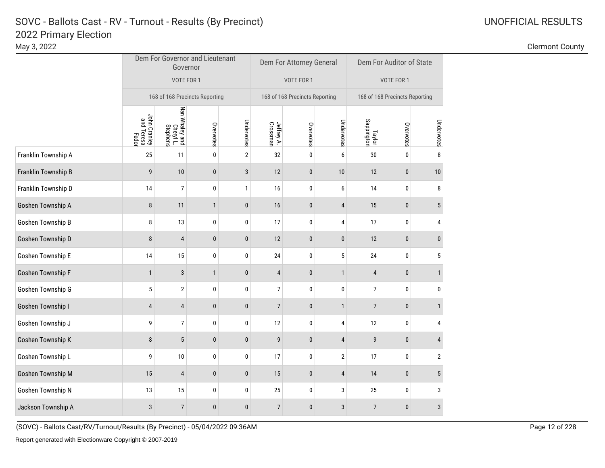### Clermont County

|                     |                                     | Governor                                | Dem For Governor and Lieutenant |                |                                | Dem For Attorney General |                | Dem For Auditor of State |           |                |  |
|---------------------|-------------------------------------|-----------------------------------------|---------------------------------|----------------|--------------------------------|--------------------------|----------------|--------------------------|-----------|----------------|--|
|                     |                                     | VOTE FOR 1                              |                                 |                | VOTE FOR 1                     |                          | VOTE FOR 1     |                          |           |                |  |
|                     | 168 of 168 Precincts Reporting      |                                         | 168 of 168 Precincts Reporting  |                | 168 of 168 Precincts Reporting |                          |                |                          |           |                |  |
|                     | John Cranley<br>and Teresa<br>Fedor | Nan Whaley and<br>Cheryl L.<br>Stephens | Overvotes                       | Undervotes     | Jeffrey A.<br>Crossman         | Overvotes                | Undervotes     | Taylor<br>Sappington     | Overvotes | Undervotes     |  |
| Franklin Township A | 25                                  | 11                                      | 0                               | $\overline{2}$ | 32                             | 0                        | 6              | 30                       | 0         | 8              |  |
| Franklin Township B | 9                                   | 10                                      | $\pmb{0}$                       | 3              | 12                             | $\pmb{0}$                | 10             | 12                       | $\pmb{0}$ | 10             |  |
| Franklin Township D | 14                                  | $\overline{7}$                          | $\pmb{0}$                       | 1              | 16                             | 0                        | 6              | 14                       | $\pmb{0}$ | 8              |  |
| Goshen Township A   | 8                                   | 11                                      | $\mathbf{1}$                    | $\pmb{0}$      | 16                             | $\pmb{0}$                | $\overline{4}$ | 15                       | $\pmb{0}$ | 5              |  |
| Goshen Township B   | 8                                   | 13                                      | $\pmb{0}$                       | 0              | 17                             | 0                        | 4              | 17                       | 0         | 4              |  |
| Goshen Township D   | 8                                   | $\overline{4}$                          | $\pmb{0}$                       | $\pmb{0}$      | 12                             | $\bf{0}$                 | $\pmb{0}$      | 12                       | $\pmb{0}$ | $\bf{0}$       |  |
| Goshen Township E   | 14                                  | 15                                      | 0                               | $\pmb{0}$      | 24                             | 0                        | $5\,$          | 24                       | 0         | 5              |  |
| Goshen Township F   | $\mathbf{1}$                        | 3                                       | $\mathbf{1}$                    | $\pmb{0}$      | 4                              | 0                        | $\mathbf{1}$   | 4                        | $\pmb{0}$ | $\mathbf{1}$   |  |
| Goshen Township G   | $5\phantom{.0}$                     | $\overline{2}$                          | 0                               | $\pmb{0}$      | $\overline{7}$                 | 0                        | $\pmb{0}$      | $\overline{7}$           | $\pmb{0}$ | 0              |  |
| Goshen Township I   | $\overline{4}$                      | $\overline{4}$                          | $\pmb{0}$                       | $\pmb{0}$      | $\overline{7}$                 | $\pmb{0}$                | $\mathbf{1}$   | $\overline{7}$           | $\pmb{0}$ | $\mathbf{1}$   |  |
| Goshen Township J   | 9                                   | $\overline{7}$                          | $\pmb{0}$                       | $\pmb{0}$      | 12                             | $\pmb{0}$                | 4              | 12                       | $\pmb{0}$ | 4              |  |
| Goshen Township K   | $\bf 8$                             | $\sqrt{5}$                              | $\pmb{0}$                       | $\pmb{0}$      | 9                              | $\pmb{0}$                | $\overline{4}$ | 9                        | $\pmb{0}$ | 4              |  |
| Goshen Township L   | 9                                   | 10                                      | $\pmb{0}$                       | 0              | 17                             | 0                        | $\overline{2}$ | 17                       | $\pmb{0}$ | $\overline{2}$ |  |
| Goshen Township M   | 15                                  | $\pmb{4}$                               | $\pmb{0}$                       | $\pmb{0}$      | 15                             | $\pmb{0}$                | $\sqrt{4}$     | 14                       | $\pmb{0}$ | 5              |  |
| Goshen Township N   | 13                                  | 15                                      | 0                               | 0              | 25                             | 0                        | 3              | 25                       | 0         | 3              |  |
| Jackson Township A  | $\mathbf{3}$                        | $\overline{7}$                          | $\pmb{0}$                       | $\pmb{0}$      | $\overline{7}$                 | $\pmb{0}$                | $\sqrt{3}$     | $\overline{7}$           | $\bf{0}$  | $\sqrt{3}$     |  |

(SOVC) - Ballots Cast/RV/Turnout/Results (By Precinct) - 05/04/2022 09:36AM Page 12 of 228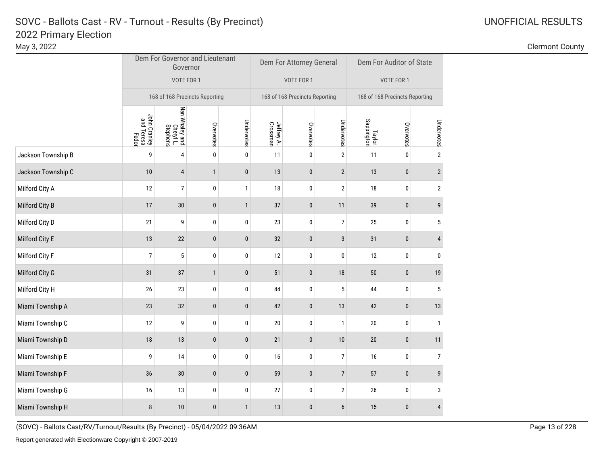### Clermont County

|                    |                                     | Dem For Governor and Lieutenant<br>Governor |              |              |                        | Dem For Attorney General       |                  | Dem For Auditor of State       |           |                  |  |
|--------------------|-------------------------------------|---------------------------------------------|--------------|--------------|------------------------|--------------------------------|------------------|--------------------------------|-----------|------------------|--|
|                    |                                     | VOTE FOR 1                                  |              |              |                        | VOTE FOR 1                     |                  | VOTE FOR 1                     |           |                  |  |
|                    | 168 of 168 Precincts Reporting      |                                             |              |              |                        | 168 of 168 Precincts Reporting |                  | 168 of 168 Precincts Reporting |           |                  |  |
|                    | John Cranley<br>and Teresa<br>Fedor | Nan Whaley and<br>Cheryl L.<br>Stephens     | Overvotes    | Undervotes   | Jeffrey A.<br>Crossman | Overvotes                      | Undervotes       | Taylor<br>Sappington           | Overvotes | Undervotes       |  |
| Jackson Township B | 9                                   | 4                                           | $\pmb{0}$    | $\pmb{0}$    | 11                     | $\mathbf 0$                    | $\sqrt{2}$       | 11                             | 0         | $\sqrt{2}$       |  |
| Jackson Township C | $10$                                | 4                                           | $\mathbf{1}$ | $\pmb{0}$    | 13                     | $\pmb{0}$                      | $\overline{2}$   | 13                             | $\pmb{0}$ | $\sqrt{2}$       |  |
| Milford City A     | 12                                  | $\overline{7}$                              | $\pmb{0}$    | $\mathbf{1}$ | 18                     | 0                              | $\overline{2}$   | $18\,$                         | $\pmb{0}$ | $\sqrt{2}$       |  |
| Milford City B     | 17                                  | 30                                          | $\pmb{0}$    | $\mathbf{1}$ | 37                     | $\pmb{0}$                      | 11               | 39                             | $\pmb{0}$ | $\boldsymbol{9}$ |  |
| Milford City D     | 21                                  | 9                                           | $\pmb{0}$    | $\pmb{0}$    | 23                     | 0                              | $\overline{7}$   | 25                             | $\pmb{0}$ | 5                |  |
| Milford City E     | $13$                                | 22                                          | $\pmb{0}$    | $\pmb{0}$    | 32                     | $\pmb{0}$                      | $\mathbf{3}$     | 31                             | $\pmb{0}$ | $\overline{4}$   |  |
| Milford City F     | $\boldsymbol{7}$                    | 5                                           | $\pmb{0}$    | $\pmb{0}$    | 12                     | 0                              | $\pmb{0}$        | 12                             | $\pmb{0}$ | $\pmb{0}$        |  |
| Milford City G     | 31                                  | 37                                          | $\mathbf{1}$ | $\pmb{0}$    | 51                     | $\bf{0}$                       | 18               | 50                             | $\pmb{0}$ | 19               |  |
| Milford City H     | 26                                  | 23                                          | $\pmb{0}$    | $\pmb{0}$    | 44                     | 0                              | 5                | 44                             | $\pmb{0}$ | 5                |  |
| Miami Township A   | 23                                  | 32                                          | $\bf{0}$     | $\pmb{0}$    | 42                     | $\bf{0}$                       | 13               | 42                             | $\pmb{0}$ | 13               |  |
| Miami Township C   | 12                                  | 9                                           | $\pmb{0}$    | $\pmb{0}$    | 20                     | 0                              | $\mathbf{1}$     | 20                             | $\pmb{0}$ | $\mathbf{1}$     |  |
| Miami Township D   | 18                                  | 13                                          | $\pmb{0}$    | $\pmb{0}$    | 21                     | 0                              | 10               | 20                             | $\pmb{0}$ | 11               |  |
| Miami Township E   | 9                                   | 14                                          | $\pmb{0}$    | $\pmb{0}$    | 16                     | 0                              | $\boldsymbol{7}$ | 16                             | $\pmb{0}$ | $\overline{7}$   |  |
| Miami Township F   | 36                                  | 30                                          | $\pmb{0}$    | $\pmb{0}$    | 59                     | $\pmb{0}$                      | $\overline{7}$   | 57                             | $\pmb{0}$ | 9                |  |
| Miami Township G   | 16                                  | 13                                          | $\pmb{0}$    | $\pmb{0}$    | 27                     | $\pmb{0}$                      | $\sqrt{2}$       | $26\,$                         | $\pmb{0}$ | 3                |  |
| Miami Township H   | 8                                   | 10                                          | $\pmb{0}$    | $\mathbf{1}$ | 13                     | $\pmb{0}$                      | $6\phantom{1}$   | 15                             | $\pmb{0}$ | $\overline{4}$   |  |

(SOVC) - Ballots Cast/RV/Turnout/Results (By Precinct) - 05/04/2022 09:36AM Page 13 of 228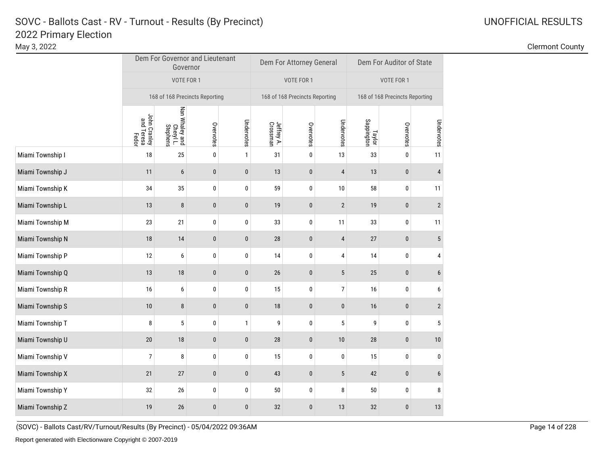### Clermont County

|                  |                                     | Governor                                | Dem For Governor and Lieutenant |              |                                | Dem For Attorney General |                 | Dem For Auditor of State |           |                |  |
|------------------|-------------------------------------|-----------------------------------------|---------------------------------|--------------|--------------------------------|--------------------------|-----------------|--------------------------|-----------|----------------|--|
|                  |                                     | VOTE FOR 1                              |                                 |              |                                | VOTE FOR 1               |                 | VOTE FOR 1               |           |                |  |
|                  | 168 of 168 Precincts Reporting      |                                         | 168 of 168 Precincts Reporting  |              | 168 of 168 Precincts Reporting |                          |                 |                          |           |                |  |
|                  | John Cranley<br>and Teresa<br>Fedor | Nan Whaley and<br>Cheryl L.<br>Stephens | Overvotes                       | Undervotes   | Jeffrey A.<br>Crossman         | Overvotes                | Undervotes      | Taylor<br>Sappington     | Overvotes | Undervotes     |  |
| Miami Township I | 18                                  | 25                                      | 0                               | $\mathbf{1}$ | 31                             | 0                        | 13              | 33                       | 0         | 11             |  |
| Miami Township J | 11                                  | $\boldsymbol{6}$                        | $\pmb{0}$                       | $\pmb{0}$    | 13                             | 0                        | $\overline{4}$  | 13                       | $\pmb{0}$ | 4              |  |
| Miami Township K | 34                                  | 35                                      | 0                               | 0            | 59                             | 0                        | 10              | 58                       | 0         | 11             |  |
| Miami Township L | 13                                  | 8                                       | $\pmb{0}$                       | $\pmb{0}$    | 19                             | 0                        | $\overline{2}$  | 19                       | $\pmb{0}$ | $\overline{2}$ |  |
| Miami Township M | 23                                  | 21                                      | $\pmb{0}$                       | $\pmb{0}$    | 33                             | 0                        | 11              | 33                       | $\pmb{0}$ | 11             |  |
| Miami Township N | 18                                  | 14                                      | $\pmb{0}$                       | $\pmb{0}$    | 28                             | $\mathbf{0}$             | $\overline{4}$  | 27                       | $\pmb{0}$ | 5              |  |
| Miami Township P | 12                                  | 6                                       | 0                               | $\pmb{0}$    | 14                             | 0                        | 4               | 14                       | $\pmb{0}$ | 4              |  |
| Miami Township Q | 13                                  | $18\,$                                  | $\pmb{0}$                       | $\pmb{0}$    | 26                             | $\pmb{0}$                | 5               | 25                       | $\pmb{0}$ | 6              |  |
| Miami Township R | 16                                  | 6                                       | 0                               | $\pmb{0}$    | 15                             | 0                        | $\overline{7}$  | 16                       | $\pmb{0}$ | 6              |  |
| Miami Township S | 10                                  | 8                                       | $\bf{0}$                        | $\pmb{0}$    | 18                             | 0                        | $\bf{0}$        | 16                       | $\pmb{0}$ | $\overline{2}$ |  |
| Miami Township T | 8                                   | $\sqrt{5}$                              | $\pmb{0}$                       | $\mathbf{1}$ | 9                              | 0                        | $5\phantom{.0}$ | 9                        | $\pmb{0}$ | $\sqrt{5}$     |  |
| Miami Township U | $20\,$                              | 18                                      | $\pmb{0}$                       | $\pmb{0}$    | 28                             | 0                        | 10              | 28                       | $\pmb{0}$ | 10             |  |
| Miami Township V | 7                                   | 8                                       | 0                               | $\pmb{0}$    | 15                             | 0                        | 0               | 15                       | $\pmb{0}$ | 0              |  |
| Miami Township X | 21                                  | $27\,$                                  | $\pmb{0}$                       | $\pmb{0}$    | 43                             | 0                        | $5\,$           | 42                       | $\pmb{0}$ | 6              |  |
| Miami Township Y | 32                                  | $26\,$                                  | 0                               | 0            | 50                             | 0                        | 8               | $50\,$                   | $\pmb{0}$ | 8              |  |
| Miami Township Z | 19                                  | 26                                      | $\pmb{0}$                       | $\pmb{0}$    | 32                             | 0                        | 13              | 32                       | $\bf{0}$  | 13             |  |

(SOVC) - Ballots Cast/RV/Turnout/Results (By Precinct) - 05/04/2022 09:36AM Page 14 of 228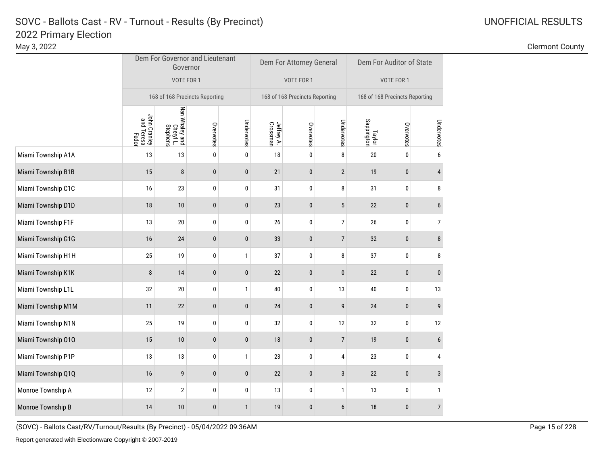### Clermont County

|                    |                                     | Governor                                | Dem For Governor and Lieutenant |              |                        | Dem For Attorney General       |                  | Dem For Auditor of State       |              |                |  |
|--------------------|-------------------------------------|-----------------------------------------|---------------------------------|--------------|------------------------|--------------------------------|------------------|--------------------------------|--------------|----------------|--|
|                    |                                     | VOTE FOR 1                              |                                 |              |                        | VOTE FOR 1                     |                  | VOTE FOR 1                     |              |                |  |
|                    | 168 of 168 Precincts Reporting      |                                         |                                 |              |                        | 168 of 168 Precincts Reporting |                  | 168 of 168 Precincts Reporting |              |                |  |
|                    | John Cranley<br>and Teresa<br>Fedor | Nan Whaley and<br>Cheryl L.<br>Stephens | Overvotes                       | Undervotes   | Jeffrey A.<br>Crossman | Overvotes                      | Undervotes       | Taylor<br>Sappington           | Overvotes    | Undervotes     |  |
| Miami Township A1A | 13                                  | 13                                      | 0                               | 0            | 18                     | 0                              | 8                | 20                             | 0            | 6              |  |
| Miami Township B1B | 15                                  | $\bf 8$                                 | $\pmb{0}$                       | $\pmb{0}$    | 21                     | 0                              | $\overline{2}$   | 19                             | $\pmb{0}$    | 4              |  |
| Miami Township C1C | 16                                  | 23                                      | 0                               | $\pmb{0}$    | 31                     | 0                              | 8                | 31                             | 0            | 8              |  |
| Miami Township D1D | 18                                  | 10                                      | $\pmb{0}$                       | $\mathbf{0}$ | 23                     | $\mathbf{0}$                   | $5\phantom{.0}$  | 22                             | $\pmb{0}$    | 6              |  |
| Miami Township F1F | 13                                  | $20\,$                                  | 0                               | $\pmb{0}$    | 26                     | 0                              | $\boldsymbol{7}$ | $26\,$                         | $\pmb{0}$    | $\overline{7}$ |  |
| Miami Township G1G | 16                                  | 24                                      | $\pmb{0}$                       | $\pmb{0}$    | 33                     | 0                              | $\overline{7}$   | 32                             | $\pmb{0}$    | 8              |  |
| Miami Township H1H | 25                                  | 19                                      | 0                               | $\mathbf{1}$ | 37                     | 0                              | 8                | 37                             | $\bf{0}$     | 8              |  |
| Miami Township K1K | 8                                   | 14                                      | $\pmb{0}$                       | $\mathbf{0}$ | 22                     | $\mathbf{0}$                   | $\pmb{0}$        | 22                             | $\mathbf{0}$ | $\mathbf{0}$   |  |
| Miami Township L1L | 32                                  | $20\,$                                  | 0                               | $\mathbf{1}$ | 40                     | 0                              | 13               | 40                             | 0            | 13             |  |
| Miami Township M1M | 11                                  | 22                                      | $\pmb{0}$                       | $\pmb{0}$    | 24                     | 0                              | 9                | 24                             | $\pmb{0}$    | 9              |  |
| Miami Township N1N | 25                                  | 19                                      | $\pmb{0}$                       | $\pmb{0}$    | 32                     | 0                              | 12               | 32                             | $\pmb{0}$    | 12             |  |
| Miami Township 010 | 15                                  | 10                                      | $\pmb{0}$                       | $\pmb{0}$    | 18                     | 0                              | $\overline{7}$   | 19                             | $\pmb{0}$    | 6              |  |
| Miami Township P1P | 13                                  | $13\,$                                  | $\pmb{0}$                       | $\mathbf{1}$ | 23                     | 0                              | 4                | 23                             | 0            | 4              |  |
| Miami Township Q1Q | 16                                  | 9                                       | $\pmb{0}$                       | $\pmb{0}$    | 22                     | 0                              | $\sqrt{3}$       | 22                             | $\pmb{0}$    | 3              |  |
| Monroe Township A  | 12                                  | $\overline{2}$                          | 0                               | $\pmb{0}$    | 13                     | 0                              | $\mathbf{1}$     | 13                             | 0            | $\mathbf{1}$   |  |
| Monroe Township B  | 14                                  | 10                                      | $\pmb{0}$                       | $\mathbf{1}$ | 19                     | 0                              | $6\phantom{1}$   | 18                             | $\pmb{0}$    | $\overline{7}$ |  |

(SOVC) - Ballots Cast/RV/Turnout/Results (By Precinct) - 05/04/2022 09:36AM Page 15 of 228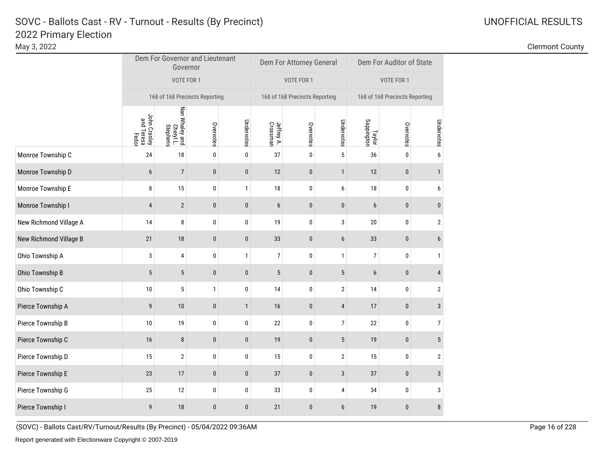### Clermont County

|                        |                                                                                                                                                                                                                                                                                                                                                                                                                        |              |              |                                | Dem For Attorney General |                  |                                | Dem For Auditor of State |                  |
|------------------------|------------------------------------------------------------------------------------------------------------------------------------------------------------------------------------------------------------------------------------------------------------------------------------------------------------------------------------------------------------------------------------------------------------------------|--------------|--------------|--------------------------------|--------------------------|------------------|--------------------------------|--------------------------|------------------|
|                        |                                                                                                                                                                                                                                                                                                                                                                                                                        |              |              |                                | VOTE FOR 1               |                  |                                | VOTE FOR 1               |                  |
|                        | Dem For Governor and Lieutenant<br>Governor<br>VOTE FOR 1<br>168 of 168 Precincts Reporting<br>Nan Whaley and<br>Cheryl L.<br>Stephens<br>John Cranley<br>and Teresa<br>Fedor<br>24<br>18<br>$\overline{7}$<br>6<br>8<br>15<br>$\mathbf{2}$<br>4<br>8<br>14<br>21<br>18<br>3<br>4<br>$\sqrt{5}$<br>5<br>$5\phantom{.0}$<br>10<br>9<br>10<br>10<br>$19$<br>16<br>8<br>15<br>$\overline{2}$<br>17<br>23<br>25<br>12<br>9 |              |              | 168 of 168 Precincts Reporting |                          |                  | 168 of 168 Precincts Reporting |                          |                  |
|                        |                                                                                                                                                                                                                                                                                                                                                                                                                        | Overvotes    | Undervotes   | Jeffrey A.<br>Crossman         | Overvotes                | Undervotes       | Taylor<br>Sappington           | Overvotes                | Undervotes       |
| Monroe Township C      |                                                                                                                                                                                                                                                                                                                                                                                                                        | 0            | 0            | 37                             | $\pmb{0}$                | $\overline{5}$   | 36                             | 0                        | 6                |
| Monroe Township D      |                                                                                                                                                                                                                                                                                                                                                                                                                        | $\pmb{0}$    | $\pmb{0}$    | 12                             | $\pmb{0}$                | $\mathbf{1}$     | 12                             | $\mathbf{0}$             | 1                |
| Monroe Township E      |                                                                                                                                                                                                                                                                                                                                                                                                                        | $\pmb{0}$    | 1            | $18\,$                         | $\pmb{0}$                | $\boldsymbol{6}$ | $18\,$                         | $\pmb{0}$                | 6                |
| Monroe Township I      |                                                                                                                                                                                                                                                                                                                                                                                                                        | $\pmb{0}$    | $\pmb{0}$    | $\boldsymbol{6}$               | $\mathbf 0$              | $\pmb{0}$        | $6\phantom{1}$                 | $\pmb{0}$                | 0                |
| New Richmond Village A |                                                                                                                                                                                                                                                                                                                                                                                                                        | 0            | 0            | 19                             | $\pmb{0}$                | 3                | $20\,$                         | 0                        | $\mathbf 2$      |
| New Richmond Village B |                                                                                                                                                                                                                                                                                                                                                                                                                        | $\mathbf{0}$ | $\mathbf{0}$ | 33                             | $\pmb{0}$                | $6\phantom{.}$   | 33                             | $\mathbf{0}$             | 6                |
| Ohio Township A        |                                                                                                                                                                                                                                                                                                                                                                                                                        | 0            | 1            | $\overline{7}$                 | 0                        | 1                | $\overline{7}$                 | 0                        | 1                |
| Ohio Township B        |                                                                                                                                                                                                                                                                                                                                                                                                                        | $\pmb{0}$    | $\pmb{0}$    | $\sqrt{5}$                     | $\pmb{0}$                | 5                | $6\phantom{1}$                 | $\pmb{0}$                | 4                |
| Ohio Township C        |                                                                                                                                                                                                                                                                                                                                                                                                                        | $\mathbf{1}$ | $\pmb{0}$    | 14                             | $\bf{0}$                 | $\overline{2}$   | 14                             | $\pmb{0}$                | $\boldsymbol{2}$ |
| Pierce Township A      |                                                                                                                                                                                                                                                                                                                                                                                                                        | $\pmb{0}$    | $\mathbf{1}$ | 16                             | $\pmb{0}$                | $\overline{4}$   | 17                             | $\pmb{0}$                | 3                |
| Pierce Township B      |                                                                                                                                                                                                                                                                                                                                                                                                                        | 0            | 0            | 22                             | $\pmb{0}$                | 7                | 22                             | $\pmb{0}$                | 7                |
| Pierce Township C      |                                                                                                                                                                                                                                                                                                                                                                                                                        | $\pmb{0}$    | $\pmb{0}$    | 19                             | $\pmb{0}$                | $5\phantom{.0}$  | $19$                           | $\pmb{0}$                | 5                |
| Pierce Township D      |                                                                                                                                                                                                                                                                                                                                                                                                                        | 0            | 0            | 15                             | $\bf{0}$                 | $\mathbf{2}$     | 15                             | 0                        | $\overline{2}$   |
| Pierce Township E      |                                                                                                                                                                                                                                                                                                                                                                                                                        | $\pmb{0}$    | $\pmb{0}$    | 37                             | $\pmb{0}$                | 3                | 37                             | $\pmb{0}$                | 3                |
| Pierce Township G      |                                                                                                                                                                                                                                                                                                                                                                                                                        | 0            | 0            | 33                             | 0                        | 4                | 34                             | 0                        | 3                |
| Pierce Township I      | 18                                                                                                                                                                                                                                                                                                                                                                                                                     | $\pmb{0}$    | $\bf{0}$     | 21                             | $\pmb{0}$                | 6                | 19                             | $\pmb{0}$                | 8                |

(SOVC) - Ballots Cast/RV/Turnout/Results (By Precinct) - 05/04/2022 09:36AM Page 16 of 228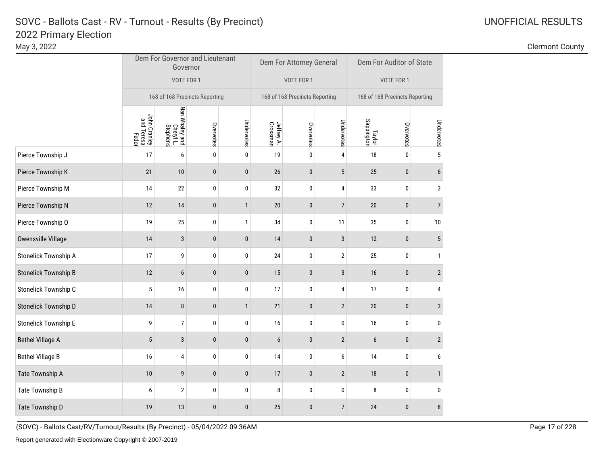г

### Clermont County

|                             |                                     | Dem For Governor and Lieutenant<br>Governor |           |              |                        | Dem For Attorney General       |                | Dem For Auditor of State       |           |                |  |
|-----------------------------|-------------------------------------|---------------------------------------------|-----------|--------------|------------------------|--------------------------------|----------------|--------------------------------|-----------|----------------|--|
|                             |                                     | VOTE FOR 1                                  |           |              |                        | VOTE FOR 1                     |                | VOTE FOR 1                     |           |                |  |
|                             | 168 of 168 Precincts Reporting      |                                             |           |              |                        | 168 of 168 Precincts Reporting |                | 168 of 168 Precincts Reporting |           |                |  |
|                             | John Cranley<br>and Teresa<br>Fedor | Nan Whaley and<br>Cheryl L.<br>Stephens     | Overvotes | Undervotes   | Jeffrey A.<br>Crossman | Overvotes                      | Undervotes     | Taylor<br>Sappington           | Overvotes | Undervotes     |  |
| Pierce Township J           | 17                                  | 6                                           | $\pmb{0}$ | $\pmb{0}$    | 19                     | 0                              | $\overline{4}$ | $18\,$                         | 0         | 5              |  |
| Pierce Township K           | 21                                  | 10                                          | $\pmb{0}$ | $\pmb{0}$    | 26                     | $\pmb{0}$                      | 5              | 25                             | $\pmb{0}$ | 6              |  |
| Pierce Township M           | 14                                  | 22                                          | $\pmb{0}$ | 0            | 32                     | 0                              | 4              | 33                             | 0         | 3              |  |
| Pierce Township N           | 12                                  | 14                                          | 0         | $\mathbf{1}$ | 20                     | $\bf{0}$                       | $\overline{7}$ | $20\,$                         | $\pmb{0}$ | $\overline{7}$ |  |
| Pierce Township O           | 19                                  | 25                                          | $\pmb{0}$ | $\mathbf{1}$ | 34                     | 0                              | 11             | 35                             | 0         | 10             |  |
| Owensville Village          | 14                                  | $\mathbf{3}$                                | $\pmb{0}$ | $\mathbf{0}$ | 14                     | $\pmb{0}$                      | $\mathbf{3}$   | 12                             | $\pmb{0}$ | 5              |  |
| Stonelick Township A        | 17                                  | 9                                           | $\pmb{0}$ | 0            | 24                     | 0                              | $\overline{2}$ | 25                             | $\pmb{0}$ | $\mathbf{1}$   |  |
| <b>Stonelick Township B</b> | 12                                  | 6                                           | $\pmb{0}$ | $\pmb{0}$    | 15                     | $\bf{0}$                       | $\mathbf{3}$   | 16                             | $\pmb{0}$ | $\overline{2}$ |  |
| Stonelick Township C        | 5                                   | 16                                          | $\pmb{0}$ | $\pmb{0}$    | 17                     | 0                              | $\sqrt{4}$     | 17                             | $\pmb{0}$ | 4              |  |
| Stonelick Township D        | 14                                  | 8                                           | $\bf{0}$  | $\mathbf{1}$ | 21                     | $\bf{0}$                       | $\sqrt{2}$     | 20                             | $\pmb{0}$ | 3              |  |
| Stonelick Township E        | 9                                   | $\overline{7}$                              | 0         | $\pmb{0}$    | 16                     | 0                              | $\pmb{0}$      | 16                             | 0         | 0              |  |
| <b>Bethel Village A</b>     | 5                                   | 3                                           | $\pmb{0}$ | $\pmb{0}$    | 6                      | 0                              | $\overline{2}$ | 6                              | $\pmb{0}$ | $\overline{2}$ |  |
| <b>Bethel Village B</b>     | 16                                  | 4                                           | $\pmb{0}$ | $\pmb{0}$    | 14                     | 0                              | 6              | 14                             | $\pmb{0}$ | 6              |  |
| Tate Township A             | 10                                  | 9                                           | $\pmb{0}$ | $\pmb{0}$    | 17                     | $\pmb{0}$                      | $\sqrt{2}$     | 18                             | $\pmb{0}$ | $\mathbf{1}$   |  |
| Tate Township B             | 6                                   | $\sqrt{2}$                                  | 0         | $\pmb{0}$    | 8                      | 0                              | $\pmb{0}$      | 8                              | $\pmb{0}$ | 0              |  |
| Tate Township D             | 19                                  | 13                                          | $\pmb{0}$ | $\pmb{0}$    | 25                     | $\pmb{0}$                      | $\overline{7}$ | 24                             | $\pmb{0}$ | 8              |  |

(SOVC) - Ballots Cast/RV/Turnout/Results (By Precinct) - 05/04/2022 09:36AM Page 17 of 228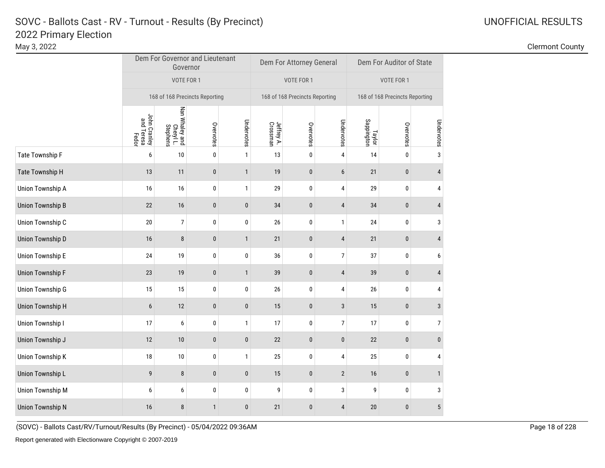### Clermont County

|                         |                                     | Governor                                | Dem For Governor and Lieutenant |              |                        | Dem For Attorney General       |                  | Dem For Auditor of State       |           |                |  |
|-------------------------|-------------------------------------|-----------------------------------------|---------------------------------|--------------|------------------------|--------------------------------|------------------|--------------------------------|-----------|----------------|--|
|                         |                                     | VOTE FOR 1                              |                                 |              |                        | VOTE FOR 1                     |                  | VOTE FOR 1                     |           |                |  |
|                         | 168 of 168 Precincts Reporting      |                                         |                                 |              |                        | 168 of 168 Precincts Reporting |                  | 168 of 168 Precincts Reporting |           |                |  |
|                         | John Cranley<br>and Teresa<br>Fedor | Nan Whaley and<br>Cheryl L.<br>Stephens | Overvotes                       | Undervotes   | Jeffrey A.<br>Crossman | Overvotes                      | Undervotes       | Taylor<br>Sappington           | Overvotes | Undervotes     |  |
| Tate Township F         | 6                                   | 10                                      | $\pmb{0}$                       | $\mathbf{1}$ | 13                     | 0                              | 4                | 14                             | 0         | $\mathsf 3$    |  |
| Tate Township H         | 13                                  | 11                                      | $\pmb{0}$                       | $\mathbf{1}$ | 19                     | $\pmb{0}$                      | $6\,$            | 21                             | $\pmb{0}$ | 4              |  |
| Union Township A        | 16                                  | 16                                      | 0                               | $\mathbf{1}$ | 29                     | 0                              | 4                | 29                             | 0         | 4              |  |
| Union Township B        | 22                                  | 16                                      | 0                               | $\pmb{0}$    | 34                     | $\bf{0}$                       | $\overline{4}$   | 34                             | $\pmb{0}$ | $\overline{4}$ |  |
| Union Township C        | $20\,$                              | $\overline{7}$                          | $\pmb{0}$                       | $\pmb{0}$    | 26                     | 0                              | $\mathbf{1}$     | 24                             | $\pmb{0}$ | 3              |  |
| Union Township D        | 16                                  | 8                                       | $\mathbf 0$                     | $\mathbf{1}$ | 21                     | $\pmb{0}$                      | $\sqrt{4}$       | 21                             | $\pmb{0}$ | $\overline{4}$ |  |
| Union Township E        | 24                                  | 19                                      | $\pmb{0}$                       | $\pmb{0}$    | 36                     | 0                              | $\overline{7}$   | 37                             | $\pmb{0}$ | 6              |  |
| Union Township F        | 23                                  | 19                                      | $\pmb{0}$                       | $\mathbf{1}$ | 39                     | $\bf{0}$                       | $\overline{4}$   | 39                             | $\pmb{0}$ | $\overline{4}$ |  |
| Union Township G        | 15                                  | 15                                      | $\pmb{0}$                       | $\pmb{0}$    | 26                     | 0                              | 4                | $26\,$                         | $\pmb{0}$ | 4              |  |
| Union Township H        | $6\phantom{1}$                      | 12                                      | $\pmb{0}$                       | $\pmb{0}$    | 15                     | $\pmb{0}$                      | $\sqrt{3}$       | 15                             | $\pmb{0}$ | 3              |  |
| Union Township I        | 17                                  | $\boldsymbol{6}$                        | 0                               | $\mathbf{1}$ | 17                     | 0                              | $\boldsymbol{7}$ | 17                             | 0         | $\overline{7}$ |  |
| Union Township J        | 12                                  | 10                                      | $\pmb{0}$                       | $\pmb{0}$    | 22                     | 0                              | $\boldsymbol{0}$ | 22                             | $\pmb{0}$ | $\bf{0}$       |  |
| Union Township K        | $18\,$                              | 10                                      | $\pmb{0}$                       | $\mathbf{1}$ | 25                     | 0                              | 4                | 25                             | $\pmb{0}$ | 4              |  |
| Union Township L        | 9                                   | $\bf 8$                                 | $\pmb{0}$                       | $\pmb{0}$    | 15                     | $\pmb{0}$                      | $\sqrt{2}$       | 16                             | $\pmb{0}$ | $\mathbf{1}$   |  |
| Union Township M        | 6                                   | 6                                       | $\pmb{0}$                       | $\pmb{0}$    | 9                      | 0                              | $\sqrt{3}$       | 9                              | $\pmb{0}$ | 3              |  |
| <b>Union Township N</b> | 16                                  | 8                                       | $\mathbf{1}$                    | $\pmb{0}$    | 21                     | $\bf{0}$                       | $\sqrt{4}$       | 20                             | $\bf{0}$  | $\overline{5}$ |  |

(SOVC) - Ballots Cast/RV/Turnout/Results (By Precinct) - 05/04/2022 09:36AM Page 18 of 228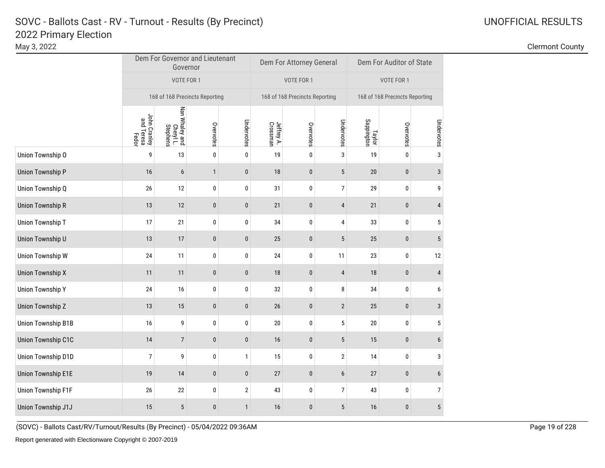### Clermont County

|                    |                                     | Dem For Governor and Lieutenant<br>Governor |              |                |                        | Dem For Attorney General       |                  | Dem For Auditor of State       |           |                |  |
|--------------------|-------------------------------------|---------------------------------------------|--------------|----------------|------------------------|--------------------------------|------------------|--------------------------------|-----------|----------------|--|
|                    |                                     | VOTE FOR 1                                  |              |                |                        | VOTE FOR 1                     |                  | VOTE FOR 1                     |           |                |  |
|                    | 168 of 168 Precincts Reporting      |                                             |              |                |                        | 168 of 168 Precincts Reporting |                  | 168 of 168 Precincts Reporting |           |                |  |
|                    | John Cranley<br>and Teresa<br>Fedor | Nan Whaley and<br>Cheryl L.<br>Stephens     | Overvotes    | Undervotes     | Jeffrey A.<br>Crossman | Overvotes                      | Undervotes       | Taylor<br>Sappington           | Overvotes | Undervotes     |  |
| Union Township O   | 9                                   | $13\,$                                      | 0            | $\pmb{0}$      | 19                     | 0                              | $\mathsf 3$      | 19                             | 0         | 3              |  |
| Union Township P   | 16                                  | $\boldsymbol{6}$                            | $\mathbf{1}$ | $\pmb{0}$      | 18                     | 0                              | 5                | $20\,$                         | $\pmb{0}$ | 3              |  |
| Union Township Q   | 26                                  | 12                                          | 0            | 0              | 31                     | 0                              | $\boldsymbol{7}$ | 29                             | 0         | 9              |  |
| Union Township R   | 13                                  | 12                                          | $\pmb{0}$    | $\pmb{0}$      | 21                     | 0                              | 4                | 21                             | $\pmb{0}$ | $\overline{4}$ |  |
| Union Township T   | 17                                  | 21                                          | 0            | $\pmb{0}$      | 34                     | 0                              | $\overline{4}$   | 33                             | $\pmb{0}$ | 5              |  |
| Union Township U   | 13                                  | 17                                          | $\pmb{0}$    | $\pmb{0}$      | 25                     | $\mathbf{0}$                   | $5\phantom{.0}$  | 25                             | $\pmb{0}$ | 5              |  |
| Union Township W   | 24                                  | 11                                          | 0            | $\pmb{0}$      | 24                     | 0                              | 11               | 23                             | $\pmb{0}$ | 12             |  |
| Union Township X   | 11                                  | 11                                          | $\pmb{0}$    | $\pmb{0}$      | 18                     | 0                              | $\overline{4}$   | 18                             | $\pmb{0}$ | $\overline{4}$ |  |
| Union Township Y   | 24                                  | 16                                          | 0            | $\pmb{0}$      | 32                     | 0                              | 8                | 34                             | $\pmb{0}$ | 6              |  |
| Union Township Z   | 13                                  | 15                                          | $\bf{0}$     | $\pmb{0}$      | 26                     | 0                              | $\mathbf{2}$     | 25                             | $\pmb{0}$ | 3              |  |
| Union Township B1B | 16                                  | 9                                           | $\pmb{0}$    | $\pmb{0}$      | 20                     | 0                              | $5\phantom{.0}$  | 20                             | 0         | 5              |  |
| Union Township C1C | 14                                  | $\overline{7}$                              | $\pmb{0}$    | $\pmb{0}$      | 16                     | 0                              | 5                | 15                             | $\pmb{0}$ | 6              |  |
| Union Township D1D | $\overline{7}$                      | 9                                           | 0            | $\mathbf{1}$   | 15                     | 0                              | $\overline{2}$   | 14                             | 0         | 3              |  |
| Union Township E1E | 19                                  | 14                                          | $\pmb{0}$    | $\pmb{0}$      | 27                     | 0                              | $\boldsymbol{6}$ | 27                             | $\pmb{0}$ | $6\phantom{1}$ |  |
| Union Township F1F | $26\,$                              | 22                                          | 0            | $\overline{2}$ | 43                     | 0                              | $\overline{7}$   | 43                             | $\bf{0}$  | $\overline{7}$ |  |
| Union Township J1J | 15                                  | 5                                           | $\pmb{0}$    | $\mathbf{1}$   | 16                     | 0                              | 5                | 16                             | $\pmb{0}$ | $\overline{5}$ |  |

(SOVC) - Ballots Cast/RV/Turnout/Results (By Precinct) - 05/04/2022 09:36AM Page 19 of 228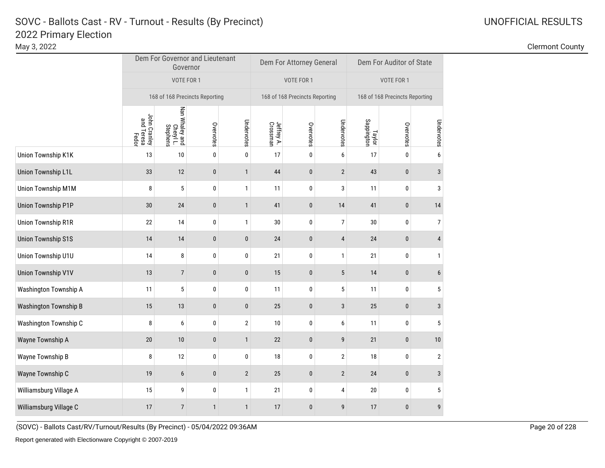### Clermont County

|                              |                                     | Governor                                | Dem For Governor and Lieutenant |                |                        | Dem For Attorney General       |                  | Dem For Auditor of State       |           |                |  |
|------------------------------|-------------------------------------|-----------------------------------------|---------------------------------|----------------|------------------------|--------------------------------|------------------|--------------------------------|-----------|----------------|--|
|                              |                                     | VOTE FOR 1                              |                                 |                |                        | VOTE FOR 1                     |                  | VOTE FOR 1                     |           |                |  |
|                              | 168 of 168 Precincts Reporting      |                                         |                                 |                |                        | 168 of 168 Precincts Reporting |                  | 168 of 168 Precincts Reporting |           |                |  |
|                              | John Cranley<br>and Teresa<br>Fedor | Nan Whaley and<br>Cheryl L.<br>Stephens | Overvotes                       | Undervotes     | Jeffrey A.<br>Crossman | Overvotes                      | Undervotes       | Taylor<br>Sappington           | Overvotes | Undervotes     |  |
| Union Township K1K           | 13                                  | 10                                      | $\pmb{0}$                       | $\pmb{0}$      | 17                     | 0                              | $\boldsymbol{6}$ | 17                             | 0         | 6              |  |
| Union Township L1L           | 33                                  | 12                                      | $\pmb{0}$                       | $\mathbf{1}$   | 44                     | $\pmb{0}$                      | $\overline{2}$   | 43                             | $\pmb{0}$ | 3              |  |
| Union Township M1M           | 8                                   | $\sqrt{5}$                              | $\pmb{0}$                       | $\mathbf{1}$   | 11                     | 0                              | 3                | 11                             | 0         | 3              |  |
| Union Township P1P           | $30\,$                              | 24                                      | 0                               | $\mathbf{1}$   | 41                     | $\bf{0}$                       | 14               | 41                             | $\pmb{0}$ | 14             |  |
| Union Township R1R           | 22                                  | 14                                      | $\pmb{0}$                       | $\mathbf{1}$   | 30                     | 0                              | $\overline{7}$   | $30\,$                         | 0         | $\overline{7}$ |  |
| <b>Union Township S1S</b>    | 14                                  | 14                                      | $\pmb{0}$                       | $\pmb{0}$      | 24                     | $\pmb{0}$                      | $\sqrt{4}$       | 24                             | $\pmb{0}$ | $\overline{4}$ |  |
| Union Township U1U           | 14                                  | 8                                       | $\pmb{0}$                       | 0              | 21                     | 0                              | $\mathbf{1}$     | 21                             | $\pmb{0}$ | $\mathbf{1}$   |  |
| <b>Union Township V1V</b>    | 13                                  | $\overline{7}$                          | $\pmb{0}$                       | $\pmb{0}$      | 15                     | $\bf{0}$                       | 5                | 14                             | $\pmb{0}$ | 6              |  |
| Washington Township A        | 11                                  | 5                                       | $\pmb{0}$                       | $\pmb{0}$      | 11                     | 0                              | $\sqrt{5}$       | 11                             | $\pmb{0}$ | 5              |  |
| <b>Washington Township B</b> | 15                                  | 13                                      | $\bf{0}$                        | $\pmb{0}$      | 25                     | $\bf{0}$                       | $\sqrt{3}$       | 25                             | $\pmb{0}$ | 3              |  |
| Washington Township C        | 8                                   | 6                                       | 0                               | $\overline{2}$ | 10                     | 0                              | 6                | 11                             | 0         | 5              |  |
| Wayne Township A             | $20\,$                              | 10                                      | $\boldsymbol{0}$                | $\mathbf{1}$   | 22                     | 0                              | 9                | 21                             | $\pmb{0}$ | 10             |  |
| Wayne Township B             | 8                                   | 12                                      | $\pmb{0}$                       | $\pmb{0}$      | 18                     | 0                              | $\overline{2}$   | $18\,$                         | $\pmb{0}$ | $\overline{2}$ |  |
| Wayne Township C             | 19                                  | $\boldsymbol{6}$                        | $\pmb{0}$                       | $\overline{2}$ | 25                     | $\pmb{0}$                      | $\sqrt{2}$       | 24                             | $\pmb{0}$ | $\sqrt{3}$     |  |
| Williamsburg Village A       | 15                                  | 9                                       | 0                               | $\mathbf{1}$   | 21                     | 0                              | $\sqrt{4}$       | 20                             | $\pmb{0}$ | 5              |  |
| Williamsburg Village C       | 17                                  | $\overline{7}$                          | $\mathbf{1}$                    | $\mathbf{1}$   | 17                     | $\mathbf{0}$                   | 9                | 17                             | $\bf{0}$  | 9              |  |

(SOVC) - Ballots Cast/RV/Turnout/Results (By Precinct) - 05/04/2022 09:36AM Page 20 of 228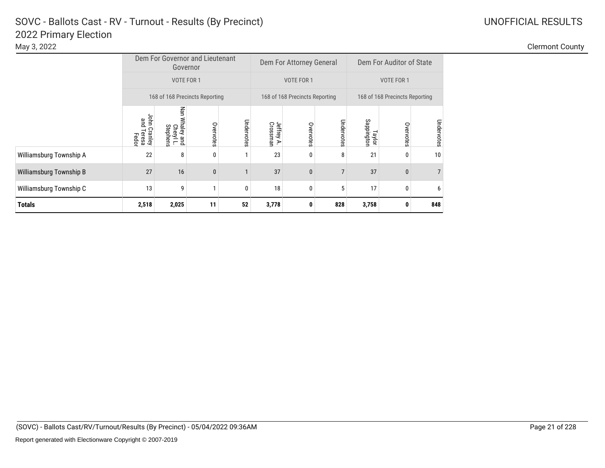| <b>Clermont County</b> |
|------------------------|
|                        |

|                         | Dem For Governor and Lieutenant<br>Governor |                                                   |              |            |                        | Dem For Attorney General       |                | Dem For Auditor of State       |              |                |  |
|-------------------------|---------------------------------------------|---------------------------------------------------|--------------|------------|------------------------|--------------------------------|----------------|--------------------------------|--------------|----------------|--|
|                         | VOTE FOR 1                                  |                                                   |              |            |                        | VOTE FOR 1                     |                | VOTE FOR 1                     |              |                |  |
|                         | 168 of 168 Precincts Reporting              |                                                   |              |            |                        | 168 of 168 Precincts Reporting |                | 168 of 168 Precincts Reporting |              |                |  |
|                         | phn<br>gnd<br>Cranley<br>Teresa<br>Fedor    | Nan<br>Whaley and<br><b>Stephens</b><br>Cheryl L. | Overvotes    | Undervotes | Jeffrey A.<br>Crossmar | Overvotes                      | Undervotes     | Sappington<br>Taylor           | Overvotes    | Undervotes     |  |
| Williamsburg Township A | 22                                          | 8                                                 | 0            |            | 23                     | 0                              | 8              | 21                             | 0            | 10             |  |
| Williamsburg Township B | 27                                          | 16                                                | $\mathbf{0}$ |            | 37                     | $\mathbf{0}$                   | $\overline{7}$ | 37                             | $\mathbf{0}$ | $\overline{7}$ |  |
| Williamsburg Township C | 13                                          | 9                                                 |              | 0          | 18                     | 0                              | 5              | 17                             | 0            | 6              |  |
| <b>Totals</b>           | 2,518                                       | 2,025                                             | 11           | 52         | 3,778                  | 0                              | 828            | 3,758                          | 0            | 848            |  |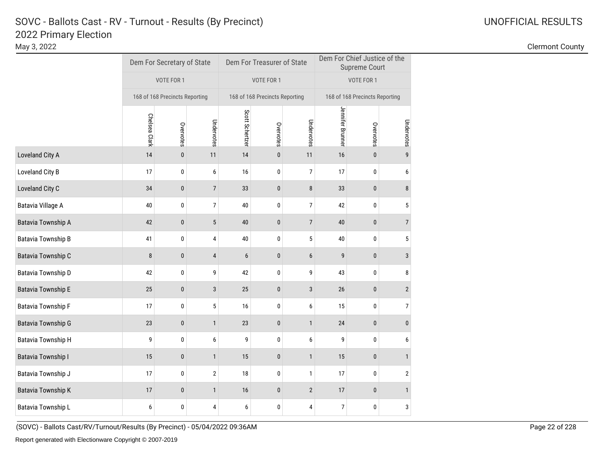May 3, 2022 Clermont County

|                    |               | Dem For Secretary of State     |                 |                 | Dem For Treasurer of State     |                | Dem For Chief Justice of the<br><b>Supreme Court</b> |           |                  |  |
|--------------------|---------------|--------------------------------|-----------------|-----------------|--------------------------------|----------------|------------------------------------------------------|-----------|------------------|--|
|                    |               | VOTE FOR 1                     |                 |                 | VOTE FOR 1                     |                | VOTE FOR 1                                           |           |                  |  |
|                    |               | 168 of 168 Precincts Reporting |                 |                 | 168 of 168 Precincts Reporting |                | 168 of 168 Precincts Reporting                       |           |                  |  |
|                    | Chelsea Clark | Overvotes                      | Undervotes      | Scott Schertzer | Overvotes                      | Undervotes     | Jennifer Brunner                                     | Overvotes | Undervotes       |  |
| Loveland City A    | 14            | $\pmb{0}$                      | 11              | 14              | $\pmb{0}$                      | 11             | 16                                                   | $\bf{0}$  | 9                |  |
| Loveland City B    | 17            | 0                              | 6               | 16              | 0                              | 7              | 17                                                   | 0         | 6                |  |
| Loveland City C    | 34            | $\pmb{0}$                      | $7\overline{ }$ | 33              | $\bf{0}$                       | 8              | 33                                                   | 0         | 8                |  |
| Batavia Village A  | 40            | 0                              | 7               | 40              | 0                              | 7              | 42                                                   | 0         | 5                |  |
| Batavia Township A | 42            | $\pmb{0}$                      | $\sqrt{5}$      | 40              | $\pmb{0}$                      | $\overline{7}$ | 40                                                   | $\pmb{0}$ | $\overline{7}$   |  |
| Batavia Township B | 41            | 0                              | 4               | 40              | 0                              | 5              | 40                                                   | 0         | 5                |  |
| Batavia Township C | 8             | $\mathbf{0}$                   | $\overline{4}$  | 6               | $\pmb{0}$                      | $6\phantom{1}$ | 9                                                    | $\pmb{0}$ | $\mathbf{3}$     |  |
| Batavia Township D | 42            | 0                              | 9               | 42              | 0                              | 9              | 43                                                   | 0         | 8                |  |
| Batavia Township E | 25            | $\pmb{0}$                      | 3               | 25              | $\pmb{0}$                      | $\sqrt{3}$     | 26                                                   | $\pmb{0}$ | $\overline{2}$   |  |
| Batavia Township F | 17            | 0                              | 5               | 16              | 0                              | 6              | 15                                                   | 0         | $\boldsymbol{7}$ |  |
| Batavia Township G | 23            | $\pmb{0}$                      | $\mathbf{1}$    | 23              | $\pmb{0}$                      | $\mathbf{1}$   | 24                                                   | 0         | $\pmb{0}$        |  |
| Batavia Township H | 9             | 0                              | 6               | 9               | 0                              | 6              | 9                                                    | 0         | 6                |  |
| Batavia Township I | 15            | $\pmb{0}$                      | $\mathbf{1}$    | 15              | $\pmb{0}$                      | $\mathbf{1}$   | 15                                                   | $\pmb{0}$ | $\mathbf{1}$     |  |
| Batavia Township J | 17            | 0                              | $\sqrt{2}$      | 18              | 0                              | $\mathbf{1}$   | 17                                                   | 0         | $\sqrt{2}$       |  |
| Batavia Township K | 17            | $\mathbf{0}$                   | $\mathbf{1}$    | 16              | 0                              | $\mathbf{2}$   | 17                                                   | $\pmb{0}$ | $\mathbf{1}$     |  |
| Batavia Township L | 6             | 0                              | 4               | 6               | 0                              | 4              | $\overline{7}$                                       | 0         | 3                |  |

(SOVC) - Ballots Cast/RV/Turnout/Results (By Precinct) - 05/04/2022 09:36AM Page 22 of 228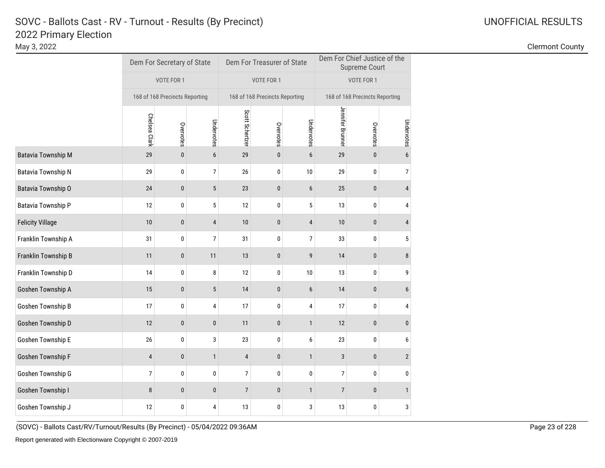May 3, 2022 Clermont County

|                           |                | Dem For Secretary of State     |                 |                 | Dem For Treasurer of State     |                | Dem For Chief Justice of the<br><b>Supreme Court</b> |              |                  |  |
|---------------------------|----------------|--------------------------------|-----------------|-----------------|--------------------------------|----------------|------------------------------------------------------|--------------|------------------|--|
|                           |                | VOTE FOR 1                     |                 |                 | VOTE FOR 1                     |                | VOTE FOR 1                                           |              |                  |  |
|                           |                | 168 of 168 Precincts Reporting |                 |                 | 168 of 168 Precincts Reporting |                | 168 of 168 Precincts Reporting                       |              |                  |  |
|                           | Chelsea Clark  | Overvotes                      | Undervotes      | Scott Schertzer | Overvotes                      | Undervotes     | Jennifer Brunner                                     | Overvotes    | Undervotes       |  |
| <b>Batavia Township M</b> | 29             | $\pmb{0}$                      | 6               | 29              | $\pmb{0}$                      | 6              | 29                                                   | $\pmb{0}$    | $\boldsymbol{6}$ |  |
| Batavia Township N        | 29             | 0                              | 7               | 26              | 0                              | 10             | 29                                                   | 0            | 7                |  |
| Batavia Township O        | 24             | $\pmb{0}$                      | $5\phantom{.0}$ | 23              | $\pmb{0}$                      | $6\phantom{1}$ | 25                                                   | $\mathbf{0}$ | $\overline{4}$   |  |
| Batavia Township P        | 12             | 0                              | 5               | 12              | 0                              | 5              | 13                                                   | 0            | 4                |  |
| <b>Felicity Village</b>   | 10             | $\pmb{0}$                      | 4               | $10$            | $\pmb{0}$                      | 4              | $10$                                                 | $\pmb{0}$    | 4                |  |
| Franklin Township A       | 31             | 0                              | $\overline{7}$  | 31              | 0                              | 7              | 33                                                   | 0            | $\sqrt{5}$       |  |
| Franklin Township B       | 11             | $\pmb{0}$                      | 11              | 13              | $\pmb{0}$                      | 9              | 14                                                   | $\pmb{0}$    | 8                |  |
| Franklin Township D       | 14             | 0                              | 8               | 12              | 0                              | 10             | 13                                                   | 0            | 9                |  |
| Goshen Township A         | 15             | $\pmb{0}$                      | $\overline{5}$  | 14              | $\pmb{0}$                      | $6\phantom{1}$ | 14                                                   | $\pmb{0}$    | $\boldsymbol{6}$ |  |
| Goshen Township B         | 17             | 0                              | 4               | 17              | 0                              | 4              | 17                                                   | 0            | 4                |  |
| Goshen Township D         | 12             | $\pmb{0}$                      | $\pmb{0}$       | 11              | $\pmb{0}$                      | $\mathbf{1}$   | 12                                                   | $\mathbf{0}$ | $\pmb{0}$        |  |
| Goshen Township E         | 26             | 0                              | 3               | 23              | 0                              | 6              | 23                                                   | 0            | 6                |  |
| Goshen Township F         | $\sqrt{4}$     | $\pmb{0}$                      | $\mathbf{1}$    | 4               | $\pmb{0}$                      | $\mathbf{1}$   | $\mathbf{3}$                                         | $\pmb{0}$    | $\overline{2}$   |  |
| Goshen Township G         | $\overline{7}$ | $\pmb{0}$                      | 0               | 7               | $\pmb{0}$                      | $\pmb{0}$      | $\overline{7}$                                       | $\pmb{0}$    | $\pmb{0}$        |  |
| Goshen Township I         | 8              | $\pmb{0}$                      | $\pmb{0}$       | $\overline{7}$  | $\pmb{0}$                      | $\mathbf{1}$   | $\overline{7}$                                       | $\mathbf{0}$ | $\mathbf{1}$     |  |
| Goshen Township J         | 12             | 0                              | 4               | 13              | 0                              | 3              | 13                                                   | $\pmb{0}$    | 3                |  |

(SOVC) - Ballots Cast/RV/Turnout/Results (By Precinct) - 05/04/2022 09:36AM Page 23 of 228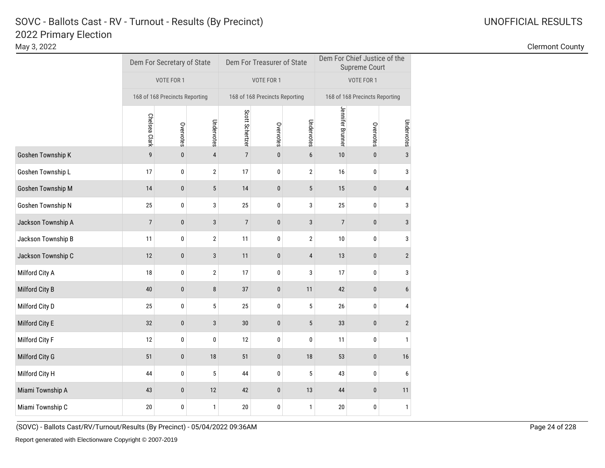| <b>UNOFFICIAL RESULTS</b> |
|---------------------------|
|---------------------------|

May 3, 2022 Clermont County

|                    |                                | Dem For Secretary of State |                  |                 | Dem For Treasurer of State     |                  | Dem For Chief Justice of the<br><b>Supreme Court</b> |                                |                         |  |
|--------------------|--------------------------------|----------------------------|------------------|-----------------|--------------------------------|------------------|------------------------------------------------------|--------------------------------|-------------------------|--|
|                    | VOTE FOR 1                     |                            |                  | VOTE FOR 1      |                                |                  | VOTE FOR 1                                           |                                |                         |  |
|                    | 168 of 168 Precincts Reporting |                            |                  |                 | 168 of 168 Precincts Reporting |                  |                                                      | 168 of 168 Precincts Reporting |                         |  |
|                    | Chelsea Clark                  | Overvotes                  | Undervotes       | Scott Schertzer | Overvotes                      | Undervotes       | Jennifer Brunner                                     | Overvotes                      | Undervotes              |  |
| Goshen Township K  | 9                              | $\pmb{0}$                  | $\overline{4}$   | $\overline{7}$  | 0                              | $\boldsymbol{6}$ | 10                                                   | $\pmb{0}$                      | $\mathbf{3}$            |  |
| Goshen Township L  | 17                             | 0                          | $\overline{2}$   | 17              | 0                              | $\overline{2}$   | 16                                                   | 0                              | 3                       |  |
| Goshen Township M  | 14                             | $\pmb{0}$                  | 5                | 14              | 0                              | $\sqrt{5}$       | 15                                                   | 0                              | $\overline{\mathbf{4}}$ |  |
| Goshen Township N  | 25                             | 0                          | 3                | 25              | 0                              | 3                | 25                                                   | 0                              | 3                       |  |
| Jackson Township A | $\overline{7}$                 | $\pmb{0}$                  | $\sqrt{3}$       | $\overline{7}$  | 0                              | $\sqrt{3}$       | $\boldsymbol{7}$                                     | $\pmb{0}$                      | 3                       |  |
| Jackson Township B | 11                             | 0                          | $\sqrt{2}$       | 11              | 0                              | $\overline{2}$   | 10                                                   | 0                              | 3                       |  |
| Jackson Township C | 12                             | $\pmb{0}$                  | 3                | 11              | $\pmb{0}$                      | $\overline{4}$   | 13                                                   | $\pmb{0}$                      | $\overline{2}$          |  |
| Milford City A     | 18                             | 0                          | $\boldsymbol{2}$ | 17              | 0                              | 3                | 17                                                   | 0                              | 3                       |  |
| Milford City B     | 40                             | $\pmb{0}$                  | 8                | 37              | $\pmb{0}$                      | 11               | 42                                                   | $\pmb{0}$                      | $\boldsymbol{6}$        |  |
| Milford City D     | 25                             | 0                          | 5                | 25              | 0                              | 5                | 26                                                   | 0                              | $\pmb{4}$               |  |
| Milford City E     | 32                             | $\mathbf{0}$               | 3                | 30              | 0                              | $\sqrt{5}$       | 33                                                   | $\mathbf 0$                    | $\sqrt{2}$              |  |
| Milford City F     | 12                             | 0                          | 0                | 12              | 0                              | 0                | 11                                                   | 0                              | 1                       |  |
| Milford City G     | 51                             | $\pmb{0}$                  | 18               | 51              | 0                              | 18               | 53                                                   | $\pmb{0}$                      | 16                      |  |
| Milford City H     | 44                             | 0                          | 5                | 44              | 0                              | 5                | 43                                                   | 0                              | 6                       |  |
| Miami Township A   | 43                             | $\bf{0}$                   | 12               | 42              | 0                              | 13               | 44                                                   | 0                              | 11                      |  |
| Miami Township C   | 20                             | 0                          | $\mathbf{1}$     | 20              | 0                              | 1                | 20                                                   | 0                              | $\mathbf{1}$            |  |

(SOVC) - Ballots Cast/RV/Turnout/Results (By Precinct) - 05/04/2022 09:36AM Page 24 of 228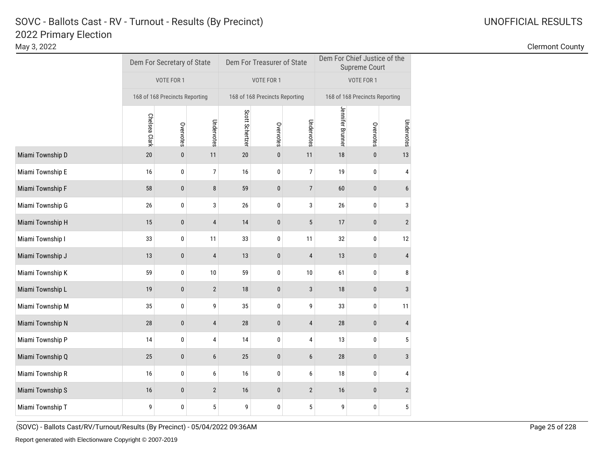May 3, 2022 Clermont County

|                  |                                              | Dem For Secretary of State |                |                 | Dem For Treasurer of State     |                | Dem For Chief Justice of the<br><b>Supreme Court</b> |            |                |  |
|------------------|----------------------------------------------|----------------------------|----------------|-----------------|--------------------------------|----------------|------------------------------------------------------|------------|----------------|--|
|                  | VOTE FOR 1<br>168 of 168 Precincts Reporting |                            |                |                 | VOTE FOR 1                     |                |                                                      | VOTE FOR 1 |                |  |
|                  |                                              |                            |                |                 | 168 of 168 Precincts Reporting |                | 168 of 168 Precincts Reporting                       |            |                |  |
|                  | Chelsea Clark                                | Overvotes                  | Undervotes     | Scott Schertzer | Overvotes                      | Undervotes     | Jennifer Brunner                                     | Overvotes  | Undervotes     |  |
| Miami Township D | 20                                           | $\pmb{0}$                  | 11             | 20              | $\pmb{0}$                      | 11             | 18                                                   | $\bf{0}$   | 13             |  |
| Miami Township E | 16                                           | 0                          | 7              | 16              | 0                              | 7              | 19                                                   | 0          | 4              |  |
| Miami Township F | 58                                           | $\pmb{0}$                  | 8              | 59              | $\bf{0}$                       | $\overline{7}$ | 60                                                   | 0          | 6              |  |
| Miami Township G | 26                                           | 0                          | 3              | 26              | 0                              | 3              | 26                                                   | 0          | 3              |  |
| Miami Township H | 15                                           | $\pmb{0}$                  | $\overline{4}$ | 14              | 0                              | $\sqrt{5}$     | 17                                                   | $\pmb{0}$  | $\mathbf{2}$   |  |
| Miami Township I | 33                                           | 0                          | 11             | 33              | 0                              | 11             | 32                                                   | 0          | 12             |  |
| Miami Township J | 13                                           | $\mathbf{0}$               | $\overline{4}$ | 13              | $\pmb{0}$                      | $\sqrt{4}$     | 13                                                   | $\pmb{0}$  | $\overline{4}$ |  |
| Miami Township K | 59                                           | 0                          | 10             | 59              | 0                              | 10             | 61                                                   | 0          | 8              |  |
| Miami Township L | 19                                           | $\pmb{0}$                  | $\sqrt{2}$     | 18              | $\pmb{0}$                      | $\mathsf 3$    | 18                                                   | $\pmb{0}$  | 3              |  |
| Miami Township M | 35                                           | 0                          | 9              | 35              | 0                              | 9              | 33                                                   | 0          | 11             |  |
| Miami Township N | 28                                           | $\pmb{0}$                  | 4              | 28              | 0                              | $\overline{4}$ | 28                                                   | 0          | 4              |  |
| Miami Township P | 14                                           | 0                          | 4              | 14              | 0                              | 4              | 13                                                   | 0          | 5              |  |
| Miami Township Q | 25                                           | $\pmb{0}$                  | 6              | 25              | $\pmb{0}$                      | 6              | 28                                                   | $\pmb{0}$  | 3              |  |
| Miami Township R | 16                                           | 0                          | 6              | 16              | 0                              | 6              | 18                                                   | 0          | 4              |  |
| Miami Township S | 16                                           | $\mathbf{0}$               | $\overline{2}$ | 16              | 0                              | $\overline{2}$ | 16                                                   | $\pmb{0}$  | $\mathbf{2}$   |  |
| Miami Township T | 9                                            | 0                          | 5              | 9               | 0                              | 5              | 9                                                    | 0          | 5              |  |

(SOVC) - Ballots Cast/RV/Turnout/Results (By Precinct) - 05/04/2022 09:36AM Page 25 of 228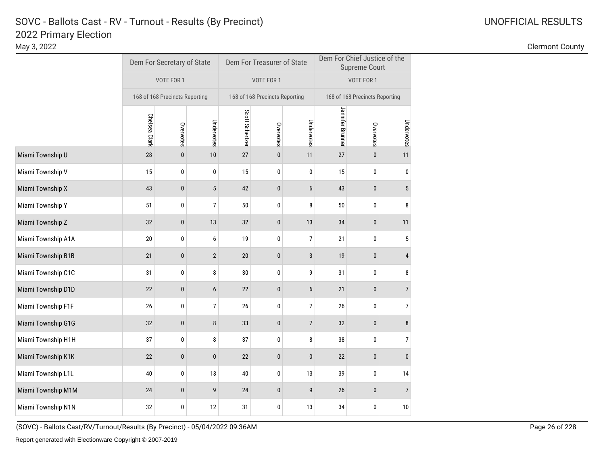May 3, 2022 Clermont County

|                    |                                              | Dem For Secretary of State |                |                 | Dem For Treasurer of State     |                  | Dem For Chief Justice of the<br><b>Supreme Court</b> |                                |                  |  |
|--------------------|----------------------------------------------|----------------------------|----------------|-----------------|--------------------------------|------------------|------------------------------------------------------|--------------------------------|------------------|--|
|                    | VOTE FOR 1<br>168 of 168 Precincts Reporting |                            |                | VOTE FOR 1      |                                |                  | VOTE FOR 1                                           |                                |                  |  |
|                    |                                              |                            |                |                 | 168 of 168 Precincts Reporting |                  |                                                      | 168 of 168 Precincts Reporting |                  |  |
|                    | Chelsea Clark                                | Overvotes                  | Undervotes     | Scott Schertzer | Overvotes                      | Undervotes       | Jennifer Brunner                                     | Overvotes                      | Undervotes       |  |
| Miami Township U   | 28                                           | $\pmb{0}$                  | 10             | 27              | $\pmb{0}$                      | 11               | 27                                                   | $\bf{0}$                       | 11               |  |
| Miami Township V   | 15                                           | 0                          | 0              | 15              | 0                              | 0                | 15                                                   | 0                              | 0                |  |
| Miami Township X   | 43                                           | $\pmb{0}$                  | $\sqrt{5}$     | 42              | 0                              | 6                | 43                                                   | 0                              | 5                |  |
| Miami Township Y   | 51                                           | 0                          | 7              | 50              | 0                              | 8                | 50                                                   | 0                              | 8                |  |
| Miami Township Z   | 32                                           | $\bf{0}$                   | 13             | 32              | 0                              | 13               | 34                                                   | $\pmb{0}$                      | 11               |  |
| Miami Township A1A | 20                                           | 0                          | 6              | 19              | 0                              | 7                | 21                                                   | 0                              | 5                |  |
| Miami Township B1B | 21                                           | $\mathbf{0}$               | $\overline{2}$ | 20              | 0                              | 3                | 19                                                   | $\pmb{0}$                      | $\overline{4}$   |  |
| Miami Township C1C | 31                                           | 0                          | 8              | 30              | 0                              | 9                | 31                                                   | 0                              | 8                |  |
| Miami Township D1D | $22\,$                                       | $\pmb{0}$                  | 6              | 22              | $\pmb{0}$                      | $\boldsymbol{6}$ | 21                                                   | $\pmb{0}$                      | $\overline{7}$   |  |
| Miami Township F1F | 26                                           | 0                          | 7              | 26              | 0                              | 7                | 26                                                   | 0                              | $\boldsymbol{7}$ |  |
| Miami Township G1G | 32                                           | $\pmb{0}$                  | 8              | 33              | 0                              | $\overline{7}$   | 32                                                   | 0                              | 8                |  |
| Miami Township H1H | 37                                           | 0                          | 8              | 37              | 0                              | 8                | 38                                                   | 0                              | $\boldsymbol{7}$ |  |
| Miami Township K1K | 22                                           | $\pmb{0}$                  | $\pmb{0}$      | 22              | $\pmb{0}$                      | $\pmb{0}$        | 22                                                   | $\pmb{0}$                      | $\bf{0}$         |  |
| Miami Township L1L | 40                                           | 0                          | 13             | 40              | 0                              | 13               | 39                                                   | 0                              | 14               |  |
| Miami Township M1M | 24                                           | $\mathbf{0}$               | 9              | 24              | 0                              | 9                | 26                                                   | 0                              | $\overline{7}$   |  |
| Miami Township N1N | 32                                           | 0                          | 12             | 31              | 0                              | 13               | 34                                                   | 0                              | $10$             |  |

(SOVC) - Ballots Cast/RV/Turnout/Results (By Precinct) - 05/04/2022 09:36AM Page 26 of 228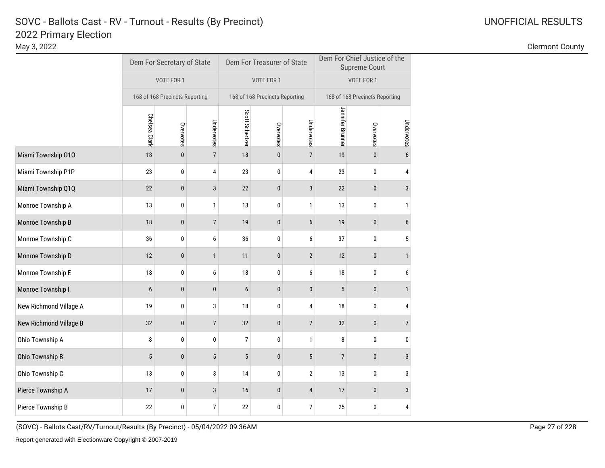May 3, 2022 Clermont County

|                        |                                | Dem For Secretary of State |                 |                 | Dem For Treasurer of State     |                         | Dem For Chief Justice of the<br><b>Supreme Court</b> |                                |                |  |
|------------------------|--------------------------------|----------------------------|-----------------|-----------------|--------------------------------|-------------------------|------------------------------------------------------|--------------------------------|----------------|--|
|                        | VOTE FOR 1                     |                            |                 | VOTE FOR 1      |                                |                         | VOTE FOR 1                                           |                                |                |  |
|                        | 168 of 168 Precincts Reporting |                            |                 |                 | 168 of 168 Precincts Reporting |                         |                                                      | 168 of 168 Precincts Reporting |                |  |
|                        | Chelsea Clark                  | Overvotes                  | Undervotes      | Scott Schertzer | Overvotes                      | Undervotes              | Jennifer Brunner                                     | Overvotes                      | Undervotes     |  |
| Miami Township 010     | 18                             | $\mathbf{0}$               | $\overline{7}$  | 18              | $\pmb{0}$                      | $\overline{7}$          | 19                                                   | $\pmb{0}$                      | 6              |  |
| Miami Township P1P     | 23                             | 0                          | 4               | 23              | 0                              | 4                       | 23                                                   | 0                              | 4              |  |
| Miami Township Q1Q     | 22                             | $\pmb{0}$                  | 3               | 22              | 0                              | 3                       | 22                                                   | 0                              | $\mathbf{3}$   |  |
| Monroe Township A      | 13                             | 0                          | 1               | 13              | 0                              | 1                       | 13                                                   | 0                              | 1              |  |
| Monroe Township B      | 18                             | $\pmb{0}$                  | $7\overline{ }$ | 19              | 0                              | $\boldsymbol{6}$        | 19                                                   | $\pmb{0}$                      | 6              |  |
| Monroe Township C      | 36                             | 0                          | 6               | 36              | 0                              | 6                       | 37                                                   | 0                              | 5              |  |
| Monroe Township D      | 12                             | $\mathbf{0}$               | $\mathbf{1}$    | 11              | $\pmb{0}$                      | $\overline{2}$          | 12                                                   | $\pmb{0}$                      | $\mathbf{1}$   |  |
| Monroe Township E      | 18                             | 0                          | 6               | 18              | 0                              | 6                       | 18                                                   | 0                              | 6              |  |
| Monroe Township I      | 6                              | $\pmb{0}$                  | $\pmb{0}$       | 6               | $\pmb{0}$                      | $\pmb{0}$               | $\sqrt{5}$                                           | $\pmb{0}$                      | $\mathbf{1}$   |  |
| New Richmond Village A | 19                             | 0                          | 3               | 18              | 0                              | 4                       | 18                                                   | 0                              | $\pmb{4}$      |  |
| New Richmond Village B | 32                             | $\mathbf{0}$               | $\overline{7}$  | 32              | $\pmb{0}$                      | $\overline{7}$          | 32                                                   | $\mathbf 0$                    | $\overline{7}$ |  |
| Ohio Township A        | 8                              | 0                          | 0               | $\overline{7}$  | 0                              | $\mathbf{1}$            | 8                                                    | 0                              | 0              |  |
| Ohio Township B        | $\overline{5}$                 | $\pmb{0}$                  | 5               | 5               | 0                              | $\sqrt{5}$              | $\overline{7}$                                       | $\pmb{0}$                      | 3              |  |
| Ohio Township C        | 13                             | 0                          | 3               | 14              | 0                              | $\overline{\mathbf{c}}$ | 13                                                   | 0                              | 3              |  |
| Pierce Township A      | 17                             | $\mathbf{0}$               | $\sqrt{3}$      | 16              | 0                              | 4                       | 17                                                   | $\pmb{0}$                      | $\mathbf{3}$   |  |
| Pierce Township B      | 22                             | 0                          | $\overline{7}$  | 22              | 0                              | 7                       | 25                                                   | 0                              | 4              |  |
|                        |                                |                            |                 |                 |                                |                         |                                                      |                                |                |  |

(SOVC) - Ballots Cast/RV/Turnout/Results (By Precinct) - 05/04/2022 09:36AM Page 27 of 228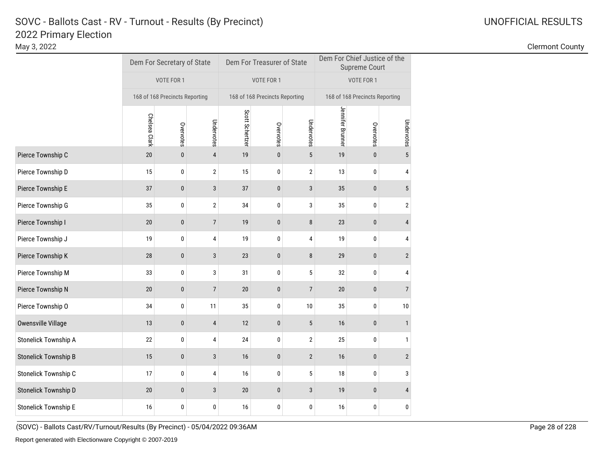May 3, 2022 Clermont County

|                             |                                | Dem For Secretary of State |                |                 | Dem For Treasurer of State     |                         | Dem For Chief Justice of the<br><b>Supreme Court</b> |                                |                |  |
|-----------------------------|--------------------------------|----------------------------|----------------|-----------------|--------------------------------|-------------------------|------------------------------------------------------|--------------------------------|----------------|--|
|                             | VOTE FOR 1                     |                            |                | VOTE FOR 1      |                                |                         | VOTE FOR 1                                           |                                |                |  |
|                             | 168 of 168 Precincts Reporting |                            |                |                 | 168 of 168 Precincts Reporting |                         |                                                      | 168 of 168 Precincts Reporting |                |  |
|                             | Chelsea Clark                  | Overvotes                  | Undervotes     | Scott Schertzer | Overvotes                      | Undervotes              | Jennifer Brunner                                     | Overvotes                      | Undervotes     |  |
| Pierce Township C           | 20                             | 0                          | $\overline{4}$ | 19              | 0                              | $\sqrt{5}$              | 19                                                   | $\pmb{0}$                      | $\overline{5}$ |  |
| Pierce Township D           | 15                             | 0                          | 2              | 15              | 0                              | $\overline{\mathbf{c}}$ | 13                                                   | 0                              | 4              |  |
| Pierce Township E           | 37                             | 0                          | 3              | 37              | 0                              | 3                       | 35                                                   | 0                              | 5              |  |
| Pierce Township G           | 35                             | 0                          | $\sqrt{2}$     | 34              | 0                              | 3                       | 35                                                   | 0                              | 2              |  |
| Pierce Township I           | $20\,$                         | $\pmb{0}$                  | $\overline{7}$ | 19              | 0                              | 8                       | 23                                                   | 0                              | 4              |  |
| Pierce Township J           | 19                             | 0                          | 4              | 19              | 0                              | 4                       | 19                                                   | 0                              | 4              |  |
| Pierce Township K           | 28                             | $\pmb{0}$                  | 3              | 23              | 0                              | 8                       | 29                                                   | 0                              | $\mathbf{2}$   |  |
| Pierce Township M           | 33                             | 0                          | 3              | 31              | 0                              | 5                       | 32                                                   | 0                              | 4              |  |
| Pierce Township N           | 20                             | $\pmb{0}$                  | $\overline{7}$ | 20              | 0                              | $\overline{7}$          | 20                                                   | $\pmb{0}$                      | $\overline{7}$ |  |
| Pierce Township O           | 34                             | 0                          | 11             | 35              | 0                              | $10$                    | 35                                                   | 0                              | $10\,$         |  |
| Owensville Village          | 13                             | $\mathbf{0}$               | 4              | 12              | $\pmb{0}$                      | $\sqrt{5}$              | 16                                                   | $\pmb{0}$                      | $\mathbf{1}$   |  |
| Stonelick Township A        | 22                             | 0                          | 4              | 24              | 0                              | $\overline{2}$          | 25                                                   | 0                              | 1              |  |
| <b>Stonelick Township B</b> | 15                             | $\pmb{0}$                  | 3              | 16              | 0                              | $\mathbf{2}$            | 16                                                   | $\pmb{0}$                      | $\overline{2}$ |  |
| Stonelick Township C        | 17                             | 0                          | 4              | 16              | 0                              | 5                       | 18                                                   | 0                              | 3              |  |
| Stonelick Township D        | $20\,$                         | $\mathbf{0}$               | 3              | 20              | 0                              | 3                       | 19                                                   | 0                              | 4              |  |
| <b>Stonelick Township E</b> | 16                             | 0                          | 0              | 16              | 0                              | 0                       | 16                                                   | 0                              | 0              |  |

(SOVC) - Ballots Cast/RV/Turnout/Results (By Precinct) - 05/04/2022 09:36AM Page 28 of 228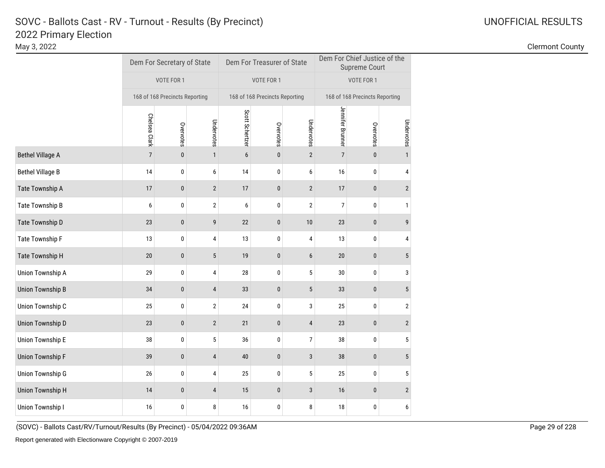May 3, 2022 Clermont County

|                                              |              |                |                            |                                |                | Dem For Chief Justice of the<br><b>Supreme Court</b> |                                |                  |  |
|----------------------------------------------|--------------|----------------|----------------------------|--------------------------------|----------------|------------------------------------------------------|--------------------------------|------------------|--|
| VOTE FOR 1<br>168 of 168 Precincts Reporting |              |                | VOTE FOR 1                 |                                |                | VOTE FOR 1                                           |                                |                  |  |
|                                              |              |                |                            | 168 of 168 Precincts Reporting |                |                                                      | 168 of 168 Precincts Reporting |                  |  |
| Chelsea Clark                                | Overvotes    | Undervotes     | Scott Schertzer            | Overvotes                      | Undervotes     | Jennifer Brunner                                     | Overvotes                      | Undervotes       |  |
| $\overline{7}$                               | $\mathbf{0}$ | $\mathbf{1}$   | 6                          | 0                              | $\overline{2}$ | $\overline{7}$                                       | $\pmb{0}$                      | $\overline{1}$   |  |
| 14                                           | 0            | 6              | 14                         | 0                              | 6              | 16                                                   | 0                              | 4                |  |
| 17                                           | $\pmb{0}$    | $\overline{2}$ | 17                         | 0                              | $\overline{2}$ | 17                                                   | 0                              | $\overline{2}$   |  |
| 6                                            | 0            | 2              | 6                          | 0                              | 2              | 7                                                    | 0                              | 1                |  |
| 23                                           | $\pmb{0}$    | 9              | 22                         | 0                              | $10$           | 23                                                   | $\pmb{0}$                      | 9                |  |
| 13                                           | 0            | 4              | 13                         | 0                              | 4              | 13                                                   | 0                              | 4                |  |
| 20                                           | $\bf{0}$     | 5              | 19                         | 0                              | 6              | 20                                                   | 0                              | 5                |  |
| 29                                           | 0            | 4              | 28                         | 0                              | 5              | 30                                                   | 0                              | 3                |  |
| 34                                           | $\pmb{0}$    | 4              | 33                         | $\pmb{0}$                      | $\sqrt{5}$     | 33                                                   | $\pmb{0}$                      | 5                |  |
| 25                                           | 0            | $\sqrt{2}$     | 24                         | 0                              | 3              | 25                                                   | 0                              | $\sqrt{2}$       |  |
| 23                                           | $\bf{0}$     | $\overline{2}$ | 21                         | 0                              | $\overline{4}$ | 23                                                   | 0                              | $\mathbf{2}$     |  |
| 38                                           | 0            | 5              | 36                         | 0                              | 7              | 38                                                   | 0                              | 5                |  |
| 39                                           | $\bf{0}$     | 4              | 40                         | 0                              | 3              | 38                                                   | $\mathbf 0$                    | 5                |  |
| 26                                           | 0            | 4              | 25                         | 0                              | 5              | 25                                                   | 0                              | 5                |  |
| 14                                           | $\mathbf{0}$ | 4              | 15                         | 0                              | 3              | 16                                                   | $\mathbf 0$                    | $\mathbf{2}$     |  |
| $16$                                         | 0            | 8              | 16                         | 0                              | 8              | 18                                                   | 0                              | $\boldsymbol{6}$ |  |
|                                              |              |                | Dem For Secretary of State |                                |                | Dem For Treasurer of State                           |                                |                  |  |

(SOVC) - Ballots Cast/RV/Turnout/Results (By Precinct) - 05/04/2022 09:36AM Page 29 of 228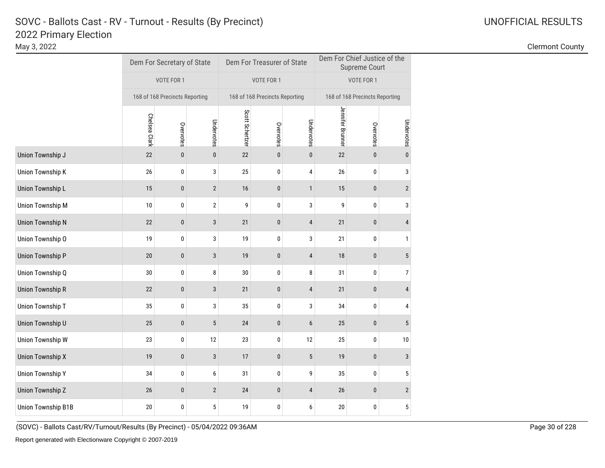May 3, 2022 Clermont County

|                    |               | Dem For Secretary of State     |                  |                 | Dem For Treasurer of State     |                  | Dem For Chief Justice of the<br><b>Supreme Court</b> |           |                  |  |
|--------------------|---------------|--------------------------------|------------------|-----------------|--------------------------------|------------------|------------------------------------------------------|-----------|------------------|--|
|                    |               | VOTE FOR 1                     |                  |                 | VOTE FOR 1                     |                  | VOTE FOR 1                                           |           |                  |  |
|                    |               | 168 of 168 Precincts Reporting |                  |                 | 168 of 168 Precincts Reporting |                  | 168 of 168 Precincts Reporting                       |           |                  |  |
|                    | Chelsea Clark | Overvotes                      | Undervotes       | Scott Schertzer | Overvotes                      | Undervotes       | Jennifer Brunner                                     | Overvotes | Undervotes       |  |
| Union Township J   | 22            | $\mathbf{0}$                   | 0                | 22              | 0                              | $\pmb{0}$        | $22\,$                                               | $\pmb{0}$ | $\pmb{0}$        |  |
| Union Township K   | 26            | 0                              | 3                | 25              | 0                              | 4                | 26                                                   | 0         | 3                |  |
| Union Township L   | 15            | $\pmb{0}$                      | $\overline{2}$   | 16              | 0                              | $\mathbf{1}$     | 15                                                   | $\pmb{0}$ | $\overline{2}$   |  |
| Union Township M   | 10            | 0                              | $\boldsymbol{2}$ | 9               | 0                              | 3                | 9                                                    | 0         | 3                |  |
| Union Township N   | 22            | $\pmb{0}$                      | 3                | 21              | 0                              | $\overline{4}$   | 21                                                   | $\pmb{0}$ | $\overline{4}$   |  |
| Union Township O   | 19            | 0                              | 3                | 19              | 0                              | 3                | 21                                                   | 0         | $\mathbf{1}$     |  |
| Union Township P   | 20            | $\pmb{0}$                      | 3                | 19              | 0                              | $\overline{4}$   | 18                                                   | $\pmb{0}$ | $5\phantom{.0}$  |  |
| Union Township Q   | 30            | 0                              | 8                | $30\,$          | 0                              | 8                | 31                                                   | 0         | $\boldsymbol{7}$ |  |
| Union Township R   | 22            | $\pmb{0}$                      | 3                | 21              | 0                              | $\overline{4}$   | 21                                                   | $\pmb{0}$ | $\overline{4}$   |  |
| Union Township T   | 35            | 0                              | 3                | 35              | 0                              | 3                | 34                                                   | 0         | 4                |  |
| Union Township U   | 25            | $\mathbf{0}$                   | 5                | 24              | $\pmb{0}$                      | $\boldsymbol{6}$ | 25                                                   | $\pmb{0}$ | $\sqrt{5}$       |  |
| Union Township W   | 23            | 0                              | 12               | 23              | 0                              | 12               | 25                                                   | 0         | $10\,$           |  |
| Union Township X   | 19            | $\bf{0}$                       | 3                | 17              | $\pmb{0}$                      | $\sqrt{5}$       | 19                                                   | $\pmb{0}$ | 3                |  |
| Union Township Y   | 34            | 0                              | 6                | 31              | 0                              | 9                | 35                                                   | 0         | $\sqrt{5}$       |  |
| Union Township Z   | 26            | $\mathbf{0}$                   | $\overline{2}$   | 24              | 0                              | $\overline{4}$   | 26                                                   | $\bf{0}$  | $\overline{2}$   |  |
| Union Township B1B | 20            | 0                              | 5                | 19              | 0                              | 6                | 20                                                   | 0         | 5                |  |

(SOVC) - Ballots Cast/RV/Turnout/Results (By Precinct) - 05/04/2022 09:36AM Page 30 of 228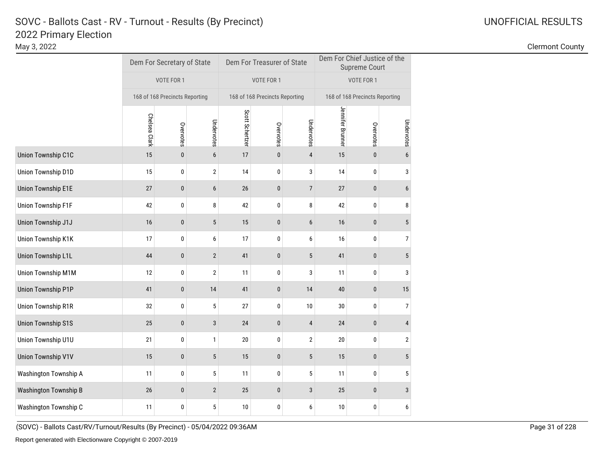# 2022 Primary Election SOVC - Ballots Cast - RV - Turnout - Results (By Precinct) and Monthlytherman Communication Control Communication Communication Communication Communication Communication Communication Communication Communication Communicat

May 3, 2022 Clermont County

|                              |               | Dem For Secretary of State     |              |                 | Dem For Treasurer of State     |                | Dem For Chief Justice of the<br><b>Supreme Court</b> |           |                  |  |
|------------------------------|---------------|--------------------------------|--------------|-----------------|--------------------------------|----------------|------------------------------------------------------|-----------|------------------|--|
|                              |               | VOTE FOR 1                     |              |                 | VOTE FOR 1                     |                | VOTE FOR 1                                           |           |                  |  |
|                              |               | 168 of 168 Precincts Reporting |              |                 | 168 of 168 Precincts Reporting |                | 168 of 168 Precincts Reporting                       |           |                  |  |
|                              | Chelsea Clark | Overvotes                      | Undervotes   | Scott Schertzer | Overvotes                      | Undervotes     | Jennifer Brunner                                     | Overvotes | Undervotes       |  |
| Union Township C1C           | 15            | $\pmb{0}$                      | $6\,$        | 17              | $\pmb{0}$                      | $\overline{4}$ | 15                                                   | $\pmb{0}$ | 6                |  |
| Union Township D1D           | 15            | 0                              | $\sqrt{2}$   | 14              | 0                              | 3              | 14                                                   | 0         | 3                |  |
| <b>Union Township E1E</b>    | 27            | $\pmb{0}$                      | 6            | 26              | 0                              | $\overline{7}$ | 27                                                   | $\pmb{0}$ | 6                |  |
| Union Township F1F           | 42            | 0                              | 8            | 42              | 0                              | 8              | 42                                                   | 0         | 8                |  |
| Union Township J1J           | 16            | $\pmb{0}$                      | $\sqrt{5}$   | 15              | $\pmb{0}$                      | 6              | 16                                                   | $\pmb{0}$ | $\sqrt{5}$       |  |
| Union Township K1K           | 17            | 0                              | 6            | 17              | 0                              | 6              | 16                                                   | 0         | 7                |  |
| Union Township L1L           | 44            | $\pmb{0}$                      | $\sqrt{2}$   | 41              | 0                              | $\sqrt{5}$     | 41                                                   | 0         | 5                |  |
| Union Township M1M           | 12            | 0                              | $\sqrt{2}$   | 11              | 0                              | 3              | 11                                                   | 0         | 3                |  |
| <b>Union Township P1P</b>    | 41            | $\pmb{0}$                      | 14           | 41              | $\pmb{0}$                      | 14             | 40                                                   | $\pmb{0}$ | 15               |  |
| <b>Union Township R1R</b>    | 32            | 0                              | 5            | 27              | 0                              | $10$           | 30                                                   | 0         | $\boldsymbol{7}$ |  |
| <b>Union Township S1S</b>    | 25            | $\mathbf{0}$                   | $\sqrt{3}$   | 24              | $\pmb{0}$                      | $\overline{4}$ | 24                                                   | $\pmb{0}$ | 4                |  |
| Union Township U1U           | 21            | 0                              | 1            | 20              | 0                              | $\overline{2}$ | 20                                                   | 0         | 2                |  |
| <b>Union Township V1V</b>    | 15            | $\pmb{0}$                      | $\sqrt{5}$   | 15              | $\pmb{0}$                      | $\sqrt{5}$     | 15                                                   | $\pmb{0}$ | $\sqrt{5}$       |  |
| Washington Township A        | 11            | 0                              | 5            | 11              | 0                              | 5              | 11                                                   | 0         | 5                |  |
| <b>Washington Township B</b> | 26            | $\mathbf{0}$                   | $\mathbf{2}$ | 25              | 0                              | 3              | 25                                                   | $\bf{0}$  | 3                |  |
| Washington Township C        | 11            | 0                              | 5            | 10              | 0                              | 6              | 10                                                   | 0         | 6                |  |

(SOVC) - Ballots Cast/RV/Turnout/Results (By Precinct) - 05/04/2022 09:36AM Page 31 of 228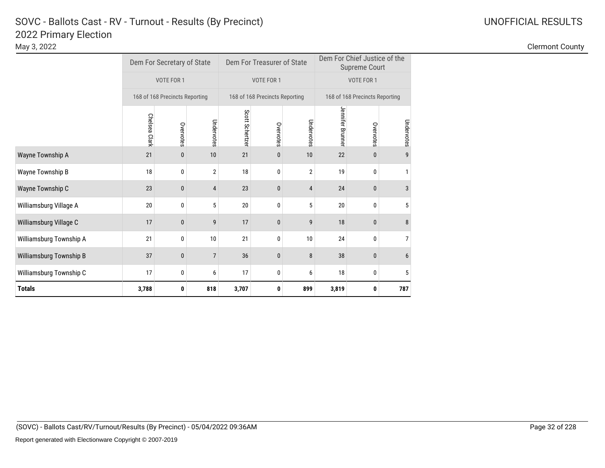# 2022 Primary Election SOVC - Ballots Cast - RV - Turnout - Results (By Precinct) and Manuscription Control Control Control Control Control Control Control Control Control Control Control Control Control Control Control Control Control Control C

Wayne Township A 21 0 10 21 0 10 21 0 22 0 9

Wayne Township B 18 18 0 2 18 0 2 19 0 1

Wayne Township C 23 0 4 23 0 4 24 0 3

Williamsburg Village A 20 0 5 20 0 5 20 0 5 20 0 5

Williamsburg Village C 17 17 0 9 17 0 9 18 0 8

Williamsburg Township A <sup>21</sup> <sup>0</sup> <sup>10</sup> <sup>21</sup> <sup>0</sup> <sup>10</sup> <sup>24</sup> <sup>0</sup> <sup>7</sup>

Williamsburg Township B 37 0 7 36 0 8 38 0 6

Williamsburg Township C <sup>17</sup> <sup>0</sup> <sup>6</sup> <sup>17</sup> <sup>0</sup> <sup>6</sup> <sup>18</sup> <sup>0</sup> <sup>5</sup>

**3,788 0 818 3,707 0 899 3,819 0 787**

**Totals**

| 2022 Primary Election<br>May 3, 2022 |                                |                            |                                   |                            |                |                                |               |    |  | <b>Clermont County</b> |  |
|--------------------------------------|--------------------------------|----------------------------|-----------------------------------|----------------------------|----------------|--------------------------------|---------------|----|--|------------------------|--|
|                                      |                                | Dem For Secretary of State |                                   | Dem For Treasurer of State |                | Dem For Chief Justice of the   | Supreme Court |    |  |                        |  |
|                                      | VOTE FOR 1                     |                            | VOTE FOR 1                        |                            |                | VOTE FOR 1                     |               |    |  |                        |  |
|                                      | 168 of 168 Precincts Reporting |                            | 168 of 168 Precincts Reporting    |                            |                | 168 of 168 Precincts Reporting |               |    |  |                        |  |
|                                      | Сhе<br>္ဏ                      |                            | Scott Schertzer<br>Under<br>votes | Overvotes                  | Under<br>votes | Jenn<br>쭉<br>ቧ                 |               | ĒS |  |                        |  |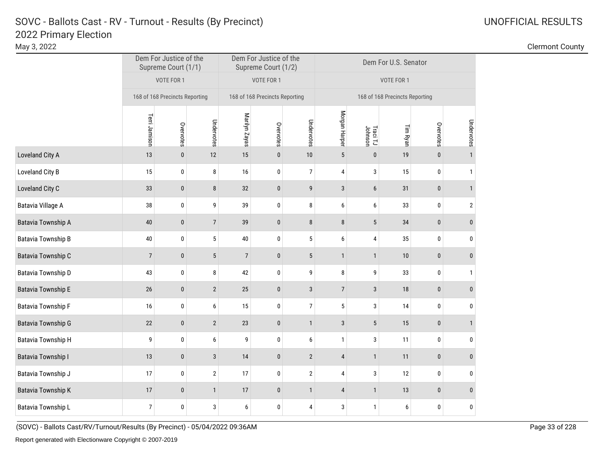| UNOFFICIAL RESULTS |  |
|--------------------|--|
|                    |  |

| May 3, 2022               |                                |                     |                  |                                |                                               |                 |                |                     |                                |             |                | <b>Clermont County</b> |
|---------------------------|--------------------------------|---------------------|------------------|--------------------------------|-----------------------------------------------|-----------------|----------------|---------------------|--------------------------------|-------------|----------------|------------------------|
|                           | Dem For Justice of the         | Supreme Court (1/1) |                  |                                | Dem For Justice of the<br>Supreme Court (1/2) |                 |                |                     | Dem For U.S. Senator           |             |                |                        |
|                           |                                | VOTE FOR 1          |                  |                                | VOTE FOR 1                                    |                 |                |                     | VOTE FOR 1                     |             |                |                        |
|                           | 168 of 168 Precincts Reporting |                     |                  | 168 of 168 Precincts Reporting |                                               |                 |                |                     | 168 of 168 Precincts Reporting |             |                |                        |
|                           | Terri Jamison                  | Overvotes           | Undervotes       | Marilyn Zayas                  | Overvotes                                     | Undervotes      | Morgan Harper  | Traci TJ<br>Johnson | Tim Ryan                       | Overvotes   | Undervotes     |                        |
| Loveland City A           | 13                             | $\pmb{0}$           | 12               | 15                             | $\pmb{0}$                                     | $10\,$          | $5\,$          | $\pmb{0}$           | 19                             | $\pmb{0}$   |                |                        |
| Loveland City B           | 15                             | $\pmb{0}$           | $\bf 8$          | $16\,$                         | $\pmb{0}$                                     | $\overline{7}$  | 4              | 3                   | 15                             | $\pmb{0}$   | 1              |                        |
| Loveland City C           | 33                             | $\pmb{0}$           | $\bf 8$          | 32                             | $\pmb{0}$                                     | 9               | $\mathbf{3}$   | $6\phantom{.0}$     | 31                             | $\pmb{0}$   |                |                        |
| Batavia Village A         | 38                             | $\pmb{0}$           | 9                | 39                             | $\pmb{0}$                                     | 8               | 6              | 6                   | 33                             | 0           | $\overline{2}$ |                        |
| Batavia Township A        | 40                             | $\pmb{0}$           | $\overline{7}$   | 39                             | $\pmb{0}$                                     | $\bf 8$         | $\bf 8$        | $5\phantom{.0}$     | $34\,$                         | $\mathbf 0$ | $\mathbf{0}$   |                        |
| <b>Batavia Township B</b> | $40\,$                         | $\pmb{0}$           | 5                | $40\,$                         | $\pmb{0}$                                     | $5\overline{)}$ | 6              | 4                   | 35                             | $\pmb{0}$   | $\mathbf{0}$   |                        |
| Batavia Township C        | $7\phantom{.0}$                | $\pmb{0}$           | $5\phantom{.0}$  | $\overline{7}$                 | $\pmb{0}$                                     | $\sqrt{5}$      | $\mathbf{1}$   | $\overline{1}$      | 10                             | $\pmb{0}$   | $\Omega$       |                        |
| Batavia Township D        | 43                             | $\pmb{0}$           | 8                | 42                             | $\pmb{0}$                                     | 9               | 8              | 9                   | 33                             | $\pmb{0}$   | 1              |                        |
| <b>Batavia Township E</b> | 26                             | $\mathbf 0$         | $\overline{2}$   | 25                             | $\pmb{0}$                                     | $\mathbf{3}$    | $\overline{7}$ | $\mathbf{3}$        | 18                             | $\bf{0}$    | $\Omega$       |                        |
| <b>Batavia Township F</b> | 16                             | $\pmb{0}$           | $\boldsymbol{6}$ | 15                             | $\pmb{0}$                                     | $\overline{7}$  | $\sqrt{5}$     | 3                   | 14                             | $\pmb{0}$   | $\mathbf{0}$   |                        |
| <b>Batavia Township G</b> | $22\,$                         | $\pmb{0}$           | $\sqrt{2}$       | $23\,$                         | $\pmb{0}$                                     | $\mathbf{1}$    | $\mathbf{3}$   | $5\,$               | 15                             | $\pmb{0}$   |                |                        |
| <b>Batavia Township H</b> | 9                              | $\pmb{0}$           | 6                | 9                              | $\pmb{0}$                                     | 6               | $\mathbf{1}$   | 3                   | 11                             | $\mathbf 0$ | $\Omega$       |                        |
| <b>Batavia Township I</b> | 13                             | $\pmb{0}$           | $\mathbf{3}$     | 14                             | $\pmb{0}$                                     | $\overline{2}$  | $\overline{4}$ | $\overline{1}$      | 11                             | $\pmb{0}$   | $\Omega$       |                        |
| Batavia Township J        | 17                             | $\pmb{0}$           | $\mathbf{2}$     | 17                             | $\bf{0}$                                      | $\overline{2}$  | 4              | 3                   | 12                             | $\bf{0}$    | $\Omega$       |                        |
| <b>Batavia Township K</b> | 17                             | $\pmb{0}$           | $\mathbf{1}$     | $17\,$                         | $\pmb{0}$                                     | $\mathbf{1}$    | $\overline{4}$ | $\overline{1}$      | 13                             | $\pmb{0}$   | $\mathbf{0}$   |                        |
| <b>Batavia Township L</b> | $\overline{7}$                 | $\bf{0}$            | 3                | $6\overline{6}$                | $\pmb{0}$                                     | $\overline{4}$  | 3              | $\overline{1}$      | 6                              | $\pmb{0}$   | $\mathbf 0$    |                        |

(SOVC) - Ballots Cast/RV/Turnout/Results (By Precinct) - 05/04/2022 09:36AM Page 33 of 228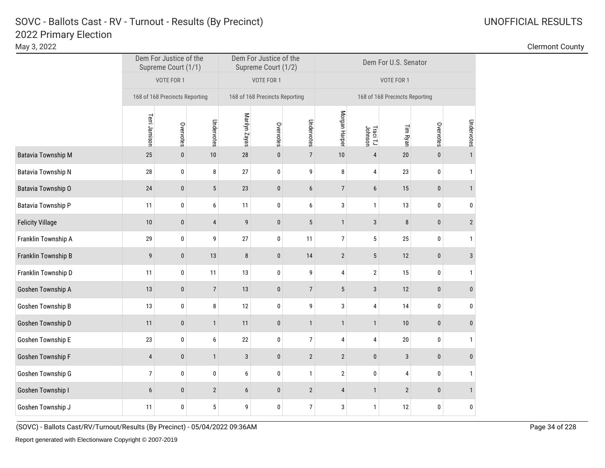# 2022 Primary Election SOVC - Ballots Cast - RV - Turnout - Results (By Precinct) UNOFFICIAL RESULTS

Goshen Township D

| May 3, 2022               |                                                                                               |              |                |               |                                               |                |                |                     |                                |              |                | <b>Clermont County</b> |
|---------------------------|-----------------------------------------------------------------------------------------------|--------------|----------------|---------------|-----------------------------------------------|----------------|----------------|---------------------|--------------------------------|--------------|----------------|------------------------|
|                           | Dem For Justice of the<br>Supreme Court (1/1)<br>VOTE FOR 1<br>168 of 168 Precincts Reporting |              |                |               | Dem For Justice of the<br>Supreme Court (1/2) |                |                |                     | Dem For U.S. Senator           |              |                |                        |
|                           |                                                                                               |              |                |               | VOTE FOR 1                                    |                |                |                     | VOTE FOR 1                     |              |                |                        |
|                           |                                                                                               |              |                |               | 168 of 168 Precincts Reporting                |                |                |                     | 168 of 168 Precincts Reporting |              |                |                        |
|                           | Terri Jamison                                                                                 | Overvotes    | Undervotes     | Marilyn Zayas | Overvotes                                     | Undervotes     | Morgan Harper  | Traci TJ<br>Johnson | Tim Ryan                       | Overvotes    | Undervotes     |                        |
| <b>Batavia Township M</b> | 25                                                                                            | $\mathbf{0}$ | 10             | 28            | $\bf{0}$                                      | $\overline{7}$ | 10             | $\overline{4}$      | 20                             | 0            |                |                        |
| Batavia Township N        | 28                                                                                            | $\mathbf 0$  | 8              | 27            | $\pmb{0}$                                     | 9              | 8              | 4                   | 23                             | $\mathbf 0$  |                |                        |
| Batavia Township O        | 24                                                                                            | $\mathbf 0$  | $\sqrt{5}$     | 23            | $\bf{0}$                                      | 6              | $\overline{7}$ | 6                   | 15                             | $\mathbf{0}$ |                |                        |
| Batavia Township P        | 11                                                                                            | 0            | 6              | 11            | $\bf{0}$                                      | 6              | 3              |                     | 13                             | $\mathbf 0$  | 0              |                        |
| <b>Felicity Village</b>   | 10                                                                                            | $\mathbf 0$  | 4              | 9             | $\bf{0}$                                      | 5              |                | 3                   | 8                              | $\mathbf{0}$ | $\overline{2}$ |                        |
| Franklin Township A       | 29                                                                                            | 0            | 9              | 27            | 0                                             | 11             | $\overline{7}$ | 5                   | 25                             | $\mathbf 0$  |                |                        |
| Franklin Township B       | 9                                                                                             | $\bf{0}$     | 13             | 8             | $\pmb{0}$                                     | 14             | $\overline{2}$ | $5\phantom{.0}$     | 12                             | $\mathbf{0}$ | 3              |                        |
| Franklin Township D       | 11                                                                                            | 0            | 11             | 13            | $\pmb{0}$                                     | 9              | 4              | $\overline{2}$      | 15                             | $\mathbf 0$  |                |                        |
| Goshen Township A         | 13                                                                                            | $\bf{0}$     | $\overline{7}$ | 13            | $\bf{0}$                                      | 7              | 5              | 3                   | 12                             | $\mathbf 0$  |                |                        |
| Goshen Township B         | 13                                                                                            | $\mathbf 0$  | 8              | 12            | $\pmb{0}$                                     | 9              | 3              | 4                   | 14                             | $\mathbf 0$  | 0              |                        |
| Goshen Townshin D         | 11                                                                                            | $\Omega$     | $\mathbf{1}$   | 11            | $\mathbf{0}$                                  | $\overline{1}$ | $\mathbf{1}$   | $\mathbf{1}$        | 10                             | $\Omega$     | $\Omega$       |                        |

Goshen Township E 23 0 6 22 0 7 4 4 20 0 1

Goshen Township F 5 0 4 0 1 3 0 2 2 0 3 0 0

Goshen Township G  $\begin{array}{cccc|c} 1 & 0 & 0 & 6 & 0 & 1 & 2 & 0 & 4 & 0 & 1 \end{array}$ 

Goshen Township I 6 0 2 6 0 2 4 1 2 0 1

Goshen Township J <sup>11</sup> <sup>0</sup> <sup>5</sup> <sup>9</sup> <sup>0</sup> <sup>7</sup> <sup>3</sup> <sup>1</sup> <sup>12</sup> <sup>0</sup> <sup>0</sup>

(SOVC) - Ballots Cast/RV/Turnout/Results (By Precinct) - 05/04/2022 09:36AM Page 34 of 228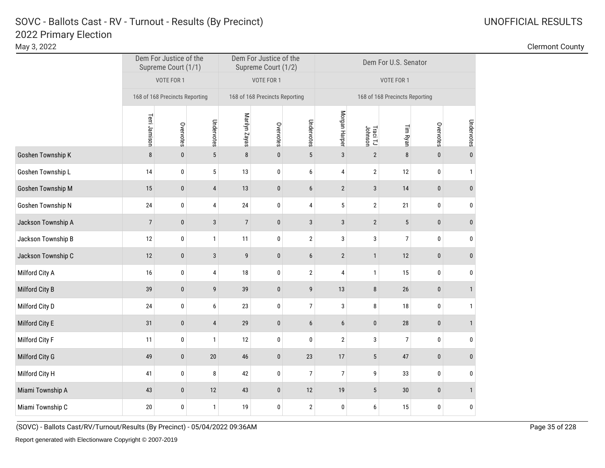# 2022 Primary Election SOVC - Ballots Cast - RV - Turnout - Results (By Precinct) and Manuscription Control Control Control Control Control Control Control Control Control Control Control Control Control Control Control Control Control Control C

| May 3, 2022        |                                |                                               |                |                |                                                             |                |                |                     |                                |                  |              | <b>Clermont County</b> |
|--------------------|--------------------------------|-----------------------------------------------|----------------|----------------|-------------------------------------------------------------|----------------|----------------|---------------------|--------------------------------|------------------|--------------|------------------------|
|                    |                                | Dem For Justice of the<br>Supreme Court (1/1) |                |                | Dem For Justice of the<br>Supreme Court (1/2)<br>VOTE FOR 1 |                |                |                     | Dem For U.S. Senator           |                  |              |                        |
|                    |                                | VOTE FOR 1                                    |                |                |                                                             |                |                |                     | VOTE FOR 1                     |                  |              |                        |
|                    | 168 of 168 Precincts Reporting |                                               |                |                | 168 of 168 Precincts Reporting                              |                |                |                     | 168 of 168 Precincts Reporting |                  |              |                        |
|                    | Terri Jamison                  | Overvotes                                     | Undervotes     | Marilyn Zayas  | Overvotes                                                   | Undervotes     | Morgan Harper  | Traci TJ<br>Johnson | Tim Ryan                       | Overvotes        | Undervotes   |                        |
| Goshen Township K  | 8                              | $\mathbf 0$                                   | 5              | $\bf 8$        | $\bf{0}$                                                    | 5              | 3              | $\overline{2}$      | 8                              | $\theta$         |              |                        |
| Goshen Township L  | 14                             | 0                                             | 5              | 13             | 0                                                           | 6              | 4              | $\overline{2}$      | 12                             | $\mathbf 0$      |              |                        |
| Goshen Township M  | 15                             | $\bf{0}$                                      | 4              | $13$           | $\pmb{0}$                                                   | 6              | $\overline{2}$ | $\mathbf{3}$        | 14                             | $\mathbf 0$      |              |                        |
| Goshen Township N  | 24                             | 0                                             | 4              | 24             | $\pmb{0}$                                                   | 4              | 5              | $\mathbf{2}$        | 21                             | $\boldsymbol{0}$ | 0            |                        |
| Jackson Township A | $\overline{7}$                 | $\mathbf 0$                                   | $\sqrt{3}$     | $\overline{7}$ | $\pmb{0}$                                                   | $\mathbf{3}$   | $\mathbf{3}$   | $\overline{2}$      | 5                              | $\mathbf{0}$     |              |                        |
| Jackson Township B | $12\,$                         | $\pmb{0}$                                     | 1              | 11             | $\pmb{0}$                                                   | $\overline{2}$ | 3              | 3                   | 7 <sup>1</sup>                 | $\bf{0}$         | $\mathbf{0}$ |                        |
| Jackson Township C | 12                             | $\mathbf 0$                                   | $\sqrt{3}$     | 9              | $\bf{0}$                                                    | 6              | $\overline{2}$ | $\mathbf{1}$        | 12                             | $\mathbf{0}$     | $\mathbf{0}$ |                        |
| Milford City A     | 16                             | $\mathbf 0$                                   | 4              | $18\,$         | 0                                                           | $\overline{2}$ | 4              | $\mathbf{1}$        | 15                             | $\mathbf 0$      | 0            |                        |
| Milford City B     | 39                             | $\bf{0}$                                      | 9              | $39\,$         | $\pmb{0}$                                                   | 9              | $13$           | 8                   | 26                             | $\boldsymbol{0}$ |              |                        |
| Milford City D     | 24                             | 0                                             | 6              | 23             | $\pmb{0}$                                                   | $\overline{7}$ | 3              | 8                   | 18                             | $\mathbf 0$      |              |                        |
| Milford City E     | 31                             | $\bf{0}$                                      | $\overline{4}$ | 29             | $\bf{0}$                                                    | 6              | 6              | $\bf{0}$            | 28                             | $\mathbf 0$      |              |                        |
| Milford City F     | 11                             | 0                                             | $\mathbf{1}$   | 12             | 0                                                           | 0              | $\mathbf{2}$   | 3                   | $\overline{7}$                 | $\mathbf 0$      | 0            |                        |
| Milford City G     | 49                             | $\mathbf{0}$                                  | 20             | 46             | $\bf{0}$                                                    | 23             | 17             | 5                   | 47                             | $\mathbf{0}$     | $\mathbf{0}$ |                        |

0 | 41 | 0 | 8 | 42 | 0 | 7 | 9 | 33 | 0 | 0 Miami Township A 43 0 12 43 0 12 19 5 30 0 1

Miami Township C 20 1 0 1 19 0 2 0 6 15 0 0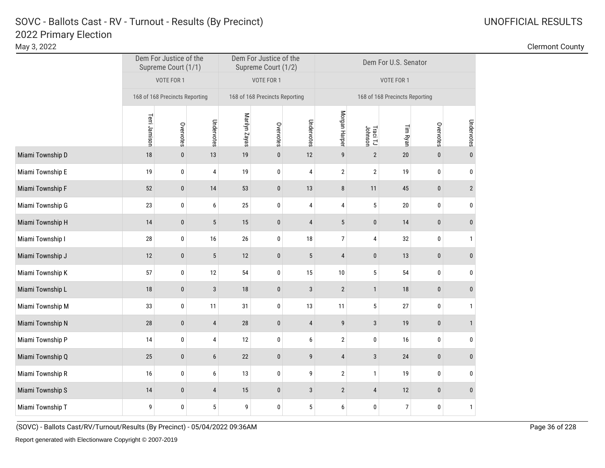# 2022 Primary Election SOVC - Ballots Cast - RV - Turnout - Results (By Precinct) and Manuscription Control Control Control Control Control Control Control Control Control Control Control Control Control Control Control Control Control Control C

|                  |                                | Dem For Justice of the<br>Supreme Court (1/1) |                |               | Dem For Justice of the<br>Supreme Court (1/2) |            | Dem For U.S. Senator           |                     |          |              |                |  |  |
|------------------|--------------------------------|-----------------------------------------------|----------------|---------------|-----------------------------------------------|------------|--------------------------------|---------------------|----------|--------------|----------------|--|--|
|                  |                                | VOTE FOR 1                                    |                |               | VOTE FOR 1                                    |            | VOTE FOR 1                     |                     |          |              |                |  |  |
|                  | 168 of 168 Precincts Reporting |                                               |                |               | 168 of 168 Precincts Reporting                |            | 168 of 168 Precincts Reporting |                     |          |              |                |  |  |
|                  | Terri Jamison                  | Overvotes                                     | Undervotes     | Marilyn Zayas | Overvotes                                     | Undervotes | Morgan Harper                  | Traci TJ<br>Johnson | Tim Ryan | Overvotes    | Undervotes     |  |  |
| Miami Township D | 18                             | $\pmb{0}$                                     | 13             | 19            | $\pmb{0}$                                     | 12         | 9                              | $\sqrt{2}$          | $20\,$   | $\pmb{0}$    | $\pmb{0}$      |  |  |
| Miami Township E | 19                             | 0                                             | 4              | 19            | 0                                             | 4          | $\overline{2}$                 | $\overline{2}$      | 19       | 0            | 0              |  |  |
| Miami Township F | 52                             | $\mathbf{0}$                                  | 14             | 53            | $\pmb{0}$                                     | 13         | 8                              | 11                  | 45       | $\pmb{0}$    | $\overline{2}$ |  |  |
| Miami Township G | 23                             | 0                                             | 6              | 25            | $\pmb{0}$                                     | 4          | 4                              | $\sqrt{5}$          | $20\,$   | 0            | 0              |  |  |
| Miami Township H | 14                             | $\pmb{0}$                                     | $5\,$          | 15            | $\pmb{0}$                                     | 4          | 5                              | $\mathbf 0$         | 14       | $\pmb{0}$    | $\bf{0}$       |  |  |
| Miami Township I | 28                             | 0                                             | 16             | 26            | 0                                             | 18         | 7                              | 4                   | 32       | 0            | 1              |  |  |
| Miami Township J | 12                             | $\bf{0}$                                      | 5              | 12            | $\bf{0}$                                      | 5          | $\overline{4}$                 | $\pmb{0}$           | 13       | $\pmb{0}$    | $\pmb{0}$      |  |  |
| Miami Township K | 57                             | 0                                             | 12             | 54            | 0                                             | 15         | 10                             | 5                   | 54       | 0            | 0              |  |  |
| Miami Township L | 18                             | $\mathbf{0}$                                  | 3              | 18            | $\mathbf{0}$                                  | 3          | $\overline{2}$                 | $\mathbf{1}$        | 18       | $\pmb{0}$    | $\bf{0}$       |  |  |
| Miami Township M | 33                             | 0                                             | 11             | 31            | $\pmb{0}$                                     | 13         | 11                             | $\sqrt{5}$          | 27       | 0            | 1              |  |  |
| Miami Township N | 28                             | 0                                             | 4              | 28            | $\pmb{0}$                                     | 4          | 9                              | $\mathbf{3}$        | 19       | $\pmb{0}$    | $\mathbf{1}$   |  |  |
| Miami Township P | 14                             | 0                                             | 4              | 12            | 0                                             | 6          | $\overline{2}$                 | $\bf{0}$            | 16       | 0            | 0              |  |  |
| Miami Township Q | 25                             | $\bf{0}$                                      | 6              | 22            | $\bf{0}$                                      | 9          | 4                              | 3                   | 24       | $\pmb{0}$    | $\bf{0}$       |  |  |
| Miami Township R | 16                             | $\bf{0}$                                      | 6              | 13            | $\bf{0}$                                      | 9          | $\overline{2}$                 | $\mathbf{1}$        | 19       | 0            | 0              |  |  |
| Miami Township S | 14                             | $\mathbf{0}$                                  | $\overline{4}$ | 15            | $\bf{0}$                                      | 3          | $\overline{2}$                 | $\overline{4}$      | 12       | $\mathbf{0}$ | $\mathbf{0}$   |  |  |

Miami Township T 9 9 0 5 9 0 9 0 0 0 0 1

(SOVC) - Ballots Cast/RV/Turnout/Results (By Precinct) - 05/04/2022 09:36AM Page 36 of 228

May 3, 2022 Clermont County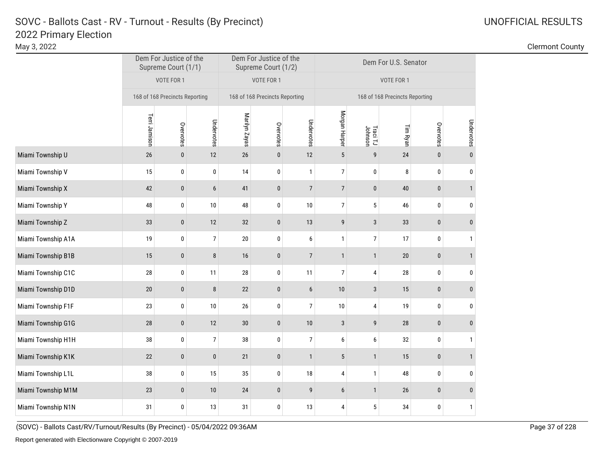|                    | Dem For Justice of the<br>Supreme Court (1/1) |                                |                |               | Dem For Justice of the<br>Supreme Court (1/2) |                | Dem For U.S. Senator           |                     |          |           |              |  |  |
|--------------------|-----------------------------------------------|--------------------------------|----------------|---------------|-----------------------------------------------|----------------|--------------------------------|---------------------|----------|-----------|--------------|--|--|
|                    |                                               | VOTE FOR 1                     |                |               | VOTE FOR 1                                    |                | VOTE FOR 1                     |                     |          |           |              |  |  |
|                    |                                               | 168 of 168 Precincts Reporting |                |               | 168 of 168 Precincts Reporting                |                | 168 of 168 Precincts Reporting |                     |          |           |              |  |  |
|                    | Terri Jamison                                 | Overvotes                      | Undervotes     | Marilyn Zayas | Overvotes                                     | Undervotes     | Morgan Harper                  | Traci TJ<br>Johnson | Tim Ryan | Overvotes | Undervotes   |  |  |
| Miami Township U   | 26                                            | $\mathbf{0}$                   | 12             | 26            | $\bf{0}$                                      | 12             | 5                              | 9                   | 24       | $\pmb{0}$ | $\bf{0}$     |  |  |
| Miami Township V   | 15                                            | 0                              | 0              | 14            | 0                                             | $\mathbf{1}$   | 7                              | $\mathbf 0$         | 8        | 0         | 0            |  |  |
| Miami Township X   | 42                                            | $\bf{0}$                       | 6              | 41            | $\pmb{0}$                                     | $\overline{7}$ | $\overline{7}$                 | $\pmb{0}$           | 40       | $\pmb{0}$ | $\mathbf{1}$ |  |  |
| Miami Township Y   | 48                                            | 0                              | 10             | 48            | 0                                             | 10             | $\overline{7}$                 | 5                   | 46       | 0         | 0            |  |  |
| Miami Township Z   | 33                                            | $\mathbf{0}$                   | 12             | 32            | $\pmb{0}$                                     | 13             | 9                              | 3                   | 33       | $\pmb{0}$ | $\bf{0}$     |  |  |
| Miami Township A1A | 19                                            | 0                              | $\overline{7}$ | 20            | 0                                             | 6              | $\mathbf{1}$                   | $\overline{7}$      | 17       | 0         | 1            |  |  |
| Miami Township B1B | 15                                            | $\bf{0}$                       | 8              | 16            | $\pmb{0}$                                     | $\overline{7}$ | $\mathbf{1}$                   | $\mathbf{1}$        | $20\,$   | $\pmb{0}$ | $\mathbf{1}$ |  |  |
| Miami Township C1C | 28                                            | 0                              | 11             | 28            | 0                                             | 11             | 7                              | 4                   | 28       | 0         | 0            |  |  |
| Miami Township D1D | 20                                            | $\pmb{0}$                      | 8              | 22            | $\pmb{0}$                                     | 6              | 10                             | $\mathbf{3}$        | 15       | $\pmb{0}$ | 0            |  |  |
| Miami Township F1F | 23                                            | $\mathbf 0$                    | 10             | 26            | 0                                             | $\overline{7}$ | 10                             | 4                   | 19       | 0         | 0            |  |  |
| Miami Township G1G | 28                                            | 0                              | 12             | 30            | $\pmb{0}$                                     | 10             | $\mathbf{3}$                   | 9                   | 28       | $\pmb{0}$ | 0            |  |  |
| Miami Township H1H | 38                                            | 0                              | $\overline{7}$ | 38            | $\mathbf{0}$                                  | $\overline{7}$ | 6                              | 6                   | 32       | 0         | $\mathbf{1}$ |  |  |
| Miami Township K1K | 22                                            | $\mathbf{0}$                   | $\bf{0}$       | 21            | $\pmb{0}$                                     | $\mathbf{1}$   | 5                              | $\mathbf{1}$        | 15       | $\pmb{0}$ | $\mathbf{1}$ |  |  |
| Miami Township L1L | 38                                            | 0                              | 15             | 35            | 0                                             | 18             | 4                              | $\mathbf{1}$        | 48       | 0         | 0            |  |  |
| Miami Township M1M | 23                                            | $\mathbf{0}$                   | 10             | 24            | $\mathbf{0}$                                  | 9              | 6                              | $\mathbf{1}$        | 26       | $\pmb{0}$ | $\bf{0}$     |  |  |
|                    |                                               |                                |                |               |                                               |                |                                |                     |          |           |              |  |  |

Miami Township N1N 13 31 0 13 31 13 13 13 14 5 34 0 1

(SOVC) - Ballots Cast/RV/Turnout/Results (By Precinct) - 05/04/2022 09:36AM Page 37 of 228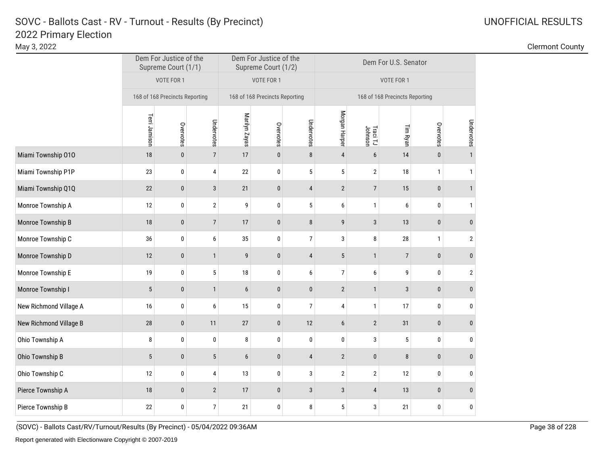# 2022 Primary Election SOVC - Ballots Cast - RV - Turnout - Results (By Precinct) UNOFFICIAL RESULTS

Dem For Justice of the Dem For Justice of the Supreme Court (1/2) Dem For U.S. Senator<br>Supreme Court (1/2) Supreme Court (1/1) VOTE FOR 1 VOTE FOR 1 VOTE FOR 1 168 of 168 Precincts Reporting 168 of 168 Precincts Reporting 168 of 168 Precincts Reporting Morgan Harper Morgan Harper Terri Jamison Marilyn Zayas Terri Jamison Marilyn Zayas Undervotes Undervotes Undervotes Overvotes Overvotes Overvotes Tim Ryan Johnson Traci TJ Miami Township 010 18 18 0 7 17 0 8 4 6 14 0 1 Miami Township P1P 23 0 4 22 0 5 5 2 18 1 Miami Township Q1Q 22 0 3 21 0 4 2 7 15 0 1 Monroe Township A 12 0 2 9 0 5 6 1 6 0 1 Monroe Township B 18 0 7 17 0 8 9 3 13 0 0 Monroe Township C 36 36 0 6 35 0 7 3 8 28 1 2 Monroe Township D 12 0 1 9 0 4 5 1 7 0 0 Monroe Township E 19 19 0 5 18 0 6 7 6 9 0 2 Monroe Township I 5 | 0 | 1 6 0 | 0 | 2 | 1 | 3 | 0 | 0 New Richmond Village A 16 0 6 15 0 7 4 1 17 0 0 New Richmond Village B 28 0 11 27 0 12 6 2 31 0 0 Ohio Township A 8 | 0 | 0 | 8 | 0 | 0 | 3 | 5 | 0 | 0 Ohio Township B 5 0 5 6 0 4 2 0 8 0 0 Ohio Township C 12 0 4 13 0 3 2 2 12 0 0 Pierce Township A 18 0 2 17 0 3 3 4 13 0 0 Pierce Township B 22 0 7 21 0 8 5 3 21 0 0

(SOVC) - Ballots Cast/RV/Turnout/Results (By Precinct) - 05/04/2022 09:36AM Page 38 of 228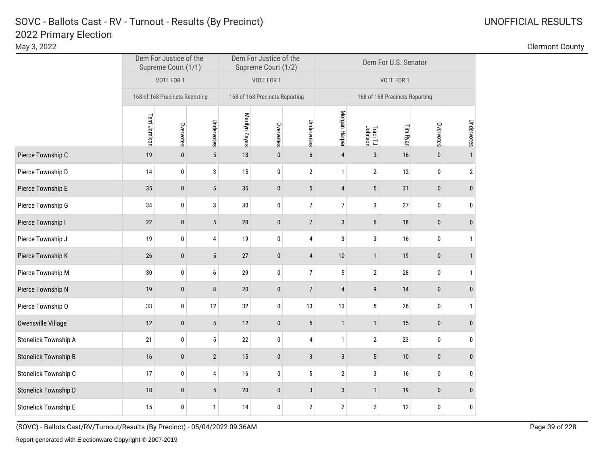May 3, 2022 Clermont County

|                             | Dem For Justice of the<br>Supreme Court (1/1) |                                |                 |               | Dem For Justice of the<br>Supreme Court (1/2) |                | Dem For U.S. Senator           |                     |          |           |              |  |  |
|-----------------------------|-----------------------------------------------|--------------------------------|-----------------|---------------|-----------------------------------------------|----------------|--------------------------------|---------------------|----------|-----------|--------------|--|--|
|                             |                                               | VOTE FOR 1                     |                 |               | VOTE FOR 1                                    |                | VOTE FOR 1                     |                     |          |           |              |  |  |
|                             |                                               | 168 of 168 Precincts Reporting |                 |               | 168 of 168 Precincts Reporting                |                | 168 of 168 Precincts Reporting |                     |          |           |              |  |  |
|                             | Terri Jamison<br>Undervotes<br>Overvotes      |                                |                 | Marilyn Zayas | Overvotes                                     | Undervotes     | Morgan Harper                  | Traci TJ<br>Johnson | Tim Ryan | Overvotes | Undervotes   |  |  |
| Pierce Township C           | 19                                            | 0                              | $5\,$           | 18            | $\mathbf 0$                                   | $6\phantom{1}$ | $\overline{4}$                 | $\mathbf{3}$        | 16       | $\bf{0}$  | $\mathbf{1}$ |  |  |
| Pierce Township D           | 14                                            | 0                              | 3               | 15            | $\mathbf{0}$                                  | $\overline{2}$ | $\mathbf{1}$                   | $\sqrt{2}$          | 12       | $\pmb{0}$ | $\sqrt{2}$   |  |  |
| Pierce Township E           | 35                                            | 0                              | $\sqrt{5}$      | 35            | $\bf{0}$                                      | 5              | $\overline{4}$                 | $5\phantom{.0}$     | 31       | $\pmb{0}$ | $\mathbf 0$  |  |  |
| Pierce Township G           | 34                                            | 0                              | 3               | 30            | $\bf{0}$                                      | $\overline{7}$ | $\overline{7}$                 | 3                   | 27       | $\pmb{0}$ | $\pmb{0}$    |  |  |
| Pierce Township I           | 22                                            | 0                              | $5\phantom{.0}$ | $20\,$        | $\mathbf 0$                                   | $\overline{7}$ | $\mathbf{3}$                   | 6                   | 18       | $\bf{0}$  | $\bf{0}$     |  |  |
| Pierce Township J           | 19                                            | 0                              | 4               | 19            | $\pmb{0}$                                     | $\overline{4}$ | 3                              | $\mathbf{3}$        | 16       | $\pmb{0}$ | $\mathbf{1}$ |  |  |
| Pierce Township K           | 26                                            | $\pmb{0}$                      | $5\,$           | 27            | $\mathbf 0$                                   | $\overline{4}$ | 10                             | $\mathbf{1}$        | 19       | $\pmb{0}$ | $\mathbf{1}$ |  |  |
| Pierce Township M           | 30                                            | 0                              | 6               | 29            | $\bf{0}$                                      | $\overline{7}$ | 5                              | $\overline{2}$      | $28\,$   | $\pmb{0}$ | $\mathbf{1}$ |  |  |
| Pierce Township N           | 19                                            | $\pmb{0}$                      | $\bf 8$         | 20            | $\bf{0}$                                      | $\overline{7}$ | $\overline{4}$                 | 9                   | 14       | $\pmb{0}$ | $\bf{0}$     |  |  |
| Pierce Township O           | 33                                            | 0                              | 12              | 32            | $\pmb{0}$                                     | 13             | 13                             | $5\phantom{.0}$     | 26       | $\bf{0}$  | $\mathbf{1}$ |  |  |
| Owensville Village          | 12                                            | $\pmb{0}$                      | $5\phantom{.0}$ | 12            | $\pmb{0}$                                     | $\sqrt{5}$     | $\mathbf{1}$                   | $\mathbf{1}$        | 15       | $\pmb{0}$ | $\pmb{0}$    |  |  |
| <b>Stonelick Township A</b> | 21                                            | 0                              | $5\,$           | 22            | $\mathbf 0$                                   | 4              | $\mathbf{1}$                   | $\overline{2}$      | 23       | $\pmb{0}$ | 0            |  |  |
| <b>Stonelick Township B</b> | 16                                            | $\pmb{0}$                      | $\overline{2}$  | 15            | $\pmb{0}$                                     | $\sqrt{3}$     | $\mathbf{3}$                   | $5\phantom{.0}$     | $10$     | $\pmb{0}$ | $\pmb{0}$    |  |  |
| Stonelick Township C        | 17                                            | 0                              | $\overline{4}$  | 16            | $\pmb{0}$                                     | $\sqrt{5}$     | $\mathbf{2}$                   | 3                   | 16       | $\pmb{0}$ | 0            |  |  |
| Stonelick Township D        | 18                                            | $\pmb{0}$                      | $5\,$           | 20            | $\pmb{0}$                                     | $\sqrt{3}$     | $\mathbf{3}$                   | $\mathbf{1}$        | 19       | $\pmb{0}$ | $\pmb{0}$    |  |  |
| <b>Stonelick Township E</b> | 15                                            | 0                              | $\mathbf{1}$    | 14            | 0                                             | $\sqrt{2}$     | $\overline{2}$                 | $\overline{2}$      | 12       | 0         | $\pmb{0}$    |  |  |

(SOVC) - Ballots Cast/RV/Turnout/Results (By Precinct) - 05/04/2022 09:36AM Page 39 of 228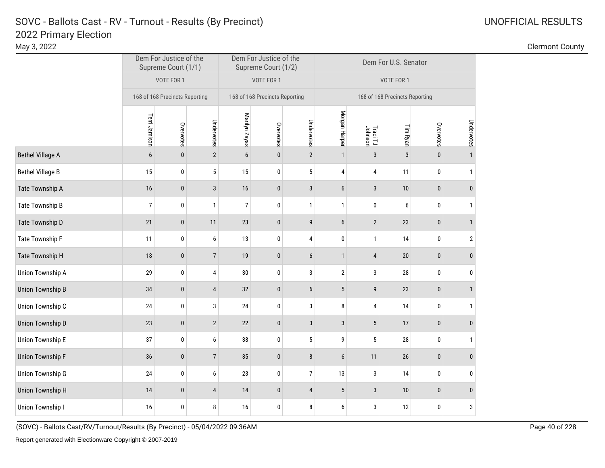| May 3, 2022             |                |                                               |                  |                                               |             |                |               |                     |                                |                  |              | <b>Clermont County</b> |
|-------------------------|----------------|-----------------------------------------------|------------------|-----------------------------------------------|-------------|----------------|---------------|---------------------|--------------------------------|------------------|--------------|------------------------|
|                         |                | Dem For Justice of the<br>Supreme Court (1/1) |                  | Dem For Justice of the<br>Supreme Court (1/2) |             |                |               |                     | Dem For U.S. Senator           |                  |              |                        |
|                         |                | VOTE FOR 1                                    |                  | VOTE FOR 1                                    |             |                |               |                     | VOTE FOR 1                     |                  |              |                        |
|                         |                | 168 of 168 Precincts Reporting                |                  | 168 of 168 Precincts Reporting                |             |                |               |                     | 168 of 168 Precincts Reporting |                  |              |                        |
|                         | Terri Jamison  | Overvotes                                     | Undervotes       | Marilyn Zayas                                 | Overvotes   | Undervotes     | Morgan Harper | Traci TJ<br>Johnson | Tim Ryan                       | Overvotes        | Undervotes   |                        |
| <b>Bethel Village A</b> | 6              | $\mathbf{0}$                                  | $\mathbf{2}$     | 6                                             | $\mathbf 0$ | $\overline{2}$ | $\mathbf{1}$  | $\mathbf{3}$        | 3                              | $\mathbf{0}$     |              |                        |
| <b>Bethel Village B</b> | 15             | 0                                             | 5                | 15                                            | 0           | 5              | 4             | 4                   | 11                             | $\mathbf 0$      |              |                        |
| Tate Township A         | 16             | $\bf{0}$                                      | 3                | 16                                            | $\bf{0}$    | 3              | 6             | 3                   | 10                             | $\mathbf{0}$     |              |                        |
| Tate Township B         | $\overline{7}$ | 0                                             | $\mathbf{1}$     | $\overline{7}$                                | 0           | $\mathbf{1}$   | 1             | 0                   | 6                              | $\mathbf 0$      |              |                        |
| Tate Township D         | 21             | $\bf{0}$                                      | 11               | 23                                            | $\mathbf 0$ | 9              | 6             | $\overline{2}$      | 23                             | $\mathbf 0$      |              |                        |
| Tate Township F         | 11             | 0                                             | 6                | 13                                            | $\bf{0}$    | 4              | 0             |                     | 14                             | $\mathbf{0}$     | 2            |                        |
| Tate Township H         | $18$           | $\mathbf 0$                                   | $\overline{7}$   | 19                                            | $\bf{0}$    | 6              | $\mathbf{1}$  | $\overline{4}$      | 20                             | $\mathbf 0$      |              |                        |
| Union Township A        | 29             | 0                                             | 4                | $30\,$                                        | $\pmb{0}$   | $\mathbf{3}$   | $\mathbf{2}$  | 3                   | 28                             | $\bm{0}$         |              |                        |
| <b>Union Township B</b> | 34             | $\bf{0}$                                      | 4                | 32                                            | $\bf{0}$    | 6              | 5             | 9                   | 23                             | $\boldsymbol{0}$ |              |                        |
| Union Township C        | $24$           | $\pmb{0}$                                     | 3                | $24\,$                                        | $\pmb{0}$   | 3              | 8             | 4                   | 14                             | $\bf{0}$         |              |                        |
| <b>Union Township D</b> | 23             | $\pmb{0}$                                     | $\sqrt{2}$       | 22                                            | $\pmb{0}$   | $\sqrt{3}$     | $\mathbf{3}$  | $5\phantom{.0}$     | 17                             | $\boldsymbol{0}$ |              |                        |
| Union Township E        | 37             | $\bf{0}$                                      | $\boldsymbol{6}$ | $38\,$                                        | $\pmb{0}$   | 5              | 9             | 5                   | 28                             | $\pmb{0}$        |              |                        |
| <b>Union Township F</b> | 36             | $\mathbf{0}$                                  | $\overline{7}$   | 35                                            | $\pmb{0}$   | 8              | 6             | 11                  | 26                             | $\mathbf 0$      | $\mathbf{0}$ |                        |

Union Township G 24 0 6 23 0 7 13 3 14 0 0

Union Township H <sup>14</sup> <sup>0</sup> <sup>4</sup> <sup>14</sup> <sup>0</sup> <sup>4</sup> <sup>5</sup> <sup>3</sup> <sup>10</sup> <sup>0</sup> <sup>0</sup>

Union Township I 16 16 0 8 16 0 8 6 3 12 0 3

(SOVC) - Ballots Cast/RV/Turnout/Results (By Precinct) - 05/04/2022 09:36AM Page 40 of 228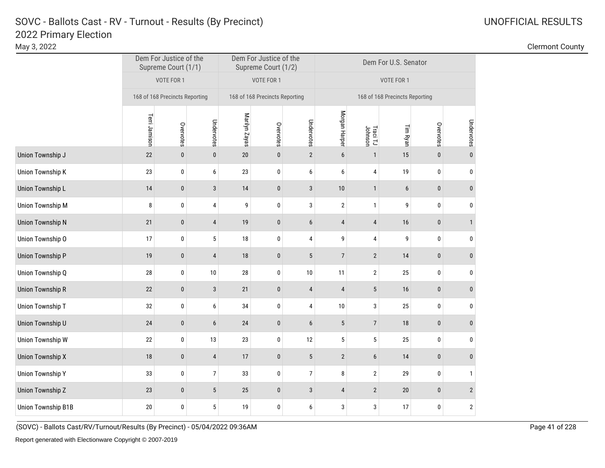| _____       |  |                 |  |
|-------------|--|-----------------|--|
| May 3, 2022 |  | Clermont County |  |
|             |  |                 |  |

|                           | Dem For Justice of the<br>Supreme Court (1/1) |                                |                  |               | Dem For Justice of the<br>Supreme Court (1/2) |                         | Dem For U.S. Senator           |                     |          |           |                |  |  |
|---------------------------|-----------------------------------------------|--------------------------------|------------------|---------------|-----------------------------------------------|-------------------------|--------------------------------|---------------------|----------|-----------|----------------|--|--|
|                           |                                               | VOTE FOR 1                     |                  |               | VOTE FOR 1                                    |                         | VOTE FOR 1                     |                     |          |           |                |  |  |
|                           |                                               | 168 of 168 Precincts Reporting |                  |               | 168 of 168 Precincts Reporting                |                         | 168 of 168 Precincts Reporting |                     |          |           |                |  |  |
|                           | Terri Jamison<br>Undervotes<br>Overvotes      |                                |                  | Marilyn Zayas | Overvotes                                     | Undervotes              | Morgan Harper                  | Traci TJ<br>Johnson | Tim Ryan | Overvotes | Undervotes     |  |  |
| Union Township J          | 22                                            | $\mathbf{0}$                   | $\pmb{0}$        | 20            | $\mathbf 0$                                   | $\overline{2}$          | $\boldsymbol{6}$               | $\mathbf{1}$        | 15       | $\pmb{0}$ | $\mathbf{0}$   |  |  |
| Union Township K          | 23                                            | $\pmb{0}$                      | 6                | 23            | $\bf{0}$                                      | 6                       | 6                              | 4                   | 19       | 0         | 0              |  |  |
| Union Township L          | 14                                            | $\pmb{0}$                      | $\mathbf{3}$     | 14            | $\bf{0}$                                      | 3                       | 10                             | $\mathbf{1}$        | 6        | $\pmb{0}$ | $\bf{0}$       |  |  |
| <b>Union Township M</b>   | 8                                             | $\pmb{0}$                      | $\overline{4}$   | 9             | $\pmb{0}$                                     | $\sqrt{3}$              | $\overline{2}$                 | $\mathbf{1}$        | 9        | $\pmb{0}$ | 0              |  |  |
| <b>Union Township N</b>   | 21                                            | $\pmb{0}$                      | $\overline{4}$   | 19            | $\mathbf 0$                                   | $6\phantom{1}$          | $\overline{4}$                 | 4                   | 16       | $\pmb{0}$ | $\mathbf{1}$   |  |  |
| Union Township O          | 17                                            | $\pmb{0}$                      | $5\phantom{.0}$  | 18            | $\pmb{0}$                                     | $\pmb{4}$               | 9                              | $\overline{4}$      | 9        | $\pmb{0}$ | 0              |  |  |
| <b>Union Township P</b>   | 19                                            | $\pmb{0}$                      | $\sqrt{4}$       | 18            | $\pmb{0}$                                     | $5\phantom{.0}$         | $\overline{7}$                 | $\overline{2}$      | 14       | $\pmb{0}$ | $\pmb{0}$      |  |  |
| Union Township Q          | 28                                            | $\pmb{0}$                      | 10               | 28            | $\pmb{0}$                                     | 10                      | 11                             | $\mathbf{2}$        | 25       | $\pmb{0}$ | 0              |  |  |
| <b>Union Township R</b>   | $22\,$                                        | $\pmb{0}$                      | $\sqrt{3}$       | 21            | $\bf{0}$                                      | $\overline{\mathbf{r}}$ | $\sqrt{4}$                     | 5                   | 16       | $\pmb{0}$ | $\pmb{0}$      |  |  |
| Union Township T          | 32                                            | 0                              | 6                | 34            | $\bf{0}$                                      | 4                       | $10\,$                         | 3                   | 25       | 0         | 0              |  |  |
| Union Township U          | 24                                            | $\pmb{0}$                      | $\boldsymbol{6}$ | $24\,$        | $\bf{0}$                                      | $\boldsymbol{6}$        | 5                              | $\overline{7}$      | $18\,$   | $\pmb{0}$ | $\pmb{0}$      |  |  |
| <b>Union Township W</b>   | 22                                            | $\pmb{0}$                      | 13               | 23            | $\pmb{0}$                                     | 12                      | 5                              | $\sqrt{5}$          | 25       | 0         | 0              |  |  |
| <b>Union Township X</b>   | 18                                            | $\pmb{0}$                      | $\overline{4}$   | 17            | $\pmb{0}$                                     | $\sqrt{5}$              | $\sqrt{2}$                     | $\boldsymbol{6}$    | 14       | $\pmb{0}$ | $\mathbf{0}$   |  |  |
| <b>Union Township Y</b>   | 33                                            | $\mathbf 0$                    | $\overline{7}$   | 33            | $\pmb{0}$                                     | $\overline{7}$          | 8                              | $\mathbf{2}$        | 29       | $\pmb{0}$ | 1              |  |  |
| <b>Union Township Z</b>   | 23                                            | $\pmb{0}$                      | $\sqrt{5}$       | 25            | $\pmb{0}$                                     | $\mathfrak{z}$          | $\overline{4}$                 | $\sqrt{2}$          | $20\,$   | $\pmb{0}$ | $\overline{2}$ |  |  |
| <b>Union Township B1B</b> | 20                                            | 0                              | 5                | 19            | $\pmb{0}$                                     | 6                       | 3                              | 3                   | 17       | $\pmb{0}$ | $\mathbf{2}$   |  |  |

(SOVC) - Ballots Cast/RV/Turnout/Results (By Precinct) - 05/04/2022 09:36AM Page 41 of 228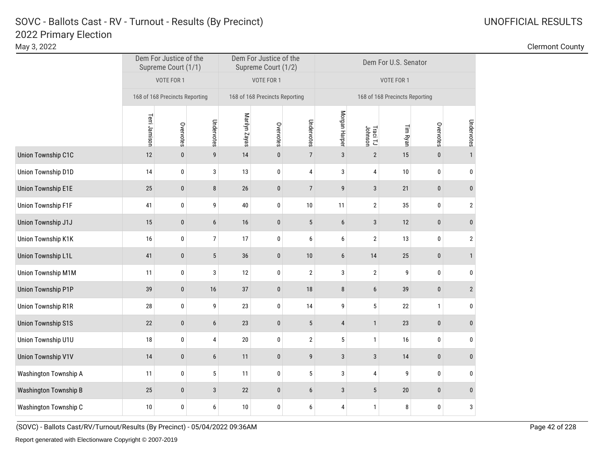|                           | Dem For Justice of the<br>Supreme Court (1/1) |                                |                  |               | Dem For Justice of the<br>Supreme Court (1/2) |                | Dem For U.S. Senator           |                     |          |              |                |  |
|---------------------------|-----------------------------------------------|--------------------------------|------------------|---------------|-----------------------------------------------|----------------|--------------------------------|---------------------|----------|--------------|----------------|--|
|                           |                                               | VOTE FOR 1                     |                  |               | VOTE FOR 1                                    |                | VOTE FOR 1                     |                     |          |              |                |  |
|                           |                                               | 168 of 168 Precincts Reporting |                  |               | 168 of 168 Precincts Reporting                |                | 168 of 168 Precincts Reporting |                     |          |              |                |  |
|                           | Terri Jamison                                 | Overvotes                      | Undervotes       | Marilyn Zayas | Overvotes                                     | Undervotes     | Morgan Harper                  | Traci TJ<br>Johnson | Tim Ryan | Overvotes    | Undervotes     |  |
| Union Township C1C        | 12                                            | $\pmb{0}$                      | $\boldsymbol{9}$ | 14            | $\bf{0}$                                      | $\overline{7}$ | $\overline{3}$                 | $\overline{2}$      | 15       | $\mathbf{0}$ | $\mathbf{1}$   |  |
| Union Township D1D        | 14                                            | 0                              | 3                | 13            | 0                                             | 4              | 3                              | 4                   | 10       | $\bf{0}$     | 0              |  |
| <b>Union Township E1E</b> | 25                                            | $\pmb{0}$                      | $\bf 8$          | $26\,$        | $\bf{0}$                                      | $\overline{7}$ | 9                              | 3                   | 21       | $\mathbf{0}$ | $\pmb{0}$      |  |
| <b>Union Township F1F</b> | 41                                            | $\bf{0}$                       | 9                | 40            | $\pmb{0}$                                     | 10             | 11                             | 2                   | 35       | 0            | $\overline{2}$ |  |
| Union Township J1J        | 15                                            | $\pmb{0}$                      | $\boldsymbol{6}$ | 16            | $\pmb{0}$                                     | 5              | $\boldsymbol{6}$               | $\sqrt{3}$          | 12       | $\pmb{0}$    | $\pmb{0}$      |  |
| Union Township K1K        | 16                                            | 0                              | $\overline{7}$   | 17            | 0                                             | 6              | 6                              | 2                   | 13       | 0            | $\overline{2}$ |  |
| <b>Union Township L1L</b> | 41                                            | $\pmb{0}$                      | $5\,$            | 36            | $\pmb{0}$                                     | 10             | 6                              | 14                  | 25       | $\mathbf{0}$ | $\mathbf{1}$   |  |
| Union Township M1M        | 11                                            | $\pmb{0}$                      | 3                | 12            | $\pmb{0}$                                     | $\overline{2}$ | 3                              | $\mathbf{2}$        | 9        | $\mathbf 0$  | $\bf{0}$       |  |
| Union Township P1P        | 39                                            | $\pmb{0}$                      | $16$             | 37            | $\pmb{0}$                                     | 18             | $\bf 8$                        | 6                   | 39       | $\mathbf{0}$ | $\sqrt{2}$     |  |
| <b>Union Township R1R</b> | 28                                            | 0                              | 9                | 23            | $\pmb{0}$                                     | 14             | 9                              | 5                   | 22       | $\mathbf{1}$ | $\bf{0}$       |  |
| <b>Union Township S1S</b> | 22                                            | $\pmb{0}$                      | $\boldsymbol{6}$ | 23            | $\pmb{0}$                                     | 5              | $\sqrt{4}$                     | $\mathbf{1}$        | 23       | $\bf{0}$     | $\pmb{0}$      |  |
| Union Township U1U        | 18                                            | $\bf{0}$                       | 4                | $20\,$        | $\pmb{0}$                                     | $\mathbf{2}$   | 5                              | $\mathbf{1}$        | 16       | 0            | 0              |  |
| <b>Union Township V1V</b> | 14                                            | $\pmb{0}$                      | $\boldsymbol{6}$ | 11            | $\pmb{0}$                                     | 9              | $\mathbf{3}$                   | $\mathbf{3}$        | 14       | $\pmb{0}$    | $\pmb{0}$      |  |
| Washington Township A     | 11                                            | $\pmb{0}$                      | $\mathbf 5$      | 11            | $\pmb{0}$                                     | $\sqrt{5}$     | 3                              | 4                   | 9        | $\pmb{0}$    | 0              |  |
| Washington Township B     | 25                                            | $\pmb{0}$                      | 3                | 22            | $\pmb{0}$                                     | 6              | $\mathbf{3}$                   | 5                   | $20\,$   | $\pmb{0}$    | $\pmb{0}$      |  |
| Washington Township C     | 10                                            | 0                              | 6                | $10$          | $\pmb{0}$                                     | 6              | 4                              | $\mathbf{1}$        | 8        | 0            | 3              |  |

(SOVC) - Ballots Cast/RV/Turnout/Results (By Precinct) - 05/04/2022 09:36AM Page 42 of 228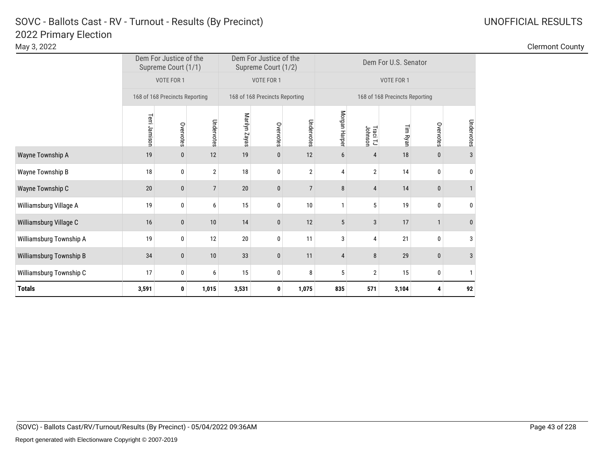# 2022 Primary Election SOVC - Ballots Cast - RV - Turnout - Results (By Precinct)

| UNOFFICIAL RESULTS |  |
|--------------------|--|
|--------------------|--|

| <b>Totals</b>           | 3,591<br>1,015<br>0                           |                                |                | 3,531         | 0                                             | 1,075          | 835                            | 571                 | 3,104    | 4            | 92           |  |  |
|-------------------------|-----------------------------------------------|--------------------------------|----------------|---------------|-----------------------------------------------|----------------|--------------------------------|---------------------|----------|--------------|--------------|--|--|
| Williamsburg Township C | 17<br>0<br>6                                  |                                |                | 15            | 0                                             | 8              | 5                              | $\overline{2}$      | 15       | 0            | 1            |  |  |
| Williamsburg Township B | 34                                            | $\mathbf{0}$                   | 10             | 33            | 0                                             | 11             | 4                              | 8                   | 29       | $\mathbf{0}$ | 3            |  |  |
| Williamsburg Township A | 19                                            | 0                              | 12             | 20            | $\pmb{0}$                                     | 11             | 3                              | 4                   | 21       | $\mathbf{0}$ | 3            |  |  |
| Williamsburg Village C  | 16                                            | $\mathbf{0}$                   | 10             | 14            | $\mathbf{0}$                                  | 12             | 5                              | 3                   | 17       |              | $\mathbf{0}$ |  |  |
| Williamsburg Village A  | 19                                            | 0                              | 6              | 15            | $\mathbf{0}$                                  | 10             | $\mathbf{1}$                   | 5                   | 19       | 0            | 0            |  |  |
| Wayne Township C        | 20                                            | $\bf{0}$                       | $\overline{7}$ | 20            | $\pmb{0}$                                     | $\overline{7}$ | 8                              | 4                   | 14       | 0            | $\mathbf{1}$ |  |  |
| Wayne Township B        | 18                                            | 0                              | $\overline{2}$ | 18            | 0                                             | $\overline{2}$ | 4                              | $\overline{2}$      | 14       | 0            | 0            |  |  |
| Wayne Township A        | 19                                            | 0                              | 12             | 19            | 0                                             | 12             | 6                              | 4                   | 18       | $\mathbf{0}$ | 3            |  |  |
|                         | Terri Jamison<br>Undervotes<br>Overvotes      |                                |                | Marilyn Zayas | Overvotes                                     | Undervotes     | Morgan Harper                  | Traci TJ<br>Johnson | Tim Ryan | Overvotes    | Undervotes   |  |  |
|                         |                                               | 168 of 168 Precincts Reporting |                |               | 168 of 168 Precincts Reporting                |                | 168 of 168 Precincts Reporting |                     |          |              |              |  |  |
|                         |                                               | VOTE FOR 1                     |                |               | VOTE FOR 1                                    |                | VOTE FOR 1                     |                     |          |              |              |  |  |
|                         | Dem For Justice of the<br>Supreme Court (1/1) |                                |                |               | Dem For Justice of the<br>Supreme Court (1/2) |                | Dem For U.S. Senator           |                     |          |              |              |  |  |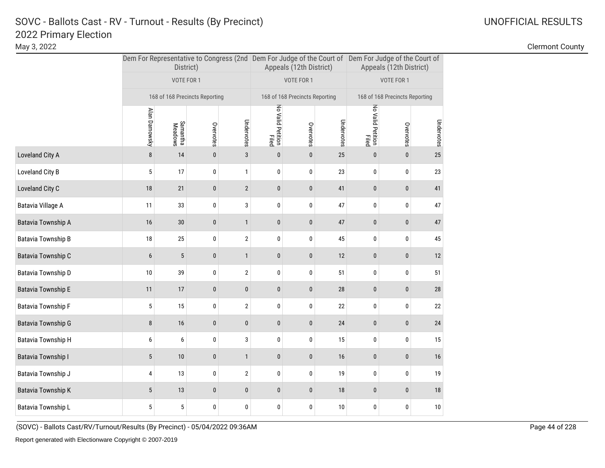May 3, 2022 Clermont County

|                    |                                                                  | District)                      |           |                |                            | Appeals (12th District)        |            | Dem For Representative to Congress (2nd Dem For Judge of the Court of Dem For Judge of the Court of<br>Appeals (12th District) |           |            |  |
|--------------------|------------------------------------------------------------------|--------------------------------|-----------|----------------|----------------------------|--------------------------------|------------|--------------------------------------------------------------------------------------------------------------------------------|-----------|------------|--|
|                    |                                                                  | VOTE FOR 1                     |           |                |                            | VOTE FOR 1                     |            | VOTE FOR 1                                                                                                                     |           |            |  |
|                    |                                                                  | 168 of 168 Precincts Reporting |           |                | No Valid Petition<br>Filed | 168 of 168 Precincts Reporting |            | 168 of 168 Precincts Reporting                                                                                                 |           |            |  |
|                    | Alan Darnowsky<br>Undervotes<br>Samantha<br>Meadows<br>Overvotes |                                |           |                |                            | Overvotes                      | Undervotes | No Valid Petition<br>Filed                                                                                                     | Overvotes | Undervotes |  |
| Loveland City A    | 8                                                                | 14                             | $\pmb{0}$ | $\mathbf{3}$   | $\bf{0}$                   | $\pmb{0}$                      | 25         | $\pmb{0}$                                                                                                                      | $\pmb{0}$ | 25         |  |
| Loveland City B    | 5                                                                | 17                             | 0         | $\mathbf{1}$   | 0                          | 0                              | 23         | 0                                                                                                                              | 0         | 23         |  |
| Loveland City C    | 18                                                               | 21                             | $\pmb{0}$ | $\overline{2}$ | $\pmb{0}$                  | $\pmb{0}$                      | 41         | $\pmb{0}$                                                                                                                      | $\pmb{0}$ | 41         |  |
| Batavia Village A  | 11                                                               | 33                             | 0         | 3              | 0                          | $\bf{0}$                       | 47         | $\pmb{0}$                                                                                                                      | 0         | 47         |  |
| Batavia Township A | 16                                                               | $30\,$                         | $\pmb{0}$ | $\mathbf{1}$   | $\pmb{0}$                  | $\bf{0}$                       | 47         | $\pmb{0}$                                                                                                                      | $\pmb{0}$ | 47         |  |
| Batavia Township B | 18                                                               | 25                             | 0         | $\sqrt{2}$     | 0                          | $\pmb{0}$                      | 45         | 0                                                                                                                              | 0         | 45         |  |
| Batavia Township C | 6                                                                | $5\phantom{.0}$                | $\bf{0}$  | $\mathbf{1}$   | 0                          | $\bf{0}$                       | 12         | $\pmb{0}$                                                                                                                      | $\pmb{0}$ | 12         |  |
| Batavia Township D | 10                                                               | 39                             | 0         | $\sqrt{2}$     | 0                          | $\pmb{0}$                      | 51         | $\pmb{0}$                                                                                                                      | 0         | 51         |  |
| Batavia Township E | 11                                                               | $17\,$                         | $\pmb{0}$ | $\pmb{0}$      | 0                          | $\bf{0}$                       | $28\,$     | $\pmb{0}$                                                                                                                      | $\pmb{0}$ | 28         |  |
| Batavia Township F | 5                                                                | 15                             | 0         | $\sqrt{2}$     | 0                          | 0                              | 22         | 0                                                                                                                              | 0         | 22         |  |
| Batavia Township G | 8                                                                | 16                             | $\pmb{0}$ | $\pmb{0}$      | 0                          | $\bf{0}$                       | 24         | $\pmb{0}$                                                                                                                      | 0         | 24         |  |
| Batavia Township H | 6                                                                | 6                              | 0         | 3              | 0                          | $\pmb{0}$                      | 15         | 0                                                                                                                              | 0         | 15         |  |
| Batavia Township I | 5                                                                | $10$                           | $\pmb{0}$ | $\mathbf{1}$   | $\pmb{0}$                  | $\bf{0}$                       | $16\,$     | $\pmb{0}$                                                                                                                      | $\pmb{0}$ | 16         |  |
| Batavia Township J | 4                                                                | 13                             | 0         | $\overline{2}$ | 0                          | $\bf{0}$                       | 19         | $\pmb{0}$                                                                                                                      | 0         | 19         |  |
| Batavia Township K | 5                                                                | 13                             | $\bf{0}$  | $\mathbf{0}$   | $\pmb{0}$                  | $\bf{0}$                       | 18         | $\mathbf{0}$                                                                                                                   | $\pmb{0}$ | 18         |  |
| Batavia Township L | 5                                                                | 5                              | 0         | 0              | 0                          | 0                              | 10         | 0                                                                                                                              | 0         | 10         |  |

(SOVC) - Ballots Cast/RV/Turnout/Results (By Precinct) - 05/04/2022 09:36AM Page 44 of 228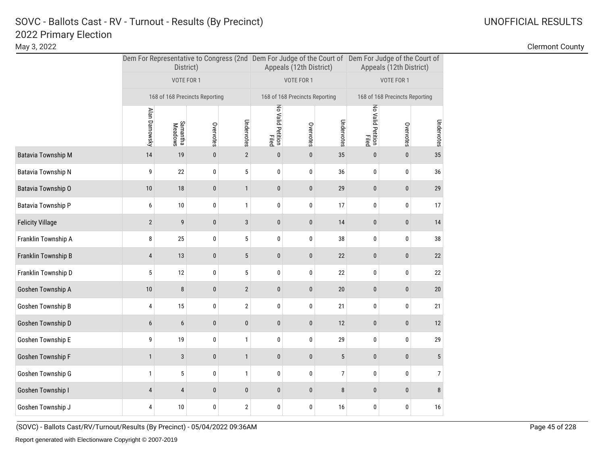May 3, 2022 Clermont County

|                         |                | District)                      |                       |                              |                            | Appeals (12th District)        |                  | Dem For Representative to Congress (2nd Dem For Judge of the Court of Dem For Judge of the Court of<br>Appeals (12th District) |           |    |  |  |
|-------------------------|----------------|--------------------------------|-----------------------|------------------------------|----------------------------|--------------------------------|------------------|--------------------------------------------------------------------------------------------------------------------------------|-----------|----|--|--|
|                         |                | VOTE FOR 1                     |                       |                              |                            | VOTE FOR 1                     |                  | VOTE FOR 1                                                                                                                     |           |    |  |  |
|                         |                | 168 of 168 Precincts Reporting |                       |                              |                            | 168 of 168 Precincts Reporting |                  | 168 of 168 Precincts Reporting                                                                                                 |           |    |  |  |
|                         | Alan Darnowsky | No Valid Petition<br>Filed     | Overvotes             | Undervotes                   | No Valid Petition<br>Filed | Overvotes                      | Undervotes       |                                                                                                                                |           |    |  |  |
| Batavia Township M      | 14             | Samantha<br>Meadows<br>19      | Overvotes<br>$\bf{0}$ | Undervotes<br>$\overline{2}$ | $\bf{0}$                   | $\pmb{0}$                      | 35               | $\pmb{0}$                                                                                                                      | $\pmb{0}$ | 35 |  |  |
| Batavia Township N      | 9              | 22                             | 0                     | 5                            | 0                          | 0                              | 36               | 0                                                                                                                              | 0         | 36 |  |  |
| Batavia Township O      | 10             | 18                             | $\pmb{0}$             | $\mathbf{1}$                 | $\pmb{0}$                  | $\pmb{0}$                      | 29               | $\pmb{0}$                                                                                                                      | $\pmb{0}$ | 29 |  |  |
| Batavia Township P      | 6              | $10\,$                         | 0                     | $\mathbf{1}$                 | 0                          | $\bf{0}$                       | 17               | $\pmb{0}$                                                                                                                      | 0         | 17 |  |  |
| <b>Felicity Village</b> | $\overline{2}$ | 9                              | $\pmb{0}$             | $\mathbf{3}$                 | $\pmb{0}$                  | $\pmb{0}$                      | 14               | $\pmb{0}$                                                                                                                      | $\pmb{0}$ | 14 |  |  |
| Franklin Township A     | 8              | 25                             | 0                     | 5                            | 0                          | 0                              | 38               | 0                                                                                                                              | 0         | 38 |  |  |
| Franklin Township B     | 4              | 13                             | $\pmb{0}$             | 5                            | $\pmb{0}$                  | $\bf{0}$                       | 22               | $\pmb{0}$                                                                                                                      | $\pmb{0}$ | 22 |  |  |
| Franklin Township D     | 5              | 12                             | 0                     | 5                            | 0                          | 0                              | 22               | 0                                                                                                                              | 0         | 22 |  |  |
| Goshen Township A       | 10             | $\bf 8$                        | $\pmb{0}$             | $\sqrt{2}$                   | $\pmb{0}$                  | $\pmb{0}$                      | $20\,$           | $\bf{0}$                                                                                                                       | $\pmb{0}$ | 20 |  |  |
| Goshen Township B       | 4              | 15                             | 0                     | $\overline{2}$               | 0                          | 0                              | 21               | $\pmb{0}$                                                                                                                      | 0         | 21 |  |  |
| Goshen Township D       | 6              | 6                              | $\bf{0}$              | $\pmb{0}$                    | $\pmb{0}$                  | $\bf{0}$                       | 12               | $\pmb{0}$                                                                                                                      | $\pmb{0}$ | 12 |  |  |
| Goshen Township E       | 9              | $19$                           | $\pmb{0}$             | $\mathbf{1}$                 | $\pmb{0}$                  | $\pmb{0}$                      | 29               | $\pmb{0}$                                                                                                                      | 0         | 29 |  |  |
| Goshen Township F       | $\mathbf{1}$   | $\sqrt{3}$                     | $\pmb{0}$             | $\mathbf{1}$                 | $\pmb{0}$                  | $\pmb{0}$                      | $\sqrt{5}$       | $\pmb{0}$                                                                                                                      | $\pmb{0}$ | 5  |  |  |
| Goshen Township G       | 1              | 5                              | $\pmb{0}$             | $\mathbf{1}$                 | $\pmb{0}$                  | 0                              | $\boldsymbol{7}$ | 0                                                                                                                              | 0         | 7  |  |  |
| Goshen Township I       | $\overline{4}$ | $\overline{4}$                 | $\pmb{0}$             | $\pmb{0}$                    | $\bf{0}$                   | $\mathbf{0}$                   | 8                | $\mathbf{0}$                                                                                                                   | $\bf{0}$  | 8  |  |  |
| Goshen Township J       | 4              | 10                             | 0                     | $\overline{2}$               | 0                          | 0                              | 16               | 0                                                                                                                              | 0         | 16 |  |  |
|                         |                |                                |                       |                              |                            |                                |                  |                                                                                                                                |           |    |  |  |

(SOVC) - Ballots Cast/RV/Turnout/Results (By Precinct) - 05/04/2022 09:36AM Page 45 of 228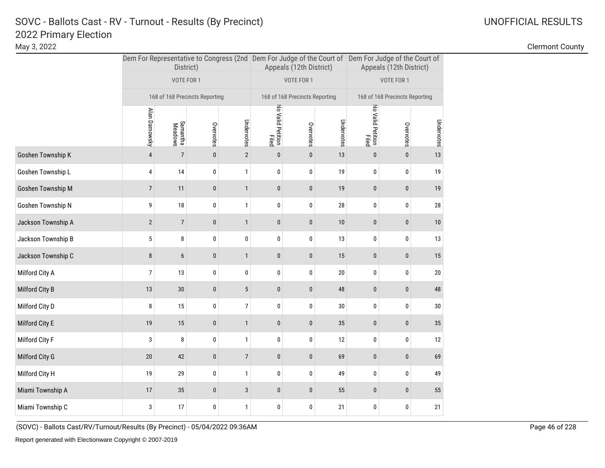May 3, 2022 Clermont County

|                    |                                                                  | District)                      |           |                  |                            | Appeals (12th District)        |            | Dem For Representative to Congress (2nd Dem For Judge of the Court of Dem For Judge of the Court of<br>Appeals (12th District) |           |            |  |  |
|--------------------|------------------------------------------------------------------|--------------------------------|-----------|------------------|----------------------------|--------------------------------|------------|--------------------------------------------------------------------------------------------------------------------------------|-----------|------------|--|--|
|                    |                                                                  | VOTE FOR 1                     |           |                  |                            | VOTE FOR 1                     |            | VOTE FOR 1                                                                                                                     |           |            |  |  |
|                    |                                                                  | 168 of 168 Precincts Reporting |           |                  | No Valid Petition<br>Filed | 168 of 168 Precincts Reporting |            | 168 of 168 Precincts Reporting                                                                                                 |           |            |  |  |
|                    | Alan Darnowsky<br>Undervotes<br>Samantha<br>Meadows<br>Overvotes |                                |           |                  |                            | Overvotes                      | Undervotes | No Valid Petition<br>Filed                                                                                                     | Overvotes | Undervotes |  |  |
| Goshen Township K  | $\overline{4}$                                                   | $\overline{7}$                 | $\pmb{0}$ | $\overline{2}$   | $\bf{0}$                   | $\pmb{0}$                      | 13         | $\mathbf 0$                                                                                                                    | $\pmb{0}$ | 13         |  |  |
| Goshen Township L  | 4                                                                | 14                             | 0         | $\mathbf{1}$     | 0                          | 0                              | 19         | $\bf{0}$                                                                                                                       | 0         | 19         |  |  |
| Goshen Township M  | $\overline{7}$                                                   | 11                             | $\pmb{0}$ | $\mathbf{1}$     | 0                          | $\pmb{0}$                      | $19$       | $\pmb{0}$                                                                                                                      | 0         | 19         |  |  |
| Goshen Township N  | 9                                                                | 18                             | 0         | $\mathbf{1}$     | 0                          | $\pmb{0}$                      | $28\,$     | $\pmb{0}$                                                                                                                      | 0         | 28         |  |  |
| Jackson Township A | $\mathbf{2}$                                                     | $\overline{7}$                 | $\pmb{0}$ | $\mathbf{1}$     | $\pmb{0}$                  | $\pmb{0}$                      | $10$       | $\pmb{0}$                                                                                                                      | $\pmb{0}$ | 10         |  |  |
| Jackson Township B | 5                                                                | 8                              | $\pmb{0}$ | $\pmb{0}$        | 0                          | $\pmb{0}$                      | 13         | $\bf{0}$                                                                                                                       | 0         | 13         |  |  |
| Jackson Township C | 8                                                                | 6                              | $\pmb{0}$ | $\mathbf{1}$     | 0                          | $\pmb{0}$                      | 15         | $\mathbf 0$                                                                                                                    | $\pmb{0}$ | 15         |  |  |
| Milford City A     | 7                                                                | 13                             | 0         | 0                | 0                          | 0                              | $20\,$     | $\bf{0}$                                                                                                                       | 0         | 20         |  |  |
| Milford City B     | 13                                                               | $30\,$                         | $\pmb{0}$ | $\overline{5}$   | $\pmb{0}$                  | $\pmb{0}$                      | $\bf 48$   | $\pmb{0}$                                                                                                                      | 0         | 48         |  |  |
| Milford City D     | 8                                                                | 15                             | $\pmb{0}$ | $\boldsymbol{7}$ | 0                          | 0                              | $30\,$     | $\pmb{0}$                                                                                                                      | 0         | 30         |  |  |
| Milford City E     | 19                                                               | 15                             | $\pmb{0}$ | $\mathbf{1}$     | $\pmb{0}$                  | $\pmb{0}$                      | 35         | $\pmb{0}$                                                                                                                      | $\pmb{0}$ | 35         |  |  |
| Milford City F     | 3                                                                | 8                              | $\pmb{0}$ | $\mathbf{1}$     | 0                          | $\pmb{0}$                      | 12         | $\pmb{0}$                                                                                                                      | 0         | 12         |  |  |
| Milford City G     | 20                                                               | 42                             | $\pmb{0}$ | $\overline{7}$   | $\pmb{0}$                  | $\pmb{0}$                      | 69         | $\mathbf 0$                                                                                                                    | 0         | 69         |  |  |
| Milford City H     | 19                                                               | 29                             | $\pmb{0}$ | $\mathbf{1}$     | 0                          | $\pmb{0}$                      | 49         | $\pmb{0}$                                                                                                                      | 0         | 49         |  |  |
| Miami Township A   | 17                                                               | 35                             | $\pmb{0}$ | 3                | 0                          | $\pmb{0}$                      | 55         | $\mathbf 0$                                                                                                                    | 0         | 55         |  |  |
| Miami Township C   | 3                                                                | 17                             | 0         | $\mathbf{1}$     | 0                          | $\pmb{0}$                      | 21         | $\bf{0}$                                                                                                                       | 0         | 21         |  |  |
|                    |                                                                  |                                |           |                  |                            |                                |            |                                                                                                                                |           |            |  |  |

(SOVC) - Ballots Cast/RV/Turnout/Results (By Precinct) - 05/04/2022 09:36AM Page 46 of 228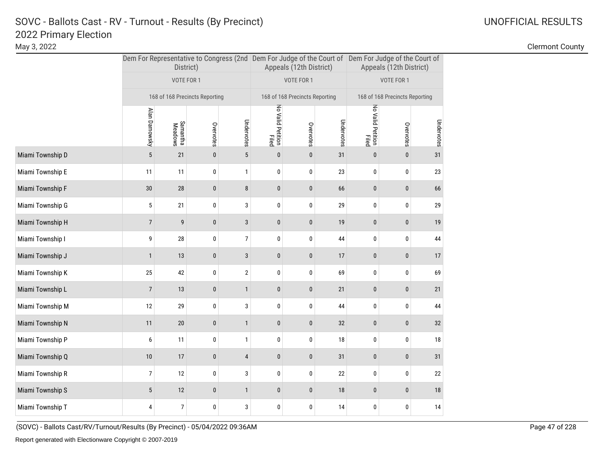May 3, 2022 Clermont County

|                  |                                                                  | District)                      |           |                |                            | Appeals (12th District)        |            | Dem For Representative to Congress (2nd Dem For Judge of the Court of Dem For Judge of the Court of<br>Appeals (12th District) |                                |            |  |  |
|------------------|------------------------------------------------------------------|--------------------------------|-----------|----------------|----------------------------|--------------------------------|------------|--------------------------------------------------------------------------------------------------------------------------------|--------------------------------|------------|--|--|
|                  |                                                                  | VOTE FOR 1                     |           |                |                            | VOTE FOR 1                     |            | VOTE FOR 1                                                                                                                     |                                |            |  |  |
|                  |                                                                  | 168 of 168 Precincts Reporting |           |                | No Valid Petition<br>Filed | 168 of 168 Precincts Reporting |            |                                                                                                                                | 168 of 168 Precincts Reporting |            |  |  |
|                  | Alan Darnowsky<br>Undervotes<br>Samantha<br>Meadows<br>Overvotes |                                |           |                |                            | Overvotes                      | Undervotes | No Valid Petition<br>Filed                                                                                                     | Overvotes                      | Undervotes |  |  |
| Miami Township D | $\overline{5}$                                                   | 21                             | $\pmb{0}$ | $\sqrt{5}$     | $\pmb{0}$                  | $\bf{0}$                       | 31         | $\pmb{0}$                                                                                                                      | $\pmb{0}$                      | 31         |  |  |
| Miami Township E | 11                                                               | 11                             | 0         | $\mathbf{1}$   | 0                          | 0                              | 23         | 0                                                                                                                              | 0                              | 23         |  |  |
| Miami Township F | 30                                                               | 28                             | $\pmb{0}$ | 8              | $\pmb{0}$                  | $\pmb{0}$                      | 66         | $\pmb{0}$                                                                                                                      | $\pmb{0}$                      | 66         |  |  |
| Miami Township G | 5                                                                | 21                             | 0         | 3              | 0                          | $\bf{0}$                       | 29         | $\pmb{0}$                                                                                                                      | 0                              | 29         |  |  |
| Miami Township H | $\overline{7}$                                                   | 9                              | $\pmb{0}$ | $\sqrt{3}$     | $\pmb{0}$                  | $\bf{0}$                       | $19$       | $\pmb{0}$                                                                                                                      | $\pmb{0}$                      | 19         |  |  |
| Miami Township I | 9                                                                | $28\,$                         | 0         | $\overline{7}$ | 0                          | $\pmb{0}$                      | 44         | $\bf{0}$                                                                                                                       | 0                              | 44         |  |  |
| Miami Township J | $\mathbf{1}$                                                     | 13                             | $\bf{0}$  | 3              | 0                          | $\bf{0}$                       | 17         | $\pmb{0}$                                                                                                                      | $\pmb{0}$                      | 17         |  |  |
| Miami Township K | 25                                                               | 42                             | 0         | $\sqrt{2}$     | 0                          | $\pmb{0}$                      | 69         | $\pmb{0}$                                                                                                                      | 0                              | 69         |  |  |
| Miami Township L | $\overline{7}$                                                   | 13                             | $\pmb{0}$ | $\mathbf{1}$   | 0                          | $\bf{0}$                       | 21         | $\pmb{0}$                                                                                                                      | $\pmb{0}$                      | 21         |  |  |
| Miami Township M | 12                                                               | 29                             | 0         | $\sqrt{3}$     | 0                          | 0                              | 44         | 0                                                                                                                              | 0                              | 44         |  |  |
| Miami Township N | 11                                                               | $20\,$                         | $\bf{0}$  | $\mathbf{1}$   | 0                          | $\bf{0}$                       | 32         | $\pmb{0}$                                                                                                                      | $\pmb{0}$                      | 32         |  |  |
| Miami Township P | 6                                                                | 11                             | 0         | $\mathbf{1}$   | 0                          | 0                              | 18         | 0                                                                                                                              | 0                              | 18         |  |  |
| Miami Township Q | 10                                                               | 17                             | $\pmb{0}$ | 4              | $\pmb{0}$                  | $\bf{0}$                       | 31         | $\pmb{0}$                                                                                                                      | $\pmb{0}$                      | 31         |  |  |
| Miami Township R | 7                                                                | 12                             | 0         | 3              | 0                          | $\bf{0}$                       | 22         | $\pmb{0}$                                                                                                                      | 0                              | 22         |  |  |
| Miami Township S | 5                                                                | 12                             | $\bf{0}$  | $\mathbf{1}$   | $\bf{0}$                   | $\bf{0}$                       | 18         | $\pmb{0}$                                                                                                                      | $\pmb{0}$                      | 18         |  |  |
| Miami Township T | 4                                                                | $\boldsymbol{7}$               | 0         | 3              | 0                          | $\bf{0}$                       | 14         | 0                                                                                                                              | 0                              | 14         |  |  |

(SOVC) - Ballots Cast/RV/Turnout/Results (By Precinct) - 05/04/2022 09:36AM Page 47 of 228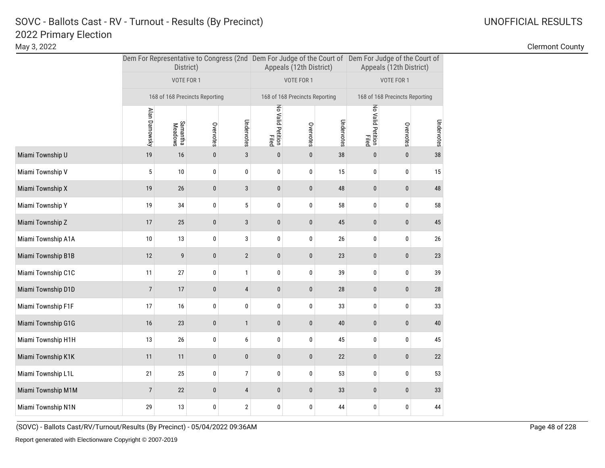May 3, 2022 Clermont County

|                    |                                                                  | District)                      |             |                         |                            | Appeals (12th District)        |            | Dem For Representative to Congress (2nd Dem For Judge of the Court of Dem For Judge of the Court of<br>Appeals (12th District) |                                |            |  |
|--------------------|------------------------------------------------------------------|--------------------------------|-------------|-------------------------|----------------------------|--------------------------------|------------|--------------------------------------------------------------------------------------------------------------------------------|--------------------------------|------------|--|
|                    |                                                                  | VOTE FOR 1                     |             |                         |                            | VOTE FOR 1                     |            |                                                                                                                                | VOTE FOR 1                     |            |  |
|                    |                                                                  | 168 of 168 Precincts Reporting |             |                         | No Valid Petition<br>Filed | 168 of 168 Precincts Reporting |            |                                                                                                                                | 168 of 168 Precincts Reporting |            |  |
|                    | Alan Darnowsky<br>Undervotes<br>Samantha<br>Meadows<br>Overvotes |                                |             |                         |                            | Overvotes                      | Undervotes | No Valid Petition<br>Filed                                                                                                     | Overvotes                      | Undervotes |  |
| Miami Township U   | 19                                                               | 16                             | $\mathbf 0$ | $\mathbf{3}$            | $\pmb{0}$                  | $\pmb{0}$                      | 38         | $\pmb{0}$                                                                                                                      | $\pmb{0}$                      | 38         |  |
| Miami Township V   | 5                                                                | 10                             | 0           | 0                       | 0                          | $\pmb{0}$                      | 15         | 0                                                                                                                              | 0                              | 15         |  |
| Miami Township X   | 19                                                               | 26                             | $\bf{0}$    | 3                       | $\bf{0}$                   | $\pmb{0}$                      | 48         | $\pmb{0}$                                                                                                                      | $\pmb{0}$                      | 48         |  |
| Miami Township Y   | 19                                                               | 34                             | 0           | 5                       | 0                          | $\pmb{0}$                      | 58         | 0                                                                                                                              | 0                              | 58         |  |
| Miami Township Z   | 17                                                               | 25                             | $\pmb{0}$   | $\sqrt{3}$              | $\pmb{0}$                  | $\pmb{0}$                      | 45         | $\pmb{0}$                                                                                                                      | $\pmb{0}$                      | 45         |  |
| Miami Township A1A | 10                                                               | 13                             | 0           | 3                       | 0                          | 0                              | 26         | 0                                                                                                                              | 0                              | 26         |  |
| Miami Township B1B | 12                                                               | 9                              | 0           | $\overline{2}$          | $\bf{0}$                   | $\bf{0}$                       | 23         | $\bf{0}$                                                                                                                       | $\pmb{0}$                      | 23         |  |
| Miami Township C1C | 11                                                               | 27                             | 0           | 1                       | 0                          | 0                              | 39         | 0                                                                                                                              | 0                              | 39         |  |
| Miami Township D1D | $\overline{7}$                                                   | 17                             | $\pmb{0}$   | 4                       | $\pmb{0}$                  | $\pmb{0}$                      | 28         | $\pmb{0}$                                                                                                                      | $\pmb{0}$                      | 28         |  |
| Miami Township F1F | 17                                                               | 16                             | 0           | 0                       | 0                          | $\pmb{0}$                      | 33         | 0                                                                                                                              | 0                              | 33         |  |
| Miami Township G1G | 16                                                               | 23                             | $\bf{0}$    | $\mathbf{1}$            | $\bf{0}$                   | $\pmb{0}$                      | 40         | $\pmb{0}$                                                                                                                      | $\pmb{0}$                      | 40         |  |
| Miami Township H1H | 13                                                               | 26                             | 0           | 6                       | 0                          | 0                              | 45         | 0                                                                                                                              | 0                              | 45         |  |
| Miami Township K1K | 11                                                               | 11                             | $\bf{0}$    | $\pmb{0}$               | $\pmb{0}$                  | $\pmb{0}$                      | 22         | $\pmb{0}$                                                                                                                      | $\pmb{0}$                      | 22         |  |
| Miami Township L1L | 21                                                               | 25                             | 0           | $\overline{7}$          | 0                          | $\pmb{0}$                      | 53         | 0                                                                                                                              | 0                              | 53         |  |
| Miami Township M1M | $\overline{7}$                                                   | 22                             | $\bf{0}$    | 4                       | $\bf{0}$                   | $\pmb{0}$                      | 33         | $\mathbf{0}$                                                                                                                   | $\bf{0}$                       | 33         |  |
| Miami Township N1N | 29                                                               | 13                             | 0           | $\overline{\mathbf{c}}$ | 0                          | $\pmb{0}$                      | 44         | 0                                                                                                                              | 0                              | 44         |  |
|                    |                                                                  |                                |             |                         |                            |                                |            |                                                                                                                                |                                |            |  |

(SOVC) - Ballots Cast/RV/Turnout/Results (By Precinct) - 05/04/2022 09:36AM Page 48 of 228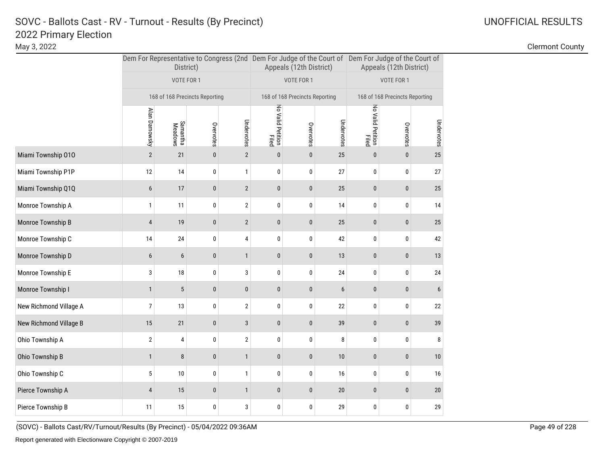May 3, 2022 Clermont County

|                        |                | District)                      |                            |                              |              | Appeals (12th District)        |           | Dem For Representative to Congress (2nd Dem For Judge of the Court of Dem For Judge of the Court of<br>Appeals (12th District) |                                |    |  |
|------------------------|----------------|--------------------------------|----------------------------|------------------------------|--------------|--------------------------------|-----------|--------------------------------------------------------------------------------------------------------------------------------|--------------------------------|----|--|
|                        |                | VOTE FOR 1                     |                            |                              |              | VOTE FOR 1                     |           |                                                                                                                                | VOTE FOR 1                     |    |  |
|                        |                | 168 of 168 Precincts Reporting |                            |                              |              | 168 of 168 Precincts Reporting |           |                                                                                                                                | 168 of 168 Precincts Reporting |    |  |
|                        | Alan Darnowsky | Samantha<br>Meadows            | No Valid Petition<br>Filed | Overvotes                    | Undervotes   | No Valid Petition<br>Filed     | Overvotes | Undervotes                                                                                                                     |                                |    |  |
| Miami Township 010     | $\overline{2}$ | 21                             | $\pmb{0}$                  | Undervotes<br>$\overline{2}$ | $\pmb{0}$    | $\pmb{0}$                      | 25        | $\bf{0}$                                                                                                                       | $\pmb{0}$                      | 25 |  |
| Miami Township P1P     | 12             | 14                             | 0                          | $\mathbf{1}$                 | 0            | $\pmb{0}$                      | 27        | 0                                                                                                                              | 0                              | 27 |  |
| Miami Township Q1Q     | $6\phantom{1}$ | 17                             | $\bf{0}$                   | $\overline{2}$               | $\bf{0}$     | $\pmb{0}$                      | 25        | $\pmb{0}$                                                                                                                      | $\pmb{0}$                      | 25 |  |
| Monroe Township A      | $\mathbf{1}$   | 11                             | 0                          | $\mathbf 2$                  | 0            | $\pmb{0}$                      | 14        | 0                                                                                                                              | 0                              | 14 |  |
| Monroe Township B      | $\overline{4}$ | 19                             | $\mathbf 0$                | $\overline{2}$               | $\pmb{0}$    | $\pmb{0}$                      | 25        | $\pmb{0}$                                                                                                                      | $\pmb{0}$                      | 25 |  |
| Monroe Township C      | 14             | 24                             | 0                          | 4                            | 0            | $\pmb{0}$                      | 42        | 0                                                                                                                              | 0                              | 42 |  |
| Monroe Township D      | 6              | 6                              | 0                          | $\mathbf{1}$                 | $\pmb{0}$    | $\bf{0}$                       | 13        | 0                                                                                                                              | $\pmb{0}$                      | 13 |  |
| Monroe Township E      | 3              | 18                             | 0                          | 3                            | 0            | 0                              | 24        | 0                                                                                                                              | 0                              | 24 |  |
| Monroe Township I      | $\mathbf{1}$   | $\sqrt{5}$                     | $\mathbf 0$                | $\pmb{0}$                    | $\pmb{0}$    | $\pmb{0}$                      | 6         | $\pmb{0}$                                                                                                                      | $\pmb{0}$                      | 6  |  |
| New Richmond Village A | 7              | 13                             | 0                          | $\mathbf 2$                  | 0            | $\pmb{0}$                      | 22        | 0                                                                                                                              | 0                              | 22 |  |
| New Richmond Village B | 15             | 21                             | $\pmb{0}$                  | 3                            | $\mathbf{0}$ | $\mathbf{0}$                   | 39        | $\bf{0}$                                                                                                                       | $\pmb{0}$                      | 39 |  |
| Ohio Township A        | $\overline{2}$ | 4                              | 0                          | $\overline{2}$               | 0            | $\pmb{0}$                      | 8         | 0                                                                                                                              | 0                              | 8  |  |
| Ohio Township B        | $\mathbf{1}$   | 8                              | $\bf{0}$                   | $\mathbf{1}$                 | $\pmb{0}$    | $\pmb{0}$                      | 10        | $\pmb{0}$                                                                                                                      | $\pmb{0}$                      | 10 |  |
| Ohio Township C        | 5              | 10                             | 0                          | $\mathbf{1}$                 | 0            | $\pmb{0}$                      | 16        | 0                                                                                                                              | 0                              | 16 |  |
| Pierce Township A      | $\overline{4}$ | 15                             | $\bf{0}$                   | $\mathbf{1}$                 | $\bf{0}$     | $\bf{0}$                       | 20        | $\mathbf{0}$                                                                                                                   | $\bf{0}$                       | 20 |  |
| Pierce Township B      | 11             | 15                             | 0                          | 3                            | 0            | $\pmb{0}$                      | 29        | 0                                                                                                                              | 0                              | 29 |  |
|                        |                |                                |                            |                              |              |                                |           |                                                                                                                                |                                |    |  |

(SOVC) - Ballots Cast/RV/Turnout/Results (By Precinct) - 05/04/2022 09:36AM Page 49 of 228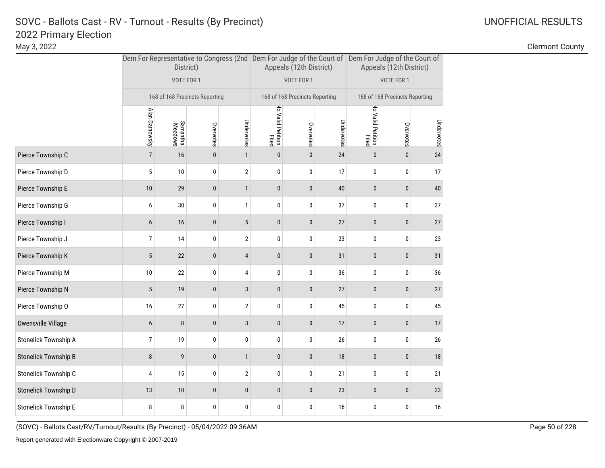May 3, 2022 Clermont County

|                             |                                                                  | District)                      |              |                         |                            | Appeals (12th District)        |            | Dem For Representative to Congress (2nd Dem For Judge of the Court of Dem For Judge of the Court of<br>Appeals (12th District) |                                |            |  |
|-----------------------------|------------------------------------------------------------------|--------------------------------|--------------|-------------------------|----------------------------|--------------------------------|------------|--------------------------------------------------------------------------------------------------------------------------------|--------------------------------|------------|--|
|                             |                                                                  | VOTE FOR 1                     |              |                         |                            | VOTE FOR 1                     |            |                                                                                                                                | VOTE FOR 1                     |            |  |
|                             |                                                                  | 168 of 168 Precincts Reporting |              |                         |                            | 168 of 168 Precincts Reporting |            |                                                                                                                                | 168 of 168 Precincts Reporting |            |  |
|                             | Alan Darnowsky<br>Undervotes<br>Samantha<br>Meadows<br>Overvotes |                                |              |                         | No Valid Petition<br>Filed | Overvotes                      | Undervotes | No Valid Petition<br>Filed                                                                                                     | Overvotes                      | Undervotes |  |
| Pierce Township C           | $\overline{7}$                                                   | 16                             | $\pmb{0}$    | $\mathbf{1}$            | $\pmb{0}$                  | $\pmb{0}$                      | 24         | $\pmb{0}$                                                                                                                      | $\pmb{0}$                      | 24         |  |
| Pierce Township D           | 5                                                                | 10                             | 0            | $\overline{2}$          | 0                          | 0                              | 17         | 0                                                                                                                              | 0                              | 17         |  |
| Pierce Township E           | 10                                                               | 29                             | $\pmb{0}$    | $\mathbf{1}$            | $\pmb{0}$                  | $\pmb{0}$                      | 40         | $\pmb{0}$                                                                                                                      | $\pmb{0}$                      | 40         |  |
| Pierce Township G           | 6                                                                | 30                             | 0            | $\mathbf{1}$            | 0                          | 0                              | 37         | 0                                                                                                                              | 0                              | 37         |  |
| Pierce Township I           | $\boldsymbol{6}$                                                 | 16                             | $\pmb{0}$    | $\overline{5}$          | $\pmb{0}$                  | $\pmb{0}$                      | 27         | $\pmb{0}$                                                                                                                      | $\pmb{0}$                      | 27         |  |
| Pierce Township J           | $\overline{7}$                                                   | 14                             | 0            | 2                       | 0                          | $\pmb{0}$                      | 23         | 0                                                                                                                              | $\pmb{0}$                      | 23         |  |
| Pierce Township K           | 5                                                                | 22                             | $\pmb{0}$    | 4                       | $\pmb{0}$                  | $\pmb{0}$                      | 31         | $\pmb{0}$                                                                                                                      | $\pmb{0}$                      | 31         |  |
| Pierce Township M           | 10                                                               | 22                             | 0            | 4                       | 0                          | $\pmb{0}$                      | 36         | 0                                                                                                                              | 0                              | 36         |  |
| Pierce Township N           | 5                                                                | 19                             | $\pmb{0}$    | 3                       | $\bf{0}$                   | $\pmb{0}$                      | 27         | $\pmb{0}$                                                                                                                      | $\pmb{0}$                      | 27         |  |
| Pierce Township O           | 16                                                               | 27                             | $\pmb{0}$    | $\overline{\mathbf{c}}$ | $\pmb{0}$                  | $\pmb{0}$                      | 45         | $\pmb{0}$                                                                                                                      | $\pmb{0}$                      | 45         |  |
| Owensville Village          | $\boldsymbol{6}$                                                 | $\bf 8$                        | $\mathbf{0}$ | $\sqrt{3}$              | $\mathbf{0}$               | $\pmb{0}$                      | 17         | $\mathbf{0}$                                                                                                                   | $\pmb{0}$                      | 17         |  |
| Stonelick Township A        | $\overline{7}$                                                   | 19                             | 0            | 0                       | 0                          | 0                              | 26         | 0                                                                                                                              | 0                              | 26         |  |
| <b>Stonelick Township B</b> | 8                                                                | 9                              | $\bf{0}$     | $\mathbf{1}$            | $\bf{0}$                   | $\bf{0}$                       | 18         | $\pmb{0}$                                                                                                                      | $\pmb{0}$                      | 18         |  |
| Stonelick Township C        | 4                                                                | 15                             | 0            | $\overline{2}$          | 0                          | $\pmb{0}$                      | 21         | 0                                                                                                                              | 0                              | 21         |  |
| Stonelick Township D        | 13                                                               | 10                             | $\pmb{0}$    | $\pmb{0}$               | $\pmb{0}$                  | $\pmb{0}$                      | 23         | $\pmb{0}$                                                                                                                      | $\pmb{0}$                      | 23         |  |
| <b>Stonelick Township E</b> | 8                                                                | 8                              | 0            | 0                       | 0                          | 0                              | 16         | 0                                                                                                                              | 0                              | 16         |  |
|                             |                                                                  |                                |              |                         |                            |                                |            |                                                                                                                                |                                |            |  |

(SOVC) - Ballots Cast/RV/Turnout/Results (By Precinct) - 05/04/2022 09:36AM Page 50 of 228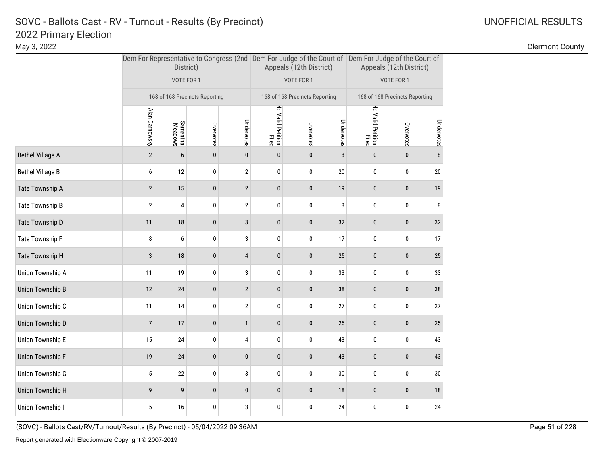May 3, 2022 Clermont County

|                         |                | District)                      |                        |                            |           | Appeals (12th District)        |                            | Dem For Representative to Congress (2nd Dem For Judge of the Court of Dem For Judge of the Court of<br>Appeals (12th District) |                                |    |  |
|-------------------------|----------------|--------------------------------|------------------------|----------------------------|-----------|--------------------------------|----------------------------|--------------------------------------------------------------------------------------------------------------------------------|--------------------------------|----|--|
|                         |                | VOTE FOR 1                     |                        |                            |           | VOTE FOR 1                     |                            |                                                                                                                                | VOTE FOR 1                     |    |  |
|                         |                | 168 of 168 Precincts Reporting |                        |                            |           | 168 of 168 Precincts Reporting |                            |                                                                                                                                | 168 of 168 Precincts Reporting |    |  |
|                         | Alan Darnowsky | Samantha<br>Meadows            | Undervotes             | No Valid Petition<br>Filed | Overvotes | Undervotes                     | No Valid Petition<br>Filed | Overvotes                                                                                                                      | Undervotes                     |    |  |
| <b>Bethel Village A</b> | $\sqrt{2}$     | 6                              | Overvotes<br>$\pmb{0}$ | $\pmb{0}$                  | $\pmb{0}$ | $\pmb{0}$                      | $\bf 8$                    | $\pmb{0}$                                                                                                                      | $\pmb{0}$                      | 8  |  |
| Bethel Village B        | 6              | 12                             | 0                      | $\sqrt{2}$                 | 0         | 0                              | 20                         | 0                                                                                                                              | 0                              | 20 |  |
| Tate Township A         | $\overline{2}$ | 15                             | $\pmb{0}$              | $\sqrt{2}$                 | $\pmb{0}$ | $\pmb{0}$                      | 19                         | $\pmb{0}$                                                                                                                      | $\pmb{0}$                      | 19 |  |
| Tate Township B         | $\mathbf 2$    | 4                              | $\pmb{0}$              | $\sqrt{2}$                 | 0         | $\bf{0}$                       | 8                          | $\pmb{0}$                                                                                                                      | 0                              | 8  |  |
| Tate Township D         | 11             | $18\,$                         | $\pmb{0}$              | $\sqrt{3}$                 | $\pmb{0}$ | $\pmb{0}$                      | $32\,$                     | $\pmb{0}$                                                                                                                      | $\pmb{0}$                      | 32 |  |
| Tate Township F         | 8              | 6                              | 0                      | 3                          | 0         | 0                              | 17                         | 0                                                                                                                              | 0                              | 17 |  |
| Tate Township H         | $\sqrt{3}$     | $18\,$                         | $\pmb{0}$              | 4                          | $\pmb{0}$ | $\pmb{0}$                      | 25                         | $\pmb{0}$                                                                                                                      | $\pmb{0}$                      | 25 |  |
| Union Township A        | 11             | 19                             | 0                      | 3                          | 0         | 0                              | 33                         | 0                                                                                                                              | 0                              | 33 |  |
| Union Township B        | 12             | $24\,$                         | $\pmb{0}$              | $\sqrt{2}$                 | $\pmb{0}$ | $\pmb{0}$                      | 38                         | $\pmb{0}$                                                                                                                      | $\pmb{0}$                      | 38 |  |
| Union Township C        | 11             | 14                             | 0                      | $\sqrt{2}$                 | 0         | $\pmb{0}$                      | 27                         | 0                                                                                                                              | 0                              | 27 |  |
| Union Township D        | $\overline{7}$ | 17                             | $\pmb{0}$              | $\mathbf{1}$               | $\pmb{0}$ | $\pmb{0}$                      | 25                         | $\pmb{0}$                                                                                                                      | $\pmb{0}$                      | 25 |  |
| Union Township E        | 15             | 24                             | 0                      | 4                          | $\pmb{0}$ | $\pmb{0}$                      | 43                         | 0                                                                                                                              | 0                              | 43 |  |
| Union Township F        | 19             | $24\,$                         | $\pmb{0}$              | $\pmb{0}$                  | $\pmb{0}$ | $\pmb{0}$                      | 43                         | $\pmb{0}$                                                                                                                      | $\pmb{0}$                      | 43 |  |
| Union Township G        | 5              | 22                             | $\pmb{0}$              | 3                          | $\pmb{0}$ | $\pmb{0}$                      | $30\,$                     | 0                                                                                                                              | 0                              | 30 |  |
| Union Township H        | 9              | 9                              | $\bf{0}$               | $\pmb{0}$                  | $\pmb{0}$ | $\pmb{0}$                      | 18                         | $\pmb{0}$                                                                                                                      | $\pmb{0}$                      | 18 |  |
| Union Township I        | 5              | 16                             | 0                      | 3                          | 0         | 0                              | 24                         | 0                                                                                                                              | 0                              | 24 |  |
|                         |                |                                |                        |                            |           |                                |                            |                                                                                                                                |                                |    |  |

(SOVC) - Ballots Cast/RV/Turnout/Results (By Precinct) - 05/04/2022 09:36AM Page 51 of 228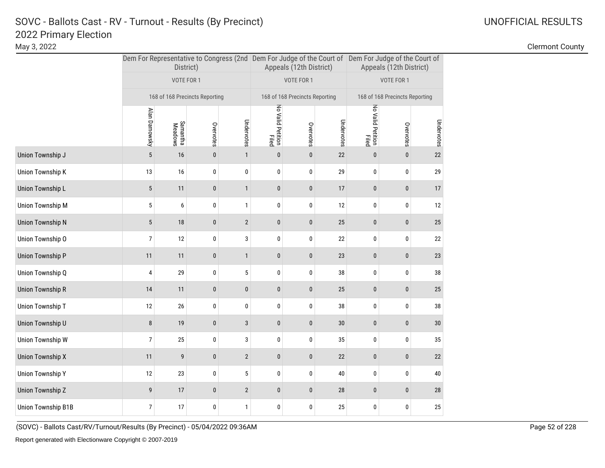May 3, 2022 Clermont County

|                    |                | District)           |                                |                |                            | Appeals (12th District)        |            | Dem For Representative to Congress (2nd Dem For Judge of the Court of Dem For Judge of the Court of<br>Appeals (12th District) |                                |            |  |
|--------------------|----------------|---------------------|--------------------------------|----------------|----------------------------|--------------------------------|------------|--------------------------------------------------------------------------------------------------------------------------------|--------------------------------|------------|--|
|                    |                | VOTE FOR 1          |                                |                |                            | VOTE FOR 1                     |            |                                                                                                                                | VOTE FOR 1                     |            |  |
|                    |                |                     | 168 of 168 Precincts Reporting |                |                            | 168 of 168 Precincts Reporting |            |                                                                                                                                | 168 of 168 Precincts Reporting |            |  |
|                    | Alan Darnowsky | Samantha<br>Meadows | Overvotes                      | Undervotes     | No Valid Petition<br>Filed | Overvotes                      | Undervotes | No Valid Petition<br>Filed                                                                                                     | Overvotes                      | Undervotes |  |
| Union Township J   | 5              | 16                  | $\pmb{0}$                      | $\mathbf{1}$   | $\pmb{0}$                  | $\pmb{0}$                      | 22         | $\pmb{0}$                                                                                                                      | $\pmb{0}$                      | 22         |  |
| Union Township K   | 13             | 16                  | 0                              | 0              | 0                          | 0                              | 29         | 0                                                                                                                              | 0                              | 29         |  |
| Union Township L   | $\sqrt{5}$     | 11                  | $\pmb{0}$                      | $\mathbf{1}$   | $\bf{0}$                   | $\pmb{0}$                      | 17         | $\pmb{0}$                                                                                                                      | $\pmb{0}$                      | 17         |  |
| Union Township M   | 5              | 6                   | 0                              | $\mathbf{1}$   | 0                          | $\bf{0}$                       | 12         | $\pmb{0}$                                                                                                                      | 0                              | 12         |  |
| Union Township N   | $\sqrt{5}$     | 18                  | $\pmb{0}$                      | $\mathbf{2}$   | $\pmb{0}$                  | $\bf{0}$                       | $25\,$     | $\pmb{0}$                                                                                                                      | $\pmb{0}$                      | 25         |  |
| Union Township O   | $\overline{7}$ | 12                  | 0                              | 3              | 0                          | $\pmb{0}$                      | 22         | $\bf{0}$                                                                                                                       | 0                              | 22         |  |
| Union Township P   | 11             | 11                  | $\pmb{0}$                      | $\mathbf{1}$   | 0                          | $\bf{0}$                       | 23         | $\pmb{0}$                                                                                                                      | $\pmb{0}$                      | 23         |  |
| Union Township Q   | 4              | 29                  | 0                              | $\sqrt{5}$     | 0                          | $\pmb{0}$                      | 38         | $\pmb{0}$                                                                                                                      | 0                              | 38         |  |
| Union Township R   | 14             | 11                  | $\bf{0}$                       | $\pmb{0}$      | 0                          | $\bf{0}$                       | 25         | $\pmb{0}$                                                                                                                      | $\pmb{0}$                      | 25         |  |
| Union Township T   | 12             | 26                  | 0                              | 0              | 0                          | 0                              | 38         | 0                                                                                                                              | 0                              | 38         |  |
| Union Township U   | 8              | 19                  | $\bf{0}$                       | $\mathbf{3}$   | 0                          | $\bf{0}$                       | 30         | $\pmb{0}$                                                                                                                      | 0                              | 30         |  |
| Union Township W   | $\overline{7}$ | 25                  | 0                              | 3              | 0                          | 0                              | 35         | 0                                                                                                                              | 0                              | 35         |  |
| Union Township X   | 11             | 9                   | $\pmb{0}$                      | $\overline{2}$ | $\pmb{0}$                  | $\bf{0}$                       | $22\,$     | $\pmb{0}$                                                                                                                      | $\pmb{0}$                      | 22         |  |
| Union Township Y   | 12             | 23                  | 0                              | $\sqrt{5}$     | 0                          | $\bf{0}$                       | 40         | 0                                                                                                                              | 0                              | 40         |  |
| Union Township Z   | 9              | 17                  | $\bf{0}$                       | $\mathbf{2}$   | $\bf{0}$                   | $\bf{0}$                       | $28\,$     | $\mathbf{0}$                                                                                                                   | $\pmb{0}$                      | 28         |  |
| Union Township B1B | $\overline{7}$ | 17                  | 0                              | $\mathbf{1}$   | 0                          | 0                              | 25         | 0                                                                                                                              | 0                              | 25         |  |

(SOVC) - Ballots Cast/RV/Turnout/Results (By Precinct) - 05/04/2022 09:36AM Page 52 of 228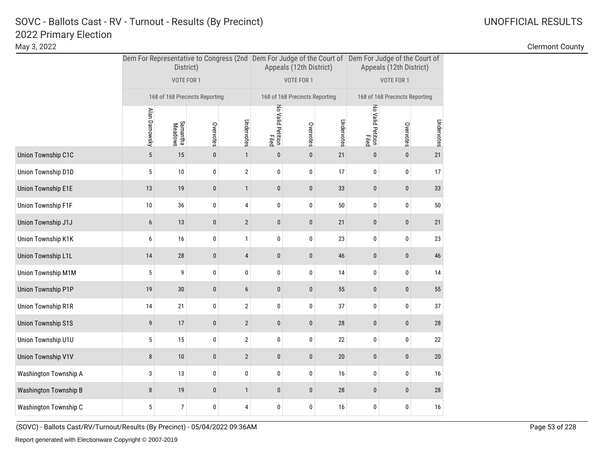May 3, 2022 Clermont County

|                              |                | District)                                      |           |              |                            | Appeals (12th District)        |            | Dem For Representative to Congress (2nd Dem For Judge of the Court of Dem For Judge of the Court of<br>Appeals (12th District) |                                |            |  |
|------------------------------|----------------|------------------------------------------------|-----------|--------------|----------------------------|--------------------------------|------------|--------------------------------------------------------------------------------------------------------------------------------|--------------------------------|------------|--|
|                              |                | VOTE FOR 1                                     |           |              |                            | VOTE FOR 1                     |            |                                                                                                                                | VOTE FOR 1                     |            |  |
|                              |                | 168 of 168 Precincts Reporting                 |           |              | No Valid Petition<br>Filed | 168 of 168 Precincts Reporting |            |                                                                                                                                | 168 of 168 Precincts Reporting |            |  |
|                              | Alan Darnowsky | Undervotes<br>Samantha<br>Meadows<br>Overvotes |           |              |                            | Overvotes                      | Undervotes | No Valid Petition<br>Filed                                                                                                     | Overvotes                      | Undervotes |  |
| Union Township C1C           | 5              | 15                                             | $\pmb{0}$ | $\mathbf{1}$ | $\pmb{0}$                  | $\pmb{0}$                      | 21         | $\pmb{0}$                                                                                                                      | $\pmb{0}$                      | 21         |  |
| Union Township D1D           | 5              | $10\,$                                         | 0         | $\sqrt{2}$   | 0                          | 0                              | 17         | 0                                                                                                                              | 0                              | 17         |  |
| <b>Union Township E1E</b>    | 13             | 19                                             | $\pmb{0}$ | $\mathbf{1}$ | $\pmb{0}$                  | $\pmb{0}$                      | 33         | $\pmb{0}$                                                                                                                      | $\pmb{0}$                      | 33         |  |
| Union Township F1F           | 10             | 36                                             | $\pmb{0}$ | 4            | 0                          | 0                              | 50         | 0                                                                                                                              | 0                              | 50         |  |
| Union Township J1J           | 6              | 13                                             | $\pmb{0}$ | $\sqrt{2}$   | $\pmb{0}$                  | $\bf{0}$                       | 21         | $\pmb{0}$                                                                                                                      | $\pmb{0}$                      | 21         |  |
| Union Township K1K           | 6              | 16                                             | 0         | $\mathbf{1}$ | 0                          | 0                              | 23         | 0                                                                                                                              | 0                              | 23         |  |
| Union Township L1L           | 14             | $28\,$                                         | $\pmb{0}$ | 4            | $\pmb{0}$                  | $\pmb{0}$                      | 46         | $\pmb{0}$                                                                                                                      | $\pmb{0}$                      | 46         |  |
| Union Township M1M           | 5              | 9                                              | 0         | 0            | 0                          | 0                              | 14         | 0                                                                                                                              | 0                              | 14         |  |
| Union Township P1P           | 19             | $30\,$                                         | $\pmb{0}$ | 6            | $\pmb{0}$                  | $\pmb{0}$                      | 55         | $\pmb{0}$                                                                                                                      | $\pmb{0}$                      | 55         |  |
| Union Township R1R           | 14             | 21                                             | $\pmb{0}$ | $\sqrt{2}$   | 0                          | $\pmb{0}$                      | 37         | 0                                                                                                                              | 0                              | 37         |  |
| <b>Union Township S1S</b>    | 9              | $17\,$                                         | $\pmb{0}$ | $\mathbf{2}$ | $\pmb{0}$                  | $\pmb{0}$                      | 28         | $\pmb{0}$                                                                                                                      | $\pmb{0}$                      | 28         |  |
| Union Township U1U           | 5              | 15                                             | $\pmb{0}$ | $\sqrt{2}$   | $\pmb{0}$                  | $\pmb{0}$                      | $22\,$     | $\pmb{0}$                                                                                                                      | 0                              | 22         |  |
| <b>Union Township V1V</b>    | 8              | $10\,$                                         | $\bf{0}$  | $\sqrt{2}$   | $\pmb{0}$                  | $\bf{0}$                       | 20         | $\pmb{0}$                                                                                                                      | $\pmb{0}$                      | 20         |  |
| Washington Township A        | 3              | 13                                             | $\pmb{0}$ | $\pmb{0}$    | 0                          | $\pmb{0}$                      | 16         | 0                                                                                                                              | 0                              | 16         |  |
| <b>Washington Township B</b> | 8              | 19                                             | $\pmb{0}$ | $\mathbf{1}$ | 0                          | $\pmb{0}$                      | 28         | $\pmb{0}$                                                                                                                      | $\pmb{0}$                      | 28         |  |
| Washington Township C        | 5              | $\overline{7}$                                 | $\pmb{0}$ | 4            | 0                          | 0                              | 16         | 0                                                                                                                              | 0                              | 16         |  |
|                              |                |                                                |           |              |                            |                                |            |                                                                                                                                |                                |            |  |

(SOVC) - Ballots Cast/RV/Turnout/Results (By Precinct) - 05/04/2022 09:36AM Page 53 of 228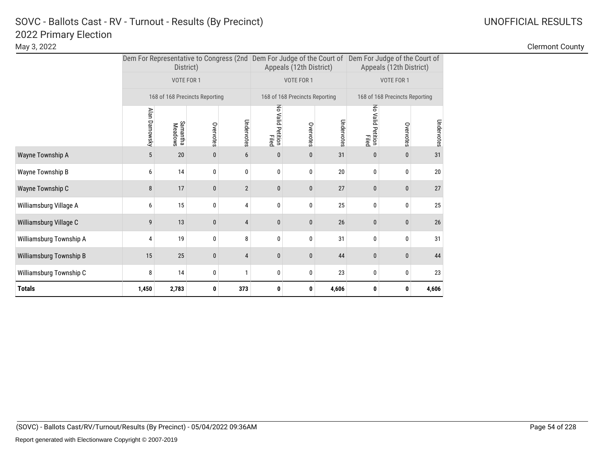|                         |                   | District)                         |                                |                |                            | Appeals (12th District)        |            | Dem For Representative to Congress (2nd   Dem For Judge of the Court of   Dem For Judge of the Court of<br>Appeals (12th District) |                                |            |  |
|-------------------------|-------------------|-----------------------------------|--------------------------------|----------------|----------------------------|--------------------------------|------------|------------------------------------------------------------------------------------------------------------------------------------|--------------------------------|------------|--|
|                         |                   | VOTE FOR 1                        |                                |                |                            | VOTE FOR 1                     |            |                                                                                                                                    | VOTE FOR 1                     |            |  |
|                         |                   |                                   | 168 of 168 Precincts Reporting |                |                            | 168 of 168 Precincts Reporting |            |                                                                                                                                    | 168 of 168 Precincts Reporting |            |  |
|                         | Alan Darnowsky    | Samantha<br>Meadows               | Overvotes                      | Undervotes     | No Valid Petition<br>Filed | Overvotes                      | Undervotes | No Valid Petition<br>Filed                                                                                                         | Overvotes                      | Undervotes |  |
| Wayne Township A        | 5                 | 20                                | $\pmb{0}$                      | 6              | $\mathbf{0}$               | $\mathbf{0}$                   | 31         | $\mathbf{0}$                                                                                                                       | $\bf{0}$                       | 31         |  |
| Wayne Township B        | 6                 | 14                                | 0                              | 0              | 0                          | 0                              | 20         | 0                                                                                                                                  | 0                              | 20         |  |
| Wayne Township C        | 8                 | 17                                | $\pmb{0}$                      | $\overline{2}$ | $\pmb{0}$                  | $\mathbf{0}$                   | 27         | $\mathbf 0$                                                                                                                        | 0                              | 27         |  |
| Williamsburg Village A  | 6                 | 15                                | 0                              | 4              | $\mathbf{0}$               | $\mathbf{0}$                   | 25         | 0                                                                                                                                  | $\bf{0}$                       | 25         |  |
| Williamsburg Village C  | 9                 | 13                                | $\bf{0}$                       | $\overline{4}$ | 0                          | $\mathbf{0}$                   | 26         | $\mathbf 0$                                                                                                                        | $\bf{0}$                       | 26         |  |
| Williamsburg Township A | 4                 | 19                                | 0                              | 8              | 0                          | 0                              | 31         | 0                                                                                                                                  | 0                              | 31         |  |
| Williamsburg Township B | 15                | 25<br>$\pmb{0}$<br>$\overline{4}$ |                                |                |                            | $\mathbf{0}$                   | 44         | $\mathbf{0}$                                                                                                                       | $\mathbf{0}$                   | 44         |  |
| Williamsburg Township C | 8<br>14<br>0<br>1 |                                   |                                |                | 0                          | 0                              | 23         | 0                                                                                                                                  | 0                              | 23         |  |
| <b>Totals</b>           | 1,450             | 2,783                             | 0                              | 373            | 0                          | 0                              | 4,606      | 0                                                                                                                                  | 0                              | 4,606      |  |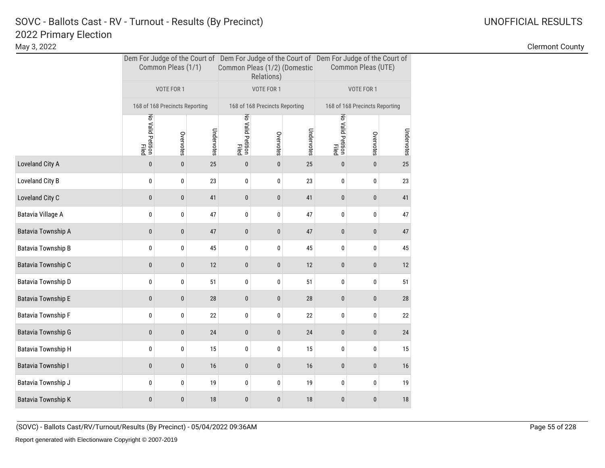### 2022 Primary Election SOVC - Ballots Cast - RV - Turnout - Results (By Precinct) and Manuscription Control Control Control Control C

|                           |                            | Common Pleas (1/1)             |            | Common Pleas (1/2) (Domestic | Relations)                     |            | Dem For Judge of the Court of Dem For Judge of the Court of Dem For Judge of the Court of<br>Common Pleas (UTE) |                                |            |  |
|---------------------------|----------------------------|--------------------------------|------------|------------------------------|--------------------------------|------------|-----------------------------------------------------------------------------------------------------------------|--------------------------------|------------|--|
|                           |                            | VOTE FOR 1                     |            |                              | VOTE FOR 1                     |            |                                                                                                                 | VOTE FOR 1                     |            |  |
|                           |                            | 168 of 168 Precincts Reporting |            |                              | 168 of 168 Precincts Reporting |            |                                                                                                                 | 168 of 168 Precincts Reporting |            |  |
|                           | No Valid Petition<br>Filed | Overvotes                      | Undervotes | No Valid Petition<br>Filed   | Overvotes                      | Undervotes | No Valid Petition<br>Filed                                                                                      | Overvotes                      | Undervotes |  |
| Loveland City A           | $\pmb{0}$                  | $\pmb{0}$                      | 25         | $\bf{0}$                     | $\pmb{0}$                      | 25         | $\pmb{0}$                                                                                                       | $\pmb{0}$                      | 25         |  |
| Loveland City B           | 0                          | 0                              | 23         | 0                            | 0                              | 23         | 0                                                                                                               | 0                              | 23         |  |
| Loveland City C           | $\pmb{0}$                  | $\pmb{0}$                      | 41         | 0                            | 0                              | 41         | $\bf{0}$                                                                                                        | 0                              | 41         |  |
| Batavia Village A         | 0                          | 0                              | 47         | 0                            | 0                              | 47         | 0                                                                                                               | 0                              | 47         |  |
| Batavia Township A        | $\pmb{0}$                  | $\pmb{0}$                      | 47         | 0                            | 0                              | 47         | $\pmb{0}$                                                                                                       | $\mathbf 0$                    | $47\,$     |  |
| Batavia Township B        | 0                          | 0                              | 45         | 0                            | 0                              | 45         | 0                                                                                                               | 0                              | 45         |  |
| Batavia Township C        | $\pmb{0}$                  | $\pmb{0}$                      | 12         | $\pmb{0}$                    | $\pmb{0}$                      | 12         | $\pmb{0}$                                                                                                       | $\pmb{0}$                      | 12         |  |
| Batavia Township D        | 0                          | 0                              | 51         | 0                            | 0                              | 51         | 0                                                                                                               | 0                              | 51         |  |
| <b>Batavia Township E</b> | $\mathbf 0$                | $\pmb{0}$                      | 28         | $\bf{0}$                     | $\pmb{0}$                      | 28         | $\pmb{0}$                                                                                                       | $\mathbf 0$                    | 28         |  |
| Batavia Township F        | 0                          | 0                              | 22         | 0                            | 0                              | 22         | 0                                                                                                               | 0                              | 22         |  |
| Batavia Township G        | $\mathbf 0$                | $\pmb{0}$                      | 24         | $\pmb{0}$                    | $\pmb{0}$                      | 24         | $\pmb{0}$                                                                                                       | 0                              | $24\,$     |  |
| Batavia Township H        | 0                          | 0                              | 15         | 0                            | 0                              | 15         | 0                                                                                                               | 0                              | 15         |  |
| Batavia Township I        | $\pmb{0}$                  | $\pmb{0}$                      | 16         | 0                            | 0                              | 16         | 0                                                                                                               | $\mathbf 0$                    | 16         |  |
| Batavia Township J        | 0                          | 0                              | 19         | 0                            | 0                              | 19         | 0                                                                                                               | 0                              | 19         |  |
| Batavia Township K        | 0                          | $\pmb{0}$                      | 18         | 0                            | 0                              | 18         | $\pmb{0}$                                                                                                       | 0                              | 18         |  |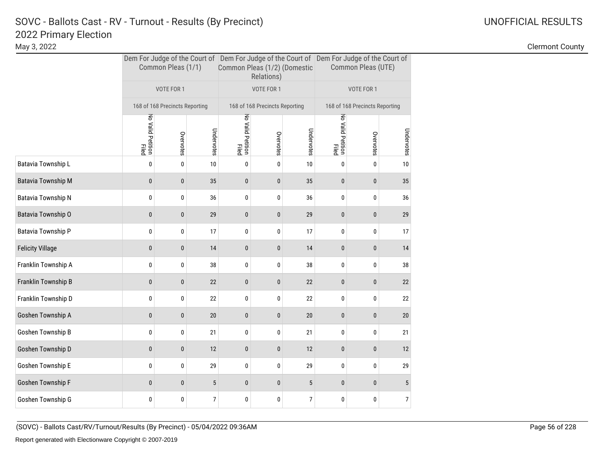May 3, 2022 Clermont County

|                           |                            | Common Pleas (1/1)             |            | Common Pleas (1/2) (Domestic | Relations)                     |            | Dem For Judge of the Court of Dem For Judge of the Court of Dem For Judge of the Court of<br>Common Pleas (UTE) |                                |            |  |
|---------------------------|----------------------------|--------------------------------|------------|------------------------------|--------------------------------|------------|-----------------------------------------------------------------------------------------------------------------|--------------------------------|------------|--|
|                           |                            | VOTE FOR 1                     |            |                              | VOTE FOR 1                     |            |                                                                                                                 | VOTE FOR 1                     |            |  |
|                           |                            | 168 of 168 Precincts Reporting |            |                              | 168 of 168 Precincts Reporting |            |                                                                                                                 | 168 of 168 Precincts Reporting |            |  |
|                           | No Valid Petition<br>Filed | Overvotes                      | Undervotes | No Valid Petition<br>Filed   | Overvotes                      | Undervotes | No Valid Petition<br>Filed                                                                                      | Overvotes                      | Undervotes |  |
| Batavia Township L        | $\pmb{0}$                  | 0                              | 10         | 0                            | 0                              | 10         | 0                                                                                                               | 0                              | 10         |  |
| <b>Batavia Township M</b> | $\mathbf{0}$               | 0                              | 35         | 0                            | 0                              | 35         | $\bf{0}$                                                                                                        | $\bf{0}$                       | 35         |  |
| Batavia Township N        | 0                          | 0                              | 36         | 0                            | 0                              | 36         | 0                                                                                                               | 0                              | 36         |  |
| Batavia Township O        | 0                          | $\mathbf{0}$                   | 29         | 0                            | 0                              | 29         | $\bf{0}$                                                                                                        | $\bf{0}$                       | 29         |  |
| Batavia Township P        | 0                          | 0                              | 17         | 0                            | 0                              | 17         | 0                                                                                                               | 0                              | 17         |  |
| <b>Felicity Village</b>   | 0                          | 0                              | 14         | 0                            | 0                              | 14         | $\bf{0}$                                                                                                        | $\bf{0}$                       | 14         |  |
| Franklin Township A       | 0                          | 0                              | 38         | 0                            | 0                              | 38         | 0                                                                                                               | 0                              | 38         |  |
| Franklin Township B       | 0                          | 0                              | 22         | 0                            | 0                              | 22         | $\bf{0}$                                                                                                        | 0                              | 22         |  |
| Franklin Township D       | 0                          | 0                              | 22         | 0                            | 0                              | 22         | 0                                                                                                               | 0                              | 22         |  |
| Goshen Township A         | $\mathbf{0}$               | $\mathbf{0}$                   | 20         | 0                            | $\mathbf{0}$                   | 20         | $\mathbf{0}$                                                                                                    | 0                              | 20         |  |
| Goshen Township B         | 0                          | 0                              | 21         | 0                            | 0                              | 21         | 0                                                                                                               | 0                              | 21         |  |
| Goshen Township D         | $\mathbf{0}$               | $\mathbf{0}$                   | 12         | 0                            | $\mathbf 0$                    | 12         | $\bf{0}$                                                                                                        | $\bf{0}$                       | 12         |  |
| Goshen Township E         | 0                          | 0                              | 29         | 0                            | 0                              | 29         | 0                                                                                                               | 0                              | 29         |  |
| Goshen Township F         | $\mathbf{0}$               | $\mathbf{0}$                   | $\sqrt{5}$ | $\mathbf{0}$                 | $\pmb{0}$                      | $\sqrt{5}$ | $\mathbf{0}$                                                                                                    | $\mathbf{0}$                   | 5          |  |
| Goshen Township G         | 0                          | 0                              | 7          | 0                            | 0                              | 7          | 0                                                                                                               | 0                              | 7          |  |

(SOVC) - Ballots Cast/RV/Turnout/Results (By Precinct) - 05/04/2022 09:36AM Page 56 of 228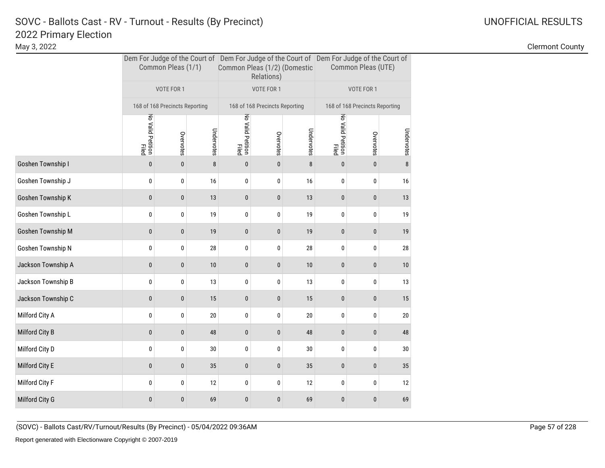|                    |                            | Common Pleas (1/1)             |            | Common Pleas (1/2) (Domestic | Relations)                     |            | Dem For Judge of the Court of Dem For Judge of the Court of Dem For Judge of the Court of<br>Common Pleas (UTE) |                                |            |  |
|--------------------|----------------------------|--------------------------------|------------|------------------------------|--------------------------------|------------|-----------------------------------------------------------------------------------------------------------------|--------------------------------|------------|--|
|                    |                            | VOTE FOR 1                     |            |                              | VOTE FOR 1                     |            |                                                                                                                 | VOTE FOR 1                     |            |  |
|                    |                            | 168 of 168 Precincts Reporting |            |                              | 168 of 168 Precincts Reporting |            |                                                                                                                 | 168 of 168 Precincts Reporting |            |  |
|                    | No Valid Petition<br>Filed | Overvotes                      | Undervotes | No Valid Petition<br>Filed   | Overvotes                      | Undervotes | No Valid Petition<br>Filed                                                                                      | Overvotes                      | Undervotes |  |
| Goshen Township I  | 0                          | $\pmb{0}$                      | 8          | $\bf{0}$                     | $\pmb{0}$                      | 8          | $\pmb{0}$                                                                                                       | $\pmb{0}$                      | 8          |  |
| Goshen Township J  | 0                          | 0                              | 16         | 0                            | 0                              | 16         | 0                                                                                                               | 0                              | 16         |  |
| Goshen Township K  | 0                          | $\pmb{0}$                      | 13         | 0                            | $\pmb{0}$                      | 13         | $\pmb{0}$                                                                                                       | $\pmb{0}$                      | 13         |  |
| Goshen Township L  | 0                          | $\pmb{0}$                      | 19         | $\pmb{0}$                    | 0                              | 19         | $\pmb{0}$                                                                                                       | 0                              | 19         |  |
| Goshen Township M  | $\mathbf{0}$               | $\mathbf{0}$                   | 19         | 0                            | 0                              | 19         | $\pmb{0}$                                                                                                       | 0                              | 19         |  |
| Goshen Township N  | 0                          | 0                              | 28         | 0                            | 0                              | 28         | 0                                                                                                               | 0                              | $28\,$     |  |
| Jackson Township A | 0                          | $\bf{0}$                       | 10         | $\bf{0}$                     | 0                              | $10$       | $\pmb{0}$                                                                                                       | $\pmb{0}$                      | 10         |  |
| Jackson Township B | 0                          | 0                              | 13         | 0                            | 0                              | 13         | 0                                                                                                               | 0                              | 13         |  |
| Jackson Township C | 0                          | $\pmb{0}$                      | 15         | $\pmb{0}$                    | 0                              | 15         | $\pmb{0}$                                                                                                       | $\pmb{0}$                      | 15         |  |
| Milford City A     | 0                          | 0                              | 20         | 0                            | 0                              | 20         | 0                                                                                                               | 0                              | 20         |  |
| Milford City B     | 0                          | $\pmb{0}$                      | 48         | 0                            | $\pmb{0}$                      | 48         | $\pmb{0}$                                                                                                       | $\pmb{0}$                      | 48         |  |
| Milford City D     | 0                          | 0                              | 30         | 0                            | 0                              | 30         | 0                                                                                                               | 0                              | 30         |  |
| Milford City E     | 0                          | $\bf{0}$                       | 35         | 0                            | $\bf{0}$                       | 35         | $\pmb{0}$                                                                                                       | 0                              | 35         |  |
| Milford City F     | 0                          | 0                              | 12         | 0                            | 0                              | 12         | 0                                                                                                               | 0                              | 12         |  |
| Milford City G     | 0                          | $\mathbf{0}$                   | 69         | $\bf{0}$                     | 0                              | 69         | $\pmb{0}$                                                                                                       | 0                              | 69         |  |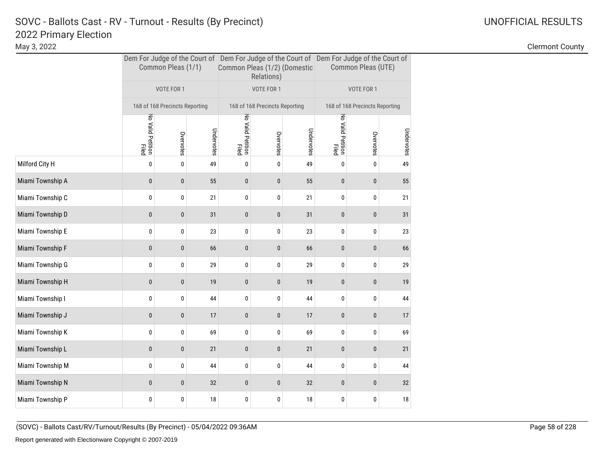|                  |                            | Common Pleas (1/1)             |            | Common Pleas (1/2) (Domestic | Relations)                     |            | Dem For Judge of the Court of Dem For Judge of the Court of Dem For Judge of the Court of<br>Common Pleas (UTE) |                                |            |  |
|------------------|----------------------------|--------------------------------|------------|------------------------------|--------------------------------|------------|-----------------------------------------------------------------------------------------------------------------|--------------------------------|------------|--|
|                  |                            | VOTE FOR 1                     |            |                              | VOTE FOR 1                     |            |                                                                                                                 | VOTE FOR 1                     |            |  |
|                  |                            | 168 of 168 Precincts Reporting |            |                              | 168 of 168 Precincts Reporting |            |                                                                                                                 | 168 of 168 Precincts Reporting |            |  |
|                  | No Valid Petition<br>Filed | Overvotes                      | Undervotes | No Valid Petition<br>Filed   | Overvotes                      | Undervotes | No Valid Petition<br>Filed                                                                                      | Overvotes                      | Undervotes |  |
| Milford City H   | 0                          | $\pmb{0}$                      | 49         | 0                            | 0                              | 49         | 0                                                                                                               | 0                              | 49         |  |
| Miami Township A | $\bf{0}$                   | $\pmb{0}$                      | 55         | $\bf{0}$                     | 0                              | 55         | $\pmb{0}$                                                                                                       | 0                              | 55         |  |
| Miami Township C | 0                          | 0                              | 21         | 0                            | 0                              | 21         | 0                                                                                                               | 0                              | 21         |  |
| Miami Township D | $\bf{0}$                   | $\pmb{0}$                      | 31         | $\pmb{0}$                    | $\pmb{0}$                      | 31         | $\pmb{0}$                                                                                                       | 0                              | 31         |  |
| Miami Township E | 0                          | 0                              | 23         | 0                            | 0                              | 23         | 0                                                                                                               | 0                              | 23         |  |
| Miami Township F | $\pmb{0}$                  | $\pmb{0}$                      | 66         | 0                            | 0                              | 66         | $\pmb{0}$                                                                                                       | $\pmb{0}$                      | 66         |  |
| Miami Township G | 0                          | 0                              | 29         | 0                            | 0                              | 29         | 0                                                                                                               | 0                              | 29         |  |
| Miami Township H | $\mathbf 0$                | 0                              | 19         | 0                            | 0                              | 19         | 0                                                                                                               | 0                              | 19         |  |
| Miami Township I | 0                          | 0                              | 44         | 0                            | 0                              | 44         | 0                                                                                                               | 0                              | 44         |  |
| Miami Township J | $\mathbf{0}$               | $\mathbf{0}$                   | 17         | 0                            | 0                              | 17         | $\bf{0}$                                                                                                        | 0                              | 17         |  |
| Miami Township K | 0                          | 0                              | 69         | 0                            | 0                              | 69         | 0                                                                                                               | 0                              | 69         |  |
| Miami Township L | $\bf{0}$                   | $\pmb{0}$                      | 21         | 0                            | $\bf{0}$                       | 21         | $\bf{0}$                                                                                                        | $\bf{0}$                       | 21         |  |
| Miami Township M | 0                          | 0                              | 44         | 0                            | 0                              | 44         | 0                                                                                                               | 0                              | 44         |  |
| Miami Township N | $\mathbf{0}$               | $\mathbf{0}$                   | 32         | 0                            | 0                              | 32         | $\pmb{0}$                                                                                                       | 0                              | 32         |  |
| Miami Township P | 0                          | 0                              | 18         | 0                            | 0                              | 18         | 0                                                                                                               | 0                              | 18         |  |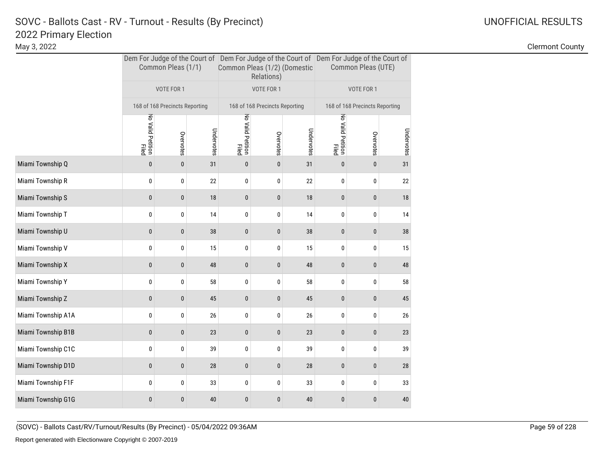|                    |                            | Common Pleas (1/1)             |            | Common Pleas (1/2) (Domestic | Relations)                     |            | Dem For Judge of the Court of Dem For Judge of the Court of Dem For Judge of the Court of<br>Common Pleas (UTE) |                                |            |  |
|--------------------|----------------------------|--------------------------------|------------|------------------------------|--------------------------------|------------|-----------------------------------------------------------------------------------------------------------------|--------------------------------|------------|--|
|                    |                            | VOTE FOR 1                     |            |                              | VOTE FOR 1                     |            |                                                                                                                 | VOTE FOR 1                     |            |  |
|                    |                            | 168 of 168 Precincts Reporting |            |                              | 168 of 168 Precincts Reporting |            |                                                                                                                 | 168 of 168 Precincts Reporting |            |  |
|                    | No Valid Petition<br>Filed | Overvotes                      | Undervotes | No Valid Petition<br>Filed   | Overvotes                      | Undervotes | No Valid Petition<br>Filed                                                                                      | Overvotes                      | Undervotes |  |
| Miami Township Q   | $\bf{0}$                   | $\pmb{0}$                      | 31         | $\pmb{0}$                    | $\pmb{0}$                      | 31         | $\pmb{0}$                                                                                                       | $\pmb{0}$                      | 31         |  |
| Miami Township R   | 0                          | 0                              | 22         | 0                            | 0                              | 22         | 0                                                                                                               | 0                              | 22         |  |
| Miami Township S   | $\pmb{0}$                  | $\pmb{0}$                      | 18         | $\pmb{0}$                    | 0                              | 18         | $\bf{0}$                                                                                                        | $\pmb{0}$                      | 18         |  |
| Miami Township T   | 0                          | 0                              | 14         | 0                            | 0                              | 14         | 0                                                                                                               | 0                              | 14         |  |
| Miami Township U   | $\bf{0}$                   | 0                              | 38         | $\bf{0}$                     | $\mathbf 0$                    | 38         | $\pmb{0}$                                                                                                       | $\pmb{0}$                      | 38         |  |
| Miami Township V   | 0                          | 0                              | 15         | 0                            | 0                              | 15         | 0                                                                                                               | 0                              | 15         |  |
| Miami Township X   | $\bf{0}$                   | 0                              | 48         | $\pmb{0}$                    | 0                              | 48         | $\pmb{0}$                                                                                                       | $\pmb{0}$                      | 48         |  |
| Miami Township Y   | 0                          | 0                              | 58         | 0                            | 0                              | 58         | 0                                                                                                               | 0                              | 58         |  |
| Miami Township Z   | 0                          | 0                              | 45         | $\bf{0}$                     | $\bf{0}$                       | 45         | $\pmb{0}$                                                                                                       | $\pmb{0}$                      | 45         |  |
| Miami Township A1A | 0                          | 0                              | 26         | 0                            | 0                              | 26         | 0                                                                                                               | 0                              | 26         |  |
| Miami Township B1B | $\bf{0}$                   | 0                              | 23         | $\pmb{0}$                    | $\pmb{0}$                      | 23         | $\pmb{0}$                                                                                                       | $\pmb{0}$                      | 23         |  |
| Miami Township C1C | 0                          | 0                              | 39         | 0                            | 0                              | 39         | 0                                                                                                               | 0                              | 39         |  |
| Miami Township D1D | $\bf{0}$                   | 0                              | 28         | 0                            | 0                              | 28         | 0                                                                                                               | $\pmb{0}$                      | 28         |  |
| Miami Township F1F | 0                          | 0                              | 33         | 0                            | 0                              | 33         | 0                                                                                                               | 0                              | 33         |  |
| Miami Township G1G | 0                          | 0                              | 40         | 0                            | 0                              | 40         | $\bf{0}$                                                                                                        | $\pmb{0}$                      | 40         |  |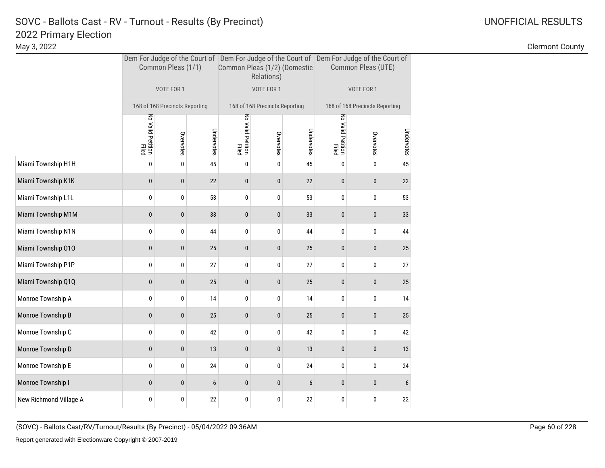|                        |                            | Common Pleas (1/1)             |            | Common Pleas (1/2) (Domestic | Relations)                     |            | Dem For Judge of the Court of Dem For Judge of the Court of Dem For Judge of the Court of<br>Common Pleas (UTE) |            |            |  |
|------------------------|----------------------------|--------------------------------|------------|------------------------------|--------------------------------|------------|-----------------------------------------------------------------------------------------------------------------|------------|------------|--|
|                        |                            | VOTE FOR 1                     |            |                              | VOTE FOR 1                     |            |                                                                                                                 | VOTE FOR 1 |            |  |
|                        |                            | 168 of 168 Precincts Reporting |            |                              | 168 of 168 Precincts Reporting |            | 168 of 168 Precincts Reporting                                                                                  |            |            |  |
|                        | No Valid Petition<br>Filed | Overvotes                      | Undervotes | No Valid Petition<br>Filed   | Overvotes                      | Undervotes | No Valid Petition<br>Filed                                                                                      | Overvotes  | Undervotes |  |
| Miami Township H1H     | 0                          | 0                              | 45         | 0                            | 0                              | 45         | 0                                                                                                               | 0          | 45         |  |
| Miami Township K1K     | $\mathbf{0}$               | 0                              | 22         | $\pmb{0}$                    | 0                              | 22         | $\bf{0}$                                                                                                        | $\pmb{0}$  | 22         |  |
| Miami Township L1L     | 0                          | 0                              | 53         | 0                            | 0                              | 53         | 0                                                                                                               | 0          | 53         |  |
| Miami Township M1M     | 0                          | $\mathbf{0}$                   | 33         | 0                            | 0                              | 33         | $\bf{0}$                                                                                                        | $\pmb{0}$  | 33         |  |
| Miami Township N1N     | 0                          | 0                              | 44         | 0                            | 0                              | 44         | 0                                                                                                               | 0          | 44         |  |
| Miami Township 010     | 0                          | 0                              | 25         | $\pmb{0}$                    | 0                              | 25         | $\bf{0}$                                                                                                        | $\pmb{0}$  | 25         |  |
| Miami Township P1P     | 0                          | 0                              | 27         | 0                            | 0                              | 27         | 0                                                                                                               | 0          | 27         |  |
| Miami Township Q1Q     | 0                          | 0                              | 25         | $\pmb{0}$                    | 0                              | 25         | $\bf{0}$                                                                                                        | $\pmb{0}$  | 25         |  |
| Monroe Township A      | 0                          | 0                              | 14         | 0                            | 0                              | 14         | 0                                                                                                               | 0          | 14         |  |
| Monroe Township B      | 0                          | 0                              | 25         | $\mathbf{0}$                 | 0                              | 25         | $\mathbf{0}$                                                                                                    | $\pmb{0}$  | 25         |  |
| Monroe Township C      | 0                          | 0                              | 42         | 0                            | 0                              | 42         | 0                                                                                                               | 0          | 42         |  |
| Monroe Township D      | $\mathbf{0}$               | $\mathbf{0}$                   | 13         | $\pmb{0}$                    | 0                              | 13         | $\bf{0}$                                                                                                        | $\pmb{0}$  | 13         |  |
| Monroe Township E      | 0                          | 0                              | 24         | 0                            | 0                              | 24         | 0                                                                                                               | 0          | 24         |  |
| Monroe Township I      | 0                          | $\mathbf{0}$                   | 6          | 0                            | 0                              | 6          | $\mathbf{0}$                                                                                                    | $\pmb{0}$  | 6          |  |
| New Richmond Village A | 0                          | 0                              | 22         | 0                            | 0                              | 22         | 0                                                                                                               | 0          | 22         |  |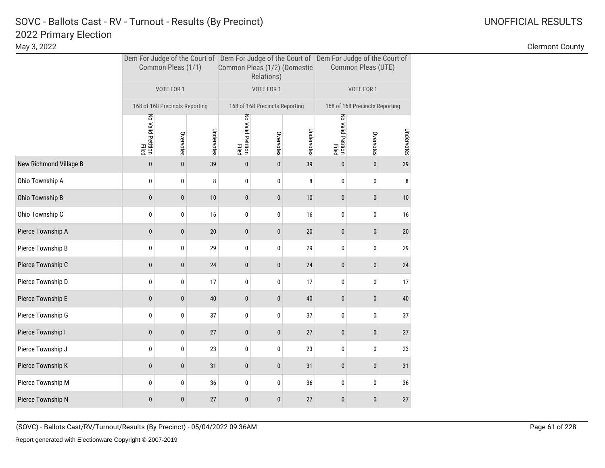|                        |                            | Common Pleas (1/1)             |            | Common Pleas (1/2) (Domestic | Relations)                     |            | Dem For Judge of the Court of Dem For Judge of the Court of Dem For Judge of the Court of<br>Common Pleas (UTE) |             |            |  |
|------------------------|----------------------------|--------------------------------|------------|------------------------------|--------------------------------|------------|-----------------------------------------------------------------------------------------------------------------|-------------|------------|--|
|                        |                            | VOTE FOR 1                     |            |                              | VOTE FOR 1                     |            | VOTE FOR 1                                                                                                      |             |            |  |
|                        |                            | 168 of 168 Precincts Reporting |            |                              | 168 of 168 Precincts Reporting |            | 168 of 168 Precincts Reporting                                                                                  |             |            |  |
|                        | No Valid Petition<br>Filed | Overvotes                      | Undervotes | No Valid Petition<br>Filed   | Overvotes                      | Undervotes | No Valid Petition<br>Filed                                                                                      | Overvotes   | Undervotes |  |
| New Richmond Village B | $\pmb{0}$                  | $\mathbf{0}$                   | 39         | $\bf{0}$                     | $\pmb{0}$                      | 39         | $\pmb{0}$                                                                                                       | $\pmb{0}$   | 39         |  |
| Ohio Township A        | 0                          | 0                              | 8          | 0                            | 0                              | 8          | 0                                                                                                               | 0           | 8          |  |
| Ohio Township B        | $\pmb{0}$                  | $\pmb{0}$                      | 10         | $\pmb{0}$                    | $\pmb{0}$                      | 10         | $\bf{0}$                                                                                                        | $\pmb{0}$   | 10         |  |
| Ohio Township C        | 0                          | 0                              | 16         | 0                            | 0                              | 16         | 0                                                                                                               | 0           | 16         |  |
| Pierce Township A      | $\mathbf{0}$               | $\mathbf{0}$                   | 20         | $\mathbf{0}$                 | 0                              | 20         | $\bf{0}$                                                                                                        | 0           | 20         |  |
| Pierce Township B      | 0                          | 0                              | 29         | 0                            | 0                              | 29         | 0                                                                                                               | 0           | 29         |  |
| Pierce Township C      | 0                          | $\bf{0}$                       | 24         | 0                            | $\bf{0}$                       | 24         | $\bf{0}$                                                                                                        | $\bf{0}$    | 24         |  |
| Pierce Township D      | 0                          | 0                              | 17         | 0                            | 0                              | 17         | 0                                                                                                               | 0           | 17         |  |
| Pierce Township E      | $\pmb{0}$                  | $\pmb{0}$                      | 40         | $\pmb{0}$                    | $\pmb{0}$                      | 40         | $\pmb{0}$                                                                                                       | $\mathbf 0$ | 40         |  |
| Pierce Township G      | 0                          | 0                              | 37         | 0                            | 0                              | 37         | 0                                                                                                               | 0           | 37         |  |
| Pierce Township I      | $\pmb{0}$                  | $\pmb{0}$                      | 27         | 0                            | $\pmb{0}$                      | 27         | $\pmb{0}$                                                                                                       | $\pmb{0}$   | 27         |  |
| Pierce Township J      | 0                          | 0                              | 23         | 0                            | 0                              | 23         | 0                                                                                                               | 0           | 23         |  |
| Pierce Township K      | $\mathbf{0}$               | $\mathbf{0}$                   | 31         | 0                            | 0                              | 31         | 0                                                                                                               | 0           | 31         |  |
| Pierce Township M      | 0                          | 0                              | 36         | 0                            | 0                              | 36         | 0                                                                                                               | 0           | 36         |  |
| Pierce Township N      | 0                          | $\mathbf{0}$                   | 27         | 0                            | 0                              | 27         | $\mathbf{0}$                                                                                                    | 0           | 27         |  |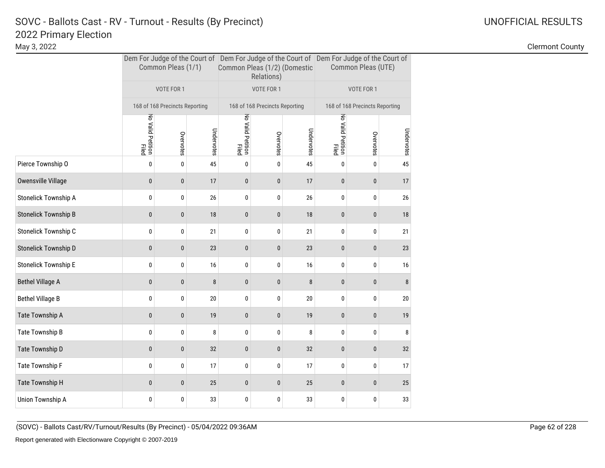|                             |                            | Common Pleas (1/1)             |            | Common Pleas (1/2) (Domestic | Relations)                     |            | Dem For Judge of the Court of Dem For Judge of the Court of Dem For Judge of the Court of<br>Common Pleas (UTE) |           |            |  |
|-----------------------------|----------------------------|--------------------------------|------------|------------------------------|--------------------------------|------------|-----------------------------------------------------------------------------------------------------------------|-----------|------------|--|
|                             |                            | VOTE FOR 1                     |            |                              | VOTE FOR 1                     |            | VOTE FOR 1                                                                                                      |           |            |  |
|                             |                            | 168 of 168 Precincts Reporting |            |                              | 168 of 168 Precincts Reporting |            | 168 of 168 Precincts Reporting                                                                                  |           |            |  |
|                             | No Valid Petition<br>Filed | Overvotes                      | Undervotes | No Valid Petition<br>Filed   | Overvotes                      | Undervotes | No Valid Petition<br>Filed                                                                                      | Overvotes | Undervotes |  |
| Pierce Township O           | 0                          | $\pmb{0}$                      | 45         | 0                            | 0                              | 45         | 0                                                                                                               | 0         | 45         |  |
| Owensville Village          | 0                          | $\bf{0}$                       | 17         | $\bf{0}$                     | $\pmb{0}$                      | 17         | $\pmb{0}$                                                                                                       | $\pmb{0}$ | 17         |  |
| <b>Stonelick Township A</b> | 0                          | 0                              | 26         | 0                            | 0                              | 26         | 0                                                                                                               | 0         | 26         |  |
| <b>Stonelick Township B</b> | 0                          | $\pmb{0}$                      | 18         | $\pmb{0}$                    | 0                              | $18\,$     | $\pmb{0}$                                                                                                       | 0         | 18         |  |
| Stonelick Township C        | 0                          | 0                              | 21         | 0                            | 0                              | 21         | 0                                                                                                               | 0         | 21         |  |
| Stonelick Township D        | 0                          | $\pmb{0}$                      | 23         | 0                            | $\pmb{0}$                      | 23         | $\pmb{0}$                                                                                                       | $\pmb{0}$ | 23         |  |
| <b>Stonelick Township E</b> | 0                          | 0                              | 16         | 0                            | 0                              | 16         | 0                                                                                                               | 0         | 16         |  |
| <b>Bethel Village A</b>     | 0                          | 0                              | 8          | $\pmb{0}$                    | 0                              | 8          | $\bf{0}$                                                                                                        | $\bf{0}$  | 8          |  |
| <b>Bethel Village B</b>     | 0                          | 0                              | 20         | 0                            | 0                              | 20         | 0                                                                                                               | 0         | 20         |  |
| Tate Township A             | 0                          | $\mathbf{0}$                   | 19         | 0                            | 0                              | 19         | $\pmb{0}$                                                                                                       | 0         | 19         |  |
| Tate Township B             | 0                          | 0                              | 8          | 0                            | 0                              | 8          | 0                                                                                                               | 0         | 8          |  |
| Tate Township D             | $\mathbf{0}$               | $\bf{0}$                       | 32         | 0                            | $\pmb{0}$                      | 32         | $\pmb{0}$                                                                                                       | $\bf{0}$  | 32         |  |
| Tate Township F             | 0                          | 0                              | 17         | 0                            | 0                              | 17         | 0                                                                                                               | 0         | 17         |  |
| Tate Township H             | $\mathbf{0}$               | $\mathbf{0}$                   | 25         | 0                            | 0                              | 25         | $\pmb{0}$                                                                                                       | $\bf{0}$  | 25         |  |
| Union Township A            | 0                          | 0                              | 33         | 0                            | 0                              | 33         | 0                                                                                                               | 0         | 33         |  |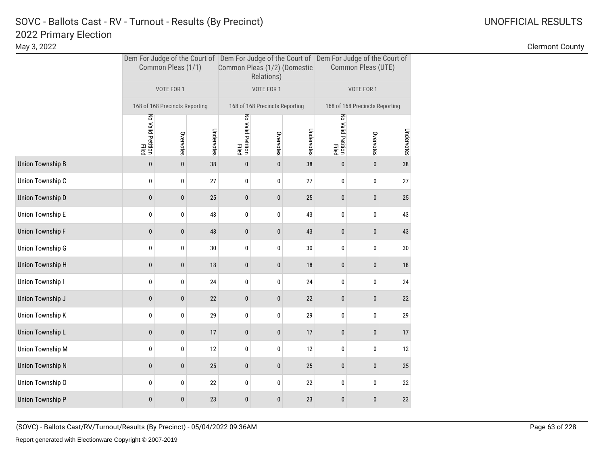May 3, 2022 Clermont County

|                  |                            | Common Pleas (1/1)             |            | Common Pleas (1/2) (Domestic | Relations)                     |            | Dem For Judge of the Court of Dem For Judge of the Court of Dem For Judge of the Court of<br>Common Pleas (UTE) |           |            |  |
|------------------|----------------------------|--------------------------------|------------|------------------------------|--------------------------------|------------|-----------------------------------------------------------------------------------------------------------------|-----------|------------|--|
|                  |                            | VOTE FOR 1                     |            |                              | VOTE FOR 1                     |            | VOTE FOR 1                                                                                                      |           |            |  |
|                  |                            | 168 of 168 Precincts Reporting |            |                              | 168 of 168 Precincts Reporting |            | 168 of 168 Precincts Reporting                                                                                  |           |            |  |
|                  | No Valid Petition<br>Filed | Overvotes                      | Undervotes | No Valid Petition<br>Filed   | Overvotes                      | Undervotes | No Valid Petition<br>Filed                                                                                      | Overvotes | Undervotes |  |
| Union Township B | $\mathbf{0}$               | $\mathbf{0}$                   | 38         | $\mathbf{0}$                 | $\pmb{0}$                      | 38         | $\bf{0}$                                                                                                        | $\pmb{0}$ | 38         |  |
| Union Township C | 0                          | 0                              | 27         | 0                            | 0                              | 27         | 0                                                                                                               | 0         | 27         |  |
| Union Township D | $\pmb{0}$                  | $\bf{0}$                       | 25         | $\pmb{0}$                    | 0                              | 25         | $\pmb{0}$                                                                                                       | $\pmb{0}$ | 25         |  |
| Union Township E | 0                          | 0                              | 43         | 0                            | 0                              | 43         | 0                                                                                                               | 0         | 43         |  |
| Union Township F | $\bf{0}$                   | $\mathbf{0}$                   | 43         | $\bf{0}$                     | $\mathbf 0$                    | 43         | $\pmb{0}$                                                                                                       | $\pmb{0}$ | 43         |  |
| Union Township G | 0                          | 0                              | 30         | 0                            | 0                              | 30         | 0                                                                                                               | 0         | 30         |  |
| Union Township H | 0                          | 0                              | 18         | $\pmb{0}$                    | 0                              | $18\,$     | $\bf{0}$                                                                                                        | $\pmb{0}$ | 18         |  |
| Union Township I | 0                          | 0                              | 24         | 0                            | 0                              | 24         | 0                                                                                                               | 0         | 24         |  |
| Union Township J | 0                          | 0                              | 22         | $\pmb{0}$                    | 0                              | 22         | $\bf{0}$                                                                                                        | $\pmb{0}$ | 22         |  |
| Union Township K | 0                          | 0                              | 29         | 0                            | 0                              | 29         | 0                                                                                                               | 0         | 29         |  |
| Union Township L | 0                          | 0                              | 17         | $\pmb{0}$                    | $\pmb{0}$                      | 17         | $\pmb{0}$                                                                                                       | $\pmb{0}$ | 17         |  |
| Union Township M | 0                          | 0                              | 12         | 0                            | 0                              | 12         | 0                                                                                                               | 0         | 12         |  |
| Union Township N | $\pmb{0}$                  | 0                              | 25         | $\pmb{0}$                    | 0                              | $25\,$     | $\pmb{0}$                                                                                                       | $\pmb{0}$ | 25         |  |
| Union Township O | 0                          | 0                              | 22         | 0                            | 0                              | 22         | 0                                                                                                               | 0         | 22         |  |
| Union Township P | $\mathbf{0}$               | 0                              | 23         | $\pmb{0}$                    | $\bf{0}$                       | 23         | $\pmb{0}$                                                                                                       | $\pmb{0}$ | 23         |  |

(SOVC) - Ballots Cast/RV/Turnout/Results (By Precinct) - 05/04/2022 09:36AM Page 63 of 228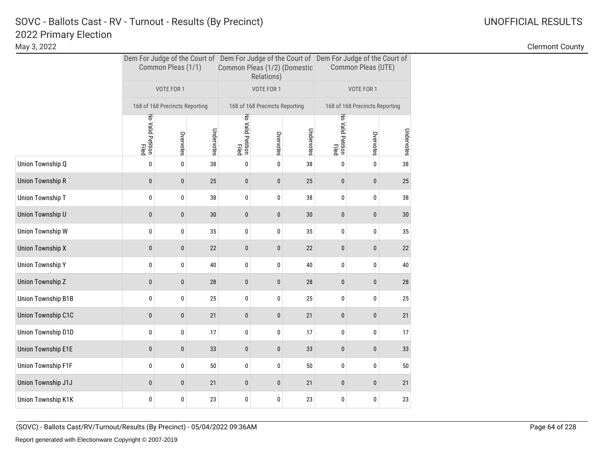|                    |                            | Common Pleas (1/1)             |            | Common Pleas (1/2) (Domestic | Relations)                     |            | Dem For Judge of the Court of Dem For Judge of the Court of Dem For Judge of the Court of<br>Common Pleas (UTE) |           |            |  |
|--------------------|----------------------------|--------------------------------|------------|------------------------------|--------------------------------|------------|-----------------------------------------------------------------------------------------------------------------|-----------|------------|--|
|                    |                            | VOTE FOR 1                     |            |                              | VOTE FOR 1                     |            | VOTE FOR 1                                                                                                      |           |            |  |
|                    |                            | 168 of 168 Precincts Reporting |            |                              | 168 of 168 Precincts Reporting |            | 168 of 168 Precincts Reporting                                                                                  |           |            |  |
|                    | No Valid Petition<br>Filed | Overvotes                      | Undervotes | No Valid Petition<br>Filed   | Overvotes                      | Undervotes | No Valid Petition<br>Filed                                                                                      | Overvotes | Undervotes |  |
| Union Township Q   | 0                          | 0                              | 38         | 0                            | 0                              | 38         | 0                                                                                                               | 0         | 38         |  |
| Union Township R   | 0                          | 0                              | 25         | 0                            | 0                              | 25         | $\pmb{0}$                                                                                                       | $\pmb{0}$ | 25         |  |
| Union Township T   | 0                          | 0                              | 38         | 0                            | 0                              | 38         | 0                                                                                                               | 0         | 38         |  |
| Union Township U   | 0                          | 0                              | 30         | 0                            | $\pmb{0}$                      | $30\,$     | $\pmb{0}$                                                                                                       | 0         | 30         |  |
| Union Township W   | 0                          | 0                              | 35         | 0                            | 0                              | 35         | 0                                                                                                               | 0         | 35         |  |
| Union Township X   | 0                          | 0                              | 22         | 0                            | 0                              | 22         | $\pmb{0}$                                                                                                       | $\pmb{0}$ | 22         |  |
| Union Township Y   | 0                          | 0                              | 40         | 0                            | 0                              | 40         | 0                                                                                                               | 0         | 40         |  |
| Union Township Z   | 0                          | 0                              | 28         | 0                            | 0                              | 28         | 0                                                                                                               | 0         | 28         |  |
| Union Township B1B | 0                          | 0                              | 25         | 0                            | 0                              | 25         | 0                                                                                                               | 0         | 25         |  |
| Union Township C1C | 0                          | 0                              | 21         | 0                            | 0                              | 21         | $\bf{0}$                                                                                                        | 0         | 21         |  |
| Union Township D1D | 0                          | 0                              | 17         | 0                            | 0                              | 17         | 0                                                                                                               | 0         | 17         |  |
| Union Township E1E | 0                          | 0                              | 33         | 0                            | 0                              | 33         | $\bf{0}$                                                                                                        | $\bf{0}$  | 33         |  |
| Union Township F1F | 0                          | 0                              | 50         | 0                            | 0                              | 50         | 0                                                                                                               | 0         | 50         |  |
| Union Township J1J | $\mathbf{0}$               | $\mathbf{0}$                   | 21         | $\mathbf{0}$                 | 0                              | 21         | $\bf{0}$                                                                                                        | $\bf{0}$  | 21         |  |
| Union Township K1K | 0                          | 0                              | 23         | 0                            | 0                              | 23         | 0                                                                                                               | 0         | 23         |  |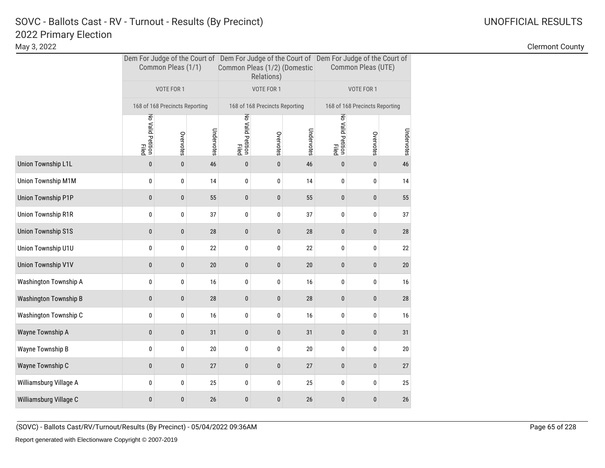|                           |                            | Common Pleas (1/1)             |            | Common Pleas (1/2) (Domestic | Relations)                     |            | Dem For Judge of the Court of Dem For Judge of the Court of Dem For Judge of the Court of<br>Common Pleas (UTE) |            |            |  |
|---------------------------|----------------------------|--------------------------------|------------|------------------------------|--------------------------------|------------|-----------------------------------------------------------------------------------------------------------------|------------|------------|--|
|                           |                            | VOTE FOR 1                     |            |                              | VOTE FOR 1                     |            |                                                                                                                 | VOTE FOR 1 |            |  |
|                           |                            | 168 of 168 Precincts Reporting |            |                              | 168 of 168 Precincts Reporting |            | 168 of 168 Precincts Reporting                                                                                  |            |            |  |
|                           | No Valid Petition<br>Filed | Overvotes                      | Undervotes | No Valid Petition<br>Filed   | Overvotes                      | Undervotes | No Valid Petition<br>Filed                                                                                      | Overvotes  | Undervotes |  |
| Union Township L1L        | $\pmb{0}$                  | $\pmb{0}$                      | 46         | 0                            | $\bf{0}$                       | 46         | $\pmb{0}$                                                                                                       | $\pmb{0}$  | 46         |  |
| <b>Union Township M1M</b> | 0                          | 0                              | 14         | 0                            | 0                              | 14         | 0                                                                                                               | 0          | 14         |  |
| <b>Union Township P1P</b> | $\pmb{0}$                  | $\bf{0}$                       | 55         | 0                            | 0                              | 55         | $\pmb{0}$                                                                                                       | $\pmb{0}$  | 55         |  |
| Union Township R1R        | 0                          | 0                              | 37         | 0                            | 0                              | 37         | 0                                                                                                               | $\pmb{0}$  | 37         |  |
| <b>Union Township S1S</b> | 0                          | $\mathbf{0}$                   | 28         | 0                            | 0                              | 28         | $\pmb{0}$                                                                                                       | $\pmb{0}$  | 28         |  |
| Union Township U1U        | 0                          | 0                              | 22         | 0                            | 0                              | 22         | 0                                                                                                               | 0          | 22         |  |
| <b>Union Township V1V</b> | 0                          | $\pmb{0}$                      | 20         | 0                            | 0                              | 20         | $\pmb{0}$                                                                                                       | $\pmb{0}$  | 20         |  |
| Washington Township A     | 0                          | 0                              | 16         | 0                            | 0                              | 16         | 0                                                                                                               | 0          | 16         |  |
| Washington Township B     | $\bf{0}$                   | $\pmb{0}$                      | 28         | 0                            | $\pmb{0}$                      | 28         | $\pmb{0}$                                                                                                       | $\pmb{0}$  | 28         |  |
| Washington Township C     | 0                          | 0                              | 16         | 0                            | 0                              | 16         | 0                                                                                                               | 0          | 16         |  |
| Wayne Township A          | 0                          | $\pmb{0}$                      | 31         | 0                            | 0                              | 31         | $\pmb{0}$                                                                                                       | $\pmb{0}$  | 31         |  |
| Wayne Township B          | 0                          | 0                              | 20         | 0                            | 0                              | 20         | 0                                                                                                               | 0          | 20         |  |
| Wayne Township C          | 0                          | $\bf{0}$                       | 27         | 0                            | 0                              | 27         | $\pmb{0}$                                                                                                       | $\pmb{0}$  | 27         |  |
| Williamsburg Village A    | 0                          | 0                              | 25         | 0                            | 0                              | 25         | 0                                                                                                               | 0          | 25         |  |
| Williamsburg Village C    | 0                          | $\mathbf{0}$                   | 26         | 0                            | $\bf{0}$                       | 26         | $\bf{0}$                                                                                                        | $\bf{0}$   | 26         |  |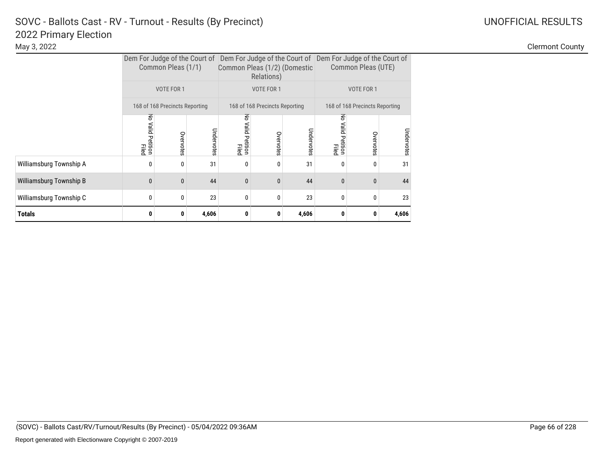|                         | Dem For Judge of the Court of Dem For Judge of the Court of Dem For Judge of the Court of<br>Common Pleas (1/1) |              |            | Common Pleas (1/2) (Domestic   | Relations)                     |            | Common Pleas (UTE)                |                                |            |  |
|-------------------------|-----------------------------------------------------------------------------------------------------------------|--------------|------------|--------------------------------|--------------------------------|------------|-----------------------------------|--------------------------------|------------|--|
|                         | VOTE FOR 1                                                                                                      |              |            |                                | VOTE FOR 1                     |            |                                   | VOTE FOR 1                     |            |  |
|                         | 168 of 168 Precincts Reporting                                                                                  |              |            |                                | 168 of 168 Precincts Reporting |            |                                   | 168 of 168 Precincts Reporting |            |  |
|                         | 중<br>Valid Petition<br>Filed                                                                                    | Overvotes    | Undervotes | 중<br>, Valid Petition<br>Filed | Overvotes                      | Undervotes | 중<br>Valid<br>I Petition<br>Filed | Overvotes                      | Undervotes |  |
| Williamsburg Township A | 0                                                                                                               | 0            | 31         | 0                              | 0                              | 31         | 0                                 | 0                              | 31         |  |
| Williamsburg Township B | $\mathbf{0}$                                                                                                    | $\mathbf{0}$ | 44         | $\mathbf{0}$                   | $\Omega$                       | 44         | $\mathbf{0}$                      | $\mathbf{0}$                   | 44         |  |
| Williamsburg Township C | 0                                                                                                               | 0            | 23         | $\mathbf{0}$                   | 0                              | 23         | 0                                 | $\boldsymbol{0}$               | 23         |  |
| Totals                  | 0                                                                                                               | 0            | 4,606      | 0                              | 0                              | 4,606      | 0                                 | 0                              | 4,606      |  |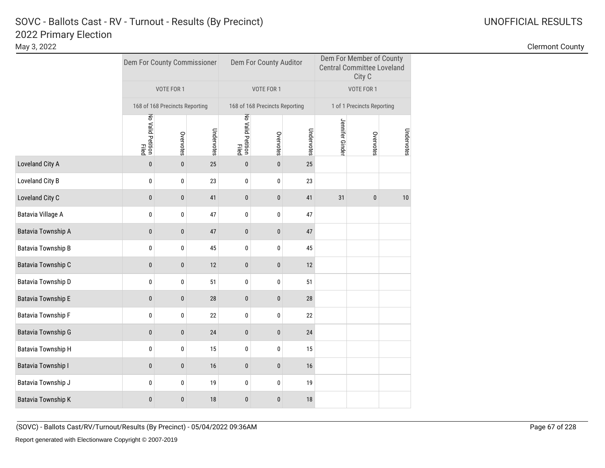|                    | Dem For County Commissioner |                                |            |                            | Dem For County Auditor         |            | Dem For Member of County<br><b>Central Committee Loveland</b><br>City C |                            |            |  |  |
|--------------------|-----------------------------|--------------------------------|------------|----------------------------|--------------------------------|------------|-------------------------------------------------------------------------|----------------------------|------------|--|--|
|                    |                             | VOTE FOR 1                     |            |                            | VOTE FOR 1                     |            | VOTE FOR 1                                                              |                            |            |  |  |
|                    |                             | 168 of 168 Precincts Reporting |            |                            | 168 of 168 Precincts Reporting |            |                                                                         | 1 of 1 Precincts Reporting |            |  |  |
|                    | No Valid Petition<br>Filed  | Overvotes                      | Undervotes | No Valid Petition<br>Filed | Overvotes                      | Undervotes | Jennifer Ginder                                                         | Overvotes                  | Undervotes |  |  |
| Loveland City A    | $\pmb{0}$                   | $\mathbf{0}$                   | 25         | $\mathbf{0}$               | $\mathbf{0}$                   | 25         |                                                                         |                            |            |  |  |
| Loveland City B    | 0                           | 0                              | 23         | 0                          | 0                              | 23         |                                                                         |                            |            |  |  |
| Loveland City C    | $\pmb{0}$                   | $\pmb{0}$                      | 41         | 0                          | $\bf{0}$                       | 41         | 31                                                                      | $\pmb{0}$                  | 10         |  |  |
| Batavia Village A  | 0                           | $\bf{0}$                       | 47         | 0                          | 0                              | 47         |                                                                         |                            |            |  |  |
| Batavia Township A | $\mathbf{0}$                | $\pmb{0}$                      | 47         | 0                          | $\mathbf{0}$                   | 47         |                                                                         |                            |            |  |  |
| Batavia Township B | $\bf{0}$                    | $\mathbf 0$                    | 45         | $\mathbf{0}$               | 0                              | 45         |                                                                         |                            |            |  |  |
| Batavia Township C | $\pmb{0}$                   | $\pmb{0}$                      | 12         | $\pmb{0}$                  | $\pmb{0}$                      | 12         |                                                                         |                            |            |  |  |
| Batavia Township D | $\bf{0}$                    | $\pmb{0}$                      | 51         | 0                          | 0                              | 51         |                                                                         |                            |            |  |  |
| Batavia Township E | $\pmb{0}$                   | $\pmb{0}$                      | 28         | 0                          | $\pmb{0}$                      | 28         |                                                                         |                            |            |  |  |
| Batavia Township F | $\pmb{0}$                   | 0                              | 22         | 0                          | 0                              | 22         |                                                                         |                            |            |  |  |
| Batavia Township G | $\pmb{0}$                   | $\pmb{0}$                      | 24         | 0                          | 0                              | 24         |                                                                         |                            |            |  |  |
| Batavia Township H | $\bf{0}$                    | $\pmb{0}$                      | 15         | 0                          | 0                              | 15         |                                                                         |                            |            |  |  |
| Batavia Township I | $\bf{0}$                    | $\pmb{0}$                      | 16         | 0                          | 0                              | 16         |                                                                         |                            |            |  |  |
| Batavia Township J | $\bf{0}$                    | $\pmb{0}$                      | 19         | 0                          | 0                              | 19         |                                                                         |                            |            |  |  |
| Batavia Township K | $\bf{0}$                    | $\pmb{0}$                      | 18         | 0                          | 0                              | 18         |                                                                         |                            |            |  |  |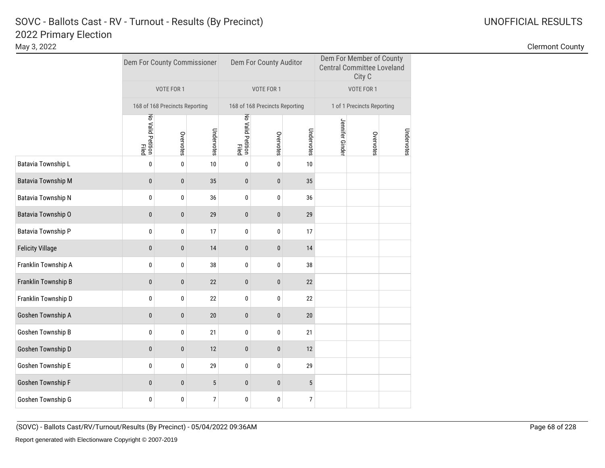|                           | Dem For County Commissioner |                                |            |                            | Dem For County Auditor         |                | Dem For Member of County<br><b>Central Committee Loveland</b><br>City C |            |            |  |
|---------------------------|-----------------------------|--------------------------------|------------|----------------------------|--------------------------------|----------------|-------------------------------------------------------------------------|------------|------------|--|
|                           |                             | VOTE FOR 1                     |            |                            | VOTE FOR 1                     |                |                                                                         | VOTE FOR 1 |            |  |
|                           |                             | 168 of 168 Precincts Reporting |            |                            | 168 of 168 Precincts Reporting |                | 1 of 1 Precincts Reporting                                              |            |            |  |
|                           | No Valid Petition<br>Filed  | Overvotes                      | Undervotes | No Valid Petition<br>Filed | Overvotes                      | Undervotes     | Jennifer Ginder                                                         | Overvotes  | Undervotes |  |
| <b>Batavia Township L</b> | $\pmb{0}$                   | $\pmb{0}$                      | 10         | 0                          | $\pmb{0}$                      | 10             |                                                                         |            |            |  |
| <b>Batavia Township M</b> | $\pmb{0}$                   | $\pmb{0}$                      | 35         | $\pmb{0}$                  | $\pmb{0}$                      | 35             |                                                                         |            |            |  |
| Batavia Township N        | 0                           | $\pmb{0}$                      | 36         | 0                          | 0                              | 36             |                                                                         |            |            |  |
| Batavia Township O        | $\bf{0}$                    | 0                              | 29         | 0                          | $\pmb{0}$                      | 29             |                                                                         |            |            |  |
| Batavia Township P        | 0                           | 0                              | 17         | 0                          | 0                              | 17             |                                                                         |            |            |  |
| <b>Felicity Village</b>   | $\mathbf{0}$                | $\mathbf{0}$                   | 14         | $\mathbf{0}$               | $\mathbf{0}$                   | 14             |                                                                         |            |            |  |
| Franklin Township A       | 0                           | 0                              | 38         | 0                          | 0                              | 38             |                                                                         |            |            |  |
| Franklin Township B       | $\mathbf{0}$                | $\pmb{0}$                      | 22         | $\pmb{0}$                  | $\bf{0}$                       | 22             |                                                                         |            |            |  |
| Franklin Township D       | 0                           | 0                              | 22         | 0                          | 0                              | 22             |                                                                         |            |            |  |
| Goshen Township A         | $\mathbf{0}$                | $\mathbf{0}$                   | 20         | $\mathbf{0}$               | $\mathbf{0}$                   | 20             |                                                                         |            |            |  |
| Goshen Township B         | 0                           | 0                              | 21         | 0                          | 0                              | 21             |                                                                         |            |            |  |
| Goshen Township D         | $\bf{0}$                    | $\pmb{0}$                      | 12         | $\pmb{0}$                  | $\pmb{0}$                      | 12             |                                                                         |            |            |  |
| Goshen Township E         | 0                           | 0                              | 29         | 0                          | 0                              | 29             |                                                                         |            |            |  |
| Goshen Township F         | $\mathbf{0}$                | $\bf{0}$                       | 5          | 0                          | $\pmb{0}$                      | $\overline{5}$ |                                                                         |            |            |  |
| Goshen Township G         | 0                           | 0                              | 7          | 0                          | 0                              | 7              |                                                                         |            |            |  |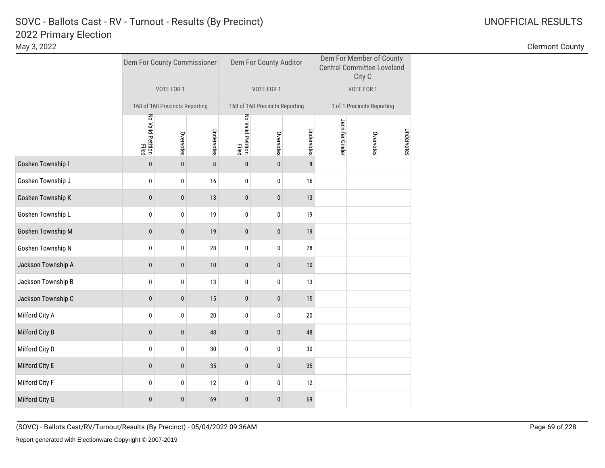# 2022 Primary Election SOVC - Ballots Cast - RV - Turnout - Results (By Precinct) and Monthlytherman Communication Control Communication Communication Communication Communication Communication Communication Communication Communication Communicat

Clermont County

|                    |                            | Dem For County Commissioner    |            |                            | Dem For County Auditor         |            | Dem For Member of County<br><b>Central Committee Loveland</b><br>City C |                            |            |  |
|--------------------|----------------------------|--------------------------------|------------|----------------------------|--------------------------------|------------|-------------------------------------------------------------------------|----------------------------|------------|--|
|                    |                            | VOTE FOR 1                     |            |                            | VOTE FOR 1                     |            |                                                                         | VOTE FOR 1                 |            |  |
|                    |                            | 168 of 168 Precincts Reporting |            |                            | 168 of 168 Precincts Reporting |            |                                                                         | 1 of 1 Precincts Reporting |            |  |
|                    | No Valid Petition<br>Filed | Overvotes                      | Undervotes | No Valid Petition<br>Filed | Overvotes                      | Undervotes | Jennifer Ginder                                                         | Overvotes                  | Undervotes |  |
| Goshen Township I  | $\mathbf{0}$               | $\mathbf{0}$                   | 8          | $\mathbf{0}$               | $\mathbf{0}$                   | 8          |                                                                         |                            |            |  |
| Goshen Township J  | 0                          | 0                              | 16         | $\bf{0}$                   | 0                              | 16         |                                                                         |                            |            |  |
| Goshen Township K  | $\pmb{0}$                  | $\pmb{0}$                      | 13         | 0                          | $\bf{0}$                       | 13         |                                                                         |                            |            |  |
| Goshen Township L  | 0                          | $\bf{0}$                       | 19         | 0                          | 0                              | 19         |                                                                         |                            |            |  |
| Goshen Township M  | $\pmb{0}$                  | $\pmb{0}$                      | 19         | 0                          | $\pmb{0}$                      | 19         |                                                                         |                            |            |  |
| Goshen Township N  | $\pmb{0}$                  | $\pmb{0}$                      | 28         | 0                          | 0                              | 28         |                                                                         |                            |            |  |
| Jackson Township A | $\pmb{0}$                  | $\pmb{0}$                      | 10         | $\pmb{0}$                  | $\pmb{0}$                      | 10         |                                                                         |                            |            |  |
| Jackson Township B | 0                          | $\pmb{0}$                      | 13         | 0                          | 0                              | 13         |                                                                         |                            |            |  |
| Jackson Township C | $\pmb{0}$                  | $\pmb{0}$                      | 15         | 0                          | $\pmb{0}$                      | 15         |                                                                         |                            |            |  |
| Milford City A     | $\pmb{0}$                  | $\pmb{0}$                      | 20         | 0                          | 0                              | 20         |                                                                         |                            |            |  |
| Milford City B     | $\mathbf{0}$               | $\pmb{0}$                      | 48         | $\bf{0}$                   | $\bf{0}$                       | 48         |                                                                         |                            |            |  |
| Milford City D     | 0                          | $\pmb{0}$                      | 30         | 0                          | 0                              | 30         |                                                                         |                            |            |  |
| Milford City E     | $\pmb{0}$                  | $\pmb{0}$                      | 35         | $\pmb{0}$                  | $\pmb{0}$                      | 35         |                                                                         |                            |            |  |
| Milford City F     | $\pmb{0}$                  | $\pmb{0}$                      | 12         | 0                          | 0                              | 12         |                                                                         |                            |            |  |
| Milford City G     | $\mathbf{0}$               | $\pmb{0}$                      | 69         | 0                          | $\bf{0}$                       | 69         |                                                                         |                            |            |  |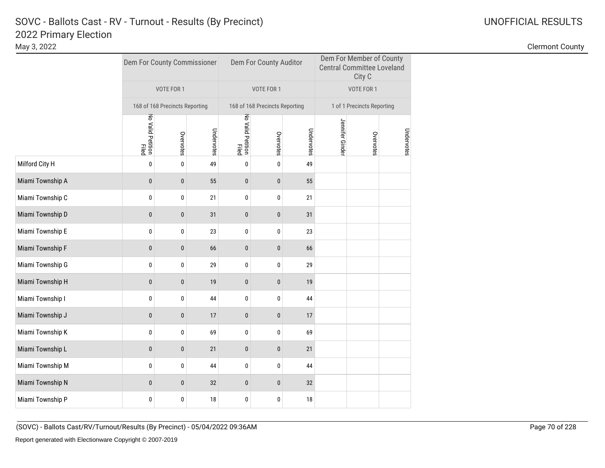# 2022 Primary Election SOVC - Ballots Cast - RV - Turnout - Results (By Precinct) and Monthlytherman Communication Control Communication Communication Communication Communication Communication Communication Communication Communication Communicat

|                  |                            | Dem For County Commissioner    |            |                            | Dem For County Auditor         |            | Dem For Member of County<br><b>Central Committee Loveland</b><br>City C |           |            |  |
|------------------|----------------------------|--------------------------------|------------|----------------------------|--------------------------------|------------|-------------------------------------------------------------------------|-----------|------------|--|
|                  |                            | VOTE FOR 1                     |            |                            | VOTE FOR 1                     |            | VOTE FOR 1                                                              |           |            |  |
|                  |                            | 168 of 168 Precincts Reporting |            |                            | 168 of 168 Precincts Reporting |            | 1 of 1 Precincts Reporting                                              |           |            |  |
|                  | No Valid Petition<br>Filed | Overvotes                      | Undervotes | No Valid Petition<br>Filed | Overvotes                      | Undervotes | Jennifer Ginde                                                          | Overvotes | Undervotes |  |
| Milford City H   | $\pmb{0}$                  | $\mathbf 0$                    | 49         | 0                          | 0                              | 49         |                                                                         |           |            |  |
| Miami Township A | $\mathbf{0}$               | $\bf{0}$                       | 55         | $\bf{0}$                   | $\bf{0}$                       | 55         |                                                                         |           |            |  |
| Miami Township C | 0                          | 0                              | 21         | 0                          | 0                              | 21         |                                                                         |           |            |  |
| Miami Township D | $\mathbf{0}$               | $\bf{0}$                       | 31         | 0                          | 0                              | 31         |                                                                         |           |            |  |
| Miami Township E | $\pmb{0}$                  | 0                              | 23         | 0                          | 0                              | 23         |                                                                         |           |            |  |
| Miami Township F | $\pmb{0}$                  | $\bf{0}$                       | 66         | $\pmb{0}$                  | $\pmb{0}$                      | 66         |                                                                         |           |            |  |
| Miami Township G | 0                          | 0                              | 29         | 0                          | 0                              | 29         |                                                                         |           |            |  |
| Miami Township H | $\pmb{0}$                  | $\bf{0}$                       | 19         | $\bf{0}$                   | $\bf{0}$                       | 19         |                                                                         |           |            |  |
| Miami Township I | 0                          | $\pmb{0}$                      | 44         | 0                          | 0                              | 44         |                                                                         |           |            |  |
| Miami Township J | $\mathbf{0}$               | $\mathbf{0}$                   | 17         | $\mathbf{0}$               | $\mathbf{0}$                   | 17         |                                                                         |           |            |  |
| Miami Township K | 0                          | 0                              | 69         | 0                          | 0                              | 69         |                                                                         |           |            |  |
| Miami Township L | $\mathbf{0}$               | $\pmb{0}$                      | 21         | 0                          | $\bf{0}$                       | 21         |                                                                         |           |            |  |
| Miami Township M | 0                          | 0                              | 44         | 0                          | 0                              | 44         |                                                                         |           |            |  |
| Miami Township N | $\pmb{0}$                  | $\bf{0}$                       | 32         | 0                          | 0                              | 32         |                                                                         |           |            |  |
| Miami Township P | 0                          | $\bf{0}$                       | 18         | 0                          | 0                              | 18         |                                                                         |           |            |  |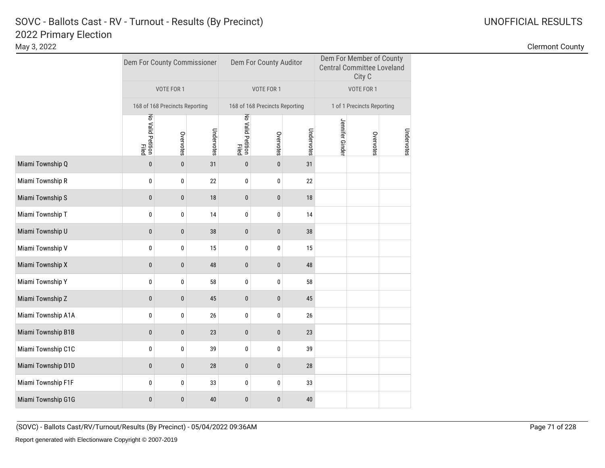|                    |                            | Dem For County Commissioner    |            |                            | Dem For County Auditor         |            | Dem For Member of County<br><b>Central Committee Loveland</b><br>City C |           |            |  |
|--------------------|----------------------------|--------------------------------|------------|----------------------------|--------------------------------|------------|-------------------------------------------------------------------------|-----------|------------|--|
|                    |                            | VOTE FOR 1                     |            |                            | VOTE FOR 1                     |            | VOTE FOR 1                                                              |           |            |  |
|                    |                            | 168 of 168 Precincts Reporting |            |                            | 168 of 168 Precincts Reporting |            | 1 of 1 Precincts Reporting                                              |           |            |  |
|                    | No Valid Petition<br>Filed | Overvotes                      | Undervotes | No Valid Petition<br>Filed | Overvotes                      | Undervotes | Jennifer Ginder                                                         | Overvotes | Undervotes |  |
| Miami Township Q   | $\pmb{0}$                  | $\pmb{0}$                      | 31         | $\bf{0}$                   | $\bf{0}$                       | 31         |                                                                         |           |            |  |
| Miami Township R   | $\pmb{0}$                  | $\pmb{0}$                      | 22         | 0                          | 0                              | 22         |                                                                         |           |            |  |
| Miami Township S   | $\pmb{0}$                  | $\pmb{0}$                      | 18         | $\pmb{0}$                  | 0                              | 18         |                                                                         |           |            |  |
| Miami Township T   | 0                          | 0                              | 14         | 0                          | 0                              | 14         |                                                                         |           |            |  |
| Miami Township U   | $\pmb{0}$                  | $\bf{0}$                       | 38         | $\pmb{0}$                  | 0                              | 38         |                                                                         |           |            |  |
| Miami Township V   | $\pmb{0}$                  | $\bf{0}$                       | 15         | 0                          | 0                              | 15         |                                                                         |           |            |  |
| Miami Township X   | $\pmb{0}$                  | $\pmb{0}$                      | 48         | $\pmb{0}$                  | 0                              | 48         |                                                                         |           |            |  |
| Miami Township Y   | 0                          | 0                              | 58         | 0                          | 0                              | 58         |                                                                         |           |            |  |
| Miami Township Z   | $\pmb{0}$                  | $\pmb{0}$                      | 45         | $\pmb{0}$                  | 0                              | 45         |                                                                         |           |            |  |
| Miami Township A1A | $\pmb{0}$                  | $\pmb{0}$                      | 26         | 0                          | 0                              | 26         |                                                                         |           |            |  |
| Miami Township B1B | $\mathbf{0}$               | $\pmb{0}$                      | 23         | $\bf{0}$                   | $\bf{0}$                       | 23         |                                                                         |           |            |  |
| Miami Township C1C | 0                          | 0                              | 39         | 0                          | 0                              | 39         |                                                                         |           |            |  |
| Miami Township D1D | $\pmb{0}$                  | $\bf{0}$                       | 28         | $\pmb{0}$                  | $\pmb{0}$                      | 28         |                                                                         |           |            |  |
| Miami Township F1F | $\pmb{0}$                  | 0                              | 33         | 0                          | 0                              | 33         |                                                                         |           |            |  |
| Miami Township G1G | $\pmb{0}$                  | $\bf{0}$                       | 40         | 0                          | 0                              | 40         |                                                                         |           |            |  |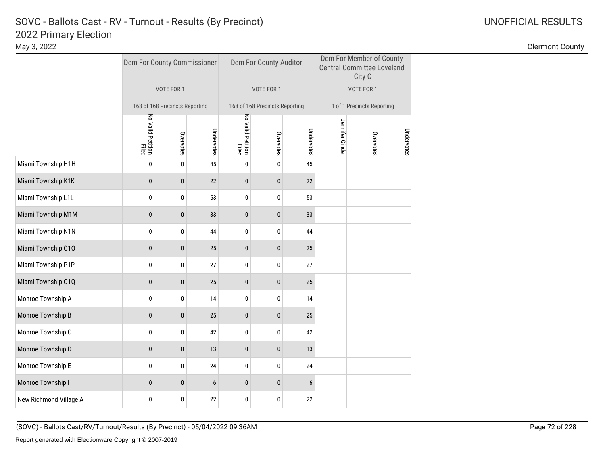# 2022 Primary Election SOVC - Ballots Cast - RV - Turnout - Results (By Precinct) and Monthlytherman Communication Control Communication Communication Communication Communication Communication Communication Communication Communication Communicat

|                        | Dem For County Commissioner    |              |            | Dem For County Auditor         |              |            | Dem For Member of County<br><b>Central Committee Loveland</b><br>City C |           |            |  |
|------------------------|--------------------------------|--------------|------------|--------------------------------|--------------|------------|-------------------------------------------------------------------------|-----------|------------|--|
|                        | VOTE FOR 1                     |              |            | VOTE FOR 1                     |              |            | VOTE FOR 1                                                              |           |            |  |
|                        | 168 of 168 Precincts Reporting |              |            | 168 of 168 Precincts Reporting |              |            | 1 of 1 Precincts Reporting                                              |           |            |  |
|                        | No Valid Petition<br>Filed     | Overvotes    | Undervotes | No Valid Petition<br>Filed     | Overvotes    | Undervotes | Jennifer Ginde                                                          | Overvotes | Undervotes |  |
| Miami Township H1H     | 0                              | $\mathbf 0$  | 45         | $\mathbf{0}$                   | 0            | 45         |                                                                         |           |            |  |
| Miami Township K1K     | $\bf{0}$                       | $\mathbf 0$  | 22         | $\pmb{0}$                      | $\bf{0}$     | 22         |                                                                         |           |            |  |
| Miami Township L1L     | $\bf{0}$                       | $\bf{0}$     | 53         | 0                              | 0            | 53         |                                                                         |           |            |  |
| Miami Township M1M     | $\bf{0}$                       | 0            | 33         | 0                              | 0            | 33         |                                                                         |           |            |  |
| Miami Township N1N     | $\bf{0}$                       | 0            | 44         | 0                              | 0            | 44         |                                                                         |           |            |  |
| Miami Township 010     | $\bf{0}$                       | $\mathbf 0$  | 25         | 0                              | $\mathbf{0}$ | 25         |                                                                         |           |            |  |
| Miami Township P1P     | $\bf{0}$                       | $\pmb{0}$    | 27         | $\pmb{0}$                      | 0            | 27         |                                                                         |           |            |  |
| Miami Township Q1Q     | $\bf{0}$                       | $\pmb{0}$    | 25         | $\pmb{0}$                      | $\bf{0}$     | 25         |                                                                         |           |            |  |
| Monroe Township A      | $\bf{0}$                       | 0            | 14         | 0                              | 0            | 14         |                                                                         |           |            |  |
| Monroe Township B      | $\mathbf{0}$                   | $\mathbf{0}$ | 25         | $\mathbf{0}$                   | $\mathbf{0}$ | 25         |                                                                         |           |            |  |
| Monroe Township C      | 0                              | 0            | 42         | 0                              | 0            | 42         |                                                                         |           |            |  |
| Monroe Township D      | $\bf{0}$                       | $\mathbf 0$  | 13         | 0                              | $\bf{0}$     | 13         |                                                                         |           |            |  |
| Monroe Township E      | 0                              | $\bf{0}$     | 24         | 0                              | 0            | 24         |                                                                         |           |            |  |
| Monroe Township I      | $\mathbf{0}$                   | $\pmb{0}$    | 6          | 0                              | 0            | 6          |                                                                         |           |            |  |
| New Richmond Village A | 0                              | 0            | 22         | 0                              | 0            | 22         |                                                                         |           |            |  |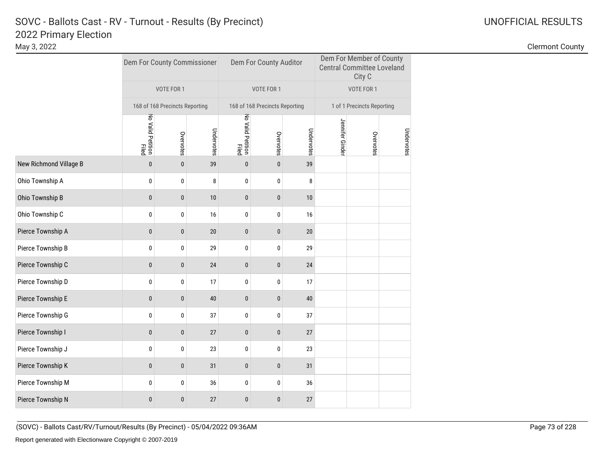|                        | Dem For County Commissioner |                                |            |                            | Dem For County Auditor         |            |                | Dem For Member of County<br><b>Central Committee Loveland</b><br>City C |            |  |
|------------------------|-----------------------------|--------------------------------|------------|----------------------------|--------------------------------|------------|----------------|-------------------------------------------------------------------------|------------|--|
|                        |                             | VOTE FOR 1                     |            |                            | VOTE FOR 1                     |            |                | VOTE FOR 1                                                              |            |  |
|                        |                             | 168 of 168 Precincts Reporting |            |                            | 168 of 168 Precincts Reporting |            |                | 1 of 1 Precincts Reporting                                              |            |  |
|                        | No Valid Petition<br>Filed  | Overvotes                      | Undervotes | No Valid Petition<br>Filed | Overvotes                      | Undervotes | Jennifer Ginde | Overvotes                                                               | Undervotes |  |
| New Richmond Village B | $\mathbf{0}$                | $\mathbf{0}$                   | 39         | $\mathbf{0}$               | $\mathbf{0}$                   | 39         |                |                                                                         |            |  |
| Ohio Township A        | 0                           | 0                              | 8          | 0                          | 0                              | 8          |                |                                                                         |            |  |
| Ohio Township B        | $\pmb{0}$                   | $\pmb{0}$                      | 10         | $\bf{0}$                   | $\bf{0}$                       | 10         |                |                                                                         |            |  |
| Ohio Township C        | 0                           | 0                              | 16         | 0                          | 0                              | 16         |                |                                                                         |            |  |
| Pierce Township A      | $\mathbf{0}$                | $\bf{0}$                       | 20         | $\mathbf{0}$               | $\pmb{0}$                      | 20         |                |                                                                         |            |  |
| Pierce Township B      | $\bf{0}$                    | 0                              | 29         | 0                          | 0                              | 29         |                |                                                                         |            |  |
| Pierce Township C      | $\pmb{0}$                   | $\pmb{0}$                      | 24         | $\pmb{0}$                  | $\pmb{0}$                      | 24         |                |                                                                         |            |  |
| Pierce Township D      | 0                           | 0                              | 17         | 0                          | 0                              | 17         |                |                                                                         |            |  |
| Pierce Township E      | $\pmb{0}$                   | $\bf{0}$                       | 40         | $\pmb{0}$                  | $\pmb{0}$                      | 40         |                |                                                                         |            |  |
| Pierce Township G      | $\pmb{0}$                   | 0                              | 37         | 0                          | 0                              | 37         |                |                                                                         |            |  |
| Pierce Township I      | $\mathbf{0}$                | $\pmb{0}$                      | 27         | 0                          | 0                              | 27         |                |                                                                         |            |  |
| Pierce Township J      | $\pmb{0}$                   | 0                              | 23         | 0                          | 0                              | 23         |                |                                                                         |            |  |
| Pierce Township K      | $\pmb{0}$                   | $\bf{0}$                       | 31         | 0                          | $\bf{0}$                       | 31         |                |                                                                         |            |  |
| Pierce Township M      | $\pmb{0}$                   | 0                              | 36         | 0                          | 0                              | 36         |                |                                                                         |            |  |
| Pierce Township N      | $\mathbf{0}$                | $\bf{0}$                       | 27         | 0                          | $\bf{0}$                       | 27         |                |                                                                         |            |  |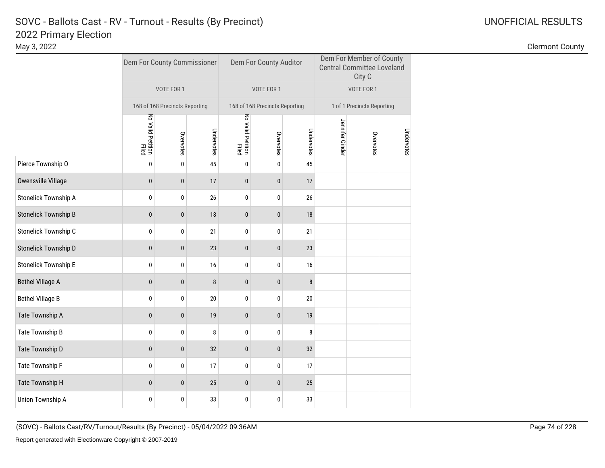|                             |                            | Dem For County Commissioner    |            |                            | Dem For County Auditor         |            |                 | Dem For Member of County<br><b>Central Committee Loveland</b><br>City C |            |
|-----------------------------|----------------------------|--------------------------------|------------|----------------------------|--------------------------------|------------|-----------------|-------------------------------------------------------------------------|------------|
|                             |                            | VOTE FOR 1                     |            |                            | VOTE FOR 1                     |            |                 | VOTE FOR 1                                                              |            |
|                             |                            | 168 of 168 Precincts Reporting |            |                            | 168 of 168 Precincts Reporting |            |                 | 1 of 1 Precincts Reporting                                              |            |
|                             | No Valid Petition<br>Filed | Overvotes                      | Undervotes | No Valid Petition<br>Filed | Overvotes                      | Undervotes | Jennifer Ginder | Overvotes                                                               | Undervotes |
| Pierce Township O           | 0                          | $\pmb{0}$                      | 45         | 0                          | 0                              | 45         |                 |                                                                         |            |
| <b>Owensville Village</b>   | $\bf{0}$                   | $\pmb{0}$                      | 17         | $\bf{0}$                   | $\bf{0}$                       | 17         |                 |                                                                         |            |
| <b>Stonelick Township A</b> | $\bf{0}$                   | $\pmb{0}$                      | 26         | 0                          | 0                              | 26         |                 |                                                                         |            |
| <b>Stonelick Township B</b> | $\bf{0}$                   | $\bf{0}$                       | 18         | 0                          | 0                              | 18         |                 |                                                                         |            |
| Stonelick Township C        | 0                          | 0                              | 21         | 0                          | 0                              | 21         |                 |                                                                         |            |
| <b>Stonelick Township D</b> | $\mathbf{0}$               | $\mathbf{0}$                   | 23         | $\mathbf{0}$               | $\mathbf{0}$                   | 23         |                 |                                                                         |            |
| <b>Stonelick Township E</b> | 0                          | 0                              | 16         | 0                          | 0                              | 16         |                 |                                                                         |            |
| <b>Bethel Village A</b>     | $\bf{0}$                   | $\pmb{0}$                      | 8          | $\pmb{0}$                  | $\bf{0}$                       | 8          |                 |                                                                         |            |
| <b>Bethel Village B</b>     | 0                          | 0                              | 20         | 0                          | 0                              | 20         |                 |                                                                         |            |
| Tate Township A             | $\bf{0}$                   | $\pmb{0}$                      | 19         | $\bf{0}$                   | $\bf{0}$                       | 19         |                 |                                                                         |            |
| Tate Township B             | 0                          | 0                              | 8          | 0                          | 0                              | 8          |                 |                                                                         |            |
| Tate Township D             | $\mathbf{0}$               | $\pmb{0}$                      | 32         | $\bf{0}$                   | 0                              | 32         |                 |                                                                         |            |
| Tate Township F             | $\mathbf{0}$               | 0                              | 17         | 0                          | 0                              | 17         |                 |                                                                         |            |
| Tate Township H             | $\mathbf{0}$               | 0                              | 25         | 0                          | 0                              | 25         |                 |                                                                         |            |
| <b>Union Township A</b>     | 0                          | 0                              | 33         | 0                          | 0                              | 33         |                 |                                                                         |            |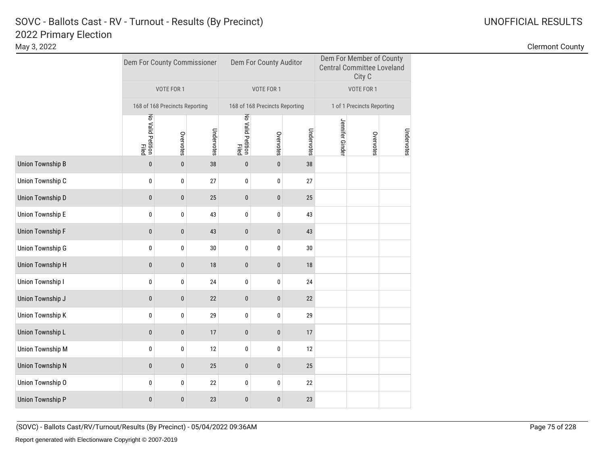# 2022 Primary Election<br>May 3, 2022 SOVC - Ballots Cast - RV - Turnout - Results (By Precinct) and Monthlytherman Communication Control Communication Communication Communication Communication Communication Communication Communication Communication Communicat

Clermont County

|                  | Dem For County Commissioner |                                |            |                            | Dem For County Auditor         |            |                 | Dem For Member of County<br><b>Central Committee Loveland</b><br>City C |            |  |
|------------------|-----------------------------|--------------------------------|------------|----------------------------|--------------------------------|------------|-----------------|-------------------------------------------------------------------------|------------|--|
|                  |                             | VOTE FOR 1                     |            |                            | VOTE FOR 1                     |            |                 | VOTE FOR 1                                                              |            |  |
|                  |                             | 168 of 168 Precincts Reporting |            |                            | 168 of 168 Precincts Reporting |            |                 | 1 of 1 Precincts Reporting                                              |            |  |
|                  | No Valid Petition<br>Filed  | Overvotes                      | Undervotes | No Valid Petition<br>Filed | Overvotes                      | Undervotes | Jennifer Ginder | Overvotes                                                               | Undervotes |  |
| Union Township B | $\pmb{0}$                   | $\pmb{0}$                      | 38         | $\pmb{0}$                  | $\pmb{0}$                      | 38         |                 |                                                                         |            |  |
| Union Township C | 0                           | 0                              | 27         | 0                          | 0                              | 27         |                 |                                                                         |            |  |
| Union Township D | $\mathbf{0}$                | $\pmb{0}$                      | 25         | $\pmb{0}$                  | 0                              | 25         |                 |                                                                         |            |  |
| Union Township E | 0                           | 0                              | 43         | 0                          | 0                              | 43         |                 |                                                                         |            |  |
| Union Township F | $\pmb{0}$                   | $\pmb{0}$                      | 43         | $\bf{0}$                   | 0                              | 43         |                 |                                                                         |            |  |
| Union Township G | $\pmb{0}$                   | $\pmb{0}$                      | $30\,$     | 0                          | $\pmb{0}$                      | 30         |                 |                                                                         |            |  |
| Union Township H | $\pmb{0}$                   | $\pmb{0}$                      | 18         | $\pmb{0}$                  | 0                              | 18         |                 |                                                                         |            |  |
| Union Township I | 0                           | 0                              | 24         | 0                          | 0                              | 24         |                 |                                                                         |            |  |
| Union Township J | $\pmb{0}$                   | $\pmb{0}$                      | 22         | $\pmb{0}$                  | 0                              | 22         |                 |                                                                         |            |  |
| Union Township K | $\pmb{0}$                   | $\pmb{0}$                      | 29         | $\pmb{0}$                  | 0                              | 29         |                 |                                                                         |            |  |
| Union Township L | $\pmb{0}$                   | $\pmb{0}$                      | 17         | $\pmb{0}$                  | 0                              | 17         |                 |                                                                         |            |  |
| Union Township M | 0                           | 0                              | 12         | 0                          | 0                              | 12         |                 |                                                                         |            |  |
| Union Township N | $\mathbf{0}$                | $\mathbf{0}$                   | 25         | $\mathbf{0}$               | $\pmb{0}$                      | 25         |                 |                                                                         |            |  |
| Union Township O | $\pmb{0}$                   | $\pmb{0}$                      | 22         | 0                          | 0                              | 22         |                 |                                                                         |            |  |
| Union Township P | $\pmb{0}$                   | $\pmb{0}$                      | 23         | $\pmb{0}$                  | 0                              | 23         |                 |                                                                         |            |  |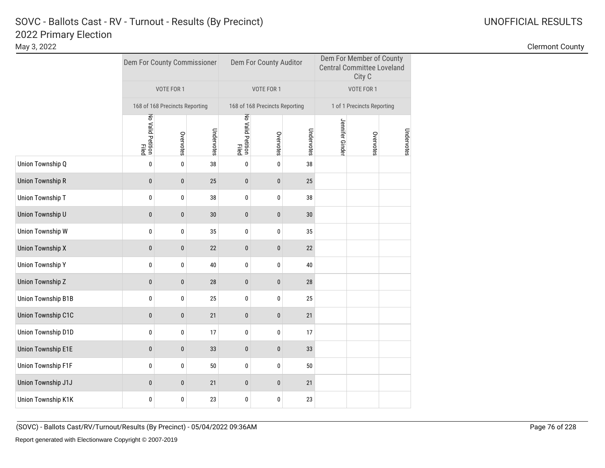# 2022 Primary Election<br>May 3, 2022 SOVC - Ballots Cast - RV - Turnout - Results (By Precinct) and Monthlytherman Communication Control Communication Communication Communication Communication Communication Communication Communication Communication Communicat

Clermont County

|                    | Dem For County Commissioner |                                |            |                            | Dem For County Auditor         |            |                 | Dem For Member of County<br><b>Central Committee Loveland</b><br>City C |            |  |
|--------------------|-----------------------------|--------------------------------|------------|----------------------------|--------------------------------|------------|-----------------|-------------------------------------------------------------------------|------------|--|
|                    |                             | VOTE FOR 1                     |            |                            | VOTE FOR 1                     |            |                 | VOTE FOR 1                                                              |            |  |
|                    |                             | 168 of 168 Precincts Reporting |            |                            | 168 of 168 Precincts Reporting |            |                 | 1 of 1 Precincts Reporting                                              |            |  |
|                    | No Valid Petition<br>Filed  | Overvotes                      | Undervotes | No Valid Petition<br>Filed | Overvotes                      | Undervotes | Jennifer Ginder | Overvotes                                                               | Undervotes |  |
| Union Township Q   | $\pmb{0}$                   | $\pmb{0}$                      | 38         | 0                          | $\mathbf 0$                    | 38         |                 |                                                                         |            |  |
| Union Township R   | $\pmb{0}$                   | $\pmb{0}$                      | 25         | $\pmb{0}$                  | 0                              | 25         |                 |                                                                         |            |  |
| Union Township T   | $\pmb{0}$                   | $\pmb{0}$                      | 38         | $\bf{0}$                   | 0                              | 38         |                 |                                                                         |            |  |
| Union Township U   | $\pmb{0}$                   | $\bf{0}$                       | 30         | $\bf{0}$                   | 0                              | 30         |                 |                                                                         |            |  |
| Union Township W   | $\pmb{0}$                   | $\pmb{0}$                      | 35         | 0                          | 0                              | 35         |                 |                                                                         |            |  |
| Union Township X   | $\pmb{0}$                   | $\pmb{0}$                      | 22         | $\bf{0}$                   | 0                              | 22         |                 |                                                                         |            |  |
| Union Township Y   | $\pmb{0}$                   | $\pmb{0}$                      | 40         | 0                          | $\pmb{0}$                      | 40         |                 |                                                                         |            |  |
| Union Township Z   | $\pmb{0}$                   | $\pmb{0}$                      | 28         | $\bf{0}$                   | $\pmb{0}$                      | 28         |                 |                                                                         |            |  |
| Union Township B1B | $\pmb{0}$                   | 0                              | 25         | 0                          | 0                              | 25         |                 |                                                                         |            |  |
| Union Township C1C | $\mathbf{0}$                | $\mathbf{0}$                   | 21         | $\mathbf{0}$               | $\mathbf{0}$                   | 21         |                 |                                                                         |            |  |
| Union Township D1D | 0                           | 0                              | 17         | 0                          | 0                              | 17         |                 |                                                                         |            |  |
| Union Township E1E | $\pmb{0}$                   | $\pmb{0}$                      | 33         | $\pmb{0}$                  | 0                              | 33         |                 |                                                                         |            |  |
| Union Township F1F | 0                           | 0                              | 50         | 0                          | 0                              | 50         |                 |                                                                         |            |  |
| Union Township J1J | $\pmb{0}$                   | $\pmb{0}$                      | 21         | $\bf{0}$                   | 0                              | 21         |                 |                                                                         |            |  |
| Union Township K1K | 0                           | 0                              | 23         | 0                          | 0                              | 23         |                 |                                                                         |            |  |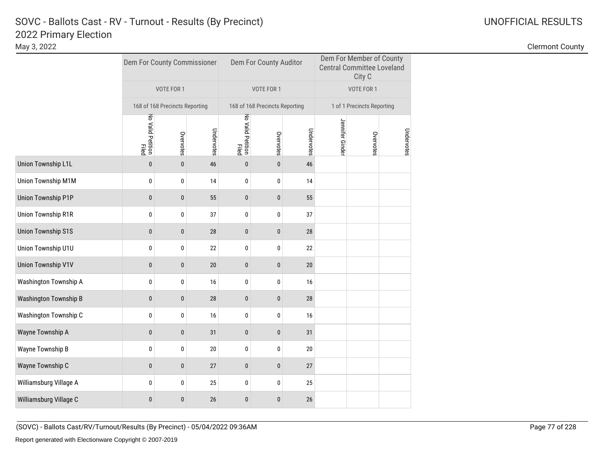|                           |                            | Dem For County Commissioner    |            |                                   | Dem For County Auditor         |            |                 | Dem For Member of County<br><b>Central Committee Loveland</b><br>City C |            |  |
|---------------------------|----------------------------|--------------------------------|------------|-----------------------------------|--------------------------------|------------|-----------------|-------------------------------------------------------------------------|------------|--|
|                           |                            | VOTE FOR 1                     |            |                                   | VOTE FOR 1                     |            |                 | VOTE FOR 1                                                              |            |  |
|                           |                            | 168 of 168 Precincts Reporting |            |                                   | 168 of 168 Precincts Reporting |            |                 | 1 of 1 Precincts Reporting                                              |            |  |
|                           | No Valid Petition<br>Filed | Overvotes                      | Undervotes | No Valid Petition<br><b>Filed</b> | Overvotes                      | Undervotes | Jennifer Ginder | Overvotes                                                               | Undervotes |  |
| Union Township L1L        | $\mathbf{0}$               | $\mathbf{0}$                   | 46         | $\mathbf{0}$                      | $\mathbf{0}$                   | 46         |                 |                                                                         |            |  |
| Union Township M1M        | 0                          | 0                              | 14         | 0                                 | 0                              | 14         |                 |                                                                         |            |  |
| Union Township P1P        | $\pmb{0}$                  | $\pmb{0}$                      | 55         | $\pmb{0}$                         | 0                              | 55         |                 |                                                                         |            |  |
| Union Township R1R        | 0                          | 0                              | 37         | 0                                 | 0                              | 37         |                 |                                                                         |            |  |
| <b>Union Township S1S</b> | $\pmb{0}$                  | $\pmb{0}$                      | 28         | 0                                 | 0                              | 28         |                 |                                                                         |            |  |
| Union Township U1U        | 0                          | 0                              | 22         | 0                                 | 0                              | 22         |                 |                                                                         |            |  |
| Union Township V1V        | $\pmb{0}$                  | $\pmb{0}$                      | 20         | $\pmb{0}$                         | $\pmb{0}$                      | 20         |                 |                                                                         |            |  |
| Washington Township A     | 0                          | $\pmb{0}$                      | 16         | 0                                 | 0                              | 16         |                 |                                                                         |            |  |
| Washington Township B     | $\pmb{0}$                  | $\bf{0}$                       | 28         | $\pmb{0}$                         | 0                              | 28         |                 |                                                                         |            |  |
| Washington Township C     | $\bf{0}$                   | $\pmb{0}$                      | 16         | 0                                 | 0                              | 16         |                 |                                                                         |            |  |
| Wayne Township A          | $\pmb{0}$                  | $\bf{0}$                       | 31         | 0                                 | 0                              | 31         |                 |                                                                         |            |  |
| Wayne Township B          | 0                          | 0                              | 20         | 0                                 | 0                              | 20         |                 |                                                                         |            |  |
| Wayne Township C          | $\pmb{0}$                  | $\bf{0}$                       | 27         | 0                                 | 0                              | 27         |                 |                                                                         |            |  |
| Williamsburg Village A    | $\bf{0}$                   | 0                              | 25         | 0                                 | 0                              | 25         |                 |                                                                         |            |  |
| Williamsburg Village C    | $\pmb{0}$                  | $\bf{0}$                       | 26         | 0                                 | 0                              | 26         |                 |                                                                         |            |  |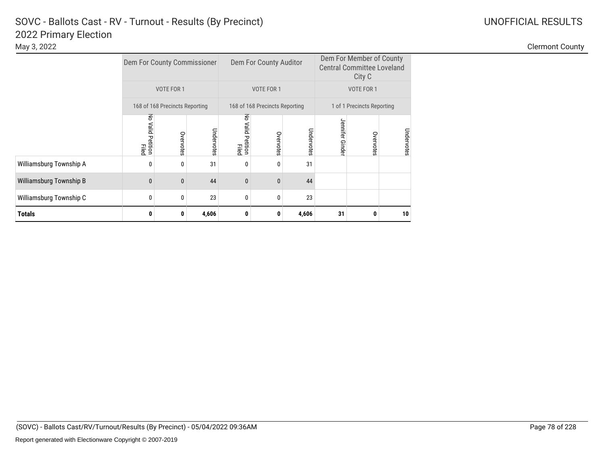|                         | Dem For County Commissioner  |                                |            |                              | Dem For County Auditor         |            |                 | Dem For Member of County<br><b>Central Committee Loveland</b><br>City C |            |
|-------------------------|------------------------------|--------------------------------|------------|------------------------------|--------------------------------|------------|-----------------|-------------------------------------------------------------------------|------------|
|                         |                              | VOTE FOR 1                     |            |                              | VOTE FOR 1                     |            |                 | VOTE FOR 1                                                              |            |
|                         |                              | 168 of 168 Precincts Reporting |            |                              | 168 of 168 Precincts Reporting |            |                 | 1 of 1 Precincts Reporting                                              |            |
|                         | 중<br>Valid Petition<br>Elled | Overvotes                      | Undervotes | 중<br>valid Petition<br>Filed | Overvotes                      | Undervotes | Jennifer Ginder | Overvotes                                                               | Undervotes |
| Williamsburg Township A | 0                            | 0                              | 31         | 0                            | $\mathbf{0}$                   | 31         |                 |                                                                         |            |
| Williamsburg Township B | $\mathbf{0}$                 | $\bf{0}$                       | 44         | $\mathbf{0}$                 | $\mathbf{0}$                   | 44         |                 |                                                                         |            |
| Williamsburg Township C | 0                            | 0                              | 23         | $\mathbf{0}$                 | 0                              | 23         |                 |                                                                         |            |
| Totals                  | 0                            | 0                              | 4,606      | 0                            | 0                              | 4,606      | 31              | 0                                                                       | 10         |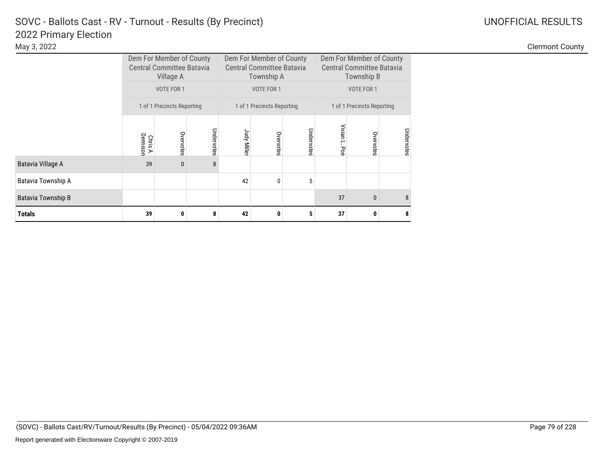|                           |                      | Dem For Member of County<br><b>Central Committee Batavia</b><br>Village A |            |             | Dem For Member of County<br><b>Central Committee Batavia</b><br>Township A |            | Dem For Member of County<br><b>Central Committee Batavia</b><br>Township B |                            |            |  |
|---------------------------|----------------------|---------------------------------------------------------------------------|------------|-------------|----------------------------------------------------------------------------|------------|----------------------------------------------------------------------------|----------------------------|------------|--|
|                           |                      | VOTE FOR 1                                                                |            |             | VOTE FOR 1                                                                 |            |                                                                            |                            |            |  |
|                           |                      | 1 of 1 Precincts Reporting                                                |            |             | 1 of 1 Precincts Reporting                                                 |            |                                                                            | 1 of 1 Precincts Reporting |            |  |
|                           | Dennison<br>Chris A. | Overvotes                                                                 | Undervotes | Judy Miller | Overvotes                                                                  | Undervotes | Vivian L.<br>Poe                                                           | Overvotes                  | Undervotes |  |
| Batavia Village A         | 39                   | $\mathbf{0}$                                                              | 8          |             |                                                                            |            |                                                                            |                            |            |  |
| Batavia Township A        |                      |                                                                           |            | 42          | 0                                                                          | 5          |                                                                            |                            |            |  |
| <b>Batavia Township B</b> |                      |                                                                           |            |             |                                                                            |            | 37                                                                         | $\mathbf{0}$               | 8          |  |
| <b>Totals</b>             | 39                   | 0                                                                         | 8          | 42          | 0                                                                          | 5          | 37                                                                         | 0                          | 8          |  |

Clermont County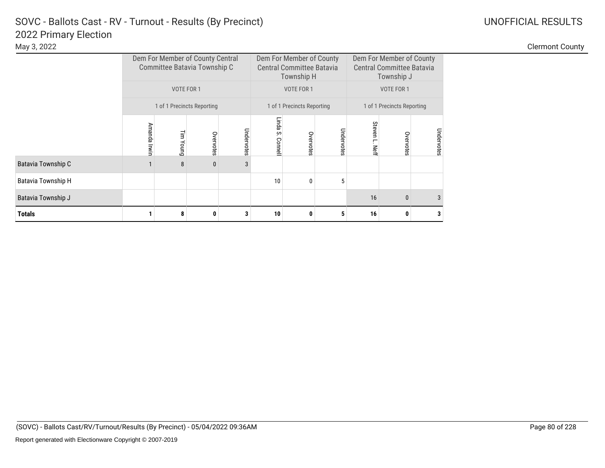|                           |                            |            | Dem For Member of County Central<br>Committee Batavia Township C |            |                        | Dem For Member of County<br><b>Central Committee Batavia</b><br>Township H |            |                            | Dem For Member of County<br><b>Central Committee Batavia</b><br>Township J |            |  |  |
|---------------------------|----------------------------|------------|------------------------------------------------------------------|------------|------------------------|----------------------------------------------------------------------------|------------|----------------------------|----------------------------------------------------------------------------|------------|--|--|
|                           |                            | VOTE FOR 1 |                                                                  |            |                        | VOTE FOR 1                                                                 |            |                            | VOTE FOR 1                                                                 |            |  |  |
|                           | 1 of 1 Precincts Reporting |            |                                                                  |            |                        | 1 of 1 Precincts Reporting                                                 |            | 1 of 1 Precincts Reporting |                                                                            |            |  |  |
|                           | Amanda Irwin               | Tim Young  | Overvotes                                                        | Undervotes | Linda<br>Š.<br>Connell | Overvotes                                                                  | Undervotes | Steven<br>Nef              | Overvotes                                                                  | Undervotes |  |  |
| Batavia Township C        |                            | 8          | $\mathbf{0}$                                                     | 3          |                        |                                                                            |            |                            |                                                                            |            |  |  |
| <b>Batavia Township H</b> |                            |            |                                                                  |            | 10                     | 0                                                                          | 5          |                            |                                                                            |            |  |  |
| Batavia Township J        |                            |            |                                                                  |            |                        |                                                                            |            | 16                         | $\Omega$                                                                   |            |  |  |
| <b>Totals</b>             |                            | 8          | 0                                                                |            | 10                     | 0                                                                          | 5          | 16                         |                                                                            |            |  |  |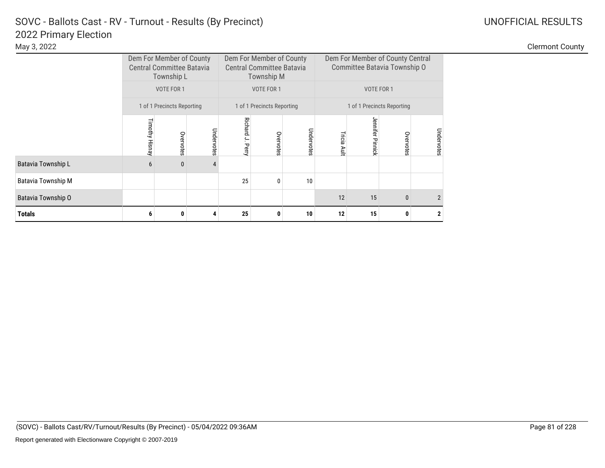### 2022 Primary Election SOVC - Ballots Cast - RV - Turnout - Results (By Precinct)

|                    |                | Dem For Member of County<br><b>Central Committee Batavia</b><br>Township L |            |                         | Dem For Member of County<br><b>Central Committee Batavia</b><br>Township M |            |                          | Dem For Member of County Central<br>Committee Batavia Township O |           |                |  |
|--------------------|----------------|----------------------------------------------------------------------------|------------|-------------------------|----------------------------------------------------------------------------|------------|--------------------------|------------------------------------------------------------------|-----------|----------------|--|
|                    |                | VOTE FOR 1                                                                 |            |                         | VOTE FOR 1                                                                 |            |                          | VOTE FOR 1                                                       |           |                |  |
|                    |                | 1 of 1 Precincts Reporting                                                 |            |                         | 1 of 1 Precincts Reporting                                                 |            |                          | 1 of 1 Precincts Reporting                                       |           |                |  |
|                    | Timothy Hisnay | Overvotes                                                                  | Undervotes | <b>Richard J. Perry</b> | Overvotes                                                                  | Undervotes | Tricia Ault              | Jennifer Pinnick                                                 | Overvotes | Undervotes     |  |
| Batavia Township L | 6              | $\mathbf{0}$                                                               | 4          |                         |                                                                            |            |                          |                                                                  |           |                |  |
| Batavia Township M |                |                                                                            |            | 25                      | 0                                                                          | 10         |                          |                                                                  |           |                |  |
| Batavia Township O |                |                                                                            |            |                         |                                                                            |            | 12<br>15<br>$\mathbf{0}$ |                                                                  |           | $\mathfrak{p}$ |  |
| <b>Totals</b>      | 6              | 0                                                                          | 4          | 25                      | 0                                                                          | 10         | 12                       | 15                                                               | 0         |                |  |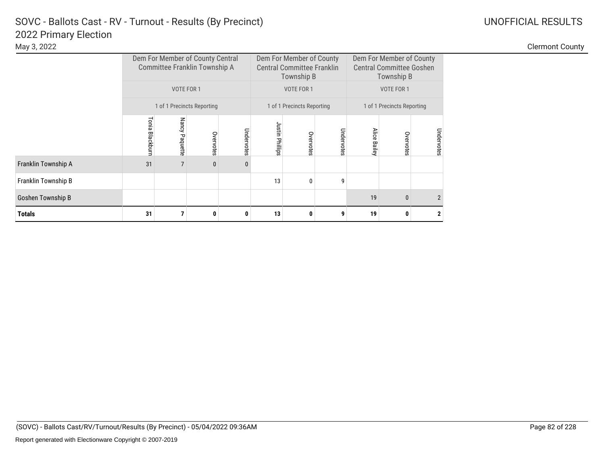|                     |                 |                | Dem For Member of County Central<br>Committee Franklin Township A |            |                 | Dem For Member of County<br><b>Central Committee Franklin</b><br>Township B |            | Dem For Member of County<br><b>Central Committee Goshen</b><br>Township B<br>VOTE FOR 1 |              |               |  |  |
|---------------------|-----------------|----------------|-------------------------------------------------------------------|------------|-----------------|-----------------------------------------------------------------------------|------------|-----------------------------------------------------------------------------------------|--------------|---------------|--|--|
|                     |                 | VOTE FOR 1     |                                                                   |            |                 | VOTE FOR 1                                                                  |            |                                                                                         |              |               |  |  |
|                     |                 |                | 1 of 1 Precincts Reporting                                        |            |                 | 1 of 1 Precincts Reporting<br>1 of 1 Precincts Reporting                    |            |                                                                                         |              |               |  |  |
|                     | Tonia Blackburn | Nancy Paquette | Overvotes                                                         | Undervotes | Justin Phillips | Overvotes                                                                   | Undervotes | <b>Alice</b><br>Bailey                                                                  | Overvotes    | Undervotes    |  |  |
| Franklin Township A | 31              | $\overline{7}$ | $\mathbf{0}$                                                      | $\theta$   |                 |                                                                             |            |                                                                                         |              |               |  |  |
| Franklin Township B |                 |                |                                                                   |            | 13              | $\boldsymbol{0}$                                                            | 9          |                                                                                         |              |               |  |  |
| Goshen Township B   |                 |                |                                                                   |            |                 |                                                                             |            | 19                                                                                      | $\mathbf{0}$ | $\mathcal{P}$ |  |  |
| <b>Totals</b>       | 31              | 7              | 0                                                                 | 0          | 13              | 0                                                                           | 9          | 19                                                                                      | 0            |               |  |  |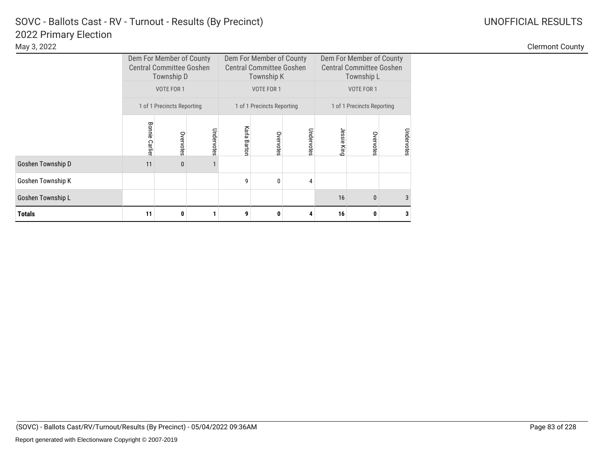|                   |                          | Dem For Member of County<br><b>Central Committee Goshen</b><br>Township D |            |                 | Dem For Member of County<br><b>Central Committee Goshen</b><br>Township K |            | Dem For Member of County<br><b>Central Committee Goshen</b> | Township L                 |            |  |
|-------------------|--------------------------|---------------------------------------------------------------------------|------------|-----------------|---------------------------------------------------------------------------|------------|-------------------------------------------------------------|----------------------------|------------|--|
|                   |                          | VOTE FOR 1                                                                |            |                 | <b>VOTE FOR 1</b>                                                         |            |                                                             |                            |            |  |
|                   |                          | 1 of 1 Precincts Reporting                                                |            |                 | 1 of 1 Precincts Reporting                                                |            |                                                             | 1 of 1 Precincts Reporting |            |  |
|                   | Bonnie<br><b>Carlier</b> | Overvotes                                                                 | Undervotes | Karla<br>Barton | Overvotes                                                                 | Undervotes | Jessie King                                                 | Overvotes                  | Undervotes |  |
| Goshen Township D | 11                       | $\mathbf{0}$                                                              |            |                 |                                                                           |            |                                                             |                            |            |  |
| Goshen Township K |                          |                                                                           |            | 9               | $\mathbf{0}$                                                              | 4          |                                                             |                            |            |  |
| Goshen Township L |                          |                                                                           |            |                 |                                                                           |            | 16                                                          | $\mathbf{0}$               | 3          |  |
| <b>Totals</b>     | 11                       | 0                                                                         |            | 9               | 0                                                                         |            | 16                                                          | 0                          | 3          |  |

Clermont County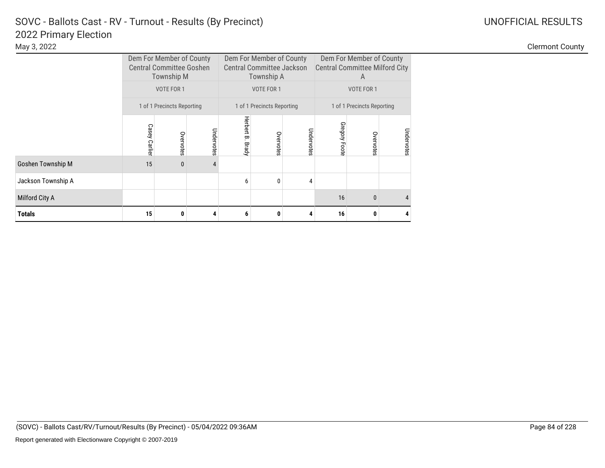|                    | Dem For Member of County<br><b>Central Committee Goshen</b><br>Township M |              |            | Dem For Member of County<br><b>Central Committee Jackson</b><br>Township A |                            |            |               | Dem For Member of County<br><b>Central Committee Milford City</b><br>A     |  |  |  |
|--------------------|---------------------------------------------------------------------------|--------------|------------|----------------------------------------------------------------------------|----------------------------|------------|---------------|----------------------------------------------------------------------------|--|--|--|
|                    | VOTE FOR 1                                                                |              |            |                                                                            | VOTE FOR 1                 |            |               | VOTE FOR 1                                                                 |  |  |  |
|                    | 1 of 1 Precincts Reporting                                                |              |            |                                                                            | 1 of 1 Precincts Reporting |            |               | 1 of 1 Precincts Reporting<br>Undervotes<br>Overvotes<br>$\mathbf{0}$<br>4 |  |  |  |
|                    | Casey Carlier                                                             | Overvotes    | Undervotes | Herbert B.<br>Brady                                                        | Overvotes                  | Undervotes | Gregory Foote |                                                                            |  |  |  |
| Goshen Township M  | 15                                                                        | $\mathbf{0}$ | 4          |                                                                            |                            |            |               |                                                                            |  |  |  |
| Jackson Township A |                                                                           |              |            | 6                                                                          | $\mathbf{0}$               | 4          |               |                                                                            |  |  |  |
| Milford City A     |                                                                           |              |            |                                                                            |                            |            | 16            |                                                                            |  |  |  |
| <b>Totals</b>      | 15                                                                        | 0            |            | 6                                                                          | 0                          | 4          | 16            | 0                                                                          |  |  |  |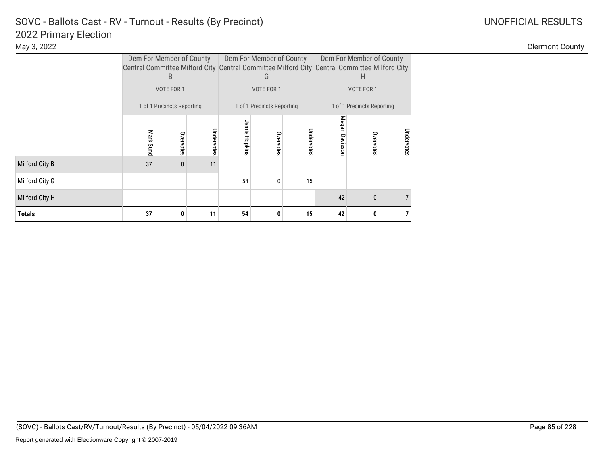|                | Dem For Member of County<br>Central Committee Milford City Central Committee Milford City Central Committee Milford City<br>B |                            |            |               | Dem For Member of County<br>G |            |                | Dem For Member of County<br>Н            |            |  |  |
|----------------|-------------------------------------------------------------------------------------------------------------------------------|----------------------------|------------|---------------|-------------------------------|------------|----------------|------------------------------------------|------------|--|--|
|                | VOTE FOR 1                                                                                                                    |                            |            |               | VOTE FOR 1                    |            |                | VOTE FOR 1<br>1 of 1 Precincts Reporting |            |  |  |
|                |                                                                                                                               | 1 of 1 Precincts Reporting |            |               | 1 of 1 Precincts Reporting    |            |                |                                          |            |  |  |
|                | Mark Sund                                                                                                                     | Overvotes                  | Undervotes | Jamie Hopkins | Overvotes                     | Undervotes | Megan Davissor | Overvotes                                | Undervotes |  |  |
| Milford City B | 37                                                                                                                            | $\mathbf{0}$               | 11         |               |                               |            |                |                                          |            |  |  |
| Milford City G |                                                                                                                               |                            |            | 54            | $\mathbf{0}$                  | 15         |                |                                          |            |  |  |
| Milford City H |                                                                                                                               |                            |            |               |                               |            | 42             | $\mathbf{0}$                             |            |  |  |
| <b>Totals</b>  | 37                                                                                                                            | 0                          | 11         | 54            | 0                             | 15         | 42             | 0                                        |            |  |  |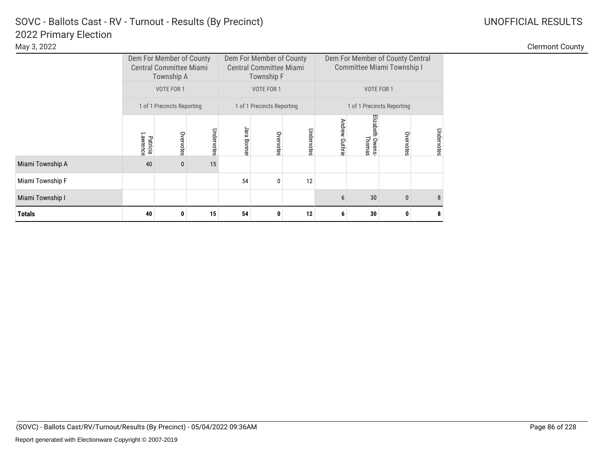| UNOFFICIAL RESULT |
|-------------------|
|                   |

|                  | Dem For Member of County<br><b>Central Committee Miami</b><br>Township A |                            |            |             | Dem For Member of County<br><b>Central Committee Miami</b><br>Township F |            |                | Dem For Member of County Central<br>Committee Miami Township I |                            |            |  |
|------------------|--------------------------------------------------------------------------|----------------------------|------------|-------------|--------------------------------------------------------------------------|------------|----------------|----------------------------------------------------------------|----------------------------|------------|--|
|                  | VOTE FOR 1                                                               |                            |            |             | VOTE FOR 1                                                               |            |                | VOTE FOR 1                                                     |                            |            |  |
|                  |                                                                          | 1 of 1 Precincts Reporting |            |             | 1 of 1 Precincts Reporting                                               |            |                |                                                                | 1 of 1 Precincts Reporting |            |  |
|                  | Lawrence<br>Patricia                                                     | Overvotes                  | Undervotes | Jara Bonner | Overvotes                                                                | Undervotes | Andrew Guthrie | Elizabeth Owens<br>Thomas                                      | Overvote                   | Undervotes |  |
| Miami Township A | 40                                                                       | 0                          | 15         |             |                                                                          |            |                |                                                                |                            |            |  |
| Miami Township F |                                                                          |                            |            | 54          | 0                                                                        | 12         |                |                                                                |                            |            |  |
| Miami Township I |                                                                          |                            |            |             |                                                                          |            | 6              | 30                                                             | $\mathbf{0}$               | 8          |  |
| <b>Totals</b>    | 40                                                                       | 0                          | 15         | 54          | 0                                                                        | 12         | 6              | 30                                                             | 0                          | 8          |  |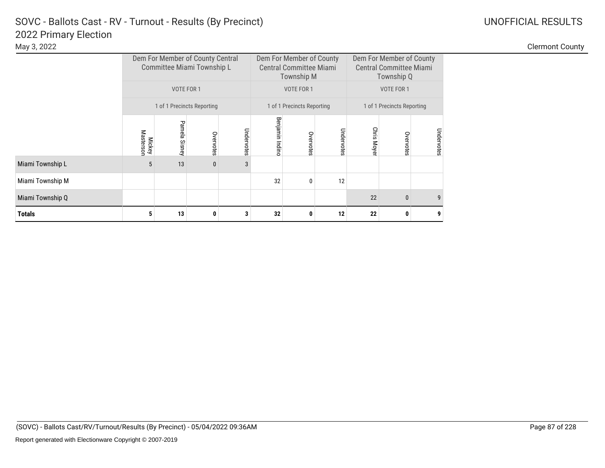|                  |                            |               | Dem For Member of County Central<br>Committee Miami Township L |            |                 | Dem For Member of County<br><b>Central Committee Miami</b><br>Township M |            |             | Dem For Member of County<br><b>Central Committee Miami</b><br>Township Q |            |  |
|------------------|----------------------------|---------------|----------------------------------------------------------------|------------|-----------------|--------------------------------------------------------------------------|------------|-------------|--------------------------------------------------------------------------|------------|--|
|                  | VOTE FOR 1                 |               |                                                                |            |                 | VOTE FOR 1                                                               |            | VOTE FOR 1  |                                                                          |            |  |
|                  |                            |               | 1 of 1 Precincts Reporting                                     |            |                 | 1 of 1 Precincts Reporting                                               |            |             | 1 of 1 Precincts Reporting                                               |            |  |
|                  | Masterson<br><b>Mickey</b> | Pamela Sisney | Overvotes                                                      | Undervotes | Benjamin Indinc | Overvotes                                                                | Undervotes | Chris Moyer | Overvotes                                                                | Undervotes |  |
| Miami Township L | 5                          | 13            | $\bf{0}$                                                       | 3          |                 |                                                                          |            |             |                                                                          |            |  |
| Miami Township M |                            |               |                                                                |            | 32              | $\mathbf{0}$                                                             | 12         |             |                                                                          |            |  |
| Miami Township Q |                            |               |                                                                |            |                 |                                                                          |            | 22          | 0                                                                        | 9          |  |
| <b>Totals</b>    | 5                          | 13            | 0                                                              | 3          | 32              | 0                                                                        | 12         | 22          | 0                                                                        | 9          |  |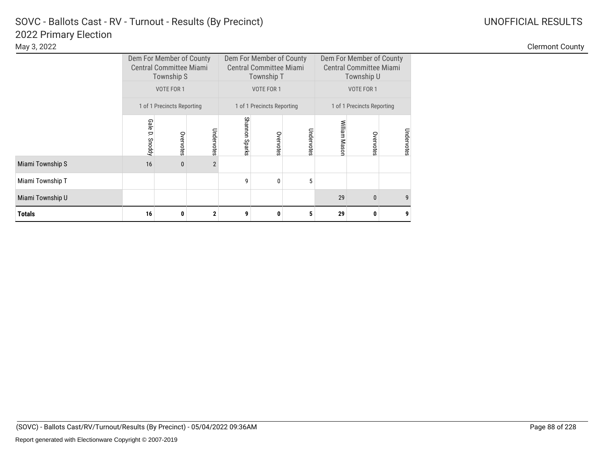|  |  | JOFFICIAL RESULTS |
|--|--|-------------------|

|                  | Dem For Member of County<br><b>Central Committee Miami</b><br>Township S |                            |                |                | Dem For Member of County<br><b>Central Committee Miami</b><br>Township T |            |               | Dem For Member of County<br><b>Central Committee Miami</b><br>Township U |            |
|------------------|--------------------------------------------------------------------------|----------------------------|----------------|----------------|--------------------------------------------------------------------------|------------|---------------|--------------------------------------------------------------------------|------------|
|                  | VOTE FOR 1                                                               |                            |                |                | VOTE FOR 1                                                               |            |               | VOTE FOR 1                                                               |            |
|                  |                                                                          | 1 of 1 Precincts Reporting |                |                | 1 of 1 Precincts Reporting                                               |            |               | 1 of 1 Precincts Reporting                                               |            |
|                  | <b>Gale</b><br>D.<br>Snoddy                                              | Overvotes                  | Undervotes     | Shannon Sparks | Overvotes                                                                | Undervotes | William Masor | Overvotes                                                                | Undervotes |
| Miami Township S | 16                                                                       | $\mathbf{0}$               | $\overline{2}$ |                |                                                                          |            |               |                                                                          |            |
| Miami Township T |                                                                          |                            |                | 9              | $\Omega$                                                                 | 5          |               |                                                                          |            |
| Miami Township U |                                                                          |                            |                |                |                                                                          |            | 29            | $\mathbf{0}$                                                             | 9          |
| <b>Totals</b>    | 16                                                                       | 0                          | $\mathbf{2}$   | 9              | O                                                                        | 5          | 29            | 0                                                                        | 9          |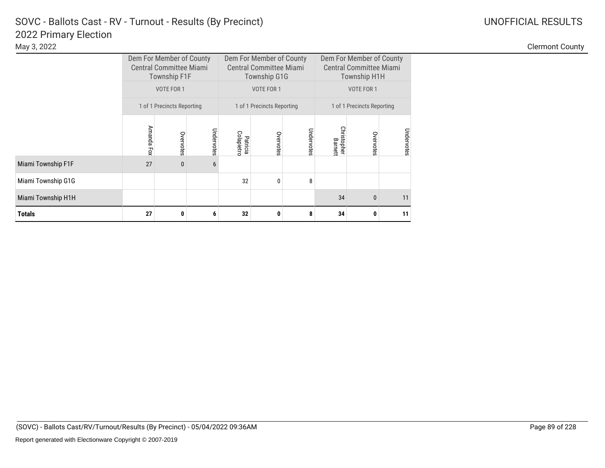|                    | Dem For Member of County<br><b>Central Committee Miami</b><br><b>Township F1F</b> |                            |            |                        | Dem For Member of County<br><b>Central Committee Miami</b><br><b>Township G1G</b> |            |                        | Dem For Member of County<br><b>Central Committee Miami</b><br><b>Township H1H</b><br>VOTE FOR 1 |            |  |  |
|--------------------|-----------------------------------------------------------------------------------|----------------------------|------------|------------------------|-----------------------------------------------------------------------------------|------------|------------------------|-------------------------------------------------------------------------------------------------|------------|--|--|
|                    | VOTE FOR 1                                                                        |                            |            |                        | VOTE FOR 1                                                                        |            |                        | 1 of 1 Precincts Reporting                                                                      |            |  |  |
|                    |                                                                                   | 1 of 1 Precincts Reporting |            |                        | 1 of 1 Precincts Reporting                                                        |            |                        |                                                                                                 |            |  |  |
|                    | Amanda Fox                                                                        | Overvotes                  | Undervotes | Colapietro<br>Patricia | Overvotes                                                                         | Undervotes | Christopher<br>Barnett | Overvotes                                                                                       | Undervotes |  |  |
| Miami Township F1F | 27                                                                                | $\bf{0}$                   | 6          |                        |                                                                                   |            |                        |                                                                                                 |            |  |  |
| Miami Township G1G |                                                                                   |                            |            | 32                     | $\mathbf{0}$                                                                      | 8          |                        |                                                                                                 |            |  |  |
| Miami Township H1H |                                                                                   |                            |            |                        |                                                                                   |            | 34                     | $\mathbf{0}$                                                                                    | 11         |  |  |
| <b>Totals</b>      | 27                                                                                | $\mathbf{0}$               | 6          | 32                     | 0                                                                                 | 8          | 34                     | 0                                                                                               | 11         |  |  |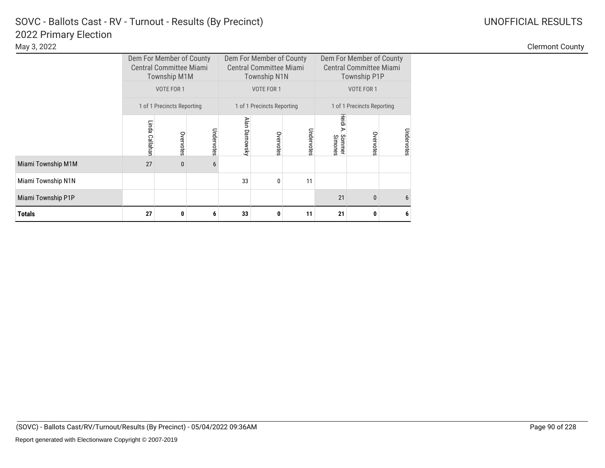|                    | Dem For Member of County<br><b>Central Committee Miami</b><br><b>Township M1M</b> |                            |            |                | Dem For Member of County<br><b>Central Committee Miami</b><br><b>Township N1N</b> |            |                            | Dem For Member of County<br><b>Central Committee Miami</b><br><b>Township P1P</b><br>1 of 1 Precincts Reporting<br>Undervotes<br>Overvotes |   |
|--------------------|-----------------------------------------------------------------------------------|----------------------------|------------|----------------|-----------------------------------------------------------------------------------|------------|----------------------------|--------------------------------------------------------------------------------------------------------------------------------------------|---|
|                    | VOTE FOR 1                                                                        |                            |            |                | VOTE FOR 1                                                                        |            |                            | VOTE FOR 1                                                                                                                                 |   |
|                    |                                                                                   | 1 of 1 Precincts Reporting |            |                | 1 of 1 Precincts Reporting                                                        |            |                            |                                                                                                                                            |   |
|                    | Linda<br>Callahan                                                                 | Overvotes                  | Undervotes | Alan Darnowsky | Overvotes                                                                         | Undervotes | Heidi<br>Sommer<br>Simones |                                                                                                                                            |   |
| Miami Township M1M | 27                                                                                | $\mathbf{0}$               | 6          |                |                                                                                   |            |                            |                                                                                                                                            |   |
| Miami Township N1N |                                                                                   |                            |            | 33             | $\mathbf{0}$                                                                      | 11         |                            |                                                                                                                                            |   |
| Miami Township P1P |                                                                                   |                            |            |                |                                                                                   |            | 21                         | $\mathbf{0}$                                                                                                                               | 6 |
| <b>Totals</b>      | 27                                                                                | 0                          | 6          | 33             | 0                                                                                 | 11         | 21                         | 0                                                                                                                                          | 6 |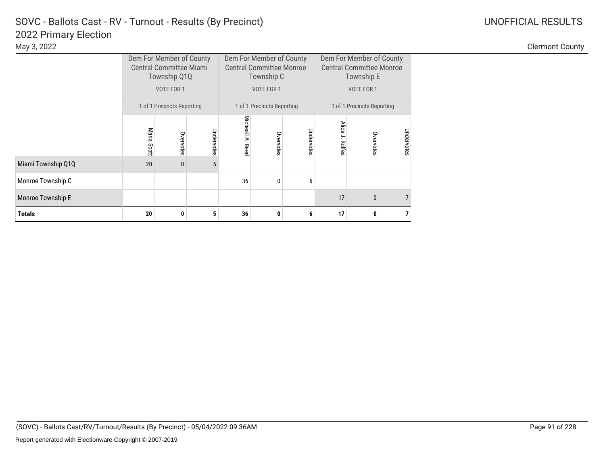|                    |                            | Dem For Member of County<br><b>Central Committee Miami</b><br>Township Q1Q |            |                     | Dem For Member of County<br><b>Central Committee Monroe</b><br>Township C |            |                           | Dem For Member of County<br><b>Central Committee Monroe</b><br>Township E |            |  |  |
|--------------------|----------------------------|----------------------------------------------------------------------------|------------|---------------------|---------------------------------------------------------------------------|------------|---------------------------|---------------------------------------------------------------------------|------------|--|--|
|                    | VOTE FOR 1                 |                                                                            |            |                     | VOTE FOR 1                                                                |            |                           | VOTE FOR 1                                                                |            |  |  |
|                    | 1 of 1 Precincts Reporting |                                                                            |            |                     | 1 of 1 Precincts Reporting                                                |            |                           | 1 of 1 Precincts Reporting                                                |            |  |  |
|                    | Maria Scott                | Overvotes                                                                  | Undervotes | Micheall A.<br>Reed | Overvotes                                                                 | Undervotes | <b>Alice</b><br>J. Rolfes | Overvotes                                                                 | Undervotes |  |  |
| Miami Township Q1Q | 20                         | $\mathbf{0}$                                                               | 5          |                     |                                                                           |            |                           |                                                                           |            |  |  |
| Monroe Township C  |                            |                                                                            |            | 36                  | 0                                                                         | 6          |                           |                                                                           |            |  |  |
| Monroe Township E  |                            |                                                                            |            |                     |                                                                           | 17         | $\mathbf{0}$              |                                                                           |            |  |  |
| <b>Totals</b>      | 20                         | 0                                                                          | 5          | 36                  | 0                                                                         | 6          | 17                        | 0                                                                         |            |  |  |

Clermont County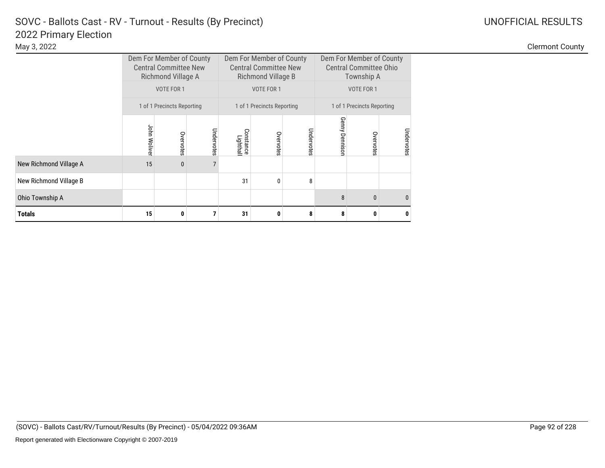|                        | Dem For Member of County<br><b>Central Committee New</b><br>Richmond Village A |                            |            |                        | Dem For Member of County<br><b>Central Committee New</b><br>Richmond Village B |            |                | Dem For Member of County<br><b>Central Committee Ohio</b><br>Township A<br>1 of 1 Precincts Reporting<br>Undervotes<br>Overvotes |              |  |
|------------------------|--------------------------------------------------------------------------------|----------------------------|------------|------------------------|--------------------------------------------------------------------------------|------------|----------------|----------------------------------------------------------------------------------------------------------------------------------|--------------|--|
|                        | VOTE FOR 1                                                                     |                            |            |                        | VOTE FOR 1                                                                     |            |                | VOTE FOR 1                                                                                                                       |              |  |
|                        |                                                                                | 1 of 1 Precincts Reporting |            |                        | 1 of 1 Precincts Reporting                                                     |            |                |                                                                                                                                  |              |  |
|                        | John Woliver                                                                   | Overvotes                  | Undervotes | Constance<br>Lighthall | Overvotes                                                                      | Undervotes | Genny Dennisor |                                                                                                                                  |              |  |
| New Richmond Village A | 15                                                                             | $\mathbf{0}$               |            |                        |                                                                                |            |                |                                                                                                                                  |              |  |
| New Richmond Village B |                                                                                |                            |            | 31                     | $\mathbf{0}$                                                                   | 8          |                |                                                                                                                                  |              |  |
| Ohio Township A        |                                                                                |                            |            |                        |                                                                                |            | 8              | $\mathbf{0}$                                                                                                                     | $\mathbf{0}$ |  |
| <b>Totals</b>          | 15                                                                             | $\mathbf{0}$               |            | 31                     | 0                                                                              | 8          | 8              | 0                                                                                                                                | 0            |  |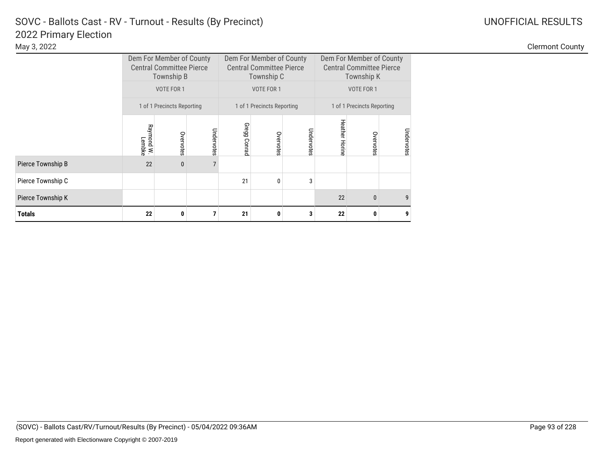|                   | Dem For Member of County<br><b>Central Committee Pierce</b><br>Township B |                            |            |                 | Dem For Member of County<br><b>Central Committee Pierce</b><br>Township C |            |                       | Dem For Member of County<br><b>Central Committee Pierce</b><br>Township K |            |
|-------------------|---------------------------------------------------------------------------|----------------------------|------------|-----------------|---------------------------------------------------------------------------|------------|-----------------------|---------------------------------------------------------------------------|------------|
|                   | VOTE FOR 1                                                                |                            |            |                 | VOTE FOR 1                                                                |            |                       | VOTE FOR 1                                                                |            |
|                   |                                                                           | 1 of 1 Precincts Reporting |            |                 | 1 of 1 Precincts Reporting                                                |            |                       | 1 of 1 Precincts Reporting                                                |            |
|                   | Raymond W.<br>Lembke                                                      | Overvotes                  | Undervotes | Gregg<br>Conrac | Overvotes                                                                 | Undervotes | <b>Heather Horine</b> | Overvotes                                                                 | Undervotes |
| Pierce Township B | 22                                                                        | $\mathbf{0}$               |            |                 |                                                                           |            |                       |                                                                           |            |
| Pierce Township C |                                                                           |                            |            | 21              | 0                                                                         | 3          |                       |                                                                           |            |
| Pierce Township K |                                                                           |                            |            |                 |                                                                           |            | 22                    | $\mathbf{0}$                                                              | 9          |
| <b>Totals</b>     | 22                                                                        | $\bf{0}$                   |            | 21              | 0                                                                         | 3          | 22                    | 0                                                                         | 9          |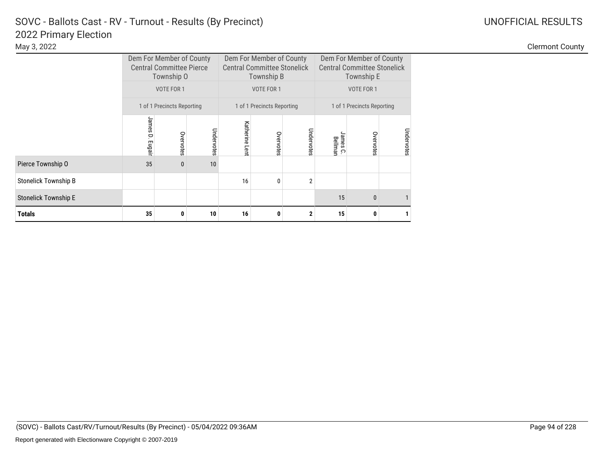|                             |                            | Dem For Member of County<br><b>Central Committee Pierce</b><br>Township O |            |                   | Dem For Member of County<br><b>Central Committee Stonelick</b><br>Township B |                | Dem For Member of County<br><b>Central Committee Stonelick</b><br>Township E |              |            |
|-----------------------------|----------------------------|---------------------------------------------------------------------------|------------|-------------------|------------------------------------------------------------------------------|----------------|------------------------------------------------------------------------------|--------------|------------|
|                             |                            | VOTE FOR 1                                                                |            |                   | VOTE FOR 1                                                                   |                | VOTE FOR 1                                                                   |              |            |
|                             | 1 of 1 Precincts Reporting |                                                                           |            |                   | 1 of 1 Precincts Reporting                                                   |                | 1 of 1 Precincts Reporting                                                   |              |            |
|                             | James<br>p<br>Eugair       | Overvotes                                                                 | Undervotes | Katherine<br>Lent | Overvotes                                                                    | Undervotes     | sames<br>Bellman<br>္                                                        | Overvotes    | Undervotes |
| Pierce Township O           | 35                         | $\bf{0}$                                                                  | 10         |                   |                                                                              |                |                                                                              |              |            |
| <b>Stonelick Township B</b> |                            |                                                                           |            | 16                | $\mathbf{0}$                                                                 | $\overline{2}$ |                                                                              |              |            |
| <b>Stonelick Township E</b> |                            |                                                                           |            |                   |                                                                              |                | 15                                                                           | $\mathbf{0}$ |            |
| <b>Totals</b>               | 35                         | 0                                                                         | 10         | 16                | 0                                                                            | $\mathbf{2}$   | 15                                                                           | 0            |            |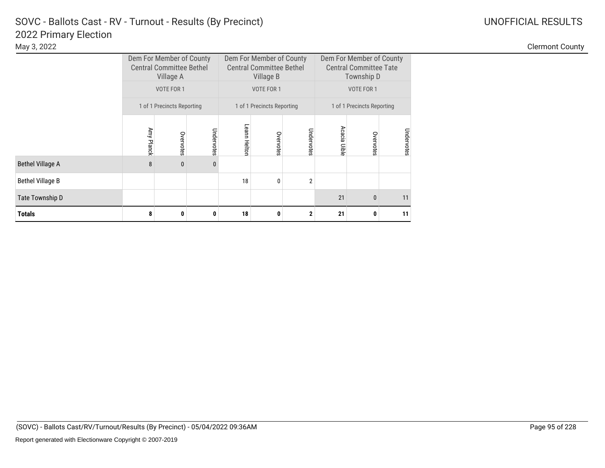|                         |                            | Dem For Member of County<br><b>Central Committee Bethel</b><br>Village A<br>VOTE FOR 1 |              |              | Dem For Member of County<br><b>Central Committee Bethel</b><br>Village B |                | Dem For Member of County<br><b>Central Committee Tate</b><br>Township D |              |            |  |
|-------------------------|----------------------------|----------------------------------------------------------------------------------------|--------------|--------------|--------------------------------------------------------------------------|----------------|-------------------------------------------------------------------------|--------------|------------|--|
|                         |                            |                                                                                        |              |              | <b>VOTE FOR 1</b>                                                        |                | VOTE FOR 1                                                              |              |            |  |
|                         | 1 of 1 Precincts Reporting |                                                                                        |              |              | 1 of 1 Precincts Reporting                                               |                | 1 of 1 Precincts Reporting                                              |              |            |  |
|                         | Amy Planck                 | Overvotes                                                                              | Undervotes   | Leann Helton | Overvotes                                                                | Undervotes     | Acacia Uible                                                            | Overvotes    | Undervotes |  |
| <b>Bethel Village A</b> | 8                          | $\mathbf{0}$                                                                           | $\mathbf{0}$ |              |                                                                          |                |                                                                         |              |            |  |
| <b>Bethel Village B</b> |                            |                                                                                        |              | 18           | 0                                                                        | $\overline{2}$ |                                                                         |              |            |  |
| Tate Township D         |                            |                                                                                        |              |              |                                                                          |                | 21                                                                      | $\mathbf{0}$ | 11         |  |
| <b>Totals</b>           | 8                          | 0                                                                                      | 0            | 18           | 0                                                                        | $\mathbf 2$    | 21                                                                      | 0            | 11         |  |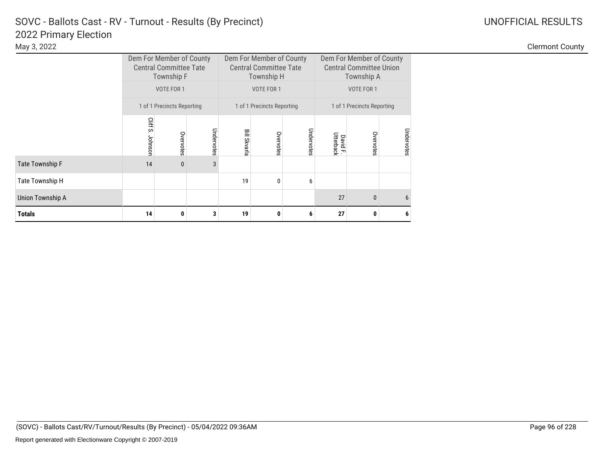|                         |                            | Dem For Member of County<br><b>Central Committee Tate</b><br><b>Township F</b> |            |                     | Dem For Member of County<br><b>Central Committee Tate</b><br>Township H |            | Dem For Member of County<br><b>Central Committee Union</b><br>Township A |              |            |  |
|-------------------------|----------------------------|--------------------------------------------------------------------------------|------------|---------------------|-------------------------------------------------------------------------|------------|--------------------------------------------------------------------------|--------------|------------|--|
|                         |                            | VOTE FOR 1                                                                     |            |                     | VOTE FOR 1                                                              |            | VOTE FOR 1                                                               |              |            |  |
|                         | 1 of 1 Precincts Reporting |                                                                                |            |                     | 1 of 1 Precincts Reporting                                              |            | 1 of 1 Precincts Reporting                                               |              |            |  |
|                         | Cliff S.<br>Johnson        | Overvotes                                                                      | Undervotes | <b>Bill Skvarla</b> | Overvotes                                                               | Undervotes | David F.<br>Utterback                                                    | Overvotes    | Undervotes |  |
| <b>Tate Township F</b>  | 14                         | $\mathbf{0}$                                                                   | 3          |                     |                                                                         |            |                                                                          |              |            |  |
| Tate Township H         |                            |                                                                                |            | 19                  | $\mathbf{0}$                                                            | 6          |                                                                          |              |            |  |
| <b>Union Township A</b> |                            |                                                                                |            |                     |                                                                         |            | 27                                                                       | $\mathbf{0}$ | 6          |  |
| <b>Totals</b>           | 14                         | 0                                                                              | 3          | 19                  | 0                                                                       | 6          | 27                                                                       | 0            | 6          |  |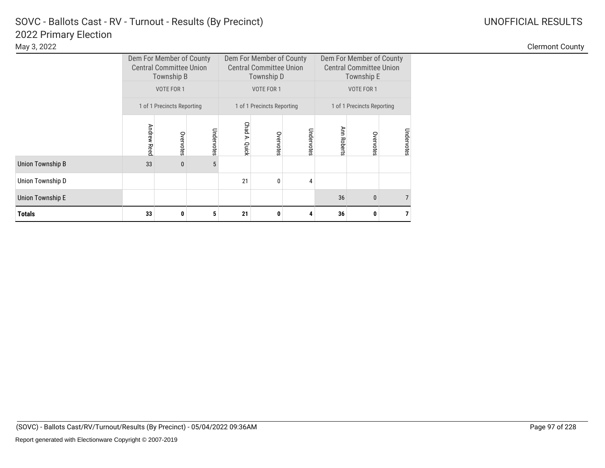|                         |             | Dem For Member of County<br><b>Central Committee Union</b><br>Township B |            |                  | Dem For Member of County<br><b>Central Committee Union</b><br>Township D |            | Dem For Member of County<br><b>Central Committee Union</b><br>Township E |              |                |  |
|-------------------------|-------------|--------------------------------------------------------------------------|------------|------------------|--------------------------------------------------------------------------|------------|--------------------------------------------------------------------------|--------------|----------------|--|
|                         |             | VOTE FOR 1                                                               |            |                  | VOTE FOR 1                                                               |            | VOTE FOR 1                                                               |              |                |  |
|                         |             | 1 of 1 Precincts Reporting                                               |            |                  | 1 of 1 Precincts Reporting                                               |            | 1 of 1 Precincts Reporting                                               |              |                |  |
|                         | Andrew Reed | Overvotes                                                                | Undervotes | Chad A.<br>Ouick | Overvotes                                                                | Undervotes | Ann Roberts                                                              | Overvotes    | Undervotes     |  |
| <b>Union Township B</b> | 33          | $\mathbf{0}$                                                             | 5          |                  |                                                                          |            |                                                                          |              |                |  |
| Union Township D        |             |                                                                          |            | 21               | $\mathbf{0}$                                                             | 4          |                                                                          |              |                |  |
| <b>Union Township E</b> |             |                                                                          |            |                  |                                                                          |            | 36                                                                       | $\mathbf{0}$ | $\overline{7}$ |  |
| <b>Totals</b>           | 33          | 0                                                                        | 5          | 21               | 0                                                                        | 4          | 36                                                                       | 0            | 7              |  |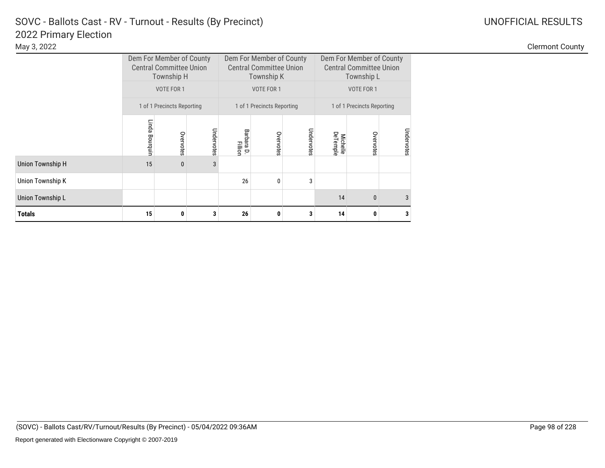|  |  | <b>JOFFICIAL RESULTS</b> |  |  |
|--|--|--------------------------|--|--|

|                  |                                                          | Dem For Member of County<br><b>Central Committee Union</b><br>Township H |            |                       | Dem For Member of County<br><b>Central Committee Union</b><br>Township K |            | Dem For Member of County<br><b>Central Committee Union</b><br>Township L |              |            |
|------------------|----------------------------------------------------------|--------------------------------------------------------------------------|------------|-----------------------|--------------------------------------------------------------------------|------------|--------------------------------------------------------------------------|--------------|------------|
|                  |                                                          | VOTE FOR 1                                                               |            |                       | VOTE FOR 1                                                               |            | VOTE FOR 1                                                               |              |            |
|                  | 1 of 1 Precincts Reporting<br>1 of 1 Precincts Reporting |                                                                          |            |                       | 1 of 1 Precincts Reporting                                               |            |                                                                          |              |            |
|                  | Linda Bourquin                                           | Overvotes                                                                | Undervotes | Barbara D.<br>Fillion | Overvotes                                                                | Undervotes | <b>DeTemple</b><br><b>Michelle</b>                                       | Overvotes    | Undervotes |
| Union Township H | 15                                                       | $\bf{0}$                                                                 | 3          |                       |                                                                          |            |                                                                          |              |            |
| Union Township K |                                                          |                                                                          |            | 26                    | $\mathbf{0}$                                                             | 3          |                                                                          |              |            |
| Union Township L |                                                          |                                                                          |            |                       |                                                                          |            | 14                                                                       | $\mathbf{0}$ | 3          |
| <b>Totals</b>    | 15                                                       | 0                                                                        | 3          | 26                    | 0                                                                        | 3          | 14                                                                       | 0            | 3          |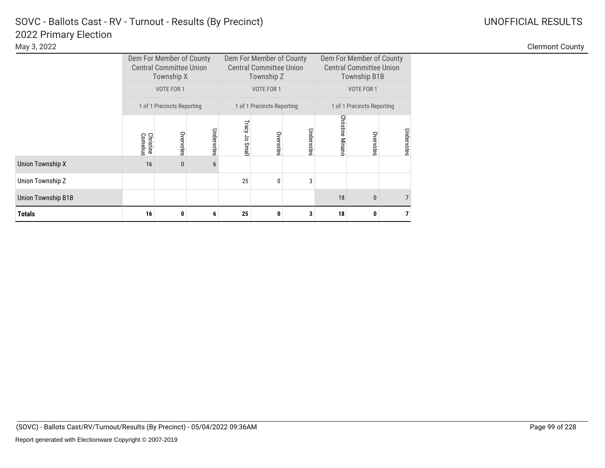|                           |                               | Dem For Member of County<br><b>Central Committee Union</b><br>Township X |            |               | Dem For Member of County<br><b>Central Committee Union</b><br>Township Z |            | Dem For Member of County<br><b>Central Committee Union</b><br><b>Township B1B</b> |              |                |  |
|---------------------------|-------------------------------|--------------------------------------------------------------------------|------------|---------------|--------------------------------------------------------------------------|------------|-----------------------------------------------------------------------------------|--------------|----------------|--|
|                           |                               | VOTE FOR 1                                                               |            |               | VOTE FOR 1                                                               |            | VOTE FOR 1                                                                        |              |                |  |
|                           |                               | 1 of 1 Precincts Reporting                                               |            |               | 1 of 1 Precincts Reporting                                               |            | 1 of 1 Precincts Reporting                                                        |              |                |  |
|                           | <b>Christine</b><br>Cornelius | Overvotes                                                                | Undervotes | Tracy Jo Smal | Overvotes                                                                | Undervotes | <b>Christine Minanc</b>                                                           | Overvotes    | Undervotes     |  |
| <b>Union Township X</b>   | 16                            | $\bf{0}$                                                                 | 6          |               |                                                                          |            |                                                                                   |              |                |  |
| Union Township Z          |                               |                                                                          |            | 25            | $\mathbf{0}$                                                             | 3          |                                                                                   |              |                |  |
| <b>Union Township B1B</b> |                               |                                                                          |            |               |                                                                          |            | 18                                                                                | $\mathbf{0}$ |                |  |
| <b>Totals</b>             | 16                            | 0                                                                        | 6          | 25            | 0                                                                        | 3          | 18                                                                                | 0            | $\overline{7}$ |  |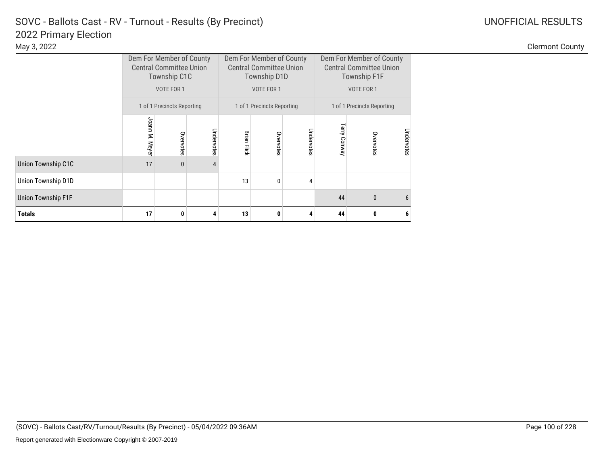|                           |                | Dem For Member of County<br><b>Central Committee Union</b><br>Township C1C |            |                    | Dem For Member of County<br><b>Central Committee Union</b><br>Township D1D |            | Dem For Member of County<br><b>Central Committee Union</b><br><b>Township F1F</b> |              |            |
|---------------------------|----------------|----------------------------------------------------------------------------|------------|--------------------|----------------------------------------------------------------------------|------------|-----------------------------------------------------------------------------------|--------------|------------|
|                           |                | VOTE FOR 1                                                                 |            |                    | VOTE FOR 1                                                                 |            | VOTE FOR 1                                                                        |              |            |
|                           |                | 1 of 1 Precincts Reporting                                                 |            |                    | 1 of 1 Precincts Reporting                                                 |            | 1 of 1 Precincts Reporting                                                        |              |            |
|                           | Joann M. Meyer | Overvotes                                                                  | Undervotes | <b>Brian Flick</b> | Overvotes                                                                  | Undervotes | Terry<br>Conway                                                                   | Overvotes    | Undervotes |
| Union Township C1C        | 17             | $\mathbf{0}$                                                               | 4          |                    |                                                                            |            |                                                                                   |              |            |
| Union Township D1D        |                |                                                                            |            | 13                 | $\mathbf{0}$                                                               | 4          |                                                                                   |              |            |
| <b>Union Township F1F</b> |                |                                                                            |            |                    |                                                                            |            | 44                                                                                | $\mathbf{0}$ | 6          |
| <b>Totals</b>             | 17             | 0                                                                          | 4          | 13                 | 0                                                                          | 4          | 44                                                                                | 0            | 6          |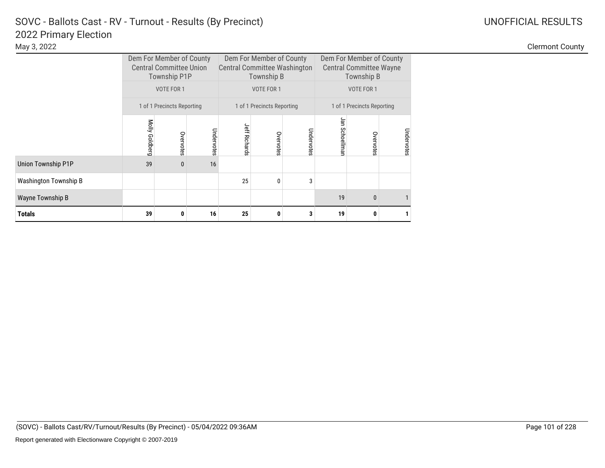### 2022 Primary Election SOVC - Ballots Cast - RV - Turnout - Results (By Precinct) and Manuscription Control Control Control Control Control Control Control Control Control Control Control Control Control Control Control Control Control Control C

|                              |                            | Dem For Member of County<br><b>Central Committee Union</b><br>Township P1P |            |                      | Dem For Member of County<br><b>Central Committee Washington</b><br>Township B |            | Dem For Member of County<br><b>Central Committee Wayne</b><br>Township B |           |            |  |
|------------------------------|----------------------------|----------------------------------------------------------------------------|------------|----------------------|-------------------------------------------------------------------------------|------------|--------------------------------------------------------------------------|-----------|------------|--|
|                              |                            | VOTE FOR 1                                                                 |            |                      | VOTE FOR 1                                                                    |            | VOTE FOR 1                                                               |           |            |  |
|                              | 1 of 1 Precincts Reporting |                                                                            |            |                      | 1 of 1 Precincts Reporting                                                    |            | 1 of 1 Precincts Reporting                                               |           |            |  |
|                              | Molly Goldberg             | Overvotes                                                                  | Undervotes | <b>Jeff Richards</b> | Overvotes                                                                     | Undervotes | Jan Schoellman                                                           | Overvotes | Undervotes |  |
| Union Township P1P           | 39                         | $\mathbf{0}$                                                               | 16         |                      |                                                                               |            |                                                                          |           |            |  |
| <b>Washington Township B</b> |                            |                                                                            |            | 25                   | $\mathbf{0}$                                                                  | 3          |                                                                          |           |            |  |
| Wayne Township B             |                            |                                                                            |            |                      |                                                                               | 19         | $\mathbf{0}$                                                             |           |            |  |
| <b>Totals</b>                | 39                         | 0                                                                          | 16         | 25                   | 0                                                                             | 3          | 19                                                                       | 0         |            |  |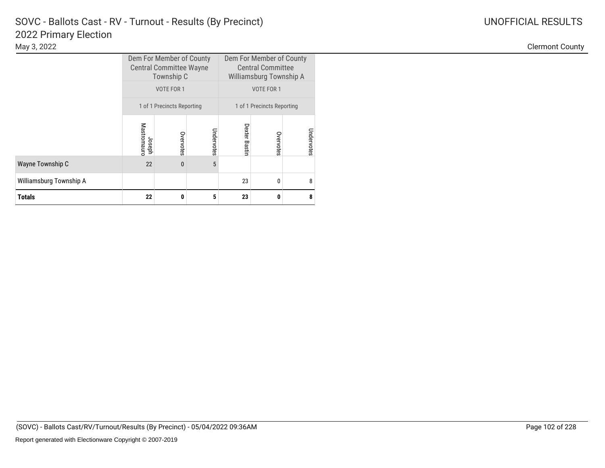# 2022 Primary Election SOVC - Ballots Cast - RV - Turnout - Results (By Precinct) and Manuscription Control Control Control Control Control Control Control Control Control Control Control Control Control Control Control Control Control Control C

|                         |                       | Dem For Member of County<br><b>Central Committee Wayne</b><br>Township C<br>VOTE FOR 1 |            | Dem For Member of County<br><b>Central Committee</b><br>Williamsburg Township A<br>VOTE FOR 1 |           |            |  |
|-------------------------|-----------------------|----------------------------------------------------------------------------------------|------------|-----------------------------------------------------------------------------------------------|-----------|------------|--|
|                         |                       | 1 of 1 Precincts Reporting                                                             |            | 1 of 1 Precincts Reporting                                                                    |           |            |  |
|                         | Mastromaurc<br>Joseph | Overvotes                                                                              | Undervotes | <b>Dexter Bastir</b>                                                                          | Overvotes | Undervotes |  |
| Wayne Township C        | 22                    | $\mathbf{0}$                                                                           | 5          |                                                                                               |           |            |  |
| Williamsburg Township A |                       |                                                                                        |            | 23                                                                                            | 0         | 8          |  |
| <b>Totals</b>           | 22                    | 0                                                                                      | 5          | 23                                                                                            | 0         | 8          |  |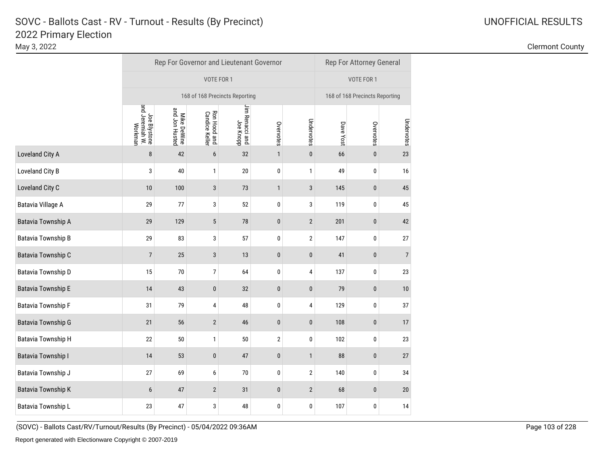## 2022 Primary Election SOVC - Ballots Cast - RV - Turnout - Results (By Precinct)

|                           |                                            |                               |                                | Rep For Governor and Lieutenant Governor |                  |                |           |                                |                |  |  |
|---------------------------|--------------------------------------------|-------------------------------|--------------------------------|------------------------------------------|------------------|----------------|-----------|--------------------------------|----------------|--|--|
|                           |                                            |                               | VOTE FOR 1                     |                                          |                  |                |           | VOTE FOR 1                     |                |  |  |
|                           |                                            |                               | 168 of 168 Precincts Reporting |                                          |                  |                |           | 168 of 168 Precincts Reporting |                |  |  |
|                           | Joe Blystone<br>and Jeremiah W.<br>Workman | Mike DeWine<br>and Jon Husted | Ron Hood and<br>Candice Keller | Jim Renacci and<br>Joe Knopp             | Overvotes        | Undervotes     | Dave Yost | Overvotes                      | Undervotes     |  |  |
| Loveland City A           | 8                                          | 42                            | 6                              | 32                                       | $\mathbf{1}$     | $\pmb{0}$      | 66        | $\pmb{0}$                      | 23             |  |  |
| Loveland City B           | 3                                          | 40                            | 1                              | 20                                       | 0                | 1              | 49        | 0                              | 16             |  |  |
| Loveland City C           | 10                                         | 100                           | 3                              | 73                                       | $\mathbf{1}$     | 3              | 145       | $\bf{0}$                       | 45             |  |  |
| <b>Batavia Village A</b>  | 29                                         | 77                            | 3                              | 52                                       | 0                | 3              | 119       | 0                              | 45             |  |  |
| <b>Batavia Township A</b> | 29                                         | 129                           | 5                              | 78                                       | $\pmb{0}$        | $\sqrt{2}$     | 201       | $\pmb{0}$                      | 42             |  |  |
| <b>Batavia Township B</b> | 29                                         | 83                            | 3                              | 57                                       | $\pmb{0}$        | $\sqrt{2}$     | 147       | $\pmb{0}$                      | 27             |  |  |
| Batavia Township C        | $\overline{7}$                             | 25                            | $\sqrt{3}$                     | 13                                       | $\pmb{0}$        | $\pmb{0}$      | 41        | $\pmb{0}$                      | $\overline{7}$ |  |  |
| Batavia Township D        | 15                                         | 70                            | 7                              | 64                                       | $\pmb{0}$        | 4              | 137       | 0                              | 23             |  |  |
| <b>Batavia Township E</b> | 14                                         | 43                            | $\pmb{0}$                      | 32                                       | $\pmb{0}$        | $\pmb{0}$      | 79        | $\pmb{0}$                      | 10             |  |  |
| <b>Batavia Township F</b> | 31                                         | 79                            | 4                              | 48                                       | $\pmb{0}$        | 4              | 129       | $\pmb{0}$                      | 37             |  |  |
| <b>Batavia Township G</b> | 21                                         | 56                            | $\sqrt{2}$                     | 46                                       | $\pmb{0}$        | 0              | 108       | $\pmb{0}$                      | 17             |  |  |
| <b>Batavia Township H</b> | 22                                         | 50                            | 1                              | 50                                       | $\boldsymbol{2}$ | 0              | 102       | 0                              | 23             |  |  |
| <b>Batavia Township I</b> | 14                                         | 53                            | $\pmb{0}$                      | 47                                       | $\pmb{0}$        | $\mathbf{1}$   | 88        | $\pmb{0}$                      | 27             |  |  |
| Batavia Township J        | 27                                         | 69                            | 6                              | 70                                       | $\pmb{0}$        | $\overline{2}$ | 140       | 0                              | 34             |  |  |
| <b>Batavia Township K</b> | 6                                          | 47                            | $\overline{2}$                 | 31                                       | $\pmb{0}$        | $\overline{2}$ | 68        | $\bf{0}$                       | 20             |  |  |
| Batavia Township L        | 23                                         | 47                            | 3                              | 48                                       | 0                | 0              | 107       | 0                              | 14             |  |  |

<sup>(</sup>SOVC) - Ballots Cast/RV/Turnout/Results (By Precinct) - 05/04/2022 09:36AM Page 103 of 228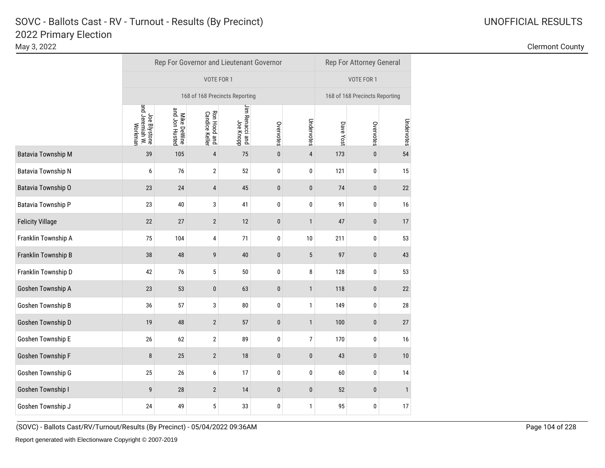|                           | Rep For Governor and Lieutenant Governor   |                               |                                |                                     |           |              |           | Rep For Attorney General       |              |  |  |
|---------------------------|--------------------------------------------|-------------------------------|--------------------------------|-------------------------------------|-----------|--------------|-----------|--------------------------------|--------------|--|--|
|                           |                                            |                               | VOTE FOR 1                     |                                     |           |              |           |                                |              |  |  |
|                           | 168 of 168 Precincts Reporting             |                               |                                |                                     |           |              |           | 168 of 168 Precincts Reporting |              |  |  |
|                           | Joe Blystone<br>and Jeremiah W.<br>Workman | Mike DeWine<br>and Jon Husted | Ron Hood and<br>Candice Keller | Jim Renacci and<br>John Renacci and | Overvotes | Undervotes   | Dave Yost | Overvotes                      | Undervotes   |  |  |
| <b>Batavia Township M</b> | 39                                         | 105                           | $\overline{\mathbf{r}}$        | 75                                  | $\pmb{0}$ | $\pmb{4}$    | 173       | $\pmb{0}$                      | 54           |  |  |
| <b>Batavia Township N</b> | 6                                          | 76                            | $\sqrt{2}$                     | 52                                  | $\pmb{0}$ | $\pmb{0}$    | 121       | $\pmb{0}$                      | 15           |  |  |
| Batavia Township O        | 23                                         | $24\,$                        | $\overline{4}$                 | 45                                  | $\bf{0}$  | $\pmb{0}$    | 74        | $\pmb{0}$                      | 22           |  |  |
| Batavia Township P        | 23                                         | 40                            | 3                              | 41                                  | $\pmb{0}$ | $\pmb{0}$    | 91        | $\pmb{0}$                      | 16           |  |  |
| <b>Felicity Village</b>   | 22                                         | 27                            | $\overline{2}$                 | 12                                  | $\bf{0}$  | $\mathbf{1}$ | 47        | $\pmb{0}$                      | 17           |  |  |
| Franklin Township A       | 75                                         | 104                           | 4                              | 71                                  | $\pmb{0}$ | 10           | 211       | 0                              | 53           |  |  |
| Franklin Township B       | 38                                         | 48                            | 9                              | 40                                  | $\pmb{0}$ | $\sqrt{5}$   | 97        | $\pmb{0}$                      | 43           |  |  |
| Franklin Township D       | 42                                         | 76                            | 5                              | 50                                  | $\pmb{0}$ | 8            | 128       | 0                              | 53           |  |  |
| Goshen Township A         | 23                                         | 53                            | $\pmb{0}$                      | 63                                  | $\pmb{0}$ | $\mathbf{1}$ | 118       | $\pmb{0}$                      | 22           |  |  |
| Goshen Township B         | 36                                         | 57                            | 3                              | 80                                  | 0         | $\mathbf{1}$ | 149       | 0                              | 28           |  |  |
| Goshen Township D         | 19                                         | 48                            | $\sqrt{2}$                     | 57                                  | $\pmb{0}$ | $\mathbf{1}$ | 100       | $\pmb{0}$                      | 27           |  |  |
| Goshen Township E         | 26                                         | 62                            | $\overline{2}$                 | 89                                  | 0         | 7            | 170       | 0                              | 16           |  |  |
| Goshen Township F         | 8                                          | 25                            | $\sqrt{2}$                     | $18\,$                              | $\pmb{0}$ | $\pmb{0}$    | 43        | $\pmb{0}$                      | 10           |  |  |
| Goshen Township G         | 25                                         | 26                            | 6                              | 17                                  | 0         | $\pmb{0}$    | 60        | $\pmb{0}$                      | 14           |  |  |
| Goshen Township I         | 9                                          | $28\,$                        | $\sqrt{2}$                     | 14                                  | $\pmb{0}$ | $\pmb{0}$    | 52        | $\pmb{0}$                      | $\mathbf{1}$ |  |  |
| Goshen Township J         | 24                                         | 49                            | $\sqrt{5}$                     | 33                                  | $\pmb{0}$ | $\mathbf{1}$ | 95        | $\pmb{0}$                      | 17           |  |  |
|                           |                                            |                               |                                |                                     |           |              |           |                                |              |  |  |

May 3, 2022 Clermont County

(SOVC) - Ballots Cast/RV/Turnout/Results (By Precinct) - 05/04/2022 09:36AM Page 104 of 228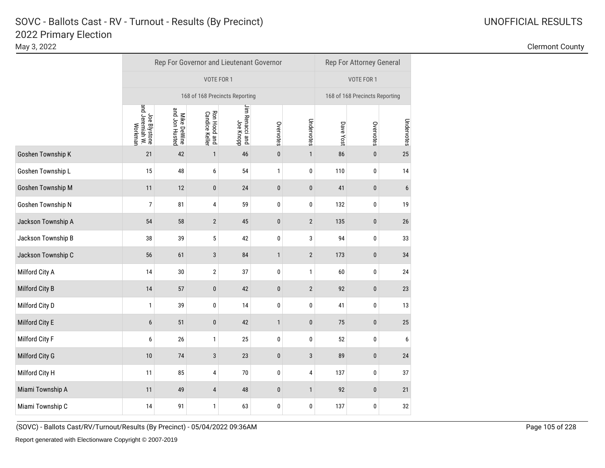# 2022 Primary Election SOVC - Ballots Cast - RV - Turnout - Results (By Precinct)

|                    |                                            |                               | Rep For Governor and Lieutenant Governor |                              |              |                |           | Rep For Attorney General       |                  |
|--------------------|--------------------------------------------|-------------------------------|------------------------------------------|------------------------------|--------------|----------------|-----------|--------------------------------|------------------|
|                    |                                            |                               | VOTE FOR 1                               |                              |              |                |           | VOTE FOR 1                     |                  |
|                    |                                            |                               | 168 of 168 Precincts Reporting           |                              |              |                |           | 168 of 168 Precincts Reporting |                  |
|                    | Joe Blystone<br>and Jeremiah W.<br>Workman | Mike DeWine<br>and Jon Husted | Ron Hood and<br>Candice Keller           | Jim Renacci and<br>Joe Knopp | Overvotes    | Undervotes     | Dave Yost | Overvotes                      | Undervotes       |
| Goshen Township K  | 21                                         | 42                            | $\mathbf{1}$                             | 46                           | $\pmb{0}$    | $\mathbf{1}$   | 86        | $\pmb{0}$                      | 25               |
| Goshen Township L  | 15                                         | 48                            | 6                                        | 54                           | $\mathbf{1}$ | 0              | 110       | 0                              | 14               |
| Goshen Township M  | 11                                         | 12                            | $\bf{0}$                                 | 24                           | $\pmb{0}$    | $\bf{0}$       | 41        | $\bf{0}$                       | $\boldsymbol{6}$ |
| Goshen Township N  | $\overline{7}$                             | 81                            | 4                                        | 59                           | 0            | 0              | 132       | 0                              | 19               |
| Jackson Township A | 54                                         | 58                            | $\mathbf{2}$                             | 45                           | $\pmb{0}$    | $\sqrt{2}$     | 135       | $\pmb{0}$                      | 26               |
| Jackson Township B | 38                                         | 39                            | 5                                        | 42                           | 0            | 3              | 94        | 0                              | 33               |
| Jackson Township C | 56                                         | 61                            | 3                                        | 84                           | $\mathbf{1}$ | $\sqrt{2}$     | 173       | $\pmb{0}$                      | 34               |
| Milford City A     | 14                                         | 30                            | $\sqrt{2}$                               | 37                           | 0            | 1              | 60        | 0                              | 24               |
| Milford City B     | 14                                         | 57                            | $\pmb{0}$                                | 42                           | $\pmb{0}$    | $\overline{2}$ | 92        | $\pmb{0}$                      | 23               |
| Milford City D     | $\mathbf{1}$                               | 39                            | 0                                        | 14                           | 0            | 0              | 41        | $\pmb{0}$                      | 13               |
| Milford City E     | 6                                          | 51                            | $\pmb{0}$                                | 42                           | $\mathbf{1}$ | $\pmb{0}$      | 75        | $\pmb{0}$                      | 25               |
| Milford City F     | 6                                          | 26                            | 1                                        | 25                           | 0            | 0              | 52        | $\pmb{0}$                      | 6                |
| Milford City G     | 10                                         | 74                            | $\sqrt{3}$                               | 23                           | $\pmb{0}$    | $\sqrt{3}$     | 89        | $\pmb{0}$                      | 24               |
| Milford City H     | 11                                         | 85                            | 4                                        | $70\,$                       | 0            | 4              | 137       | 0                              | 37               |
| Miami Township A   | 11                                         | 49                            | 4                                        | 48                           | $\pmb{0}$    | $\mathbf{1}$   | 92        | $\mathbf{0}$                   | 21               |
| Miami Township C   | 14                                         | 91                            | 1                                        | 63                           | 0            | $\pmb{0}$      | 137       | $\pmb{0}$                      | 32               |

<sup>(</sup>SOVC) - Ballots Cast/RV/Turnout/Results (By Precinct) - 05/04/2022 09:36AM Page 105 of 228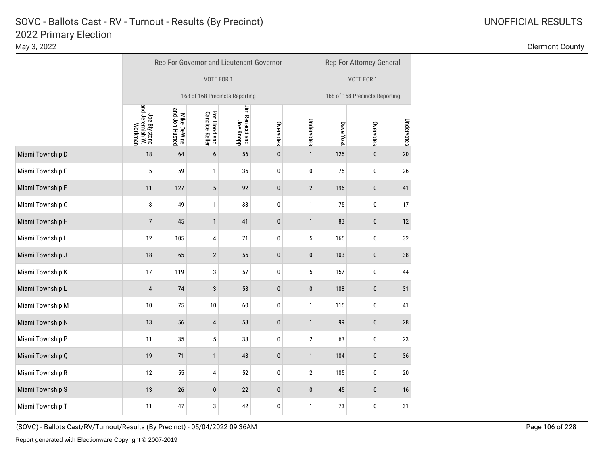|                  | Rep For Governor and Lieutenant Governor   |                                |                                |                              |           |                |           | Rep For Attorney General |                                |  |  |  |
|------------------|--------------------------------------------|--------------------------------|--------------------------------|------------------------------|-----------|----------------|-----------|--------------------------|--------------------------------|--|--|--|
|                  |                                            |                                | VOTE FOR 1                     |                              |           |                |           |                          |                                |  |  |  |
|                  |                                            | 168 of 168 Precincts Reporting |                                |                              |           |                |           |                          | 168 of 168 Precincts Reporting |  |  |  |
|                  | Joe Blystone<br>and Jeremiah W.<br>Workman | Mike DeWine<br>and Jon Husted  | Ron Hood and<br>Candice Keller | Jim Renacci and<br>Joe Knopp | Overvotes | Undervotes     | Dave Yost | Overvotes                | Undervotes                     |  |  |  |
| Miami Township D | 18                                         | 64                             | $\boldsymbol{6}$               | 56                           | $\pmb{0}$ | $\mathbf{1}$   | 125       | $\pmb{0}$                | 20                             |  |  |  |
| Miami Township E | 5                                          | 59                             | 1                              | 36                           | $\pmb{0}$ | $\pmb{0}$      | 75        | $\pmb{0}$                | 26                             |  |  |  |
| Miami Township F | 11                                         | 127                            | $\sqrt{5}$                     | 92                           | $\bf{0}$  | $\overline{2}$ | 196       | $\pmb{0}$                | 41                             |  |  |  |
| Miami Township G | 8                                          | 49                             | 1                              | 33                           | $\pmb{0}$ | $\mathbf{1}$   | 75        | $\pmb{0}$                | 17                             |  |  |  |
| Miami Township H | $\overline{7}$                             | 45                             | $\mathbf{1}$                   | 41                           | $\bf{0}$  | $\mathbf{1}$   | 83        | $\pmb{0}$                | 12                             |  |  |  |
| Miami Township I | 12                                         | 105                            | 4                              | 71                           | $\pmb{0}$ | $\sqrt{5}$     | 165       | 0                        | 32                             |  |  |  |
| Miami Township J | 18                                         | 65                             | $\overline{2}$                 | 56                           | $\pmb{0}$ | $\pmb{0}$      | 103       | $\pmb{0}$                | 38                             |  |  |  |
| Miami Township K | 17                                         | 119                            | 3                              | 57                           | $\pmb{0}$ | $\sqrt{5}$     | 157       | 0                        | 44                             |  |  |  |
| Miami Township L | $\overline{4}$                             | 74                             | $\sqrt{3}$                     | 58                           | $\pmb{0}$ | $\pmb{0}$      | 108       | $\pmb{0}$                | 31                             |  |  |  |
| Miami Township M | 10                                         | 75                             | 10                             | 60                           | 0         | $\mathbf{1}$   | 115       | 0                        | 41                             |  |  |  |
| Miami Township N | 13                                         | 56                             | 4                              | 53                           | $\pmb{0}$ | $\mathbf{1}$   | 99        | $\pmb{0}$                | 28                             |  |  |  |
| Miami Township P | 11                                         | 35                             | 5                              | 33                           | 0         | $\sqrt{2}$     | 63        | 0                        | 23                             |  |  |  |
| Miami Township Q | 19                                         | $71$                           | $\mathbf{1}$                   | 48                           | $\pmb{0}$ | $\mathbf{1}$   | 104       | $\pmb{0}$                | 36                             |  |  |  |
| Miami Township R | 12                                         | 55                             | 4                              | 52                           | 0         | $\sqrt{2}$     | 105       | 0                        | 20                             |  |  |  |
| Miami Township S | 13                                         | $26\,$                         | $\pmb{0}$                      | 22                           | $\pmb{0}$ | $\pmb{0}$      | 45        | $\pmb{0}$                | 16                             |  |  |  |
| Miami Township T | 11                                         | 47                             | 3                              | 42                           | $\pmb{0}$ | $\mathbf{1}$   | 73        | $\pmb{0}$                | 31                             |  |  |  |

May 3, 2022 Clermont County

(SOVC) - Ballots Cast/RV/Turnout/Results (By Precinct) - 05/04/2022 09:36AM Page 106 of 228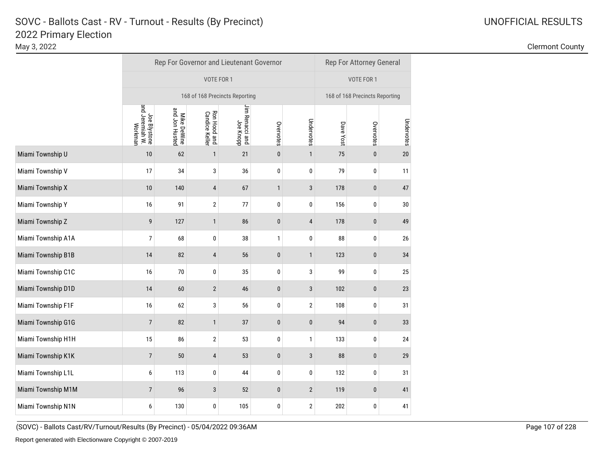|                    |                                            | Rep For Governor and Lieutenant Governor | Rep For Attorney General       |                              |              |                |           |                                |            |  |  |
|--------------------|--------------------------------------------|------------------------------------------|--------------------------------|------------------------------|--------------|----------------|-----------|--------------------------------|------------|--|--|
|                    |                                            |                                          | VOTE FOR 1                     |                              |              |                |           |                                |            |  |  |
|                    | 168 of 168 Precincts Reporting             |                                          |                                |                              |              |                |           | 168 of 168 Precincts Reporting |            |  |  |
|                    | Joe Blystone<br>and Jeremiah W.<br>Workman | Mike DeWine<br>and Jon Husted            | Ron Hood and<br>Candice Keller | Jim Renacci and<br>Joe Knopp | Overvotes    | Undervotes     | Dave Yost | Overvotes                      | Undervotes |  |  |
| Miami Township U   | 10                                         | 62                                       | $\mathbf{1}$                   | 21                           | $\pmb{0}$    | $\mathbf{1}$   | 75        | $\pmb{0}$                      | $20\,$     |  |  |
| Miami Township V   | 17                                         | 34                                       | 3                              | 36                           | 0            | $\pmb{0}$      | 79        | $\pmb{0}$                      | 11         |  |  |
| Miami Township X   | 10                                         | 140                                      | $\overline{4}$                 | 67                           | $\mathbf{1}$ | $\mathbf{3}$   | 178       | $\pmb{0}$                      | 47         |  |  |
| Miami Township Y   | 16                                         | 91                                       | $\boldsymbol{2}$               | 77                           | $\pmb{0}$    | 0              | 156       | $\pmb{0}$                      | 30         |  |  |
| Miami Township Z   | 9                                          | 127                                      | $\mathbf{1}$                   | 86                           | $\pmb{0}$    | $\overline{4}$ | 178       | $\pmb{0}$                      | 49         |  |  |
| Miami Township A1A | $\overline{7}$                             | 68                                       | $\pmb{0}$                      | 38                           | 1            | $\pmb{0}$      | 88        | 0                              | 26         |  |  |
| Miami Township B1B | 14                                         | 82                                       | $\sqrt{4}$                     | 56                           | $\pmb{0}$    | $\mathbf{1}$   | 123       | $\pmb{0}$                      | 34         |  |  |
| Miami Township C1C | 16                                         | 70                                       | $\pmb{0}$                      | 35                           | $\pmb{0}$    | 3              | 99        | $\pmb{0}$                      | 25         |  |  |
| Miami Township D1D | 14                                         | 60                                       | $\overline{2}$                 | 46                           | $\pmb{0}$    | 3              | 102       | $\pmb{0}$                      | 23         |  |  |
| Miami Township F1F | 16                                         | 62                                       | 3                              | 56                           | 0            | $\sqrt{2}$     | 108       | 0                              | 31         |  |  |
| Miami Township G1G | $\overline{7}$                             | 82                                       | $\mathbf{1}$                   | 37                           | $\pmb{0}$    | $\pmb{0}$      | 94        | $\pmb{0}$                      | 33         |  |  |
| Miami Township H1H | 15                                         | 86                                       | 2                              | 53                           | 0            | 1              | 133       | 0                              | 24         |  |  |
| Miami Township K1K | $\overline{7}$                             | 50                                       | $\overline{4}$                 | 53                           | $\pmb{0}$    | $\sqrt{3}$     | 88        | $\pmb{0}$                      | 29         |  |  |
| Miami Township L1L | 6                                          | 113                                      | $\bf{0}$                       | 44                           | 0            | 0              | 132       | 0                              | 31         |  |  |
| Miami Township M1M | $\overline{7}$                             | 96                                       | $\sqrt{3}$                     | 52                           | $\pmb{0}$    | $\sqrt{2}$     | 119       | $\pmb{0}$                      | 41         |  |  |
| Miami Township N1N | 6                                          | 130                                      | $\pmb{0}$                      | 105                          | 0            | $\sqrt{2}$     | 202       | $\pmb{0}$                      | 41         |  |  |

May 3, 2022 Clermont County

(SOVC) - Ballots Cast/RV/Turnout/Results (By Precinct) - 05/04/2022 09:36AM Page 107 of 228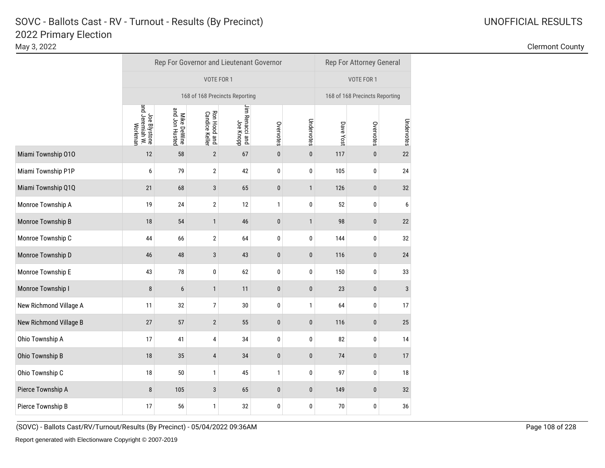|                        |                                            | Rep For Governor and Lieutenant Governor | Rep For Attorney General              |                              |           |              |           |                                |              |  |  |
|------------------------|--------------------------------------------|------------------------------------------|---------------------------------------|------------------------------|-----------|--------------|-----------|--------------------------------|--------------|--|--|
|                        |                                            |                                          | VOTE FOR 1                            | VOTE FOR 1                   |           |              |           |                                |              |  |  |
|                        | 168 of 168 Precincts Reporting             |                                          |                                       |                              |           |              |           | 168 of 168 Precincts Reporting |              |  |  |
|                        | Joe Blystone<br>and Jeremiah W.<br>Workman | Mike DeWine<br>and Jon Husted            | <b>Ron Hood and</b><br>Candice Keller | Jim Renacci and<br>Joe Knopp | Overvotes | Undervotes   | Dave Yost | Overvotes                      | Undervotes   |  |  |
| Miami Township 010     | 12                                         | 58                                       | $\overline{2}$                        | 67                           | $\bf{0}$  | $\pmb{0}$    | 117       | $\pmb{0}$                      | 22           |  |  |
| Miami Township P1P     | 6                                          | 79                                       | $\boldsymbol{2}$                      | 42                           | $\pmb{0}$ | $\pmb{0}$    | 105       | 0                              | 24           |  |  |
| Miami Township Q1Q     | 21                                         | 68                                       | $\sqrt{3}$                            | 65                           | $\pmb{0}$ | $\mathbf{1}$ | 126       | $\pmb{0}$                      | 32           |  |  |
| Monroe Township A      | 19                                         | 24                                       | $\overline{\mathbf{c}}$               | 12                           | 1         | $\pmb{0}$    | 52        | 0                              | 6            |  |  |
| Monroe Township B      | 18                                         | 54                                       | $\mathbf{1}$                          | 46                           | $\pmb{0}$ | $\mathbf{1}$ | 98        | $\pmb{0}$                      | 22           |  |  |
| Monroe Township C      | 44                                         | 66                                       | $\overline{2}$                        | 64                           | 0         | $\bf{0}$     | 144       | 0                              | 32           |  |  |
| Monroe Township D      | 46                                         | 48                                       | $\sqrt{3}$                            | 43                           | $\pmb{0}$ | $\pmb{0}$    | 116       | $\pmb{0}$                      | 24           |  |  |
| Monroe Township E      | 43                                         | 78                                       | $\pmb{0}$                             | 62                           | 0         | $\pmb{0}$    | 150       | 0                              | 33           |  |  |
| Monroe Township I      | 8                                          | 6                                        | $\mathbf{1}$                          | 11                           | $\bf{0}$  | $\pmb{0}$    | 23        | $\pmb{0}$                      | $\mathbf{3}$ |  |  |
| New Richmond Village A | 11                                         | 32                                       | 7                                     | $30\,$                       | $\pmb{0}$ | $\mathbf{1}$ | 64        | 0                              | 17           |  |  |
| New Richmond Village B | 27                                         | 57                                       | $\sqrt{2}$                            | 55                           | $\pmb{0}$ | $\pmb{0}$    | 116       | $\pmb{0}$                      | 25           |  |  |
| Ohio Township A        | 17                                         | 41                                       | 4                                     | 34                           | $\pmb{0}$ | $\pmb{0}$    | 82        | 0                              | 14           |  |  |
| Ohio Township B        | 18                                         | 35                                       | $\overline{4}$                        | 34                           | $\pmb{0}$ | $\pmb{0}$    | 74        | $\pmb{0}$                      | 17           |  |  |
| Ohio Township C        | 18                                         | 50                                       | $\mathbf{1}$                          | 45                           | 1         | $\pmb{0}$    | 97        | 0                              | 18           |  |  |
| Pierce Township A      | $\bf 8$                                    | 105                                      | $\sqrt{3}$                            | 65                           | $\pmb{0}$ | $\pmb{0}$    | 149       | $\pmb{0}$                      | 32           |  |  |
| Pierce Township B      | 17                                         | 56                                       | 1                                     | 32                           | $\pmb{0}$ | $\pmb{0}$    | $70$      | $\pmb{0}$                      | 36           |  |  |

May 3, 2022 Clermont County

(SOVC) - Ballots Cast/RV/Turnout/Results (By Precinct) - 05/04/2022 09:36AM Page 108 of 228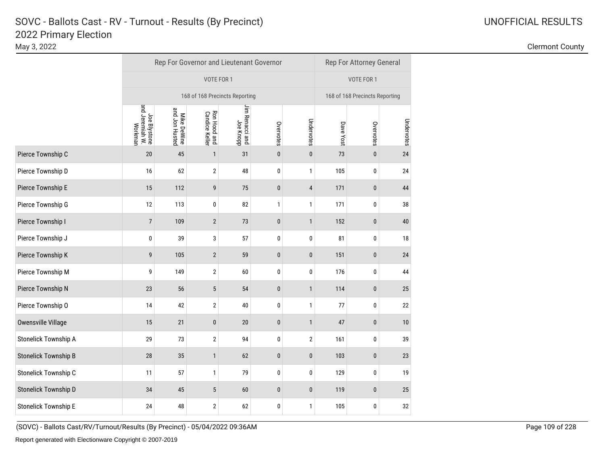|                             |                                            | Rep For Governor and Lieutenant Governor |                                |                                |           |              | Rep For Attorney General |                                |            |  |  |
|-----------------------------|--------------------------------------------|------------------------------------------|--------------------------------|--------------------------------|-----------|--------------|--------------------------|--------------------------------|------------|--|--|
|                             |                                            |                                          | VOTE FOR 1                     |                                |           |              |                          | VOTE FOR 1                     |            |  |  |
|                             |                                            |                                          |                                | 168 of 168 Precincts Reporting |           |              |                          | 168 of 168 Precincts Reporting |            |  |  |
|                             | Joe Blystone<br>and Jeremiah W.<br>Workman | Mike DeWine<br>and Jon Husted            | Ron Hood and<br>Candice Keller | Jim Renacci and<br>Joe Knopp   | Overvotes | Undervotes   | Dave Yost                | Overvotes                      | Undervotes |  |  |
| Pierce Township C           | 20                                         | 45                                       | $\mathbf{1}$                   | 31                             | $\pmb{0}$ | $\pmb{0}$    | 73                       | $\pmb{0}$                      | 24         |  |  |
| Pierce Township D           | 16                                         | 62                                       | 2                              | 48                             | 0         | 1            | 105                      | $\pmb{0}$                      | 24         |  |  |
| Pierce Township E           | 15                                         | 112                                      | 9                              | 75                             | $\pmb{0}$ | 4            | 171                      | $\pmb{0}$                      | 44         |  |  |
| Pierce Township G           | 12                                         | 113                                      | 0                              | 82                             | 1         | 1            | 171                      | 0                              | 38         |  |  |
| Pierce Township I           | $\overline{7}$                             | 109                                      | $\overline{2}$                 | 73                             | $\pmb{0}$ | $\mathbf{1}$ | 152                      | $\pmb{0}$                      | 40         |  |  |
| Pierce Township J           | 0                                          | 39                                       | 3                              | 57                             | 0         | 0            | 81                       | $\pmb{0}$                      | 18         |  |  |
| Pierce Township K           | 9                                          | 105                                      | $\overline{2}$                 | 59                             | $\pmb{0}$ | $\mathbf 0$  | 151                      | $\pmb{0}$                      | 24         |  |  |
| Pierce Township M           | 9                                          | 149                                      | 2                              | 60                             | 0         | 0            | 176                      | 0                              | 44         |  |  |
| Pierce Township N           | 23                                         | 56                                       | $\sqrt{5}$                     | 54                             | $\pmb{0}$ | $\mathbf{1}$ | 114                      | $\pmb{0}$                      | 25         |  |  |
| Pierce Township O           | 14                                         | 42                                       | 2                              | 40                             | 0         | 1            | 77                       | 0                              | 22         |  |  |
| <b>Owensville Village</b>   | 15                                         | 21                                       | 0                              | $20\,$                         | $\pmb{0}$ | 1            | 47                       | $\pmb{0}$                      | $10$       |  |  |
| Stonelick Township A        | 29                                         | 73                                       | $\overline{2}$                 | 94                             | 0         | 2            | 161                      | 0                              | 39         |  |  |
| <b>Stonelick Township B</b> | 28                                         | $35\,$                                   | $\mathbf{1}$                   | 62                             | $\bf{0}$  | 0            | 103                      | $\pmb{0}$                      | 23         |  |  |
| Stonelick Township C        | 11                                         | 57                                       | 1                              | 79                             | 0         | 0            | 129                      | $\pmb{0}$                      | 19         |  |  |
| <b>Stonelick Township D</b> | 34                                         | 45                                       | $\sqrt{5}$                     | 60                             | $\pmb{0}$ | 0            | 119                      | $\pmb{0}$                      | 25         |  |  |
| <b>Stonelick Township E</b> | 24                                         | 48                                       | 2                              | 62                             | 0         | 1            | 105                      | 0                              | 32         |  |  |

<sup>(</sup>SOVC) - Ballots Cast/RV/Turnout/Results (By Precinct) - 05/04/2022 09:36AM Page 109 of 228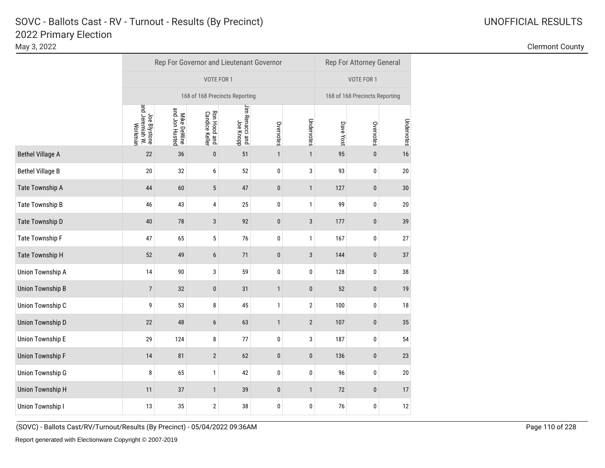|                         |                                            |                               | Rep For Governor and Lieutenant Governor |                              |              |              | Rep For Attorney General |                                |            |  |  |
|-------------------------|--------------------------------------------|-------------------------------|------------------------------------------|------------------------------|--------------|--------------|--------------------------|--------------------------------|------------|--|--|
|                         |                                            |                               | VOTE FOR 1                               |                              |              |              |                          | VOTE FOR 1                     |            |  |  |
|                         |                                            |                               | 168 of 168 Precincts Reporting           |                              |              |              |                          | 168 of 168 Precincts Reporting |            |  |  |
|                         | Joe Blystone<br>and Jeremiah W.<br>Workman | Mike DeWine<br>and Jon Husted | Ron Hood and<br>Candice Keller           | Jim Renacci and<br>Joe Knopp | Overvotes    | Undervotes   | Dave Yost                | Overvotes                      | Undervotes |  |  |
| <b>Bethel Village A</b> | 22                                         | 36                            | $\pmb{0}$                                | 51                           | $\mathbf{1}$ | $\mathbf{1}$ | 95                       | $\pmb{0}$                      | 16         |  |  |
| <b>Bethel Village B</b> | 20                                         | 32                            | 6                                        | 52                           | 0            | 3            | 93                       | 0                              | 20         |  |  |
| Tate Township A         | 44                                         | 60                            | $\sqrt{5}$                               | 47                           | $\pmb{0}$    | 1            | 127                      | $\pmb{0}$                      | 30         |  |  |
| Tate Township B         | 46                                         | 43                            | 4                                        | 25                           | 0            | 1            | 99                       | 0                              | 20         |  |  |
| Tate Township D         | 40                                         | 78                            | 3                                        | 92                           | $\pmb{0}$    | $\sqrt{3}$   | 177                      | $\pmb{0}$                      | 39         |  |  |
| Tate Township F         | 47                                         | 65                            | 5                                        | 76                           | 0            | 1            | 167                      | 0                              | 27         |  |  |
| Tate Township H         | 52                                         | 49                            | 6                                        | 71                           | $\pmb{0}$    | 3            | 144                      | $\pmb{0}$                      | 37         |  |  |
| <b>Union Township A</b> | 14                                         | 90                            | 3                                        | 59                           | 0            | 0            | 128                      | 0                              | 38         |  |  |
| <b>Union Township B</b> | $\overline{7}$                             | 32                            | $\pmb{0}$                                | 31                           | $\mathbf{1}$ | $\pmb{0}$    | 52                       | $\pmb{0}$                      | 19         |  |  |
| Union Township C        | 9                                          | 53                            | 8                                        | 45                           | $\mathbf{1}$ | 2            | 100                      | 0                              | 18         |  |  |
| <b>Union Township D</b> | 22                                         | 48                            | 6                                        | 63                           | $\mathbf{1}$ | $\mathbf{2}$ | 107                      | $\pmb{0}$                      | $35\,$     |  |  |
| <b>Union Township E</b> | 29                                         | 124                           | 8                                        | 77                           | 0            | 3            | 187                      | 0                              | 54         |  |  |
| <b>Union Township F</b> | 14                                         | 81                            | $\overline{2}$                           | 62                           | $\pmb{0}$    | $\pmb{0}$    | 136                      | $\pmb{0}$                      | 23         |  |  |
| <b>Union Township G</b> | 8                                          | 65                            | 1                                        | 42                           | 0            | 0            | 96                       | $\pmb{0}$                      | $20\,$     |  |  |
| <b>Union Township H</b> | 11                                         | 37                            | $\mathbf{1}$                             | 39                           | $\pmb{0}$    | $\mathbf{1}$ | 72                       | $\pmb{0}$                      | 17         |  |  |
| Union Township I        | 13                                         | 35                            | 2                                        | 38                           | 0            | 0            | 76                       | 0                              | 12         |  |  |

<sup>(</sup>SOVC) - Ballots Cast/RV/Turnout/Results (By Precinct) - 05/04/2022 09:36AM Page 110 of 228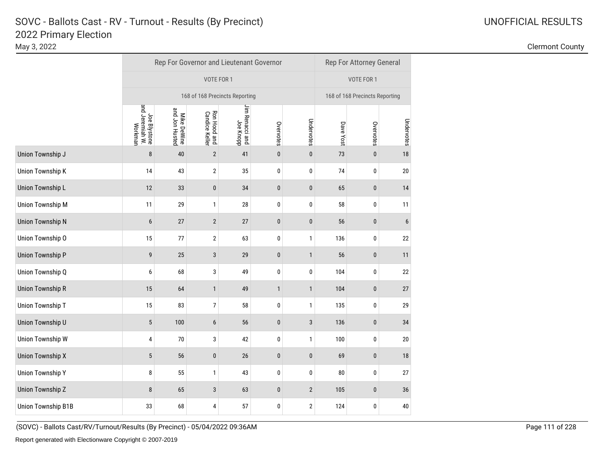|                         |                                            |                               | Rep For Governor and Lieutenant Governor |                              |              |                | Rep For Attorney General |                                |                  |  |  |
|-------------------------|--------------------------------------------|-------------------------------|------------------------------------------|------------------------------|--------------|----------------|--------------------------|--------------------------------|------------------|--|--|
|                         |                                            |                               | VOTE FOR 1                               |                              |              |                |                          | VOTE FOR 1                     |                  |  |  |
|                         |                                            |                               | 168 of 168 Precincts Reporting           |                              |              |                |                          | 168 of 168 Precincts Reporting |                  |  |  |
|                         | Joe Blystone<br>and Jeremiah W.<br>Workman | Mike DeWine<br>and Jon Husted | Ron Hood and<br>Candice Keller           | Jim Renacci and<br>Joe Knopp | Overvotes    | Undervotes     | Dave Yost                | Overvotes                      | Undervotes       |  |  |
| Union Township J        | 8                                          | 40                            | $\sqrt{2}$                               | 41                           | $\pmb{0}$    | $\pmb{0}$      | 73                       | $\pmb{0}$                      | 18               |  |  |
| Union Township K        | 14                                         | 43                            | $\boldsymbol{2}$                         | 35                           | $\pmb{0}$    | 0              | 74                       | 0                              | $20\,$           |  |  |
| <b>Union Township L</b> | 12                                         | 33                            | $\pmb{0}$                                | 34                           | $\pmb{0}$    | $\pmb{0}$      | 65                       | $\pmb{0}$                      | 14               |  |  |
| <b>Union Township M</b> | 11                                         | 29                            | 1                                        | 28                           | 0            | 0              | 58                       | 0                              | 11               |  |  |
| <b>Union Township N</b> | 6                                          | 27                            | $\sqrt{2}$                               | 27                           | $\pmb{0}$    | $\pmb{0}$      | 56                       | $\pmb{0}$                      | $\boldsymbol{6}$ |  |  |
| Union Township O        | 15                                         | 77                            | 2                                        | 63                           | 0            | 1              | 136                      | 0                              | 22               |  |  |
| <b>Union Township P</b> | 9                                          | 25                            | 3                                        | 29                           | $\pmb{0}$    | $\mathbf{1}$   | 56                       | $\pmb{0}$                      | 11               |  |  |
| Union Township Q        | 6                                          | 68                            | 3                                        | 49                           | 0            | 0              | 104                      | 0                              | 22               |  |  |
| <b>Union Township R</b> | 15                                         | 64                            | $\mathbf{1}$                             | 49                           | $\mathbf{1}$ | $\mathbf{1}$   | 104                      | $\pmb{0}$                      | 27               |  |  |
| Union Township T        | 15                                         | 83                            | 7                                        | 58                           | 0            | 1              | 135                      | 0                              | 29               |  |  |
| Union Township U        | 5                                          | 100                           | 6                                        | 56                           | $\pmb{0}$    | 3              | 136                      | $\pmb{0}$                      | 34               |  |  |
| <b>Union Township W</b> | 4                                          | 70                            | 3                                        | 42                           | 0            | 1              | 100                      | 0                              | 20               |  |  |
| <b>Union Township X</b> | 5                                          | 56                            | $\pmb{0}$                                | 26                           | $\pmb{0}$    | $\pmb{0}$      | 69                       | $\pmb{0}$                      | 18               |  |  |
| <b>Union Township Y</b> | 8                                          | 55                            | 1                                        | 43                           | 0            | 0              | 80                       | 0                              | 27               |  |  |
| Union Township Z        | 8                                          | 65                            | 3                                        | 63                           | $\pmb{0}$    | $\overline{2}$ | 105                      | $\pmb{0}$                      | $36\,$           |  |  |
| Union Township B1B      | 33                                         | 68                            | 4                                        | 57                           | 0            | 2              | 124                      | 0                              | 40               |  |  |

<sup>(</sup>SOVC) - Ballots Cast/RV/Turnout/Results (By Precinct) - 05/04/2022 09:36AM Page 111 of 228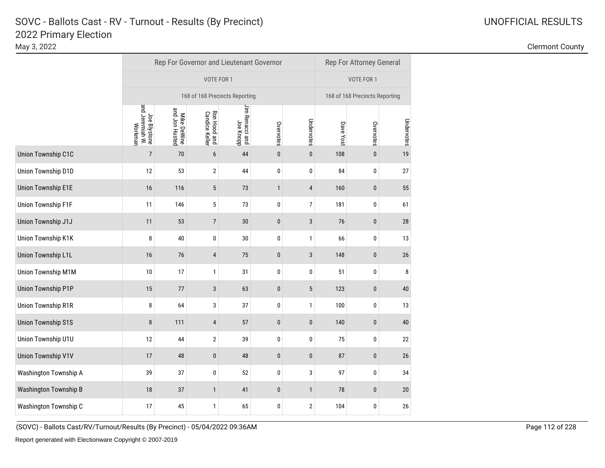May 3, 2022 Clermont County

|                              | Rep For Governor and Lieutenant Governor   |                               |                                |                              |              |                |                                | <b>Rep For Attorney General</b> |            |  |  |
|------------------------------|--------------------------------------------|-------------------------------|--------------------------------|------------------------------|--------------|----------------|--------------------------------|---------------------------------|------------|--|--|
|                              |                                            |                               | VOTE FOR 1                     |                              |              |                |                                | VOTE FOR 1                      |            |  |  |
|                              |                                            |                               | 168 of 168 Precincts Reporting |                              |              |                | 168 of 168 Precincts Reporting |                                 |            |  |  |
|                              | Joe Blystone<br>and Jeremiah W.<br>Workman | Mike DeWine<br>and Jon Husted | Ron Hood and<br>Candice Keller | Jim Renacci and<br>Joe Knopp | Overvotes    | Undervotes     | Dave Yost                      | Overvotes                       | Undervotes |  |  |
| <b>Union Township C1C</b>    | $\overline{7}$                             | 70                            | 6                              | 44                           | $\pmb{0}$    | $\pmb{0}$      | 108                            | $\pmb{0}$                       | 19         |  |  |
| Union Township D1D           | 12                                         | 53                            | $\mathbf 2$                    | 44                           | $\pmb{0}$    | 0              | 84                             | 0                               | 27         |  |  |
| <b>Union Township E1E</b>    | 16                                         | 116                           | $\sqrt{5}$                     | 73                           | $\mathbf{1}$ | 4              | 160                            | $\pmb{0}$                       | 55         |  |  |
| <b>Union Township F1F</b>    | 11                                         | 146                           | 5                              | 73                           | 0            | $\overline{7}$ | 181                            | 0                               | 61         |  |  |
| Union Township J1J           | 11                                         | 53                            | $\overline{7}$                 | 30                           | $\pmb{0}$    | $\sqrt{3}$     | 76                             | $\pmb{0}$                       | 28         |  |  |
| Union Township K1K           | 8                                          | 40                            | 0                              | $30\,$                       | 0            | $\mathbf{1}$   | 66                             | 0                               | 13         |  |  |
| <b>Union Township L1L</b>    | 16                                         | 76                            | 4                              | 75                           | $\pmb{0}$    | 3              | 148                            | $\pmb{0}$                       | 26         |  |  |
| <b>Union Township M1M</b>    | 10                                         | 17                            | 1                              | 31                           | 0            | 0              | 51                             | 0                               | 8          |  |  |
| <b>Union Township P1P</b>    | 15                                         | 77                            | 3                              | 63                           | $\pmb{0}$    | 5              | 123                            | $\pmb{0}$                       | 40         |  |  |
| Union Township R1R           | 8                                          | 64                            | 3                              | 37                           | 0            | $\mathbf{1}$   | 100                            | 0                               | 13         |  |  |
| <b>Union Township S1S</b>    | 8                                          | 111                           | 4                              | 57                           | $\pmb{0}$    | 0              | 140                            | $\pmb{0}$                       | 40         |  |  |
| Union Township U1U           | 12                                         | 44                            | $\mathbf{2}$                   | 39                           | 0            | 0              | 75                             | 0                               | 22         |  |  |
| <b>Union Township V1V</b>    | 17                                         | 48                            | $\pmb{0}$                      | 48                           | $\pmb{0}$    | $\pmb{0}$      | 87                             | $\pmb{0}$                       | 26         |  |  |
| Washington Township A        | 39                                         | 37                            | 0                              | 52                           | 0            | 3              | 97                             | 0                               | 34         |  |  |
| <b>Washington Township B</b> | 18                                         | 37                            | $\mathbf{1}$                   | 41                           | $\pmb{0}$    | $\mathbf{1}$   | 78                             | $\pmb{0}$                       | 20         |  |  |
| Washington Township C        | 17                                         | 45                            | 1                              | 65                           | 0            | 2              | 104                            | 0                               | 26         |  |  |

(SOVC) - Ballots Cast/RV/Turnout/Results (By Precinct) - 05/04/2022 09:36AM Page 112 of 228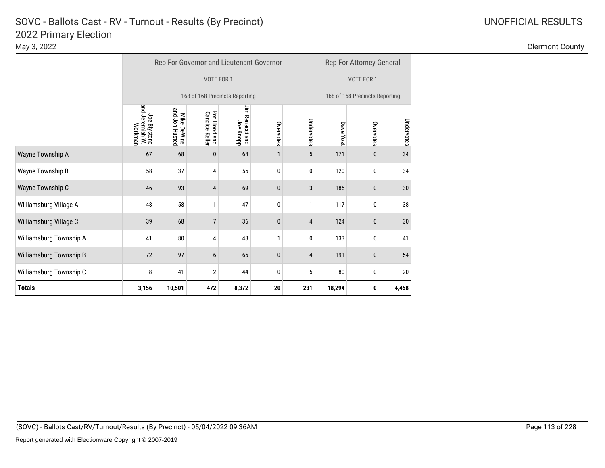| 2022 Primary Election<br>May 3, 2022 |                                          |                                | <b>Clermont County</b> |
|--------------------------------------|------------------------------------------|--------------------------------|------------------------|
|                                      | Rep For Governor and Lieutenant Governor | Rep For Attorney General       |                        |
|                                      | VOTE FOR 1                               | VOTE FOR 1                     |                        |
|                                      | 168 of 168 Precincts Reporting           | 168 of 168 Precincts Reporting |                        |

|                         |                                            |                               |                                      | 168 of 168 Precincts Reporting  |              |            | 168 of 168 Precincts Reporting |           |            |  |
|-------------------------|--------------------------------------------|-------------------------------|--------------------------------------|---------------------------------|--------------|------------|--------------------------------|-----------|------------|--|
|                         | and Jeremiah W.<br>Joe Blystone<br>Workman | and Jon Husted<br>Mike DeWine | Ron Hood and<br><b>Candice Kelle</b> | Jim Renacci<br>Joe Knopp<br>and | Overvotes    | Undervotes | Dave<br>Yost                   | Overvotes | Undervotes |  |
| Wayne Township A        | 67                                         | 68                            | $\bf{0}$                             | 64                              |              | 5          | 171                            | 0         | 34         |  |
| Wayne Township B        | 58                                         | 37                            | 4                                    | 55                              | 0            | 0          | 120                            | 0         | 34         |  |
| Wayne Township C        | 46                                         | 93                            | 4                                    | 69                              | $\mathbf{0}$ | 3          | 185                            | 0         | 30         |  |
| Williamsburg Village A  | 48                                         | 58                            | 1                                    | 47                              | 0            | 1          | 117                            | 0         | 38         |  |
| Williamsburg Village C  | 39                                         | 68                            | $\overline{7}$                       | 36                              | $\mathbf{0}$ | 4          | 124                            | 0         | 30         |  |
| Williamsburg Township A | 41                                         | 80                            | 4                                    | 48                              | $\mathbf{1}$ | $\bf{0}$   | 133                            | 0         | 41         |  |
| Williamsburg Township B | 72                                         | 97                            | 6                                    | 66                              | $\mathbf{0}$ | 4          | 191                            | 0         | 54         |  |
| Williamsburg Township C | 8                                          | 41                            | $\overline{2}$                       | 44                              | 0            | 5          | 80                             | 0         | 20         |  |
| <b>Totals</b>           | 3,156                                      | 10,501                        | 472                                  | 8,372                           | 20           | 231        | 18,294                         | 0         | 4,458      |  |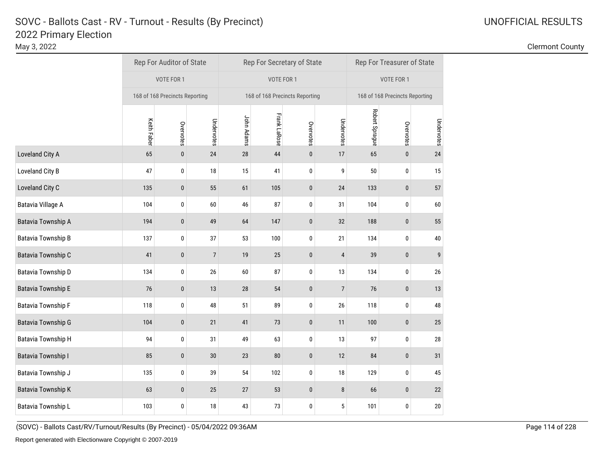|                           |                                | Rep For Auditor of State |                |            |                     | Rep For Secretary of State     | Rep For Treasurer of State     |                |           |            |  |
|---------------------------|--------------------------------|--------------------------|----------------|------------|---------------------|--------------------------------|--------------------------------|----------------|-----------|------------|--|
|                           | VOTE FOR 1                     |                          |                |            | VOTE FOR 1          |                                |                                | VOTE FOR 1     |           |            |  |
|                           | 168 of 168 Precincts Reporting |                          |                |            |                     | 168 of 168 Precincts Reporting | 168 of 168 Precincts Reporting |                |           |            |  |
|                           | <b>Keith Faber</b>             | Overvotes                | Undervotes     | John Adams | <b>Frank LaRose</b> | Overvotes                      | Undervotes                     | Robert Sprague | Overvotes | Undervotes |  |
| Loveland City A           | 65                             | $\pmb{0}$                | 24             | 28         | 44                  | $\pmb{0}$                      | 17                             | 65             | $\bf{0}$  | 24         |  |
| Loveland City B           | 47                             | 0                        | 18             | 15         | 41                  | 0                              | 9                              | 50             | 0         | 15         |  |
| Loveland City C           | 135                            | $\bf{0}$                 | 55             | 61         | 105                 | $\pmb{0}$                      | 24                             | 133            | $\bf{0}$  | 57         |  |
| Batavia Village A         | 104                            | 0                        | 60             | 46         | 87                  | $\bf{0}$                       | 31                             | 104            | 0         | 60         |  |
| Batavia Township A        | 194                            | $\bf{0}$                 | 49             | 64         | 147                 | $\pmb{0}$                      | 32                             | 188            | $\pmb{0}$ | 55         |  |
| <b>Batavia Township B</b> | 137                            | 0                        | 37             | 53         | 100                 | 0                              | 21                             | 134            | 0         | 40         |  |
| Batavia Township C        | 41                             | $\pmb{0}$                | $\overline{7}$ | 19         | 25                  | $\pmb{0}$                      | 4                              | 39             | $\pmb{0}$ | 9          |  |
| Batavia Township D        | 134                            | 0                        | 26             | 60         | 87                  | 0                              | 13                             | 134            | 0         | 26         |  |
| <b>Batavia Township E</b> | 76                             | $\pmb{0}$                | 13             | 28         | 54                  | $\pmb{0}$                      | $\overline{7}$                 | 76             | $\pmb{0}$ | 13         |  |
| <b>Batavia Township F</b> | 118                            | 0                        | 48             | 51         | 89                  | 0                              | 26                             | 118            | 0         | 48         |  |
| <b>Batavia Township G</b> | 104                            | $\bf{0}$                 | 21             | 41         | 73                  | $\pmb{0}$                      | 11                             | 100            | $\pmb{0}$ | 25         |  |
| <b>Batavia Township H</b> | 94                             | $\pmb{0}$                | 31             | 49         | 63                  | 0                              | 13                             | 97             | 0         | 28         |  |
| <b>Batavia Township I</b> | 85                             | $\bf{0}$                 | $30\,$         | 23         | 80                  | $\pmb{0}$                      | 12                             | 84             | $\pmb{0}$ | 31         |  |
| Batavia Township J        | 135                            | 0                        | 39             | 54         | 102                 | 0                              | $18\,$                         | 129            | 0         | 45         |  |
| <b>Batavia Township K</b> | 63                             | $\bf{0}$                 | 25             | 27         | 53                  | $\pmb{0}$                      | 8                              | 66             | $\bf{0}$  | 22         |  |
| Batavia Township L        | 103                            | $\bf{0}$                 | 18             | 43         | 73                  | 0                              | 5                              | 101            | 0         | 20         |  |

<sup>(</sup>SOVC) - Ballots Cast/RV/Turnout/Results (By Precinct) - 05/04/2022 09:36AM Page 114 of 228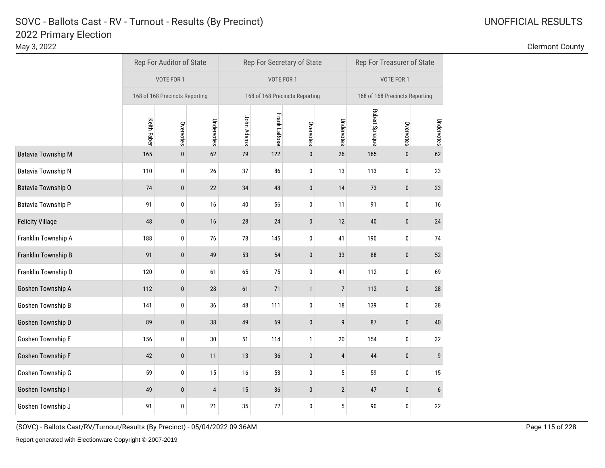May 3, 2022 Clermont County

|                           |                                | Rep For Auditor of State |            |            |                     | Rep For Secretary of State     | Rep For Treasurer of State     |                |             |            |  |
|---------------------------|--------------------------------|--------------------------|------------|------------|---------------------|--------------------------------|--------------------------------|----------------|-------------|------------|--|
|                           | VOTE FOR 1                     |                          |            |            | VOTE FOR 1          |                                |                                | VOTE FOR 1     |             |            |  |
|                           | 168 of 168 Precincts Reporting |                          |            |            |                     | 168 of 168 Precincts Reporting | 168 of 168 Precincts Reporting |                |             |            |  |
|                           | <b>Keith Faber</b>             | Overvotes                | Undervotes | John Adams | <b>Frank LaRose</b> | Overvotes                      | Undervotes                     | Robert Sprague | Overvotes   | Undervotes |  |
| <b>Batavia Township M</b> | 165                            | $\bf{0}$                 | 62         | 79         | 122                 | $\pmb{0}$                      | 26                             | 165            | 0           | 62         |  |
| Batavia Township N        | 110                            | 0                        | 26         | 37         | 86                  | $\bf{0}$                       | 13                             | 113            | 0           | 23         |  |
| Batavia Township O        | 74                             | $\pmb{0}$                | 22         | 34         | 48                  | $\pmb{0}$                      | 14                             | 73             | $\pmb{0}$   | 23         |  |
| Batavia Township P        | 91                             | 0                        | 16         | 40         | 56                  | 0                              | 11                             | 91             | 0           | 16         |  |
| <b>Felicity Village</b>   | 48                             | $\bf{0}$                 | $16$       | $28\,$     | 24                  | $\pmb{0}$                      | 12                             | 40             | $\mathbf 0$ | 24         |  |
| Franklin Township A       | 188                            | $\pmb{0}$                | 76         | $78\,$     | 145                 | $\pmb{0}$                      | 41                             | 190            | 0           | 74         |  |
| Franklin Township B       | 91                             | $\pmb{0}$                | 49         | 53         | 54                  | $\pmb{0}$                      | 33                             | 88             | $\mathbf 0$ | 52         |  |
| Franklin Township D       | 120                            | 0                        | 61         | 65         | 75                  | $\pmb{0}$                      | 41                             | 112            | 0           | 69         |  |
| Goshen Township A         | 112                            | $\pmb{0}$                | 28         | 61         | 71                  | $\mathbf{1}$                   | $\sqrt{7}$                     | 112            | $\pmb{0}$   | 28         |  |
| Goshen Township B         | 141                            | 0                        | 36         | 48         | 111                 | $\pmb{0}$                      | 18                             | 139            | 0           | 38         |  |
| Goshen Township D         | 89                             | $\pmb{0}$                | 38         | 49         | 69                  | $\pmb{0}$                      | $\boldsymbol{9}$               | 87             | $\mathbf 0$ | 40         |  |
| Goshen Township E         | 156                            | $\pmb{0}$                | 30         | 51         | 114                 | $\mathbf{1}$                   | 20                             | 154            | $\pmb{0}$   | 32         |  |
| Goshen Township F         | 42                             | $\pmb{0}$                | 11         | 13         | 36                  | $\pmb{0}$                      | 4                              | $44\,$         | $\pmb{0}$   | 9          |  |
| Goshen Township G         | 59                             | $\pmb{0}$                | 15         | 16         | 53                  | 0                              | 5                              | 59             | 0           | 15         |  |
| Goshen Township I         | 49                             | $\bf{0}$                 | 4          | 15         | 36                  | $\mathbf 0$                    | $\overline{2}$                 | 47             | $\bf{0}$    | 6          |  |
| Goshen Township J         | 91                             | 0                        | 21         | 35         | 72                  | $\pmb{0}$                      | 5                              | 90             | 0           | 22         |  |

(SOVC) - Ballots Cast/RV/Turnout/Results (By Precinct) - 05/04/2022 09:36AM Page 115 of 228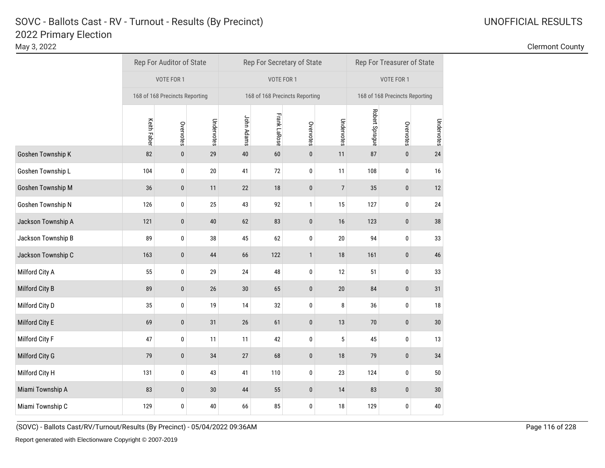May 3, 2022 Clermont County

|                    |             | Rep For Auditor of State       |            |            |                     | Rep For Secretary of State     |                | Rep For Treasurer of State |                                |            |  |
|--------------------|-------------|--------------------------------|------------|------------|---------------------|--------------------------------|----------------|----------------------------|--------------------------------|------------|--|
|                    |             | VOTE FOR 1                     |            |            | VOTE FOR 1          |                                |                |                            | VOTE FOR 1                     |            |  |
|                    |             | 168 of 168 Precincts Reporting |            |            |                     | 168 of 168 Precincts Reporting |                |                            | 168 of 168 Precincts Reporting |            |  |
|                    | Keith Faber | Overvotes                      | Undervotes | John Adams | <b>Frank LaRose</b> | Overvotes                      | Undervotes     | Robert Sprague             | Overvotes                      | Undervotes |  |
| Goshen Township K  | 82          | $\pmb{0}$                      | 29         | 40         | 60                  | $\pmb{0}$                      | 11             | 87                         | $\pmb{0}$                      | 24         |  |
| Goshen Township L  | 104         | $\pmb{0}$                      | 20         | 41         | 72                  | $\pmb{0}$                      | 11             | 108                        | 0                              | 16         |  |
| Goshen Township M  | 36          | $\pmb{0}$                      | 11         | 22         | 18                  | $\pmb{0}$                      | $\overline{7}$ | 35                         | $\pmb{0}$                      | 12         |  |
| Goshen Township N  | 126         | $\pmb{0}$                      | 25         | 43         | 92                  | $\mathbf{1}$                   | 15             | 127                        | 0                              | 24         |  |
| Jackson Township A | 121         | $\pmb{0}$                      | 40         | 62         | 83                  | $\pmb{0}$                      | 16             | 123                        | $\pmb{0}$                      | 38         |  |
| Jackson Township B | 89          | $\pmb{0}$                      | 38         | 45         | 62                  | $\pmb{0}$                      | 20             | 94                         | 0                              | 33         |  |
| Jackson Township C | 163         | $\pmb{0}$                      | 44         | 66         | 122                 | $\mathbf{1}$                   | 18             | 161                        | 0                              | 46         |  |
| Milford City A     | 55          | 0                              | 29         | 24         | 48                  | $\pmb{0}$                      | 12             | 51                         | 0                              | 33         |  |
| Milford City B     | 89          | $\pmb{0}$                      | 26         | $30\,$     | 65                  | $\pmb{0}$                      | 20             | 84                         | $\pmb{0}$                      | 31         |  |
| Milford City D     | 35          | $\pmb{0}$                      | 19         | 14         | 32                  | $\pmb{0}$                      | 8              | 36                         | 0                              | 18         |  |
| Milford City E     | 69          | 0                              | 31         | $26\,$     | 61                  | $\mathbf 0$                    | 13             | 70                         | $\bf{0}$                       | 30         |  |
| Milford City F     | 47          | $\pmb{0}$                      | 11         | 11         | 42                  | 0                              | 5              | 45                         | 0                              | 13         |  |
| Milford City G     | 79          | $\pmb{0}$                      | 34         | $27\,$     | 68                  | $\pmb{0}$                      | 18             | 79                         | $\pmb{0}$                      | 34         |  |
| Milford City H     | 131         | $\pmb{0}$                      | 43         | 41         | 110                 | $\pmb{0}$                      | 23             | 124                        | $\pmb{0}$                      | 50         |  |
| Miami Township A   | 83          | $\pmb{0}$                      | 30         | 44         | 55                  | $\bf{0}$                       | 14             | 83                         | $\pmb{0}$                      | 30         |  |
| Miami Township C   | 129         | $\pmb{0}$                      | 40         | 66         | 85                  | $\pmb{0}$                      | 18             | 129                        | 0                              | 40         |  |

(SOVC) - Ballots Cast/RV/Turnout/Results (By Precinct) - 05/04/2022 09:36AM Page 116 of 228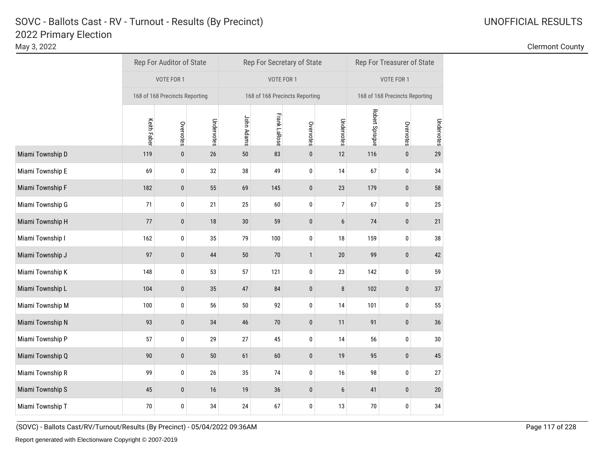May 3, 2022 Clermont County

|                  |             | Rep For Auditor of State       |            |            |                     | Rep For Secretary of State     |                | Rep For Treasurer of State |                                |            |  |
|------------------|-------------|--------------------------------|------------|------------|---------------------|--------------------------------|----------------|----------------------------|--------------------------------|------------|--|
|                  |             | VOTE FOR 1                     |            |            | VOTE FOR 1          |                                |                |                            | VOTE FOR 1                     |            |  |
|                  |             | 168 of 168 Precincts Reporting |            |            |                     | 168 of 168 Precincts Reporting |                |                            | 168 of 168 Precincts Reporting |            |  |
|                  | Keith Faber | Overvotes                      | Undervotes | John Adams | <b>Frank LaRose</b> | Overvotes                      | Undervotes     | Robert Sprague             | Overvotes                      | Undervotes |  |
| Miami Township D | 119         | $\pmb{0}$                      | $26\,$     | $50\,$     | 83                  | $\pmb{0}$                      | 12             | 116                        | $\mathbf 0$                    | 29         |  |
| Miami Township E | 69          | $\pmb{0}$                      | 32         | 38         | 49                  | $\bf{0}$                       | 14             | 67                         | 0                              | 34         |  |
| Miami Township F | 182         | $\bf{0}$                       | 55         | 69         | 145                 | $\bf{0}$                       | 23             | 179                        | $\pmb{0}$                      | 58         |  |
| Miami Township G | 71          | $\pmb{0}$                      | 21         | 25         | 60                  | $\pmb{0}$                      | $\overline{7}$ | 67                         | 0                              | 25         |  |
| Miami Township H | 77          | $\pmb{0}$                      | 18         | $30\,$     | 59                  | $\bf{0}$                       | $6\,$          | 74                         | $\pmb{0}$                      | 21         |  |
| Miami Township I | 162         | $\pmb{0}$                      | 35         | 79         | 100                 | $\bf{0}$                       | 18             | 159                        | 0                              | 38         |  |
| Miami Township J | 97          | $\mathbf{0}$                   | 44         | 50         | $70$                | $\mathbf{1}$                   | 20             | 99                         | $\pmb{0}$                      | 42         |  |
| Miami Township K | 148         | $\pmb{0}$                      | 53         | 57         | 121                 | $\mathbf 0$                    | 23             | 142                        | 0                              | 59         |  |
| Miami Township L | 104         | $\pmb{0}$                      | 35         | 47         | 84                  | $\pmb{0}$                      | 8              | 102                        | $\pmb{0}$                      | 37         |  |
| Miami Township M | 100         | $\pmb{0}$                      | 56         | $50\,$     | 92                  | $\bf{0}$                       | 14             | 101                        | 0                              | 55         |  |
| Miami Township N | 93          | $\pmb{0}$                      | 34         | 46         | $70\,$              | $\bf{0}$                       | 11             | 91                         | $\pmb{0}$                      | 36         |  |
| Miami Township P | 57          | $\pmb{0}$                      | 29         | 27         | 45                  | $\bf{0}$                       | 14             | 56                         | 0                              | 30         |  |
| Miami Township Q | 90          | $\pmb{0}$                      | 50         | 61         | 60                  | $\pmb{0}$                      | 19             | 95                         | $\pmb{0}$                      | 45         |  |
| Miami Township R | 99          | 0                              | 26         | 35         | 74                  | $\pmb{0}$                      | 16             | 98                         | 0                              | 27         |  |
| Miami Township S | 45          | $\bf{0}$                       | 16         | 19         | 36                  | $\pmb{0}$                      | 6              | 41                         | $\mathbf 0$                    | 20         |  |
| Miami Township T | 70          | 0                              | 34         | 24         | 67                  | $\bf{0}$                       | 13             | 70                         | 0                              | 34         |  |

(SOVC) - Ballots Cast/RV/Turnout/Results (By Precinct) - 05/04/2022 09:36AM Page 117 of 228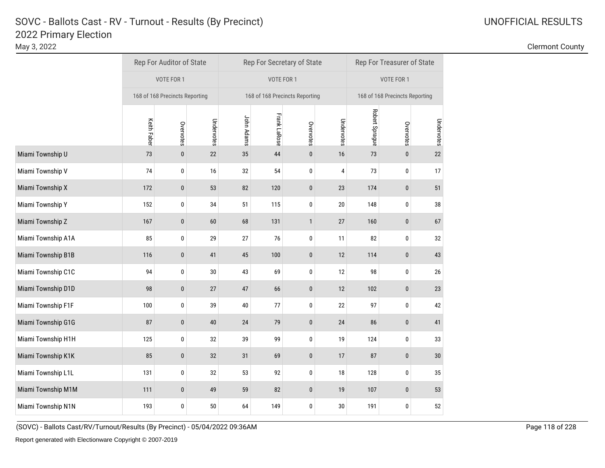May 3, 2022 Clermont County

|                    |                    | Rep For Auditor of State       |            |            |                     | Rep For Secretary of State     |            | Rep For Treasurer of State |                                |            |  |
|--------------------|--------------------|--------------------------------|------------|------------|---------------------|--------------------------------|------------|----------------------------|--------------------------------|------------|--|
|                    |                    | VOTE FOR 1                     |            |            | VOTE FOR 1          |                                |            |                            | VOTE FOR 1                     |            |  |
|                    |                    | 168 of 168 Precincts Reporting |            |            |                     | 168 of 168 Precincts Reporting |            |                            | 168 of 168 Precincts Reporting |            |  |
|                    | <b>Keith Faber</b> | Overvotes                      | Undervotes | John Adams | <b>Frank LaRose</b> | Overvotes                      | Undervotes | Robert Sprague             | Overvotes                      | Undervotes |  |
| Miami Township U   | 73                 | $\pmb{0}$                      | 22         | 35         | 44                  | $\pmb{0}$                      | 16         | 73                         | $\pmb{0}$                      | 22         |  |
| Miami Township V   | 74                 | 0                              | 16         | 32         | 54                  | $\bf{0}$                       | 4          | 73                         | 0                              | 17         |  |
| Miami Township X   | 172                | $\bf{0}$                       | 53         | 82         | 120                 | $\pmb{0}$                      | 23         | 174                        | $\mathbf 0$                    | 51         |  |
| Miami Township Y   | 152                | 0                              | 34         | 51         | 115                 | 0                              | 20         | 148                        | 0                              | 38         |  |
| Miami Township Z   | 167                | $\pmb{0}$                      | 60         | 68         | 131                 | $\mathbf{1}$                   | 27         | 160                        | 0                              | 67         |  |
| Miami Township A1A | 85                 | $\pmb{0}$                      | 29         | 27         | 76                  | $\pmb{0}$                      | 11         | 82                         | 0                              | 32         |  |
| Miami Township B1B | 116                | $\pmb{0}$                      | 41         | 45         | 100                 | $\pmb{0}$                      | 12         | 114                        | 0                              | 43         |  |
| Miami Township C1C | 94                 | 0                              | $30\,$     | 43         | 69                  | $\pmb{0}$                      | 12         | 98                         | 0                              | 26         |  |
| Miami Township D1D | 98                 | $\pmb{0}$                      | 27         | $47\,$     | 66                  | $\pmb{0}$                      | 12         | 102                        | $\pmb{0}$                      | 23         |  |
| Miami Township F1F | 100                | 0                              | 39         | 40         | 77                  | $\pmb{0}$                      | 22         | 97                         | $\pmb{0}$                      | 42         |  |
| Miami Township G1G | 87                 | $\pmb{0}$                      | 40         | 24         | 79                  | $\pmb{0}$                      | 24         | 86                         | 0                              | 41         |  |
| Miami Township H1H | 125                | 0                              | 32         | 39         | 99                  | $\pmb{0}$                      | 19         | 124                        | 0                              | 33         |  |
| Miami Township K1K | 85                 | $\bf{0}$                       | 32         | 31         | 69                  | $\pmb{0}$                      | 17         | 87                         | $\pmb{0}$                      | 30         |  |
| Miami Township L1L | 131                | 0                              | 32         | 53         | 92                  | $\pmb{0}$                      | 18         | 128                        | 0                              | 35         |  |
| Miami Township M1M | 111                | $\bf{0}$                       | 49         | 59         | 82                  | $\mathbf 0$                    | 19         | 107                        | 0                              | 53         |  |
| Miami Township N1N | 193                | 0                              | 50         | 64         | 149                 | $\bf{0}$                       | 30         | 191                        | 0                              | 52         |  |

(SOVC) - Ballots Cast/RV/Turnout/Results (By Precinct) - 05/04/2022 09:36AM Page 118 of 228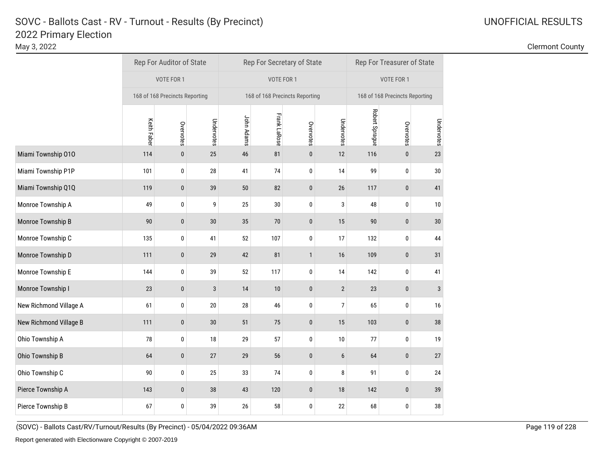May 3, 2022 Clermont County

|                        |                    | Rep For Auditor of State       |            |            |                     | Rep For Secretary of State     |                | Rep For Treasurer of State |                                |            |  |
|------------------------|--------------------|--------------------------------|------------|------------|---------------------|--------------------------------|----------------|----------------------------|--------------------------------|------------|--|
|                        |                    | VOTE FOR 1                     |            |            | VOTE FOR 1          |                                |                |                            | VOTE FOR 1                     |            |  |
|                        |                    | 168 of 168 Precincts Reporting |            |            |                     | 168 of 168 Precincts Reporting |                |                            | 168 of 168 Precincts Reporting |            |  |
|                        | <b>Keith Faber</b> | Overvotes                      | Undervotes | John Adams | <b>Frank LaRose</b> | Overvotes                      | Undervotes     | Robert Sprague             | Overvotes                      | Undervotes |  |
| Miami Township 010     | 114                | $\pmb{0}$                      | 25         | 46         | 81                  | $\pmb{0}$                      | 12             | 116                        | $\mathbf 0$                    | 23         |  |
| Miami Township P1P     | 101                | 0                              | 28         | 41         | 74                  | $\mathbf{0}$                   | 14             | 99                         | 0                              | 30         |  |
| Miami Township Q1Q     | 119                | $\bf{0}$                       | 39         | 50         | 82                  | $\pmb{0}$                      | 26             | 117                        | 0                              | 41         |  |
| Monroe Township A      | 49                 | 0                              | 9          | 25         | 30                  | $\bf{0}$                       | 3              | 48                         | 0                              | 10         |  |
| Monroe Township B      | 90                 | $\bf{0}$                       | $30\,$     | 35         | 70                  | $\bf{0}$                       | 15             | 90                         | $\bf{0}$                       | 30         |  |
| Monroe Township C      | 135                | 0                              | 41         | 52         | 107                 | $\mathbf{0}$                   | 17             | 132                        | 0                              | 44         |  |
| Monroe Township D      | 111                | $\pmb{0}$                      | 29         | 42         | 81                  | $\mathbf{1}$                   | 16             | 109                        | 0                              | 31         |  |
| Monroe Township E      | 144                | 0                              | 39         | 52         | 117                 | 0                              | 14             | 142                        | 0                              | 41         |  |
| Monroe Township I      | 23                 | $\pmb{0}$                      | 3          | 14         | 10                  | $\pmb{0}$                      | $\overline{2}$ | 23                         | $\pmb{0}$                      | 3          |  |
| New Richmond Village A | 61                 | $\pmb{0}$                      | $20\,$     | 28         | 46                  | $\pmb{0}$                      | $\overline{7}$ | 65                         | 0                              | 16         |  |
| New Richmond Village B | 111                | $\pmb{0}$                      | $30\,$     | 51         | 75                  | $\bf{0}$                       | 15             | 103                        | 0                              | 38         |  |
| Ohio Township A        | 78                 | 0                              | 18         | 29         | 57                  | 0                              | $10$           | 77                         | 0                              | 19         |  |
| Ohio Township B        | 64                 | $\pmb{0}$                      | 27         | 29         | 56                  | $\pmb{0}$                      | 6              | 64                         | $\pmb{0}$                      | 27         |  |
| Ohio Township C        | 90                 | $\pmb{0}$                      | 25         | 33         | 74                  | $\mathbf 0$                    | 8              | 91                         | $\mathbf 0$                    | 24         |  |
| Pierce Township A      | 143                | $\bf{0}$                       | 38         | 43         | 120                 | $\mathbf 0$                    | 18             | 142                        | 0                              | 39         |  |
| Pierce Township B      | 67                 | 0                              | 39         | 26         | 58                  | 0                              | 22             | 68                         | 0                              | 38         |  |

(SOVC) - Ballots Cast/RV/Turnout/Results (By Precinct) - 05/04/2022 09:36AM Page 119 of 228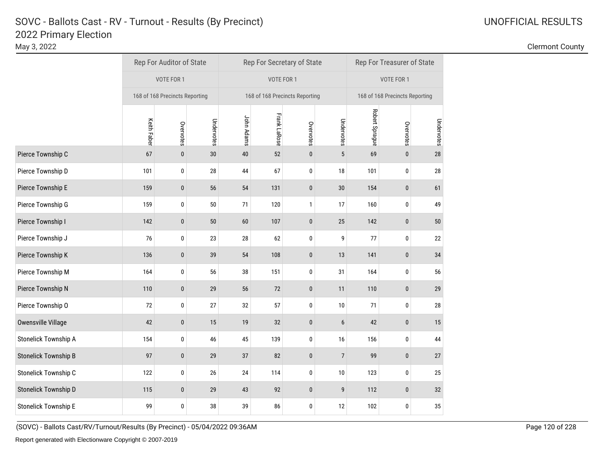May 3, 2022 Clermont County

|                             |                    | Rep For Auditor of State       |            |            | Rep For Secretary of State     |           |                 | Rep For Treasurer of State |                                |            |  |
|-----------------------------|--------------------|--------------------------------|------------|------------|--------------------------------|-----------|-----------------|----------------------------|--------------------------------|------------|--|
|                             |                    | VOTE FOR 1                     |            |            | VOTE FOR 1                     |           |                 |                            | VOTE FOR 1                     |            |  |
|                             |                    | 168 of 168 Precincts Reporting |            |            | 168 of 168 Precincts Reporting |           |                 |                            | 168 of 168 Precincts Reporting |            |  |
|                             | <b>Keith Faber</b> | Overvotes                      | Undervotes | John Adams | <b>Frank LaRose</b>            | Overvotes | Undervotes      | Robert Sprague             | Overvotes                      | Undervotes |  |
| Pierce Township C           | 67                 | $\bf{0}$                       | $30\,$     | 40         | 52                             | $\bf{0}$  | $\sqrt{5}$      | 69                         | $\pmb{0}$                      | 28         |  |
| Pierce Township D           | 101                | 0                              | 28         | 44         | 67                             | 0         | 18              | 101                        | 0                              | 28         |  |
| Pierce Township E           | 159                | $\pmb{0}$                      | 56         | 54         | 131                            | $\bf{0}$  | 30              | 154                        | $\bf{0}$                       | 61         |  |
| Pierce Township G           | 159                | 0                              | $50\,$     | 71         | 120                            | 1         | 17              | 160                        | 0                              | 49         |  |
| Pierce Township I           | 142                | $\pmb{0}$                      | 50         | 60         | 107                            | $\pmb{0}$ | $25\,$          | 142                        | $\pmb{0}$                      | 50         |  |
| Pierce Township J           | 76                 | 0                              | 23         | 28         | 62                             | 0         | 9               | 77                         | $\pmb{0}$                      | 22         |  |
| Pierce Township K           | 136                | $\pmb{0}$                      | 39         | 54         | 108                            | $\pmb{0}$ | 13              | 141                        | $\pmb{0}$                      | 34         |  |
| Pierce Township M           | 164                | 0                              | 56         | 38         | 151                            | 0         | 31              | 164                        | 0                              | 56         |  |
| Pierce Township N           | 110                | $\pmb{0}$                      | 29         | 56         | 72                             | $\pmb{0}$ | 11              | 110                        | $\pmb{0}$                      | 29         |  |
| Pierce Township O           | 72                 | $\pmb{0}$                      | 27         | 32         | 57                             | 0         | 10 <sup>°</sup> | 71                         | 0                              | 28         |  |
| Owensville Village          | 42                 | $\pmb{0}$                      | 15         | 19         | 32                             | $\pmb{0}$ | $6\phantom{.}6$ | 42                         | $\pmb{0}$                      | 15         |  |
| Stonelick Township A        | 154                | $\pmb{0}$                      | 46         | 45         | 139                            | 0         | 16              | 156                        | $\pmb{0}$                      | 44         |  |
| <b>Stonelick Township B</b> | 97                 | $\pmb{0}$                      | 29         | 37         | 82                             | $\pmb{0}$ | $\overline{7}$  | 99                         | $\pmb{0}$                      | 27         |  |
| Stonelick Township C        | 122                | 0                              | 26         | 24         | 114                            | 0         | $10\,$          | 123                        | 0                              | 25         |  |
| Stonelick Township D        | 115                | $\pmb{0}$                      | 29         | 43         | 92                             | $\bf{0}$  | 9               | 112                        | $\bf{0}$                       | 32         |  |
| <b>Stonelick Township E</b> | 99                 | $\pmb{0}$                      | 38         | 39         | 86                             | 0         | 12              | 102                        | 0                              | 35         |  |

(SOVC) - Ballots Cast/RV/Turnout/Results (By Precinct) - 05/04/2022 09:36AM Page 120 of 228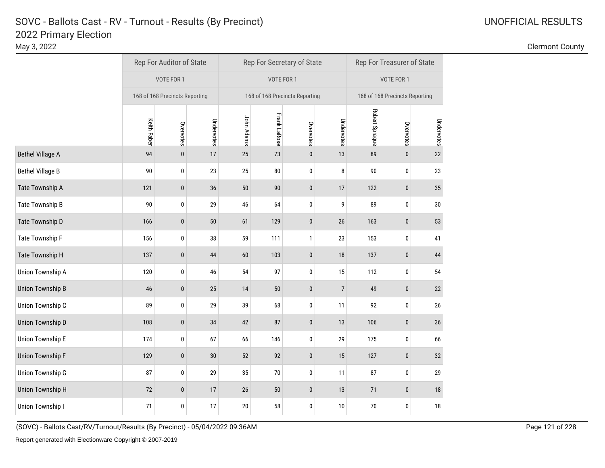May 3, 2022 Clermont County

|                         |                    | Rep For Auditor of State       |            |            | Rep For Secretary of State     |           |                | Rep For Treasurer of State |                                |            |  |
|-------------------------|--------------------|--------------------------------|------------|------------|--------------------------------|-----------|----------------|----------------------------|--------------------------------|------------|--|
|                         |                    | VOTE FOR 1                     |            |            | VOTE FOR 1                     |           |                |                            | VOTE FOR 1                     |            |  |
|                         |                    | 168 of 168 Precincts Reporting |            |            | 168 of 168 Precincts Reporting |           |                |                            | 168 of 168 Precincts Reporting |            |  |
|                         | <b>Keith Faber</b> | Overvotes                      | Undervotes | John Adams | <b>Frank LaRose</b>            | Overvotes | Undervotes     | Robert Sprague             | Overvotes                      | Undervotes |  |
| <b>Bethel Village A</b> | 94                 | $\pmb{0}$                      | 17         | 25         | 73                             | 0         | 13             | 89                         | $\pmb{0}$                      | 22         |  |
| <b>Bethel Village B</b> | 90                 | 0                              | 23         | 25         | 80                             | 0         | 8              | 90                         | 0                              | 23         |  |
| Tate Township A         | 121                | $\pmb{0}$                      | 36         | 50         | 90                             | $\bf{0}$  | 17             | 122                        | $\pmb{0}$                      | 35         |  |
| <b>Tate Township B</b>  | 90                 | 0                              | 29         | 46         | 64                             | 0         | 9              | 89                         | 0                              | 30         |  |
| Tate Township D         | 166                | $\pmb{0}$                      | $50\,$     | 61         | 129                            | $\pmb{0}$ | $26\,$         | 163                        | $\pmb{0}$                      | 53         |  |
| Tate Township F         | 156                | 0                              | 38         | 59         | 111                            | 1         | 23             | 153                        | $\pmb{0}$                      | 41         |  |
| Tate Township H         | 137                | $\pmb{0}$                      | $44\,$     | 60         | 103                            | $\pmb{0}$ | $18\,$         | 137                        | $\pmb{0}$                      | 44         |  |
| Union Township A        | 120                | 0                              | 46         | 54         | 97                             | 0         | 15             | 112                        | 0                              | 54         |  |
| <b>Union Township B</b> | 46                 | $\pmb{0}$                      | 25         | 14         | 50                             | $\pmb{0}$ | $\overline{7}$ | 49                         | $\pmb{0}$                      | 22         |  |
| Union Township C        | 89                 | 0                              | 29         | 39         | 68                             | 0         | 11             | 92                         | $\pmb{0}$                      | 26         |  |
| <b>Union Township D</b> | 108                | $\pmb{0}$                      | 34         | 42         | 87                             | $\pmb{0}$ | 13             | 106                        | $\pmb{0}$                      | 36         |  |
| <b>Union Township E</b> | 174                | 0                              | 67         | 66         | 146                            | 0         | 29             | 175                        | 0                              | 66         |  |
| <b>Union Township F</b> | 129                | $\pmb{0}$                      | $30\,$     | 52         | 92                             | $\pmb{0}$ | 15             | 127                        | $\pmb{0}$                      | 32         |  |
| <b>Union Township G</b> | 87                 | 0                              | 29         | 35         | $70\,$                         | 0         | 11             | 87                         | 0                              | 29         |  |
| <b>Union Township H</b> | 72                 | $\bf{0}$                       | 17         | 26         | $50\,$                         | $\pmb{0}$ | 13             | 71                         | $\pmb{0}$                      | 18         |  |
| Union Township I        | 71                 | 0                              | 17         | $20\,$     | 58                             | 0         | 10             | $70\,$                     | 0                              | 18         |  |

(SOVC) - Ballots Cast/RV/Turnout/Results (By Precinct) - 05/04/2022 09:36AM Page 121 of 228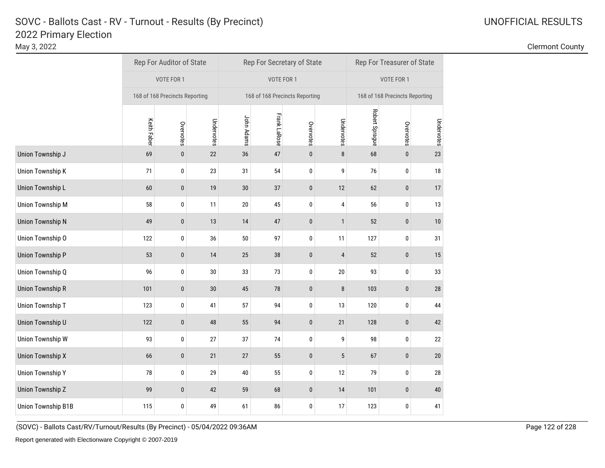May 3, 2022 Clermont County

|                           |                    | Rep For Auditor of State       |            |            |                     | Rep For Secretary of State     |              | Rep For Treasurer of State |                                |            |  |
|---------------------------|--------------------|--------------------------------|------------|------------|---------------------|--------------------------------|--------------|----------------------------|--------------------------------|------------|--|
|                           |                    | VOTE FOR 1                     |            |            | VOTE FOR 1          |                                |              |                            | VOTE FOR 1                     |            |  |
|                           |                    | 168 of 168 Precincts Reporting |            |            |                     | 168 of 168 Precincts Reporting |              |                            | 168 of 168 Precincts Reporting |            |  |
|                           | <b>Keith Faber</b> | Overvotes                      | Undervotes | John Adams | <b>Frank LaRose</b> | Overvotes                      | Undervotes   | Robert Sprague             | Overvotes                      | Undervotes |  |
| Union Township J          | 69                 | $\pmb{0}$                      | 22         | 36         | 47                  | $\pmb{0}$                      | 8            | 68                         | $\pmb{0}$                      | 23         |  |
| <b>Union Township K</b>   | 71                 | 0                              | 23         | 31         | 54                  | 0                              | 9            | 76                         | 0                              | 18         |  |
| <b>Union Township L</b>   | 60                 | $\bf{0}$                       | 19         | $30\,$     | 37                  | $\pmb{0}$                      | 12           | 62                         | $\bf{0}$                       | 17         |  |
| <b>Union Township M</b>   | 58                 | 0                              | 11         | $20\,$     | 45                  | $\bf{0}$                       | 4            | 56                         | 0                              | 13         |  |
| <b>Union Township N</b>   | 49                 | $\bf{0}$                       | $13\,$     | 14         | 47                  | $\pmb{0}$                      | $\mathbf{1}$ | 52                         | $\pmb{0}$                      | 10         |  |
| Union Township O          | 122                | 0                              | 36         | 50         | 97                  | $\pmb{0}$                      | 11           | 127                        | 0                              | 31         |  |
| <b>Union Township P</b>   | 53                 | $\pmb{0}$                      | 14         | 25         | 38                  | $\pmb{0}$                      | 4            | 52                         | $\pmb{0}$                      | 15         |  |
| Union Township Q          | 96                 | 0                              | $30\,$     | 33         | 73                  | 0                              | 20           | 93                         | 0                              | 33         |  |
| <b>Union Township R</b>   | 101                | $\bf{0}$                       | 30         | 45         | 78                  | $\pmb{0}$                      | 8            | 103                        | $\pmb{0}$                      | 28         |  |
| <b>Union Township T</b>   | 123                | 0                              | 41         | 57         | 94                  | 0                              | 13           | 120                        | 0                              | 44         |  |
| Union Township U          | 122                | $\bf{0}$                       | 48         | 55         | 94                  | $\pmb{0}$                      | 21           | 128                        | $\pmb{0}$                      | 42         |  |
| <b>Union Township W</b>   | 93                 | $\bf{0}$                       | 27         | 37         | 74                  | 0                              | 9            | 98                         | 0                              | 22         |  |
| <b>Union Township X</b>   | 66                 | $\bf{0}$                       | 21         | 27         | 55                  | $\pmb{0}$                      | 5            | 67                         | $\pmb{0}$                      | 20         |  |
| <b>Union Township Y</b>   | 78                 | 0                              | 29         | 40         | 55                  | 0                              | 12           | 79                         | 0                              | 28         |  |
| <b>Union Township Z</b>   | 99                 | $\bf{0}$                       | 42         | 59         | 68                  | $\pmb{0}$                      | 14           | 101                        | $\bf{0}$                       | 40         |  |
| <b>Union Township B1B</b> | 115                | $\bf{0}$                       | 49         | 61         | 86                  | 0                              | 17           | 123                        | 0                              | 41         |  |

(SOVC) - Ballots Cast/RV/Turnout/Results (By Precinct) - 05/04/2022 09:36AM Page 122 of 228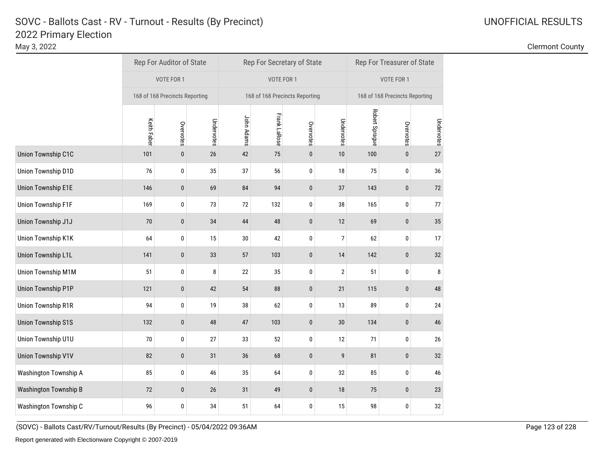May 3, 2022 Clermont County

|                           | Rep For Auditor of State |                                |            |            |                     | Rep For Secretary of State     |                | Rep For Treasurer of State |                                |            |  |
|---------------------------|--------------------------|--------------------------------|------------|------------|---------------------|--------------------------------|----------------|----------------------------|--------------------------------|------------|--|
|                           |                          | VOTE FOR 1                     |            |            | VOTE FOR 1          |                                |                |                            | VOTE FOR 1                     |            |  |
|                           |                          | 168 of 168 Precincts Reporting |            |            |                     | 168 of 168 Precincts Reporting |                |                            | 168 of 168 Precincts Reporting |            |  |
|                           | Keith Faber              | Overvotes                      | Undervotes | John Adams | <b>Frank LaRose</b> | Overvotes                      | Undervotes     | Robert Sprague             | Overvotes                      | Undervotes |  |
| Union Township C1C        | 101                      | $\bf{0}$                       | 26         | 42         | 75                  | $\pmb{0}$                      | 10             | 100                        | $\pmb{0}$                      | 27         |  |
| Union Township D1D        | 76                       | $\pmb{0}$                      | 35         | 37         | 56                  | $\mathbf{0}$                   | 18             | 75                         | $\pmb{0}$                      | 36         |  |
| <b>Union Township E1E</b> | 146                      | $\pmb{0}$                      | 69         | 84         | 94                  | $\pmb{0}$                      | 37             | 143                        | 0                              | 72         |  |
| <b>Union Township F1F</b> | 169                      | 0                              | 73         | 72         | 132                 | $\bf{0}$                       | 38             | 165                        | 0                              | 77         |  |
| Union Township J1J        | 70                       | $\bf{0}$                       | 34         | 44         | 48                  | $\pmb{0}$                      | 12             | 69                         | $\pmb{0}$                      | 35         |  |
| Union Township K1K        | 64                       | 0                              | 15         | $30\,$     | 42                  | $\bf{0}$                       | $\overline{7}$ | 62                         | 0                              | 17         |  |
| <b>Union Township L1L</b> | 141                      | $\bf{0}$                       | 33         | 57         | 103                 | $\mathbf{0}$                   | 14             | 142                        | 0                              | 32         |  |
| Union Township M1M        | 51                       | 0                              | 8          | 22         | 35                  | 0                              | $\sqrt{2}$     | 51                         | 0                              | 8          |  |
| <b>Union Township P1P</b> | 121                      | $\pmb{0}$                      | 42         | 54         | 88                  | $\pmb{0}$                      | 21             | 115                        | $\pmb{0}$                      | 48         |  |
| Union Township R1R        | 94                       | $\pmb{0}$                      | 19         | 38         | 62                  | $\pmb{0}$                      | 13             | 89                         | 0                              | 24         |  |
| <b>Union Township S1S</b> | 132                      | $\pmb{0}$                      | 48         | 47         | 103                 | $\pmb{0}$                      | 30             | 134                        | $\mathbf 0$                    | 46         |  |
| Union Township U1U        | 70                       | 0                              | 27         | 33         | 52                  | $\pmb{0}$                      | 12             | 71                         | 0                              | 26         |  |
| <b>Union Township V1V</b> | 82                       | $\pmb{0}$                      | 31         | 36         | 68                  | $\pmb{0}$                      | 9              | 81                         | $\pmb{0}$                      | 32         |  |
| Washington Township A     | 85                       | $\pmb{0}$                      | 46         | 35         | 64                  | $\pmb{0}$                      | 32             | 85                         | 0                              | 46         |  |
| Washington Township B     | 72                       | $\bf{0}$                       | $26\,$     | 31         | 49                  | $\pmb{0}$                      | 18             | 75                         | $\mathbf 0$                    | 23         |  |
| Washington Township C     | 96                       | 0                              | 34         | 51         | 64                  | 0                              | 15             | 98                         | 0                              | 32         |  |

(SOVC) - Ballots Cast/RV/Turnout/Results (By Precinct) - 05/04/2022 09:36AM Page 123 of 228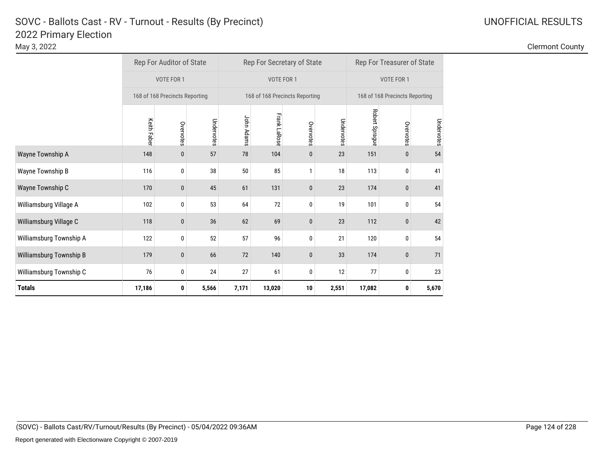|                         |             | Rep For Auditor of State       |            |            |              | Rep For Secretary of State     |            | Rep For Treasurer of State |                                |            |  |
|-------------------------|-------------|--------------------------------|------------|------------|--------------|--------------------------------|------------|----------------------------|--------------------------------|------------|--|
|                         |             | VOTE FOR 1                     |            |            | VOTE FOR 1   |                                |            |                            | VOTE FOR 1                     |            |  |
|                         |             | 168 of 168 Precincts Reporting |            |            |              | 168 of 168 Precincts Reporting |            |                            | 168 of 168 Precincts Reporting |            |  |
|                         | Keith Faber | Overvotes                      | Undervotes | John Adams | Frank LaRose | Overvotes                      | Undervotes | Robert Sprague             | Overvotes                      | Undervotes |  |
| Wayne Township A        | 148         | $\mathbf{0}$                   | 57         | 78         | 104          | 0                              | 23         | 151                        | $\mathbf{0}$                   | 54         |  |
| Wayne Township B        | 116         | 0                              | 38         | 50         | 85           | 1                              | 18         | 113                        | 0                              | 41         |  |
| Wayne Township C        | 170         | 0                              | 45         | 61         | 131          | 0                              | 23         | 174                        | $\bf{0}$                       | 41         |  |
| Williamsburg Village A  | 102         | 0                              | 53         | 64         | 72           | 0                              | 19         | 101                        | 0                              | 54         |  |
| Williamsburg Village C  | 118         | 0                              | 36         | 62         | 69           | 0                              | 23         | 112                        | $\bf{0}$                       | 42         |  |
| Williamsburg Township A | 122         | 0                              | 52         | 57         | 96           | 0                              | 21         | 120                        | 0                              | 54         |  |
| Williamsburg Township B | 179         | $\mathbf{0}$                   | 66         | 72         | 140          | 0                              | 33         | 174                        | $\boldsymbol{0}$               | 71         |  |
| Williamsburg Township C | 76          | 0                              | 24         | 27         | 61           | 0                              | 12         | 77                         | 0                              | 23         |  |
| <b>Totals</b>           | 17,186      | 0                              | 5,566      | 7,171      | 13,020       | 10                             | 2,551      | 17,082                     | 0                              | 5,670      |  |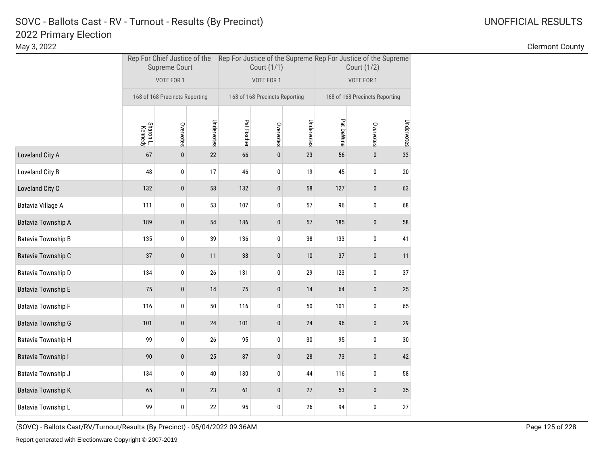May 3, 2022 Clermont County

|                           |                      | <b>Supreme Court</b>           |            |             | Court (1/1)                    |            | Rep For Chief Justice of the Rep For Justice of the Supreme Rep For Justice of the Supreme<br>Court (1/2) |                                |            |  |
|---------------------------|----------------------|--------------------------------|------------|-------------|--------------------------------|------------|-----------------------------------------------------------------------------------------------------------|--------------------------------|------------|--|
|                           |                      | VOTE FOR 1                     |            |             | VOTE FOR 1                     |            | VOTE FOR 1                                                                                                |                                |            |  |
|                           |                      | 168 of 168 Precincts Reporting |            |             | 168 of 168 Precincts Reporting |            |                                                                                                           | 168 of 168 Precincts Reporting |            |  |
|                           | Sharon L.<br>Kennedy | Overvotes                      | Undervotes | Pat Fischer | Overvotes                      | Undervotes | Pat DeWine                                                                                                | Overvotes                      | Undervotes |  |
| Loveland City A           | 67                   | $\pmb{0}$                      | 22         | 66          | $\pmb{0}$                      | 23         | 56                                                                                                        | $\pmb{0}$                      | 33         |  |
| Loveland City B           | 48                   | 0                              | 17         | 46          | 0                              | 19         | 45                                                                                                        | 0                              | 20         |  |
| Loveland City C           | 132                  | $\pmb{0}$                      | 58         | 132         | $\pmb{0}$                      | 58         | 127                                                                                                       | $\pmb{0}$                      | 63         |  |
| Batavia Village A         | 111                  | 0                              | 53         | 107         | 0                              | 57         | 96                                                                                                        | 0                              | 68         |  |
| Batavia Township A        | 189                  | $\pmb{0}$                      | 54         | 186         | $\pmb{0}$                      | 57         | 185                                                                                                       | $\pmb{0}$                      | 58         |  |
| Batavia Township B        | 135                  | 0                              | 39         | 136         | 0                              | 38         | 133                                                                                                       | 0                              | 41         |  |
| Batavia Township C        | 37                   | $\pmb{0}$                      | 11         | 38          | $\pmb{0}$                      | 10         | 37                                                                                                        | $\pmb{0}$                      | 11         |  |
| Batavia Township D        | 134                  | 0                              | 26         | 131         | 0                              | 29         | 123                                                                                                       | 0                              | 37         |  |
| <b>Batavia Township E</b> | 75                   | $\pmb{0}$                      | 14         | 75          | $\pmb{0}$                      | 14         | 64                                                                                                        | $\pmb{0}$                      | $25\,$     |  |
| <b>Batavia Township F</b> | 116                  | 0                              | 50         | 116         | 0                              | 50         | 101                                                                                                       | 0                              | 65         |  |
| <b>Batavia Township G</b> | 101                  | $\pmb{0}$                      | 24         | 101         | $\pmb{0}$                      | 24         | 96                                                                                                        | $\pmb{0}$                      | 29         |  |
| <b>Batavia Township H</b> | 99                   | 0                              | 26         | 95          | 0                              | 30         | 95                                                                                                        | 0                              | $30\,$     |  |
| <b>Batavia Township I</b> | 90                   | $\pmb{0}$                      | 25         | 87          | $\pmb{0}$                      | 28         | 73                                                                                                        | $\pmb{0}$                      | 42         |  |
| Batavia Township J        | 134                  | 0                              | 40         | 130         | 0                              | 44         | 116                                                                                                       | 0                              | 58         |  |
| <b>Batavia Township K</b> | 65                   | $\pmb{0}$                      | 23         | 61          | $\pmb{0}$                      | 27         | 53                                                                                                        | $\pmb{0}$                      | 35         |  |
| Batavia Township L        | 99                   | 0                              | 22         | 95          | 0                              | 26         | 94                                                                                                        | 0                              | 27         |  |

(SOVC) - Ballots Cast/RV/Turnout/Results (By Precinct) - 05/04/2022 09:36AM Page 125 of 228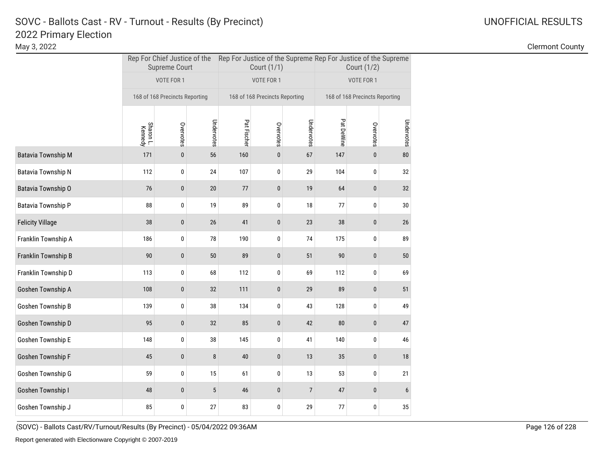May 3, 2022 Clermont County

|                           |                      | <b>Supreme Court</b>           |            |             | Court (1/1)                    |                | Rep For Chief Justice of the Rep For Justice of the Supreme Rep For Justice of the Supreme<br>Court (1/2) |                                |                 |  |
|---------------------------|----------------------|--------------------------------|------------|-------------|--------------------------------|----------------|-----------------------------------------------------------------------------------------------------------|--------------------------------|-----------------|--|
|                           |                      | VOTE FOR 1                     |            |             | VOTE FOR 1                     |                |                                                                                                           | VOTE FOR 1                     |                 |  |
|                           |                      | 168 of 168 Precincts Reporting |            |             | 168 of 168 Precincts Reporting |                |                                                                                                           | 168 of 168 Precincts Reporting |                 |  |
|                           | Sharon L.<br>Kennedy | Overvotes                      | Undervotes | Pat Fischer | Overvotes                      | Undervotes     | Pat DeWine                                                                                                | Overvotes                      | Undervotes      |  |
| <b>Batavia Township M</b> | 171                  | 0                              | 56         | 160         | 0                              | 67             | 147                                                                                                       | 0                              | 80              |  |
| Batavia Township N        | 112                  | 0                              | 24         | 107         | 0                              | 29             | 104                                                                                                       | 0                              | 32              |  |
| Batavia Township O        | 76                   | 0                              | 20         | 77          | $\mathbf{0}$                   | 19             | 64                                                                                                        | $\mathbf{0}$                   | 32              |  |
| Batavia Township P        | 88                   | 0                              | 19         | 89          | 0                              | 18             | 77                                                                                                        | 0                              | 30              |  |
| <b>Felicity Village</b>   | 38                   | 0                              | $26\,$     | 41          | $\pmb{0}$                      | 23             | 38                                                                                                        | 0                              | 26              |  |
| Franklin Township A       | 186                  | 0                              | 78         | 190         | 0                              | 74             | 175                                                                                                       | 0                              | 89              |  |
| Franklin Township B       | 90                   | 0                              | $50\,$     | 89          | 0                              | 51             | 90                                                                                                        | 0                              | $50\,$          |  |
| Franklin Township D       | 113                  | 0                              | 68         | 112         | 0                              | 69             | 112                                                                                                       | 0                              | 69              |  |
| Goshen Township A         | 108                  | 0                              | 32         | 111         | 0                              | 29             | 89                                                                                                        | 0                              | 51              |  |
| Goshen Township B         | 139                  | 0                              | 38         | 134         | 0                              | 43             | 128                                                                                                       | 0                              | 49              |  |
| Goshen Township D         | 95                   | $\mathbf{0}$                   | 32         | 85          | $\mathbf{0}$                   | 42             | 80                                                                                                        | $\mathbf{0}$                   | 47              |  |
| Goshen Township E         | 148                  | 0                              | 38         | 145         | 0                              | 41             | 140                                                                                                       | 0                              | 46              |  |
| Goshen Township F         | 45                   | $\pmb{0}$                      | 8          | 40          | $\pmb{0}$                      | 13             | 35                                                                                                        | $\bf{0}$                       | 18              |  |
| Goshen Township G         | 59                   | 0                              | 15         | 61          | 0                              | 13             | 53                                                                                                        | 0                              | 21              |  |
| Goshen Township I         | 48                   | 0                              | 5          | 46          | 0                              | $\overline{7}$ | 47                                                                                                        | $\mathbf{0}$                   | $6\phantom{.}6$ |  |
| Goshen Township J         | 85                   | 0                              | 27         | 83          | 0                              | 29             | 77                                                                                                        | 0                              | 35              |  |

(SOVC) - Ballots Cast/RV/Turnout/Results (By Precinct) - 05/04/2022 09:36AM Page 126 of 228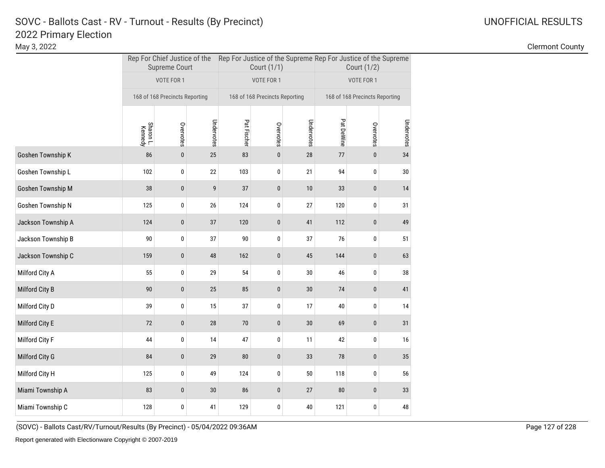May 3, 2022 Clermont County

|                    |                      | <b>Supreme Court</b>           |            |             | Court (1/1)                    |            | Rep For Chief Justice of the Rep For Justice of the Supreme Rep For Justice of the Supreme<br>Court (1/2) |           |            |  |
|--------------------|----------------------|--------------------------------|------------|-------------|--------------------------------|------------|-----------------------------------------------------------------------------------------------------------|-----------|------------|--|
|                    |                      | VOTE FOR 1                     |            |             | VOTE FOR 1                     |            | VOTE FOR 1                                                                                                |           |            |  |
|                    |                      | 168 of 168 Precincts Reporting |            |             | 168 of 168 Precincts Reporting |            | 168 of 168 Precincts Reporting                                                                            |           |            |  |
|                    | Sharon L.<br>Kennedy | Overvotes                      | Undervotes | Pat Fischer | Overvotes                      | Undervotes | Pat DeWine                                                                                                | Overvotes | Undervotes |  |
| Goshen Township K  | 86                   | $\pmb{0}$                      | 25         | 83          | $\pmb{0}$                      | 28         | 77                                                                                                        | $\pmb{0}$ | 34         |  |
| Goshen Township L  | 102                  | 0                              | 22         | 103         | 0                              | 21         | 94                                                                                                        | 0         | $30\,$     |  |
| Goshen Township M  | 38                   | $\pmb{0}$                      | 9          | 37          | $\pmb{0}$                      | 10         | 33                                                                                                        | $\pmb{0}$ | 14         |  |
| Goshen Township N  | 125                  | 0                              | 26         | 124         | 0                              | 27         | 120                                                                                                       | 0         | 31         |  |
| Jackson Township A | 124                  | $\pmb{0}$                      | 37         | 120         | $\pmb{0}$                      | 41         | 112                                                                                                       | $\pmb{0}$ | 49         |  |
| Jackson Township B | 90                   | 0                              | 37         | 90          | 0                              | 37         | 76                                                                                                        | 0         | 51         |  |
| Jackson Township C | 159                  | $\pmb{0}$                      | 48         | 162         | $\pmb{0}$                      | 45         | 144                                                                                                       | $\pmb{0}$ | 63         |  |
| Milford City A     | 55                   | 0                              | 29         | 54          | 0                              | 30         | 46                                                                                                        | 0         | 38         |  |
| Milford City B     | 90                   | $\pmb{0}$                      | 25         | 85          | $\pmb{0}$                      | $30\,$     | $74$                                                                                                      | $\pmb{0}$ | 41         |  |
| Milford City D     | 39                   | 0                              | 15         | 37          | 0                              | 17         | 40                                                                                                        | 0         | 14         |  |
| Milford City E     | 72                   | $\pmb{0}$                      | 28         | $70$        | $\pmb{0}$                      | $30\,$     | 69                                                                                                        | $\pmb{0}$ | 31         |  |
| Milford City F     | 44                   | 0                              | 14         | 47          | 0                              | 11         | 42                                                                                                        | 0         | 16         |  |
| Milford City G     | 84                   | $\pmb{0}$                      | 29         | 80          | $\pmb{0}$                      | 33         | 78                                                                                                        | $\pmb{0}$ | 35         |  |
| Milford City H     | 125                  | 0                              | 49         | 124         | 0                              | $50\,$     | 118                                                                                                       | 0         | 56         |  |
| Miami Township A   | 83                   | $\pmb{0}$                      | 30         | 86          | $\pmb{0}$                      | 27         | 80                                                                                                        | $\pmb{0}$ | 33         |  |
| Miami Township C   | 128                  | 0                              | 41         | 129         | 0                              | 40         | 121                                                                                                       | 0         | 48         |  |

(SOVC) - Ballots Cast/RV/Turnout/Results (By Precinct) - 05/04/2022 09:36AM Page 127 of 228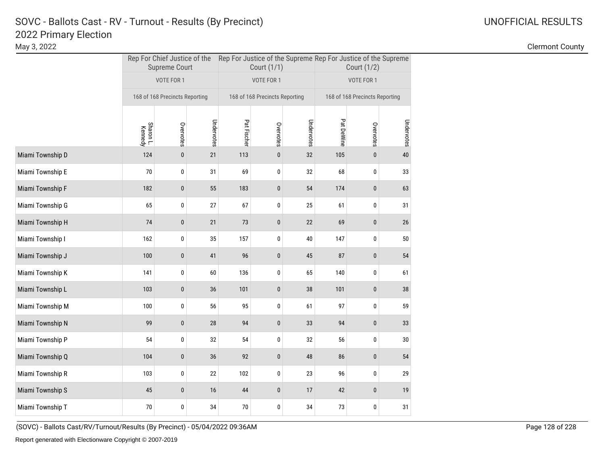May 3, 2022 Clermont County

|                  |                      | <b>Supreme Court</b>           |            |             | Court (1/1)                    |            | Rep For Chief Justice of the Rep For Justice of the Supreme Rep For Justice of the Supreme<br>Court (1/2) |                                |            |  |
|------------------|----------------------|--------------------------------|------------|-------------|--------------------------------|------------|-----------------------------------------------------------------------------------------------------------|--------------------------------|------------|--|
|                  |                      | VOTE FOR 1                     |            |             | VOTE FOR 1                     |            |                                                                                                           | VOTE FOR 1                     |            |  |
|                  |                      | 168 of 168 Precincts Reporting |            |             | 168 of 168 Precincts Reporting |            |                                                                                                           | 168 of 168 Precincts Reporting |            |  |
|                  | Sharon L.<br>Kennedy | Overvotes                      | Undervotes | Pat Fischer | Overvotes                      | Undervotes | Pat DeWine                                                                                                | Overvotes                      | Undervotes |  |
| Miami Township D | 124                  | $\pmb{0}$                      | 21         | 113         | $\pmb{0}$                      | 32         | 105                                                                                                       | $\pmb{0}$                      | $40\,$     |  |
| Miami Township E | 70                   | 0                              | 31         | 69          | 0                              | 32         | 68                                                                                                        | 0                              | 33         |  |
| Miami Township F | 182                  | $\pmb{0}$                      | 55         | 183         | $\pmb{0}$                      | 54         | 174                                                                                                       | $\pmb{0}$                      | 63         |  |
| Miami Township G | 65                   | 0                              | 27         | 67          | 0                              | 25         | 61                                                                                                        | 0                              | 31         |  |
| Miami Township H | 74                   | $\pmb{0}$                      | 21         | 73          | $\pmb{0}$                      | 22         | 69                                                                                                        | $\pmb{0}$                      | $26\,$     |  |
| Miami Township I | 162                  | 0                              | 35         | 157         | 0                              | 40         | 147                                                                                                       | 0                              | 50         |  |
| Miami Township J | 100                  | $\pmb{0}$                      | 41         | 96          | $\pmb{0}$                      | 45         | 87                                                                                                        | $\pmb{0}$                      | 54         |  |
| Miami Township K | 141                  | 0                              | 60         | 136         | 0                              | 65         | 140                                                                                                       | 0                              | 61         |  |
| Miami Township L | 103                  | $\pmb{0}$                      | 36         | 101         | $\pmb{0}$                      | 38         | 101                                                                                                       | $\pmb{0}$                      | 38         |  |
| Miami Township M | 100                  | 0                              | 56         | 95          | 0                              | 61         | 97                                                                                                        | 0                              | 59         |  |
| Miami Township N | 99                   | $\pmb{0}$                      | 28         | 94          | $\pmb{0}$                      | 33         | 94                                                                                                        | $\pmb{0}$                      | 33         |  |
| Miami Township P | 54                   | 0                              | 32         | 54          | 0                              | 32         | 56                                                                                                        | 0                              | $30\,$     |  |
| Miami Township Q | 104                  | $\pmb{0}$                      | 36         | 92          | $\pmb{0}$                      | 48         | 86                                                                                                        | $\pmb{0}$                      | 54         |  |
| Miami Township R | 103                  | 0                              | 22         | 102         | 0                              | 23         | 96                                                                                                        | 0                              | 29         |  |
| Miami Township S | 45                   | $\pmb{0}$                      | 16         | 44          | $\pmb{0}$                      | 17         | 42                                                                                                        | $\pmb{0}$                      | 19         |  |
| Miami Township T | 70                   | 0                              | 34         | 70          | 0                              | 34         | 73                                                                                                        | 0                              | 31         |  |

(SOVC) - Ballots Cast/RV/Turnout/Results (By Precinct) - 05/04/2022 09:36AM Page 128 of 228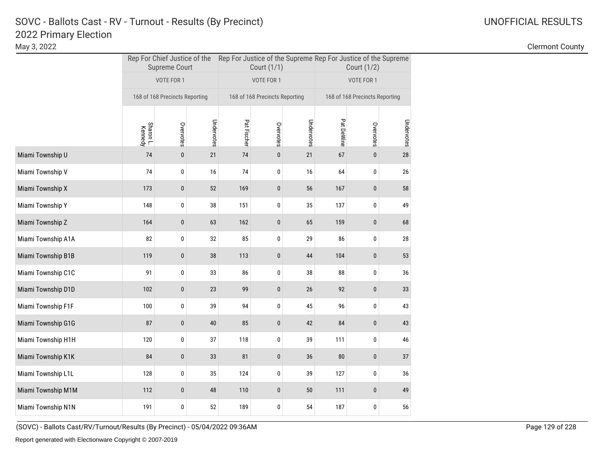May 3, 2022 Clermont County

|                    |                      | <b>Supreme Court</b>           |            |             | Court (1/1)                    |            | Rep For Chief Justice of the Rep For Justice of the Supreme Rep For Justice of the Supreme<br>Court (1/2) |            |            |
|--------------------|----------------------|--------------------------------|------------|-------------|--------------------------------|------------|-----------------------------------------------------------------------------------------------------------|------------|------------|
|                    |                      | VOTE FOR 1                     |            |             | VOTE FOR 1                     |            |                                                                                                           | VOTE FOR 1 |            |
|                    |                      | 168 of 168 Precincts Reporting |            |             | 168 of 168 Precincts Reporting |            | 168 of 168 Precincts Reporting                                                                            |            |            |
|                    | Sharon L.<br>Kennedy | Overvotes                      | Undervotes | Pat Fischer | Overvotes                      | Undervotes | Pat DeWine                                                                                                | Overvotes  | Undervotes |
| Miami Township U   | 74                   | $\pmb{0}$                      | 21         | 74          | $\pmb{0}$                      | 21         | 67                                                                                                        | $\pmb{0}$  | 28         |
| Miami Township V   | 74                   | 0                              | 16         | 74          | 0                              | 16         | 64                                                                                                        | 0          | 26         |
| Miami Township X   | 173                  | $\pmb{0}$                      | 52         | 169         | $\pmb{0}$                      | 56         | 167                                                                                                       | $\pmb{0}$  | 58         |
| Miami Township Y   | 148                  | 0                              | 38         | 151         | 0                              | 35         | 137                                                                                                       | 0          | 49         |
| Miami Township Z   | 164                  | $\pmb{0}$                      | 63         | 162         | $\pmb{0}$                      | 65         | 159                                                                                                       | $\pmb{0}$  | 68         |
| Miami Township A1A | 82                   | 0                              | 32         | 85          | 0                              | 29         | 86                                                                                                        | 0          | 28         |
| Miami Township B1B | 119                  | $\pmb{0}$                      | 38         | 113         | 0                              | 44         | 104                                                                                                       | $\pmb{0}$  | 53         |
| Miami Township C1C | 91                   | 0                              | 33         | 86          | 0                              | 38         | 88                                                                                                        | 0          | 36         |
| Miami Township D1D | 102                  | $\pmb{0}$                      | 23         | 99          | $\pmb{0}$                      | 26         | 92                                                                                                        | $\pmb{0}$  | 33         |
| Miami Township F1F | 100                  | 0                              | 39         | 94          | 0                              | 45         | 96                                                                                                        | 0          | 43         |
| Miami Township G1G | 87                   | $\pmb{0}$                      | 40         | 85          | $\pmb{0}$                      | 42         | 84                                                                                                        | $\pmb{0}$  | 43         |
| Miami Township H1H | 120                  | 0                              | 37         | 118         | 0                              | 39         | 111                                                                                                       | 0          | 46         |
| Miami Township K1K | 84                   | $\pmb{0}$                      | 33         | 81          | $\pmb{0}$                      | 36         | 80                                                                                                        | $\pmb{0}$  | 37         |
| Miami Township L1L | 128                  | 0                              | 35         | 124         | 0                              | 39         | 127                                                                                                       | 0          | 36         |
| Miami Township M1M | 112                  | $\pmb{0}$                      | 48         | 110         | $\pmb{0}$                      | $50\,$     | 111                                                                                                       | $\pmb{0}$  | 49         |
| Miami Township N1N | 191                  | 0                              | 52         | 189         | 0                              | 54         | 187                                                                                                       | 0          | 56         |

(SOVC) - Ballots Cast/RV/Turnout/Results (By Precinct) - 05/04/2022 09:36AM Page 129 of 228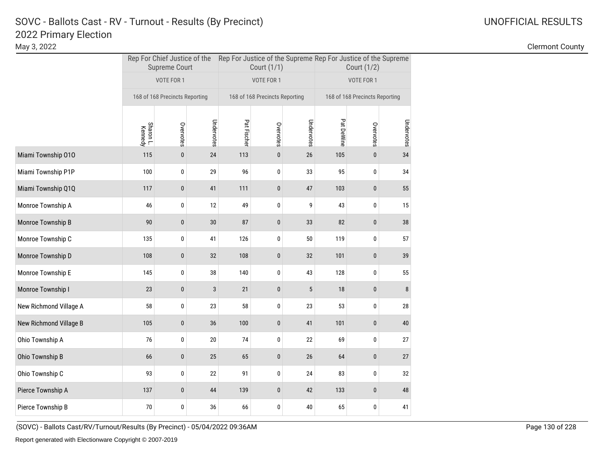May 3, 2022 Clermont County

|                        |                      | <b>Supreme Court</b>           |              |                                | Court (1/1) |            | Rep For Chief Justice of the Rep For Justice of the Supreme Rep For Justice of the Supreme<br>Court (1/2) |              |            |  |
|------------------------|----------------------|--------------------------------|--------------|--------------------------------|-------------|------------|-----------------------------------------------------------------------------------------------------------|--------------|------------|--|
|                        |                      | VOTE FOR 1                     |              |                                | VOTE FOR 1  |            |                                                                                                           | VOTE FOR 1   |            |  |
|                        |                      | 168 of 168 Precincts Reporting |              | 168 of 168 Precincts Reporting |             |            | 168 of 168 Precincts Reporting                                                                            |              |            |  |
|                        | Sharon L.<br>Kennedy | Overvotes                      | Undervotes   | Pat Fischer                    | Overvotes   | Undervotes | Pat DeWine                                                                                                | Overvotes    | Undervotes |  |
| Miami Township 010     | 115                  | $\mathbf{0}$                   | 24           | 113                            | $\pmb{0}$   | 26         | 105                                                                                                       | $\mathbf{0}$ | 34         |  |
| Miami Township P1P     | 100                  | 0                              | 29           | 96                             | 0           | 33         | 95                                                                                                        | 0            | 34         |  |
| Miami Township Q1Q     | 117                  | $\pmb{0}$                      | 41           | 111                            | $\pmb{0}$   | $47\,$     | 103                                                                                                       | $\pmb{0}$    | 55         |  |
| Monroe Township A      | 46                   | 0                              | 12           | 49                             | 0           | 9          | 43                                                                                                        | 0            | 15         |  |
| Monroe Township B      | 90                   | $\pmb{0}$                      | 30           | 87                             | $\pmb{0}$   | 33         | 82                                                                                                        | $\bf{0}$     | 38         |  |
| Monroe Township C      | 135                  | 0                              | 41           | 126                            | 0           | 50         | 119                                                                                                       | 0            | 57         |  |
| Monroe Township D      | 108                  | $\pmb{0}$                      | 32           | 108                            | $\pmb{0}$   | 32         | 101                                                                                                       | $\pmb{0}$    | 39         |  |
| Monroe Township E      | 145                  | 0                              | 38           | 140                            | 0           | 43         | 128                                                                                                       | 0            | 55         |  |
| Monroe Township I      | 23                   | $\pmb{0}$                      | $\mathbf{3}$ | 21                             | $\pmb{0}$   | 5          | 18                                                                                                        | $\pmb{0}$    | 8          |  |
| New Richmond Village A | 58                   | 0                              | 23           | 58                             | 0           | 23         | 53                                                                                                        | 0            | 28         |  |
| New Richmond Village B | 105                  | $\pmb{0}$                      | 36           | 100                            | $\pmb{0}$   | 41         | 101                                                                                                       | $\pmb{0}$    | 40         |  |
| Ohio Township A        | 76                   | 0                              | 20           | 74                             | 0           | 22         | 69                                                                                                        | 0            | 27         |  |
| Ohio Township B        | 66                   | $\pmb{0}$                      | 25           | 65                             | $\pmb{0}$   | 26         | 64                                                                                                        | $\pmb{0}$    | 27         |  |
| Ohio Township C        | 93                   | 0                              | 22           | 91                             | $\mathbf 0$ | 24         | 83                                                                                                        | 0            | 32         |  |
| Pierce Township A      | 137                  | $\mathbf{0}$                   | 44           | 139                            | $\pmb{0}$   | 42         | 133                                                                                                       | $\mathbf{0}$ | 48         |  |
| Pierce Township B      | 70                   | 0                              | 36           | 66                             | 0           | 40         | 65                                                                                                        | $\pmb{0}$    | 41         |  |

(SOVC) - Ballots Cast/RV/Turnout/Results (By Precinct) - 05/04/2022 09:36AM Page 130 of 228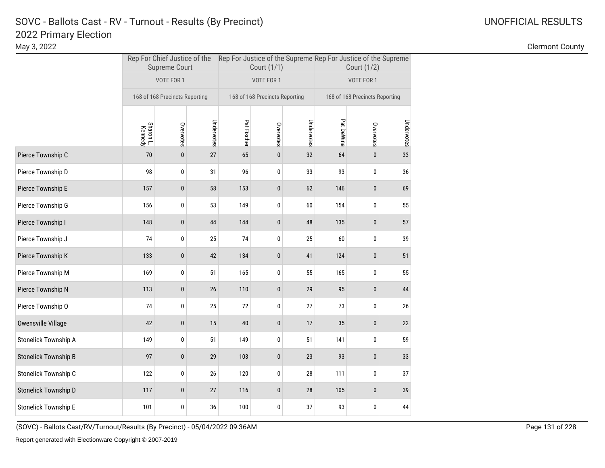May 3, 2022 Clermont County

|                             |                      | <b>Supreme Court</b>           |            |             | Court (1/1)                    |            | Rep For Chief Justice of the Rep For Justice of the Supreme Rep For Justice of the Supreme<br>Court (1/2) |            |            |
|-----------------------------|----------------------|--------------------------------|------------|-------------|--------------------------------|------------|-----------------------------------------------------------------------------------------------------------|------------|------------|
|                             |                      | VOTE FOR 1                     |            |             | VOTE FOR 1                     |            |                                                                                                           | VOTE FOR 1 |            |
|                             |                      | 168 of 168 Precincts Reporting |            |             | 168 of 168 Precincts Reporting |            | 168 of 168 Precincts Reporting                                                                            |            |            |
|                             | Sharon L.<br>Kennedy | Overvotes                      | Undervotes | Pat Fischer | Overvotes                      | Undervotes | Pat DeWine                                                                                                | Overvotes  | Undervotes |
| Pierce Township C           | 70                   | $\pmb{0}$                      | 27         | 65          | $\pmb{0}$                      | 32         | 64                                                                                                        | $\pmb{0}$  | 33         |
| Pierce Township D           | 98                   | 0                              | 31         | 96          | 0                              | 33         | 93                                                                                                        | 0          | 36         |
| Pierce Township E           | 157                  | $\pmb{0}$                      | 58         | 153         | $\pmb{0}$                      | 62         | 146                                                                                                       | $\pmb{0}$  | 69         |
| Pierce Township G           | 156                  | 0                              | 53         | 149         | 0                              | 60         | 154                                                                                                       | 0          | 55         |
| Pierce Township I           | 148                  | $\pmb{0}$                      | 44         | 144         | $\pmb{0}$                      | 48         | 135                                                                                                       | $\pmb{0}$  | 57         |
| Pierce Township J           | 74                   | 0                              | 25         | 74          | 0                              | 25         | 60                                                                                                        | 0          | 39         |
| Pierce Township K           | 133                  | $\pmb{0}$                      | 42         | 134         | 0                              | 41         | 124                                                                                                       | $\pmb{0}$  | 51         |
| Pierce Township M           | 169                  | 0                              | 51         | 165         | 0                              | 55         | 165                                                                                                       | 0          | 55         |
| Pierce Township N           | 113                  | $\pmb{0}$                      | 26         | 110         | $\pmb{0}$                      | 29         | 95                                                                                                        | $\pmb{0}$  | 44         |
| Pierce Township O           | 74                   | 0                              | 25         | 72          | 0                              | 27         | 73                                                                                                        | 0          | 26         |
| Owensville Village          | 42                   | $\pmb{0}$                      | 15         | 40          | $\pmb{0}$                      | 17         | 35                                                                                                        | $\pmb{0}$  | $22\,$     |
| Stonelick Township A        | 149                  | 0                              | 51         | 149         | 0                              | 51         | 141                                                                                                       | 0          | 59         |
| <b>Stonelick Township B</b> | 97                   | $\pmb{0}$                      | 29         | 103         | $\pmb{0}$                      | 23         | 93                                                                                                        | $\pmb{0}$  | 33         |
| Stonelick Township C        | 122                  | 0                              | 26         | 120         | 0                              | 28         | 111                                                                                                       | 0          | 37         |
| Stonelick Township D        | 117                  | $\pmb{0}$                      | 27         | 116         | $\pmb{0}$                      | 28         | 105                                                                                                       | $\pmb{0}$  | 39         |
| Stonelick Township E        | 101                  | 0                              | 36         | 100         | 0                              | 37         | 93                                                                                                        | 0          | 44         |

(SOVC) - Ballots Cast/RV/Turnout/Results (By Precinct) - 05/04/2022 09:36AM Page 131 of 228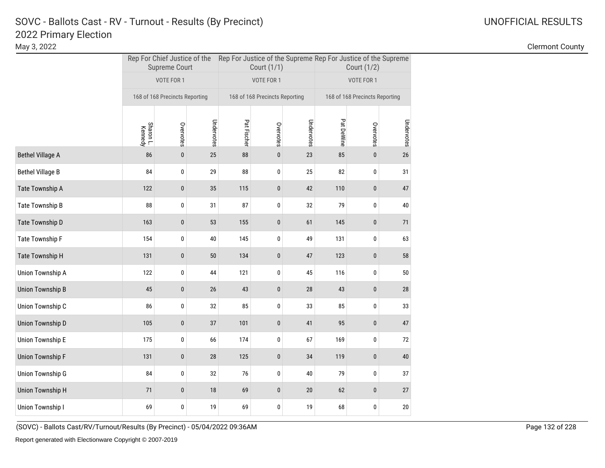May 3, 2022 Clermont County

|                         |                      | <b>Supreme Court</b>           |            |             | Court (1/1)                    |            | Rep For Chief Justice of the Rep For Justice of the Supreme Rep For Justice of the Supreme<br>Court (1/2) |                                |            |
|-------------------------|----------------------|--------------------------------|------------|-------------|--------------------------------|------------|-----------------------------------------------------------------------------------------------------------|--------------------------------|------------|
|                         |                      | VOTE FOR 1                     |            |             | VOTE FOR 1                     |            |                                                                                                           | VOTE FOR 1                     |            |
|                         |                      | 168 of 168 Precincts Reporting |            |             | 168 of 168 Precincts Reporting |            |                                                                                                           | 168 of 168 Precincts Reporting |            |
|                         | Sharon L.<br>Kennedy | Overvotes                      | Undervotes | Pat Fischer | Overvotes                      | Undervotes | Pat DeWine                                                                                                | Overvotes                      | Undervotes |
| <b>Bethel Village A</b> | 86                   | 0                              | 25         | 88          | $\pmb{0}$                      | 23         | 85                                                                                                        | 0                              | $26\,$     |
| <b>Bethel Village B</b> | 84                   | 0                              | 29         | 88          | 0                              | 25         | 82                                                                                                        | 0                              | 31         |
| Tate Township A         | 122                  | 0                              | 35         | 115         | 0                              | 42         | 110                                                                                                       | 0                              | 47         |
| Tate Township B         | 88                   | 0                              | 31         | 87          | 0                              | 32         | 79                                                                                                        | 0                              | 40         |
| Tate Township D         | 163                  | 0                              | 53         | 155         | 0                              | 61         | 145                                                                                                       | 0                              | 71         |
| Tate Township F         | 154                  | 0                              | 40         | 145         | 0                              | 49         | 131                                                                                                       | 0                              | 63         |
| Tate Township H         | 131                  | 0                              | 50         | 134         | 0                              | 47         | 123                                                                                                       | 0                              | 58         |
| Union Township A        | 122                  | 0                              | 44         | 121         | 0                              | 45         | 116                                                                                                       | 0                              | 50         |
| <b>Union Township B</b> | 45                   | $\pmb{0}$                      | 26         | 43          | $\pmb{0}$                      | 28         | 43                                                                                                        | $\pmb{0}$                      | 28         |
| Union Township C        | 86                   | 0                              | 32         | 85          | 0                              | 33         | 85                                                                                                        | 0                              | 33         |
| <b>Union Township D</b> | 105                  | 0                              | 37         | 101         | 0                              | 41         | 95                                                                                                        | $\mathbf 0$                    | $47\,$     |
| <b>Union Township E</b> | 175                  | 0                              | 66         | 174         | 0                              | 67         | 169                                                                                                       | 0                              | 72         |
| <b>Union Township F</b> | 131                  | $\pmb{0}$                      | $28\,$     | 125         | $\pmb{0}$                      | 34         | 119                                                                                                       | $\pmb{0}$                      | 40         |
| Union Township G        | 84                   | $\pmb{0}$                      | 32         | 76          | $\pmb{0}$                      | 40         | 79                                                                                                        | 0                              | 37         |
| <b>Union Township H</b> | 71                   | 0                              | 18         | 69          | $\mathbf 0$                    | 20         | 62                                                                                                        | 0                              | 27         |
| Union Township I        | 69                   | $\pmb{0}$                      | 19         | 69          | 0                              | 19         | 68                                                                                                        | $\pmb{0}$                      | $20\,$     |

(SOVC) - Ballots Cast/RV/Turnout/Results (By Precinct) - 05/04/2022 09:36AM Page 132 of 228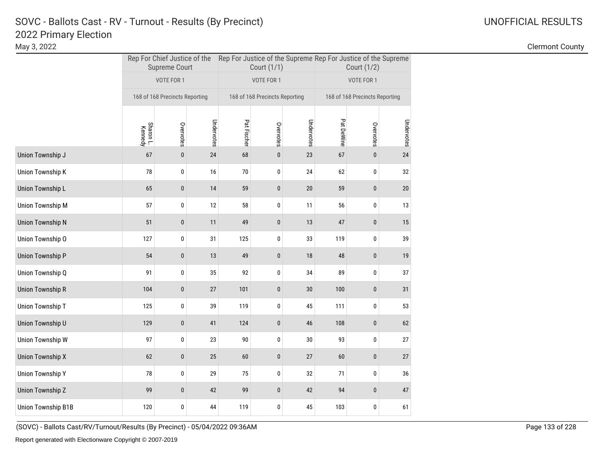May 3, 2022 Clermont County

|                           |                      | <b>Supreme Court</b>           |            |             | Court (1/1)                    |            | Rep For Chief Justice of the Rep For Justice of the Supreme Rep For Justice of the Supreme<br>Court (1/2) |             |            |  |
|---------------------------|----------------------|--------------------------------|------------|-------------|--------------------------------|------------|-----------------------------------------------------------------------------------------------------------|-------------|------------|--|
|                           |                      | VOTE FOR 1                     |            |             | VOTE FOR 1                     |            |                                                                                                           | VOTE FOR 1  |            |  |
|                           |                      | 168 of 168 Precincts Reporting |            |             | 168 of 168 Precincts Reporting |            | 168 of 168 Precincts Reporting                                                                            |             |            |  |
|                           | Sharon L.<br>Kennedy | Overvotes                      | Undervotes | Pat Fischer | Overvotes                      | Undervotes | Pat DeWine                                                                                                | Overvotes   | Undervotes |  |
| Union Township J          | 67                   | $\pmb{0}$                      | 24         | 68          | $\pmb{0}$                      | 23         | 67                                                                                                        | $\pmb{0}$   | 24         |  |
| <b>Union Township K</b>   | 78                   | 0                              | 16         | 70          | 0                              | 24         | 62                                                                                                        | 0           | 32         |  |
| Union Township L          | 65                   | $\pmb{0}$                      | 14         | 59          | $\pmb{0}$                      | 20         | 59                                                                                                        | 0           | 20         |  |
| <b>Union Township M</b>   | 57                   | 0                              | 12         | 58          | 0                              | 11         | 56                                                                                                        | 0           | 13         |  |
| <b>Union Township N</b>   | 51                   | $\pmb{0}$                      | 11         | 49          | $\pmb{0}$                      | 13         | 47                                                                                                        | 0           | 15         |  |
| Union Township O          | 127                  | 0                              | 31         | 125         | 0                              | 33         | 119                                                                                                       | 0           | 39         |  |
| <b>Union Township P</b>   | 54                   | $\pmb{0}$                      | 13         | 49          | $\pmb{0}$                      | 18         | 48                                                                                                        | 0           | 19         |  |
| Union Township Q          | 91                   | 0                              | 35         | 92          | 0                              | 34         | 89                                                                                                        | 0           | 37         |  |
| <b>Union Township R</b>   | 104                  | $\pmb{0}$                      | 27         | 101         | $\pmb{0}$                      | $30\,$     | 100                                                                                                       | 0           | 31         |  |
| Union Township T          | 125                  | 0                              | 39         | 119         | 0                              | 45         | 111                                                                                                       | 0           | 53         |  |
| Union Township U          | 129                  | 0                              | 41         | 124         | $\pmb{0}$                      | 46         | 108                                                                                                       | $\mathbf 0$ | 62         |  |
| <b>Union Township W</b>   | 97                   | 0                              | 23         | 90          | 0                              | 30         | 93                                                                                                        | 0           | 27         |  |
| <b>Union Township X</b>   | 62                   | $\pmb{0}$                      | 25         | 60          | $\pmb{0}$                      | 27         | 60                                                                                                        | 0           | 27         |  |
| <b>Union Township Y</b>   | 78                   | 0                              | 29         | 75          | 0                              | 32         | 71                                                                                                        | 0           | 36         |  |
| <b>Union Township Z</b>   | 99                   | $\pmb{0}$                      | 42         | 99          | $\mathbf 0$                    | 42         | 94                                                                                                        | $\mathbf 0$ | 47         |  |
| <b>Union Township B1B</b> | 120                  | 0                              | 44         | 119         | 0                              | 45         | 103                                                                                                       | 0           | 61         |  |

(SOVC) - Ballots Cast/RV/Turnout/Results (By Precinct) - 05/04/2022 09:36AM Page 133 of 228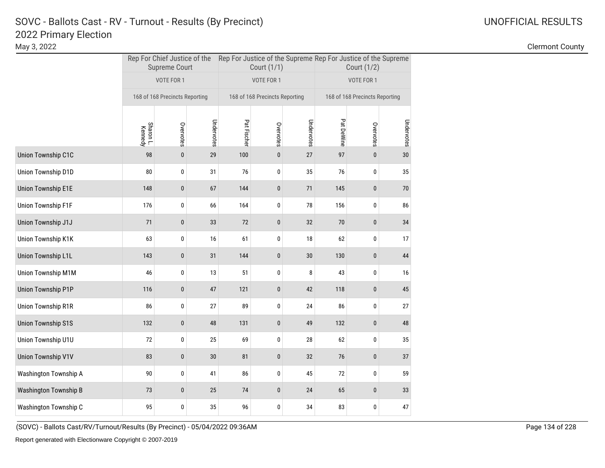May 3, 2022 Clermont County

|                              |                      | <b>Supreme Court</b>           |            |             | Court (1/1)                    |            | Rep For Chief Justice of the Rep For Justice of the Supreme Rep For Justice of the Supreme<br>Court (1/2) |                                |                 |  |
|------------------------------|----------------------|--------------------------------|------------|-------------|--------------------------------|------------|-----------------------------------------------------------------------------------------------------------|--------------------------------|-----------------|--|
|                              |                      | VOTE FOR 1                     |            |             | VOTE FOR 1                     |            |                                                                                                           | VOTE FOR 1                     |                 |  |
|                              |                      | 168 of 168 Precincts Reporting |            |             | 168 of 168 Precincts Reporting |            |                                                                                                           | 168 of 168 Precincts Reporting |                 |  |
|                              | Sharon L.<br>Kennedy | Overvotes                      | Undervotes | Pat Fischer | Overvotes                      | Undervotes | Pat DeWine                                                                                                | Overvotes                      | Undervotes      |  |
| Union Township C1C           | 98                   | $\pmb{0}$                      | 29         | 100         | $\pmb{0}$                      | 27         | 97                                                                                                        | $\mathbf{0}$                   | 30 <sup>°</sup> |  |
| Union Township D1D           | 80                   | 0                              | 31         | 76          | 0                              | 35         | 76                                                                                                        | 0                              | 35              |  |
| <b>Union Township E1E</b>    | 148                  | $\pmb{0}$                      | 67         | 144         | $\pmb{0}$                      | $71\,$     | 145                                                                                                       | 0                              | $70\,$          |  |
| <b>Union Township F1F</b>    | 176                  | 0                              | 66         | 164         | 0                              | 78         | 156                                                                                                       | 0                              | 86              |  |
| Union Township J1J           | 71                   | $\pmb{0}$                      | 33         | 72          | $\pmb{0}$                      | 32         | $70\,$                                                                                                    | 0                              | 34              |  |
| Union Township K1K           | 63                   | 0                              | 16         | 61          | 0                              | 18         | 62                                                                                                        | 0                              | 17              |  |
| <b>Union Township L1L</b>    | 143                  | $\bf{0}$                       | 31         | 144         | 0                              | 30         | 130                                                                                                       | 0                              | 44              |  |
| Union Township M1M           | 46                   | 0                              | 13         | 51          | 0                              | 8          | 43                                                                                                        | 0                              | 16              |  |
| <b>Union Township P1P</b>    | 116                  | $\pmb{0}$                      | 47         | 121         | $\pmb{0}$                      | 42         | 118                                                                                                       | 0                              | 45              |  |
| Union Township R1R           | 86                   | 0                              | 27         | 89          | 0                              | 24         | 86                                                                                                        | 0                              | 27              |  |
| <b>Union Township S1S</b>    | 132                  | $\pmb{0}$                      | 48         | 131         | 0                              | 49         | 132                                                                                                       | 0                              | 48              |  |
| Union Township U1U           | 72                   | 0                              | 25         | 69          | 0                              | 28         | 62                                                                                                        | 0                              | 35              |  |
| <b>Union Township V1V</b>    | 83                   | $\pmb{0}$                      | $30\,$     | 81          | $\pmb{0}$                      | 32         | 76                                                                                                        | $\pmb{0}$                      | 37              |  |
| Washington Township A        | 90                   | 0                              | 41         | 86          | 0                              | 45         | 72                                                                                                        | 0                              | 59              |  |
| <b>Washington Township B</b> | 73                   | $\pmb{0}$                      | 25         | 74          | $\pmb{0}$                      | 24         | 65                                                                                                        | 0                              | 33              |  |
| Washington Township C        | 95                   | $\pmb{0}$                      | 35         | 96          | 0                              | 34         | 83                                                                                                        | 0                              | 47              |  |

(SOVC) - Ballots Cast/RV/Turnout/Results (By Precinct) - 05/04/2022 09:36AM Page 134 of 228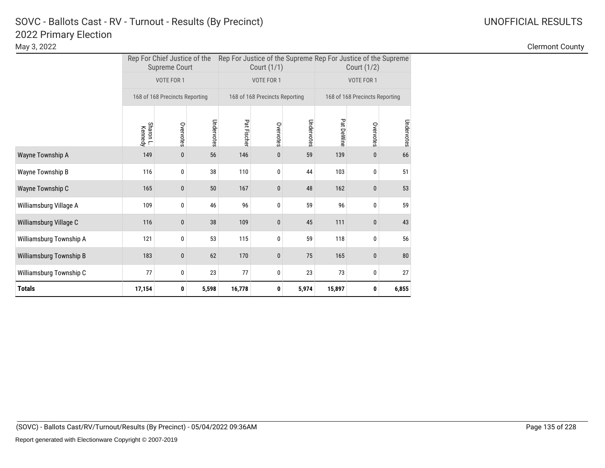|                         |                      | Rep For Chief Justice of the<br><b>Supreme Court</b> |            | Rep For Justice of the Supreme Rep For Justice of the Supreme | Court (1/1)                    |            |            | Court (1/2)                    |            |
|-------------------------|----------------------|------------------------------------------------------|------------|---------------------------------------------------------------|--------------------------------|------------|------------|--------------------------------|------------|
|                         |                      | VOTE FOR 1                                           |            |                                                               | VOTE FOR 1                     |            |            | VOTE FOR 1                     |            |
|                         |                      | 168 of 168 Precincts Reporting                       |            |                                                               | 168 of 168 Precincts Reporting |            |            | 168 of 168 Precincts Reporting |            |
|                         | Sharon L.<br>Kennedy | Overvotes                                            | Undervotes | Pat Fischer                                                   | Overvotes                      | Undervotes | Pat DeWine | Overvotes                      | Undervotes |
| Wayne Township A        | 149                  | 0                                                    | 56         | 146                                                           | $\bf{0}$                       | 59         | 139        | 0                              | 66         |
| Wayne Township B        | 116                  | 0                                                    | 38         | 110                                                           | 0                              | 44         | 103        | 0                              | 51         |
| Wayne Township C        | 165                  | 0                                                    | 50         | 167                                                           | $\pmb{0}$                      | 48         | 162        | $\pmb{0}$                      | 53         |
| Williamsburg Village A  | 109                  | 0                                                    | 46         | 96                                                            | 0                              | 59         | 96         | 0                              | 59         |
| Williamsburg Village C  | 116                  | 0                                                    | 38         | 109                                                           | $\bf{0}$                       | 45         | 111        | 0                              | 43         |
| Williamsburg Township A | 121                  | 0                                                    | 53         | 115                                                           | 0                              | 59         | 118        | 0                              | 56         |
| Williamsburg Township B | 183                  | 0                                                    | 62         | 170                                                           | $\pmb{0}$                      | 75         | 165        | 0                              | 80         |
| Williamsburg Township C | 77                   | 0                                                    | 23         | 77                                                            | 0                              | 23         | 73         | 0                              | 27         |
| Totals                  | 17,154               | 0                                                    | 5,598      | 16,778                                                        | 0                              | 5,974      | 15,897     | 0                              | 6,855      |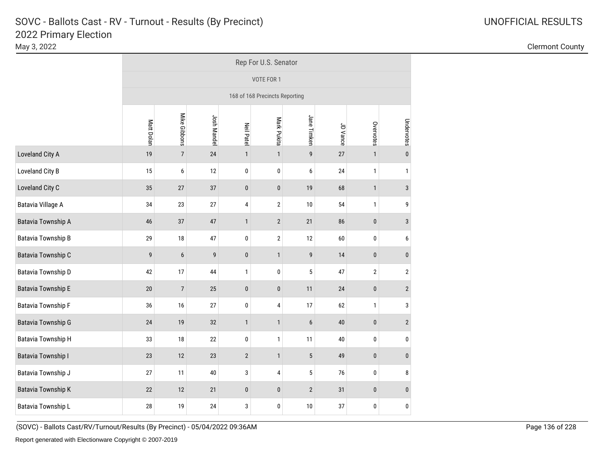|                           |            | Rep For U.S. Senator |             |                   |                                |                  |          |              |                |  |
|---------------------------|------------|----------------------|-------------|-------------------|--------------------------------|------------------|----------|--------------|----------------|--|
|                           |            |                      |             |                   | VOTE FOR 1                     |                  |          |              |                |  |
|                           |            |                      |             |                   | 168 of 168 Precincts Reporting |                  |          |              |                |  |
|                           | Matt Dolan | Mike Gibbons         | Josh Mandel | <b>Neil Patel</b> | Mark Pukita                    | Jane Timken      | JD Vance | Overvotes    | Undervotes     |  |
| Loveland City A           | 19         | $\boldsymbol{7}$     | 24          | $\mathbf{1}$      | $\mathbf{1}$                   | $\boldsymbol{9}$ | $27\,$   | $\mathbf{1}$ | $\pmb{0}$      |  |
| Loveland City B           | 15         | $\boldsymbol{6}$     | 12          | $\pmb{0}$         | 0                              | $\boldsymbol{6}$ | 24       | $\mathbf{1}$ | $\mathbf{1}$   |  |
| Loveland City C           | 35         | $27\,$               | 37          | $\pmb{0}$         | $\pmb{0}$                      | 19               | 68       | $\mathbf{1}$ | $\mathbf{3}$   |  |
| Batavia Village A         | 34         | 23                   | 27          | $\pmb{4}$         | $\overline{\mathbf{c}}$        | 10               | 54       | $\mathbf{1}$ | 9              |  |
| <b>Batavia Township A</b> | 46         | 37                   | 47          | $\mathbf{1}$      | $\mathbf{2}$                   | 21               | 86       | $\pmb{0}$    | $\sqrt{3}$     |  |
| <b>Batavia Township B</b> | 29         | $18\,$               | 47          | $\pmb{0}$         | $\overline{\mathbf{c}}$        | 12               | 60       | 0            | 6              |  |
| <b>Batavia Township C</b> | 9          | $\boldsymbol{6}$     | 9           | $\pmb{0}$         | $\mathbf{1}$                   | $\boldsymbol{9}$ | 14       | $\pmb{0}$    | $\pmb{0}$      |  |
| Batavia Township D        | 42         | 17                   | 44          | $\mathbf{1}$      | $\pmb{0}$                      | 5                | 47       | $\sqrt{2}$   | $\overline{2}$ |  |
| <b>Batavia Township E</b> | 20         | $\overline{7}$       | 25          | $\pmb{0}$         | $\pmb{0}$                      | 11               | 24       | $\pmb{0}$    | $\sqrt{2}$     |  |
| <b>Batavia Township F</b> | 36         | 16                   | 27          | $\pmb{0}$         | 4                              | 17               | 62       | $\mathbf{1}$ | 3              |  |
| <b>Batavia Township G</b> | 24         | 19                   | $32\,$      | $\mathbf{1}$      | $\mathbf{1}$                   | $\boldsymbol{6}$ | $40\,$   | $\pmb{0}$    | $\sqrt{2}$     |  |
| <b>Batavia Township H</b> | 33         | $18\,$               | 22          | $\pmb{0}$         | $\mathbf{1}$                   | 11               | 40       | $\pmb{0}$    | $\mathbf 0$    |  |
| <b>Batavia Township I</b> | 23         | 12                   | 23          | $\sqrt{2}$        | $\mathbf{1}$                   | $\sqrt{5}$       | 49       | $\pmb{0}$    | $\pmb{0}$      |  |
| Batavia Township J        | 27         | 11                   | 40          | 3                 | 4                              | 5                | 76       | 0            | 8              |  |
| <b>Batavia Township K</b> | 22         | 12                   | 21          | $\pmb{0}$         | $\pmb{0}$                      | $\overline{2}$   | 31       | $\pmb{0}$    | $\pmb{0}$      |  |
| Batavia Township L        | 28         | 19                   | 24          | 3                 | 0                              | 10               | 37       | 0            | $\pmb{0}$      |  |

(SOVC) - Ballots Cast/RV/Turnout/Results (By Precinct) - 05/04/2022 09:36AM Page 136 of 228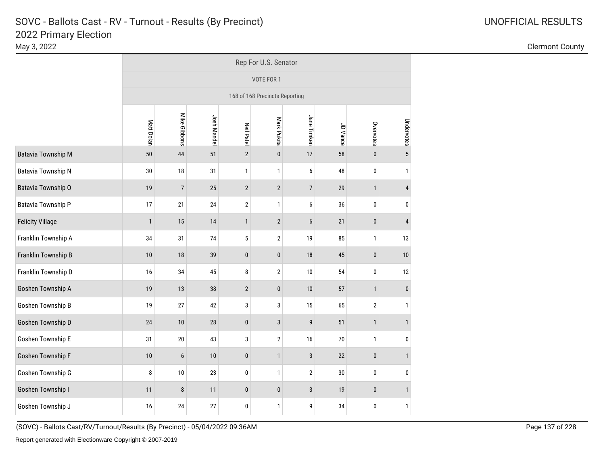|                           |              | Rep For U.S. Senator |             |                   |                                |                |          |              |                |  |
|---------------------------|--------------|----------------------|-------------|-------------------|--------------------------------|----------------|----------|--------------|----------------|--|
|                           |              |                      |             |                   | VOTE FOR 1                     |                |          |              |                |  |
|                           |              |                      |             |                   | 168 of 168 Precincts Reporting |                |          |              |                |  |
|                           | Matt Dolan   | Mike Gibbons         | Josh Mandel | <b>Neil Patel</b> | Mark Pukita                    | Jane Timken    | JD Vance | Overvotes    | Undervotes     |  |
| <b>Batavia Township M</b> | 50           | 44                   | 51          | $\overline{2}$    | $\pmb{0}$                      | 17             | 58       | $\pmb{0}$    | $\sqrt{5}$     |  |
| <b>Batavia Township N</b> | 30           | 18                   | 31          | $\mathbf{1}$      | $\mathbf{1}$                   | 6              | 48       | $\pmb{0}$    | $\mathbf{1}$   |  |
| Batavia Township O        | 19           | $\sqrt{ }$           | 25          | $\overline{2}$    | $\sqrt{2}$                     | $\overline{7}$ | 29       | $\mathbf{1}$ | $\overline{4}$ |  |
| Batavia Township P        | 17           | 21                   | 24          | $\mathbf{2}$      | $\mathbf{1}$                   | 6              | 36       | $\pmb{0}$    | $\pmb{0}$      |  |
| <b>Felicity Village</b>   | $\mathbf{1}$ | 15                   | 14          | $\mathbf{1}$      | $\overline{2}$                 | $6\phantom{1}$ | 21       | $\pmb{0}$    | $\overline{4}$ |  |
| Franklin Township A       | 34           | 31                   | 74          | 5                 | $\overline{2}$                 | 19             | 85       | $\mathbf{1}$ | 13             |  |
| Franklin Township B       | 10           | 18                   | 39          | $\pmb{0}$         | $\pmb{0}$                      | 18             | 45       | $\pmb{0}$    | $10$           |  |
| Franklin Township D       | 16           | 34                   | 45          | 8                 | $\sqrt{2}$                     | 10             | 54       | $\pmb{0}$    | 12             |  |
| Goshen Township A         | 19           | 13                   | 38          | $\overline{2}$    | $\pmb{0}$                      | 10             | 57       | $\mathbf{1}$ | $\pmb{0}$      |  |
| Goshen Township B         | 19           | 27                   | 42          | 3                 | 3                              | 15             | 65       | $\sqrt{2}$   | $\mathbf{1}$   |  |
| Goshen Township D         | 24           | 10                   | ${\bf 28}$  | $\pmb{0}$         | $\mathbf{3}$                   | 9              | 51       | $\mathbf{1}$ | $\mathbf{1}$   |  |
| Goshen Township E         | 31           | $20\,$               | 43          | 3                 | $\sqrt{2}$                     | 16             | 70       | $\mathbf 1$  | $\mathbf{0}$   |  |
| Goshen Township F         | 10           | $\boldsymbol{6}$     | $10$        | $\pmb{0}$         | $\mathbf{1}$                   | $\sqrt{3}$     | 22       | $\pmb{0}$    | $\mathbf{1}$   |  |
| Goshen Township G         | 8            | 10                   | 23          | 0                 | $\mathbf{1}$                   | $\mathbf 2$    | $30\,$   | $\pmb{0}$    | 0              |  |
| Goshen Township I         | 11           | $\bf 8$              | 11          | $\pmb{0}$         | $\pmb{0}$                      | $\sqrt{3}$     | 19       | $\pmb{0}$    | $\mathbf{1}$   |  |
| Goshen Township J         | 16           | 24                   | 27          | 0                 | $\mathbf{1}$                   | 9              | 34       | 0            | $\mathbf{1}$   |  |

May 3, 2022 Clermont County

(SOVC) - Ballots Cast/RV/Turnout/Results (By Precinct) - 05/04/2022 09:36AM Page 137 of 228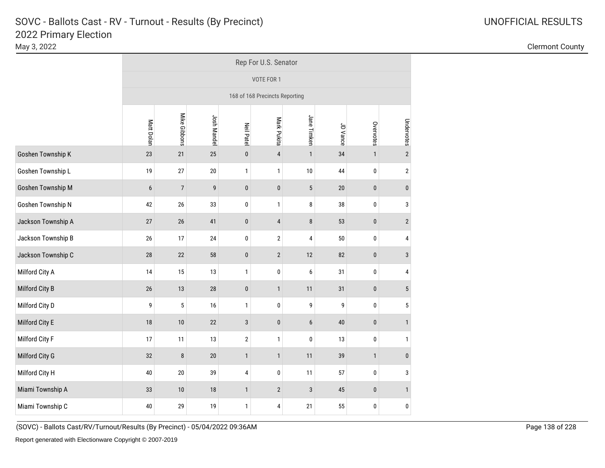|                    |                  | Rep For U.S. Senator |             |                   |                                |                            |          |              |              |  |  |  |  |  |  |
|--------------------|------------------|----------------------|-------------|-------------------|--------------------------------|----------------------------|----------|--------------|--------------|--|--|--|--|--|--|
|                    |                  |                      |             |                   | VOTE FOR 1                     |                            |          |              |              |  |  |  |  |  |  |
|                    |                  |                      |             |                   | 168 of 168 Precincts Reporting |                            |          |              |              |  |  |  |  |  |  |
|                    | Matt Dolan       | Mike Gibbons         | Josh Mandel | <b>Neil Patel</b> | Mark Pukita                    | Jane Timken                | JD Vance | Overvotes    | Undervotes   |  |  |  |  |  |  |
| Goshen Township K  | 23               | 21                   | 25          | $\pmb{0}$         | $\overline{4}$                 | $\mathbf{1}$               | 34       | $\mathbf{1}$ | $\sqrt{2}$   |  |  |  |  |  |  |
| Goshen Township L  | 19               | 27                   | $20\,$      | 1                 | $\mathbf{1}$                   | $10$                       | 44       | $\pmb{0}$    | $\mathbf{2}$ |  |  |  |  |  |  |
| Goshen Township M  | $\boldsymbol{6}$ | $\overline{7}$       | 9           | $\pmb{0}$         | $\pmb{0}$                      | $\sqrt{5}$                 | 20       | $\pmb{0}$    | $\pmb{0}$    |  |  |  |  |  |  |
| Goshen Township N  | 42               | 26                   | 33          | $\mathbf 0$       | $\mathbf{1}$                   | $\bf 8$                    | 38       | $\pmb{0}$    | $\sqrt{3}$   |  |  |  |  |  |  |
| Jackson Township A | 27               | 26                   | 41          | $\pmb{0}$         | $\overline{4}$                 | $\bf 8$                    | 53       | $\pmb{0}$    | $\mathbf{2}$ |  |  |  |  |  |  |
| Jackson Township B | $26\,$           | 17                   | 24          | 0                 | $\sqrt{2}$                     | $\pmb{4}$                  | 50       | $\pmb{0}$    | 4            |  |  |  |  |  |  |
| Jackson Township C | 28               | 22                   | 58          | $\pmb{0}$         | $\mathbf{2}$                   | $12\,$                     | 82       | $\pmb{0}$    | $\mathbf{3}$ |  |  |  |  |  |  |
| Milford City A     | 14               | 15                   | 13          | 1                 | $\pmb{0}$                      | 6                          | 31       | $\pmb{0}$    | 4            |  |  |  |  |  |  |
| Milford City B     | 26               | 13                   | $28\,$      | $\pmb{0}$         | $\mathbf{1}$                   | 11                         | 31       | $\pmb{0}$    | $\sqrt{5}$   |  |  |  |  |  |  |
| Milford City D     | 9                | 5                    | 16          | 1                 | $\pmb{0}$                      | 9                          | 9        | $\pmb{0}$    | 5            |  |  |  |  |  |  |
| Milford City E     | 18               | 10                   | 22          | 3                 | $\pmb{0}$                      | $6\phantom{1}$             | 40       | $\pmb{0}$    | $\mathbf{1}$ |  |  |  |  |  |  |
| Milford City F     | 17               | 11                   | 13          | $\sqrt{2}$        | $\mathbf{1}$                   | $\pmb{0}$                  | 13       | $\pmb{0}$    | $\mathbf{1}$ |  |  |  |  |  |  |
| Milford City G     | 32               | $\bf 8$              | $20\,$      | $\mathbf{1}$      | $\mathbf{1}$                   | 11                         | 39       | $\mathbf{1}$ | $\pmb{0}$    |  |  |  |  |  |  |
| Milford City H     | 40               | 20                   | 39          | 4                 | $\mathbf{0}$                   | 11                         | 57       | $\pmb{0}$    | 3            |  |  |  |  |  |  |
| Miami Township A   | 33               | 10                   | $18\,$      | $\mathbf{1}$      | $\mathbf{2}$                   | $\sqrt{3}$                 | 45       | $\pmb{0}$    | $\mathbf{1}$ |  |  |  |  |  |  |
| Miami Township C   | 40               | 29                   | $19$        | 1                 | 4                              | 55<br>$\pmb{0}$<br>0<br>21 |          |              |              |  |  |  |  |  |  |

May 3, 2022 Clermont County

(SOVC) - Ballots Cast/RV/Turnout/Results (By Precinct) - 05/04/2022 09:36AM Page 138 of 228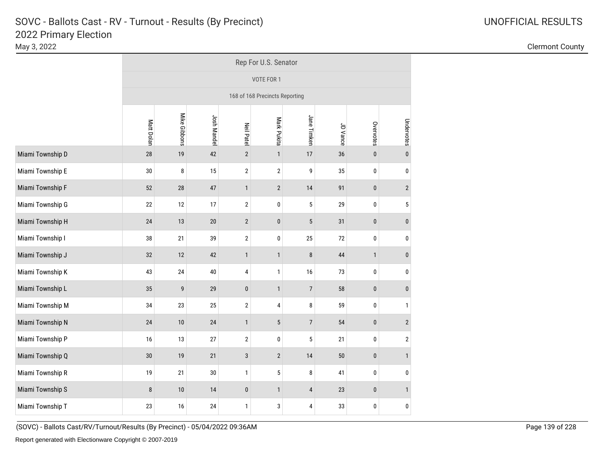|                  | Rep For U.S. Senator           |              |             |                   |                |                |          |              |                         |  |  |
|------------------|--------------------------------|--------------|-------------|-------------------|----------------|----------------|----------|--------------|-------------------------|--|--|
|                  |                                |              |             |                   | VOTE FOR 1     |                |          |              |                         |  |  |
|                  | 168 of 168 Precincts Reporting |              |             |                   |                |                |          |              |                         |  |  |
|                  | Matt Dolan                     | Mike Gibbons | Josh Mandel | <b>Neil Patel</b> | Mark Pukita    | Jane Timken    | JD Vance | Overvotes    | Undervotes              |  |  |
| Miami Township D | 28                             | $19$         | 42          | $\overline{2}$    | $\mathbf{1}$   | 17             | 36       | $\pmb{0}$    | $\pmb{0}$               |  |  |
| Miami Township E | 30                             | 8            | 15          | $\sqrt{2}$        | $\overline{2}$ | 9              | 35       | $\pmb{0}$    | 0                       |  |  |
| Miami Township F | 52                             | $28\,$       | 47          | $\mathbf{1}$      | $\overline{2}$ | 14             | 91       | $\pmb{0}$    | $\mathbf{2}$            |  |  |
| Miami Township G | 22                             | 12           | 17          | $\overline{2}$    | $\pmb{0}$      | $\sqrt{5}$     | 29       | $\pmb{0}$    | 5                       |  |  |
| Miami Township H | 24                             | 13           | $20\,$      | $\mathbf{2}$      | $\pmb{0}$      | $\sqrt{5}$     | 31       | $\pmb{0}$    | $\bf{0}$                |  |  |
| Miami Township I | 38                             | 21           | 39          | $\overline{2}$    | $\pmb{0}$      | 25             | 72       | $\pmb{0}$    | 0                       |  |  |
| Miami Township J | 32                             | 12           | 42          | $\mathbf{1}$      | $\mathbf{1}$   | 8              | 44       | $\mathbf{1}$ | $\bf{0}$                |  |  |
| Miami Township K | 43                             | 24           | 40          | 4                 | $\mathbf{1}$   | $16$           | 73       | $\pmb{0}$    | 0                       |  |  |
| Miami Township L | 35                             | 9            | 29          | $\pmb{0}$         | $\mathbf{1}$   | $\overline{7}$ | 58       | $\pmb{0}$    | $\pmb{0}$               |  |  |
| Miami Township M | 34                             | 23           | 25          | $\mathbf{2}$      | $\overline{4}$ | 8              | 59       | $\pmb{0}$    | $\mathbf{1}$            |  |  |
| Miami Township N | 24                             | 10           | 24          | $\mathbf{1}$      | $\sqrt{5}$     | $\overline{7}$ | 54       | $\pmb{0}$    | $\overline{2}$          |  |  |
| Miami Township P | 16                             | 13           | 27          | $\mathbf{2}$      | $\pmb{0}$      | 5              | 21       | $\pmb{0}$    | $\overline{\mathbf{c}}$ |  |  |
| Miami Township Q | 30                             | $19$         | 21          | $\sqrt{3}$        | $\sqrt{2}$     | 14             | 50       | $\pmb{0}$    | $\mathbf{1}$            |  |  |
| Miami Township R | 19                             | 21           | $30\,$      | $\mathbf{1}$      | $\sqrt{5}$     | 8              | 41       | $\pmb{0}$    | 0                       |  |  |
| Miami Township S | 8                              | $10$         | 14          | $\pmb{0}$         | $\mathbf{1}$   | $\sqrt{4}$     | 23       | $\pmb{0}$    | $\mathbf{1}$            |  |  |
| Miami Township T | 23                             | 16           | 24          | $\mathbf{1}$      | 3              | 4              | 33       | $\pmb{0}$    | 0                       |  |  |

May 3, 2022 Clermont County

(SOVC) - Ballots Cast/RV/Turnout/Results (By Precinct) - 05/04/2022 09:36AM Page 139 of 228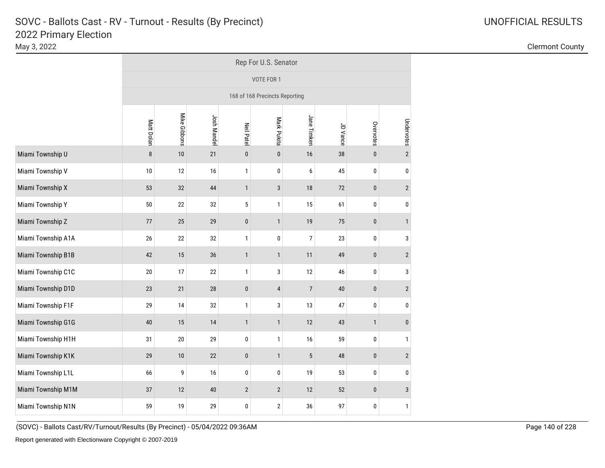|                    | Rep For U.S. Senator           |              |             |                   |                |                |          |              |                |  |  |
|--------------------|--------------------------------|--------------|-------------|-------------------|----------------|----------------|----------|--------------|----------------|--|--|
|                    | VOTE FOR 1                     |              |             |                   |                |                |          |              |                |  |  |
|                    | 168 of 168 Precincts Reporting |              |             |                   |                |                |          |              |                |  |  |
|                    | Matt Dolan                     | Mike Gibbons | Josh Mandel | <b>Neil Patel</b> | Mark Pukita    | Jane Timken    | JD Vance | Overvotes    | Undervotes     |  |  |
| Miami Township U   | 8                              | 10           | 21          | $\pmb{0}$         | $\pmb{0}$      | $16$           | 38       | $\pmb{0}$    | $\sqrt{2}$     |  |  |
| Miami Township V   | 10                             | 12           | 16          | $\mathbf{1}$      | 0              | 6              | 45       | $\pmb{0}$    | 0              |  |  |
| Miami Township X   | 53                             | 32           | 44          | $\mathbf{1}$      | $\sqrt{3}$     | 18             | $72\,$   | $\pmb{0}$    | $\mathbf{2}$   |  |  |
| Miami Township Y   | 50                             | 22           | 32          | 5                 | $\mathbf{1}$   | 15             | 61       | $\pmb{0}$    | 0              |  |  |
| Miami Township Z   | 77                             | 25           | 29          | $\pmb{0}$         | $\mathbf{1}$   | $19$           | 75       | $\pmb{0}$    | $\mathbf{1}$   |  |  |
| Miami Township A1A | $26\,$                         | 22           | 32          | 1                 | 0              | $\overline{7}$ | 23       | $\pmb{0}$    | 3              |  |  |
| Miami Township B1B | 42                             | 15           | 36          | $\mathbf{1}$      | $\mathbf{1}$   | 11             | 49       | $\pmb{0}$    | $\overline{2}$ |  |  |
| Miami Township C1C | 20                             | 17           | 22          | 1                 | 3              | 12             | 46       | $\pmb{0}$    | 3              |  |  |
| Miami Township D1D | 23                             | 21           | $28\,$      | $\pmb{0}$         | $\overline{4}$ | $\overline{7}$ | 40       | $\pmb{0}$    | $\overline{2}$ |  |  |
| Miami Township F1F | 29                             | 14           | 32          | $\mathbf{1}$      | 3              | 13             | 47       | $\pmb{0}$    | 0              |  |  |
| Miami Township G1G | 40                             | 15           | 14          | $\mathbf{1}$      | $\mathbf{1}$   | 12             | 43       | $\mathbf{1}$ | $\pmb{0}$      |  |  |
| Miami Township H1H | 31                             | $20\,$       | 29          | 0                 | $\mathbf{1}$   | $16$           | 59       | $\pmb{0}$    | $\mathbf{1}$   |  |  |
| Miami Township K1K | 29                             | 10           | 22          | $\pmb{0}$         | $\mathbf{1}$   | 5              | 48       | $\pmb{0}$    | $\overline{2}$ |  |  |
| Miami Township L1L | 66                             | 9            | 16          | $\mathbf 0$       | 0              | $19$           | 53       | $\pmb{0}$    | 0              |  |  |
| Miami Township M1M | 37                             | 12           | $40\,$      | $\overline{2}$    | $\mathbf{2}$   | 12             | 52       | $\pmb{0}$    | $\mathbf{3}$   |  |  |
| Miami Township N1N | 59                             | 19           | 29          | $\bf{0}$          | $\mathbf{2}$   | 36             | 97       | 0            | $\mathbf{1}$   |  |  |

May 3, 2022 Clermont County

(SOVC) - Ballots Cast/RV/Turnout/Results (By Precinct) - 05/04/2022 09:36AM Page 140 of 228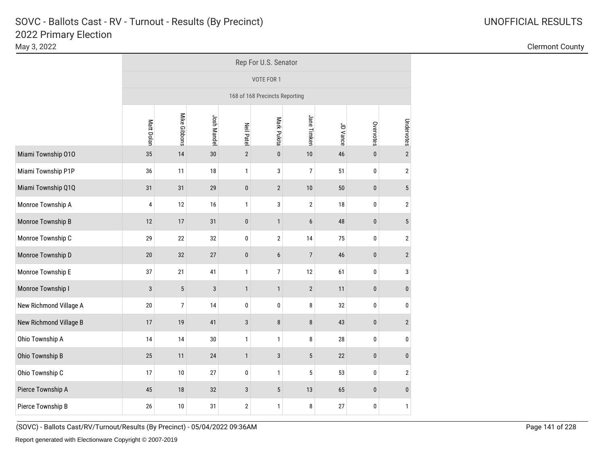|                        | Rep For U.S. Senator           |                |             |                   |                  |                  |          |             |                 |  |  |
|------------------------|--------------------------------|----------------|-------------|-------------------|------------------|------------------|----------|-------------|-----------------|--|--|
|                        | VOTE FOR 1                     |                |             |                   |                  |                  |          |             |                 |  |  |
|                        | 168 of 168 Precincts Reporting |                |             |                   |                  |                  |          |             |                 |  |  |
|                        | Matt Dolan                     | Mike Gibbons   | Josh Mandel | <b>Neil Patel</b> | Mark Pukita      | Jane Timken      | JD Vance | Overvotes   | Undervotes      |  |  |
| Miami Township 010     | 35                             | 14             | $30\,$      | $\overline{2}$    | $\pmb{0}$        | 10               | 46       | $\pmb{0}$   | $\overline{2}$  |  |  |
| Miami Township P1P     | 36                             | 11             | 18          | $\mathbf{1}$      | 3                | $\overline{7}$   | 51       | $\pmb{0}$   | $\mathbf{2}$    |  |  |
| Miami Township Q1Q     | 31                             | 31             | 29          | $\pmb{0}$         | $\sqrt{2}$       | $10$             | 50       | $\pmb{0}$   | $5\phantom{.0}$ |  |  |
| Monroe Township A      | 4                              | 12             | 16          | $\mathbf{1}$      | $\sqrt{3}$       | $\sqrt{2}$       | 18       | $\pmb{0}$   | $\sqrt{2}$      |  |  |
| Monroe Township B      | 12                             | 17             | 31          | $\pmb{0}$         | $\mathbf{1}$     | $\boldsymbol{6}$ | 48       | $\pmb{0}$   | $5\,$           |  |  |
| Monroe Township C      | 29                             | 22             | 32          | 0                 | $\overline{2}$   | 14               | 75       | 0           | $\overline{2}$  |  |  |
| Monroe Township D      | 20                             | 32             | 27          | $\pmb{0}$         | $\boldsymbol{6}$ | $\overline{7}$   | 46       | $\pmb{0}$   | $\mathbf{2}$    |  |  |
| Monroe Township E      | 37                             | 21             | 41          | $\mathbf{1}$      | $\overline{7}$   | 12               | 61       | 0           | 3               |  |  |
| Monroe Township I      | 3                              | $\sqrt{5}$     | $\sqrt{3}$  | $\mathbf{1}$      | $\mathbf{1}$     | $\sqrt{2}$       | 11       | $\pmb{0}$   | $\pmb{0}$       |  |  |
| New Richmond Village A | 20                             | $\overline{7}$ | 14          | 0                 | 0                | 8                | 32       | 0           | 0               |  |  |
| New Richmond Village B | 17                             | 19             | 41          | $\sqrt{3}$        | $\bf 8$          | $\bf 8$          | 43       | $\pmb{0}$   | $\overline{2}$  |  |  |
| Ohio Township A        | 14                             | 14             | $30\,$      | $\mathbf{1}$      | $\mathbf{1}$     | 8                | 28       | $\pmb{0}$   | $\pmb{0}$       |  |  |
| Ohio Township B        | 25                             | $11$           | 24          | $\mathbf{1}$      | $\mathbf{3}$     | $\sqrt{5}$       | 22       | $\pmb{0}$   | $\pmb{0}$       |  |  |
| Ohio Township C        | 17                             | $10\,$         | 27          | $\mathbf 0$       | $\mathbf{1}$     | 5                | 53       | $\mathbf 0$ | $\sqrt{2}$      |  |  |
| Pierce Township A      | 45                             | $18\,$         | 32          | 3                 | $\sqrt{5}$       | $13\,$           | 65       | $\pmb{0}$   | $\pmb{0}$       |  |  |
| Pierce Township B      | 26                             | 10             | 31          | $\mathbf 2$       | $\mathbf{1}$     | 8                | 27       | 0           | $\mathbf{1}$    |  |  |

May 3, 2022 Clermont County

(SOVC) - Ballots Cast/RV/Turnout/Results (By Precinct) - 05/04/2022 09:36AM Page 141 of 228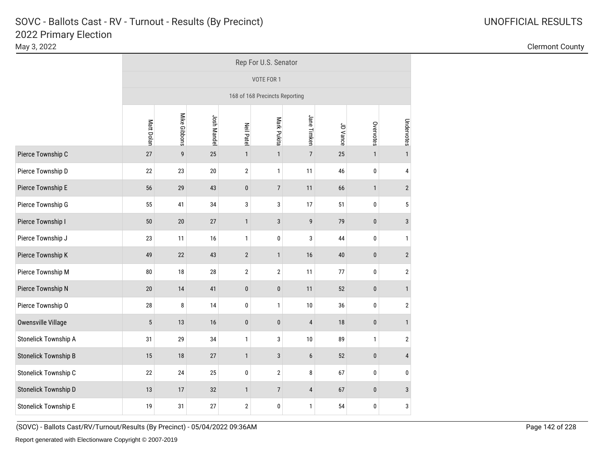|                             | Rep For U.S. Senator           |              |             |                  |                  |                |          |              |                         |  |  |
|-----------------------------|--------------------------------|--------------|-------------|------------------|------------------|----------------|----------|--------------|-------------------------|--|--|
|                             | VOTE FOR 1                     |              |             |                  |                  |                |          |              |                         |  |  |
|                             | 168 of 168 Precincts Reporting |              |             |                  |                  |                |          |              |                         |  |  |
|                             | Matt Dolan                     | Mike Gibbons | Josh Mandel | <b>Neil Pate</b> | Mark Pukita      | Jane Timken    | JD Vance | Overvotes    | Undervotes              |  |  |
| Pierce Township C           | 27                             | 9            | 25          | $\mathbf{1}$     | $\mathbf{1}$     | $\overline{7}$ | 25       | $\mathbf{1}$ | $\mathbf{1}$            |  |  |
| Pierce Township D           | 22                             | 23           | $20\,$      | $\overline{2}$   | $\mathbf{1}$     | 11             | 46       | $\pmb{0}$    | 4                       |  |  |
| Pierce Township E           | 56                             | 29           | 43          | $\pmb{0}$        | $\overline{7}$   | 11             | 66       | $\mathbf{1}$ | $\overline{2}$          |  |  |
| Pierce Township G           | 55                             | 41           | 34          | 3                | 3                | 17             | 51       | $\pmb{0}$    | 5                       |  |  |
| Pierce Township I           | 50                             | 20           | $27\,$      | $\mathbf{1}$     | $\sqrt{3}$       | 9              | 79       | $\pmb{0}$    | $\mathbf{3}$            |  |  |
| Pierce Township J           | 23                             | 11           | 16          | $\mathbf{1}$     | 0                | 3              | 44       | $\pmb{0}$    | 1                       |  |  |
| Pierce Township K           | 49                             | 22           | 43          | $\mathbf{2}$     | $\mathbf{1}$     | $16$           | 40       | $\pmb{0}$    | $\mathbf{2}$            |  |  |
| Pierce Township M           | ${\bf 80}$                     | 18           | $28\,$      | $\overline{2}$   | $\boldsymbol{2}$ | 11             | 77       | $\pmb{0}$    | $\overline{\mathbf{c}}$ |  |  |
| Pierce Township N           | 20                             | 14           | 41          | $\pmb{0}$        | $\pmb{0}$        | 11             | 52       | $\pmb{0}$    | $\mathbf{1}$            |  |  |
| Pierce Township O           | 28                             | 8            | 14          | $\mathbf 0$      | $\mathbf{1}$     | 10             | 36       | $\pmb{0}$    | $\overline{2}$          |  |  |
| Owensville Village          | $\sqrt{5}$                     | 13           | 16          | $\pmb{0}$        | $\pmb{0}$        | $\overline{4}$ | 18       | $\pmb{0}$    | $\mathbf{1}$            |  |  |
| <b>Stonelick Township A</b> | 31                             | 29           | 34          | $\mathbf{1}$     | 3                | $10$           | 89       | $\mathbf{1}$ | $\overline{\mathbf{c}}$ |  |  |
| <b>Stonelick Township B</b> | 15                             | 18           | 27          | $\mathbf{1}$     | $\mathbf{3}$     | $6\phantom{1}$ | 52       | $\pmb{0}$    | $\overline{4}$          |  |  |
| Stonelick Township C        | 22                             | 24           | 25          | $\pmb{0}$        | $\overline{2}$   | 8              | 67       | $\pmb{0}$    | 0                       |  |  |
| Stonelick Township D        | 13                             | 17           | 32          | $\mathbf{1}$     | $\overline{7}$   | $\sqrt{4}$     | 67       | $\pmb{0}$    | 3                       |  |  |
| <b>Stonelick Township E</b> | 19                             | 31           | 27          | $\overline{2}$   | 0                | $\mathbf{1}$   | 54       | 0            | 3                       |  |  |

May 3, 2022 Clermont County

(SOVC) - Ballots Cast/RV/Turnout/Results (By Precinct) - 05/04/2022 09:36AM Page 142 of 228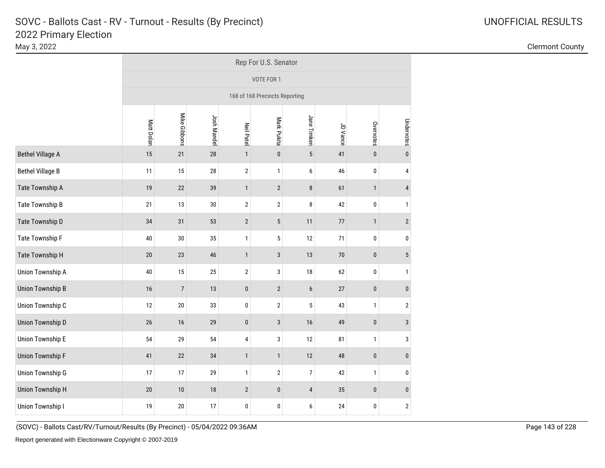|                         | Rep For U.S. Senator           |                |             |                   |                |                  |          |              |                 |  |  |
|-------------------------|--------------------------------|----------------|-------------|-------------------|----------------|------------------|----------|--------------|-----------------|--|--|
|                         | VOTE FOR 1                     |                |             |                   |                |                  |          |              |                 |  |  |
|                         | 168 of 168 Precincts Reporting |                |             |                   |                |                  |          |              |                 |  |  |
|                         | Matt Dolan                     | Mike Gibbons   | Josh Mandel | <b>Neil Patel</b> | Mark Pukita    | Jane Timken      | JD Vance | Overvotes    | Undervotes      |  |  |
| <b>Bethel Village A</b> | 15                             | 21             | 28          | $\mathbf{1}$      | $\pmb{0}$      | $5\phantom{.0}$  | 41       | $\pmb{0}$    | $\mathbf{0}$    |  |  |
| <b>Bethel Village B</b> | 11                             | 15             | 28          | $\overline{2}$    | $\mathbf{1}$   | 6                | 46       | $\pmb{0}$    | 4               |  |  |
| Tate Township A         | 19                             | 22             | 39          | $\mathbf{1}$      | $\sqrt{2}$     | 8                | 61       | $\mathbf{1}$ | $\overline{4}$  |  |  |
| Tate Township B         | 21                             | 13             | $30\,$      | $\sqrt{2}$        | $\sqrt{2}$     | 8                | 42       | $\pmb{0}$    | $\mathbf{1}$    |  |  |
| Tate Township D         | 34                             | 31             | 53          | $\sqrt{2}$        | $\sqrt{5}$     | 11               | 77       | $\mathbf{1}$ | $\overline{2}$  |  |  |
| Tate Township F         | 40                             | $30\,$         | 35          | $\mathbf{1}$      | 5              | 12               | 71       | $\pmb{0}$    | 0               |  |  |
| Tate Township H         | 20                             | 23             | 46          | $\mathbf{1}$      | 3              | 13               | 70       | $\pmb{0}$    | $5\phantom{.0}$ |  |  |
| <b>Union Township A</b> | 40                             | 15             | 25          | $\sqrt{2}$        | 3              | $18\,$           | 62       | $\pmb{0}$    | 1               |  |  |
| <b>Union Township B</b> | 16                             | $\overline{7}$ | 13          | $\pmb{0}$         | $\overline{2}$ | $\boldsymbol{6}$ | 27       | $\pmb{0}$    | $\pmb{0}$       |  |  |
| Union Township C        | 12                             | $20\,$         | 33          | $\pmb{0}$         | $\overline{2}$ | 5                | 43       | $\mathbf{1}$ | $\overline{2}$  |  |  |
| Union Township D        | 26                             | 16             | 29          | $\pmb{0}$         | $\mathbf{3}$   | $16$             | 49       | $\pmb{0}$    | $\mathbf{3}$    |  |  |
| <b>Union Township E</b> | 54                             | 29             | 54          | $\overline{4}$    | 3              | 12               | 81       | $\mathbf{1}$ | 3               |  |  |
| <b>Union Township F</b> | 41                             | 22             | 34          | $\mathbf{1}$      | $\mathbf{1}$   | $12\,$           | 48       | $\pmb{0}$    | $\pmb{0}$       |  |  |
| <b>Union Township G</b> | 17                             | 17             | 29          | $\mathbf{1}$      | $\sqrt{2}$     | $\boldsymbol{7}$ | 42       | $\mathbf{1}$ | 0               |  |  |
| <b>Union Township H</b> | 20                             | $10$           | $18\,$      | $\overline{2}$    | $\pmb{0}$      | $\pmb{4}$        | 35       | $\pmb{0}$    | $\pmb{0}$       |  |  |
| Union Township I        | 19                             | 20             | 17          | 0                 | $\pmb{0}$      | 6                | 24       | 0            | $\mathbf 2$     |  |  |

May 3, 2022 Clermont County

(SOVC) - Ballots Cast/RV/Turnout/Results (By Precinct) - 05/04/2022 09:36AM Page 143 of 228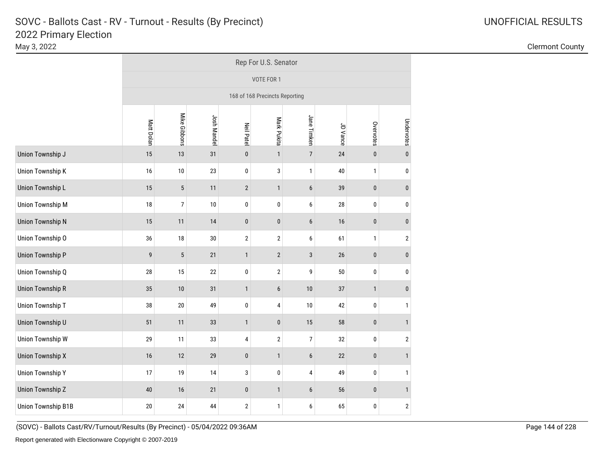|                         | Rep For U.S. Senator           |                |             |                   |                |                  |          |              |                |  |  |
|-------------------------|--------------------------------|----------------|-------------|-------------------|----------------|------------------|----------|--------------|----------------|--|--|
|                         | VOTE FOR 1                     |                |             |                   |                |                  |          |              |                |  |  |
|                         | 168 of 168 Precincts Reporting |                |             |                   |                |                  |          |              |                |  |  |
|                         | Matt Dolan                     | Mike Gibbons   | Josh Mandel | <b>Neil Patel</b> | Mark Pukita    | Jane Timken      | JD Vance | Overvotes    | Undervotes     |  |  |
| Union Township J        | 15                             | 13             | 31          | $\pmb{0}$         | $\mathbf{1}$   | $\overline{7}$   | 24       | $\pmb{0}$    | $\mathbf{0}$   |  |  |
| Union Township K        | 16                             | 10             | 23          | $\pmb{0}$         | 3              | $\mathbf{1}$     | 40       | $\mathbf{1}$ | $\mathbf 0$    |  |  |
| Union Township L        | 15                             | 5              | 11          | $\overline{2}$    | $\mathbf{1}$   | $6\phantom{1}$   | 39       | $\pmb{0}$    | $\mathbf{0}$   |  |  |
| <b>Union Township M</b> | 18                             | $\overline{7}$ | 10          | $\pmb{0}$         | $\mathbf 0$    | 6                | 28       | $\pmb{0}$    | $\pmb{0}$      |  |  |
| <b>Union Township N</b> | 15                             | 11             | 14          | $\pmb{0}$         | $\pmb{0}$      | $6\phantom{1}$   | $16\,$   | $\pmb{0}$    | $\pmb{0}$      |  |  |
| Union Township O        | 36                             | $18\,$         | 30          | $\overline{2}$    | $\mathbf{2}$   | 6                | 61       | $\mathbf{1}$ | $\overline{2}$ |  |  |
| <b>Union Township P</b> | 9                              | 5              | 21          | $\mathbf{1}$      | $\sqrt{2}$     | $\mathbf{3}$     | 26       | $\pmb{0}$    | $\pmb{0}$      |  |  |
| Union Township Q        | $28\,$                         | 15             | 22          | $\pmb{0}$         | $\overline{2}$ | 9                | 50       | $\pmb{0}$    | $\pmb{0}$      |  |  |
| <b>Union Township R</b> | 35                             | 10             | 31          | $\mathbf{1}$      | $6\,$          | 10               | 37       | $\mathbf{1}$ | $\pmb{0}$      |  |  |
| Union Township T        | 38                             | $20\,$         | 49          | $\pmb{0}$         | 4              | $10$             | 42       | $\pmb{0}$    | $\mathbf{1}$   |  |  |
| Union Township U        | 51                             | 11             | 33          | $\mathbf{1}$      | $\pmb{0}$      | 15               | 58       | $\pmb{0}$    | $\mathbf{1}$   |  |  |
| <b>Union Township W</b> | 29                             | 11             | 33          | 4                 | $\sqrt{2}$     | $\overline{7}$   | 32       | $\pmb{0}$    | $\sqrt{2}$     |  |  |
| <b>Union Township X</b> | 16                             | 12             | 29          | $\pmb{0}$         | $\mathbf{1}$   | $\boldsymbol{6}$ | 22       | $\pmb{0}$    | $\mathbf{1}$   |  |  |
| <b>Union Township Y</b> | 17                             | 19             | 14          | 3                 | $\pmb{0}$      | 4                | 49       | $\pmb{0}$    | $\mathbf{1}$   |  |  |
| <b>Union Township Z</b> | 40                             | 16             | 21          | $\pmb{0}$         | $\mathbf{1}$   | $6\phantom{1}$   | 56       | $\pmb{0}$    | $\mathbf{1}$   |  |  |
| Union Township B1B      | 20                             | 24             | 44          | $\mathbf 2$       | $\mathbf{1}$   | 6                | 65       | $\pmb{0}$    | $\mathbf{2}$   |  |  |

May 3, 2022 Clermont County

(SOVC) - Ballots Cast/RV/Turnout/Results (By Precinct) - 05/04/2022 09:36AM Page 144 of 228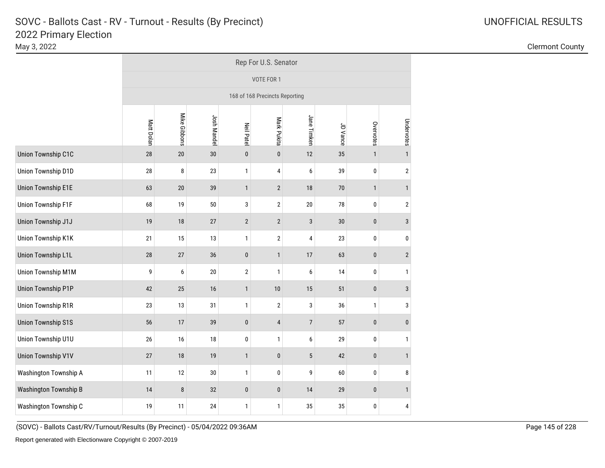|                           | Rep For U.S. Senator |                                                                                                 |             |                   |                                |                |          |              |                |  |  |  |  |  |
|---------------------------|----------------------|-------------------------------------------------------------------------------------------------|-------------|-------------------|--------------------------------|----------------|----------|--------------|----------------|--|--|--|--|--|
|                           |                      |                                                                                                 |             |                   | VOTE FOR 1                     |                |          |              |                |  |  |  |  |  |
|                           |                      |                                                                                                 |             |                   | 168 of 168 Precincts Reporting |                |          |              |                |  |  |  |  |  |
|                           | Matt Dolan           | Mike Gibbons                                                                                    | Josh Mandel | <b>Neil Patel</b> | Mark Pukita                    | Jane Timken    | JD Vance | Overvotes    | Undervotes     |  |  |  |  |  |
| Union Township C1C        | 28                   | 20                                                                                              | 30          | $\pmb{0}$         | $\pmb{0}$                      | 12             | 35       | $\mathbf{1}$ | $\mathbf{1}$   |  |  |  |  |  |
| Union Township D1D        | 28                   | 8                                                                                               | 23          | $\mathbf{1}$      | 4                              | 6              | 39       | $\pmb{0}$    | $\overline{2}$ |  |  |  |  |  |
| <b>Union Township E1E</b> | 63                   | 20                                                                                              | 39          | $\mathbf{1}$      | $\overline{2}$                 | 18             | $70$     | $\mathbf{1}$ | $\mathbf{1}$   |  |  |  |  |  |
| Union Township F1F        | 68                   | 19                                                                                              | 50          | 3                 | $\overline{2}$                 | $20\,$         | 78       | $\pmb{0}$    | $\overline{2}$ |  |  |  |  |  |
| Union Township J1J        | 19                   | 18<br>27<br>$\overline{2}$<br>$\overline{2}$<br>$\mathbf{3}$<br>30<br>$\pmb{0}$<br>$\mathbf{3}$ |             |                   |                                |                |          |              |                |  |  |  |  |  |
| Union Township K1K        | 21                   | 15                                                                                              | 13          | $\mathbf{1}$      | $\overline{2}$                 | $\pmb{4}$      | 23       | $\pmb{0}$    | 0              |  |  |  |  |  |
| <b>Union Township L1L</b> | 28                   | 27                                                                                              | 36          | $\pmb{0}$         | $\mathbf{1}$                   | 17             | 63       | $\pmb{0}$    | $\overline{2}$ |  |  |  |  |  |
| Union Township M1M        | 9                    | $\boldsymbol{6}$                                                                                | 20          | $\overline{2}$    | $\mathbf{1}$                   | 6              | 14       | $\pmb{0}$    | $\mathbf{1}$   |  |  |  |  |  |
| <b>Union Township P1P</b> | 42                   | 25                                                                                              | 16          | $\mathbf{1}$      | 10                             | 15             | 51       | $\pmb{0}$    | $\mathbf{3}$   |  |  |  |  |  |
| <b>Union Township R1R</b> | 23                   | 13                                                                                              | 31          | $\mathbf{1}$      | $\mathbf{2}$                   | $\sqrt{3}$     | 36       | $\mathbf{1}$ | 3              |  |  |  |  |  |
| <b>Union Township S1S</b> | 56                   | 17                                                                                              | 39          | $\pmb{0}$         | $\overline{4}$                 | $\overline{7}$ | 57       | $\pmb{0}$    | $\mathbf{0}$   |  |  |  |  |  |
| Union Township U1U        | 26                   | 16                                                                                              | 18          | 0                 | $\mathbf{1}$                   | 6              | 29       | $\mathbf{0}$ | $\mathbf{1}$   |  |  |  |  |  |
| <b>Union Township V1V</b> | 27                   | 18                                                                                              | 19          | $\mathbf{1}$      | $\pmb{0}$                      | $\sqrt{5}$     | 42       | $\pmb{0}$    | $\mathbf{1}$   |  |  |  |  |  |
| Washington Township A     | 11                   | 12                                                                                              | $30\,$      | 1                 | 0                              | 9              | 60       | 0            | 8              |  |  |  |  |  |
| Washington Township B     | 14                   | $\bf 8$                                                                                         | 32          | $\pmb{0}$         | $\pmb{0}$                      | 14             | 29       | $\pmb{0}$    | $\mathbf{1}$   |  |  |  |  |  |
| Washington Township C     | 19                   | 11                                                                                              | 24          | 1                 | $\mathbf{1}$                   | 35             | 35       | 0            | 4              |  |  |  |  |  |

May 3, 2022 Clermont County

(SOVC) - Ballots Cast/RV/Turnout/Results (By Precinct) - 05/04/2022 09:36AM Page 145 of 228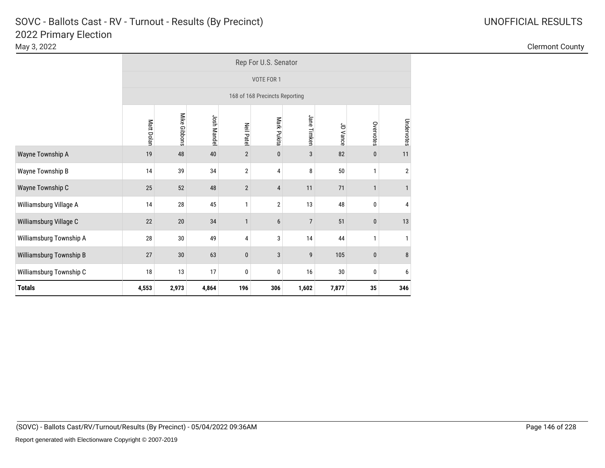|                         | Rep For U.S. Senator                                               |                                                                              |             |                  |                                |                |          |              |            |  |  |  |  |  |  |
|-------------------------|--------------------------------------------------------------------|------------------------------------------------------------------------------|-------------|------------------|--------------------------------|----------------|----------|--------------|------------|--|--|--|--|--|--|
|                         |                                                                    |                                                                              |             |                  | VOTE FOR 1                     |                |          |              |            |  |  |  |  |  |  |
|                         |                                                                    |                                                                              |             |                  | 168 of 168 Precincts Reporting |                |          |              |            |  |  |  |  |  |  |
|                         | Matt Dolan                                                         | Mike Gibbons                                                                 | Josh Mandel | <b>Neil Pate</b> | Mark Pukita                    | Jane Timken    | JD Vance | Overvotes    | Undervotes |  |  |  |  |  |  |
| Wayne Township A        | 19                                                                 | 82<br>48<br>40<br>$\overline{2}$<br>3<br>$\bf{0}$<br>$\pmb{0}$<br>11         |             |                  |                                |                |          |              |            |  |  |  |  |  |  |
| Wayne Township B        | 14                                                                 | 39<br>34<br>$\overline{2}$<br>8<br>50<br>$\overline{2}$<br>$\mathbf{1}$<br>4 |             |                  |                                |                |          |              |            |  |  |  |  |  |  |
| Wayne Township C        | 25                                                                 | 52                                                                           | 48          | $\sqrt{2}$       | 4                              | 11             | 71       |              |            |  |  |  |  |  |  |
| Williamsburg Village A  | 14                                                                 | 28                                                                           | 45          | 1                | $\overline{2}$                 | 13             | 48       | 0            | 4          |  |  |  |  |  |  |
| Williamsburg Village C  | 22                                                                 | 20                                                                           | 34          | $\mathbf{1}$     | 6                              | $\overline{7}$ | 51       | $\pmb{0}$    | 13         |  |  |  |  |  |  |
| Williamsburg Township A | 28                                                                 | 30                                                                           | 49          | 4                | 3                              | 14             | 44       | $\mathbf{1}$ | 1          |  |  |  |  |  |  |
| Williamsburg Township B | 63<br>105<br>27<br>$30\,$<br>3<br>9<br>8<br>$\pmb{0}$<br>$\pmb{0}$ |                                                                              |             |                  |                                |                |          |              |            |  |  |  |  |  |  |
| Williamsburg Township C | 18<br>13<br>17<br>$16$<br>0<br>0<br>0<br>30<br>6                   |                                                                              |             |                  |                                |                |          |              |            |  |  |  |  |  |  |
| <b>Totals</b>           | 4,553                                                              | 2,973                                                                        | 4,864       | 196              | 306                            | 1,602          | 7,877    | 35           | 346        |  |  |  |  |  |  |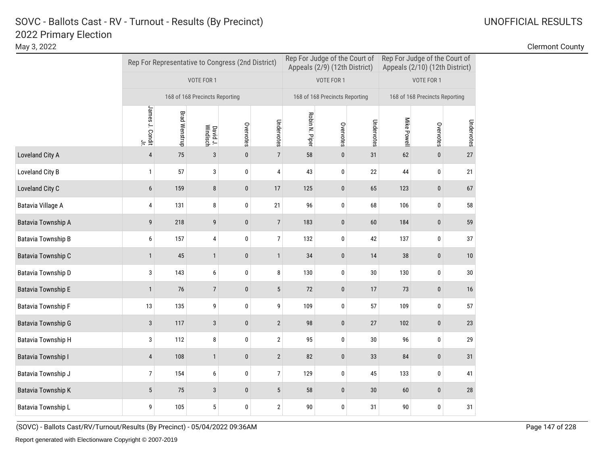|                    |                                    |                      | Rep For Representative to Congress (2nd District) |              |                |                | Rep For Judge of the Court of<br>Appeals (2/9) (12th District) |            | Rep For Judge of the Court of<br>Appeals (2/10) (12th District) |                                |            |  |
|--------------------|------------------------------------|----------------------|---------------------------------------------------|--------------|----------------|----------------|----------------------------------------------------------------|------------|-----------------------------------------------------------------|--------------------------------|------------|--|
|                    |                                    |                      | VOTE FOR 1                                        |              |                |                | VOTE FOR 1                                                     |            |                                                                 | VOTE FOR 1                     |            |  |
|                    |                                    |                      | 168 of 168 Precincts Reporting                    |              |                |                | 168 of 168 Precincts Reporting                                 |            |                                                                 | 168 of 168 Precincts Reporting |            |  |
|                    | James J. Condit<br>James J. Condit | <b>Brad Wenstrup</b> | David J.<br>Windisch                              | Overvotes    | Undervotes     | Robin N. Piper | Overvotes                                                      | Undervotes | Mike Powell                                                     | Overvotes                      | Undervotes |  |
| Loveland City A    | $\overline{4}$                     | 75                   | 3                                                 | $\mathbf{0}$ | $\overline{7}$ | 58             | $\mathbf{0}$                                                   | 31         | 62                                                              | $\mathbf{0}$                   | 27         |  |
| Loveland City B    | 1                                  | 57                   | 3                                                 | $\pmb{0}$    | $\pmb{4}$      | 43             | 0                                                              | 22         | 44                                                              | $\pmb{0}$                      | 21         |  |
| Loveland City C    | 6                                  | 159                  | 8                                                 | $\pmb{0}$    | 17             | 125            | $\pmb{0}$                                                      | 65         | 123                                                             | $\pmb{0}$                      | 67         |  |
| Batavia Village A  | 4                                  | 131                  | 8                                                 | $\pmb{0}$    | 21             | 96             | 0                                                              | 68         | 106                                                             | $\pmb{0}$                      | 58         |  |
| Batavia Township A | 9                                  | 218                  | 9                                                 | $\bf{0}$     | $\overline{7}$ | 183            | $\pmb{0}$                                                      | 60         | 184                                                             | $\pmb{0}$                      | 59         |  |
| Batavia Township B | 6                                  | 157                  | 4                                                 | 0            | $\overline{7}$ | 132            | 0                                                              | 42         | 137                                                             | 0                              | 37         |  |
| Batavia Township C | 1                                  | 45                   | $\mathbf{1}$                                      | $\pmb{0}$    | $\mathbf{1}$   | 34             | $\pmb{0}$                                                      | 14         | 38                                                              | $\pmb{0}$                      | $10\,$     |  |
| Batavia Township D | 3                                  | 143                  | $\boldsymbol{6}$                                  | $\pmb{0}$    | 8              | 130            | 0                                                              | 30         | 130                                                             | 0                              | $30\,$     |  |
| Batavia Township E | $\mathbf{1}$                       | 76                   | $\overline{7}$                                    | $\bf{0}$     | $\sqrt{5}$     | 72             | $\pmb{0}$                                                      | 17         | 73                                                              | $\pmb{0}$                      | $16$       |  |
| Batavia Township F | 13                                 | 135                  | 9                                                 | 0            | 9              | 109            | 0                                                              | 57         | 109                                                             | 0                              | 57         |  |
| Batavia Township G | 3                                  | 117                  | 3                                                 | $\pmb{0}$    | $\sqrt{2}$     | 98             | $\pmb{0}$                                                      | 27         | 102                                                             | $\pmb{0}$                      | 23         |  |
| Batavia Township H | 3                                  | 112                  | 8                                                 | 0            | $\sqrt{2}$     | 95             | $\pmb{0}$                                                      | 30         | 96                                                              | 0                              | 29         |  |
| Batavia Township I | 4                                  | 108                  | $\mathbf{1}$                                      | $\bf{0}$     | $\sqrt{2}$     | 82             | $\pmb{0}$                                                      | 33         | 84                                                              | $\bf{0}$                       | $31\,$     |  |
| Batavia Township J | 7                                  | 154                  | 6                                                 | 0            | $\overline{7}$ | 129            | $\pmb{0}$                                                      | 45         | 133                                                             | 0                              | 41         |  |
| Batavia Township K | 5                                  | $75\,$               | $\mathbf{3}$                                      | $\pmb{0}$    | $\sqrt{5}$     | 58             | $\pmb{0}$                                                      | $30\,$     | 60                                                              | $\pmb{0}$                      | 28         |  |
| Batavia Township L | 9                                  | 105                  | 5                                                 | $\mathbf 0$  | $\overline{2}$ | 90             | $\mathbf 0$                                                    | 31         | 90                                                              | 0                              | 31         |  |

(SOVC) - Ballots Cast/RV/Turnout/Results (By Precinct) - 05/04/2022 09:36AM Page 147 of 228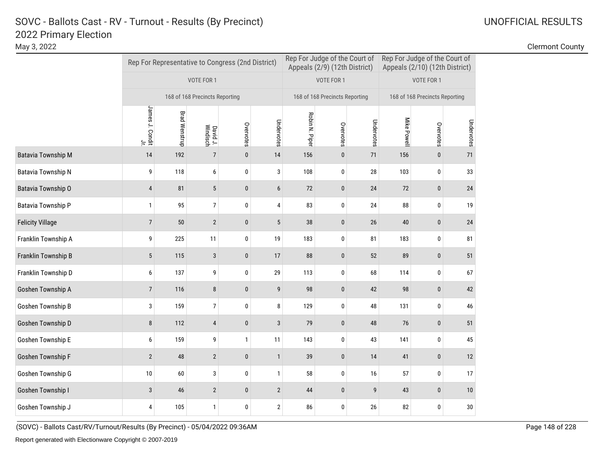|                           |                                    |                      |                                | Rep For Representative to Congress (2nd District) |                |                | Rep For Judge of the Court of<br>Appeals (2/9) (12th District) |            | Rep For Judge of the Court of<br>Appeals (2/10) (12th District) |                                |            |
|---------------------------|------------------------------------|----------------------|--------------------------------|---------------------------------------------------|----------------|----------------|----------------------------------------------------------------|------------|-----------------------------------------------------------------|--------------------------------|------------|
|                           |                                    |                      | VOTE FOR 1                     |                                                   |                |                | VOTE FOR 1                                                     |            |                                                                 | VOTE FOR 1                     |            |
|                           |                                    |                      | 168 of 168 Precincts Reporting |                                                   |                |                | 168 of 168 Precincts Reporting                                 |            |                                                                 | 168 of 168 Precincts Reporting |            |
|                           | James J. Condit<br>James J. Condit | <b>Brad Wenstrup</b> | David J.<br>Windisch           | Overvotes                                         | Undervotes     | Robin N. Piper | Overvotes                                                      | Undervotes | Mike Powell                                                     | Overvotes                      | Undervotes |
| <b>Batavia Township M</b> | 14                                 | 192                  | $\overline{7}$                 | $\bf{0}$                                          | 14             | 156            | $\bf{0}$                                                       | 71         | 156                                                             | $\mathbf{0}$                   | 71         |
| Batavia Township N        | 9                                  | 118                  | 6                              | 0                                                 | $\sqrt{3}$     | 108            | 0                                                              | 28         | 103                                                             | 0                              | 33         |
| Batavia Township O        | $\overline{4}$                     | 81                   | 5                              | $\mathbf{0}$                                      | $6\phantom{1}$ | 72             | $\bf{0}$                                                       | 24         | 72                                                              | 0                              | 24         |
| Batavia Township P        | $\mathbf{1}$                       | 95                   | $\boldsymbol{7}$               | 0                                                 | 4              | 83             | 0                                                              | 24         | 88                                                              | 0                              | $19$       |
| <b>Felicity Village</b>   | $\overline{7}$                     | 50                   | $\overline{2}$                 | $\mathbf{0}$                                      | 5              | 38             | $\bf{0}$                                                       | 26         | 40                                                              | $\mathbf{0}$                   | 24         |
| Franklin Township A       | 9                                  | 225                  | 11                             | $\pmb{0}$                                         | 19             | 183            | 0                                                              | 81         | 183                                                             | 0                              | 81         |
| Franklin Township B       | 5                                  | 115                  | 3                              | $\pmb{0}$                                         | 17             | 88             | $\pmb{0}$                                                      | 52         | 89                                                              | $\pmb{0}$                      | 51         |
| Franklin Township D       | 6                                  | 137                  | 9                              | $\pmb{0}$                                         | 29             | 113            | 0                                                              | 68         | 114                                                             | 0                              | 67         |
| Goshen Township A         | $\overline{7}$                     | 116                  | $\bf 8$                        | $\pmb{0}$                                         | $\overline{9}$ | 98             | $\pmb{0}$                                                      | 42         | 98                                                              | 0                              | 42         |
| Goshen Township B         | 3                                  | 159                  | $\overline{7}$                 | $\pmb{0}$                                         | 8              | 129            | 0                                                              | 48         | 131                                                             | 0                              | 46         |
| Goshen Township D         | 8                                  | 112                  | $\overline{4}$                 | $\pmb{0}$                                         | $\mathbf{3}$   | 79             | $\pmb{0}$                                                      | 48         | 76                                                              | 0                              | 51         |
| Goshen Township E         | 6                                  | 159                  | 9                              | $\mathbf{1}$                                      | 11             | 143            | $\pmb{0}$                                                      | 43         | 141                                                             | 0                              | 45         |
| Goshen Township F         | $\overline{2}$                     | 48                   | $\overline{2}$                 | $\pmb{0}$                                         | $\mathbf{1}$   | 39             | $\pmb{0}$                                                      | 14         | 41                                                              | 0                              | 12         |
| Goshen Township G         | 10                                 | 60                   | 3                              | $\pmb{0}$                                         | $\mathbf{1}$   | 58             | 0                                                              | 16         | 57                                                              | 0                              | 17         |
| Goshen Township I         | 3                                  | 46                   | $\overline{2}$                 | $\pmb{0}$                                         | $\sqrt{2}$     | 44             | $\pmb{0}$                                                      | 9          | 43                                                              | $\mathbf 0$                    | $10\,$     |
| Goshen Township J         | 4                                  | 105                  | $\mathbf{1}$                   | $\pmb{0}$                                         | $\overline{2}$ | 86             | $\pmb{0}$                                                      | 26         | 82                                                              | 0                              | $30\,$     |

(SOVC) - Ballots Cast/RV/Turnout/Results (By Precinct) - 05/04/2022 09:36AM Page 148 of 228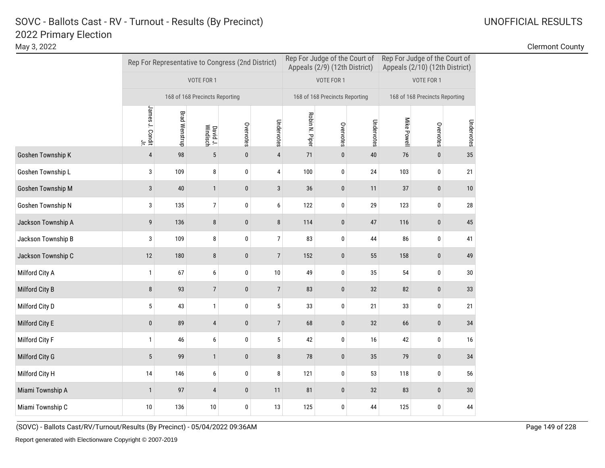May 3, 2022 Clermont County

|                    |                       |                      |                                | Rep For Representative to Congress (2nd District) |                | Rep For Judge of the Court of<br>Appeals (2/9) (12th District) |                                |            | Rep For Judge of the Court of<br>Appeals (2/10) (12th District) |                                |            |
|--------------------|-----------------------|----------------------|--------------------------------|---------------------------------------------------|----------------|----------------------------------------------------------------|--------------------------------|------------|-----------------------------------------------------------------|--------------------------------|------------|
|                    |                       |                      | VOTE FOR 1                     |                                                   |                |                                                                | VOTE FOR 1                     |            |                                                                 | VOTE FOR 1                     |            |
|                    |                       |                      | 168 of 168 Precincts Reporting |                                                   |                |                                                                | 168 of 168 Precincts Reporting |            |                                                                 | 168 of 168 Precincts Reporting |            |
|                    | James J. Condit<br>≒. | <b>Brad Wenstrup</b> | David J.<br>Windisch           | Overvotes                                         | Undervotes     | Robin N. Piper                                                 | Overvotes                      | Undervotes | Mike Powell                                                     | Overvotes                      | Undervotes |
| Goshen Township K  | $\sqrt{4}$            | 98                   | $\sqrt{5}$                     | $\pmb{0}$                                         | $\sqrt{4}$     | 71                                                             | $\pmb{0}$                      | $40\,$     | 76                                                              | $\pmb{0}$                      | 35         |
| Goshen Township L  | 3                     | 109                  | 8                              | 0                                                 | 4              | 100                                                            | 0                              | 24         | 103                                                             | 0                              | 21         |
| Goshen Township M  | $\mathbf{3}$          | $40\,$               | $\mathbf{1}$                   | $\pmb{0}$                                         | $\sqrt{3}$     | 36                                                             | $\pmb{0}$                      | 11         | 37                                                              | $\pmb{0}$                      | 10         |
| Goshen Township N  | 3                     | 135                  | $\overline{7}$                 | 0                                                 | 6              | 122                                                            | $\pmb{0}$                      | 29         | 123                                                             | $\pmb{0}$                      | 28         |
| Jackson Township A | 9                     | 136                  | $\bf 8$                        | $\pmb{0}$                                         | $\bf 8$        | 114                                                            | $\pmb{0}$                      | 47         | 116                                                             | $\pmb{0}$                      | 45         |
| Jackson Township B | 3                     | 109                  | 8                              | 0                                                 | $\overline{7}$ | 83                                                             | 0                              | 44         | 86                                                              | $\pmb{0}$                      | 41         |
| Jackson Township C | 12                    | 180                  | $\bf 8$                        | $\pmb{0}$                                         | $\overline{7}$ | 152                                                            | $\pmb{0}$                      | 55         | 158                                                             | $\pmb{0}$                      | 49         |
| Milford City A     | $\mathbf{1}$          | 67                   | 6                              | 0                                                 | $10$           | 49                                                             | 0                              | 35         | 54                                                              | 0                              | 30         |
| Milford City B     | 8                     | 93                   | $\overline{7}$                 | $\pmb{0}$                                         | $\overline{7}$ | 83                                                             | $\pmb{0}$                      | 32         | 82                                                              | $\bf{0}$                       | 33         |
| Milford City D     | 5                     | 43                   | $\mathbf{1}$                   | 0                                                 | $\sqrt{5}$     | 33                                                             | 0                              | 21         | 33                                                              | 0                              | 21         |
| Milford City E     | $\pmb{0}$             | 89                   | $\overline{4}$                 | $\pmb{0}$                                         | $\overline{7}$ | 68                                                             | $\pmb{0}$                      | 32         | 66                                                              | $\pmb{0}$                      | 34         |
| Milford City F     | $\mathbf{1}$          | 46                   | 6                              | $\pmb{0}$                                         | 5              | 42                                                             | 0                              | 16         | 42                                                              | 0                              | 16         |
| Milford City G     | 5                     | 99                   | $\mathbf{1}$                   | $\mathbf{0}$                                      | $\bf 8$        | 78                                                             | $\pmb{0}$                      | 35         | 79                                                              | 0                              | 34         |
| Milford City H     | 14                    | 146                  | 6                              | $\mathbf 0$                                       | 8              | 121                                                            | 0                              | 53         | 118                                                             | 0                              | 56         |
| Miami Township A   | $\overline{1}$        | 97                   | $\overline{4}$                 | $\pmb{0}$                                         | 11             | 81                                                             | $\pmb{0}$                      | 32         | 83                                                              | 0                              | 30         |
| Miami Township C   | 10                    | 136                  | $10$                           | 0                                                 | 13             | 125                                                            | 0                              | 44         | 125                                                             | 0                              | 44         |

(SOVC) - Ballots Cast/RV/Turnout/Results (By Precinct) - 05/04/2022 09:36AM Page 149 of 228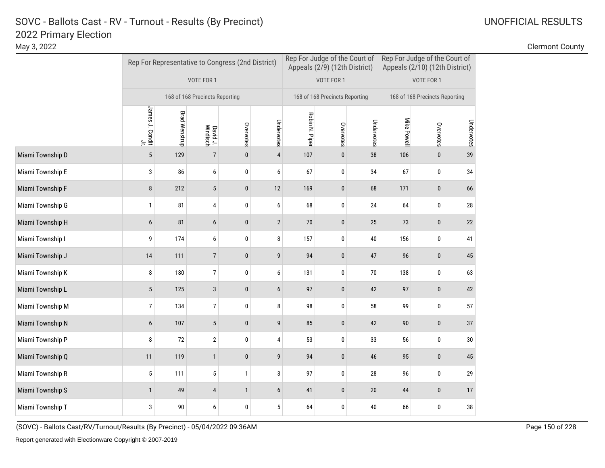|                  |                       |                      |                                | Rep For Representative to Congress (2nd District) |                  |                | Rep For Judge of the Court of<br>Appeals (2/9) (12th District) |            | Rep For Judge of the Court of<br>Appeals (2/10) (12th District) |                                |            |  |
|------------------|-----------------------|----------------------|--------------------------------|---------------------------------------------------|------------------|----------------|----------------------------------------------------------------|------------|-----------------------------------------------------------------|--------------------------------|------------|--|
|                  |                       |                      | VOTE FOR 1                     |                                                   |                  |                | VOTE FOR 1                                                     |            |                                                                 | VOTE FOR 1                     |            |  |
|                  |                       |                      | 168 of 168 Precincts Reporting |                                                   |                  |                | 168 of 168 Precincts Reporting                                 |            |                                                                 | 168 of 168 Precincts Reporting |            |  |
|                  | James J. Condit<br>٢. | <b>Brad Wenstrup</b> | David J.<br>Windisch           | Overvotes                                         | Undervotes       | Robin N. Piper | Overvotes                                                      | Undervotes | Mike Powel                                                      | Overvotes                      | Undervotes |  |
| Miami Township D | $\overline{5}$        | 129                  | $\overline{7}$                 | $\pmb{0}$                                         | $\overline{4}$   | 107            | $\pmb{0}$                                                      | 38         | 106                                                             | 0                              | 39         |  |
| Miami Township E | 3                     | 86                   | 6                              | 0                                                 | 6                | 67             | 0                                                              | 34         | 67                                                              | 0                              | 34         |  |
| Miami Township F | 8                     | 212                  | $\sqrt{5}$                     | $\pmb{0}$                                         | 12               | 169            | $\pmb{0}$                                                      | 68         | 171                                                             | $\pmb{0}$                      | 66         |  |
| Miami Township G | $\mathbf{1}$          | 81                   | $\overline{4}$                 | 0                                                 | 6                | 68             | 0                                                              | 24         | 64                                                              | $\pmb{0}$                      | 28         |  |
| Miami Township H | 6                     | 81                   | 6                              | 0                                                 | $\sqrt{2}$       | $70$           | $\pmb{0}$                                                      | 25         | 73                                                              | 0                              | 22         |  |
| Miami Township I | 9                     | 174                  | 6                              | 0                                                 | 8                | 157            | 0                                                              | 40         | 156                                                             | 0                              | 41         |  |
| Miami Township J | 14                    | 111                  | $\overline{7}$                 | $\mathbf{0}$                                      | 9                | 94             | $\mathbf{0}$                                                   | 47         | 96                                                              | $\mathbf{0}$                   | 45         |  |
| Miami Township K | 8                     | 180                  | $\overline{7}$                 | 0                                                 | 6                | 131            | 0                                                              | $70$       | 138                                                             | $\pmb{0}$                      | 63         |  |
| Miami Township L | $\overline{5}$        | 125                  | $\sqrt{3}$                     | 0                                                 | $\boldsymbol{6}$ | 97             | $\pmb{0}$                                                      | 42         | 97                                                              | 0                              | 42         |  |
| Miami Township M | 7                     | 134                  | $\overline{7}$                 | 0                                                 | 8                | 98             | 0                                                              | 58         | 99                                                              | 0                              | 57         |  |
| Miami Township N | 6                     | 107                  | 5                              | $\mathbf{0}$                                      | 9                | 85             | $\pmb{0}$                                                      | 42         | 90                                                              | $\mathbf{0}$                   | 37         |  |
| Miami Township P | 8                     | 72                   | $\sqrt{2}$                     | 0                                                 | 4                | 53             | 0                                                              | 33         | 56                                                              | 0                              | 30         |  |
| Miami Township Q | 11                    | 119                  | $\mathbf{1}$                   | $\pmb{0}$                                         | $\overline{9}$   | 94             | $\pmb{0}$                                                      | 46         | 95                                                              | $\pmb{0}$                      | 45         |  |
| Miami Township R | 5                     | 111                  | 5                              | $\mathbf{1}$                                      | 3                | 97             | 0                                                              | 28         | 96                                                              | 0                              | 29         |  |
| Miami Township S | $\mathbf{1}$          | 49                   | $\overline{4}$                 | $\mathbf{1}$                                      | $6\phantom{1}$   | 41             | $\mathbf{0}$                                                   | $20\,$     | 44                                                              | 0                              | 17         |  |
| Miami Township T | 3                     | $90\,$               | 6                              | 0                                                 | 5                | 64             | $\mathbf 0$                                                    | 40         | 66                                                              | 0                              | 38         |  |

(SOVC) - Ballots Cast/RV/Turnout/Results (By Precinct) - 05/04/2022 09:36AM Page 150 of 228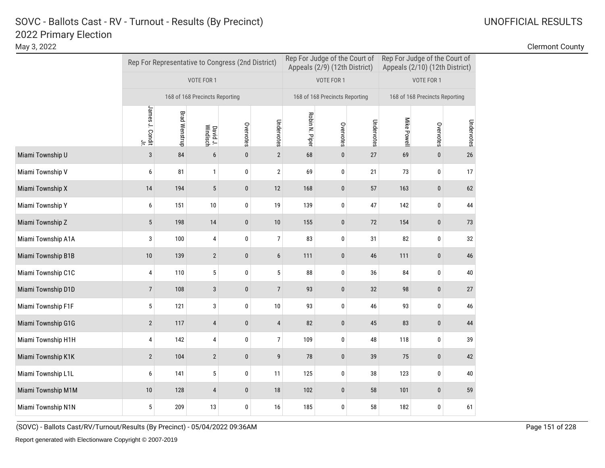|                    |                       |                      |                                | Rep For Representative to Congress (2nd District) |                | Rep For Judge of the Court of<br>Appeals (2/9) (12th District) |                                |            | Rep For Judge of the Court of<br>Appeals (2/10) (12th District) |                                |            |
|--------------------|-----------------------|----------------------|--------------------------------|---------------------------------------------------|----------------|----------------------------------------------------------------|--------------------------------|------------|-----------------------------------------------------------------|--------------------------------|------------|
|                    |                       |                      | VOTE FOR 1                     |                                                   |                |                                                                | VOTE FOR 1                     |            |                                                                 | VOTE FOR 1                     |            |
|                    |                       |                      | 168 of 168 Precincts Reporting |                                                   |                |                                                                | 168 of 168 Precincts Reporting |            |                                                                 | 168 of 168 Precincts Reporting |            |
|                    | James J. Condit<br>٢. | <b>Brad Wenstrup</b> | David J.<br>Windisch           | Overvotes                                         | Undervotes     | Robin N. Piper                                                 | Overvotes                      | Undervotes | Mike Powell                                                     | Overvotes                      | Undervotes |
| Miami Township U   | $\overline{3}$        | 84                   | $6\phantom{1}$                 | $\pmb{0}$                                         | $\overline{2}$ | 68                                                             | $\pmb{0}$                      | 27         | 69                                                              | $\pmb{0}$                      | 26         |
| Miami Township V   | 6                     | 81                   | $\mathbf{1}$                   | 0                                                 | $\overline{2}$ | 69                                                             | 0                              | 21         | 73                                                              | 0                              | 17         |
| Miami Township X   | 14                    | 194                  | $\sqrt{5}$                     | $\pmb{0}$                                         | 12             | 168                                                            | $\pmb{0}$                      | 57         | 163                                                             | $\pmb{0}$                      | 62         |
| Miami Township Y   | 6                     | 151                  | 10                             | 0                                                 | 19             | 139                                                            | 0                              | 47         | 142                                                             | 0                              | 44         |
| Miami Township Z   | 5                     | 198                  | 14                             | 0                                                 | $10$           | 155                                                            | $\pmb{0}$                      | 72         | 154                                                             | 0                              | 73         |
| Miami Township A1A | 3                     | 100                  | 4                              | 0                                                 | $\overline{7}$ | 83                                                             | 0                              | 31         | 82                                                              | 0                              | 32         |
| Miami Township B1B | 10                    | 139                  | $\overline{2}$                 | $\mathbf{0}$                                      | $6\phantom{1}$ | 111                                                            | $\pmb{0}$                      | 46         | 111                                                             | 0                              | 46         |
| Miami Township C1C | 4                     | 110                  | 5                              | 0                                                 | 5              | 88                                                             | 0                              | 36         | 84                                                              | 0                              | 40         |
| Miami Township D1D | $\overline{7}$        | 108                  | $\sqrt{3}$                     | 0                                                 | $\overline{7}$ | 93                                                             | $\pmb{0}$                      | 32         | 98                                                              | 0                              | 27         |
| Miami Township F1F | $\sqrt{5}$            | 121                  | 3                              | 0                                                 | $10\,$         | 93                                                             | 0                              | 46         | 93                                                              | 0                              | 46         |
| Miami Township G1G | $\overline{2}$        | 117                  | $\overline{4}$                 | $\mathbf{0}$                                      | $\overline{4}$ | 82                                                             | $\pmb{0}$                      | 45         | 83                                                              | 0                              | 44         |
| Miami Township H1H | 4                     | 142                  | $\overline{4}$                 | 0                                                 | $\overline{7}$ | 109                                                            | 0                              | 48         | 118                                                             | 0                              | 39         |
| Miami Township K1K | $\overline{2}$        | 104                  | $\overline{2}$                 | $\pmb{0}$                                         | 9              | 78                                                             | $\pmb{0}$                      | 39         | 75                                                              | $\pmb{0}$                      | 42         |
| Miami Township L1L | 6                     | 141                  | 5                              | 0                                                 | 11             | 125                                                            | 0                              | 38         | 123                                                             | 0                              | $40\,$     |
| Miami Township M1M | 10                    | 128                  | $\overline{4}$                 | $\mathbf{0}$                                      | 18             | 102                                                            | $\mathbf{0}$                   | 58         | 101                                                             | 0                              | 59         |
| Miami Township N1N | 5                     | 209                  | 13                             | 0                                                 | 16             | 185                                                            | $\mathbf 0$                    | 58         | 182                                                             | 0                              | 61         |

(SOVC) - Ballots Cast/RV/Turnout/Results (By Precinct) - 05/04/2022 09:36AM Page 151 of 228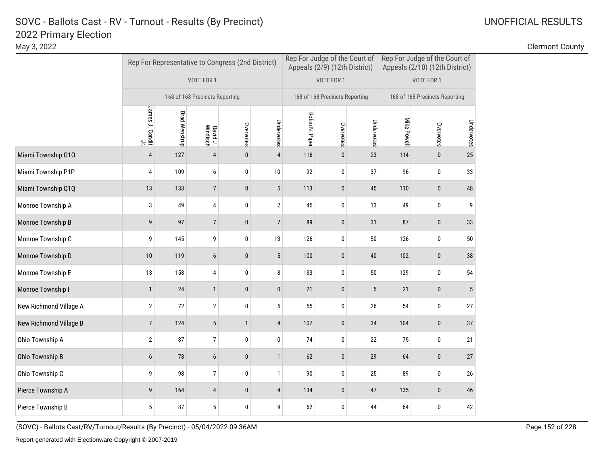May 3, 2022 Clermont County

|                        |                              |                      |                                | Rep For Representative to Congress (2nd District) |                | Rep For Judge of the Court of<br>Appeals (2/9) (12th District) |                                |            | Rep For Judge of the Court of<br>Appeals (2/10) (12th District) |                                |                |
|------------------------|------------------------------|----------------------|--------------------------------|---------------------------------------------------|----------------|----------------------------------------------------------------|--------------------------------|------------|-----------------------------------------------------------------|--------------------------------|----------------|
|                        |                              |                      | VOTE FOR 1                     |                                                   |                |                                                                | VOTE FOR 1                     |            |                                                                 | VOTE FOR 1                     |                |
|                        |                              |                      | 168 of 168 Precincts Reporting |                                                   |                |                                                                | 168 of 168 Precincts Reporting |            |                                                                 | 168 of 168 Precincts Reporting |                |
|                        | James J. Condit<br>$\exists$ | <b>Brad Wenstrup</b> | David J.<br>Windisch           | Overvotes                                         | Undervotes     | Robin N. Piper                                                 | Overvotes                      | Undervotes | Mike Powell                                                     | Overvotes                      | Undervotes     |
| Miami Township 010     | $\overline{4}$               | 127                  | $\sqrt{4}$                     | $\mathbf{0}$                                      | $\overline{4}$ | 116                                                            | $\pmb{0}$                      | 23         | 114                                                             | $\mathbf{0}$                   | 25             |
| Miami Township P1P     | 4                            | 109                  | 6                              | 0                                                 | 10             | 92                                                             | 0                              | 37         | 96                                                              | 0                              | 33             |
| Miami Township Q1Q     | 13                           | 133                  | $\overline{7}$                 | $\pmb{0}$                                         | $\sqrt{5}$     | 113                                                            | $\bf{0}$                       | 45         | 110                                                             | 0                              | 48             |
| Monroe Township A      | 3                            | 49                   | $\overline{4}$                 | $\mathbf 0$                                       | $\overline{2}$ | 45                                                             | 0                              | 13         | 49                                                              | 0                              | 9              |
| Monroe Township B      | 9                            | 97                   | $\overline{7}$                 | $\mathbf{0}$                                      | $\overline{7}$ | 89                                                             | $\pmb{0}$                      | 31         | 87                                                              | $\mathbf{0}$                   | 33             |
| Monroe Township C      | 9                            | 145                  | 9                              | 0                                                 | 13             | 126                                                            | 0                              | $50\,$     | 126                                                             | 0                              | 50             |
| Monroe Township D      | 10                           | 119                  | 6                              | 0                                                 | $\sqrt{5}$     | 100                                                            | $\pmb{0}$                      | $40\,$     | 102                                                             | $\bf{0}$                       | 38             |
| Monroe Township E      | 13                           | 158                  | 4                              | 0                                                 | 8              | 133                                                            | 0                              | $50\,$     | 129                                                             | 0                              | 54             |
| Monroe Township I      | $\mathbf{1}$                 | 24                   | $\mathbf{1}$                   | 0                                                 | $\pmb{0}$      | 21                                                             | $\pmb{0}$                      | 5          | 21                                                              | $\pmb{0}$                      | $\overline{5}$ |
| New Richmond Village A | $\overline{2}$               | $72\,$               | $\sqrt{2}$                     | 0                                                 | 5              | 55                                                             | 0                              | 26         | 54                                                              | 0                              | 27             |
| New Richmond Village B | $\overline{7}$               | 124                  | 5                              | $\mathbf{1}$                                      | $\overline{4}$ | 107                                                            | $\pmb{0}$                      | 34         | 104                                                             | 0                              | 37             |
| Ohio Township A        | $\sqrt{2}$                   | 87                   | $\overline{7}$                 | $\mathbf 0$                                       | $\mathbf 0$    | 74                                                             | 0                              | 22         | 75                                                              | 0                              | 21             |
| Ohio Township B        | 6                            | 78                   | 6                              | 0                                                 | $\mathbf{1}$   | 62                                                             | $\pmb{0}$                      | 29         | 64                                                              | $\pmb{0}$                      | 27             |
| Ohio Township C        | 9                            | 98                   | $\overline{7}$                 | 0                                                 | $\mathbf{1}$   | 90                                                             | 0                              | 25         | 89                                                              | 0                              | 26             |
| Pierce Township A      | 9                            | 164                  | 4                              | 0                                                 | $\overline{4}$ | 134                                                            | $\pmb{0}$                      | 47         | 135                                                             | 0                              | 46             |
| Pierce Township B      | 5                            | 87                   | 5                              | 0                                                 | 9              | 62                                                             | 0                              | 44         | 64                                                              | 0                              | 42             |

(SOVC) - Ballots Cast/RV/Turnout/Results (By Precinct) - 05/04/2022 09:36AM Page 152 of 228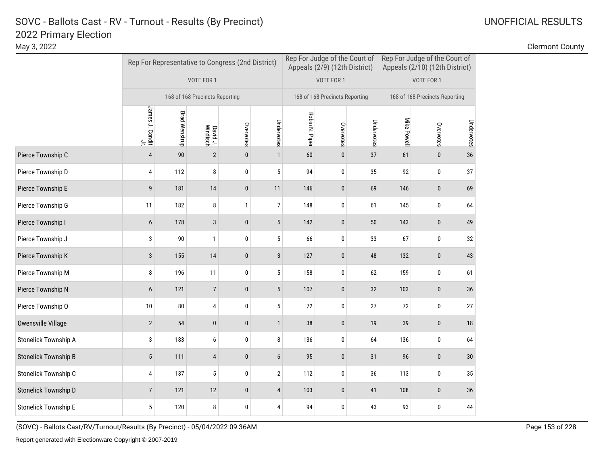May 3, 2022 Clermont County

|                             |                                    | Rep For Representative to Congress (2nd District) |                                |              |                  |                | Rep For Judge of the Court of<br>Appeals (2/9) (12th District) |            |             | Rep For Judge of the Court of<br>Appeals (2/10) (12th District) |            |  |
|-----------------------------|------------------------------------|---------------------------------------------------|--------------------------------|--------------|------------------|----------------|----------------------------------------------------------------|------------|-------------|-----------------------------------------------------------------|------------|--|
|                             |                                    |                                                   | VOTE FOR 1                     |              |                  |                | VOTE FOR 1                                                     |            |             | VOTE FOR 1                                                      |            |  |
|                             |                                    |                                                   | 168 of 168 Precincts Reporting |              |                  |                | 168 of 168 Precincts Reporting                                 |            |             | 168 of 168 Precincts Reporting                                  |            |  |
|                             | James J. Condit<br>James J. Condit | <b>Brad Wenstrup</b>                              | David J.<br>Windisch           | Overvotes    | Undervotes       | Robin N. Piper | Overvotes                                                      | Undervotes | Mike Powell | Overvotes                                                       | Undervotes |  |
| Pierce Township C           | $\overline{4}$                     | 90                                                | $\mathbf{2}$                   | $\mathbf{0}$ | $\mathbf{1}$     | 60             | 0                                                              | 37         | 61          | 0                                                               | 36         |  |
| Pierce Township D           | 4                                  | 112                                               | 8                              | $\pmb{0}$    | 5                | 94             | 0                                                              | 35         | 92          | 0                                                               | 37         |  |
| Pierce Township E           | 9                                  | 181                                               | $14$                           | $\mathbf{0}$ | 11               | 146            | $\pmb{0}$                                                      | 69         | 146         | 0                                                               | 69         |  |
| Pierce Township G           | 11                                 | 182                                               | 8                              | $\mathbf{1}$ | $\overline{7}$   | 148            | 0                                                              | 61         | 145         | 0                                                               | 64         |  |
| Pierce Township I           | 6                                  | 178                                               | $\mathbf{3}$                   | $\pmb{0}$    | $\sqrt{5}$       | 142            | 0                                                              | $50\,$     | 143         | 0                                                               | 49         |  |
| Pierce Township J           | 3                                  | 90                                                | $\mathbf{1}$                   | $\pmb{0}$    | 5                | 66             | 0                                                              | 33         | 67          | 0                                                               | 32         |  |
| Pierce Township K           | 3                                  | 155                                               | 14                             | $\pmb{0}$    | 3                | 127            | 0                                                              | 48         | 132         | 0                                                               | 43         |  |
| Pierce Township M           | 8                                  | 196                                               | 11                             | 0            | 5                | 158            | 0                                                              | 62         | 159         | 0                                                               | 61         |  |
| Pierce Township N           | 6                                  | 121                                               | $\overline{7}$                 | $\pmb{0}$    | $\sqrt{5}$       | 107            | 0                                                              | 32         | 103         | 0                                                               | 36         |  |
| Pierce Township O           | 10                                 | 80                                                | 4                              | 0            | $\sqrt{5}$       | 72             | 0                                                              | 27         | 72          | 0                                                               | 27         |  |
| <b>Owensville Village</b>   | $\overline{2}$                     | 54                                                | $\pmb{0}$                      | $\pmb{0}$    | $\mathbf{1}$     | 38             | $\pmb{0}$                                                      | 19         | 39          | $\pmb{0}$                                                       | 18         |  |
| <b>Stonelick Township A</b> | 3                                  | 183                                               | 6                              | 0            | 8                | 136            | 0                                                              | 64         | 136         | 0                                                               | 64         |  |
| <b>Stonelick Township B</b> | $5\phantom{.0}$                    | 111                                               | 4                              | $\pmb{0}$    | $6\,$            | 95             | 0                                                              | 31         | 96          | $\pmb{0}$                                                       | 30         |  |
| Stonelick Township C        | 4                                  | 137                                               | 5                              | 0            | $\boldsymbol{2}$ | 112            | 0                                                              | 36         | 113         | 0                                                               | 35         |  |
| Stonelick Township D        | $\overline{7}$                     | 121                                               | 12                             | $\pmb{0}$    | $\overline{4}$   | 103            | 0                                                              | 41         | 108         | 0                                                               | 36         |  |
| <b>Stonelick Township E</b> | 5                                  | 120                                               | 8                              | 0            | 4                | 94             | 0                                                              | 43         | 93          | 0                                                               | 44         |  |

(SOVC) - Ballots Cast/RV/Turnout/Results (By Precinct) - 05/04/2022 09:36AM Page 153 of 228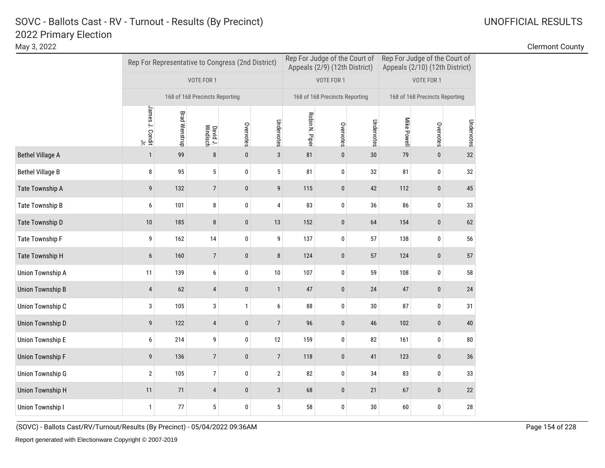|                         |                                    |                      |                                | Rep For Representative to Congress (2nd District) |                | Rep For Judge of the Court of<br>Appeals (2/9) (12th District) |                                |            | Rep For Judge of the Court of<br>Appeals (2/10) (12th District) |                                |            |
|-------------------------|------------------------------------|----------------------|--------------------------------|---------------------------------------------------|----------------|----------------------------------------------------------------|--------------------------------|------------|-----------------------------------------------------------------|--------------------------------|------------|
|                         |                                    |                      | VOTE FOR 1                     |                                                   |                |                                                                | VOTE FOR 1                     |            |                                                                 | VOTE FOR 1                     |            |
|                         |                                    |                      | 168 of 168 Precincts Reporting |                                                   |                |                                                                | 168 of 168 Precincts Reporting |            |                                                                 | 168 of 168 Precincts Reporting |            |
|                         | James J. Condit<br>James J. Condit | <b>Brad Wenstrup</b> | David J.<br>Windisch           | Overvotes                                         | Undervotes     | Robin N. Piper                                                 | Overvotes                      | Undervotes | Mike Powell                                                     | Overvotes                      | Undervotes |
| <b>Bethel Village A</b> | $\mathbf{1}$                       | 99                   | $\bf 8$                        | $\mathbf{0}$                                      | $\mathbf{3}$   | 81                                                             | $\pmb{0}$                      | 30         | 79                                                              | $\pmb{0}$                      | 32         |
| <b>Bethel Village B</b> | 8                                  | 95                   | 5                              | $\pmb{0}$                                         | 5              | 81                                                             | 0                              | 32         | 81                                                              | 0                              | 32         |
| Tate Township A         | 9                                  | 132                  | $\overline{7}$                 | $\mathbf{0}$                                      | 9              | 115                                                            | 0                              | 42         | 112                                                             | 0                              | 45         |
| Tate Township B         | 6                                  | 101                  | 8                              | 0                                                 | 4              | 83                                                             | 0                              | 36         | 86                                                              | 0                              | 33         |
| Tate Township D         | 10                                 | 185                  | 8                              | $\mathbf{0}$                                      | 13             | 152                                                            | 0                              | 64         | 154                                                             | 0                              | 62         |
| Tate Township F         | 9                                  | 162                  | $14$                           | $\pmb{0}$                                         | 9              | 137                                                            | 0                              | 57         | 138                                                             | 0                              | 56         |
| Tate Township H         | 6                                  | 160                  | $\overline{7}$                 | $\mathbf{0}$                                      | 8              | 124                                                            | 0                              | 57         | 124                                                             | $\pmb{0}$                      | 57         |
| Union Township A        | 11                                 | 139                  | 6                              | $\pmb{0}$                                         | 10             | 107                                                            | 0                              | 59         | 108                                                             | 0                              | 58         |
| <b>Union Township B</b> | $\overline{4}$                     | 62                   | 4                              | $\pmb{0}$                                         | $\mathbf{1}$   | 47                                                             | $\pmb{0}$                      | 24         | $47\,$                                                          | 0                              | 24         |
| Union Township C        | 3                                  | 105                  | 3                              | $\mathbf{1}$                                      | 6              | 88                                                             | 0                              | $30\,$     | 87                                                              | 0                              | 31         |
| <b>Union Township D</b> | 9                                  | 122                  | 4                              | $\pmb{0}$                                         | $\overline{7}$ | 96                                                             | $\pmb{0}$                      | 46         | 102                                                             | $\pmb{0}$                      | $40\,$     |
| <b>Union Township E</b> | 6                                  | 214                  | 9                              | $\pmb{0}$                                         | 12             | 159                                                            | 0                              | 82         | 161                                                             | 0                              | ${\bf 80}$ |
| <b>Union Township F</b> | 9                                  | 136                  | $\overline{7}$                 | $\pmb{0}$                                         | $\overline{7}$ | 118                                                            | 0                              | 41         | 123                                                             | 0                              | 36         |
| <b>Union Township G</b> | $\sqrt{2}$                         | 105                  | $\overline{7}$                 | $\pmb{0}$                                         | $\sqrt{2}$     | 82                                                             | 0                              | 34         | 83                                                              | 0                              | 33         |
| <b>Union Township H</b> | 11                                 | 71                   | 4                              | $\pmb{0}$                                         | $\sqrt{3}$     | 68                                                             | $\pmb{0}$                      | 21         | 67                                                              | 0                              | 22         |
| <b>Union Township I</b> | $\mathbf{1}$                       | 77                   | $\sqrt{5}$                     | $\mathbf{0}$                                      | 5              | 58                                                             | 0                              | 30         | 60                                                              | 0                              | 28         |

(SOVC) - Ballots Cast/RV/Turnout/Results (By Precinct) - 05/04/2022 09:36AM Page 154 of 228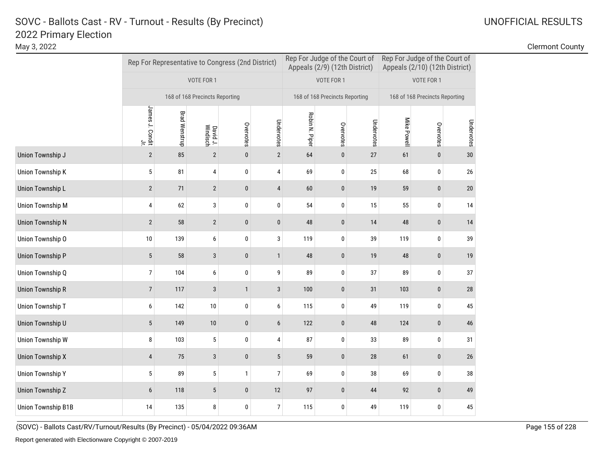|                           |                                    |                      |                                | Rep For Representative to Congress (2nd District) |                |                | Rep For Judge of the Court of<br>Appeals (2/9) (12th District) |            | Rep For Judge of the Court of<br>Appeals (2/10) (12th District) |                                |            |
|---------------------------|------------------------------------|----------------------|--------------------------------|---------------------------------------------------|----------------|----------------|----------------------------------------------------------------|------------|-----------------------------------------------------------------|--------------------------------|------------|
|                           |                                    |                      | VOTE FOR 1                     |                                                   |                |                | VOTE FOR 1                                                     |            |                                                                 | VOTE FOR 1                     |            |
|                           |                                    |                      | 168 of 168 Precincts Reporting |                                                   |                |                | 168 of 168 Precincts Reporting                                 |            |                                                                 | 168 of 168 Precincts Reporting |            |
|                           | James J. Condit<br>James J. Condit | <b>Brad Wenstrup</b> | David J.<br>Windisch           | Overvotes                                         | Undervotes     | Robin N. Piper | Overvotes                                                      | Undervotes | Mike Powell                                                     | Overvotes                      | Undervotes |
| Union Township J          | $\sqrt{2}$                         | 85                   | $\sqrt{2}$                     | $\mathbf{0}$                                      | $\overline{2}$ | 64             | $\pmb{0}$                                                      | 27         | 61                                                              | $\pmb{0}$                      | 30         |
| <b>Union Township K</b>   | 5                                  | 81                   | 4                              | $\pmb{0}$                                         | 4              | 69             | 0                                                              | 25         | 68                                                              | 0                              | $26\,$     |
| Union Township L          | $\overline{2}$                     | 71                   | $\overline{2}$                 | $\mathbf{0}$                                      | $\overline{4}$ | 60             | 0                                                              | 19         | 59                                                              | 0                              | 20         |
| <b>Union Township M</b>   | 4                                  | 62                   | 3                              | 0                                                 | $\pmb{0}$      | 54             | 0                                                              | 15         | 55                                                              | 0                              | 14         |
| <b>Union Township N</b>   | $\overline{2}$                     | 58                   | $\overline{2}$                 | $\mathbf{0}$                                      | $\pmb{0}$      | 48             | 0                                                              | 14         | 48                                                              | 0                              | 14         |
| Union Township O          | 10                                 | 139                  | 6                              | $\pmb{0}$                                         | 3              | 119            | 0                                                              | 39         | 119                                                             | 0                              | 39         |
| <b>Union Township P</b>   | 5                                  | 58                   | 3                              | $\mathbf{0}$                                      | $\mathbf{1}$   | 48             | 0                                                              | 19         | 48                                                              | $\pmb{0}$                      | 19         |
| Union Township Q          | $\overline{7}$                     | 104                  | 6                              | $\pmb{0}$                                         | 9              | 89             | 0                                                              | 37         | 89                                                              | 0                              | 37         |
| <b>Union Township R</b>   | $\overline{7}$                     | 117                  | $\sqrt{3}$                     | $\mathbf{1}$                                      | $\sqrt{3}$     | 100            | $\pmb{0}$                                                      | 31         | 103                                                             | 0                              | $28\,$     |
| Union Township T          | 6                                  | 142                  | $10\,$                         | $\pmb{0}$                                         | 6              | 115            | 0                                                              | 49         | 119                                                             | 0                              | 45         |
| Union Township U          | 5                                  | 149                  | $10\,$                         | $\pmb{0}$                                         | 6              | 122            | $\pmb{0}$                                                      | 48         | 124                                                             | $\pmb{0}$                      | 46         |
| <b>Union Township W</b>   | 8                                  | 103                  | $\sqrt{5}$                     | $\pmb{0}$                                         | 4              | 87             | 0                                                              | 33         | 89                                                              | 0                              | 31         |
| <b>Union Township X</b>   | $\overline{4}$                     | 75                   | $\sqrt{3}$                     | $\pmb{0}$                                         | 5              | 59             | 0                                                              | $28\,$     | 61                                                              | 0                              | 26         |
| <b>Union Township Y</b>   | $\sqrt{5}$                         | 89                   | 5                              | $\mathbf{1}$                                      | $\overline{7}$ | 69             | 0                                                              | 38         | 69                                                              | 0                              | 38         |
| <b>Union Township Z</b>   | 6                                  | 118                  | $\sqrt{5}$                     | $\pmb{0}$                                         | 12             | 97             | 0                                                              | $44\,$     | 92                                                              | $\pmb{0}$                      | 49         |
| <b>Union Township B1B</b> | 14                                 | 135                  | 8                              | $\mathbf 0$                                       | $\overline{7}$ | 115            | 0                                                              | 49         | 119                                                             | 0                              | 45         |

(SOVC) - Ballots Cast/RV/Turnout/Results (By Precinct) - 05/04/2022 09:36AM Page 155 of 228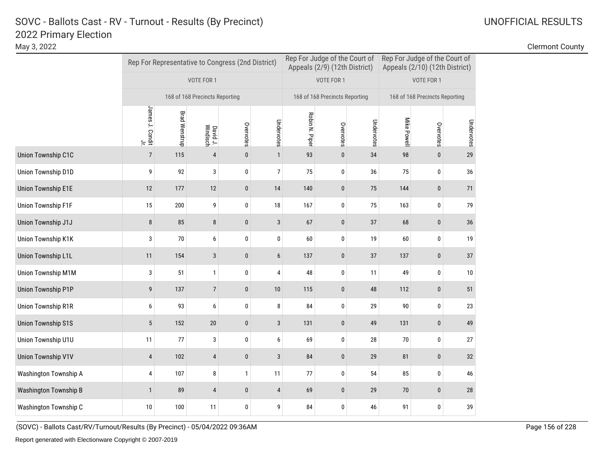|                              |                                    |                      |                                | Rep For Representative to Congress (2nd District) |                  | Rep For Judge of the Court of<br>Appeals (2/9) (12th District) |                                |            | Rep For Judge of the Court of<br>Appeals (2/10) (12th District) |                                |            |
|------------------------------|------------------------------------|----------------------|--------------------------------|---------------------------------------------------|------------------|----------------------------------------------------------------|--------------------------------|------------|-----------------------------------------------------------------|--------------------------------|------------|
|                              |                                    |                      | VOTE FOR 1                     |                                                   |                  |                                                                | VOTE FOR 1                     |            |                                                                 | VOTE FOR 1                     |            |
|                              |                                    |                      | 168 of 168 Precincts Reporting |                                                   |                  |                                                                | 168 of 168 Precincts Reporting |            |                                                                 | 168 of 168 Precincts Reporting |            |
|                              | James J. Condit<br>James J. Condit | <b>Brad Wenstrup</b> | David J.<br>Windisch           | Overvotes                                         | Undervotes       | Robin N. Piper                                                 | Overvotes                      | Undervotes | Mike Powell                                                     | Overvotes                      | Undervotes |
| Union Township C1C           | $\overline{7}$                     | 115                  | $\overline{4}$                 | $\mathbf{0}$                                      | $\mathbf{1}$     | 93                                                             | $\pmb{0}$                      | 34         | 98                                                              | $\mathbf{0}$                   | 29         |
| Union Township D1D           | 9                                  | 92                   | 3                              | 0                                                 | $\overline{7}$   | 75                                                             | 0                              | 36         | 75                                                              | 0                              | 36         |
| <b>Union Township E1E</b>    | 12                                 | 177                  | 12                             | $\pmb{0}$                                         | 14               | 140                                                            | $\bf{0}$                       | 75         | 144                                                             | 0                              | 71         |
| Union Township F1F           | 15                                 | 200                  | 9                              | 0                                                 | 18               | 167                                                            | 0                              | 75         | 163                                                             | 0                              | 79         |
| Union Township J1J           | 8                                  | 85                   | 8                              | $\pmb{0}$                                         | 3                | 67                                                             | $\bf{0}$                       | 37         | 68                                                              | 0                              | 36         |
| Union Township K1K           | 3                                  | 70                   | 6                              | $\pmb{0}$                                         | $\pmb{0}$        | 60                                                             | 0                              | 19         | 60                                                              | 0                              | 19         |
| <b>Union Township L1L</b>    | 11                                 | 154                  | 3                              | $\mathbf{0}$                                      | $\boldsymbol{6}$ | 137                                                            | $\pmb{0}$                      | 37         | 137                                                             | $\pmb{0}$                      | 37         |
| <b>Union Township M1M</b>    | 3                                  | 51                   | $\mathbf{1}$                   | $\pmb{0}$                                         | 4                | 48                                                             | 0                              | 11         | 49                                                              | 0                              | $10\,$     |
| <b>Union Township P1P</b>    | 9                                  | 137                  | $\overline{7}$                 | $\pmb{0}$                                         | 10               | 115                                                            | $\pmb{0}$                      | 48         | 112                                                             | 0                              | 51         |
| <b>Union Township R1R</b>    | 6                                  | 93                   | 6                              | $\pmb{0}$                                         | 8                | 84                                                             | 0                              | 29         | 90                                                              | 0                              | 23         |
| <b>Union Township S1S</b>    | 5                                  | 152                  | $20\,$                         | $\pmb{0}$                                         | $\sqrt{3}$       | 131                                                            | $\pmb{0}$                      | 49         | 131                                                             | 0                              | 49         |
| Union Township U1U           | 11                                 | 77                   | 3                              | $\pmb{0}$                                         | 6                | 69                                                             | $\pmb{0}$                      | 28         | 70                                                              | 0                              | 27         |
| <b>Union Township V1V</b>    | $\overline{4}$                     | 102                  | $\overline{4}$                 | $\pmb{0}$                                         | $\mathbf{3}$     | 84                                                             | $\pmb{0}$                      | 29         | 81                                                              | 0                              | 32         |
| Washington Township A        | 4                                  | 107                  | 8                              | $\mathbf{1}$                                      | 11               | 77                                                             | 0                              | 54         | 85                                                              | 0                              | 46         |
| <b>Washington Township B</b> | $\mathbf{1}$                       | 89                   | $\overline{4}$                 | $\pmb{0}$                                         | $\overline{4}$   | 69                                                             | $\pmb{0}$                      | 29         | 70                                                              | 0                              | 28         |
| Washington Township C        | 10                                 | 100                  | 11                             | $\pmb{0}$                                         | 9                | 84                                                             | $\pmb{0}$                      | 46         | 91                                                              | 0                              | 39         |

(SOVC) - Ballots Cast/RV/Turnout/Results (By Precinct) - 05/04/2022 09:36AM Page 156 of 228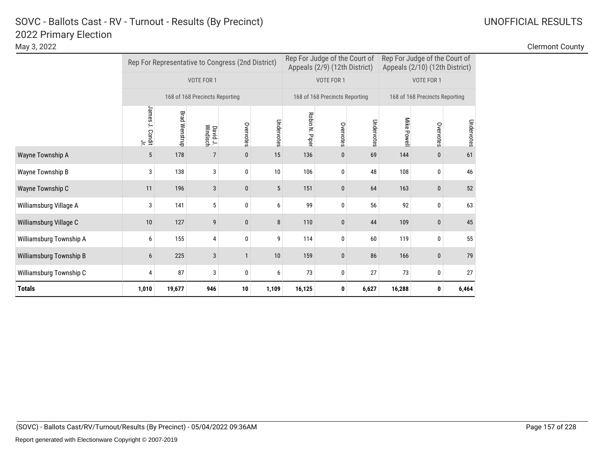| May 3, 2022             |                             |                      |                                |                                                   |            |                |                                                                |            |                                |                                                                 |            | <b>Clermont County</b> |
|-------------------------|-----------------------------|----------------------|--------------------------------|---------------------------------------------------|------------|----------------|----------------------------------------------------------------|------------|--------------------------------|-----------------------------------------------------------------|------------|------------------------|
|                         |                             |                      |                                | Rep For Representative to Congress (2nd District) |            |                | Rep For Judge of the Court of<br>Appeals (2/9) (12th District) |            |                                | Rep For Judge of the Court of<br>Appeals (2/10) (12th District) |            |                        |
|                         |                             |                      | VOTE FOR 1                     |                                                   |            | VOTE FOR 1     |                                                                |            |                                | VOTE FOR 1                                                      |            |                        |
|                         |                             |                      | 168 of 168 Precincts Reporting |                                                   |            |                | 168 of 168 Precincts Reporting                                 |            | 168 of 168 Precincts Reporting |                                                                 |            |                        |
|                         | James<br>a. Condit .<br>مال | <b>Brad Wenstrup</b> | David J.<br>Windisch           | Overvotes                                         | Undervotes | Robin N. Piper | Overvotes                                                      | Undervotes | Mike Powell                    | Overvotes                                                       | Undervotes |                        |
| Wayne Township A        | 5                           | 178                  | 7                              | 0                                                 | 15         | 136            | $\bf{0}$                                                       | 69         | 144                            | $\mathbf{0}$                                                    | 61         |                        |
| Wayne Township B        | 3                           | 138                  | 3                              | $\mathbf 0$                                       | 10         | 106            | $\mathbf 0$                                                    | 48         | 108                            | 0                                                               | 46         |                        |
| Wayne Township C        | 11                          | 196                  | 3                              | 0                                                 | 5          | 151            | $\bf{0}$                                                       | 64         | 163                            | $\mathbf{0}$                                                    | 52         |                        |
| Williamsburg Village A  | 3                           | 141                  | 5                              | 0                                                 | 6          | 99             | 0                                                              | 56         | 92                             | $\mathbf{0}$                                                    | 63         |                        |
| Williamsburg Village C  | 10                          | 127                  | 9                              | 0                                                 | 8          | 110            | $\bf{0}$                                                       | 44         | 109                            | $\mathbf{0}$                                                    | 45         |                        |
| Williamsburg Township A | 6                           | 155                  | 4                              | 0                                                 | 9          | 114            | $\mathbf 0$                                                    | 60         | 119                            | $\mathbf{0}$                                                    | 55         |                        |
| Williamsburg Township B | 6                           | 225                  | 3                              |                                                   | 10         | 159            | $\mathbf{0}$                                                   | 86         | 166                            | $\mathbf 0$                                                     | 79         |                        |
| Williamsburg Township C |                             | 87                   | 3                              | 0                                                 | 6          | 73             | $\mathbf 0$                                                    | 27         | 73                             | 0                                                               | 27         |                        |
| <b>Totals</b>           | 1,010                       | 19,677               | 946                            | 10                                                | 1,109      | 16,125         | 0                                                              | 6,627      | 16,288                         | $\mathbf 0$                                                     | 6,464      |                        |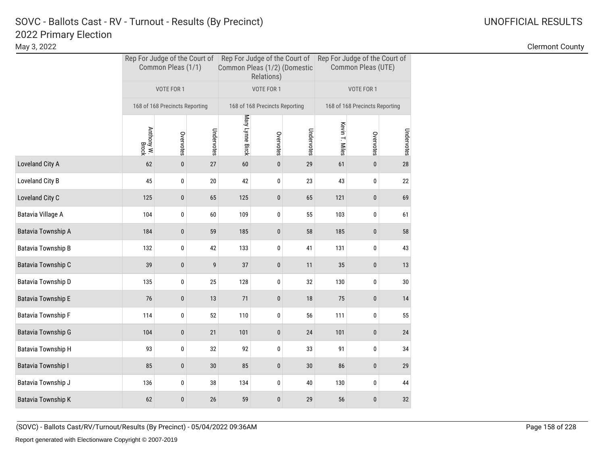# 2022 Primary Election SOVC - Ballots Cast - RV - Turnout - Results (By Precinct) and Manuscription Control Control Control Control C

|                           |                     | Common Pleas (1/1)             |            | Common Pleas (1/2) (Domestic | Relations)                     |            | Rep For Judge of the Court of Rep For Judge of the Court of Rep For Judge of the Court of<br>Common Pleas (UTE) |                                |            |  |
|---------------------------|---------------------|--------------------------------|------------|------------------------------|--------------------------------|------------|-----------------------------------------------------------------------------------------------------------------|--------------------------------|------------|--|
|                           |                     | VOTE FOR 1                     |            |                              | VOTE FOR 1                     |            |                                                                                                                 | VOTE FOR 1                     |            |  |
|                           |                     | 168 of 168 Precincts Reporting |            |                              | 168 of 168 Precincts Reporting |            |                                                                                                                 | 168 of 168 Precincts Reporting |            |  |
|                           | Anthony W.<br>Brock | Overvotes                      | Undervotes | Mary Lynne Birck             | Overvotes                      | Undervotes | Kevin T. Miles                                                                                                  | Overvotes                      | Undervotes |  |
| Loveland City A           | 62                  | $\pmb{0}$                      | 27         | 60                           | $\pmb{0}$                      | 29         | 61                                                                                                              | $\pmb{0}$                      | $28\,$     |  |
| Loveland City B           | 45                  | 0                              | 20         | 42                           | 0                              | 23         | 43                                                                                                              | 0                              | 22         |  |
| Loveland City C           | 125                 | $\mathbf{0}$                   | 65         | 125                          | 0                              | 65         | 121                                                                                                             | 0                              | 69         |  |
| Batavia Village A         | 104                 | 0                              | 60         | 109                          | 0                              | 55         | 103                                                                                                             | 0                              | 61         |  |
| Batavia Township A        | 184                 | $\mathbf{0}$                   | 59         | 185                          | 0                              | 58         | 185                                                                                                             | 0                              | 58         |  |
| Batavia Township B        | 132                 | 0                              | 42         | 133                          | 0                              | 41         | 131                                                                                                             | 0                              | 43         |  |
| Batavia Township C        | 39                  | $\bf{0}$                       | 9          | 37                           | 0                              | 11         | 35                                                                                                              | $\bf{0}$                       | 13         |  |
| Batavia Township D        | 135                 | 0                              | 25         | 128                          | 0                              | 32         | 130                                                                                                             | 0                              | 30         |  |
| Batavia Township E        | 76                  | $\pmb{0}$                      | 13         | 71                           | $\pmb{0}$                      | 18         | 75                                                                                                              | 0                              | $14\,$     |  |
| <b>Batavia Township F</b> | 114                 | 0                              | 52         | 110                          | 0                              | 56         | 111                                                                                                             | 0                              | 55         |  |
| Batavia Township G        | 104                 | $\pmb{0}$                      | 21         | 101                          | 0                              | 24         | 101                                                                                                             | $\pmb{0}$                      | 24         |  |
| Batavia Township H        | 93                  | 0                              | 32         | 92                           | 0                              | 33         | 91                                                                                                              | 0                              | 34         |  |
| Batavia Township I        | 85                  | $\bf{0}$                       | 30         | 85                           | 0                              | 30         | 86                                                                                                              | 0                              | 29         |  |
| Batavia Township J        | 136                 | 0                              | 38         | 134                          | 0                              | 40         | 130                                                                                                             | 0                              | 44         |  |
| <b>Batavia Township K</b> | 62                  | $\mathbf{0}$                   | 26         | 59                           | 0                              | 29         | 56                                                                                                              | 0                              | 32         |  |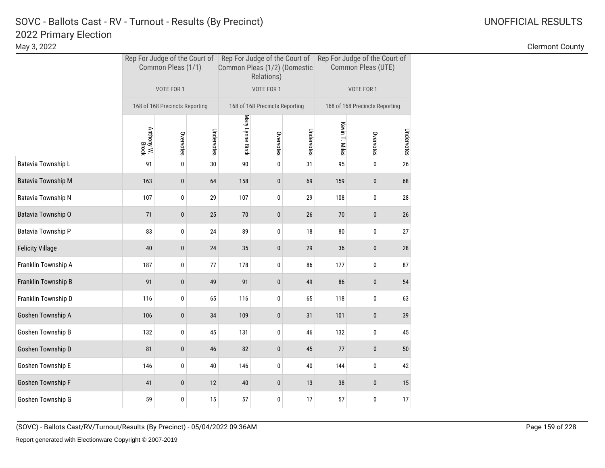# 2022 Primary Election SOVC - Ballots Cast - RV - Turnout - Results (By Precinct) and Monthlytherman Communication Control Communication Communication Communication Communication Communication Communication Communication Communication Communicat

May 3, 2022 Clermont County

|                         |                     | Common Pleas (1/1)             |            | Common Pleas (1/2) (Domestic | Relations)                     |            | Rep For Judge of the Court of Rep For Judge of the Court of Rep For Judge of the Court of<br>Common Pleas (UTE) |                                |            |  |
|-------------------------|---------------------|--------------------------------|------------|------------------------------|--------------------------------|------------|-----------------------------------------------------------------------------------------------------------------|--------------------------------|------------|--|
|                         |                     | VOTE FOR 1                     |            |                              | VOTE FOR 1                     |            |                                                                                                                 | VOTE FOR 1                     |            |  |
|                         |                     | 168 of 168 Precincts Reporting |            |                              | 168 of 168 Precincts Reporting |            |                                                                                                                 | 168 of 168 Precincts Reporting |            |  |
|                         | Anthony W.<br>Brock | Overvotes                      | Undervotes | Mary Lynne Birck             | Overvotes                      | Undervotes | Kevin T. Miles                                                                                                  | Overvotes                      | Undervotes |  |
| Batavia Township L      | 91                  | 0                              | 30         | 90                           | 0                              | 31         | 95                                                                                                              | 0                              | 26         |  |
| Batavia Township M      | 163                 | 0                              | 64         | 158                          | $\mathbf 0$                    | 69         | 159                                                                                                             | $\pmb{0}$                      | 68         |  |
| Batavia Township N      | 107                 | 0                              | 29         | 107                          | 0                              | 29         | 108                                                                                                             | 0                              | 28         |  |
| Batavia Township O      | 71                  | 0                              | 25         | 70                           | 0                              | 26         | 70                                                                                                              | $\pmb{0}$                      | 26         |  |
| Batavia Township P      | 83                  | 0                              | 24         | 89                           | 0                              | 18         | 80                                                                                                              | 0                              | 27         |  |
| <b>Felicity Village</b> | 40                  | $\bf{0}$                       | 24         | 35                           | 0                              | 29         | 36                                                                                                              | $\pmb{0}$                      | 28         |  |
| Franklin Township A     | 187                 | 0                              | 77         | 178                          | 0                              | 86         | 177                                                                                                             | 0                              | 87         |  |
| Franklin Township B     | 91                  | 0                              | 49         | 91                           | 0                              | 49         | 86                                                                                                              | $\pmb{0}$                      | 54         |  |
| Franklin Township D     | 116                 | 0                              | 65         | 116                          | 0                              | 65         | 118                                                                                                             | 0                              | 63         |  |
| Goshen Township A       | 106                 | 0                              | 34         | 109                          | 0                              | 31         | 101                                                                                                             | $\pmb{0}$                      | 39         |  |
| Goshen Township B       | 132                 | 0                              | 45         | 131                          | 0                              | 46         | 132                                                                                                             | 0                              | 45         |  |
| Goshen Township D       | 81                  | $\mathbf{0}$                   | 46         | 82                           | 0                              | 45         | 77                                                                                                              | $\pmb{0}$                      | 50         |  |
| Goshen Township E       | 146                 | 0                              | 40         | 146                          | 0                              | 40         | 144                                                                                                             | $\pmb{0}$                      | 42         |  |
| Goshen Township F       | 41                  | 0                              | 12         | 40                           | 0                              | 13         | 38                                                                                                              | $\pmb{0}$                      | 15         |  |
| Goshen Township G       | 59                  | 0                              | 15         | 57                           | 0                              | 17         | 57                                                                                                              | 0                              | 17         |  |

(SOVC) - Ballots Cast/RV/Turnout/Results (By Precinct) - 05/04/2022 09:36AM Page 159 of 228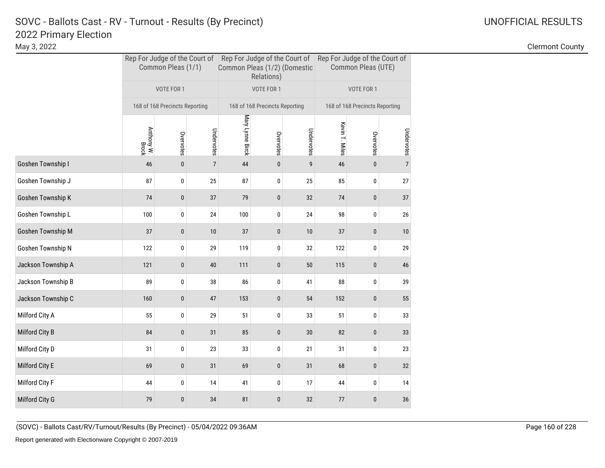|                    | Common Pleas (1/1)  |                                |                 | Common Pleas (1/2) (Domestic | Relations)                     |            | Rep For Judge of the Court of Rep For Judge of the Court of Rep For Judge of the Court of<br>Common Pleas (UTE) |                                |                |  |
|--------------------|---------------------|--------------------------------|-----------------|------------------------------|--------------------------------|------------|-----------------------------------------------------------------------------------------------------------------|--------------------------------|----------------|--|
|                    |                     | VOTE FOR 1                     |                 |                              | VOTE FOR 1                     |            |                                                                                                                 | VOTE FOR 1                     |                |  |
|                    |                     | 168 of 168 Precincts Reporting |                 |                              | 168 of 168 Precincts Reporting |            |                                                                                                                 | 168 of 168 Precincts Reporting |                |  |
|                    | Anthony W.<br>Brock | Overvotes                      | Undervotes      | Mary Lynne Birck             | Overvotes                      | Undervotes | Kevin T. Miles                                                                                                  | Overvotes                      | Undervotes     |  |
| Goshen Township I  | 46                  | $\pmb{0}$                      | $7\overline{ }$ | 44                           | $\bf{0}$                       | 9          | 46                                                                                                              | $\pmb{0}$                      | $\overline{7}$ |  |
| Goshen Township J  | 87                  | 0                              | 25              | 87                           | 0                              | 25         | 85                                                                                                              | 0                              | 27             |  |
| Goshen Township K  | 74                  | $\bf{0}$                       | 37              | 79                           | 0                              | 32         | 74                                                                                                              | $\pmb{0}$                      | 37             |  |
| Goshen Township L  | 100                 | 0                              | 24              | 100                          | 0                              | 24         | 98                                                                                                              | 0                              | 26             |  |
| Goshen Township M  | 37                  | $\bf{0}$                       | $10$            | 37                           | $\pmb{0}$                      | $10$       | 37                                                                                                              | $\pmb{0}$                      | $10$           |  |
| Goshen Township N  | 122                 | 0                              | 29              | 119                          | 0                              | 32         | 122                                                                                                             | 0                              | 29             |  |
| Jackson Township A | 121                 | $\pmb{0}$                      | $40\,$          | 111                          | $\pmb{0}$                      | $50\,$     | 115                                                                                                             | $\pmb{0}$                      | 46             |  |
| Jackson Township B | 89                  | 0                              | 38              | 86                           | 0                              | 41         | 88                                                                                                              | 0                              | 39             |  |
| Jackson Township C | 160                 | $\bf{0}$                       | 47              | 153                          | $\pmb{0}$                      | 54         | 152                                                                                                             | $\pmb{0}$                      | 55             |  |
| Milford City A     | 55                  | 0                              | 29              | 51                           | 0                              | 33         | 51                                                                                                              | 0                              | 33             |  |
| Milford City B     | 84                  | $\pmb{0}$                      | 31              | 85                           | $\pmb{0}$                      | 30         | 82                                                                                                              | $\pmb{0}$                      | 33             |  |
| Milford City D     | 31                  | 0                              | 23              | 33                           | 0                              | 21         | 31                                                                                                              | 0                              | 23             |  |
| Milford City E     | 69                  | $\pmb{0}$                      | 31              | 69                           | $\pmb{0}$                      | 31         | 68                                                                                                              | $\pmb{0}$                      | 32             |  |
| Milford City F     | 44                  | 0                              | 14              | 41                           | 0                              | 17         | 44                                                                                                              | 0                              | 14             |  |
| Milford City G     | 79                  | $\bf{0}$                       | 34              | 81                           | 0                              | 32         | 77                                                                                                              | 0                              | 36             |  |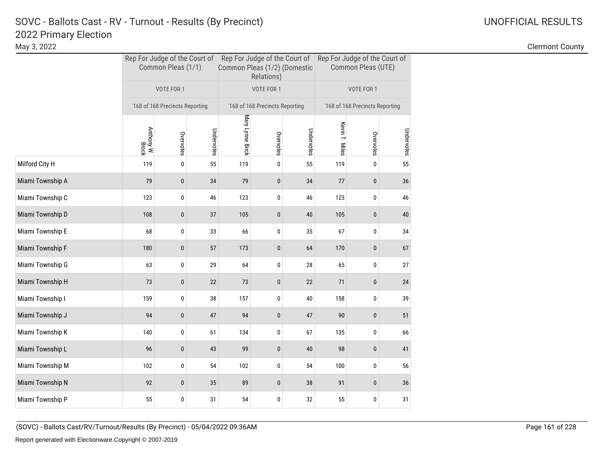May 3, 2022 Clermont County

|                  |                     | Common Pleas (1/1)             |            | Common Pleas (1/2) (Domestic | Relations)                     |            | Rep For Judge of the Court of Rep For Judge of the Court of Rep For Judge of the Court of<br>Common Pleas (UTE) |                                |            |  |
|------------------|---------------------|--------------------------------|------------|------------------------------|--------------------------------|------------|-----------------------------------------------------------------------------------------------------------------|--------------------------------|------------|--|
|                  |                     | VOTE FOR 1                     |            |                              | VOTE FOR 1                     |            |                                                                                                                 | VOTE FOR 1                     |            |  |
|                  |                     | 168 of 168 Precincts Reporting |            |                              | 168 of 168 Precincts Reporting |            |                                                                                                                 | 168 of 168 Precincts Reporting |            |  |
|                  | Anthony W.<br>Brock | Overvotes                      | Undervotes | Mary Lynne Birck             | Overvotes                      | Undervotes | Kevin T. Miles                                                                                                  | Overvotes                      | Undervotes |  |
| Milford City H   | 119                 | $\pmb{0}$                      | 55         | 119                          | 0                              | 55         | 119                                                                                                             | 0                              | 55         |  |
| Miami Township A | 79                  | 0                              | 34         | 79                           | $\bf{0}$                       | 34         | 77                                                                                                              | 0                              | 36         |  |
| Miami Township C | 123                 | 0                              | 46         | 123                          | 0                              | 46         | 123                                                                                                             | 0                              | 46         |  |
| Miami Township D | 108                 | 0                              | 37         | 105                          | $\pmb{0}$                      | 40         | 105                                                                                                             | 0                              | $40\,$     |  |
| Miami Township E | 68                  | $\bf{0}$                       | 33         | 66                           | 0                              | 35         | 67                                                                                                              | 0                              | 34         |  |
| Miami Township F | 180                 | $\pmb{0}$                      | 57         | 173                          | $\pmb{0}$                      | 64         | 170                                                                                                             | 0                              | 67         |  |
| Miami Township G | 63                  | 0                              | 29         | 64                           | 0                              | 28         | 65                                                                                                              | 0                              | 27         |  |
| Miami Township H | 73                  | 0                              | 22         | 73                           | $\pmb{0}$                      | 22         | 71                                                                                                              | 0                              | 24         |  |
| Miami Township I | 159                 | 0                              | 38         | 157                          | 0                              | 40         | 158                                                                                                             | 0                              | 39         |  |
| Miami Township J | 94                  | $\bf{0}$                       | 47         | 94                           | $\pmb{0}$                      | 47         | 90                                                                                                              | 0                              | 51         |  |
| Miami Township K | 140                 | 0                              | 61         | 134                          | $\mathbf 0$                    | 67         | 135                                                                                                             | 0                              | 66         |  |
| Miami Township L | 96                  | $\bf{0}$                       | 43         | 99                           | $\bf{0}$                       | 40         | 98                                                                                                              | 0                              | 41         |  |
| Miami Township M | 102                 | 0                              | 54         | 102                          | 0                              | 54         | 100                                                                                                             | 0                              | 56         |  |
| Miami Township N | 92                  | $\mathbf{0}$                   | 35         | 89                           | $\mathbf{0}$                   | 38         | 91                                                                                                              | 0                              | 36         |  |
| Miami Township P | 55                  | 0                              | 31         | 54                           | 0                              | 32         | 55                                                                                                              | 0                              | 31         |  |

(SOVC) - Ballots Cast/RV/Turnout/Results (By Precinct) - 05/04/2022 09:36AM Page 161 of 228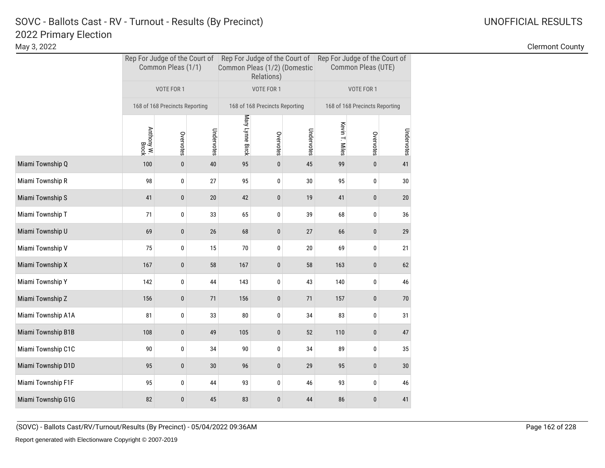# 2022 Primary Election SOVC - Ballots Cast - RV - Turnout - Results (By Precinct) and Manuscription Control Control Control Control C

|                    | Common Pleas (1/1)  |                                |            | Common Pleas (1/2) (Domestic | Relations)                     |            | Rep For Judge of the Court of Rep For Judge of the Court of Rep For Judge of the Court of<br>Common Pleas (UTE) |                                |            |  |
|--------------------|---------------------|--------------------------------|------------|------------------------------|--------------------------------|------------|-----------------------------------------------------------------------------------------------------------------|--------------------------------|------------|--|
|                    |                     | VOTE FOR 1                     |            |                              | VOTE FOR 1                     |            |                                                                                                                 | VOTE FOR 1                     |            |  |
|                    |                     | 168 of 168 Precincts Reporting |            |                              | 168 of 168 Precincts Reporting |            |                                                                                                                 | 168 of 168 Precincts Reporting |            |  |
|                    | Anthony W.<br>Brock | Overvotes                      | Undervotes | Mary Lynne Birck             | Overvotes                      | Undervotes | Kevin T. Miles                                                                                                  | Overvotes                      | Undervotes |  |
| Miami Township Q   | 100                 | $\bf{0}$                       | $40\,$     | 95                           | 0                              | 45         | 99                                                                                                              | $\bf{0}$                       | 41         |  |
| Miami Township R   | 98                  | 0                              | 27         | 95                           | 0                              | $30\,$     | 95                                                                                                              | 0                              | $30\,$     |  |
| Miami Township S   | 41                  | $\pmb{0}$                      | 20         | 42                           | 0                              | 19         | 41                                                                                                              | 0                              | 20         |  |
| Miami Township T   | 71                  | 0                              | 33         | 65                           | 0                              | 39         | 68                                                                                                              | 0                              | 36         |  |
| Miami Township U   | 69                  | $\mathbf{0}$                   | 26         | 68                           | 0                              | 27         | 66                                                                                                              | 0                              | 29         |  |
| Miami Township V   | 75                  | 0                              | 15         | 70                           | 0                              | $20\,$     | 69                                                                                                              | 0                              | 21         |  |
| Miami Township X   | 167                 | $\bf{0}$                       | 58         | 167                          | 0                              | 58         | 163                                                                                                             | $\bf{0}$                       | 62         |  |
| Miami Township Y   | 142                 | 0                              | 44         | 143                          | 0                              | 43         | 140                                                                                                             | 0                              | 46         |  |
| Miami Township Z   | 156                 | $\pmb{0}$                      | 71         | 156                          | 0                              | 71         | 157                                                                                                             | 0                              | 70         |  |
| Miami Township A1A | 81                  | 0                              | 33         | 80                           | 0                              | 34         | 83                                                                                                              | 0                              | 31         |  |
| Miami Township B1B | 108                 | $\pmb{0}$                      | 49         | 105                          | $\pmb{0}$                      | 52         | 110                                                                                                             | $\pmb{0}$                      | 47         |  |
| Miami Township C1C | 90                  | 0                              | 34         | 90                           | 0                              | 34         | 89                                                                                                              | 0                              | 35         |  |
| Miami Township D1D | 95                  | $\pmb{0}$                      | 30         | 96                           | 0                              | 29         | 95                                                                                                              | 0                              | $30\,$     |  |
| Miami Township F1F | 95                  | 0                              | 44         | 93                           | 0                              | 46         | 93                                                                                                              | 0                              | 46         |  |
| Miami Township G1G | 82                  | 0                              | 45         | 83                           | 0                              | 44         | 86                                                                                                              | 0                              | 41         |  |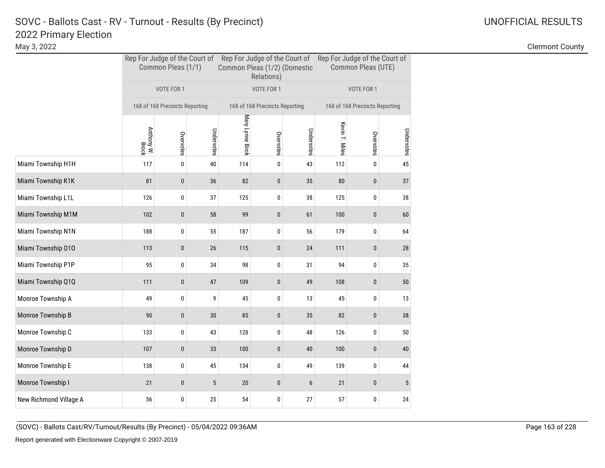May 3, 2022 Clermont County

|                        | Rep For Judge of the Court of Rep For Judge of the Court of Rep For Judge of the Court of<br>Common Pleas (1/1) |                                |            | Common Pleas (1/2) (Domestic | Relations)                     |            | Common Pleas (UTE) |                                |            |  |
|------------------------|-----------------------------------------------------------------------------------------------------------------|--------------------------------|------------|------------------------------|--------------------------------|------------|--------------------|--------------------------------|------------|--|
|                        |                                                                                                                 | VOTE FOR 1                     |            |                              | VOTE FOR 1                     |            |                    | VOTE FOR 1                     |            |  |
|                        |                                                                                                                 | 168 of 168 Precincts Reporting |            |                              | 168 of 168 Precincts Reporting |            |                    | 168 of 168 Precincts Reporting |            |  |
|                        | Anthony W.<br>Brock                                                                                             | Overvotes                      | Undervotes | Mary Lynne Birck             | Overvotes                      | Undervotes | Kevin T. Miles     | Overvotes                      | Undervotes |  |
| Miami Township H1H     | 117                                                                                                             | $\pmb{0}$                      | 40         | 114                          | 0                              | 43         | 112                | 0                              | 45         |  |
| Miami Township K1K     | 81                                                                                                              | 0                              | 36         | 82                           | $\bf{0}$                       | 35         | 80                 | 0                              | 37         |  |
| Miami Township L1L     | 126                                                                                                             | 0                              | 37         | 125                          | 0                              | 38         | 125                | 0                              | 38         |  |
| Miami Township M1M     | 102                                                                                                             | $\mathbf{0}$                   | 58         | 99                           | $\pmb{0}$                      | 61         | 100                | 0                              | 60         |  |
| Miami Township N1N     | 188                                                                                                             | $\bf{0}$                       | 55         | 187                          | 0                              | 56         | 179                | 0                              | 64         |  |
| Miami Township 010     | 113                                                                                                             | 0                              | 26         | 115                          | $\pmb{0}$                      | 24         | 111                | 0                              | 28         |  |
| Miami Township P1P     | 95                                                                                                              | 0                              | 34         | 98                           | 0                              | 31         | 94                 | 0                              | 35         |  |
| Miami Township Q1Q     | 111                                                                                                             | 0                              | 47         | 109                          | $\pmb{0}$                      | 49         | 108                | 0                              | $50\,$     |  |
| Monroe Township A      | 49                                                                                                              | 0                              | 9          | 45                           | 0                              | 13         | 45                 | 0                              | 13         |  |
| Monroe Township B      | 90                                                                                                              | 0                              | 30         | 85                           | 0                              | 35         | 82                 | 0                              | 38         |  |
| Monroe Township C      | 133                                                                                                             | 0                              | 43         | 128                          | 0                              | 48         | 126                | 0                              | 50         |  |
| Monroe Township D      | 107                                                                                                             | $\bf{0}$                       | 33         | 100                          | $\pmb{0}$                      | 40         | 100                | 0                              | 40         |  |
| Monroe Township E      | 138                                                                                                             | 0                              | 45         | 134                          | 0                              | 49         | 139                | 0                              | 44         |  |
| Monroe Township I      | 21                                                                                                              | $\mathbf{0}$                   | 5          | 20                           | $\mathbf{0}$                   | 6          | 21                 | 0                              | 5          |  |
| New Richmond Village A | 56                                                                                                              | 0                              | 25         | 54                           | 0                              | 27         | 57                 | 0                              | 24         |  |

(SOVC) - Ballots Cast/RV/Turnout/Results (By Precinct) - 05/04/2022 09:36AM Page 163 of 228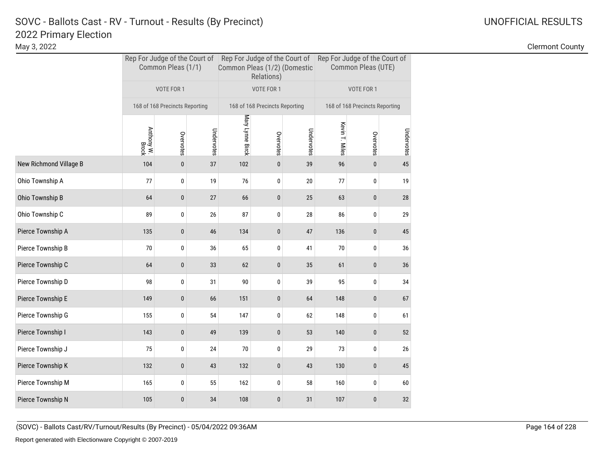# 2022 Primary Election SOVC - Ballots Cast - RV - Turnout - Results (By Precinct) and Monthlytherman Communication Control Communication Communication Communication Communication Communication Communication Communication Communication Communicat

|                        |                     | Common Pleas (1/1)             |            | Common Pleas (1/2) (Domestic | Relations)                     |            | Rep For Judge of the Court of Rep For Judge of the Court of Rep For Judge of the Court of<br>Common Pleas (UTE) |                                |            |  |
|------------------------|---------------------|--------------------------------|------------|------------------------------|--------------------------------|------------|-----------------------------------------------------------------------------------------------------------------|--------------------------------|------------|--|
|                        |                     | VOTE FOR 1                     |            |                              | VOTE FOR 1                     |            |                                                                                                                 | VOTE FOR 1                     |            |  |
|                        |                     | 168 of 168 Precincts Reporting |            |                              | 168 of 168 Precincts Reporting |            |                                                                                                                 | 168 of 168 Precincts Reporting |            |  |
|                        | Anthony W.<br>Brock | Overvotes                      | Undervotes | Mary Lynne Birck             | Overvotes                      | Undervotes | Kevin T. Miles                                                                                                  | Overvotes                      | Undervotes |  |
| New Richmond Village B | 104                 | $\pmb{0}$                      | 37         | 102                          | $\pmb{0}$                      | 39         | 96                                                                                                              | $\pmb{0}$                      | 45         |  |
| Ohio Township A        | 77                  | $\bf{0}$                       | 19         | 76                           | $\mathbf 0$                    | 20         | 77                                                                                                              | 0                              | 19         |  |
| Ohio Township B        | 64                  | $\bf{0}$                       | 27         | 66                           | $\pmb{0}$                      | 25         | 63                                                                                                              | 0                              | 28         |  |
| Ohio Township C        | 89                  | 0                              | 26         | 87                           | 0                              | 28         | 86                                                                                                              | 0                              | 29         |  |
| Pierce Township A      | 135                 | $\pmb{0}$                      | 46         | 134                          | $\bf{0}$                       | 47         | 136                                                                                                             | 0                              | 45         |  |
| Pierce Township B      | 70                  | 0                              | 36         | 65                           | 0                              | 41         | 70                                                                                                              | 0                              | 36         |  |
| Pierce Township C      | 64                  | $\pmb{0}$                      | 33         | 62                           | $\pmb{0}$                      | 35         | 61                                                                                                              | 0                              | 36         |  |
| Pierce Township D      | 98                  | 0                              | 31         | 90                           | 0                              | 39         | 95                                                                                                              | 0                              | 34         |  |
| Pierce Township E      | 149                 | 0                              | 66         | 151                          | $\pmb{0}$                      | 64         | 148                                                                                                             | 0                              | 67         |  |
| Pierce Township G      | 155                 | $\bf{0}$                       | 54         | 147                          | 0                              | 62         | 148                                                                                                             | 0                              | 61         |  |
| Pierce Township I      | 143                 | 0                              | 49         | 139                          | $\pmb{0}$                      | 53         | 140                                                                                                             | $\pmb{0}$                      | 52         |  |
| Pierce Township J      | 75                  | 0                              | 24         | 70                           | 0                              | 29         | 73                                                                                                              | 0                              | 26         |  |
| Pierce Township K      | 132                 | $\pmb{0}$                      | 43         | 132                          | 0                              | 43         | 130                                                                                                             | 0                              | 45         |  |
| Pierce Township M      | 165                 | 0                              | 55         | 162                          | 0                              | 58         | 160                                                                                                             | 0                              | 60         |  |
| Pierce Township N      | 105                 | 0                              | 34         | 108                          | 0                              | 31         | 107                                                                                                             | 0                              | 32         |  |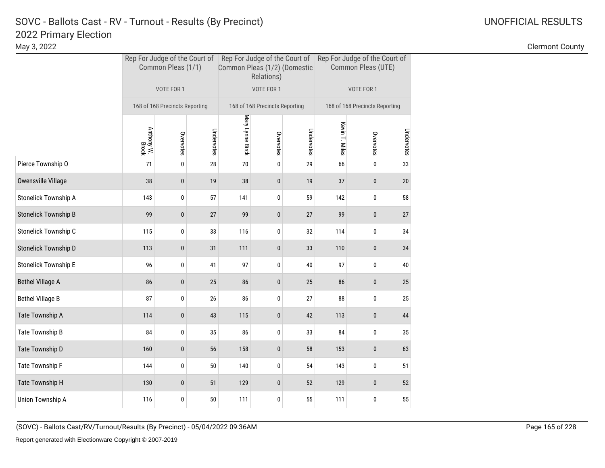May 3, 2022 Clermont County

|     |                     |            |                                                      |           |            | Common Pleas (UTE)                                                           |            |                                                                                                                             |  |
|-----|---------------------|------------|------------------------------------------------------|-----------|------------|------------------------------------------------------------------------------|------------|-----------------------------------------------------------------------------------------------------------------------------|--|
|     | VOTE FOR 1          |            |                                                      |           |            |                                                                              | VOTE FOR 1 |                                                                                                                             |  |
|     |                     |            |                                                      |           |            |                                                                              |            |                                                                                                                             |  |
|     | Overvotes           | Undervotes | Mary Lynne Birck                                     | Overvotes | Undervotes | Kevin T. Miles                                                               | Overvotes  | Undervotes                                                                                                                  |  |
| 71  | 0                   | 28         | 70                                                   | 0         | 29         | 66                                                                           | 0          | 33                                                                                                                          |  |
| 38  | 0                   | 19         | 38                                                   | 0         | 19         | 37                                                                           | 0          | $20\,$                                                                                                                      |  |
| 143 | 0                   | 57         | 141                                                  | 0         | 59         | 142                                                                          | 0          | 58                                                                                                                          |  |
| 99  | 0                   | 27         | 99                                                   | 0         | 27         | 99                                                                           | 0          | 27                                                                                                                          |  |
| 115 | 0                   | 33         | 116                                                  | 0         | 32         | 114                                                                          | 0          | 34                                                                                                                          |  |
| 113 | $\bf{0}$            | 31         | 111                                                  | 0         | 33         | 110                                                                          | 0          | 34                                                                                                                          |  |
| 96  | 0                   | 41         | 97                                                   | 0         | 40         | 97                                                                           | 0          | 40                                                                                                                          |  |
| 86  | $\pmb{0}$           | 25         | 86                                                   | 0         | 25         | 86                                                                           | 0          | 25                                                                                                                          |  |
| 87  | 0                   | 26         | 86                                                   | 0         | 27         | 88                                                                           | 0          | 25                                                                                                                          |  |
| 114 | $\bf{0}$            | 43         | 115                                                  | 0         | 42         | 113                                                                          | 0          | 44                                                                                                                          |  |
| 84  | 0                   | 35         | 86                                                   | 0         | 33         | 84                                                                           | 0          | 35                                                                                                                          |  |
| 160 | 0                   | 56         | 158                                                  | $\pmb{0}$ | 58         | 153                                                                          | 0          | 63                                                                                                                          |  |
| 144 | 0                   | 50         | 140                                                  | 0         | 54         | 143                                                                          | 0          | 51                                                                                                                          |  |
| 130 | $\mathbf{0}$        | 51         | 129                                                  | 0         | 52         | 129                                                                          | 0          | 52                                                                                                                          |  |
| 116 | 0                   | $50\,$     | 111                                                  | 0         | 55         | 111                                                                          | 0          | 55                                                                                                                          |  |
|     | Anthony W.<br>Brock |            | Common Pleas (1/1)<br>168 of 168 Precincts Reporting |           | VOTE FOR 1 | Common Pleas (1/2) (Domestic<br>Relations)<br>168 of 168 Precincts Reporting |            | Rep For Judge of the Court of Rep For Judge of the Court of Rep For Judge of the Court of<br>168 of 168 Precincts Reporting |  |

(SOVC) - Ballots Cast/RV/Turnout/Results (By Precinct) - 05/04/2022 09:36AM Page 165 of 228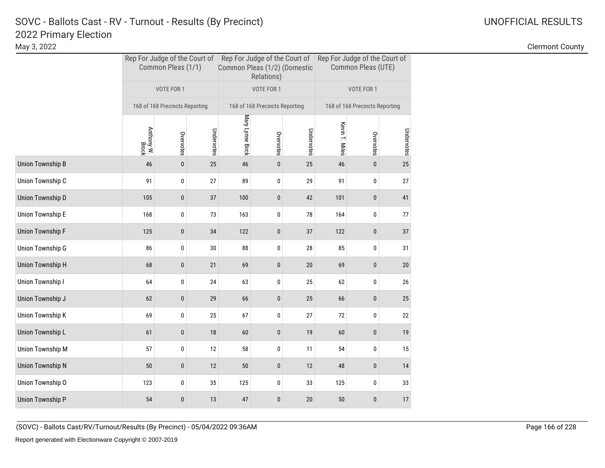|                  |                     | Common Pleas (1/1)             |            | Common Pleas (1/2) (Domestic | Relations)                     |            | Rep For Judge of the Court of Rep For Judge of the Court of Rep For Judge of the Court of<br>Common Pleas (UTE) |                                |            |  |
|------------------|---------------------|--------------------------------|------------|------------------------------|--------------------------------|------------|-----------------------------------------------------------------------------------------------------------------|--------------------------------|------------|--|
|                  |                     | VOTE FOR 1                     |            |                              | VOTE FOR 1                     |            |                                                                                                                 | VOTE FOR 1                     |            |  |
|                  |                     | 168 of 168 Precincts Reporting |            |                              | 168 of 168 Precincts Reporting |            |                                                                                                                 | 168 of 168 Precincts Reporting |            |  |
|                  | Anthony W.<br>Brock | Overvotes                      | Undervotes | Mary Lynne Birck             | Overvotes                      | Undervotes | Kevin T. Miles                                                                                                  | Overvotes                      | Undervotes |  |
| Union Township B | 46                  | $\pmb{0}$                      | 25         | 46                           | $\pmb{0}$                      | 25         | 46                                                                                                              | $\bf{0}$                       | 25         |  |
| Union Township C | 91                  | 0                              | 27         | 89                           | 0                              | 29         | 91                                                                                                              | 0                              | 27         |  |
| Union Township D | 105                 | $\bf{0}$                       | 37         | 100                          | 0                              | 42         | 101                                                                                                             | $\pmb{0}$                      | 41         |  |
| Union Township E | 168                 | 0                              | 73         | 163                          | 0                              | 78         | 164                                                                                                             | 0                              | 77         |  |
| Union Township F | 125                 | $\bf{0}$                       | 34         | 122                          | $\mathbf 0$                    | 37         | 122                                                                                                             | $\pmb{0}$                      | 37         |  |
| Union Township G | 86                  | 0                              | 30         | 88                           | 0                              | 28         | 85                                                                                                              | 0                              | 31         |  |
| Union Township H | 68                  | 0                              | 21         | 69                           | 0                              | $20\,$     | 69                                                                                                              | $\pmb{0}$                      | 20         |  |
| Union Township I | 64                  | 0                              | 24         | 63                           | 0                              | 25         | 62                                                                                                              | 0                              | 26         |  |
| Union Township J | 62                  | 0                              | 29         | 66                           | 0                              | 25         | 66                                                                                                              | $\pmb{0}$                      | 25         |  |
| Union Township K | 69                  | 0                              | 25         | 67                           | 0                              | 27         | 72                                                                                                              | 0                              | 22         |  |
| Union Township L | 61                  | 0                              | 18         | 60                           | 0                              | 19         | 60                                                                                                              | $\pmb{0}$                      | 19         |  |
| Union Township M | 57                  | 0                              | 12         | 58                           | 0                              | 11         | 54                                                                                                              | 0                              | 15         |  |
| Union Township N | 50                  | 0                              | 12         | 50                           | 0                              | 12         | 48                                                                                                              | $\pmb{0}$                      | 14         |  |
| Union Township O | 123                 | 0                              | 35         | 125                          | 0                              | 33         | 125                                                                                                             | 0                              | 33         |  |
| Union Township P | 54                  | 0                              | 13         | 47                           | $\bf{0}$                       | 20         | 50                                                                                                              | $\pmb{0}$                      | 17         |  |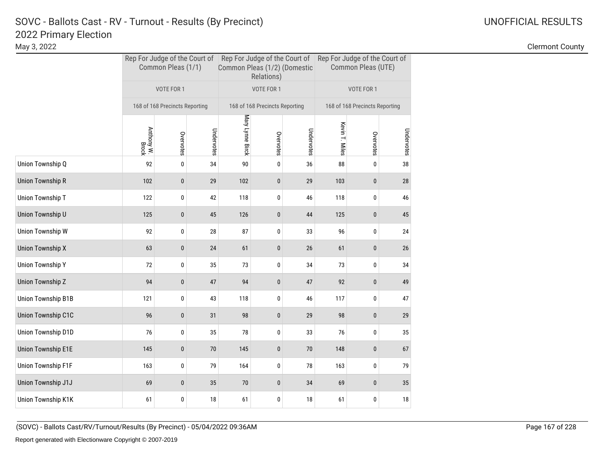# 2022 Primary Election SOVC - Ballots Cast - RV - Turnout - Results (By Precinct) and Manuscription Control Control Control Control C

|                    |                     | Common Pleas (1/1)             |            | Common Pleas (1/2) (Domestic | Relations)                     |            | Rep For Judge of the Court of Rep For Judge of the Court of Rep For Judge of the Court of<br>Common Pleas (UTE) |                                |            |  |
|--------------------|---------------------|--------------------------------|------------|------------------------------|--------------------------------|------------|-----------------------------------------------------------------------------------------------------------------|--------------------------------|------------|--|
|                    |                     | VOTE FOR 1                     |            |                              | VOTE FOR 1                     |            |                                                                                                                 | VOTE FOR 1                     |            |  |
|                    |                     | 168 of 168 Precincts Reporting |            |                              | 168 of 168 Precincts Reporting |            |                                                                                                                 | 168 of 168 Precincts Reporting |            |  |
|                    | Anthony W.<br>Brock | Overvotes                      | Undervotes | Mary Lynne Birck             | Overvotes                      | Undervotes | Kevin T. Miles                                                                                                  | Overvotes                      | Undervotes |  |
| Union Township Q   | 92                  | $\pmb{0}$                      | 34         | 90                           | 0                              | 36         | 88                                                                                                              | 0                              | 38         |  |
| Union Township R   | 102                 | 0                              | 29         | 102                          | $\pmb{0}$                      | 29         | 103                                                                                                             | 0                              | 28         |  |
| Union Township T   | 122                 | 0                              | 42         | 118                          | 0                              | 46         | 118                                                                                                             | 0                              | 46         |  |
| Union Township U   | 125                 | 0                              | 45         | 126                          | $\bf{0}$                       | 44         | 125                                                                                                             | 0                              | 45         |  |
| Union Township W   | 92                  | $\pmb{0}$                      | 28         | 87                           | 0                              | 33         | 96                                                                                                              | 0                              | 24         |  |
| Union Township X   | 63                  | 0                              | 24         | 61                           | $\pmb{0}$                      | 26         | 61                                                                                                              | 0                              | 26         |  |
| Union Township Y   | 72                  | 0                              | 35         | 73                           | 0                              | 34         | 73                                                                                                              | 0                              | 34         |  |
| Union Township Z   | 94                  | $\pmb{0}$                      | 47         | 94                           | $\pmb{0}$                      | 47         | 92                                                                                                              | 0                              | 49         |  |
| Union Township B1B | 121                 | 0                              | 43         | 118                          | 0                              | 46         | 117                                                                                                             | 0                              | 47         |  |
| Union Township C1C | 96                  | 0                              | 31         | 98                           | 0                              | 29         | 98                                                                                                              | 0                              | 29         |  |
| Union Township D1D | 76                  | $\mathbf 0$                    | 35         | 78                           | 0                              | 33         | 76                                                                                                              | 0                              | 35         |  |
| Union Township E1E | 145                 | $\bf{0}$                       | $70$       | 145                          | $\pmb{0}$                      | 70         | 148                                                                                                             | 0                              | 67         |  |
| Union Township F1F | 163                 | 0                              | 79         | 164                          | 0                              | 78         | 163                                                                                                             | 0                              | 79         |  |
| Union Township J1J | 69                  | $\mathbf{0}$                   | 35         | 70                           | $\mathbf{0}$                   | 34         | 69                                                                                                              | 0                              | 35         |  |
| Union Township K1K | 61                  | 0                              | 18         | 61                           | 0                              | 18         | 61                                                                                                              | 0                              | 18         |  |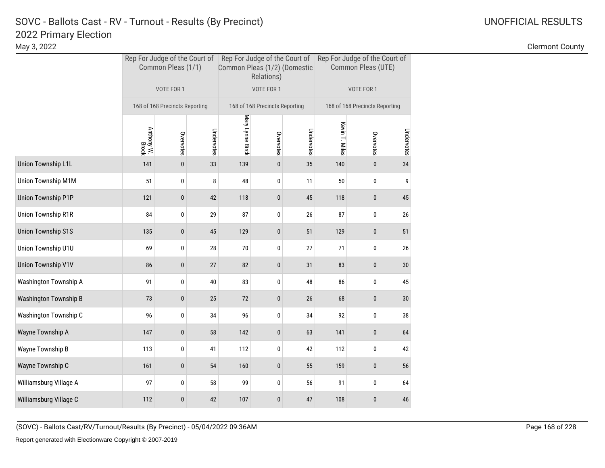|                           |                     | Common Pleas (1/1)             |            | Common Pleas (1/2) (Domestic | Relations)                     |            | Rep For Judge of the Court of Rep For Judge of the Court of Rep For Judge of the Court of<br>Common Pleas (UTE) |                                |            |  |
|---------------------------|---------------------|--------------------------------|------------|------------------------------|--------------------------------|------------|-----------------------------------------------------------------------------------------------------------------|--------------------------------|------------|--|
|                           |                     | VOTE FOR 1                     |            |                              | VOTE FOR 1                     |            |                                                                                                                 | VOTE FOR 1                     |            |  |
|                           |                     | 168 of 168 Precincts Reporting |            |                              | 168 of 168 Precincts Reporting |            |                                                                                                                 | 168 of 168 Precincts Reporting |            |  |
|                           | Anthony W.<br>Brock | Overvotes                      | Undervotes | Mary Lynne Birck             | Overvotes                      | Undervotes | Kevin T. Miles                                                                                                  | Overvotes                      | Undervotes |  |
| Union Township L1L        | 141                 | $\pmb{0}$                      | 33         | 139                          | $\pmb{0}$                      | 35         | 140                                                                                                             | $\pmb{0}$                      | 34         |  |
| Union Township M1M        | 51                  | 0                              | 8          | 48                           | 0                              | 11         | 50                                                                                                              | 0                              | 9          |  |
| <b>Union Township P1P</b> | 121                 | $\pmb{0}$                      | 42         | 118                          | $\pmb{0}$                      | 45         | 118                                                                                                             | 0                              | 45         |  |
| <b>Union Township R1R</b> | 84                  | 0                              | 29         | 87                           | 0                              | 26         | 87                                                                                                              | 0                              | 26         |  |
| <b>Union Township S1S</b> | 135                 | $\bf{0}$                       | 45         | 129                          | 0                              | 51         | 129                                                                                                             | 0                              | 51         |  |
| Union Township U1U        | 69                  | 0                              | 28         | 70                           | 0                              | 27         | 71                                                                                                              | 0                              | 26         |  |
| <b>Union Township V1V</b> | 86                  | $\pmb{0}$                      | 27         | 82                           | $\pmb{0}$                      | 31         | 83                                                                                                              | 0                              | 30         |  |
| Washington Township A     | 91                  | 0                              | 40         | 83                           | 0                              | 48         | 86                                                                                                              | 0                              | 45         |  |
| Washington Township B     | 73                  | 0                              | 25         | 72                           | $\pmb{0}$                      | 26         | 68                                                                                                              | 0                              | 30         |  |
| Washington Township C     | 96                  | 0                              | 34         | 96                           | 0                              | 34         | 92                                                                                                              | 0                              | 38         |  |
| Wayne Township A          | 147                 | $\pmb{0}$                      | 58         | 142                          | $\pmb{0}$                      | 63         | 141                                                                                                             | $\pmb{0}$                      | 64         |  |
| Wayne Township B          | 113                 | 0                              | 41         | 112                          | 0                              | 42         | 112                                                                                                             | 0                              | 42         |  |
| Wayne Township C          | 161                 | 0                              | 54         | 160                          | 0                              | 55         | 159                                                                                                             | 0                              | 56         |  |
| Williamsburg Village A    | 97                  | 0                              | 58         | 99                           | 0                              | 56         | 91                                                                                                              | 0                              | 64         |  |
| Williamsburg Village C    | 112                 | 0                              | 42         | 107                          | 0                              | 47         | 108                                                                                                             | 0                              | 46         |  |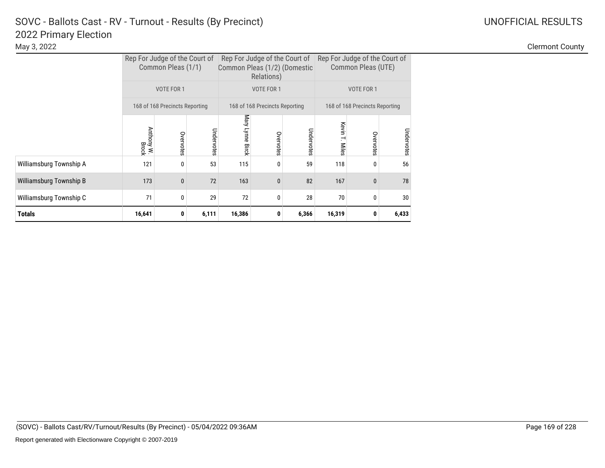|                         |                     | Rep For Judge of the Court of<br>Common Pleas (1/1) |            |                  | Rep For Judge of the Court of<br>Common Pleas (1/2) (Domestic<br>Relations) |            | Rep For Judge of the Court of | Common Pleas (UTE)             |            |
|-------------------------|---------------------|-----------------------------------------------------|------------|------------------|-----------------------------------------------------------------------------|------------|-------------------------------|--------------------------------|------------|
|                         |                     | VOTE FOR 1                                          |            |                  | VOTE FOR 1                                                                  |            |                               | VOTE FOR 1                     |            |
|                         |                     | 168 of 168 Precincts Reporting                      |            |                  | 168 of 168 Precincts Reporting                                              |            |                               | 168 of 168 Precincts Reporting |            |
|                         | Anthony W.<br>Brock | Overvotes                                           | Undervotes | Mary Lynne Birck | Overvotes                                                                   | Undervotes | Kevin<br>T. Miles             | Overvotes                      | Undervotes |
| Williamsburg Township A | 121                 | $\mathbf{0}$                                        | 53         | 115              | 0                                                                           | 59         | 118                           | 0                              | 56         |
| Williamsburg Township B | 173                 | $\mathbf{0}$                                        | 72         | 163              | $\mathbf{0}$                                                                | 82         | 167                           | $\mathbf{0}$                   | 78         |
| Williamsburg Township C | 71                  | 0                                                   | 29         | 72               | 0                                                                           | 28         | 70                            | 0                              | 30         |
| <b>Totals</b>           | 16,641              | 0                                                   | 6,111      | 16,386           | 0                                                                           | 6,366      | 16,319                        | 0                              | 6,433      |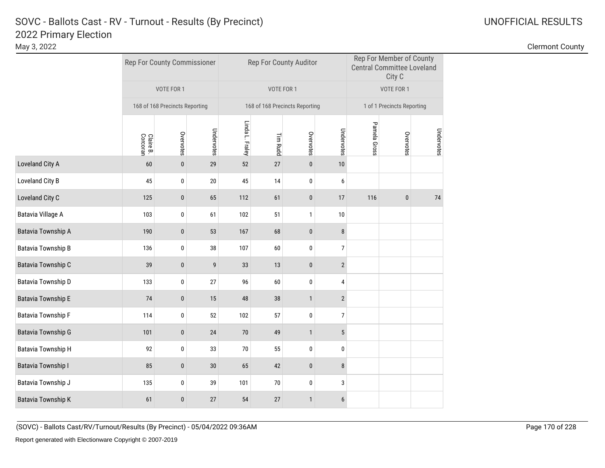|                           |                       | Rep For County Commissioner    |                 |                 | Rep For County Auditor         |              |                  | Rep For Member of County<br><b>Central Committee Loveland</b><br>City C |                            |            |
|---------------------------|-----------------------|--------------------------------|-----------------|-----------------|--------------------------------|--------------|------------------|-------------------------------------------------------------------------|----------------------------|------------|
|                           |                       | VOTE FOR 1                     |                 |                 | VOTE FOR 1                     |              |                  |                                                                         | VOTE FOR 1                 |            |
|                           |                       | 168 of 168 Precincts Reporting |                 |                 | 168 of 168 Precincts Reporting |              |                  |                                                                         | 1 of 1 Precincts Reporting |            |
|                           | Corcoran<br>Claire B. | Overvotes                      | Undervotes      | Linda L. Fraley | Tim Rudd                       | Overvotes    | Undervotes       | Pamela Gross                                                            | Overvotes                  | Undervotes |
| Loveland City A           | 60                    | $\pmb{0}$                      | 29              | 52              | 27                             | $\pmb{0}$    | 10               |                                                                         |                            |            |
| Loveland City B           | 45                    | 0                              | 20              | 45              | $14$                           | $\mathbf 0$  | 6                |                                                                         |                            |            |
| Loveland City C           | 125                   | $\pmb{0}$                      | 65              | 112             | 61                             | $\pmb{0}$    | $17\,$           | 116                                                                     | $\pmb{0}$                  | 74         |
| Batavia Village A         | 103                   | 0                              | 61              | 102             | 51                             | $\mathbf{1}$ | $10\,$           |                                                                         |                            |            |
| Batavia Township A        | 190                   | $\pmb{0}$                      | 53              | 167             | 68                             | $\pmb{0}$    | $\bf 8$          |                                                                         |                            |            |
| <b>Batavia Township B</b> | 136                   | 0                              | 38              | 107             | 60                             | 0            | $\boldsymbol{7}$ |                                                                         |                            |            |
| Batavia Township C        | 39                    | $\pmb{0}$                      | 9               | 33              | 13                             | $\bf{0}$     | $\overline{2}$   |                                                                         |                            |            |
| Batavia Township D        | 133                   | 0                              | 27              | 96              | 60                             | 0            | 4                |                                                                         |                            |            |
| <b>Batavia Township E</b> | 74                    | $\pmb{0}$                      | 15              | 48              | 38                             | $\mathbf{1}$ | $\overline{2}$   |                                                                         |                            |            |
| <b>Batavia Township F</b> | 114                   | 0                              | 52              | 102             | 57                             | 0            | $\boldsymbol{7}$ |                                                                         |                            |            |
| <b>Batavia Township G</b> | 101                   | $\pmb{0}$                      | 24              | $70$            | 49                             | $\mathbf{1}$ | $5\phantom{.0}$  |                                                                         |                            |            |
| <b>Batavia Township H</b> | 92                    | 0                              | 33              | 70              | 55                             | $\mathbf 0$  | $\pmb{0}$        |                                                                         |                            |            |
| <b>Batavia Township I</b> | 85                    | $\pmb{0}$                      | 30 <sup>°</sup> | 65              | 42                             | $\pmb{0}$    | 8                |                                                                         |                            |            |
| Batavia Township J        | 135                   | 0                              | 39              | 101             | $70\,$                         | 0            | 3                |                                                                         |                            |            |
| <b>Batavia Township K</b> | 61                    | $\bf{0}$                       | 27              | 54              | 27                             | $\mathbf{1}$ | $\boldsymbol{6}$ |                                                                         |                            |            |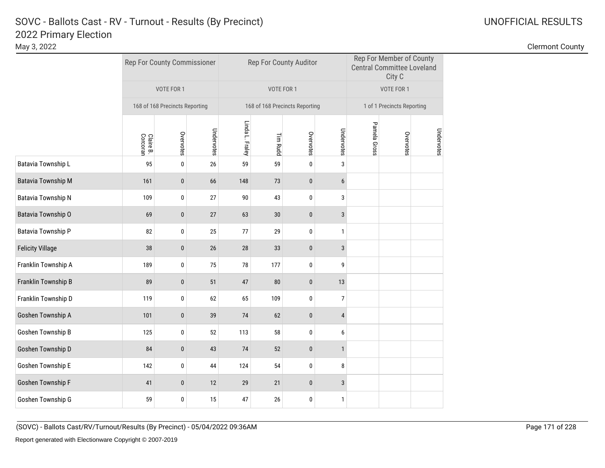|                           |                       | Rep For County Commissioner    |            |                 | Rep For County Auditor         |           |                  |              | Rep For Member of County<br><b>Central Committee Loveland</b><br>City C |            |
|---------------------------|-----------------------|--------------------------------|------------|-----------------|--------------------------------|-----------|------------------|--------------|-------------------------------------------------------------------------|------------|
|                           |                       | VOTE FOR 1                     |            |                 | VOTE FOR 1                     |           |                  |              | VOTE FOR 1                                                              |            |
|                           |                       | 168 of 168 Precincts Reporting |            |                 | 168 of 168 Precincts Reporting |           |                  |              | 1 of 1 Precincts Reporting                                              |            |
|                           | Claire B.<br>Corcoran | Overvotes                      | Undervotes | Linda L. Fraley | <b>Tim Rudd</b>                | Overvotes | Undervotes       | Pamela Gross | Overvotes                                                               | Undervotes |
| Batavia Township L        | 95                    | $\pmb{0}$                      | $26\,$     | 59              | 59                             | $\pmb{0}$ | $\sqrt{3}$       |              |                                                                         |            |
| <b>Batavia Township M</b> | 161                   | $\bf{0}$                       | 66         | 148             | 73                             | 0         | $\boldsymbol{6}$ |              |                                                                         |            |
| Batavia Township N        | 109                   | $\pmb{0}$                      | 27         | 90              | 43                             | 0         | 3                |              |                                                                         |            |
| Batavia Township O        | 69                    | $\pmb{0}$                      | 27         | 63              | $30\,$                         | $\pmb{0}$ | $\sqrt{3}$       |              |                                                                         |            |
| Batavia Township P        | 82                    | 0                              | 25         | 77              | 29                             | 0         | $\mathbf{1}$     |              |                                                                         |            |
| <b>Felicity Village</b>   | 38                    | $\bf{0}$                       | 26         | 28              | 33                             | 0         | $\mathbf{3}$     |              |                                                                         |            |
| Franklin Township A       | 189                   | $\pmb{0}$                      | 75         | $78\,$          | 177                            | 0         | 9                |              |                                                                         |            |
| Franklin Township B       | 89                    | $\pmb{0}$                      | 51         | 47              | ${\bf 80}$                     | $\pmb{0}$ | 13               |              |                                                                         |            |
| Franklin Township D       | 119                   | $\pmb{0}$                      | 62         | 65              | 109                            | $\pmb{0}$ | $\overline{7}$   |              |                                                                         |            |
| Goshen Township A         | 101                   | $\bf{0}$                       | 39         | 74              | 62                             | 0         | $\overline{4}$   |              |                                                                         |            |
| Goshen Township B         | 125                   | 0                              | 52         | 113             | 58                             | 0         | 6                |              |                                                                         |            |
| Goshen Township D         | 84                    | $\bf{0}$                       | 43         | 74              | 52                             | 0         | $\mathbf{1}$     |              |                                                                         |            |
| Goshen Township E         | 142                   | 0                              | 44         | 124             | 54                             | 0         | 8                |              |                                                                         |            |
| Goshen Township F         | 41                    | $\bf{0}$                       | 12         | 29              | 21                             | 0         | 3                |              |                                                                         |            |
| Goshen Township G         | 59                    | 0                              | 15         | 47              | $26\,$                         | 0         | $\mathbf{1}$     |              |                                                                         |            |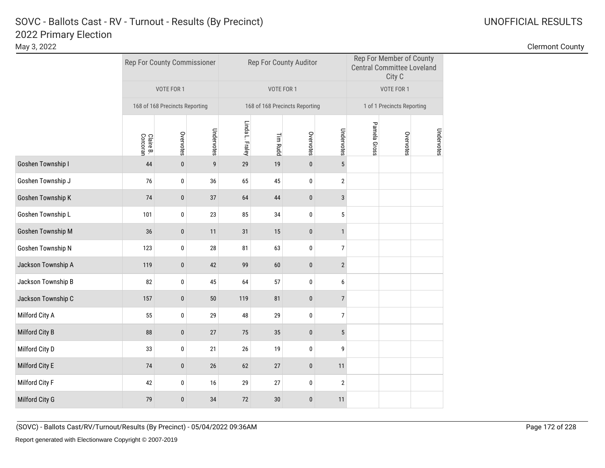|                    |                       | Rep For County Commissioner    |            |                 | Rep For County Auditor         |           |                         |              | Rep For Member of County<br><b>Central Committee Loveland</b><br>City C |            |
|--------------------|-----------------------|--------------------------------|------------|-----------------|--------------------------------|-----------|-------------------------|--------------|-------------------------------------------------------------------------|------------|
|                    |                       | VOTE FOR 1                     |            |                 | VOTE FOR 1                     |           |                         |              | VOTE FOR 1                                                              |            |
|                    |                       | 168 of 168 Precincts Reporting |            |                 | 168 of 168 Precincts Reporting |           |                         |              | 1 of 1 Precincts Reporting                                              |            |
|                    | Claire B.<br>Corcoran | Overvotes                      | Undervotes | Linda L. Fraley | Tim Rudd                       | Overvotes | Undervotes              | Pamela Gross | Overvotes                                                               | Undervotes |
| Goshen Township I  | 44                    | $\pmb{0}$                      | 9          | 29              | 19                             | $\pmb{0}$ | $5\phantom{.0}$         |              |                                                                         |            |
| Goshen Township J  | 76                    | 0                              | 36         | 65              | 45                             | 0         | $\overline{\mathbf{c}}$ |              |                                                                         |            |
| Goshen Township K  | 74                    | $\pmb{0}$                      | $37\,$     | 64              | 44                             | $\pmb{0}$ | $\mathbf{3}$            |              |                                                                         |            |
| Goshen Township L  | 101                   | 0                              | 23         | 85              | 34                             | 0         | $\sqrt{5}$              |              |                                                                         |            |
| Goshen Township M  | 36                    | $\pmb{0}$                      | 11         | 31              | 15                             | $\pmb{0}$ | $\mathbf{1}$            |              |                                                                         |            |
| Goshen Township N  | 123                   | 0                              | 28         | 81              | 63                             | 0         | $\boldsymbol{7}$        |              |                                                                         |            |
| Jackson Township A | 119                   | $\pmb{0}$                      | 42         | 99              | 60                             | $\pmb{0}$ | $\overline{2}$          |              |                                                                         |            |
| Jackson Township B | 82                    | 0                              | 45         | 64              | 57                             | 0         | 6                       |              |                                                                         |            |
| Jackson Township C | 157                   | $\pmb{0}$                      | 50         | 119             | 81                             | $\pmb{0}$ | $\overline{7}$          |              |                                                                         |            |
| Milford City A     | 55                    | 0                              | 29         | 48              | 29                             | 0         | $\overline{7}$          |              |                                                                         |            |
| Milford City B     | 88                    | $\pmb{0}$                      | 27         | 75              | 35                             | $\pmb{0}$ | $5\,$                   |              |                                                                         |            |
| Milford City D     | 33                    | 0                              | 21         | $26\,$          | 19                             | 0         | 9                       |              |                                                                         |            |
| Milford City E     | $74$                  | $\pmb{0}$                      | 26         | 62              | 27                             | $\pmb{0}$ | 11                      |              |                                                                         |            |
| Milford City F     | 42                    | 0                              | $16\,$     | 29              | 27                             | 0         | $\overline{\mathbf{c}}$ |              |                                                                         |            |
| Milford City G     | 79                    | $\pmb{0}$                      | 34         | 72              | 30                             | $\pmb{0}$ | 11                      |              |                                                                         |            |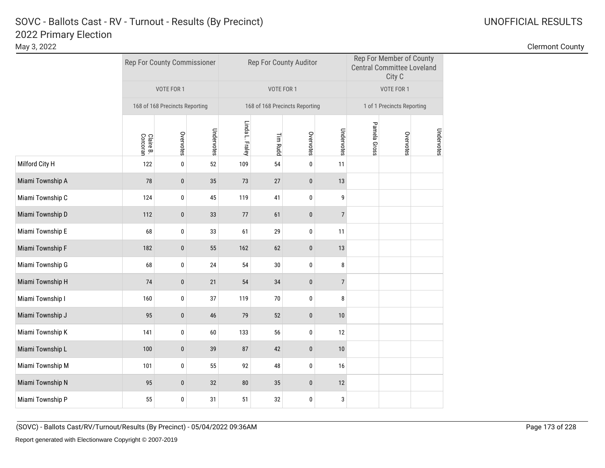|                  |                       | Rep For County Commissioner    |            |                 |            | Rep For County Auditor         |                |              | Rep For Member of County<br><b>Central Committee Loveland</b><br>City C |            |
|------------------|-----------------------|--------------------------------|------------|-----------------|------------|--------------------------------|----------------|--------------|-------------------------------------------------------------------------|------------|
|                  |                       | VOTE FOR 1                     |            |                 | VOTE FOR 1 |                                |                |              | VOTE FOR 1                                                              |            |
|                  |                       | 168 of 168 Precincts Reporting |            |                 |            | 168 of 168 Precincts Reporting |                |              | 1 of 1 Precincts Reporting                                              |            |
|                  | Claire B.<br>Corcoran | Overvotes                      | Undervotes | Linda L. Fraley | Tim Rudd   | Overvotes                      | Undervotes     | Pamela Gross | Overvotes                                                               | Undervotes |
| Milford City H   | 122                   | $\pmb{0}$                      | 52         | 109             | 54         | $\pmb{0}$                      | 11             |              |                                                                         |            |
| Miami Township A | 78                    | $\pmb{0}$                      | 35         | 73              | 27         | $\pmb{0}$                      | 13             |              |                                                                         |            |
| Miami Township C | 124                   | $\pmb{0}$                      | 45         | 119             | 41         | $\pmb{0}$                      | 9              |              |                                                                         |            |
| Miami Township D | 112                   | $\bf{0}$                       | 33         | 77              | 61         | 0                              | $\overline{7}$ |              |                                                                         |            |
| Miami Township E | 68                    | $\pmb{0}$                      | 33         | 61              | 29         | 0                              | 11             |              |                                                                         |            |
| Miami Township F | 182                   | $\pmb{0}$                      | 55         | 162             | 62         | $\pmb{0}$                      | 13             |              |                                                                         |            |
| Miami Township G | 68                    | $\pmb{0}$                      | 24         | 54              | $30\,$     | $\pmb{0}$                      | $\bf 8$        |              |                                                                         |            |
| Miami Township H | 74                    | $\pmb{0}$                      | 21         | 54              | 34         | $\pmb{0}$                      | $\overline{7}$ |              |                                                                         |            |
| Miami Township I | 160                   | 0                              | 37         | 119             | $70$       | 0                              | 8              |              |                                                                         |            |
| Miami Township J | 95                    | $\bf{0}$                       | 46         | 79              | 52         | $\pmb{0}$                      | 10             |              |                                                                         |            |
| Miami Township K | 141                   | 0                              | 60         | 133             | 56         | 0                              | 12             |              |                                                                         |            |
| Miami Township L | 100                   | $\pmb{0}$                      | 39         | 87              | 42         | $\pmb{0}$                      | 10             |              |                                                                         |            |
| Miami Township M | 101                   | $\pmb{0}$                      | 55         | 92              | 48         | $\pmb{0}$                      | 16             |              |                                                                         |            |
| Miami Township N | 95                    | $\pmb{0}$                      | 32         | 80              | 35         | $\bf{0}$                       | 12             |              |                                                                         |            |
| Miami Township P | 55                    | 0                              | 31         | 51              | 32         | 0                              | $\sqrt{3}$     |              |                                                                         |            |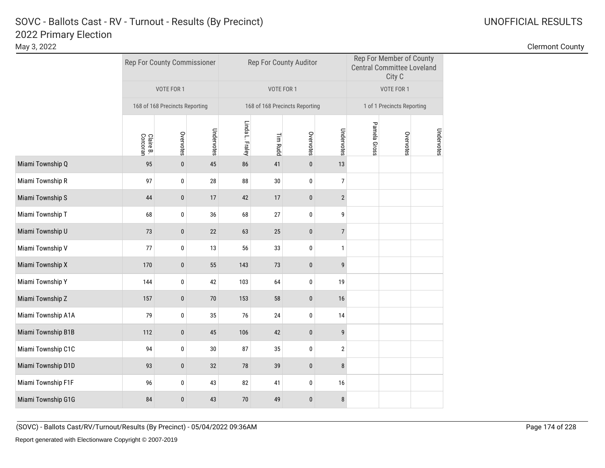|                    |                       | Rep For County Commissioner    |            |                 |            | Rep For County Auditor         |                  |              | Rep For Member of County<br><b>Central Committee Loveland</b><br>City C |            |
|--------------------|-----------------------|--------------------------------|------------|-----------------|------------|--------------------------------|------------------|--------------|-------------------------------------------------------------------------|------------|
|                    |                       | VOTE FOR 1                     |            |                 | VOTE FOR 1 |                                |                  |              | VOTE FOR 1                                                              |            |
|                    |                       | 168 of 168 Precincts Reporting |            |                 |            | 168 of 168 Precincts Reporting |                  |              | 1 of 1 Precincts Reporting                                              |            |
|                    | Corcoran<br>Claire B. | Overvotes                      | Undervotes | Linda L. Fraley | Tim Rudd   | Overvotes                      | Undervotes       | Pamela Gross | Overvotes                                                               | Undervotes |
| Miami Township Q   | 95                    | $\pmb{0}$                      | 45         | 86              | 41         | $\pmb{0}$                      | 13               |              |                                                                         |            |
| Miami Township R   | 97                    | $\pmb{0}$                      | 28         | 88              | 30         | $\pmb{0}$                      | $\boldsymbol{7}$ |              |                                                                         |            |
| Miami Township S   | 44                    | $\pmb{0}$                      | 17         | 42              | 17         | $\pmb{0}$                      | $\overline{2}$   |              |                                                                         |            |
| Miami Township T   | 68                    | 0                              | 36         | 68              | 27         | 0                              | 9                |              |                                                                         |            |
| Miami Township U   | 73                    | $\pmb{0}$                      | 22         | 63              | 25         | $\pmb{0}$                      | $\sqrt{ }$       |              |                                                                         |            |
| Miami Township V   | 77                    | 0                              | 13         | 56              | 33         | 0                              | $\mathbf{1}$     |              |                                                                         |            |
| Miami Township X   | 170                   | $\pmb{0}$                      | 55         | 143             | 73         | $\pmb{0}$                      | $\boldsymbol{9}$ |              |                                                                         |            |
| Miami Township Y   | 144                   | 0                              | 42         | 103             | 64         | 0                              | 19               |              |                                                                         |            |
| Miami Township Z   | 157                   | $\pmb{0}$                      | $70$       | 153             | 58         | $\pmb{0}$                      | 16               |              |                                                                         |            |
| Miami Township A1A | 79                    | 0                              | 35         | 76              | 24         | 0                              | 14               |              |                                                                         |            |
| Miami Township B1B | 112                   | $\pmb{0}$                      | 45         | 106             | 42         | $\pmb{0}$                      | 9                |              |                                                                         |            |
| Miami Township C1C | 94                    | 0                              | 30         | 87              | 35         | 0                              | $\overline{2}$   |              |                                                                         |            |
| Miami Township D1D | 93                    | $\pmb{0}$                      | 32         | 78              | 39         | $\pmb{0}$                      | $\bf 8$          |              |                                                                         |            |
| Miami Township F1F | 96                    | $\pmb{0}$                      | 43         | 82              | 41         | 0                              | 16               |              |                                                                         |            |
| Miami Township G1G | 84                    | $\bf{0}$                       | 43         | $70$            | 49         | $\pmb{0}$                      | 8                |              |                                                                         |            |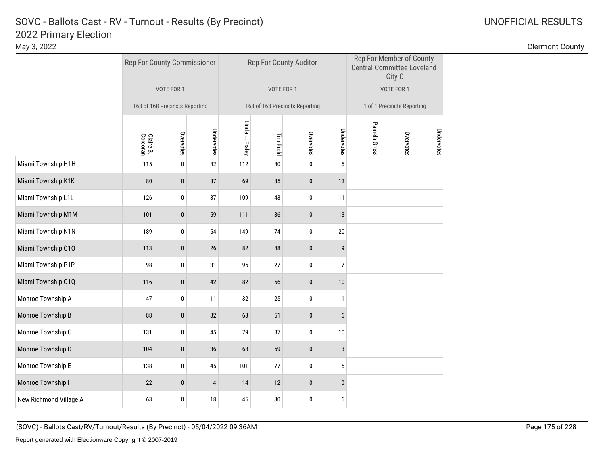|                        |                       | Rep For County Commissioner    |                |                 | Rep For County Auditor         |             |                  |              | Rep For Member of County<br><b>Central Committee Loveland</b><br>City C |            |
|------------------------|-----------------------|--------------------------------|----------------|-----------------|--------------------------------|-------------|------------------|--------------|-------------------------------------------------------------------------|------------|
|                        |                       | VOTE FOR 1                     |                |                 | VOTE FOR 1                     |             |                  |              | VOTE FOR 1                                                              |            |
|                        |                       | 168 of 168 Precincts Reporting |                |                 | 168 of 168 Precincts Reporting |             |                  |              | 1 of 1 Precincts Reporting                                              |            |
|                        | Claire B.<br>Corcoran | Overvotes                      | Undervotes     | Linda L. Fraley | Tim Rudd                       | Overvotes   | Undervotes       | Pamela Gross | Overvotes                                                               | Undervotes |
| Miami Township H1H     | 115                   | $\pmb{0}$                      | 42             | 112             | 40                             | $\pmb{0}$   | $\sqrt{5}$       |              |                                                                         |            |
| Miami Township K1K     | 80                    | $\pmb{0}$                      | 37             | 69              | 35                             | $\pmb{0}$   | 13               |              |                                                                         |            |
| Miami Township L1L     | 126                   | $\pmb{0}$                      | 37             | 109             | 43                             | $\pmb{0}$   | 11               |              |                                                                         |            |
| Miami Township M1M     | 101                   | $\bf{0}$                       | 59             | 111             | 36                             | $\bf{0}$    | 13               |              |                                                                         |            |
| Miami Township N1N     | 189                   | 0                              | 54             | 149             | 74                             | 0           | $20\,$           |              |                                                                         |            |
| Miami Township 010     | 113                   | $\pmb{0}$                      | $26\,$         | 82              | 48                             | $\pmb{0}$   | $\boldsymbol{9}$ |              |                                                                         |            |
| Miami Township P1P     | 98                    | $\pmb{0}$                      | 31             | 95              | 27                             | $\pmb{0}$   | $\overline{7}$   |              |                                                                         |            |
| Miami Township Q1Q     | 116                   | $\pmb{0}$                      | 42             | 82              | 66                             | $\mathbf 0$ | 10               |              |                                                                         |            |
| Monroe Township A      | 47                    | 0                              | 11             | 32              | 25                             | 0           | $\mathbf{1}$     |              |                                                                         |            |
| Monroe Township B      | 88                    | $\bf{0}$                       | 32             | 63              | 51                             | $\pmb{0}$   | 6                |              |                                                                         |            |
| Monroe Township C      | 131                   | 0                              | 45             | 79              | 87                             | 0           | 10               |              |                                                                         |            |
| Monroe Township D      | 104                   | $\pmb{0}$                      | 36             | 68              | 69                             | $\pmb{0}$   | $\mathbf{3}$     |              |                                                                         |            |
| Monroe Township E      | 138                   | 0                              | 45             | 101             | 77                             | $\pmb{0}$   | $5\phantom{.0}$  |              |                                                                         |            |
| Monroe Township I      | 22                    | $\bf{0}$                       | $\overline{4}$ | 14              | 12                             | $\bf{0}$    | $\pmb{0}$        |              |                                                                         |            |
| New Richmond Village A | 63                    | 0                              | $18\,$         | 45              | $30\,$                         | 0           | 6                |              |                                                                         |            |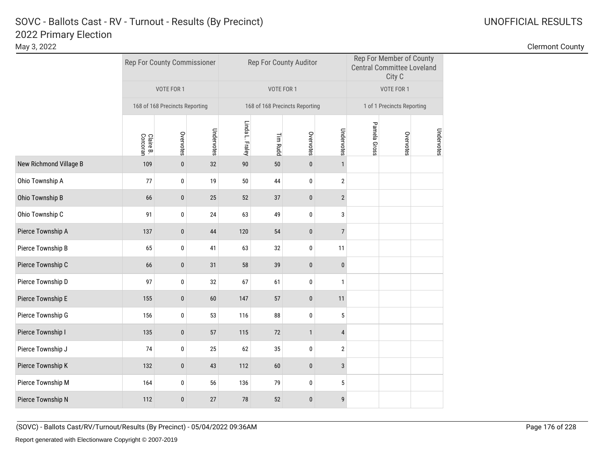|                        |                       | Rep For County Commissioner    |            |                 | Rep For County Auditor         |              |                  |              | Rep For Member of County<br><b>Central Committee Loveland</b><br>City C |            |
|------------------------|-----------------------|--------------------------------|------------|-----------------|--------------------------------|--------------|------------------|--------------|-------------------------------------------------------------------------|------------|
|                        |                       | VOTE FOR 1                     |            |                 | VOTE FOR 1                     |              |                  |              | VOTE FOR 1                                                              |            |
|                        |                       | 168 of 168 Precincts Reporting |            |                 | 168 of 168 Precincts Reporting |              |                  |              | 1 of 1 Precincts Reporting                                              |            |
|                        | Claire B.<br>Corcoran | Overvotes                      | Undervotes | Linda L. Fraley | Tim Rudd                       | Overvotes    | Undervotes       | Pamela Gross | Overvotes                                                               | Undervotes |
| New Richmond Village B | 109                   | $\pmb{0}$                      | 32         | 90              | 50                             | $\pmb{0}$    | $\mathbf{1}$     |              |                                                                         |            |
| Ohio Township A        | 77                    | $\pmb{0}$                      | 19         | 50              | 44                             | $\pmb{0}$    | $\mathbf{2}$     |              |                                                                         |            |
| Ohio Township B        | 66                    | $\pmb{0}$                      | 25         | 52              | 37                             | $\pmb{0}$    | $\overline{2}$   |              |                                                                         |            |
| Ohio Township C        | 91                    | 0                              | 24         | 63              | 49                             | 0            | 3                |              |                                                                         |            |
| Pierce Township A      | 137                   | $\mathbf{0}$                   | 44         | 120             | 54                             | $\mathbf{0}$ | $\overline{7}$   |              |                                                                         |            |
| Pierce Township B      | 65                    | 0                              | 41         | 63              | 32                             | 0            | 11               |              |                                                                         |            |
| Pierce Township C      | 66                    | $\pmb{0}$                      | 31         | 58              | 39                             | $\pmb{0}$    | $\pmb{0}$        |              |                                                                         |            |
| Pierce Township D      | 97                    | 0                              | 32         | 67              | 61                             | 0            | $\mathbf{1}$     |              |                                                                         |            |
| Pierce Township E      | 155                   | $\pmb{0}$                      | 60         | 147             | 57                             | $\pmb{0}$    | 11               |              |                                                                         |            |
| Pierce Township G      | 156                   | 0                              | 53         | 116             | 88                             | 0            | $\sqrt{5}$       |              |                                                                         |            |
| Pierce Township I      | 135                   | $\pmb{0}$                      | 57         | 115             | 72                             | $\mathbf{1}$ | $\overline{4}$   |              |                                                                         |            |
| Pierce Township J      | 74                    | 0                              | 25         | 62              | 35                             | 0            | $\overline{2}$   |              |                                                                         |            |
| Pierce Township K      | 132                   | $\pmb{0}$                      | 43         | 112             | 60                             | $\pmb{0}$    | $\mathbf{3}$     |              |                                                                         |            |
| Pierce Township M      | 164                   | 0                              | 56         | 136             | 79                             | $\pmb{0}$    | $\sqrt{5}$       |              |                                                                         |            |
| Pierce Township N      | 112                   | $\bf{0}$                       | 27         | 78              | 52                             | $\pmb{0}$    | $\boldsymbol{9}$ |              |                                                                         |            |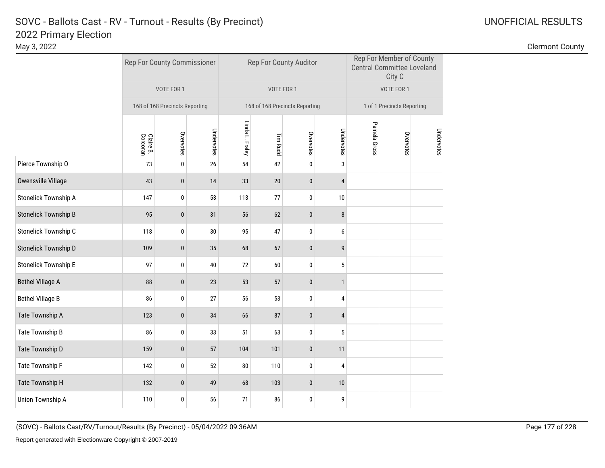|                             |                       | Rep For County Commissioner    |            |                 | Rep For County Auditor         |           |                |              | Rep For Member of County<br><b>Central Committee Loveland</b><br>City C |            |
|-----------------------------|-----------------------|--------------------------------|------------|-----------------|--------------------------------|-----------|----------------|--------------|-------------------------------------------------------------------------|------------|
|                             |                       | VOTE FOR 1                     |            |                 | VOTE FOR 1                     |           |                |              | VOTE FOR 1                                                              |            |
|                             |                       | 168 of 168 Precincts Reporting |            |                 | 168 of 168 Precincts Reporting |           |                |              | 1 of 1 Precincts Reporting                                              |            |
|                             | Claire B.<br>Corcoran | Overvotes                      | Undervotes | Linda L. Fraley | Tim Rudd                       | Overvotes | Undervotes     | Pamela Gross | Overvotes                                                               | Undervotes |
| Pierce Township O           | 73                    | $\pmb{0}$                      | 26         | 54              | 42                             | $\pmb{0}$ | 3              |              |                                                                         |            |
| Owensville Village          | 43                    | $\pmb{0}$                      | 14         | 33              | 20                             | $\pmb{0}$ | $\overline{4}$ |              |                                                                         |            |
| Stonelick Township A        | 147                   | $\pmb{0}$                      | 53         | 113             | 77                             | $\pmb{0}$ | 10             |              |                                                                         |            |
| <b>Stonelick Township B</b> | 95                    | $\pmb{0}$                      | 31         | 56              | 62                             | $\bf{0}$  | $\bf 8$        |              |                                                                         |            |
| Stonelick Township C        | 118                   | $\pmb{0}$                      | 30         | 95              | 47                             | 0         | 6              |              |                                                                         |            |
| Stonelick Township D        | 109                   | $\pmb{0}$                      | 35         | 68              | 67                             | $\pmb{0}$ | 9              |              |                                                                         |            |
| <b>Stonelick Township E</b> | 97                    | $\pmb{0}$                      | $40\,$     | 72              | 60                             | 0         | $\sqrt{5}$     |              |                                                                         |            |
| <b>Bethel Village A</b>     | 88                    | $\pmb{0}$                      | 23         | 53              | 57                             | $\pmb{0}$ | $\mathbf{1}$   |              |                                                                         |            |
| <b>Bethel Village B</b>     | 86                    | $\pmb{0}$                      | 27         | 56              | 53                             | $\pmb{0}$ | 4              |              |                                                                         |            |
| Tate Township A             | 123                   | $\pmb{0}$                      | 34         | 66              | 87                             | $\pmb{0}$ | $\overline{4}$ |              |                                                                         |            |
| Tate Township B             | 86                    | $\pmb{0}$                      | 33         | 51              | 63                             | 0         | $\sqrt{5}$     |              |                                                                         |            |
| Tate Township D             | 159                   | $\pmb{0}$                      | 57         | 104             | 101                            | $\pmb{0}$ | 11             |              |                                                                         |            |
| Tate Township F             | 142                   | $\pmb{0}$                      | 52         | 80              | 110                            | 0         | 4              |              |                                                                         |            |
| Tate Township H             | 132                   | $\pmb{0}$                      | 49         | 68              | 103                            | $\pmb{0}$ | $10\,$         |              |                                                                         |            |
| Union Township A            | 110                   | $\pmb{0}$                      | 56         | 71              | 86                             | 0         | 9              |              |                                                                         |            |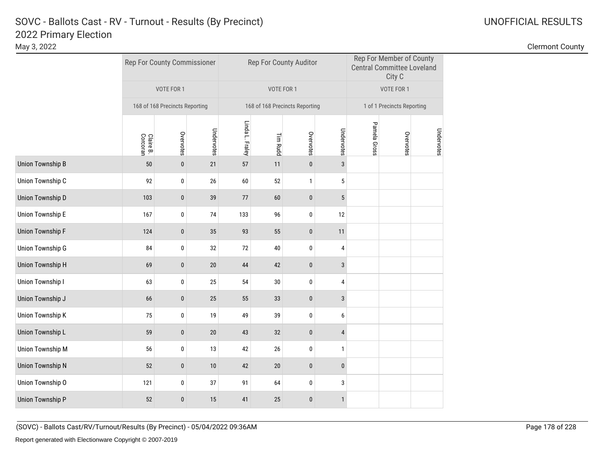|                         |                       | Rep For County Commissioner    |            |                 | Rep For County Auditor         |              |                 |              | Rep For Member of County<br><b>Central Committee Loveland</b><br>City C |            |
|-------------------------|-----------------------|--------------------------------|------------|-----------------|--------------------------------|--------------|-----------------|--------------|-------------------------------------------------------------------------|------------|
|                         |                       | VOTE FOR 1                     |            |                 | VOTE FOR 1                     |              |                 |              | VOTE FOR 1                                                              |            |
|                         |                       | 168 of 168 Precincts Reporting |            |                 | 168 of 168 Precincts Reporting |              |                 |              | 1 of 1 Precincts Reporting                                              |            |
|                         | Claire B.<br>Corcoran | Overvotes                      | Undervotes | Linda L. Fraley | Tim Rudd                       | Overvotes    | Undervotes      | Pamela Gross | Overvotes                                                               | Undervotes |
| <b>Union Township B</b> | $50\,$                | $\pmb{0}$                      | 21         | 57              | 11                             | $\pmb{0}$    | $\mathbf{3}$    |              |                                                                         |            |
| Union Township C        | 92                    | 0                              | $26\,$     | 60              | 52                             | $\mathbf{1}$ | $\sqrt{5}$      |              |                                                                         |            |
| <b>Union Township D</b> | 103                   | $\pmb{0}$                      | 39         | 77              | 60                             | $\pmb{0}$    | $5\phantom{.0}$ |              |                                                                         |            |
| <b>Union Township E</b> | 167                   | $\pmb{0}$                      | 74         | 133             | 96                             | 0            | 12              |              |                                                                         |            |
| <b>Union Township F</b> | 124                   | $\pmb{0}$                      | 35         | 93              | 55                             | $\pmb{0}$    | 11              |              |                                                                         |            |
| <b>Union Township G</b> | 84                    | $\pmb{0}$                      | 32         | 72              | 40                             | $\mathbf 0$  | 4               |              |                                                                         |            |
| <b>Union Township H</b> | 69                    | $\pmb{0}$                      | 20         | 44              | 42                             | $\pmb{0}$    | $\mathbf{3}$    |              |                                                                         |            |
| Union Township I        | 63                    | 0                              | 25         | 54              | 30                             | 0            | $\overline{4}$  |              |                                                                         |            |
| Union Township J        | 66                    | $\pmb{0}$                      | 25         | 55              | 33                             | $\pmb{0}$    | $\mathbf{3}$    |              |                                                                         |            |
| <b>Union Township K</b> | 75                    | 0                              | 19         | 49              | 39                             | 0            | 6               |              |                                                                         |            |
| Union Township L        | 59                    | $\pmb{0}$                      | $20\,$     | 43              | 32                             | $\pmb{0}$    | $\overline{4}$  |              |                                                                         |            |
| <b>Union Township M</b> | 56                    | 0                              | 13         | 42              | $26\,$                         | 0            | $\mathbf{1}$    |              |                                                                         |            |
| <b>Union Township N</b> | 52                    | $\pmb{0}$                      | $10$       | 42              | $20\,$                         | $\pmb{0}$    | $\pmb{0}$       |              |                                                                         |            |
| Union Township O        | 121                   | 0                              | 37         | 91              | 64                             | 0            | $\sqrt{3}$      |              |                                                                         |            |
| <b>Union Township P</b> | 52                    | 0                              | 15         | 41              | 25                             | $\bf{0}$     | $\mathbf{1}$    |              |                                                                         |            |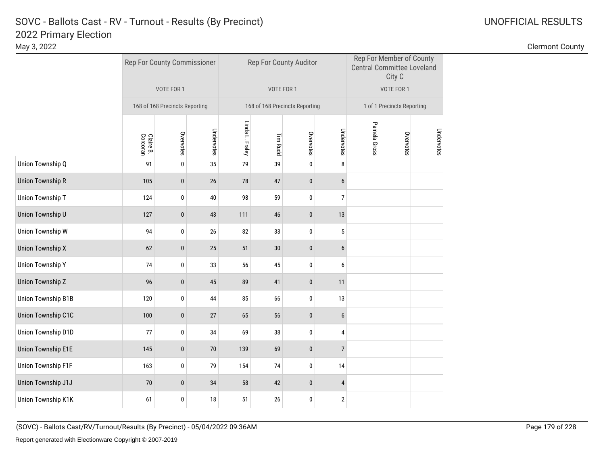|                           |                       | Rep For County Commissioner    |            |                 |            | Rep For County Auditor         |                         |              | Rep For Member of County<br><b>Central Committee Loveland</b><br>City C |            |
|---------------------------|-----------------------|--------------------------------|------------|-----------------|------------|--------------------------------|-------------------------|--------------|-------------------------------------------------------------------------|------------|
|                           |                       | VOTE FOR 1                     |            |                 | VOTE FOR 1 |                                |                         |              | VOTE FOR 1                                                              |            |
|                           |                       | 168 of 168 Precincts Reporting |            |                 |            | 168 of 168 Precincts Reporting |                         |              | 1 of 1 Precincts Reporting                                              |            |
|                           | Claire B.<br>Corcoran | Overvotes                      | Undervotes | Linda L. Fraley | Tim Rudd   | Overvotes                      | Undervotes              | Pamela Gross | Overvotes                                                               | Undervotes |
| Union Township Q          | 91                    | $\pmb{0}$                      | 35         | 79              | 39         | $\pmb{0}$                      | 8                       |              |                                                                         |            |
| <b>Union Township R</b>   | 105                   | $\bf{0}$                       | 26         | 78              | 47         | $\pmb{0}$                      | 6                       |              |                                                                         |            |
| Union Township T          | 124                   | 0                              | 40         | 98              | 59         | 0                              | $\overline{7}$          |              |                                                                         |            |
| Union Township U          | 127                   | $\pmb{0}$                      | 43         | 111             | 46         | $\pmb{0}$                      | 13                      |              |                                                                         |            |
| Union Township W          | 94                    | 0                              | 26         | 82              | 33         | 0                              | 5                       |              |                                                                         |            |
| <b>Union Township X</b>   | 62                    | $\pmb{0}$                      | 25         | 51              | 30         | $\bf{0}$                       | 6                       |              |                                                                         |            |
| <b>Union Township Y</b>   | 74                    | 0                              | 33         | 56              | 45         | 0                              | 6                       |              |                                                                         |            |
| <b>Union Township Z</b>   | 96                    | $\pmb{0}$                      | 45         | 89              | 41         | $\pmb{0}$                      | 11                      |              |                                                                         |            |
| <b>Union Township B1B</b> | 120                   | $\pmb{0}$                      | 44         | 85              | 66         | $\pmb{0}$                      | 13                      |              |                                                                         |            |
| <b>Union Township C1C</b> | 100                   | $\pmb{0}$                      | 27         | 65              | 56         | $\bf{0}$                       | 6                       |              |                                                                         |            |
| Union Township D1D        | 77                    | 0                              | 34         | 69              | 38         | $\pmb{0}$                      | 4                       |              |                                                                         |            |
| <b>Union Township E1E</b> | 145                   | $\pmb{0}$                      | 70         | 139             | 69         | $\pmb{0}$                      | $\overline{7}$          |              |                                                                         |            |
| Union Township F1F        | 163                   | 0                              | 79         | 154             | 74         | $\pmb{0}$                      | 14                      |              |                                                                         |            |
| Union Township J1J        | 70                    | 0                              | 34         | 58              | 42         | $\pmb{0}$                      | 4                       |              |                                                                         |            |
| Union Township K1K        | 61                    | 0                              | 18         | 51              | 26         | 0                              | $\overline{\mathbf{c}}$ |              |                                                                         |            |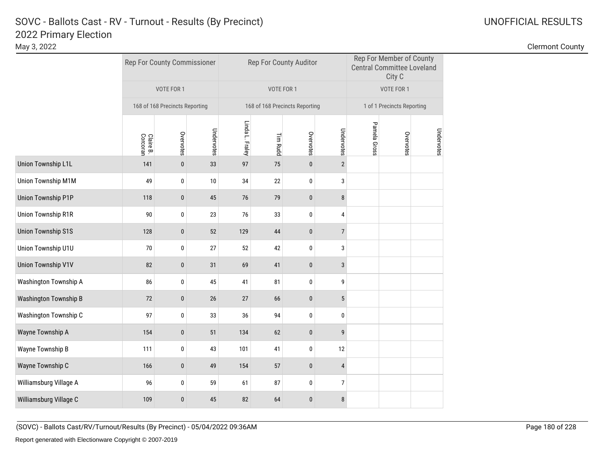|                              |                       | Rep For County Commissioner    |            |                 | Rep For County Auditor         |             |                  |              | Rep For Member of County<br><b>Central Committee Loveland</b><br>City C |            |
|------------------------------|-----------------------|--------------------------------|------------|-----------------|--------------------------------|-------------|------------------|--------------|-------------------------------------------------------------------------|------------|
|                              |                       | VOTE FOR 1                     |            |                 | VOTE FOR 1                     |             |                  |              | VOTE FOR 1                                                              |            |
|                              |                       | 168 of 168 Precincts Reporting |            |                 | 168 of 168 Precincts Reporting |             |                  |              | 1 of 1 Precincts Reporting                                              |            |
|                              | Claire B.<br>Corcoran | Overvotes                      | Undervotes | Linda L. Fraley | <b>Tim Rudd</b>                | Overvotes   | Undervotes       | Pamela Gross | Overvotes                                                               | Undervotes |
| <b>Union Township L1L</b>    | 141                   | $\pmb{0}$                      | 33         | 97              | 75                             | $\pmb{0}$   | $\overline{2}$   |              |                                                                         |            |
| Union Township M1M           | 49                    | 0                              | 10         | 34              | 22                             | $\pmb{0}$   | 3                |              |                                                                         |            |
| <b>Union Township P1P</b>    | 118                   | $\pmb{0}$                      | 45         | 76              | 79                             | $\pmb{0}$   | 8                |              |                                                                         |            |
| <b>Union Township R1R</b>    | 90                    | 0                              | 23         | 76              | 33                             | $\pmb{0}$   | 4                |              |                                                                         |            |
| <b>Union Township S1S</b>    | 128                   | 0                              | 52         | 129             | 44                             | $\pmb{0}$   | $\overline{7}$   |              |                                                                         |            |
| Union Township U1U           | 70                    | $\pmb{0}$                      | 27         | 52              | 42                             | $\pmb{0}$   | 3                |              |                                                                         |            |
| <b>Union Township V1V</b>    | 82                    | $\pmb{0}$                      | 31         | 69              | 41                             | $\pmb{0}$   | $\mathbf{3}$     |              |                                                                         |            |
| Washington Township A        | 86                    | 0                              | 45         | 41              | 81                             | 0           | 9                |              |                                                                         |            |
| <b>Washington Township B</b> | 72                    | $\pmb{0}$                      | 26         | 27              | 66                             | $\pmb{0}$   | $5\,$            |              |                                                                         |            |
| Washington Township C        | 97                    | 0                              | 33         | 36              | 94                             | 0           | 0                |              |                                                                         |            |
| Wayne Township A             | 154                   | $\pmb{0}$                      | 51         | 134             | 62                             | $\pmb{0}$   | $\mathsf{g}$     |              |                                                                         |            |
| Wayne Township B             | 111                   | $\pmb{0}$                      | 43         | 101             | 41                             | $\mathbf 0$ | 12               |              |                                                                         |            |
| Wayne Township C             | 166                   | $\pmb{0}$                      | 49         | 154             | 57                             | $\pmb{0}$   | $\overline{4}$   |              |                                                                         |            |
| Williamsburg Village A       | 96                    | 0                              | 59         | 61              | 87                             | 0           | $\boldsymbol{7}$ |              |                                                                         |            |
| Williamsburg Village C       | 109                   | 0                              | 45         | 82              | 64                             | $\pmb{0}$   | $\bf 8$          |              |                                                                         |            |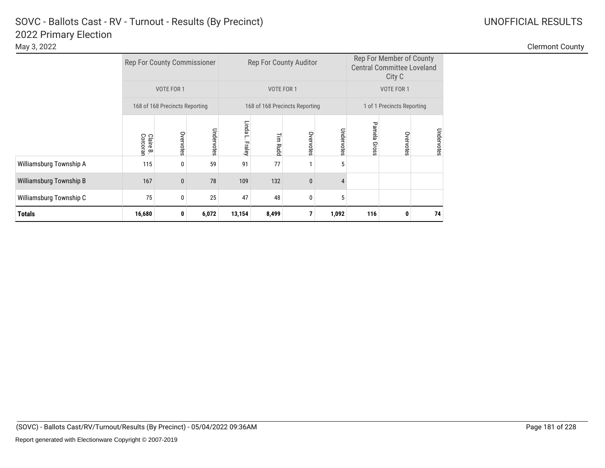|                         | <b>Rep For County Commissioner</b> |                                |            |                      |            | Rep For County Auditor         |                | Rep For Member of County<br><b>Central Committee Loveland</b><br>City C |                            |            |  |
|-------------------------|------------------------------------|--------------------------------|------------|----------------------|------------|--------------------------------|----------------|-------------------------------------------------------------------------|----------------------------|------------|--|
|                         |                                    | VOTE FOR 1                     |            |                      | VOTE FOR 1 |                                |                |                                                                         | VOTE FOR 1                 |            |  |
|                         |                                    | 168 of 168 Precincts Reporting |            |                      |            | 168 of 168 Precincts Reporting |                |                                                                         | 1 of 1 Precincts Reporting |            |  |
|                         | Claire B.<br>Corcoran              | Overvotes                      | Undervotes | Linda<br>Ē<br>Fraley | Tim Rudc   | Overvotes                      | Undervotes     | Pamela Gross                                                            | Overvotes                  | Undervotes |  |
| Williamsburg Township A | 115                                | 0                              | 59         | 91                   | 77         |                                | 5              |                                                                         |                            |            |  |
| Williamsburg Township B | 167                                | $\mathbf{0}$                   | 78         | 109                  | 132        | $\mathbf{0}$                   | $\overline{4}$ |                                                                         |                            |            |  |
| Williamsburg Township C | 75                                 | 0                              | 25         | 47                   | 48         | 5                              |                |                                                                         |                            |            |  |
| <b>Totals</b>           | 16,680                             | 0                              | 6,072      | 13,154               | 8,499      |                                | 1,092          | 116                                                                     | 0                          | 74         |  |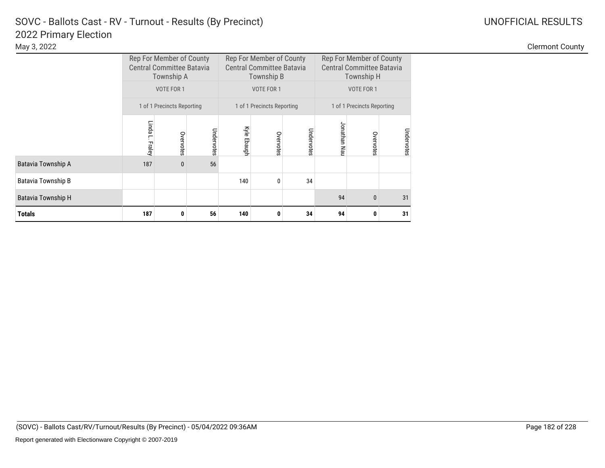|                    |                 | Rep For Member of County<br><b>Central Committee Batavia</b><br>Township A |            | Rep For Member of County<br>Rep For Member of County<br><b>Central Committee Batavia</b><br><b>Central Committee Batavia</b><br>Township H<br>Township B |                            |            |              |                            |            |  |
|--------------------|-----------------|----------------------------------------------------------------------------|------------|----------------------------------------------------------------------------------------------------------------------------------------------------------|----------------------------|------------|--------------|----------------------------|------------|--|
|                    |                 | VOTE FOR 1                                                                 |            |                                                                                                                                                          | VOTE FOR 1                 |            |              | VOTE FOR 1                 |            |  |
|                    |                 | 1 of 1 Precincts Reporting                                                 |            |                                                                                                                                                          | 1 of 1 Precincts Reporting |            |              | 1 of 1 Precincts Reporting |            |  |
|                    | Linda L. Fraley | Overvotes                                                                  | Undervotes | Kyle Ebaugh                                                                                                                                              | Overvotes                  | Undervotes | Jonathan Nau | Overvotes                  | Undervotes |  |
| Batavia Township A | 187             | $\mathbf{0}$                                                               | 56         |                                                                                                                                                          |                            |            |              |                            |            |  |
| Batavia Township B |                 |                                                                            |            | 140                                                                                                                                                      | $\mathbf{0}$               | 34         |              |                            |            |  |
| Batavia Township H |                 |                                                                            |            |                                                                                                                                                          |                            |            | 94           | 0                          | 31         |  |
| Totals             | 187             | 0                                                                          | 56         | 140                                                                                                                                                      | 0                          | 34         | 94           | 0                          | 31         |  |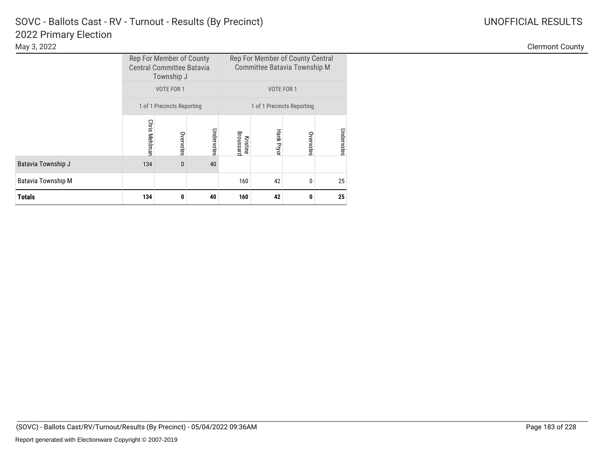|                           |                      | Rep For Member of County Central<br>Rep For Member of County<br><b>Central Committee Batavia</b><br>Committee Batavia Township M<br>Township J |            |                       |                   |           |            |  |
|---------------------------|----------------------|------------------------------------------------------------------------------------------------------------------------------------------------|------------|-----------------------|-------------------|-----------|------------|--|
|                           |                      | VOTE FOR 1                                                                                                                                     |            |                       | VOTE FOR 1        |           |            |  |
|                           |                      | 1 of 1 Precincts Reporting<br>1 of 1 Precincts Reporting                                                                                       |            |                       |                   |           |            |  |
|                           | <b>Chris Mehlman</b> | Overvotes                                                                                                                                      | Undervotes | Broussard<br>Kristine | <b>Hank Pryor</b> | Overvotes | Undervotes |  |
| Batavia Township J        | 134                  | $\mathbf{0}$                                                                                                                                   | 40         |                       |                   |           |            |  |
| <b>Batavia Township M</b> | 42<br>160<br>0       |                                                                                                                                                |            |                       |                   |           |            |  |
| <b>Totals</b>             | 134                  | 0                                                                                                                                              | 40         | 160                   | 42                | 0         | 25         |  |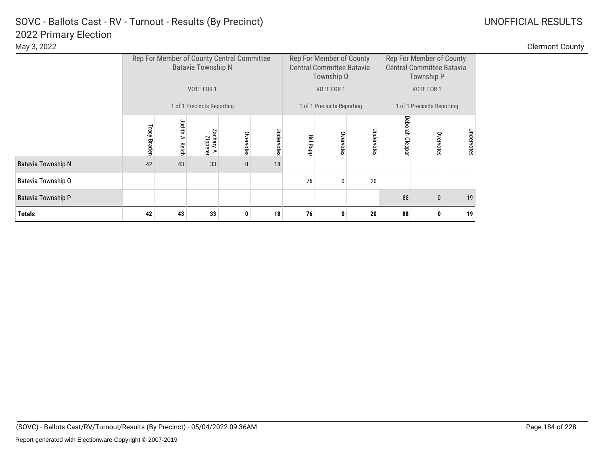|                           |                     |                    | <b>Batavia Township N</b>  | Rep For Member of County Central Committee |            |                  | Rep For Member of County<br><b>Central Committee Batavia</b><br>Township O |            |                | Rep For Member of County<br><b>Central Committee Batavia</b><br>Township P |            |
|---------------------------|---------------------|--------------------|----------------------------|--------------------------------------------|------------|------------------|----------------------------------------------------------------------------|------------|----------------|----------------------------------------------------------------------------|------------|
|                           |                     |                    | VOTE FOR 1                 |                                            |            |                  | VOTE FOR 1                                                                 |            |                | VOTE FOR 1                                                                 |            |
|                           |                     |                    | 1 of 1 Precincts Reporting |                                            |            |                  | 1 of 1 Precincts Reporting                                                 |            |                | 1 of 1 Precincts Reporting                                                 |            |
|                           | <b>Tracy Braden</b> | Judith A.<br>Kelch | Zachary A.<br>Zipperer     | Overvotes                                  | Undervotes | <b>Bill Rapp</b> | Overvotes                                                                  | Undervotes | Deborah Cleppe | Overvotes                                                                  | Undervotes |
| <b>Batavia Township N</b> | 42                  | 43                 | 33                         | 0                                          | 18         |                  |                                                                            |            |                |                                                                            |            |
| Batavia Township O        |                     |                    |                            |                                            |            | 76               | 0                                                                          | 20         |                |                                                                            |            |
| <b>Batavia Township P</b> |                     |                    |                            |                                            |            |                  |                                                                            |            | 88             | $\mathbf{0}$                                                               | 19         |
| <b>Totals</b>             | 42                  | 43<br>33           |                            |                                            |            | 76               | 0                                                                          | 20         | 88             | 0                                                                          | 19         |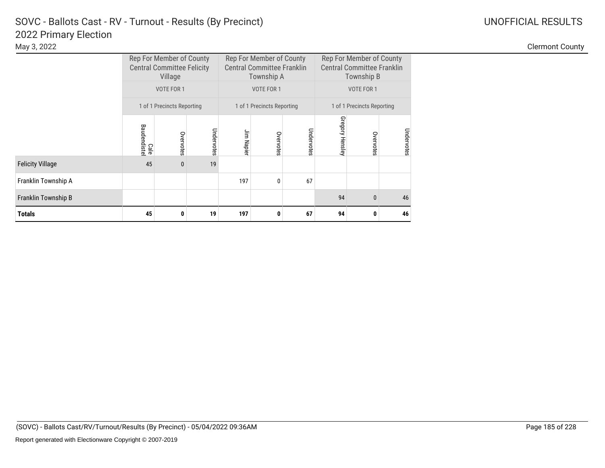|                         |                     | Rep For Member of County<br><b>Central Committee Felicity</b><br>Village |            |            | Rep For Member of County<br><b>Central Committee Franklin</b><br>Township A |            | Rep For Member of County<br><b>Central Committee Franklin</b><br>Township B |                            |            |  |
|-------------------------|---------------------|--------------------------------------------------------------------------|------------|------------|-----------------------------------------------------------------------------|------------|-----------------------------------------------------------------------------|----------------------------|------------|--|
|                         |                     | VOTE FOR 1                                                               |            |            | VOTE FOR 1                                                                  |            |                                                                             | VOTE FOR 1                 |            |  |
|                         |                     | 1 of 1 Precincts Reporting                                               |            |            | 1 of 1 Precincts Reporting                                                  |            |                                                                             | 1 of 1 Precincts Reporting |            |  |
|                         | Baudendiste<br>Cale | Overvotes                                                                | Undervotes | Jim Napier | Overvotes                                                                   | Undervotes | Gregory Hensley                                                             | Overvote<br>Ö              | Undervotes |  |
| <b>Felicity Village</b> | 45                  | $\mathbf{0}$                                                             | 19         |            |                                                                             |            |                                                                             |                            |            |  |
| Franklin Township A     |                     |                                                                          |            | 197        | 0                                                                           | 67         |                                                                             |                            |            |  |
| Franklin Township B     |                     |                                                                          |            |            |                                                                             | 94         | $\Omega$                                                                    | 46                         |            |  |
| Totals                  | 45                  | 0                                                                        | 19         | 197        | 0                                                                           | 67         | 94                                                                          | 0                          | 46         |  |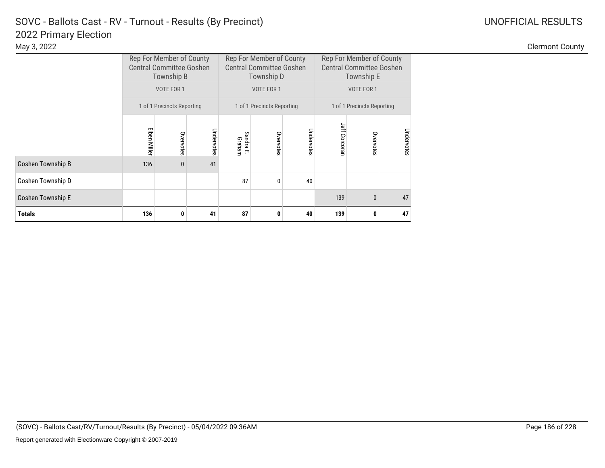|                          |              | Rep For Member of County<br><b>Central Committee Goshen</b><br>Township B |            |                     | Rep For Member of County<br><b>Central Committee Goshen</b><br>Township D |            | Rep For Member of County<br><b>Central Committee Goshen</b><br>Township E |            |            |  |
|--------------------------|--------------|---------------------------------------------------------------------------|------------|---------------------|---------------------------------------------------------------------------|------------|---------------------------------------------------------------------------|------------|------------|--|
|                          |              | VOTE FOR 1                                                                |            |                     | VOTE FOR 1                                                                |            |                                                                           | VOTE FOR 1 |            |  |
|                          |              | 1 of 1 Precincts Reporting                                                |            |                     | 1 of 1 Precincts Reporting                                                |            | 1 of 1 Precincts Reporting                                                |            |            |  |
|                          | Elben Miller | Overvotes                                                                 | Undervotes | Sandra E.<br>Graham | Overvotes                                                                 | Undervotes | Jeff Corcorar                                                             | Overvotes  | Undervotes |  |
| Goshen Township B        | 136          | 0                                                                         | 41         |                     |                                                                           |            |                                                                           |            |            |  |
| Goshen Township D        |              |                                                                           |            | 87                  | 0                                                                         | 40         |                                                                           |            |            |  |
| <b>Goshen Township E</b> |              |                                                                           |            |                     |                                                                           |            | 139                                                                       | 0          | 47         |  |
| <b>Totals</b>            | 136          | 41<br>0                                                                   |            |                     | 0                                                                         | 40         | 139                                                                       | 0          | 47         |  |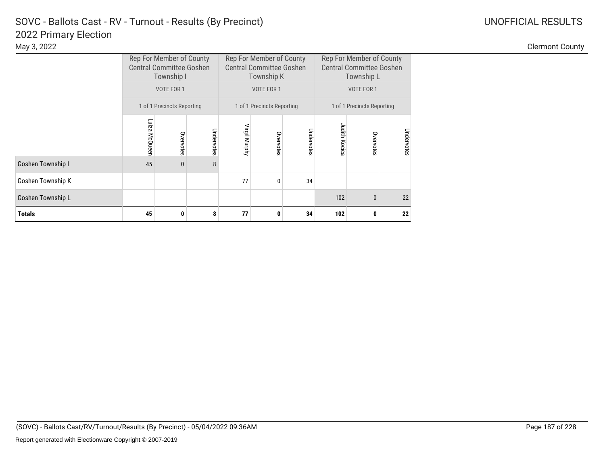|                   |               | Rep For Member of County<br><b>Central Committee Goshen</b><br>Township I<br>VOTE FOR 1 |            |               | Rep For Member of County<br><b>Central Committee Goshen</b><br>Township K<br>VOTE FOR 1 |            | Rep For Member of County<br><b>Central Committee Goshen</b><br>Township L<br>VOTE FOR 1 |                            |            |  |
|-------------------|---------------|-----------------------------------------------------------------------------------------|------------|---------------|-----------------------------------------------------------------------------------------|------------|-----------------------------------------------------------------------------------------|----------------------------|------------|--|
|                   |               |                                                                                         |            |               |                                                                                         |            |                                                                                         |                            |            |  |
|                   |               | 1 of 1 Precincts Reporting                                                              |            |               | 1 of 1 Precincts Reporting                                                              |            |                                                                                         | 1 of 1 Precincts Reporting |            |  |
|                   | Luiza McQueen | Overvotes                                                                               | Undervotes | Virgil Murphy | Overvotes                                                                               | Undervotes | <b>Judith Kocica</b>                                                                    | Overvotes                  | Undervotes |  |
| Goshen Township I | 45            | 0                                                                                       | 8          |               |                                                                                         |            |                                                                                         |                            |            |  |
| Goshen Township K |               |                                                                                         |            | 77            | $\mathbf{0}$                                                                            | 34         |                                                                                         |                            |            |  |
| Goshen Township L |               |                                                                                         |            |               |                                                                                         |            | 102                                                                                     | $\bf{0}$                   | 22         |  |
| <b>Totals</b>     | 45            | 0                                                                                       | 8          | 77            | 0                                                                                       | 34         | 102                                                                                     | 0                          | 22         |  |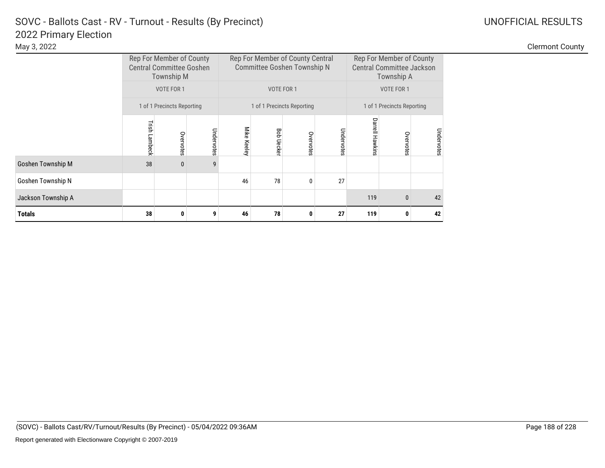|                          |               | Rep For Member of County<br><b>Central Committee Goshen</b><br><b>Township M</b> |            | Rep For Member of County Central<br>Committee Goshen Township N | Rep For Member of County<br><b>Central Committee Jackson</b><br>Township A |                            |            |                        |                            |            |
|--------------------------|---------------|----------------------------------------------------------------------------------|------------|-----------------------------------------------------------------|----------------------------------------------------------------------------|----------------------------|------------|------------------------|----------------------------|------------|
|                          |               | VOTE FOR 1                                                                       |            |                                                                 |                                                                            | VOTE FOR 1                 |            |                        | VOTE FOR 1                 |            |
|                          |               | 1 of 1 Precincts Reporting                                                       |            |                                                                 |                                                                            | 1 of 1 Precincts Reporting |            |                        | 1 of 1 Precincts Reporting |            |
|                          | Trish Lambeck | Overvotes                                                                        | Undervotes | Mike Keeley                                                     | Bob Ueckel                                                                 | Overvotes                  | Undervotes | <b>Darrell Hawkins</b> | Overvote                   | Undervotes |
| <b>Goshen Township M</b> | 38            | $\mathbf{0}$                                                                     | 9          |                                                                 |                                                                            |                            |            |                        |                            |            |
| Goshen Township N        |               |                                                                                  |            | 46                                                              | 78                                                                         | 0                          | 27         |                        |                            |            |
| Jackson Township A       |               |                                                                                  |            |                                                                 |                                                                            |                            |            | 119                    | $\mathbf{0}$               | 42         |
| <b>Totals</b>            | 38            | 0                                                                                | 9          | 46                                                              | 78                                                                         | 0                          | 27         | 119                    | 0                          | 42         |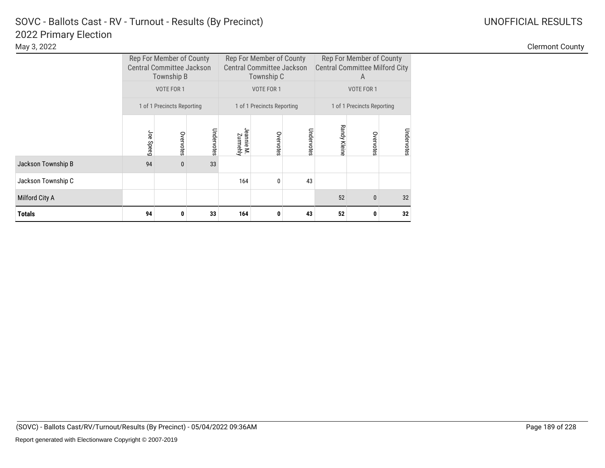|                    |           | Rep For Member of County<br><b>Central Committee Jackson</b><br>Township B |            |                        | Rep For Member of County<br><b>Central Committee Jackson</b><br>Township C |            | Rep For Member of County<br><b>Central Committee Milford City</b><br>A |                            |            |  |
|--------------------|-----------|----------------------------------------------------------------------------|------------|------------------------|----------------------------------------------------------------------------|------------|------------------------------------------------------------------------|----------------------------|------------|--|
|                    |           | VOTE FOR 1                                                                 |            |                        | VOTE FOR 1                                                                 |            |                                                                        | VOTE FOR 1                 |            |  |
|                    |           | 1 of 1 Precincts Reporting                                                 |            |                        | 1 of 1 Precincts Reporting                                                 |            |                                                                        | 1 of 1 Precincts Reporting |            |  |
|                    | Joe Speeg | Overvotes                                                                  | Undervotes | Jeannie M.<br>Zurmehly | Overvotes                                                                  | Undervotes | <b>Randy Kleine</b>                                                    | Overvotes                  | Undervotes |  |
| Jackson Township B | 94        | $\mathbf{0}$                                                               | 33         |                        |                                                                            |            |                                                                        |                            |            |  |
| Jackson Township C |           |                                                                            |            | 164                    | 0                                                                          | 43         |                                                                        |                            |            |  |
| Milford City A     |           |                                                                            |            |                        |                                                                            |            | 52                                                                     | $\mathbf{0}$               | 32         |  |
| <b>Totals</b>      | 94        | 0                                                                          | 33         | 164                    | 0                                                                          | 43         | 52                                                                     | 0                          | 32         |  |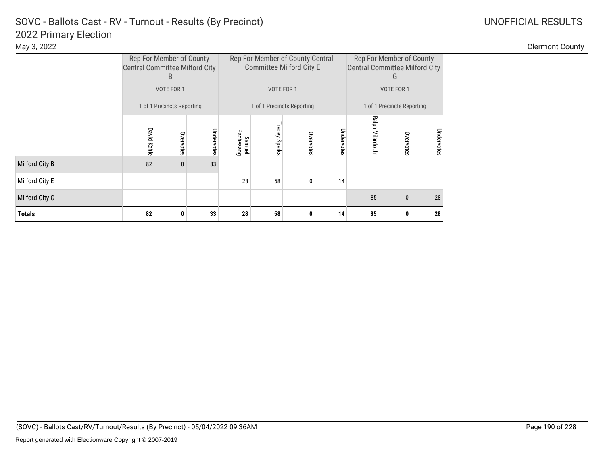|                | <b>Central Committee Milford City</b> | Rep For Member of County<br>B |            |                     | Rep For Member of County Central<br><b>Committee Milford City E</b> |                            |            | G                                                                                                                                    |            |  |
|----------------|---------------------------------------|-------------------------------|------------|---------------------|---------------------------------------------------------------------|----------------------------|------------|--------------------------------------------------------------------------------------------------------------------------------------|------------|--|
|                |                                       | VOTE FOR 1                    |            |                     |                                                                     | VOTE FOR 1                 |            | VOTE FOR 1                                                                                                                           |            |  |
|                |                                       | 1 of 1 Precincts Reporting    |            |                     |                                                                     | 1 of 1 Precincts Reporting |            | Rep For Member of County<br><b>Central Committee Milford City</b><br>1 of 1 Precincts Reporting<br>Ralph Vilardo Jr<br>85<br>85<br>0 |            |  |
|                | <b>David Kahle</b>                    | Overvotes                     | Undervotes | Pschesang<br>Samuel | <b>Tracey Sparks</b>                                                | Overvotes                  | Undervotes | Overvotes                                                                                                                            | Undervotes |  |
| Milford City B | 82                                    | $\bf{0}$                      | 33         |                     |                                                                     |                            |            |                                                                                                                                      |            |  |
| Milford City E |                                       |                               |            | 28                  | 58                                                                  | 0                          | 14         |                                                                                                                                      |            |  |
| Milford City G |                                       |                               |            |                     |                                                                     |                            |            | $\mathbf{0}$                                                                                                                         | 28         |  |
| Totals         | 82                                    | 0                             | 33         | 28                  | 58                                                                  | 0                          | 14         |                                                                                                                                      | 28         |  |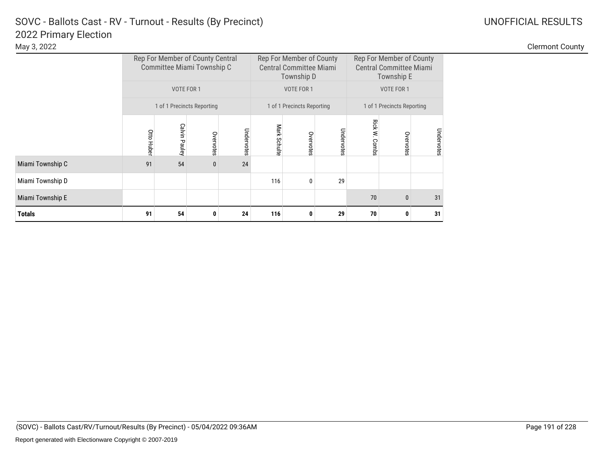Clermont County

|                  |            |               | Rep For Member of County Central<br>Committee Miami Township C |            |              | Rep For Member of County<br><b>Central Committee Miami</b><br>Township D |            | Rep For Member of County<br><b>Central Committee Miami</b><br>Township E |              |            |  |
|------------------|------------|---------------|----------------------------------------------------------------|------------|--------------|--------------------------------------------------------------------------|------------|--------------------------------------------------------------------------|--------------|------------|--|
|                  |            | VOTE FOR 1    |                                                                |            |              | VOTE FOR 1                                                               |            | VOTE FOR 1                                                               |              |            |  |
|                  |            |               | 1 of 1 Precincts Reporting                                     |            |              | 1 of 1 Precincts Reporting                                               |            | 1 of 1 Precincts Reporting                                               |              |            |  |
|                  | Otto Huber | Calvin Pauley | Overvotes                                                      | Undervotes | Mark Schulte | Overvotes                                                                | Undervotes | Rick W. Combs                                                            | Overvotes    | Undervotes |  |
| Miami Township C | 91         | 54            | $\bf{0}$                                                       | 24         |              |                                                                          |            |                                                                          |              |            |  |
| Miami Township D |            |               |                                                                |            | 116          | 0                                                                        | 29         |                                                                          |              |            |  |
| Miami Township E |            |               |                                                                |            |              |                                                                          |            | 70                                                                       | $\mathbf{0}$ | 31         |  |
| <b>Totals</b>    | 91         | 54            | 0                                                              | 24         | 116          | 0                                                                        | 29         | 70                                                                       | 0            | 31         |  |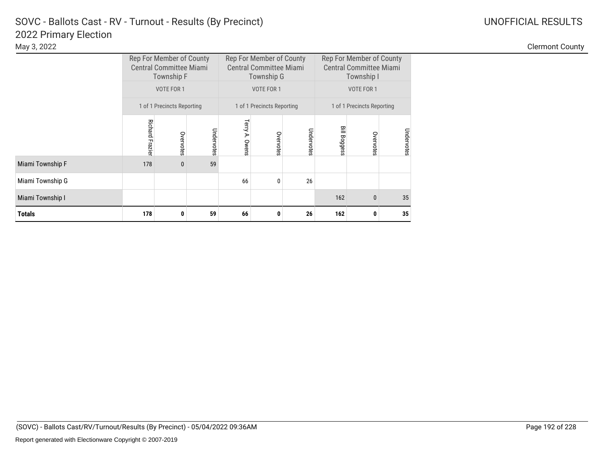|                  |                        | Rep For Member of County<br><b>Central Committee Miami</b><br>Township F |            |                | Rep For Member of County<br><b>Central Committee Miami</b><br>Township G |            | Rep For Member of County<br><b>Central Committee Miami</b><br>Township I |                            |            |  |
|------------------|------------------------|--------------------------------------------------------------------------|------------|----------------|--------------------------------------------------------------------------|------------|--------------------------------------------------------------------------|----------------------------|------------|--|
|                  |                        | VOTE FOR 1                                                               |            |                | VOTE FOR 1                                                               |            |                                                                          | VOTE FOR 1                 |            |  |
|                  |                        | 1 of 1 Precincts Reporting                                               |            |                | 1 of 1 Precincts Reporting                                               |            |                                                                          | 1 of 1 Precincts Reporting |            |  |
|                  | <b>Richard Frazier</b> | Overvotes                                                                | Undervotes | Terry A. Owens | Overvotes                                                                | Undervotes | <b>Bill Boggess</b>                                                      | Overvotes                  | Undervotes |  |
| Miami Township F | 178                    | $\mathbf{0}$                                                             | 59         |                |                                                                          |            |                                                                          |                            |            |  |
| Miami Township G |                        |                                                                          |            | 66             | $\mathbf{0}$                                                             | 26         |                                                                          |                            |            |  |
| Miami Township I |                        |                                                                          |            |                |                                                                          |            | 162                                                                      | $\bf{0}$                   | 35         |  |
| Totals           | 178                    | 0                                                                        | 59         | 66             | 0                                                                        | 26         | 162                                                                      | 0                          | 35         |  |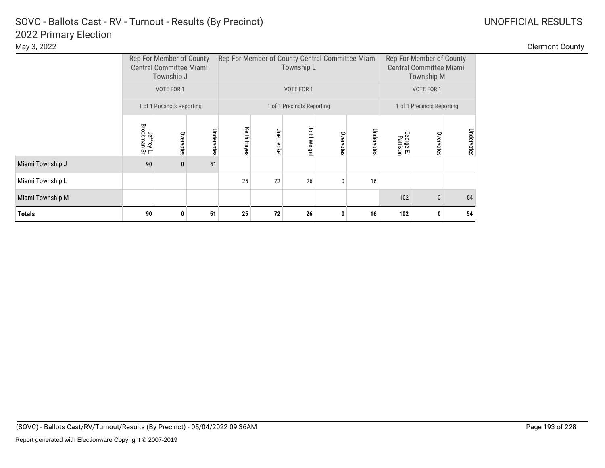| May 3, 2022 |                          |                                                  |                          | <b>Clermont County</b> |
|-------------|--------------------------|--------------------------------------------------|--------------------------|------------------------|
|             | Rep For Member of County | Rep For Member of County Central Committee Miami | Rep For Member of County |                        |

|                  |                            | Rep For Member of County<br><b>Central Committee Miami</b><br>Township J |            | Rep For Member of County Central Committee Miami |               | Township L                 |           | Rep For Member of County<br><b>Central Committee Miami</b><br><b>Township M</b> |                            |              |            |  |
|------------------|----------------------------|--------------------------------------------------------------------------|------------|--------------------------------------------------|---------------|----------------------------|-----------|---------------------------------------------------------------------------------|----------------------------|--------------|------------|--|
|                  |                            | VOTE FOR 1                                                               |            |                                                  |               | VOTE FOR 1                 |           |                                                                                 |                            | VOTE FOR 1   |            |  |
|                  |                            | 1 of 1 Precincts Reporting                                               |            |                                                  |               | 1 of 1 Precincts Reporting |           |                                                                                 | 1 of 1 Precincts Reporting |              |            |  |
|                  | Jeffrey L.<br>Brockman Sr. | Overvotes                                                                | Undervotes | Keith Hayes                                      | Joe Uecker    | Jo-El Weige                | Overvotes | Undervotes                                                                      | George E.<br>Pattison      | Overvotes    | Undervotes |  |
| Miami Township J | 90                         | 0                                                                        | 51         |                                                  |               |                            |           |                                                                                 |                            |              |            |  |
| Miami Township L |                            |                                                                          |            | 25                                               | 72            | 26                         | 0         | 16                                                                              |                            |              |            |  |
| Miami Township M |                            |                                                                          |            |                                                  |               |                            |           |                                                                                 | 102                        | $\mathbf{0}$ | 54         |  |
| <b>Totals</b>    | 90                         | 0                                                                        | 51         | 25                                               | 72<br>26<br>0 |                            |           |                                                                                 |                            | O            | 54         |  |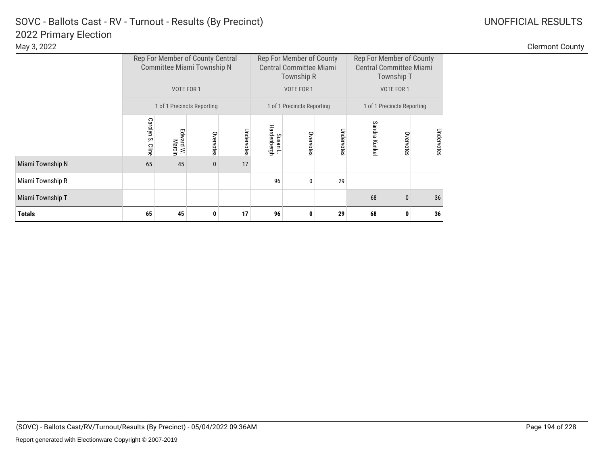|                  |                  |                     | Rep For Member of County Central<br>Committee Miami Township N |            |                         | Rep For Member of County<br><b>Central Committee Miami</b><br>Township R |            | Rep For Member of County<br><b>Central Committee Miami</b><br>Township T |                            |            |  |
|------------------|------------------|---------------------|----------------------------------------------------------------|------------|-------------------------|--------------------------------------------------------------------------|------------|--------------------------------------------------------------------------|----------------------------|------------|--|
|                  |                  | VOTE FOR 1          |                                                                |            |                         | VOTE FOR 1                                                               |            |                                                                          | VOTE FOR 1                 |            |  |
|                  |                  |                     | 1 of 1 Precincts Reporting                                     |            |                         | 1 of 1 Precincts Reporting                                               |            |                                                                          | 1 of 1 Precincts Reporting |            |  |
|                  | Carolyn S. Cline | Edward W.<br>Marcin | Overvotes                                                      | Undervotes | Susan L.<br>Hardenbergh | Overvotes                                                                | Undervotes | Sandra Kunke                                                             | Overvotes                  | Undervotes |  |
| Miami Township N | 65               | 45                  | $\bf{0}$                                                       | 17         |                         |                                                                          |            |                                                                          |                            |            |  |
| Miami Township R |                  |                     |                                                                |            | 96                      | 0                                                                        | 29         |                                                                          |                            |            |  |
| Miami Township T |                  |                     |                                                                |            |                         |                                                                          |            | 68                                                                       | $\mathbf{0}$               | 36         |  |
| <b>Totals</b>    | 65               | 45                  | 0                                                              | 17         | 96                      | 0                                                                        | 29         | 68                                                                       | 0                          | 36         |  |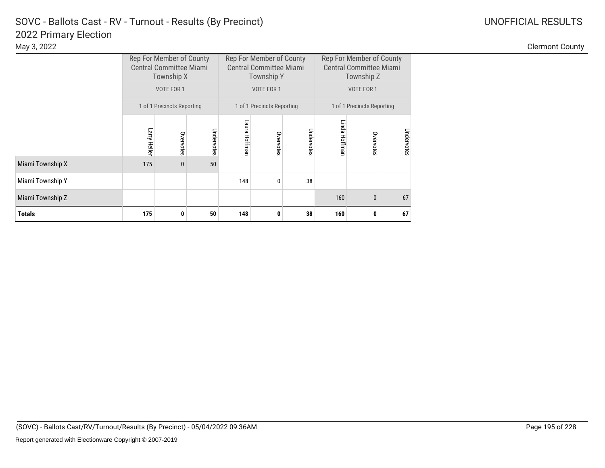|                  |                | Rep For Member of County<br><b>Central Committee Miami</b><br>Township X |            |               | Rep For Member of County<br><b>Central Committee Miami</b><br><b>Township Y</b> |            | Rep For Member of County<br><b>Central Committee Miami</b><br>Township Z |                            |            |  |
|------------------|----------------|--------------------------------------------------------------------------|------------|---------------|---------------------------------------------------------------------------------|------------|--------------------------------------------------------------------------|----------------------------|------------|--|
|                  |                | VOTE FOR 1                                                               |            |               | VOTE FOR 1                                                                      |            |                                                                          | VOTE FOR 1                 |            |  |
|                  |                | 1 of 1 Precincts Reporting                                               |            |               | 1 of 1 Precincts Reporting                                                      |            |                                                                          | 1 of 1 Precincts Reporting |            |  |
|                  | Larry Heller   | Overvotes                                                                | Undervotes | Laura Hoffman | Overvotes                                                                       | Undervotes | Linda Hoffmar                                                            | Overvotes                  | Undervotes |  |
| Miami Township X | 175            | $\mathbf{0}$                                                             | 50         |               |                                                                                 |            |                                                                          |                            |            |  |
| Miami Township Y |                |                                                                          |            | 148           | $\mathbf{0}$                                                                    | 38         |                                                                          |                            |            |  |
| Miami Township Z |                |                                                                          |            |               |                                                                                 |            | 160                                                                      | $\bf{0}$                   | 67         |  |
| Totals           | 175<br>50<br>0 |                                                                          |            | 148           | 0                                                                               | 38         | 160                                                                      | 0                          | 67         |  |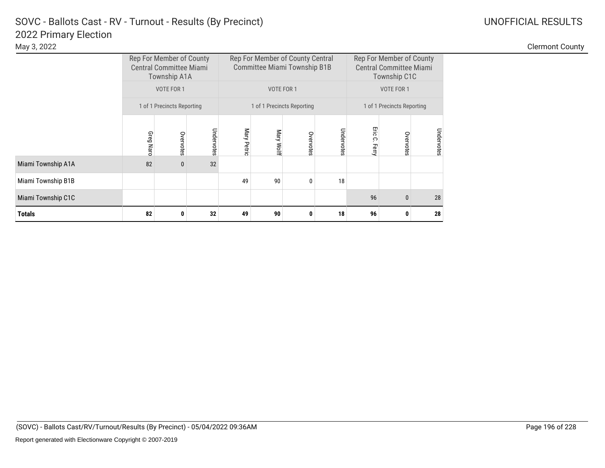|                    |                                      | Rep For Member of County<br><b>Central Committee Miami</b><br>Township A1A |    |    | Rep For Member of County Central<br>Committee Miami Township B1B |                            |    | Rep For Member of County<br><b>Central Committee Miami</b><br>Township C1C |                            |            |  |
|--------------------|--------------------------------------|----------------------------------------------------------------------------|----|----|------------------------------------------------------------------|----------------------------|----|----------------------------------------------------------------------------|----------------------------|------------|--|
|                    |                                      | VOTE FOR 1                                                                 |    |    |                                                                  | VOTE FOR 1                 |    |                                                                            | VOTE FOR 1                 |            |  |
|                    |                                      | 1 of 1 Precincts Reporting                                                 |    |    |                                                                  | 1 of 1 Precincts Reporting |    | 1 of 1 Precincts Reporting                                                 |                            |            |  |
|                    | Undervotes<br>Greg Narc<br>Overvotes |                                                                            |    |    | Mary Petric<br>Undervotes<br>Mary Wolf<br>Overvotes              |                            |    |                                                                            | Eric C. Ferry<br>Overvotes | Undervotes |  |
| Miami Township A1A | 82                                   | $\mathbf{0}$                                                               | 32 |    |                                                                  |                            |    |                                                                            |                            |            |  |
| Miami Township B1B |                                      |                                                                            |    | 49 | 90                                                               | 0                          | 18 |                                                                            |                            |            |  |
| Miami Township C1C |                                      |                                                                            |    |    |                                                                  |                            |    | 96                                                                         | $\mathbf{0}$               | 28         |  |
| <b>Totals</b>      | 82                                   | 0                                                                          | 32 | 49 | 90                                                               | 0                          | 18 | 96                                                                         | 0                          | 28         |  |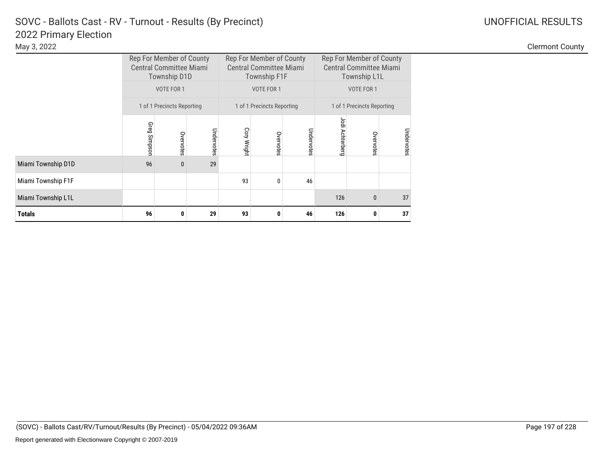|                    |                                                          | Rep For Member of County<br><b>Central Committee Miami</b><br>Township D1D |            |             | Rep For Member of County<br><b>Central Committee Miami</b><br>Township F1F |            | Rep For Member of County<br><b>Central Committee Miami</b><br>Township L1L |                            |            |  |
|--------------------|----------------------------------------------------------|----------------------------------------------------------------------------|------------|-------------|----------------------------------------------------------------------------|------------|----------------------------------------------------------------------------|----------------------------|------------|--|
|                    |                                                          | VOTE FOR 1                                                                 |            |             | <b>VOTE FOR 1</b>                                                          |            |                                                                            | VOTE FOR 1                 |            |  |
|                    | 1 of 1 Precincts Reporting<br>1 of 1 Precincts Reporting |                                                                            |            |             |                                                                            |            |                                                                            | 1 of 1 Precincts Reporting |            |  |
|                    | Greg Simpson                                             | Overvotes                                                                  | Undervotes | Cory Wright | Overvotes                                                                  | Undervotes | Jodi Achterberg                                                            | Overvotes                  | Undervotes |  |
| Miami Township D1D | 96                                                       | $\mathbf{0}$                                                               | 29         |             |                                                                            |            |                                                                            |                            |            |  |
| Miami Township F1F |                                                          |                                                                            |            | 93          | $\mathbf{0}$                                                               | 46         |                                                                            |                            |            |  |
| Miami Township L1L |                                                          |                                                                            |            |             |                                                                            |            | 126                                                                        | $\mathbf{0}$               | 37         |  |
| Totals             | 96<br>93<br>29<br>46<br>126<br>0<br>0                    |                                                                            |            |             | 0                                                                          | 37         |                                                                            |                            |            |  |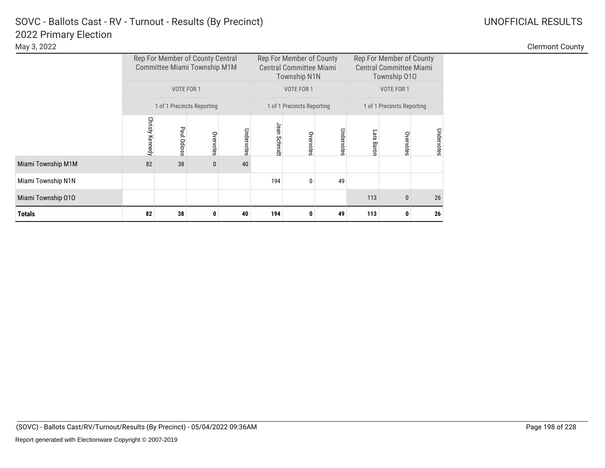|                    |                 |             | Rep For Member of County Central<br>Committee Miami Township M1M |            |                 | Rep For Member of County<br><b>Central Committee Miami</b><br><b>Township N1N</b> |            | Rep For Member of County<br><b>Central Committee Miami</b><br>Township 010 |                            |            |  |
|--------------------|-----------------|-------------|------------------------------------------------------------------|------------|-----------------|-----------------------------------------------------------------------------------|------------|----------------------------------------------------------------------------|----------------------------|------------|--|
|                    |                 | VOTE FOR 1  |                                                                  |            |                 | VOTE FOR 1                                                                        |            |                                                                            | VOTE FOR 1                 |            |  |
|                    |                 |             | 1 of 1 Precincts Reporting                                       |            |                 | 1 of 1 Precincts Reporting                                                        |            |                                                                            | 1 of 1 Precincts Reporting |            |  |
|                    | Christy Kennedy | Paul Odioso | Overvotes                                                        | Undervotes | Jean<br>Schmidt | Overvotes                                                                         | Undervotes | Lara<br>Baron                                                              | Overvotes                  | Undervotes |  |
| Miami Township M1M | 82              | 38          | 0                                                                | 40         |                 |                                                                                   |            |                                                                            |                            |            |  |
| Miami Township N1N |                 |             |                                                                  |            | 194             | $\Omega$                                                                          | 49         |                                                                            |                            |            |  |
| Miami Township 010 |                 |             |                                                                  |            |                 |                                                                                   |            | 113                                                                        | $\mathbf{0}$               | 26         |  |
| <b>Totals</b>      | 82              | 38          | 0                                                                | 40         | 194             | 0                                                                                 | 49         | 113                                                                        | 0                          | 26         |  |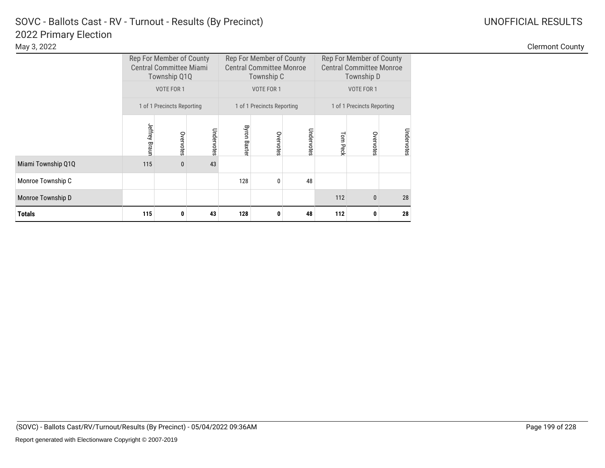|                    |               | Rep For Member of County<br><b>Central Committee Miami</b><br>Township Q1Q |            |                     | Rep For Member of County<br><b>Central Committee Monroe</b><br>Township C |            | Rep For Member of County<br><b>Central Committee Monroe</b><br>Township D |                            |            |  |
|--------------------|---------------|----------------------------------------------------------------------------|------------|---------------------|---------------------------------------------------------------------------|------------|---------------------------------------------------------------------------|----------------------------|------------|--|
|                    |               | VOTE FOR 1                                                                 |            |                     | VOTE FOR 1                                                                |            |                                                                           | VOTE FOR 1                 |            |  |
|                    |               | 1 of 1 Precincts Reporting                                                 |            |                     | 1 of 1 Precincts Reporting                                                |            |                                                                           | 1 of 1 Precincts Reporting |            |  |
|                    | Jeffrey Braun | Overvotes                                                                  | Undervotes | <b>Byron Baxter</b> | Overvotes                                                                 | Undervotes | Tom Peck                                                                  | Overvotes                  | Undervotes |  |
| Miami Township Q1Q | 115           | $\mathbf{0}$                                                               | 43         |                     |                                                                           |            |                                                                           |                            |            |  |
| Monroe Township C  |               |                                                                            |            | 128                 | 0                                                                         | 48         |                                                                           |                            |            |  |
| Monroe Township D  |               |                                                                            |            |                     |                                                                           |            | 112                                                                       | $\mathbf{0}$               | 28         |  |
| <b>Totals</b>      | 115           | 0                                                                          | 43         | 128                 | 0                                                                         | 48         | 112                                                                       | 0                          | 28         |  |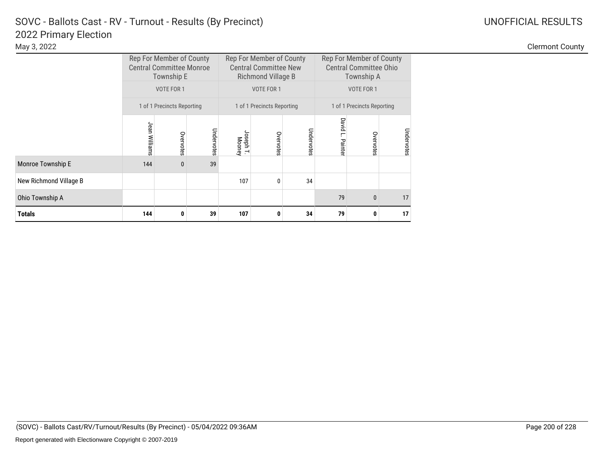|                        |                | Rep For Member of County<br><b>Central Committee Monroe</b><br>Township E |            |                             | Rep For Member of County<br><b>Central Committee New</b><br>Richmond Village B |            | Rep For Member of County<br><b>Central Committee Ohio</b><br>Township A |              |            |  |
|------------------------|----------------|---------------------------------------------------------------------------|------------|-----------------------------|--------------------------------------------------------------------------------|------------|-------------------------------------------------------------------------|--------------|------------|--|
|                        |                | VOTE FOR 1                                                                |            |                             | VOTE FOR 1                                                                     |            |                                                                         | VOTE FOR 1   |            |  |
|                        |                | 1 of 1 Precincts Reporting                                                |            |                             | 1 of 1 Precincts Reporting                                                     |            | 1 of 1 Precincts Reporting                                              |              |            |  |
|                        | Jean Williams  | Overvotes                                                                 | Undervotes | Joseph<br>лерh Т.<br>Моопеу | Overvotes                                                                      | Undervotes | David L.<br>Painter                                                     | Overvotes    | Undervotes |  |
| Monroe Township E      | 144            | $\mathbf{0}$                                                              | 39         |                             |                                                                                |            |                                                                         |              |            |  |
| New Richmond Village B |                |                                                                           |            | 107                         | $\mathbf{0}$                                                                   | 34         |                                                                         |              |            |  |
| Ohio Township A        |                |                                                                           |            |                             |                                                                                |            | 79                                                                      | $\mathbf{0}$ | 17         |  |
| <b>Totals</b>          | 144<br>39<br>0 |                                                                           |            | 107                         | 0                                                                              | 34         | 79                                                                      | 0            | 17         |  |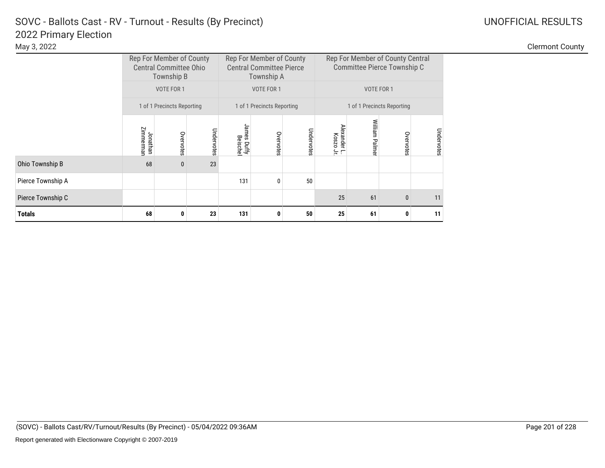|                   |                                                  | Rep For Member of County<br><b>Central Committee Ohio</b><br>Township B |    |                         | Rep For Member of County<br><b>Central Committee Pierce</b><br>Township A |            | Rep For Member of County Central<br>Committee Pierce Township C |               |              |            |
|-------------------|--------------------------------------------------|-------------------------------------------------------------------------|----|-------------------------|---------------------------------------------------------------------------|------------|-----------------------------------------------------------------|---------------|--------------|------------|
|                   |                                                  | VOTE FOR 1                                                              |    |                         | VOTE FOR 1                                                                |            |                                                                 | VOTE FOR 1    |              |            |
|                   |                                                  | 1 of 1 Precincts Reporting                                              |    |                         | 1 of 1 Precincts Reporting                                                |            | 1 of 1 Precincts Reporting                                      |               |              |            |
|                   | Zimmerman<br>Undervotes<br>Jonathan<br>Overvotes |                                                                         |    | James Duffy<br>Beischel | Overvotes                                                                 | Undervotes | <b>Alexander</b><br>Noszo<br>$\leftrightharpoons$ $\sqsubset$   | William Palme | Overvotes    | Undervotes |
| Ohio Township B   | 68                                               | $\mathbf{0}$                                                            | 23 |                         |                                                                           |            |                                                                 |               |              |            |
| Pierce Township A |                                                  |                                                                         |    | 131                     | 0                                                                         | 50         |                                                                 |               |              |            |
| Pierce Township C |                                                  |                                                                         |    |                         |                                                                           |            | 25                                                              | 61            | $\mathbf{0}$ | 11         |
| <b>Totals</b>     | 68<br>23<br>0                                    |                                                                         |    | 131                     | 0                                                                         | 50         | 25                                                              | 61            |              | 11         |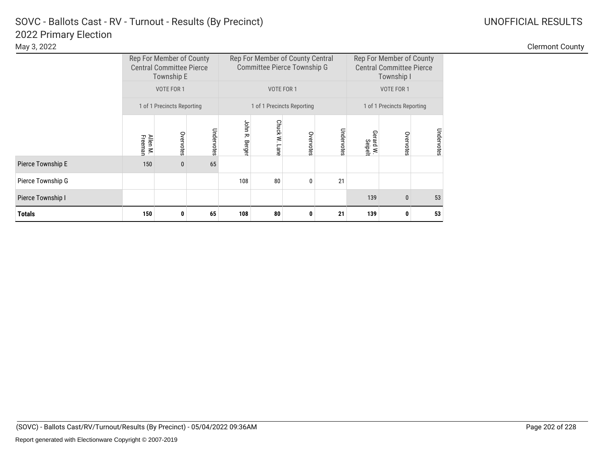|                   |                                                | Rep For Member of County<br><b>Central Committee Pierce</b><br>Township E |    |     |                                                                         | Rep For Member of County Central<br>Committee Pierce Township G |    | Rep For Member of County<br><b>Central Committee Pierce</b><br>Township I |                                   |            |  |
|-------------------|------------------------------------------------|---------------------------------------------------------------------------|----|-----|-------------------------------------------------------------------------|-----------------------------------------------------------------|----|---------------------------------------------------------------------------|-----------------------------------|------------|--|
|                   |                                                | VOTE FOR 1                                                                |    |     | VOTE FOR 1                                                              |                                                                 |    |                                                                           | VOTE FOR 1                        |            |  |
|                   |                                                | 1 of 1 Precincts Reporting                                                |    |     |                                                                         | 1 of 1 Precincts Reporting                                      |    | 1 of 1 Precincts Reporting                                                |                                   |            |  |
|                   | Undervotes<br>Overvotes<br>Allen M.<br>Freeman |                                                                           |    |     | John R.<br>Chuck W.<br>Undervotes<br>Overvotes<br>Berger<br><b>Lane</b> |                                                                 |    |                                                                           | Gerard W.<br>Seipelt<br>Overvotes | Undervotes |  |
| Pierce Township E | 150                                            | $\mathbf{0}$                                                              | 65 |     |                                                                         |                                                                 |    |                                                                           |                                   |            |  |
| Pierce Township G |                                                |                                                                           |    | 108 | 80                                                                      | 0                                                               | 21 |                                                                           |                                   |            |  |
| Pierce Township I |                                                |                                                                           |    |     |                                                                         |                                                                 |    | 139                                                                       | $\mathbf{0}$                      | 53         |  |
| <b>Totals</b>     | 150                                            | 65<br>0                                                                   |    |     | 80                                                                      | 0                                                               | 21 | 139                                                                       | 0                                 | 53         |  |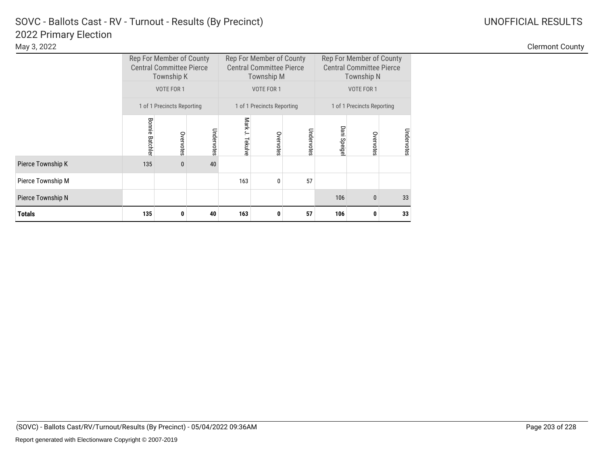|                   |                        | Rep For Member of County<br><b>Central Committee Pierce</b><br>Township K |    |                 | Rep For Member of County<br><b>Central Committee Pierce</b><br><b>Township M</b> |    | Rep For Member of County<br><b>Central Committee Pierce</b><br>Township N |                            |            |  |
|-------------------|------------------------|---------------------------------------------------------------------------|----|-----------------|----------------------------------------------------------------------------------|----|---------------------------------------------------------------------------|----------------------------|------------|--|
|                   |                        | VOTE FOR 1                                                                |    |                 | <b>VOTE FOR 1</b>                                                                |    |                                                                           | VOTE FOR 1                 |            |  |
|                   |                        | 1 of 1 Precincts Reporting                                                |    |                 | 1 of 1 Precincts Reporting                                                       |    |                                                                           | 1 of 1 Precincts Reporting |            |  |
|                   | <b>Bonnie Batchler</b> | Undervotes<br>Overvotes                                                   |    | Mark J. Tekulve | Undervotes<br>Overvotes                                                          |    | Dani Speige                                                               | Overvotes                  | Undervotes |  |
| Pierce Township K | 135                    | $\mathbf{0}$                                                              | 40 |                 |                                                                                  |    |                                                                           |                            |            |  |
| Pierce Township M |                        |                                                                           |    | 163             | $\mathbf{0}$                                                                     | 57 |                                                                           |                            |            |  |
| Pierce Township N |                        |                                                                           |    |                 |                                                                                  |    | 106                                                                       | $\mathbf{0}$               | 33         |  |
| <b>Totals</b>     | 135<br>40<br>0         |                                                                           |    | 163             | 0                                                                                | 57 | 106                                                                       | 0                          | 33         |  |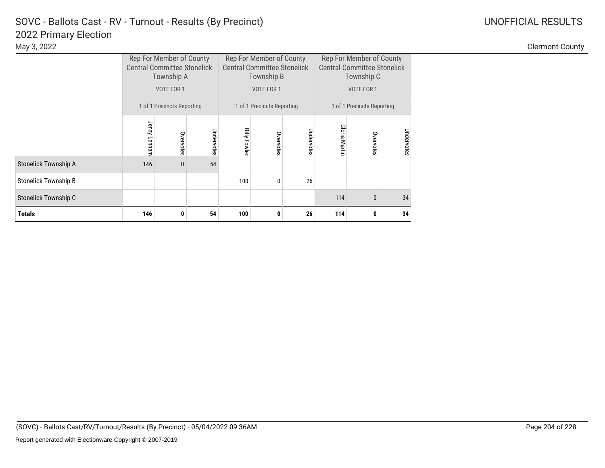|                             |              | Rep For Member of County<br><b>Central Committee Stonelick</b><br>Township A<br>VOTE FOR 1 |            |                     | Rep For Member of County<br><b>Central Committee Stonelick</b><br>Township B<br>VOTE FOR 1 |            | Rep For Member of County<br><b>Central Committee Stonelick</b><br>Township C<br>VOTE FOR 1 |                            |            |  |
|-----------------------------|--------------|--------------------------------------------------------------------------------------------|------------|---------------------|--------------------------------------------------------------------------------------------|------------|--------------------------------------------------------------------------------------------|----------------------------|------------|--|
|                             |              | 1 of 1 Precincts Reporting                                                                 |            |                     | 1 of 1 Precincts Reporting                                                                 |            |                                                                                            | 1 of 1 Precincts Reporting |            |  |
|                             | Jenny Lanham | Overvotes                                                                                  | Undervotes | <b>Billy Fowler</b> | Overvotes                                                                                  | Undervotes | Gloria Martin                                                                              | Overvotes                  | Undervotes |  |
| Stonelick Township A        | 146          | $\bf{0}$                                                                                   | 54         |                     |                                                                                            |            |                                                                                            |                            |            |  |
| <b>Stonelick Township B</b> |              |                                                                                            |            | 100                 | 0                                                                                          | 26         |                                                                                            |                            |            |  |
| Stonelick Township C        |              |                                                                                            |            |                     |                                                                                            |            | 114                                                                                        | $\mathbf{0}$               | 34         |  |
| <b>Totals</b>               | 146          | 0                                                                                          | 54         | 100                 | 0                                                                                          | 26         | 114                                                                                        | 0                          | 34         |  |

Clermont County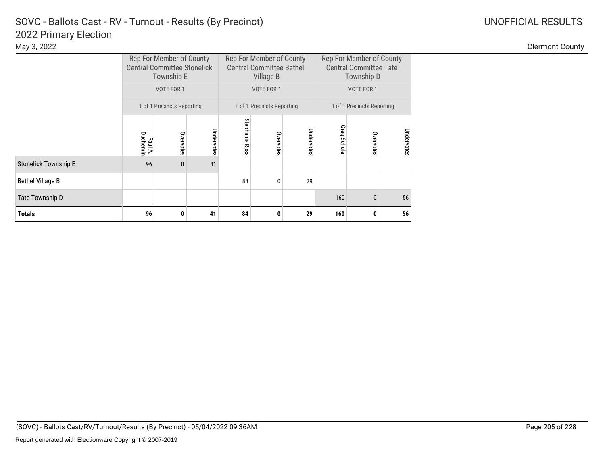## 2022 Primary Election<br>May 3, 2022 SOVC - Ballots Cast - RV - Turnout - Results (By Precinct) and Manuscription Control Control Control Control Control Control Control Control Control Control Control Control Control Control Control Control Control Control C

|                             |                     | Rep For Member of County<br><b>Central Committee Stonelick</b><br><b>Township E</b> |            |                   | Rep For Member of County<br><b>Central Committee Bethel</b><br>Village B |            | Rep For Member of County<br><b>Central Committee Tate</b><br>Township D |                            |            |  |
|-----------------------------|---------------------|-------------------------------------------------------------------------------------|------------|-------------------|--------------------------------------------------------------------------|------------|-------------------------------------------------------------------------|----------------------------|------------|--|
|                             |                     | VOTE FOR 1                                                                          |            |                   | VOTE FOR 1                                                               |            |                                                                         | VOTE FOR 1                 |            |  |
|                             |                     | 1 of 1 Precincts Reporting                                                          |            |                   | 1 of 1 Precincts Reporting                                               |            |                                                                         | 1 of 1 Precincts Reporting |            |  |
|                             | Duchemir<br>Paul A. | Overvotes                                                                           | Undervotes | Stephanie<br>Ross | Overvotes                                                                | Undervotes | Greg<br><b>Schuler</b>                                                  | Overvotes                  | Undervotes |  |
| <b>Stonelick Township E</b> | 96                  | $\mathbf{0}$                                                                        | 41         |                   |                                                                          |            |                                                                         |                            |            |  |
| <b>Bethel Village B</b>     |                     |                                                                                     |            | 84                | 0                                                                        | 29         |                                                                         |                            |            |  |
| Tate Township D             |                     |                                                                                     |            |                   |                                                                          |            | 160                                                                     | $\mathbf{0}$               | 56         |  |
| <b>Totals</b>               | 96                  | 0                                                                                   | 41         | 84                | 0                                                                        | 29         | 160                                                                     | 0                          | 56         |  |

Clermont County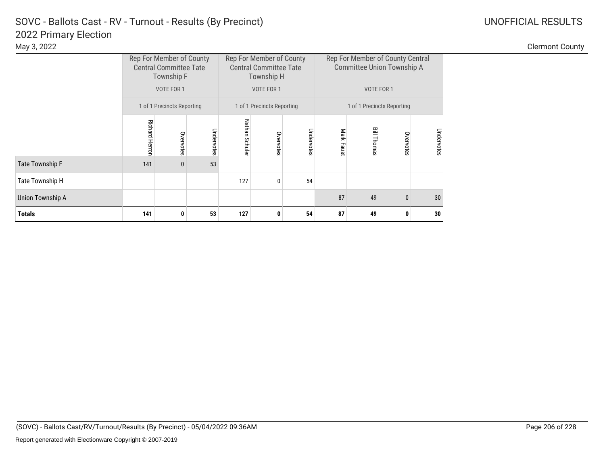### 2022 Primary Election SOVC - Ballots Cast - RV - Turnout - Results (By Precinct) and Manuscription Control Control Control Control Control Control Control Control Control Control Control Control Control Control Control Control Control Control C

|                         |                                        | Rep For Member of County<br><b>Central Committee Tate</b><br>Township F |            |                | Rep For Member of County<br><b>Central Committee Tate</b><br>Township H |            |           | Rep For Member of County Central<br>Committee Union Township A |                            |            |  |  |
|-------------------------|----------------------------------------|-------------------------------------------------------------------------|------------|----------------|-------------------------------------------------------------------------|------------|-----------|----------------------------------------------------------------|----------------------------|------------|--|--|
|                         | VOTE FOR 1<br>VOTE FOR 1<br>VOTE FOR 1 |                                                                         |            |                |                                                                         |            |           |                                                                |                            |            |  |  |
|                         |                                        | 1 of 1 Precincts Reporting                                              |            |                | 1 of 1 Precincts Reporting                                              |            |           |                                                                | 1 of 1 Precincts Reporting |            |  |  |
|                         | <b>Richard Herron</b>                  | Overvotes                                                               | Undervotes | Nathan Schuler | Overvotes                                                               | Undervotes | Mark Faus | Bill Thomas                                                    | Overvotes                  | Undervotes |  |  |
| <b>Tate Township F</b>  | 141                                    | $\bf{0}$                                                                | 53         |                |                                                                         |            |           |                                                                |                            |            |  |  |
| Tate Township H         |                                        |                                                                         |            | 127            | $\mathbf{0}$                                                            | 54         |           |                                                                |                            |            |  |  |
| <b>Union Township A</b> |                                        |                                                                         |            |                |                                                                         |            | 87        | 30                                                             |                            |            |  |  |
| <b>Totals</b>           | 141                                    | 0                                                                       | 53         | 127            | 0                                                                       | 54         | 87        | 49                                                             | 0                          | 30         |  |  |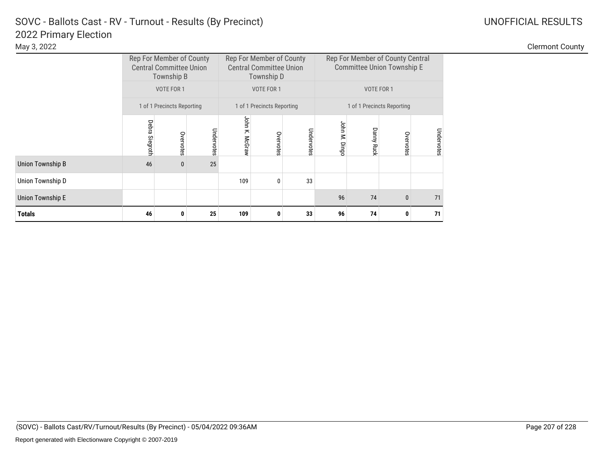### 2022 Primary Election SOVC - Ballots Cast - RV - Turnout - Results (By Precinct) and Manuscription Control Control Control Control Control Control Control Control Control Control Control Control Control Control Control Control Control Control C

|                         |                   | Rep For Member of County<br><b>Central Committee Union</b><br>Township B |            |                | Rep For Member of County<br><b>Central Committee Union</b><br>Township D |            | Rep For Member of County Central<br>Committee Union Township E |                   |                            |            |  |
|-------------------------|-------------------|--------------------------------------------------------------------------|------------|----------------|--------------------------------------------------------------------------|------------|----------------------------------------------------------------|-------------------|----------------------------|------------|--|
|                         |                   | VOTE FOR 1                                                               |            |                | VOTE FOR 1                                                               |            |                                                                | VOTE FOR 1        |                            |            |  |
|                         |                   | 1 of 1 Precincts Reporting                                               |            |                | 1 of 1 Precincts Reporting                                               |            |                                                                |                   | 1 of 1 Precincts Reporting |            |  |
|                         | Debra<br>Siegroth | Overvotes                                                                | Undervotes | John K. McGraw | Overvotes                                                                | Undervotes | John M. Dingc                                                  | <b>Danny Ruck</b> | Overvotes                  | Undervotes |  |
| <b>Union Township B</b> | 46                | $\bf{0}$                                                                 | 25         |                |                                                                          |            |                                                                |                   |                            |            |  |
| Union Township D        |                   |                                                                          |            | 109            | 0                                                                        | 33         |                                                                |                   |                            |            |  |
| Union Township E        |                   |                                                                          |            |                |                                                                          |            | 96                                                             | 74                | $\mathbf{0}$               | 71         |  |
| <b>Totals</b>           | 46                | 0                                                                        | 25         | 109            | 0                                                                        | 33         | 96                                                             | 74                | 0                          | 71         |  |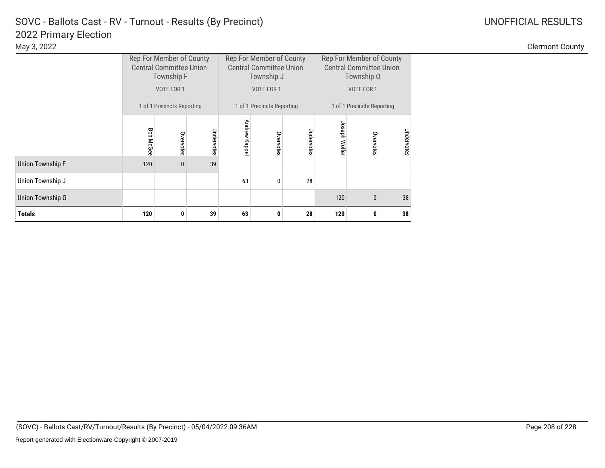|                         |                  | Rep For Member of County<br><b>Central Committee Union</b><br>Township F |            |              | Rep For Member of County<br><b>Central Committee Union</b><br>Township J |            | Rep For Member of County<br><b>Central Committee Union</b><br>Township O |                            |            |  |  |
|-------------------------|------------------|--------------------------------------------------------------------------|------------|--------------|--------------------------------------------------------------------------|------------|--------------------------------------------------------------------------|----------------------------|------------|--|--|
|                         |                  | VOTE FOR 1                                                               |            |              | VOTE FOR 1                                                               |            |                                                                          | VOTE FOR 1                 |            |  |  |
|                         |                  | 1 of 1 Precincts Reporting                                               |            |              | 1 of 1 Precincts Reporting                                               |            |                                                                          | 1 of 1 Precincts Reporting |            |  |  |
|                         | <b>Bob McGee</b> | Overvotes                                                                | Undervotes | Andrew Kappe | Overvotes                                                                | Undervotes | Joseph Wolfer                                                            | Overvotes                  | Undervotes |  |  |
| <b>Union Township F</b> | 120              | $\mathbf{0}$                                                             | 39         |              |                                                                          |            |                                                                          |                            |            |  |  |
| Union Township J        |                  |                                                                          |            | 63           | 0                                                                        | 28         |                                                                          |                            |            |  |  |
| Union Township O        |                  |                                                                          |            |              |                                                                          |            | 120                                                                      | $\mathbf{0}$               | 38         |  |  |
| Totals                  | 120              | 0                                                                        | 39         | 63           | 0                                                                        | 28         | 120<br>0                                                                 |                            |            |  |  |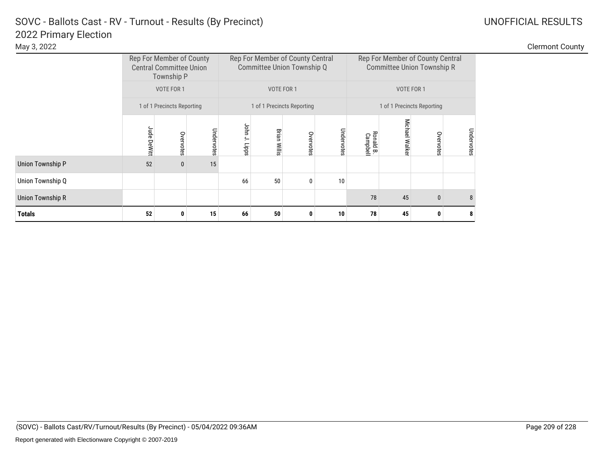### 2022 Primary Election SOVC - Ballots Cast - RV - Turnout - Results (By Precinct) and Manuscription Control Control Control Control Control Control Control Control Control Control Control Control Control Control Control Control Control Control C

| May 3, 2022             |             |                                                                          |            |                  |                                                                |               |            |                            |                     |                                                                       |           | <b>Clermont County</b> |
|-------------------------|-------------|--------------------------------------------------------------------------|------------|------------------|----------------------------------------------------------------|---------------|------------|----------------------------|---------------------|-----------------------------------------------------------------------|-----------|------------------------|
|                         |             | Rep For Member of County<br><b>Central Committee Union</b><br>Township P |            |                  | Rep For Member of County Central<br>Committee Union Township Q |               |            |                            |                     | Rep For Member of County Central<br><b>Committee Union Township R</b> |           |                        |
|                         |             | VOTE FOR 1                                                               |            | VOTE FOR 1       |                                                                |               |            |                            | VOTE FOR 1          |                                                                       |           |                        |
|                         |             | 1 of 1 Precincts Reporting                                               |            |                  | 1 of 1 Precincts Reporting                                     |               |            | 1 of 1 Precincts Reporting |                     |                                                                       |           |                        |
|                         | Jude DeWitt | Overvotes                                                                | Undervotes | John<br>J. Lipps | <b>Brian Willis</b>                                            | Overvote<br>Ö | Undervotes | Ronald B.<br>Campbell      | Micha<br>₾<br>Walke | S<br>ate                                                              | Undervote |                        |
| <b>Union Township P</b> | 52          | $\bf{0}$                                                                 | 15         |                  |                                                                |               |            |                            |                     |                                                                       |           |                        |
| Union Township Q        |             |                                                                          |            | 66               | 50                                                             |               | 10         |                            |                     |                                                                       |           |                        |
| <b>Union Township R</b> |             |                                                                          |            |                  |                                                                |               |            | 78                         | 45                  | $\mathbf{0}$                                                          |           |                        |
| <b>Totals</b>           | 52          | 0                                                                        | 15         | 66               | 50                                                             |               | 10         | 78                         | 45                  |                                                                       |           |                        |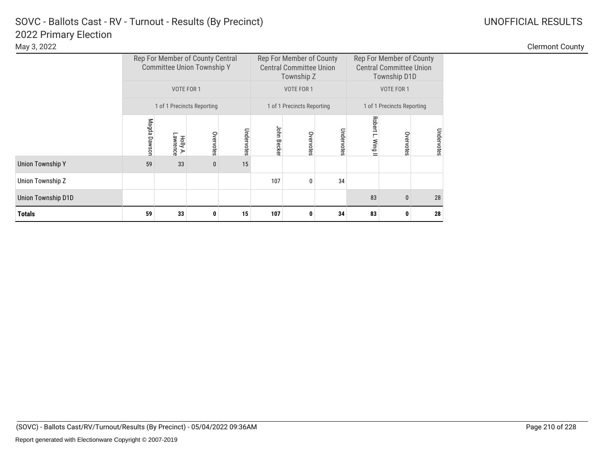|                         | Rep For Member of County Central<br><b>Committee Union Township Y</b><br>VOTE FOR 1 |                      |                            |            |             | Rep For Member of County<br><b>Central Committee Union</b><br>Township Z |            | Rep For Member of County<br><b>Central Committee Union</b><br><b>Township D1D</b> |            |            |  |
|-------------------------|-------------------------------------------------------------------------------------|----------------------|----------------------------|------------|-------------|--------------------------------------------------------------------------|------------|-----------------------------------------------------------------------------------|------------|------------|--|
|                         |                                                                                     |                      |                            |            |             | VOTE FOR 1                                                               |            |                                                                                   | VOTE FOR 1 |            |  |
|                         |                                                                                     |                      | 1 of 1 Precincts Reporting |            |             | 1 of 1 Precincts Reporting                                               |            | 1 of 1 Precincts Reporting                                                        |            |            |  |
|                         | Magda Dawson                                                                        | Holly A.<br>Lawrence | Overvotes                  | Undervotes | John Becker | Overvotes                                                                | Undervotes | Robert L.<br>Wing II                                                              | Overvotes  | Undervotes |  |
| <b>Union Township Y</b> | 59                                                                                  | 33                   | $\bf{0}$                   | 15         |             |                                                                          |            |                                                                                   |            |            |  |
| Union Township Z        |                                                                                     |                      |                            |            | 107         | 0                                                                        | 34         |                                                                                   |            |            |  |
| Union Township D1D      |                                                                                     |                      |                            |            |             |                                                                          |            | 83                                                                                | 0          | 28         |  |
| <b>Totals</b>           | 59                                                                                  | 33                   | 0                          | 15         | 107         | 0                                                                        | 34         | 83                                                                                | 0          | 28         |  |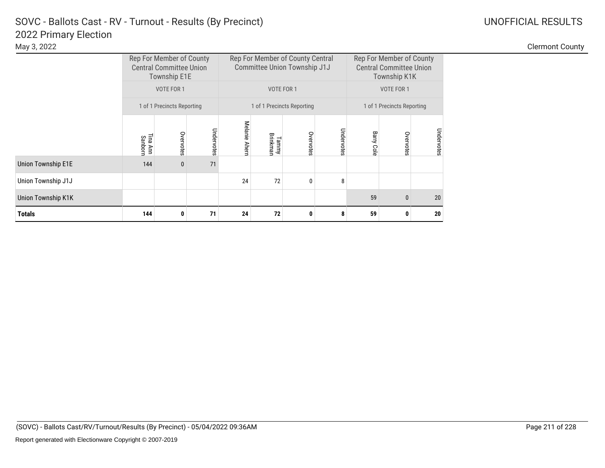### 2022 Primary Election SOVC - Ballots Cast - RV - Turnout - Results (By Precinct) and Manuscription Control Control Control Control Control Control Control Control Control Control Control Control Control Control Control Control Control Control C

|                           |                     | Rep For Member of County<br><b>Central Committee Union</b><br><b>Township E1E</b> |            |                         |                   | Rep For Member of County Central<br>Committee Union Township J1J |            | Rep For Member of County<br><b>Central Committee Union</b><br>Township K1K |            |            |  |
|---------------------------|---------------------|-----------------------------------------------------------------------------------|------------|-------------------------|-------------------|------------------------------------------------------------------|------------|----------------------------------------------------------------------------|------------|------------|--|
|                           |                     | <b>VOTE FOR 1</b>                                                                 |            |                         | VOTE FOR 1        |                                                                  |            |                                                                            | VOTE FOR 1 |            |  |
|                           |                     | 1 of 1 Precincts Reporting                                                        |            |                         |                   | 1 of 1 Precincts Reporting                                       |            | 1 of 1 Precincts Reporting                                                 |            |            |  |
|                           | Tina Ann<br>Sanborn | Overvotes                                                                         | Undervotes | Melanie<br><b>Ahern</b> | Brinkman<br>Tammy | Overvotes                                                        | Undervotes | <b>Barry Cole</b>                                                          | Overvotes  | Undervotes |  |
| <b>Union Township E1E</b> | 144                 | $\mathbf{0}$                                                                      | 71         |                         |                   |                                                                  |            |                                                                            |            |            |  |
| Union Township J1J        |                     |                                                                                   |            | 24                      | 72                | $\mathbf{0}$                                                     | 8          |                                                                            |            |            |  |
| Union Township K1K        |                     |                                                                                   |            |                         |                   |                                                                  |            | 59                                                                         | 0          | 20         |  |
| <b>Totals</b>             | 144<br>71<br>0      |                                                                                   |            | 24                      | 72                | $\bf{0}$                                                         | 8          | 59                                                                         | 0          | 20         |  |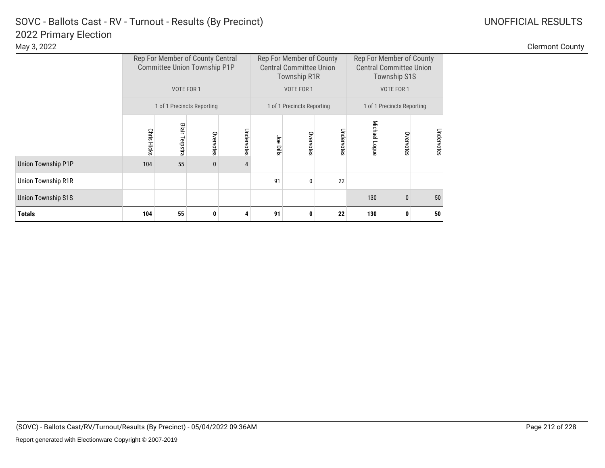Clermont County

|                           |                    | Rep For Member of County Central<br>Committee Union Township P1P |                            |            |           | Rep For Member of County<br><b>Central Committee Union</b><br><b>Township R1R</b> |            | Rep For Member of County<br><b>Central Committee Union</b><br><b>Township S1S</b> |                            |            |  |
|---------------------------|--------------------|------------------------------------------------------------------|----------------------------|------------|-----------|-----------------------------------------------------------------------------------|------------|-----------------------------------------------------------------------------------|----------------------------|------------|--|
|                           |                    | VOTE FOR 1                                                       |                            |            |           | VOTE FOR 1                                                                        |            |                                                                                   | VOTE FOR 1                 |            |  |
|                           |                    |                                                                  | 1 of 1 Precincts Reporting |            |           | 1 of 1 Precincts Reporting                                                        |            |                                                                                   | 1 of 1 Precincts Reporting |            |  |
|                           | <b>Chris Hicks</b> | <b>Blair Terpstra</b>                                            | Overvotes                  | Undervotes | Joe Dills | Overvotes                                                                         | Undervotes | Michael Logue                                                                     | Overvotes                  | Undervotes |  |
| <b>Union Township P1P</b> | 104                | 55                                                               | $\bf{0}$                   |            |           |                                                                                   |            |                                                                                   |                            |            |  |
| Union Township R1R        |                    |                                                                  |                            |            | 91        | $\mathbf{0}$                                                                      | 22         |                                                                                   |                            |            |  |
| <b>Union Township S1S</b> |                    |                                                                  |                            |            |           |                                                                                   |            | 130                                                                               | 0                          | 50         |  |
| <b>Totals</b>             | 104                | 55                                                               | 0                          |            | 91        | 0                                                                                 | 22         | 130                                                                               | 0                          | 50         |  |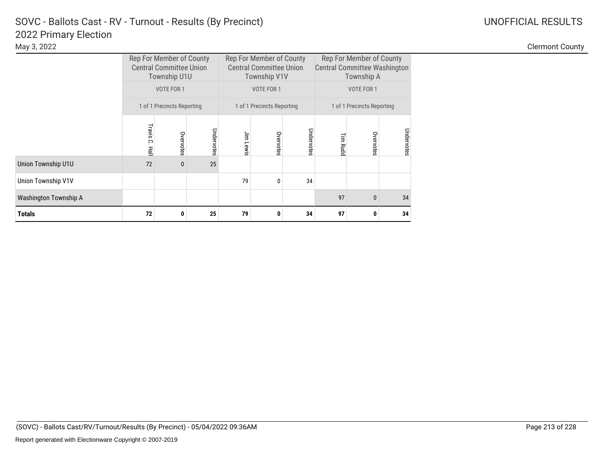### 2022 Primary Election SOVC - Ballots Cast - RV - Turnout - Results (By Precinct) and Manuscription Control Control Control Control Control Control Control Control Control Control Control Control Control Control Control Control Control Control C

|                       |               | Rep For Member of County<br><b>Central Committee Union</b><br>Township U1U |            |           | Rep For Member of County<br><b>Central Committee Union</b><br>Township V1V |              | Rep For Member of County<br><b>Central Committee Washington</b><br>Township A |                            |            |  |
|-----------------------|---------------|----------------------------------------------------------------------------|------------|-----------|----------------------------------------------------------------------------|--------------|-------------------------------------------------------------------------------|----------------------------|------------|--|
|                       |               | VOTE FOR 1                                                                 |            |           | VOTE FOR 1                                                                 |              |                                                                               | VOTE FOR 1                 |            |  |
|                       |               | 1 of 1 Precincts Reporting                                                 |            |           | 1 of 1 Precincts Reporting                                                 |              |                                                                               | 1 of 1 Precincts Reporting |            |  |
|                       | Travis C. Hal | Overvotes                                                                  | Undervotes | Jim Lewis | Overvotes                                                                  | Undervotes   | Tim Rudc                                                                      | Overvotes                  | Undervotes |  |
| Union Township U1U    | 72            | $\mathbf{0}$                                                               | 25         |           |                                                                            |              |                                                                               |                            |            |  |
| Union Township V1V    |               |                                                                            |            | 79        | $\mathbf{0}$                                                               | 34           |                                                                               |                            |            |  |
| Washington Township A |               |                                                                            |            |           | 97                                                                         | $\mathbf{0}$ | 34                                                                            |                            |            |  |
| Totals                | 72            | 0                                                                          | 25         | 79        | 0                                                                          | 34           | 97                                                                            | 34                         |            |  |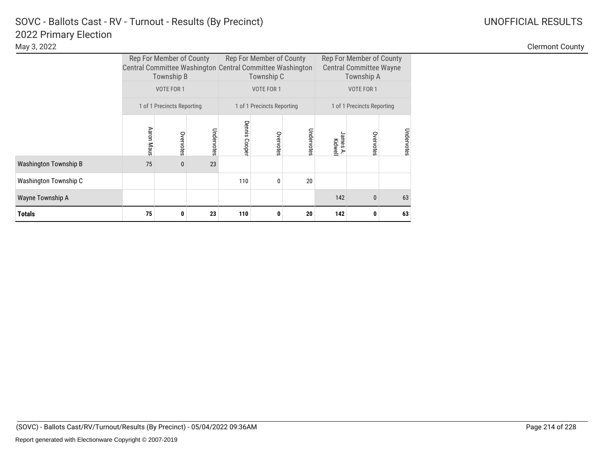### 2022 Primary Election SOVC - Ballots Cast - RV - Turnout - Results (By Precinct)

|                              | Central Committee Washington Central Committee Washington | Rep For Member of County<br>Township B |            |                  | Rep For Member of County<br>Township C |            | Rep For Member of County<br><b>Central Committee Wayne</b><br>Township A |                            |            |  |
|------------------------------|-----------------------------------------------------------|----------------------------------------|------------|------------------|----------------------------------------|------------|--------------------------------------------------------------------------|----------------------------|------------|--|
|                              |                                                           | VOTE FOR 1                             |            |                  | VOTE FOR 1                             |            |                                                                          | VOTE FOR 1                 |            |  |
|                              |                                                           | 1 of 1 Precincts Reporting             |            |                  | 1 of 1 Precincts Reporting             |            |                                                                          | 1 of 1 Precincts Reporting |            |  |
|                              | Aaron Maus                                                | Overvotes                              | Undervotes | Dennis<br>Cooper | Overvotes                              | Undervotes | James A.<br>Kidwell<br>⋗                                                 | Overvotes                  | Undervotes |  |
| <b>Washington Township B</b> | 75                                                        | $\mathbf{0}$                           | 23         |                  |                                        |            |                                                                          |                            |            |  |
| Washington Township C        |                                                           |                                        |            | 110              | $\mathbf{0}$                           | 20         |                                                                          |                            |            |  |
| Wayne Township A             |                                                           |                                        |            |                  |                                        |            | 142                                                                      | $\Omega$                   | 63         |  |
| Totals                       | 75                                                        | 0                                      | 23         | 110              | 0                                      | 20         | 142                                                                      | 0                          | 63         |  |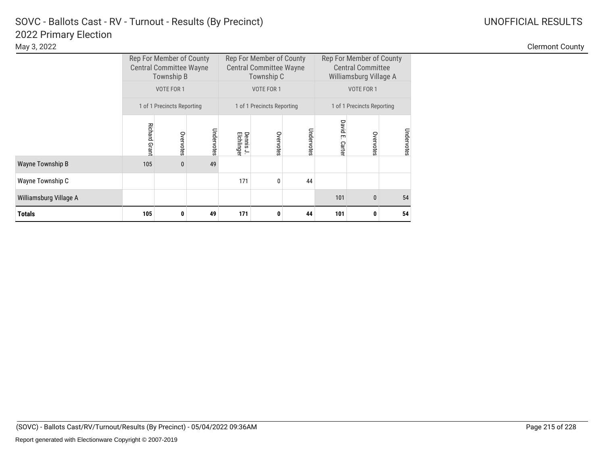### 2022 Primary Election SOVC - Ballots Cast - RV - Turnout - Results (By Precinct) and Manuscription Control Control Control Control Control Control Control Control Control Control Control Control Control Control Control Control Control Control C

|                         | Rep For Member of County<br><b>Central Committee Wayne</b><br>Township B<br>VOTE FOR 1<br>1 of 1 Precincts Reporting |           |            | Rep For Member of County<br><b>Central Committee Wayne</b><br>Township C<br>VOTE FOR 1 |              |            | Rep For Member of County<br><b>Central Committee</b><br>Williamsburg Village A<br>VOTE FOR 1 |              |            |
|-------------------------|----------------------------------------------------------------------------------------------------------------------|-----------|------------|----------------------------------------------------------------------------------------|--------------|------------|----------------------------------------------------------------------------------------------|--------------|------------|
|                         |                                                                                                                      |           |            |                                                                                        |              |            |                                                                                              |              |            |
|                         |                                                                                                                      |           |            | 1 of 1 Precincts Reporting                                                             |              |            | 1 of 1 Precincts Reporting                                                                   |              |            |
|                         | Richard Grant                                                                                                        | Overvotes | Undervotes | Dennis J.<br>Elchlinger                                                                | Overvotes    | Undervotes | David<br>ŗm<br>Carter                                                                        | Overvotes    | Undervotes |
| <b>Wayne Township B</b> | 105                                                                                                                  | $\bf{0}$  | 49         |                                                                                        |              |            |                                                                                              |              |            |
| Wayne Township C        |                                                                                                                      |           |            | 171                                                                                    | $\mathbf{0}$ | 44         |                                                                                              |              |            |
| Williamsburg Village A  |                                                                                                                      |           |            |                                                                                        |              |            | 101                                                                                          | $\mathbf{0}$ | 54         |
| <b>Totals</b>           | 105                                                                                                                  | 0         | 49         | 171                                                                                    | 0            | 44         | 101                                                                                          | 0            | 54         |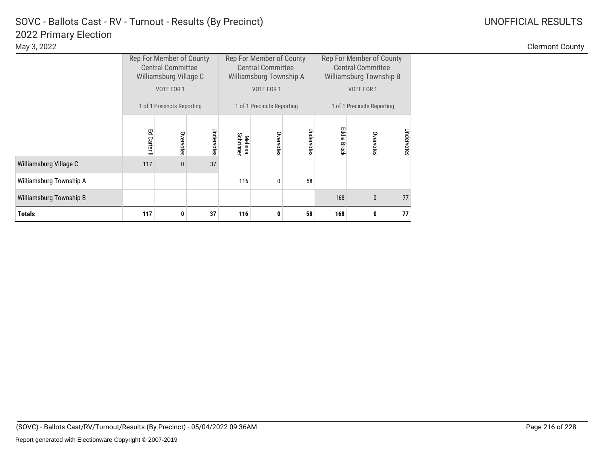|                         | Rep For Member of County<br><b>Central Committee</b><br>Williamsburg Village C<br>VOTE FOR 1<br>1 of 1 Precincts Reporting |              |            | Rep For Member of County<br><b>Central Committee</b><br>Williamsburg Township A<br>VOTE FOR 1 |              |            | Rep For Member of County<br><b>Central Committee</b><br>Williamsburg Township B<br>VOTE FOR 1 |              |            |
|-------------------------|----------------------------------------------------------------------------------------------------------------------------|--------------|------------|-----------------------------------------------------------------------------------------------|--------------|------------|-----------------------------------------------------------------------------------------------|--------------|------------|
|                         |                                                                                                                            |              |            | 1 of 1 Precincts Reporting                                                                    |              |            | 1 of 1 Precincts Reporting                                                                    |              |            |
|                         | Ed Carter I                                                                                                                | Overvotes    | Undervotes | Schrinner<br><b>Melissa</b>                                                                   | Overvotes    | Undervotes | Eddie<br><b>Brock</b>                                                                         | Overvotes    | Undervotes |
| Williamsburg Village C  | 117                                                                                                                        | $\mathbf{0}$ | 37         |                                                                                               |              |            |                                                                                               |              |            |
| Williamsburg Township A |                                                                                                                            |              |            | 116                                                                                           | $\mathbf{0}$ | 58         |                                                                                               |              |            |
| Williamsburg Township B |                                                                                                                            |              |            |                                                                                               |              |            | 168                                                                                           | $\mathbf{0}$ | 77         |
| <b>Totals</b>           | 117                                                                                                                        | 0            | 37         | 116                                                                                           | 0            | 58         | 168                                                                                           | 0            | 77         |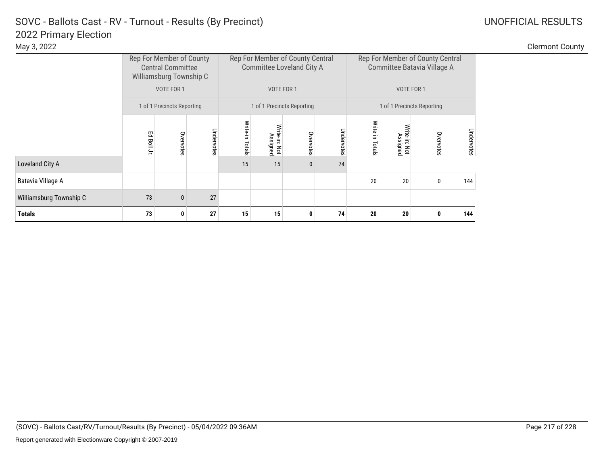| May 3, 2022             |         |                                                                                 |            |                 |                                                               |                            |            |                |                         |                                                                 |            | <b>Clermont County</b> |
|-------------------------|---------|---------------------------------------------------------------------------------|------------|-----------------|---------------------------------------------------------------|----------------------------|------------|----------------|-------------------------|-----------------------------------------------------------------|------------|------------------------|
|                         |         | Rep For Member of County<br><b>Central Committee</b><br>Williamsburg Township C |            |                 | Rep For Member of County Central<br>Committee Loveland City A |                            |            |                |                         | Rep For Member of County Central<br>Committee Batavia Village A |            |                        |
|                         |         | VOTE FOR 1                                                                      |            |                 |                                                               | VOTE FOR 1                 |            |                |                         | VOTE FOR 1                                                      |            |                        |
|                         |         | 1 of 1 Precincts Reporting                                                      |            |                 |                                                               | 1 of 1 Precincts Reporting |            |                |                         | 1 of 1 Precincts Reporting                                      |            |                        |
|                         | Ed Boll | Overvotes                                                                       | Undervotes | Write-in Totals | Write-in: Not<br>Assigned                                     | Overvotes                  | Undervotes | Write<br>otals | ite-in: Not<br>Assigned | Overvotes                                                       | Undervotes |                        |
| Loveland City A         |         |                                                                                 |            | 15              | 15                                                            | $\mathbf{0}$               | 74         |                |                         |                                                                 |            |                        |
| Batavia Village A       |         |                                                                                 |            |                 |                                                               |                            |            | 20             | 20                      |                                                                 | 144        |                        |
| Williamsburg Township C | 73      | $\mathbf{0}$                                                                    | 27         |                 |                                                               |                            |            |                |                         |                                                                 |            |                        |
| <b>Totals</b>           | 73      | 0                                                                               | 27         | 15              | 15                                                            |                            | 74         | 20             | 20                      |                                                                 | 144        |                        |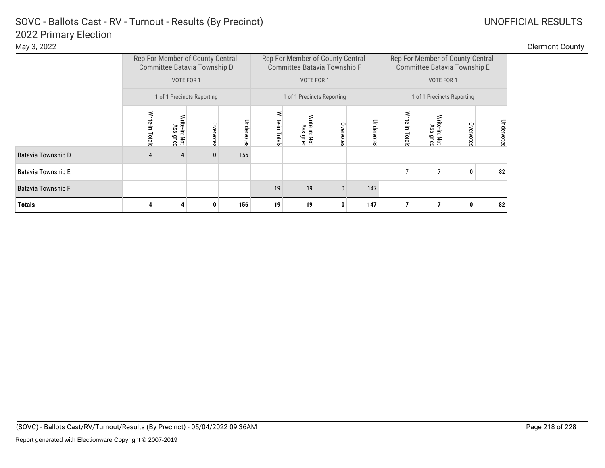| May 3, 2022 |                                                                  |                                                                  |                                                                  | <b>Clermont County</b> |
|-------------|------------------------------------------------------------------|------------------------------------------------------------------|------------------------------------------------------------------|------------------------|
|             | Rep For Member of County Central<br>Committee Batavia Township D | Rep For Member of County Central<br>Committee Batavia Township F | Rep For Member of County Central<br>Committee Batavia Township E |                        |

|                           |                 | Rep For Member of County Central<br>Committee Batavia Township D |           |            |                 |                           |                            | Rep For Member of County Central<br>Rep For Member of County Central<br>Committee Batavia Township F<br>Committee Batavia Township E |                    |                            |           |            |  |
|---------------------------|-----------------|------------------------------------------------------------------|-----------|------------|-----------------|---------------------------|----------------------------|--------------------------------------------------------------------------------------------------------------------------------------|--------------------|----------------------------|-----------|------------|--|
|                           |                 | VOTE FOR 1                                                       |           |            |                 |                           | VOTE FOR 1                 | VOTE FOR 1                                                                                                                           |                    |                            |           |            |  |
|                           |                 | 1 of 1 Precincts Reporting                                       |           |            |                 |                           | 1 of 1 Precincts Reporting |                                                                                                                                      |                    | 1 of 1 Precincts Reporting |           |            |  |
|                           | Write-in Totals | Assigned<br>te-in: Not                                           | Overvotes | Undervotes | Write-in Totals | Write-in: Not<br>Assigned | Overvotes                  | Undervote                                                                                                                            | Write-in<br>Totals | Write-in: Not<br>Assigned  | Overvotes | Undervotes |  |
| Batavia Township D        | 4               | 4                                                                | $\bf{0}$  | 156        |                 |                           |                            |                                                                                                                                      |                    |                            |           |            |  |
| <b>Batavia Township E</b> |                 |                                                                  |           |            |                 |                           |                            |                                                                                                                                      | $\overline{7}$     | 7                          | 0         | 82         |  |
| <b>Batavia Township F</b> |                 |                                                                  |           |            | 19              | 19                        | $\mathbf 0$                | 147                                                                                                                                  |                    |                            |           |            |  |
| <b>Totals</b>             |                 |                                                                  | 0         | 156        | 19              | 19                        | 0                          | 147                                                                                                                                  |                    | 7                          |           | 82         |  |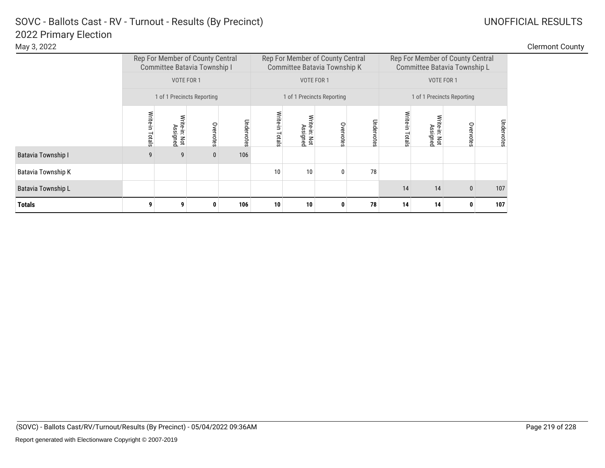|  |  | <b>Clermont Coun</b> |  |
|--|--|----------------------|--|
|  |  |                      |  |

| May 3, 2022        |                    |                                                                                |                            |            |                 |                        |                                                                                |         |                            |                                                                                |           |            | <b>Clermont County</b> |
|--------------------|--------------------|--------------------------------------------------------------------------------|----------------------------|------------|-----------------|------------------------|--------------------------------------------------------------------------------|---------|----------------------------|--------------------------------------------------------------------------------|-----------|------------|------------------------|
|                    |                    | Rep For Member of County Central<br>Committee Batavia Township I<br>VOTE FOR 1 |                            |            |                 |                        | Rep For Member of County Central<br>Committee Batavia Township K<br>VOTE FOR 1 |         |                            | Rep For Member of County Central<br>Committee Batavia Township L<br>VOTE FOR 1 |           |            |                        |
|                    |                    |                                                                                | 1 of 1 Precincts Reporting |            |                 |                        | 1 of 1 Precincts Reporting                                                     |         | 1 of 1 Precincts Reporting |                                                                                |           |            |                        |
|                    | Write-in<br>Totals | te-in: Not<br>Assigned                                                         | Overvotes                  | Undervotes | Write-in Totals | te-in: Not<br>Assigned | Overvotes                                                                      | à<br>ag | Mrite-ir<br>otals          | te-in: Not<br>Assigned                                                         | Overvotes | Undervotes |                        |
| Batavia Township I | 9                  | 9                                                                              | $\mathbf{0}$               | 106        |                 |                        |                                                                                |         |                            |                                                                                |           |            |                        |
| Batavia Township K |                    |                                                                                |                            |            | 10              | 10                     |                                                                                | 78      |                            |                                                                                |           |            |                        |
| Batavia Township L |                    |                                                                                |                            |            |                 |                        |                                                                                |         | 14                         | 14                                                                             | $\bf{0}$  | 107        |                        |
| <b>Totals</b>      | 9                  |                                                                                | 0                          | 106        | 10              | 10                     |                                                                                | 78      | 14                         | 14                                                                             |           | 107        |                        |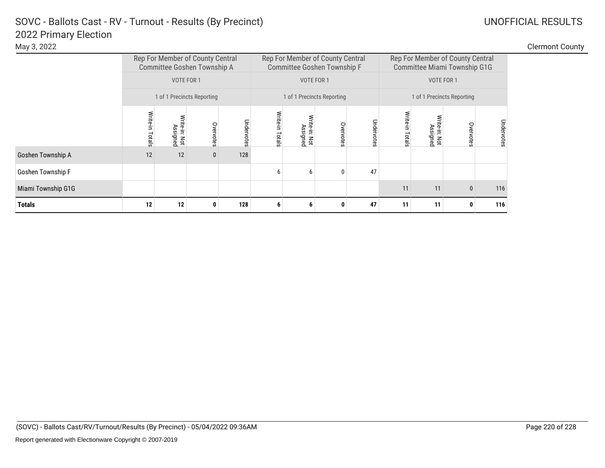**Clermont County** 

| , .,               |                 |                                                                 |              |            |          |                           |                                                                 |            |                                                                  |                            |           |     |  |
|--------------------|-----------------|-----------------------------------------------------------------|--------------|------------|----------|---------------------------|-----------------------------------------------------------------|------------|------------------------------------------------------------------|----------------------------|-----------|-----|--|
|                    |                 | Rep For Member of County Central<br>Committee Goshen Township A |              |            |          |                           | Rep For Member of County Central<br>Committee Goshen Township F |            | Rep For Member of County Central<br>Committee Miami Township G1G |                            |           |     |  |
|                    |                 | VOTE FOR 1                                                      |              |            |          |                           | VOTE FOR 1                                                      |            |                                                                  | VOTE FOR 1                 |           |     |  |
|                    |                 | 1 of 1 Precincts Reporting                                      |              |            |          |                           | 1 of 1 Precincts Reporting                                      |            |                                                                  | 1 of 1 Precincts Reporting |           |     |  |
|                    | Write-in Totals | Write-in: Not<br>Assigned                                       | Overvotes    | Undervotes | Write-in | Write-in: Not<br>Assigned | Overvotes                                                       | Undervotes | Write-in                                                         | Undervotes                 |           |     |  |
|                    |                 |                                                                 |              |            | Totals   |                           |                                                                 |            | Totals                                                           | Assigned<br>Not            | Overvotes |     |  |
| Goshen Township A  | 12              | 12                                                              | $\mathbf{0}$ | 128        |          |                           |                                                                 |            |                                                                  |                            |           |     |  |
| Goshen Township F  |                 |                                                                 |              |            | 6        | 6                         | $\mathbf{0}$                                                    | 47         |                                                                  |                            |           |     |  |
| Miami Township G1G |                 |                                                                 |              |            |          |                           |                                                                 |            | 11<br>11<br>116<br>$\bf{0}$                                      |                            |           |     |  |
| <b>Totals</b>      | 12              | 12                                                              |              | 128        | 6        | 6                         | 0                                                               | 47         | 11                                                               | 11                         | 0         | 116 |  |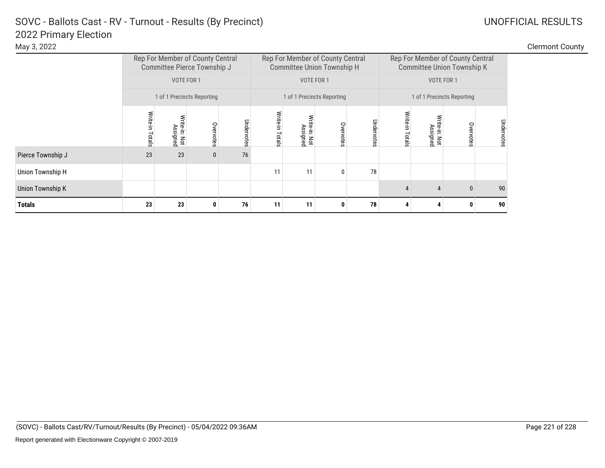| May 3, 2022 | <b>Clermont County</b> |
|-------------|------------------------|
|             |                        |

|                         |                 | Rep For Member of County Central<br>Committee Pierce Township J |              |            |                    |                           | Rep For Member of County Central<br><b>Committee Union Township H</b> |            | Rep For Member of County Central<br><b>Committee Union Township K</b> |                                        |              |            |  |
|-------------------------|-----------------|-----------------------------------------------------------------|--------------|------------|--------------------|---------------------------|-----------------------------------------------------------------------|------------|-----------------------------------------------------------------------|----------------------------------------|--------------|------------|--|
|                         |                 | VOTE FOR 1                                                      |              |            |                    | VOTE FOR 1                |                                                                       |            | VOTE FOR 1                                                            |                                        |              |            |  |
|                         |                 | 1 of 1 Precincts Reporting                                      |              |            |                    |                           | 1 of 1 Precincts Reporting                                            |            |                                                                       | 1 of 1 Precincts Reporting             |              |            |  |
|                         | Write-in Totals | Write-in: Not<br>Assigned                                       | Overvotes    | Undervotes | Write-in<br>Totals | Write-in: Not<br>Assigned | Overvotes                                                             | Undervotes | Write-in<br>Totals                                                    | Write-in: Not<br>Assigned<br>Overvotes |              |            |  |
| Pierce Township J       | 23              | 23                                                              | $\mathbf{0}$ | 76         |                    |                           |                                                                       |            |                                                                       |                                        |              | Undervotes |  |
| Union Township H        |                 |                                                                 |              |            | 11                 | 11                        | $\mathbf{0}$                                                          | 78         |                                                                       |                                        |              |            |  |
| <b>Union Township K</b> |                 |                                                                 |              |            |                    |                           |                                                                       |            |                                                                       | 4                                      | $\mathbf{0}$ | 90         |  |
| <b>Totals</b>           | 23              | 23                                                              | 0            | 76         | 11                 | 11                        | 0                                                                     | 78         |                                                                       |                                        |              |            |  |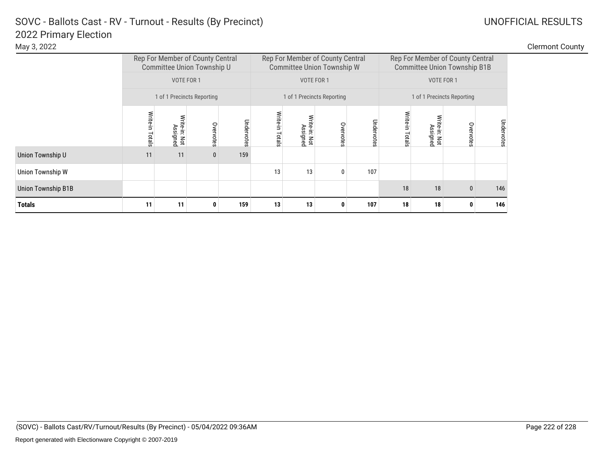### 2022 Primary Election SOVC - Ballots Cast - RV - Turnout - Results (By Precinct) and Manuscription Control Control Control Control Control Control Control Control Control Control Control Control Control Control Control Control Control Control C

Union Township W

**Totals**

| May 3, 2022      |            |                                    |                                                                |               |                    |                        |                                                                       |     |            |                                                                         |               |            | <b>Clermont County</b> |
|------------------|------------|------------------------------------|----------------------------------------------------------------|---------------|--------------------|------------------------|-----------------------------------------------------------------------|-----|------------|-------------------------------------------------------------------------|---------------|------------|------------------------|
|                  |            |                                    | Rep For Member of County Central<br>Committee Union Township U |               |                    |                        | Rep For Member of County Central<br><b>Committee Union Township W</b> |     |            | Rep For Member of County Central<br><b>Committee Union Township B1B</b> |               |            |                        |
|                  |            | VOTE FOR 1                         |                                                                |               |                    | VOTE FOR 1             |                                                                       |     | VOTE FOR 1 |                                                                         |               |            |                        |
|                  |            |                                    | 1 of 1 Precincts Reporting                                     |               |                    |                        | 1 of 1 Precincts Reporting                                            |     |            | 1 of 1 Precincts Reporting                                              |               |            |                        |
|                  | <u>als</u> | Hie<br>iss.<br>Ē<br>: Not<br>igned | Overvotes                                                      | Under<br>otes | Write-in<br>Totals | te-in: Not<br>Assigned | 0<br>ote<br>$\omega$                                                  |     |            | te-in: Not<br>Assigned                                                  | S<br>$\omega$ | Undervotes |                        |
| Union Township U | 11         | 11                                 | $\bf{0}$                                                       | 159           |                    |                        |                                                                       |     |            |                                                                         |               |            |                        |
| Union Township W |            |                                    |                                                                |               | 13                 | 13                     |                                                                       | 107 |            |                                                                         |               |            |                        |

Union Township B1B 146

**11 11 0 159 13 13 0 107 18 18 0 146**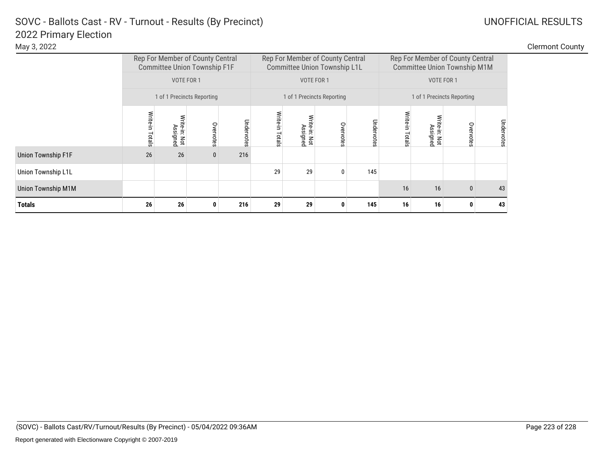| May 3, 2022        |                   |                                                                                       |                            |            |                 |                                                                         |                            |      |                            |                                                                                       |                    |            | <b>Clermont County</b> |
|--------------------|-------------------|---------------------------------------------------------------------------------------|----------------------------|------------|-----------------|-------------------------------------------------------------------------|----------------------------|------|----------------------------|---------------------------------------------------------------------------------------|--------------------|------------|------------------------|
|                    |                   | Rep For Member of County Central<br><b>Committee Union Township F1F</b><br>VOTE FOR 1 |                            |            |                 | Rep For Member of County Central<br><b>Committee Union Township L1L</b> | VOTE FOR 1                 |      |                            | Rep For Member of County Central<br><b>Committee Union Township M1M</b><br>VOTE FOR 1 |                    |            |                        |
|                    |                   |                                                                                       | 1 of 1 Precincts Reporting |            |                 |                                                                         | 1 of 1 Precincts Reporting |      | 1 of 1 Precincts Reporting |                                                                                       |                    |            |                        |
|                    | Write-in<br>otals | Write-in: Not<br>Assigned                                                             | Overvotes                  | Undervotes | Write-in Totals | Write-in: Not<br>Assigned                                               | Overvotes                  | otes | Write<br>otals             | ite-in: Not<br>Assigned                                                               | Overvote<br>$\sim$ | Undervotes |                        |
| Union Township F1F | 26                | 26                                                                                    | $\mathbf 0$                | 216        |                 |                                                                         |                            |      |                            |                                                                                       |                    |            |                        |
| Union Township L1L |                   |                                                                                       |                            |            | 29              | 29                                                                      | 0                          | 145  |                            |                                                                                       |                    |            |                        |
| Union Township M1M |                   |                                                                                       |                            |            |                 |                                                                         |                            |      | 16                         | 16                                                                                    | $\mathbf 0$        | 43         |                        |
| <b>Totals</b>      | 26                | 26                                                                                    | 0                          | 216        | 29              | 29                                                                      | 0                          | 145  | 16                         | 16                                                                                    |                    | 43         |                        |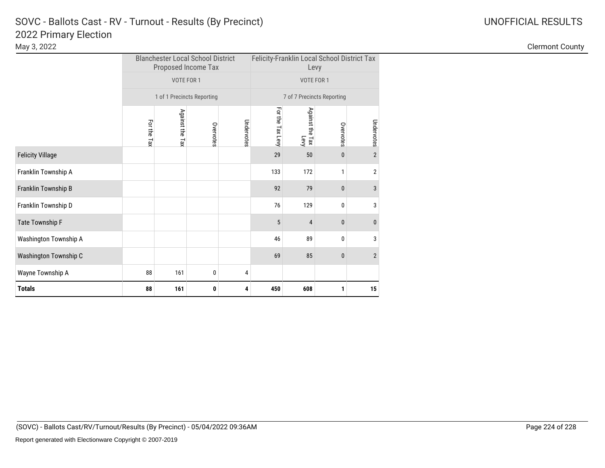|                         |             |                 | <b>Blanchester Local School District</b><br>Proposed Income Tax |            | Felicity-Franklin Local School District Tax<br>Levy |                            |           |                  |  |  |
|-------------------------|-------------|-----------------|-----------------------------------------------------------------|------------|-----------------------------------------------------|----------------------------|-----------|------------------|--|--|
|                         |             | VOTE FOR 1      |                                                                 |            |                                                     | VOTE FOR 1                 |           |                  |  |  |
|                         |             |                 | 1 of 1 Precincts Reporting                                      |            |                                                     | 7 of 7 Precincts Reporting |           |                  |  |  |
|                         | For the Tax | Against the Tax | Overvotes                                                       | Undervotes | For the Tax Levy                                    | Against the Tax<br>Levy    | Overvotes | Undervotes       |  |  |
| <b>Felicity Village</b> |             |                 |                                                                 |            | 29                                                  | 50                         | 0         | $\overline{2}$   |  |  |
| Franklin Township A     |             |                 |                                                                 |            | 133                                                 | 172                        | 1         | $\overline{2}$   |  |  |
| Franklin Township B     |             |                 |                                                                 |            | 92                                                  | 79                         | 0         | 3                |  |  |
| Franklin Township D     |             |                 |                                                                 |            | 76                                                  | 129                        | 0         | 3                |  |  |
| Tate Township F         |             |                 |                                                                 |            | 5                                                   | 4                          | 0         | $\bf{0}$         |  |  |
| Washington Township A   |             |                 |                                                                 |            | 46                                                  | 89                         | 0         | 3                |  |  |
| Washington Township C   |             |                 |                                                                 |            | 69                                                  | 85                         | 0         | $\overline{2}$   |  |  |
| Wayne Township A        | 88          | 161             | 0                                                               | 4          |                                                     |                            |           |                  |  |  |
| <b>Totals</b>           | 88          | 161             | 0                                                               | 4          | 450                                                 | 608                        | 1         | $15\phantom{.0}$ |  |  |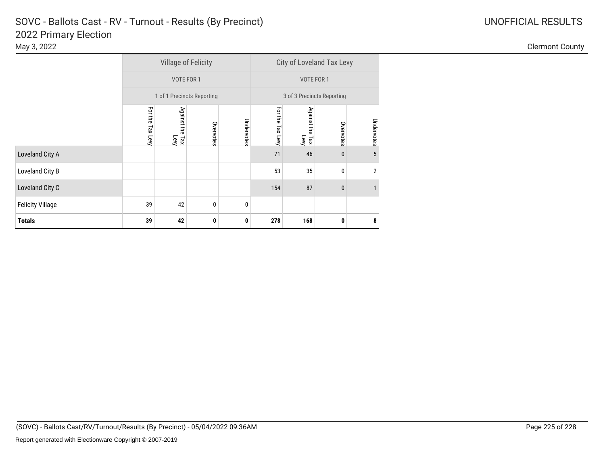|                         |                     | <b>Village of Felicity</b> |           |            | City of Loveland Tax Levy  |                         |              |                |  |  |  |
|-------------------------|---------------------|----------------------------|-----------|------------|----------------------------|-------------------------|--------------|----------------|--|--|--|
|                         |                     | VOTE FOR 1                 |           |            | VOTE FOR 1                 |                         |              |                |  |  |  |
|                         |                     | 1 of 1 Precincts Reporting |           |            | 3 of 3 Precincts Reporting |                         |              |                |  |  |  |
|                         | For the<br>Tax Levy | Against the Tax<br>Levy    | Overvotes | Undervotes | For the Tax Levy           | Against the Tax<br>Levy | Overvotes    | Undervotes     |  |  |  |
| Loveland City A         |                     |                            |           |            | 71                         | 46                      | $\mathbf{0}$ | 5              |  |  |  |
| Loveland City B         |                     |                            |           |            | 53                         | 35                      | 0            | $\overline{2}$ |  |  |  |
| Loveland City C         |                     |                            |           |            | 154                        | 87                      | 0            | $\mathbf{1}$   |  |  |  |
| <b>Felicity Village</b> | 39                  | 42                         | 0         | 0          |                            |                         |              |                |  |  |  |
| <b>Totals</b>           | 39                  | 42                         | 0         | 0          | 278                        | 168                     | 0            | 8              |  |  |  |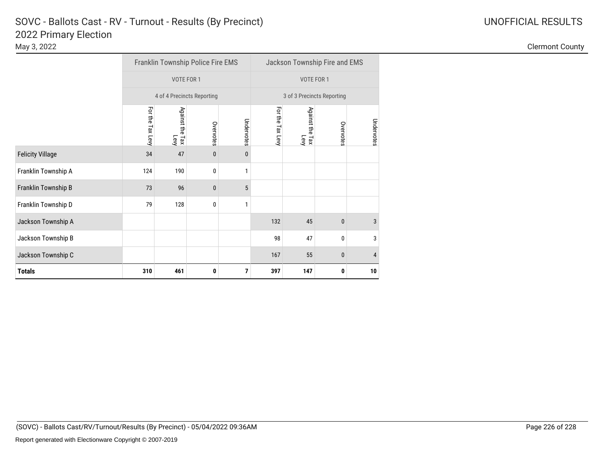|                         | Franklin Township Police Fire EMS<br>VOTE FOR 1 |                         |              |                            | Jackson Township Fire and EMS |                         |              |            |
|-------------------------|-------------------------------------------------|-------------------------|--------------|----------------------------|-------------------------------|-------------------------|--------------|------------|
|                         |                                                 |                         |              |                            | VOTE FOR 1                    |                         |              |            |
|                         | 4 of 4 Precincts Reporting                      |                         |              | 3 of 3 Precincts Reporting |                               |                         |              |            |
|                         | For the Tax Levy                                | Against the Tax<br>Levy | Overvotes    | Undervotes                 | For the Tax Levy              | Against the Tax<br>Levy | Overvotes    | Undervotes |
| <b>Felicity Village</b> | 34                                              | 47                      | $\mathbf{0}$ | $\mathbf{0}$               |                               |                         |              |            |
| Franklin Township A     | 124                                             | 190                     | 0            | 1                          |                               |                         |              |            |
| Franklin Township B     | 73                                              | 96                      | $\mathbf{0}$ | 5                          |                               |                         |              |            |
| Franklin Township D     | 79                                              | 128                     | $\mathbf{0}$ | 1                          |                               |                         |              |            |
| Jackson Township A      |                                                 |                         |              |                            | 132                           | 45                      | $\mathbf{0}$ | 3          |
| Jackson Township B      |                                                 |                         |              |                            | 98                            | 47                      | 0            | 3          |
| Jackson Township C      |                                                 |                         |              |                            | 167                           | 55                      | 0            | 4          |
| <b>Totals</b>           | 310                                             | 461                     | 0            | 7                          | 397                           | 147                     | 0            | 10         |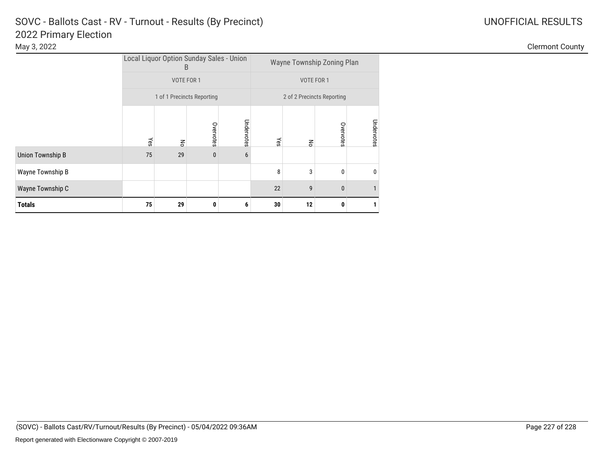|                         | Local Liquor Option Sunday Sales - Union<br>B |                    |           | Wayne Township Zoning Plan |     |    |           |              |
|-------------------------|-----------------------------------------------|--------------------|-----------|----------------------------|-----|----|-----------|--------------|
|                         | VOTE FOR 1<br>1 of 1 Precincts Reporting      |                    |           | VOTE FOR 1                 |     |    |           |              |
|                         |                                               |                    |           | 2 of 2 Precincts Reporting |     |    |           |              |
|                         | Yes                                           | $\mathsf{g}% _{0}$ | Overvotes | Undervotes                 | Yes | 종  | Overvotes | Undervotes   |
| <b>Union Township B</b> | 75                                            | 29                 | $\pmb{0}$ | 6                          |     |    |           |              |
| Wayne Township B        |                                               |                    |           |                            | 8   | 3  | 0         | $\mathbf{0}$ |
| Wayne Township C        |                                               |                    |           |                            | 22  | 9  | 0         |              |
| <b>Totals</b>           | 75                                            | 29                 | 0         | 6                          | 30  | 12 | 0         |              |